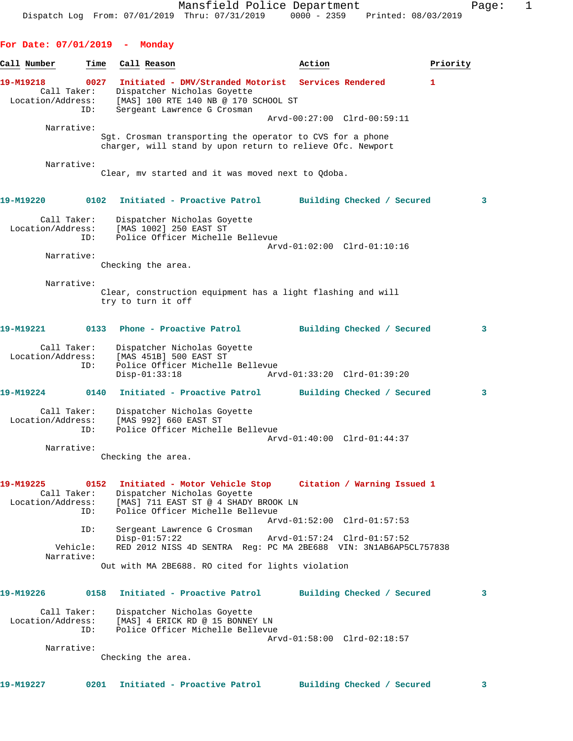## **For Date: 07/01/2019 - Monday**

| Call Number                                   | Time                       | Call Reason                                                                                                                               | Action                                                                                                                  | Priority |
|-----------------------------------------------|----------------------------|-------------------------------------------------------------------------------------------------------------------------------------------|-------------------------------------------------------------------------------------------------------------------------|----------|
| 19-M19218<br>Call Taker:<br>Location/Address: | 0027                       | Dispatcher Nicholas Goyette<br>[MAS] 100 RTE 140 NB @ 170 SCHOOL ST                                                                       | Initiated - DMV/Stranded Motorist Services Rendered                                                                     | 1        |
|                                               | ID:                        | Sergeant Lawrence G Crosman                                                                                                               | Arvd-00:27:00 Clrd-00:59:11                                                                                             |          |
| Narrative:                                    |                            |                                                                                                                                           | Sgt. Crosman transporting the operator to CVS for a phone<br>charger, will stand by upon return to relieve Ofc. Newport |          |
| Narrative:                                    |                            | Clear, my started and it was moved next to Qdoba.                                                                                         |                                                                                                                         |          |
| 19-M19220                                     |                            |                                                                                                                                           | 0102 Initiated - Proactive Patrol Building Checked / Secured                                                            | 3        |
| Call Taker:<br>Location/Address:              | ID:                        | Dispatcher Nicholas Goyette<br>[MAS 1002] 250 EAST ST<br>Police Officer Michelle Bellevue                                                 | Arvd-01:02:00 Clrd-01:10:16                                                                                             |          |
| Narrative:                                    |                            |                                                                                                                                           |                                                                                                                         |          |
|                                               |                            | Checking the area.                                                                                                                        |                                                                                                                         |          |
| Narrative:                                    |                            | try to turn it off                                                                                                                        | Clear, construction equipment has a light flashing and will                                                             |          |
| 19-M19221                                     |                            | 0133 Phone - Proactive Patrol                                                                                                             | Building Checked / Secured                                                                                              | 3        |
| Call Taker:<br>Location/Address:              | ID:                        | Dispatcher Nicholas Goyette<br>[MAS 451B] 500 EAST ST<br>Police Officer Michelle Bellevue<br>$Disp-01:33:18$                              | Arvd-01:33:20 Clrd-01:39:20                                                                                             |          |
| 19-M19224                                     |                            |                                                                                                                                           | 0140 Initiated - Proactive Patrol Building Checked / Secured                                                            | 3        |
| Call Taker:<br>Location/Address:              | ID:                        | Dispatcher Nicholas Goyette<br>[MAS 992] 660 EAST ST<br>Police Officer Michelle Bellevue                                                  |                                                                                                                         |          |
| Narrative:                                    |                            |                                                                                                                                           | Arvd-01:40:00 Clrd-01:44:37                                                                                             |          |
|                                               |                            | Checking the area.                                                                                                                        |                                                                                                                         |          |
| <b>19-M19225</b><br>Location/Address:         | 0152<br>Call Taker:<br>ID: | Initiated - Motor Vehicle Stop<br>Dispatcher Nicholas Goyette<br>[MAS] 711 EAST ST @ 4 SHADY BROOK LN<br>Police Officer Michelle Bellevue | Citation / Warning Issued 1                                                                                             |          |
|                                               | ID:                        | Sergeant Lawrence G Crosman                                                                                                               | Arvd-01:52:00 Clrd-01:57:53                                                                                             |          |
|                                               | Vehicle:                   | $Disp-01:57:22$                                                                                                                           | Arvd-01:57:24 Clrd-01:57:52<br>RED 2012 NISS 4D SENTRA Req: PC MA 2BE688 VIN: 3N1AB6AP5CL757838                         |          |
| Narrative:                                    |                            | Out with MA 2BE688. RO cited for lights violation                                                                                         |                                                                                                                         |          |
| 19-M19226                                     | 0158                       | Initiated - Proactive Patrol                                                                                                              | Building Checked / Secured                                                                                              | 3        |
| Call Taker:<br>Location/Address:              | ID:                        | Dispatcher Nicholas Goyette<br>[MAS] 4 ERICK RD @ 15 BONNEY LN<br>Police Officer Michelle Bellevue                                        |                                                                                                                         |          |
| Narrative:                                    |                            |                                                                                                                                           | Arvd-01:58:00 Clrd-02:18:57                                                                                             |          |
|                                               |                            | Checking the area.                                                                                                                        |                                                                                                                         |          |
| 19-M19227                                     | 0201                       | Initiated - Proactive Patrol                                                                                                              | Building Checked / Secured                                                                                              | 3        |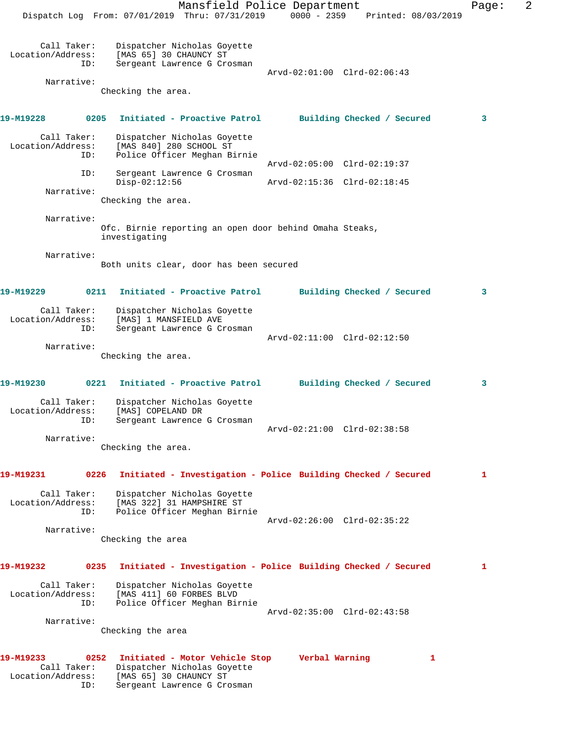Mansfield Police Department Fage: 2 Dispatch Log From: 07/01/2019 Thru: 07/31/2019 0000 - 2359 Printed: 08/03/2019 Call Taker: Dispatcher Nicholas Goyette<br>Location/Address: [MAS 65] 30 CHAUNCY ST ess: [MAS 65] 30 CHAUNCY ST<br>ID: Sergeant Lawrence G Cro Sergeant Lawrence G Crosman Arvd-02:01:00 Clrd-02:06:43 Narrative: Checking the area. **19-M19228 0205 Initiated - Proactive Patrol Building Checked / Secured 3** Call Taker: Dispatcher Nicholas Goyette<br>Location/Address: [MAS 840] 280 SCHOOL ST [MAS 840] 280 SCHOOL ST ID: Police Officer Meghan Birnie Arvd-02:05:00 Clrd-02:19:37<br>ID: Sergeant Lawrence G Crosman Sergeant Lawrence G Crosman Disp-02:12:56 Arvd-02:15:36 Clrd-02:18:45 Narrative: Checking the area. Narrative: Ofc. Birnie reporting an open door behind Omaha Steaks, investigating Narrative: Both units clear, door has been secured **19-M19229 0211 Initiated - Proactive Patrol Building Checked / Secured 3** Call Taker: Dispatcher Nicholas Goyette Location/Address: [MAS] 1 MANSFIELD AVE ID: Sergeant Lawrence G Crosman Arvd-02:11:00 Clrd-02:12:50 Narrative: Checking the area. **19-M19230 0221 Initiated - Proactive Patrol Building Checked / Secured 3** Call Taker: Dispatcher Nicholas Goyette Location/Address: [MAS] COPELAND DR<br>ID: Sergeant Lawrence Sergeant Lawrence G Crosman Arvd-02:21:00 Clrd-02:38:58 Narrative: Checking the area. **19-M19231 0226 Initiated - Investigation - Police Building Checked / Secured 1** Call Taker: Dispatcher Nicholas Goyette Location/Address: [MAS 322] 31 HAMPSHIRE ST ID: Police Officer Meghan Birnie Arvd-02:26:00 Clrd-02:35:22 Narrative: Checking the area **19-M19232 0235 Initiated - Investigation - Police Building Checked / Secured 1** Call Taker: Dispatcher Nicholas Goyette Location/Address: [MAS 411] 60 FORBES BLVD ID: Police Officer Meghan Birnie Arvd-02:35:00 Clrd-02:43:58 Narrative: Checking the area **19-M19233 0252 Initiated - Motor Vehicle Stop Verbal Warning 1**  Call Taker: Dispatcher Nicholas Goyette Location/Address: [MAS 65] 30 CHAUNCY ST ID: Sergeant Lawrence G Crosman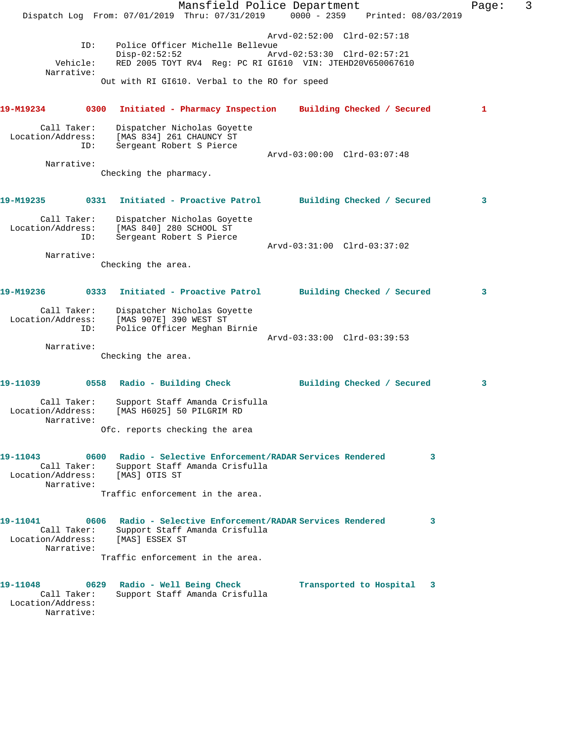|                                                                    | Mansfield Police Department<br>Dispatch Log From: 07/01/2019 Thru: 07/31/2019                                    | $0000 - 2359$                                              | Printed: 08/03/2019          | Page: | 3 |
|--------------------------------------------------------------------|------------------------------------------------------------------------------------------------------------------|------------------------------------------------------------|------------------------------|-------|---|
| ID:<br>Vehicle:<br>Narrative:                                      | Police Officer Michelle Bellevue<br>$Disp-02:52:52$<br>RED 2005 TOYT RV4 Req: PC RI GI610 VIN: JTEHD20V650067610 | Arvd-02:52:00 Clrd-02:57:18<br>Arvd-02:53:30 Clrd-02:57:21 |                              |       |   |
|                                                                    | Out with RI GI610. Verbal to the RO for speed                                                                    |                                                            |                              |       |   |
| 19-M19234<br>0300                                                  | Initiated - Pharmacy Inspection Building Checked / Secured                                                       |                                                            |                              | 1     |   |
| Call Taker:<br>Location/Address:<br>ID:                            | Dispatcher Nicholas Goyette<br>[MAS 834] 261 CHAUNCY ST<br>Sergeant Robert S Pierce                              | Arvd-03:00:00 Clrd-03:07:48                                |                              |       |   |
| Narrative:                                                         |                                                                                                                  |                                                            |                              |       |   |
|                                                                    | Checking the pharmacy.                                                                                           |                                                            |                              |       |   |
| 19-M19235                                                          | 0331 Initiated - Proactive Patrol Building Checked / Secured                                                     |                                                            |                              | 3     |   |
| Call Taker:<br>Location/Address:<br>ID:                            | Dispatcher Nicholas Goyette<br>[MAS 840] 280 SCHOOL ST<br>Sergeant Robert S Pierce                               |                                                            |                              |       |   |
| Narrative:                                                         |                                                                                                                  | $Arvd-03:31:00$ $Clrd-03:37:02$                            |                              |       |   |
|                                                                    | Checking the area.                                                                                               |                                                            |                              |       |   |
| 19-M19236<br>0333                                                  | Initiated - Proactive Patrol Building Checked / Secured                                                          |                                                            |                              | 3     |   |
| Call Taker:<br>Location/Address:<br>ID:                            | Dispatcher Nicholas Goyette<br>[MAS 907E] 390 WEST ST<br>Police Officer Meghan Birnie                            |                                                            |                              |       |   |
| Narrative:                                                         |                                                                                                                  | Arvd-03:33:00 Clrd-03:39:53                                |                              |       |   |
|                                                                    | Checking the area.                                                                                               |                                                            |                              |       |   |
| 19-11039                                                           | 0558 Radio - Building Check                                                                                      |                                                            | Building Checked / Secured   | 3     |   |
| Call Taker:<br>Location/Address:<br>Narrative:                     | Support Staff Amanda Crisfulla<br>[MAS H6025] 50 PILGRIM RD                                                      |                                                            |                              |       |   |
|                                                                    | Ofc. reports checking the area                                                                                   |                                                            |                              |       |   |
| 19-11043<br>0600<br>Call Taker:<br>Location/Address:<br>Narrative: | Radio - Selective Enforcement/RADAR Services Rendered<br>Support Staff Amanda Crisfulla<br>[MAS] OTIS ST         |                                                            | 3                            |       |   |
|                                                                    | Traffic enforcement in the area.                                                                                 |                                                            |                              |       |   |
| 19-11041<br>0606<br>Call Taker:<br>Location/Address:<br>Narrative: | Radio - Selective Enforcement/RADAR Services Rendered<br>Support Staff Amanda Crisfulla<br>[MAS] ESSEX ST        |                                                            | 3                            |       |   |
|                                                                    | Traffic enforcement in the area.                                                                                 |                                                            |                              |       |   |
| 19-11048<br>0629<br>Call Taker:<br>Location/Address:<br>Narrative: | Radio - Well Being Check<br>Support Staff Amanda Crisfulla                                                       |                                                            | Transported to Hospital<br>3 |       |   |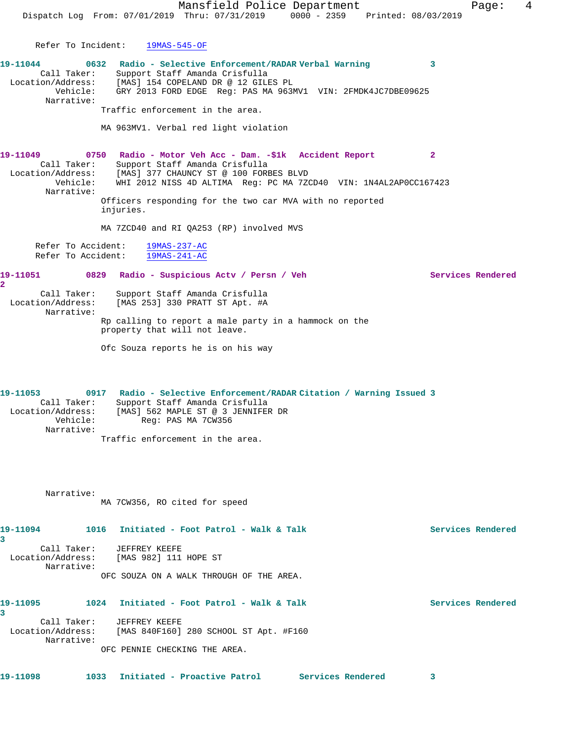Mansfield Police Department Fage: 4 Dispatch Log From: 07/01/2019 Thru: 07/31/2019 0000 - 2359 Printed: 08/03/2019 Refer To Incident: 19MAS-545-OF **19-11044 0632 Radio - Selective Enforcement/RADAR Verbal Warning 3**  Call Taker: Support Staff Amanda Crisfulla Location/Address: [MAS] 154 COPELAND DR @ 12 GILES PL Vehicle: GRY 2013 FORD EDGE Reg: PAS MA 963MV1 VIN: 2FMDK4JC7DBE09625 Narrative: Traffic enforcement in the area. MA 963MV1. Verbal red light violation **19-11049 0750 Radio - Motor Veh Acc - Dam. -\$1k Accident Report 2**  Call Taker: Support Staff Amanda Crisfulla Location/Address: [MAS] 377 CHAUNCY ST @ 100 FORBES BLVD Vehicle: WHI 2012 NISS 4D ALTIMA Reg: PC MA 7ZCD40 VIN: 1N4AL2AP0CC167423 Narrative: Officers responding for the two car MVA with no reported injuries. MA 7ZCD40 and RI QA253 (RP) involved MVS Refer To Accident: 19MAS-237-AC Refer To Accident: 19MAS-241-AC **19-11051 0829 Radio - Suspicious Actv / Persn / Veh Services Rendered 2**  Call Taker: Support Staff Amanda Crisfulla Location/Address: [MAS 253] 330 PRATT ST Apt. #A Narrative: Rp calling to report a male party in a hammock on the property that will not leave. Ofc Souza reports he is on his way **19-11053 0917 Radio - Selective Enforcement/RADAR Citation / Warning Issued 3**  Call Taker: Support Staff Amanda Crisfulla Location/Address: [MAS] 562 MAPLE ST @ 3 JENNIFER DR Vehicle: Reg: PAS MA 7CW356 Narrative: Traffic enforcement in the area. Narrative: MA 7CW356, RO cited for speed 19-11094 1016 Initiated - Foot Patrol - Walk & Talk Services Rendered **3**  Call Taker: JEFFREY KEEFE Location/Address: [MAS 982] 111 HOPE ST Narrative: OFC SOUZA ON A WALK THROUGH OF THE AREA. 19-11095 1024 Initiated - Foot Patrol - Walk & Talk Services Rendered **3**  Call Taker: JEFFREY KEEFE Location/Address: [MAS 840F160] 280 SCHOOL ST Apt. #F160 Narrative: OFC PENNIE CHECKING THE AREA. **19-11098 1033 Initiated - Proactive Patrol Services Rendered 3**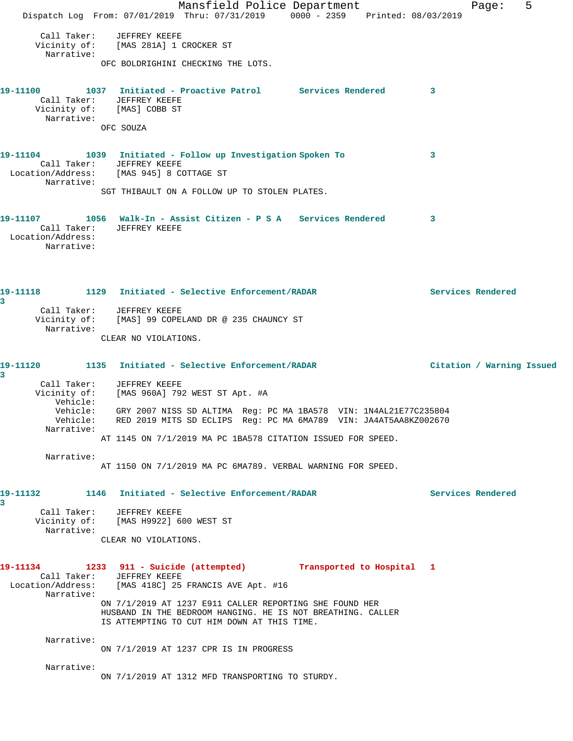Mansfield Police Department Fage: 5 Dispatch Log From: 07/01/2019 Thru: 07/31/2019 0000 - 2359 Printed: 08/03/2019 Call Taker: JEFFREY KEEFE Vicinity of: [MAS 281A] 1 CROCKER ST Narrative: OFC BOLDRIGHINI CHECKING THE LOTS. **19-11100 1037 Initiated - Proactive Patrol Services Rendered 3**  Call Taker: JEFFREY KEEFE Vicinity of: [MAS] COBB ST Narrative: OFC SOUZA **19-11104 1039 Initiated - Follow up Investigation Spoken To 3**  Call Taker: JEFFREY KEEFE<br>Location/Address: [MAS 945] 8 CO [MAS 945] 8 COTTAGE ST Narrative: SGT THIBAULT ON A FOLLOW UP TO STOLEN PLATES. **19-11107 1056 Walk-In - Assist Citizen - P S A Services Rendered 3**  Call Taker: JEFFREY KEEFE Location/Address: Narrative: **19-11118 1129 Initiated - Selective Enforcement/RADAR Services Rendered 3**  Call Taker: JEFFREY KEEFE Vicinity of: [MAS] 99 COPELAND DR @ 235 CHAUNCY ST Narrative: CLEAR NO VIOLATIONS. **19-11120 1135 Initiated - Selective Enforcement/RADAR Citation / Warning Issued 3**  Call Taker: JEFFREY KEEFE Vicinity of: [MAS 960A] 792 WEST ST Apt. #A Vehicle: Vehicle: GRY 2007 NISS SD ALTIMA Reg: PC MA 1BA578 VIN: 1N4AL21E77C235804 Vehicle: RED 2019 MITS SD ECLIPS Reg: PC MA 6MA789 VIN: JA4AT5AA8KZ002670 Narrative: AT 1145 ON 7/1/2019 MA PC 1BA578 CITATION ISSUED FOR SPEED. Narrative: AT 1150 ON 7/1/2019 MA PC 6MA789. VERBAL WARNING FOR SPEED. **19-11132 1146 Initiated - Selective Enforcement/RADAR Services Rendered 3**  Call Taker: JEFFREY KEEFE Vicinity of: [MAS H9922] 600 WEST ST Narrative: CLEAR NO VIOLATIONS. **19-11134 1233 911 - Suicide (attempted) Transported to Hospital 1**  Call Taker: JEFFREY KEEFE Location/Address: [MAS 418C] 25 FRANCIS AVE Apt. #16 Narrative: ON 7/1/2019 AT 1237 E911 CALLER REPORTING SHE FOUND HER HUSBAND IN THE BEDROOM HANGING. HE IS NOT BREATHING. CALLER IS ATTEMPTING TO CUT HIM DOWN AT THIS TIME. Narrative: ON 7/1/2019 AT 1237 CPR IS IN PROGRESS Narrative: ON 7/1/2019 AT 1312 MFD TRANSPORTING TO STURDY.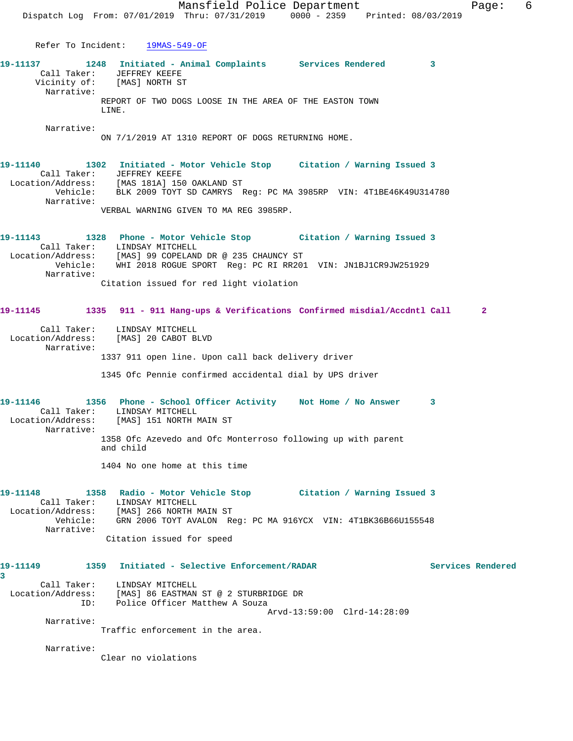Mansfield Police Department Fage: 6 Dispatch Log From: 07/01/2019 Thru: 07/31/2019 0000 - 2359 Printed: 08/03/2019 Refer To Incident: 19MAS-549-OF **19-11137 1248 Initiated - Animal Complaints Services Rendered 3**  Call Taker: JEFFREY KEEFE Vicinity of: [MAS] NORTH ST Narrative: REPORT OF TWO DOGS LOOSE IN THE AREA OF THE EASTON TOWN LINE. Narrative: ON 7/1/2019 AT 1310 REPORT OF DOGS RETURNING HOME. **19-11140 1302 Initiated - Motor Vehicle Stop Citation / Warning Issued 3**  Call Taker: JEFFREY KEEFE Location/Address: [MAS 181A] 150 OAKLAND ST Vehicle: BLK 2009 TOYT SD CAMRYS Reg: PC MA 3985RP VIN: 4T1BE46K49U314780 Narrative: VERBAL WARNING GIVEN TO MA REG 3985RP. **19-11143 1328 Phone - Motor Vehicle Stop Citation / Warning Issued 3**  Call Taker: LINDSAY MITCHELL Location/Address: [MAS] 99 COPELAND DR @ 235 CHAUNCY ST Vehicle: WHI 2018 ROGUE SPORT Reg: PC RI RR201 VIN: JN1BJ1CR9JW251929 Narrative: Citation issued for red light violation **19-11145 1335 911 - 911 Hang-ups & Verifications Confirmed misdial/Accdntl Call 2** Call Taker: LINDSAY MITCHELL Location/Address: [MAS] 20 CABOT BLVD Narrative: 1337 911 open line. Upon call back delivery driver 1345 Ofc Pennie confirmed accidental dial by UPS driver **19-11146 1356 Phone - School Officer Activity Not Home / No Answer 3**  Call Taker: LINDSAY MITCHELL Location/Address: [MAS] 151 NORTH MAIN ST Narrative: 1358 Ofc Azevedo and Ofc Monterroso following up with parent and child 1404 No one home at this time **19-11148 1358 Radio - Motor Vehicle Stop Citation / Warning Issued 3**  Call Taker: LINDSAY MITCHELL Location/Address: [MAS] 266 NORTH MAIN ST Vehicle: GRN 2006 TOYT AVALON Reg: PC MA 916YCX VIN: 4T1BK36B66U155548 Narrative: Citation issued for speed **19-11149 1359 Initiated - Selective Enforcement/RADAR Services Rendered 3**  Call Taker: LINDSAY MITCHELL Location/Address: [MAS] 86 EASTMAN ST @ 2 STURBRIDGE DR

Arvd-13:59:00 Clrd-14:28:09

Traffic enforcement in the area.

ID: Police Officer Matthew A Souza

Narrative:

Narrative:

Clear no violations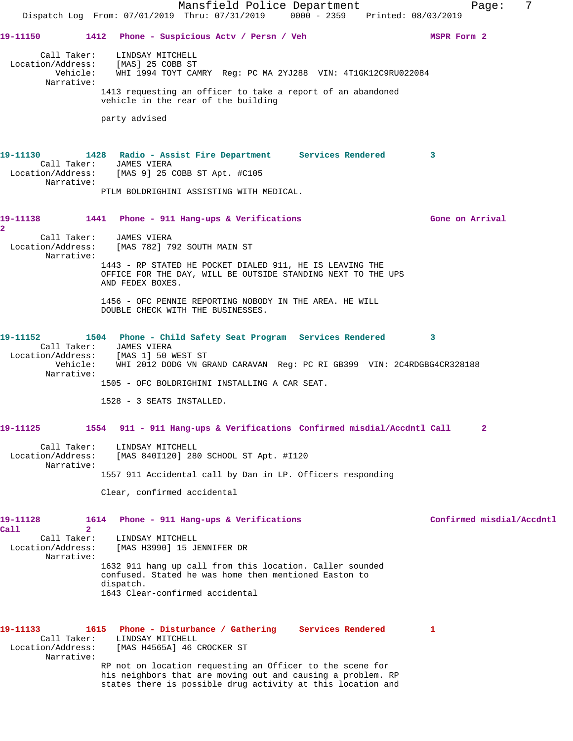Mansfield Police Department Fage: 7 Dispatch Log From: 07/01/2019 Thru: 07/31/2019 0000 - 2359 Printed: 08/03/2019 19-11150 1412 Phone - Suspicious Actv / Persn / Veh MSPR Form 2 Call Taker: LINDSAY MITCHELL Location/Address: [MAS] 25 COBB ST Vehicle: WHI 1994 TOYT CAMRY Reg: PC MA 2YJ288 VIN: 4T1GK12C9RU022084 Narrative: 1413 requesting an officer to take a report of an abandoned vehicle in the rear of the building party advised **19-11130 1428 Radio - Assist Fire Department Services Rendered 3**  Call Taker: JAMES VIERA<br>Location/Address: [MAS 9] 25 0 [MAS 9] 25 COBB ST Apt. #C105 Narrative: PTLM BOLDRIGHINI ASSISTING WITH MEDICAL. **19-11138 1441 Phone - 911 Hang-ups & Verifications Gone on Arrival 2**  Call Taker: JAMES VIERA Location/Address: [MAS 782] 792 SOUTH MAIN ST Narrative: 1443 - RP STATED HE POCKET DIALED 911, HE IS LEAVING THE OFFICE FOR THE DAY, WILL BE OUTSIDE STANDING NEXT TO THE UPS AND FEDEX BOXES. 1456 - OFC PENNIE REPORTING NOBODY IN THE AREA. HE WILL DOUBLE CHECK WITH THE BUSINESSES. **19-11152 1504 Phone - Child Safety Seat Program Services Rendered 3**  Call Taker: JAMES VIERA Location/Address: [MAS 1] 50 WEST ST Vehicle: WHI 2012 DODG VN GRAND CARAVAN Reg: PC RI GB399 VIN: 2C4RDGBG4CR328188 Narrative: 1505 - OFC BOLDRIGHINI INSTALLING A CAR SEAT. 1528 - 3 SEATS INSTALLED. **19-11125 1554 911 - 911 Hang-ups & Verifications Confirmed misdial/Accdntl Call 2** Call Taker: LINDSAY MITCHELL Location/Address: [MAS 840I120] 280 SCHOOL ST Apt. #I120 Narrative: 1557 911 Accidental call by Dan in LP. Officers responding Clear, confirmed accidental **19-11128 1614 Phone - 911 Hang-ups & Verifications Confirmed misdial/Accdntl Call 2**  Call Taker: LINDSAY MITCHELL Location/Address: [MAS H3990] 15 JENNIFER DR Narrative: 1632 911 hang up call from this location. Caller sounded confused. Stated he was home then mentioned Easton to dispatch. 1643 Clear-confirmed accidental **19-11133 1615 Phone - Disturbance / Gathering Services Rendered 1**  Call Taker: LINDSAY MITCHELL<br>Location/Address: [MAS H4565A] 46 ( [MAS H4565A] 46 CROCKER ST Narrative: RP not on location requesting an Officer to the scene for his neighbors that are moving out and causing a problem. RP states there is possible drug activity at this location and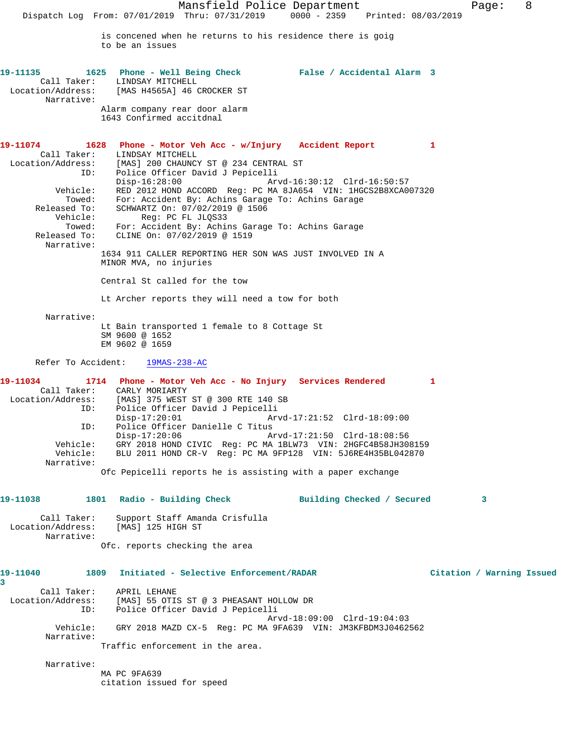Mansfield Police Department Form Page: 8 Dispatch Log From: 07/01/2019 Thru: 07/31/2019 0000 - 2359 Printed: 08/03/2019 is concened when he returns to his residence there is goig to be an issues **19-11135 1625 Phone - Well Being Check False / Accidental Alarm 3**  Call Taker: LINDSAY MITCHELL Location/Address: [MAS H4565A] 46 CROCKER ST Narrative: Alarm company rear door alarm 1643 Confirmed accitdnal **19-11074 1628 Phone - Motor Veh Acc - w/Injury Accident Report 1**  Call Taker: LINDSAY MITCHELL Location/Address: [MAS] 200 CHAUNCY ST @ 234 CENTRAL ST ID: Police Officer David J Pepicelli Disp-16:28:00 Arvd-16:30:12 Clrd-16:50:57 Vehicle: RED 2012 HOND ACCORD Reg: PC MA 8JA654 VIN: 1HGCS2B8XCA007320 Towed: For: Accident By: Achins Garage To: Achins Garage Released To: SCHWARTZ On: 07/02/2019 @ 1506 Vehicle: Reg: PC FL JLQS33 Towed: For: Accident By: Achins Garage To: Achins Garage Released To: CLINE On: 07/02/2019 @ 1519 Narrative: 1634 911 CALLER REPORTING HER SON WAS JUST INVOLVED IN A MINOR MVA, no injuries Central St called for the tow Lt Archer reports they will need a tow for both Narrative: Lt Bain transported 1 female to 8 Cottage St SM 9600 @ 1652 EM 9602 @ 1659 Refer To Accident: 19MAS-238-AC **19-11034 1714 Phone - Motor Veh Acc - No Injury Services Rendered 1**  Call Taker: CARLY MORIARTY<br>ion/Address: [MAS] 375 WEST ST @ 300 RTE 140 SB Location/Address: [MAS] 375 WEST ST @ 300 RTE 140 SB ID: Police Officer David J Pepicelli Disp-17:20:01 Arvd-17:21:52 Clrd-18:09:00 ID: Police Officer Danielle C Titus Disp-17:20:06 Arvd-17:21:50 Clrd-18:08:56 Vehicle: GRY 2018 HOND CIVIC Reg: PC MA 1BLW73 VIN: 2HGFC4B58JH308159 Vehicle: BLU 2011 HOND CR-V Reg: PC MA 9FP128 VIN: 5J6RE4H35BL042870 Narrative: Ofc Pepicelli reports he is assisting with a paper exchange **19-11038 1801 Radio - Building Check Building Checked / Secured 3** Call Taker: Support Staff Amanda Crisfulla Location/Address: [MAS] 125 HIGH ST Narrative: Ofc. reports checking the area **19-11040 1809 Initiated - Selective Enforcement/RADAR Citation / Warning Issued 3**  Call Taker: APRIL LEHANE Location/Address: [MAS] 55 OTIS ST @ 3 PHEASANT HOLLOW DR ID: Police Officer David J Pepicelli Arvd-18:09:00 Clrd-19:04:03 Vehicle: GRY 2018 MAZD CX-5 Reg: PC MA 9FA639 VIN: JM3KFBDM3J0462562 Narrative: Traffic enforcement in the area. Narrative: MA PC 9FA639 citation issued for speed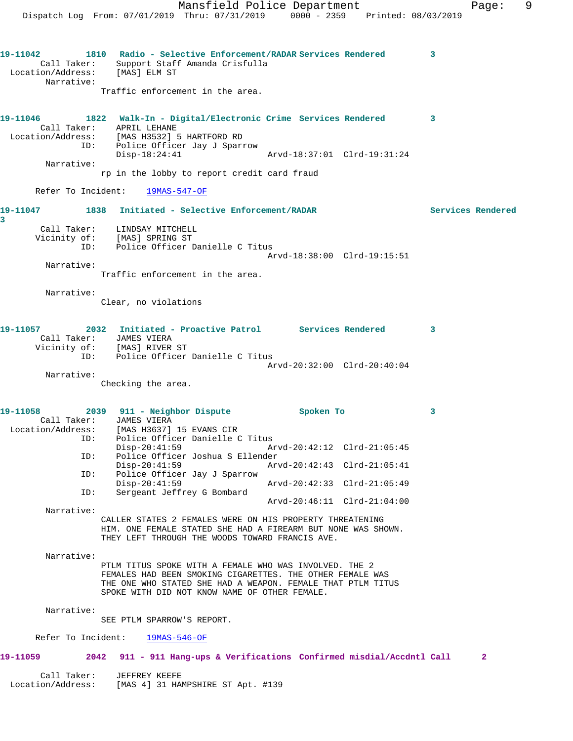Mansfield Police Department Fage: 9 Dispatch Log From: 07/01/2019 Thru: 07/31/2019 0000 - 2359 Printed: 08/03/2019 **19-11042 1810 Radio - Selective Enforcement/RADAR Services Rendered 3**  Call Taker: Support Staff Amanda Crisfulla Location/Address: [MAS] ELM ST Narrative: Traffic enforcement in the area. **19-11046 1822 Walk-In - Digital/Electronic Crime Services Rendered 3**  Call Taker: APRIL LEHANE Location/Address: [MAS H3532] 5 HARTFORD RD ID: Police Officer Jay J Sparrow Disp-18:24:41 Arvd-18:37:01 Clrd-19:31:24 Narrative: rp in the lobby to report credit card fraud Refer To Incident: 19MAS-547-OF **19-11047 1838 Initiated - Selective Enforcement/RADAR Services Rendered 3**  Call Taker: LINDSAY MITCHELL Vicinity of: [MAS] SPRING ST ID: Police Officer Danielle C Titus Arvd-18:38:00 Clrd-19:15:51 Narrative: Traffic enforcement in the area. Narrative: Clear, no violations **19-11057 2032 Initiated - Proactive Patrol Services Rendered 3**  Call Taker: JAMES VIERA Vicinity of: [MAS] RIVER ST ID: Police Officer Danielle C Titus Arvd-20:32:00 Clrd-20:40:04 Narrative: Checking the area. **19-11058 2039 911 - Neighbor Dispute Spoken To 3**  Call Taker: JAMES VIERA Location/Address: [MAS H3637] 15 EVANS CIR ID: Police Officer Danielle C Titus Disp-20:41:59 Arvd-20:42:12 Clrd-21:05:45 ID: Police Officer Joshua S Ellender Disp-20:41:59 Arvd-20:42:43 Clrd-21:05:41<br>ID: Police Officer Jay J Sparrow Police Officer Jay J Sparrow<br>Disp-20:41:59 Disp-20:41:59 Arvd-20:42:33 Clrd-21:05:49<br>ID: Sergeant Jeffrey G Bombard Sergeant Jeffrey G Bombard Arvd-20:46:11 Clrd-21:04:00 Narrative: CALLER STATES 2 FEMALES WERE ON HIS PROPERTY THREATENING HIM. ONE FEMALE STATED SHE HAD A FIREARM BUT NONE WAS SHOWN. THEY LEFT THROUGH THE WOODS TOWARD FRANCIS AVE. Narrative: PTLM TITUS SPOKE WITH A FEMALE WHO WAS INVOLVED. THE 2 FEMALES HAD BEEN SMOKING CIGARETTES. THE OTHER FEMALE WAS THE ONE WHO STATED SHE HAD A WEAPON. FEMALE THAT PTLM TITUS SPOKE WITH DID NOT KNOW NAME OF OTHER FEMALE. Narrative: SEE PTLM SPARROW'S REPORT. Refer To Incident: 19MAS-546-OF **19-11059 2042 911 - 911 Hang-ups & Verifications Confirmed misdial/Accdntl Call 2** Call Taker: JEFFREY KEEFE Location/Address: [MAS 4] 31 HAMPSHIRE ST Apt. #139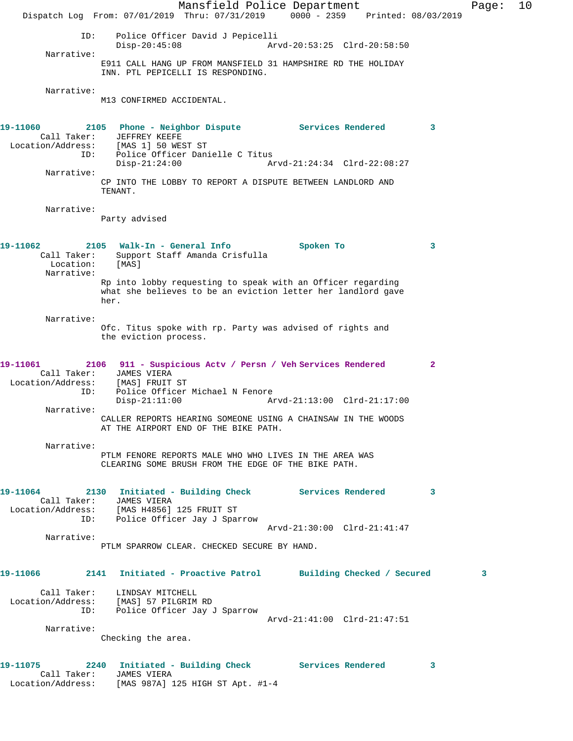Mansfield Police Department Fage: 10 Dispatch Log From: 07/01/2019 Thru: 07/31/2019 0000 - 2359 Printed: 08/03/2019 ID: Police Officer David J Pepicelli Disp-20:45:08 Arvd-20:53:25 Clrd-20:58:50 Narrative: E911 CALL HANG UP FROM MANSFIELD 31 HAMPSHIRE RD THE HOLIDAY INN. PTL PEPICELLI IS RESPONDING. Narrative: M13 CONFIRMED ACCIDENTAL. **19-11060 2105 Phone - Neighbor Dispute Services Rendered 3**  Call Taker: JEFFREY KEEFE Location/Address: [MAS 1] 50 WEST ST ID: Police Officer Danielle C Titus Disp-21:24:00 Arvd-21:24:34 Clrd-22:08:27 Narrative: CP INTO THE LOBBY TO REPORT A DISPUTE BETWEEN LANDLORD AND TENANT. Narrative: Party advised **19-11062 2105 Walk-In - General Info Spoken To 3**  Call Taker: Support Staff Amanda Crisfulla Location: [MAS] Narrative: Rp into lobby requesting to speak with an Officer regarding what she believes to be an eviction letter her landlord gave her. Narrative: Ofc. Titus spoke with rp. Party was advised of rights and the eviction process. **19-11061 2106 911 - Suspicious Actv / Persn / Veh Services Rendered 2**  Call Taker: JAMES VIERA Location/Address: [MAS] FRUIT ST ID: Police Officer Michael N Fenore<br>Disp-21:11:00 Ar Disp-21:11:00 Arvd-21:13:00 Clrd-21:17:00 Narrative: CALLER REPORTS HEARING SOMEONE USING A CHAINSAW IN THE WOODS AT THE AIRPORT END OF THE BIKE PATH. Narrative: PTLM FENORE REPORTS MALE WHO WHO LIVES IN THE AREA WAS CLEARING SOME BRUSH FROM THE EDGE OF THE BIKE PATH. **19-11064 2130 Initiated - Building Check Services Rendered 3**  Call Taker: JAMES VIERA Location/Address: [MAS H4856] 125 FRUIT ST ID: Police Officer Jay J Sparrow Arvd-21:30:00 Clrd-21:41:47 Narrative: PTLM SPARROW CLEAR. CHECKED SECURE BY HAND. **19-11066 2141 Initiated - Proactive Patrol Building Checked / Secured 3** Call Taker: LINDSAY MITCHELL Location/Address: [MAS] 57 PILGRIM RD ID: Police Officer Jay J Sparrow Arvd-21:41:00 Clrd-21:47:51 Narrative: Checking the area. **19-11075 2240 Initiated - Building Check Services Rendered 3**  Call Taker: JAMES VIERA Location/Address: [MAS 987A] 125 HIGH ST Apt. #1-4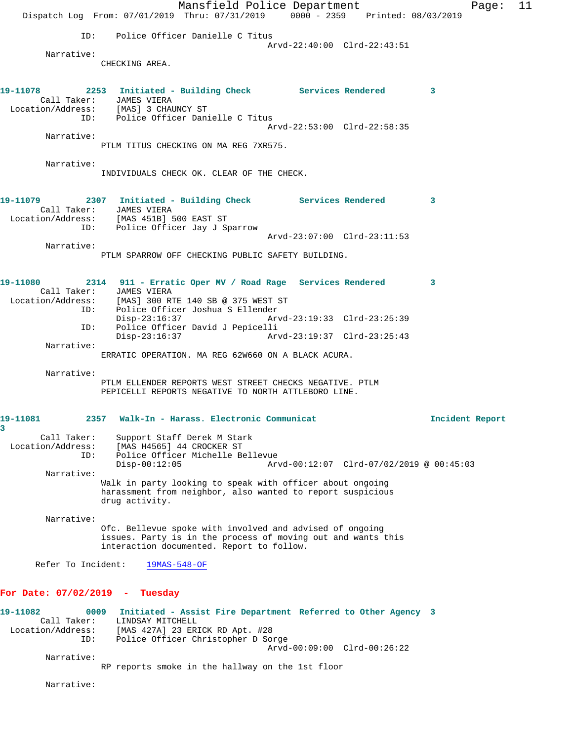Mansfield Police Department Fage: 11 Dispatch Log From: 07/01/2019 Thru: 07/31/2019 0000 - 2359 Printed: 08/03/2019 ID: Police Officer Danielle C Titus Arvd-22:40:00 Clrd-22:43:51 Narrative: CHECKING AREA. **19-11078 2253 Initiated - Building Check Services Rendered 3**  Call Taker: JAMES VIERA Location/Address: [MAS] 3 CHAUNCY ST ID: Police Officer Danielle C Titus Arvd-22:53:00 Clrd-22:58:35 Narrative: PTLM TITUS CHECKING ON MA REG 7XR575. Narrative: INDIVIDUALS CHECK OK. CLEAR OF THE CHECK. **19-11079 2307 Initiated - Building Check Services Rendered 3**  Call Taker: JAMES VIERA Location/Address: [MAS 451B] 500 EAST ST ID: Police Officer Jay J Sparrow Arvd-23:07:00 Clrd-23:11:53 Narrative: PTLM SPARROW OFF CHECKING PUBLIC SAFETY BUILDING. **19-11080 2314 911 - Erratic Oper MV / Road Rage Services Rendered 3**  Call Taker: JAMES VIERA Location/Address: [MAS] 300 RTE 140 SB @ 375 WEST ST ID: Police Officer Joshua S Ellender Disp-23:16:37 Arvd-23:19:33 Clrd-23:25:39 ID: Police Officer David J Pepicelli Disp-23:16:37 Arvd-23:19:37 Clrd-23:25:43 Narrative: ERRATIC OPERATION. MA REG 62W660 ON A BLACK ACURA. Narrative: PTLM ELLENDER REPORTS WEST STREET CHECKS NEGATIVE. PTLM PEPICELLI REPORTS NEGATIVE TO NORTH ATTLEBORO LINE. **19-11081 2357 Walk-In - Harass. Electronic Communicat Incident Report 3**  Call Taker: Support Staff Derek M Stark Location/Address: [MAS H4565] 44 CROCKER ST ID: Police Officer Michelle Bellevue Disp-00:12:05 Arvd-00:12:07 Clrd-07/02/2019 @ 00:45:03 Narrative: Walk in party looking to speak with officer about ongoing harassment from neighbor, also wanted to report suspicious drug activity. Narrative: Ofc. Bellevue spoke with involved and advised of ongoing issues. Party is in the process of moving out and wants this interaction documented. Report to follow. Refer To Incident: 19MAS-548-OF **For Date: 07/02/2019 - Tuesday 19-11082 0009 Initiated - Assist Fire Department Referred to Other Agency 3**  Call Taker: LINDSAY MITCHELL Location/Address: [MAS 427A] 23 ERICK RD Apt. #28 ID: Police Officer Christopher D Sorge Arvd-00:09:00 Clrd-00:26:22 Narrative:

RP reports smoke in the hallway on the 1st floor

Narrative: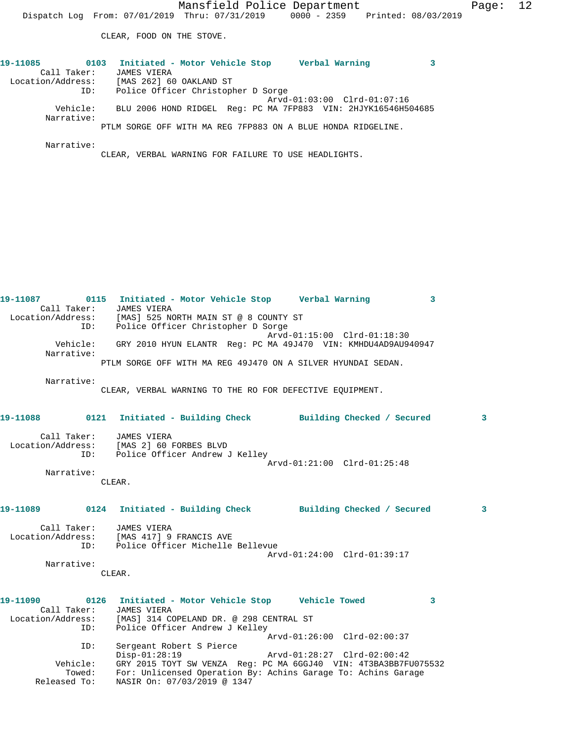CLEAR, FOOD ON THE STOVE.

| 19-11085          | 0103     |                    | Initiated - Motor Vehicle Stop     |  |                                                      | Verbal Warning                                                |  |
|-------------------|----------|--------------------|------------------------------------|--|------------------------------------------------------|---------------------------------------------------------------|--|
| Call Taker:       |          | <b>JAMES VIERA</b> |                                    |  |                                                      |                                                               |  |
| Location/Address: |          |                    | [MAS 262] 60 OAKLAND ST            |  |                                                      |                                                               |  |
|                   | ID:      |                    | Police Officer Christopher D Sorge |  |                                                      |                                                               |  |
|                   |          |                    |                                    |  |                                                      | Arvd-01:03:00 Clrd-01:07:16                                   |  |
|                   | Vehicle: |                    |                                    |  |                                                      | BLU 2006 HOND RIDGEL Req: PC MA 7FP883 VIN: 2HJYK16546H504685 |  |
| Narrative:        |          |                    |                                    |  |                                                      |                                                               |  |
|                   |          |                    |                                    |  |                                                      | PTLM SORGE OFF WITH MA REG 7FP883 ON A BLUE HONDA RIDGELINE.  |  |
|                   |          |                    |                                    |  |                                                      |                                                               |  |
| Narrative:        |          |                    |                                    |  |                                                      |                                                               |  |
|                   |          |                    |                                    |  | CLEAR, VERBAL WARNING FOR FAILURE TO USE HEADLIGHTS. |                                                               |  |

**19-11087 0115 Initiated - Motor Vehicle Stop Verbal Warning 3**  Call Taker: JAMES VIERA Location/Address: [MAS] 525 NORTH MAIN ST @ 8 COUNTY ST ID: Police Officer Christopher D Sorge Arvd-01:15:00 Clrd-01:18:30 Vehicle: GRY 2010 HYUN ELANTR Reg: PC MA 49J470 VIN: KMHDU4AD9AU940947 Narrative: PTLM SORGE OFF WITH MA REG 49J470 ON A SILVER HYUNDAI SEDAN.

Narrative:

CLEAR, VERBAL WARNING TO THE RO FOR DEFECTIVE EQUIPMENT.

| 19-11088          | 0121 | Initiated - Building Check     |                             | Building Checked / Secured |  |
|-------------------|------|--------------------------------|-----------------------------|----------------------------|--|
| Call Taker:       |      | JAMES VIERA                    |                             |                            |  |
| Location/Address: |      | [MAS 2] 60 FORBES BLVD         |                             |                            |  |
|                   | ID:  | Police Officer Andrew J Kelley |                             |                            |  |
|                   |      |                                | Arvd-01:21:00 Clrd-01:25:48 |                            |  |
| Narrative:        |      |                                |                             |                            |  |
|                   |      | CLEAR.                         |                             |                            |  |

**19-11089 0124 Initiated - Building Check Building Checked / Secured 3** Call Taker: JAMES VIERA

 Location/Address: [MAS 417] 9 FRANCIS AVE ID: Police Officer Michelle Bellevue Arvd-01:24:00 Clrd-01:39:17 Narrative:

CLEAR.

**19-11090 0126 Initiated - Motor Vehicle Stop Vehicle Towed 3**  Call Taker: JAMES VIERA Location/Address: [MAS] 314 COPELAND DR. @ 298 CENTRAL ST ID: Police Officer Andrew J Kelley Arvd-01:26:00 Clrd-02:00:37 ID: Sergeant Robert S Pierce Disp-01:28:19 Arvd-01:28:27 Clrd-02:00:42 Vehicle: GRY 2015 TOYT SW VENZA Reg: PC MA 6GGJ40 VIN: 4T3BA3BB7FU075532 Towed: For: Unlicensed Operation By: Achins Garage To: Achins Garage Released To: NASIR On: 07/03/2019 @ 1347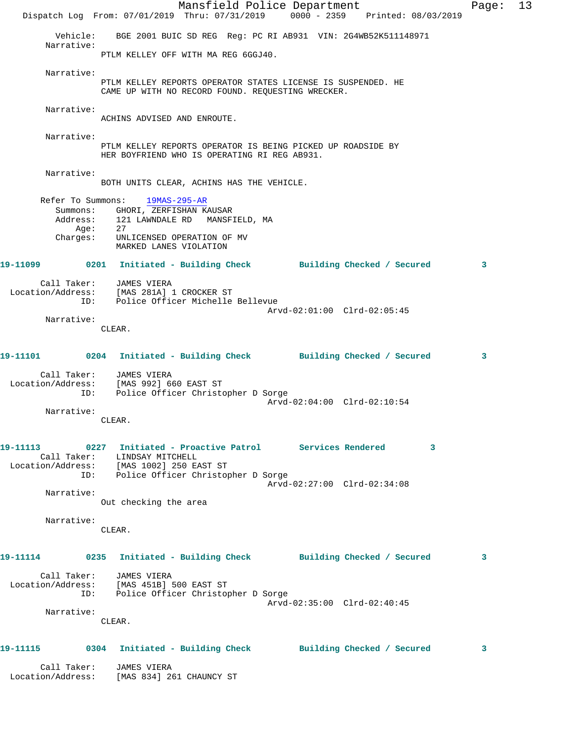|                  | Mansfield Police Department<br>Dispatch Log From: 07/01/2019 Thru: 07/31/2019 0000 - 2359 Printed: 08/03/2019                                                                        | Page: | 13 |
|------------------|--------------------------------------------------------------------------------------------------------------------------------------------------------------------------------------|-------|----|
| Narrative:       | Vehicle: BGE 2001 BUIC SD REG Reg: PC RI AB931 VIN: 2G4WB52K511148971                                                                                                                |       |    |
|                  | PTLM KELLEY OFF WITH MA REG 6GGJ40.                                                                                                                                                  |       |    |
| Narrative:       | PTLM KELLEY REPORTS OPERATOR STATES LICENSE IS SUSPENDED. HE<br>CAME UP WITH NO RECORD FOUND. REQUESTING WRECKER.                                                                    |       |    |
| Narrative:       | ACHINS ADVISED AND ENROUTE.                                                                                                                                                          |       |    |
| Narrative:       | PTLM KELLEY REPORTS OPERATOR IS BEING PICKED UP ROADSIDE BY<br>HER BOYFRIEND WHO IS OPERATING RI REG AB931.                                                                          |       |    |
| Narrative:       |                                                                                                                                                                                      |       |    |
|                  | BOTH UNITS CLEAR, ACHINS HAS THE VEHICLE.                                                                                                                                            |       |    |
|                  | Refer To Summons: 19MAS-295-AR<br>Summons: GHORI, ZERFISHAN KAUSAR<br>Address: 121 LAWNDALE RD MANSFIELD, MA<br>Age: 27                                                              |       |    |
| Aqe:<br>Charges: | UNLICENSED OPERATION OF MV<br>MARKED LANES VIOLATION                                                                                                                                 |       |    |
|                  | 19-11099 0201 Initiated - Building Check Building Checked / Secured                                                                                                                  | 3     |    |
|                  | Call Taker: JAMES VIERA<br>Location/Address: [MAS 281A] 1 CROCKER ST<br>ID: Police Officer Michelle Bellevue                                                                         |       |    |
| Narrative:       | Arvd-02:01:00 Clrd-02:05:45                                                                                                                                                          |       |    |
|                  | CLEAR.                                                                                                                                                                               |       |    |
|                  | 19-11101 0204 Initiated - Building Check Building Checked / Secured                                                                                                                  | 3     |    |
| Call Taker:      | JAMES VIERA<br>Location/Address: [MAS 992] 660 EAST ST<br>ID: Police Officer Christopher D Sorge                                                                                     |       |    |
| Narrative:       | Arvd-02:04:00 Clrd-02:10:54<br>CLEAR.                                                                                                                                                |       |    |
|                  | 19-11113 0227 Initiated - Proactive Patrol Services Rendered 3<br>Call Taker: LINDSAY MITCHELL<br>Location/Address: [MAS 1002] 250 EAST ST<br>ID: Police Officer Christopher D Sorge |       |    |
|                  | Arvd-02:27:00 Clrd-02:34:08                                                                                                                                                          |       |    |
| Narrative:       | Out checking the area                                                                                                                                                                |       |    |
| Narrative:       |                                                                                                                                                                                      |       |    |
|                  | CLEAR.                                                                                                                                                                               |       |    |
|                  | 19-11114 0235 Initiated - Building Check Building Checked / Secured                                                                                                                  | 3     |    |
|                  | Call Taker: JAMES VIERA<br>Location/Address: [MAS 451B] 500 EAST ST<br>ID: Police Officer Christopher D Sorge                                                                        |       |    |
| Narrative:       | Arvd-02:35:00 Clrd-02:40:45<br>CLEAR.                                                                                                                                                |       |    |
|                  |                                                                                                                                                                                      |       |    |
|                  | 19-11115      0304  Initiated - Building Check      Building Checked / Secured                                                                                                       | 3     |    |
|                  | Call Taker: JAMES VIERA<br>Location/Address: [MAS 834] 261 CHAUNCY ST                                                                                                                |       |    |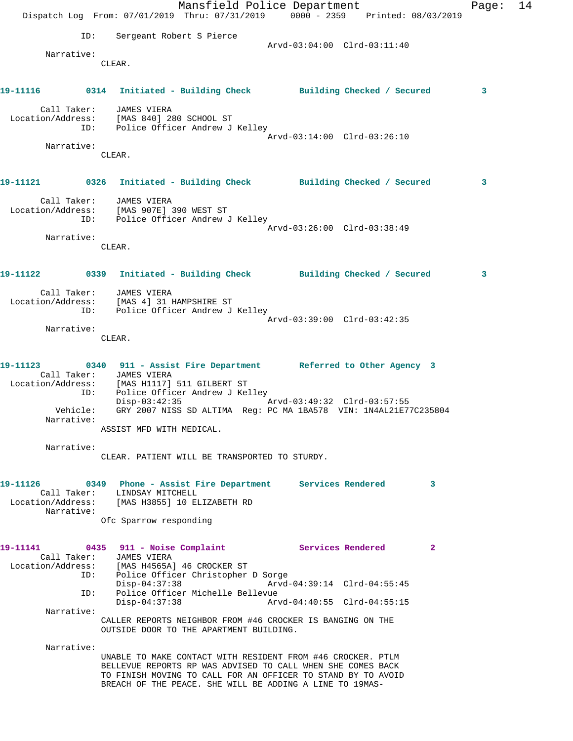|                                                                                                                       | Dispatch Log From: 07/01/2019 Thru: 07/31/2019 0000 - 2359 Printed: 08/03/2019                                                                                                                                                                         | Mansfield Police Department                                                 |  |                             |              | Page: | 14 |
|-----------------------------------------------------------------------------------------------------------------------|--------------------------------------------------------------------------------------------------------------------------------------------------------------------------------------------------------------------------------------------------------|-----------------------------------------------------------------------------|--|-----------------------------|--------------|-------|----|
| ID:                                                                                                                   |                                                                                                                                                                                                                                                        | Sergeant Robert S Pierce                                                    |  |                             |              |       |    |
| Narrative:                                                                                                            |                                                                                                                                                                                                                                                        |                                                                             |  |                             |              |       |    |
|                                                                                                                       | CLEAR.                                                                                                                                                                                                                                                 |                                                                             |  |                             |              |       |    |
| 19-11116 0314 Initiated - Building Check Building Checked / Secured                                                   |                                                                                                                                                                                                                                                        |                                                                             |  |                             |              | 3     |    |
| Call Taker:<br>Location/Address: [MAS 840] 280 SCHOOL ST                                                              | JAMES VIERA<br>ID: Police Officer Andrew J Kelley                                                                                                                                                                                                      |                                                                             |  |                             |              |       |    |
| Narrative:                                                                                                            |                                                                                                                                                                                                                                                        |                                                                             |  | Arvd-03:14:00 Clrd-03:26:10 |              |       |    |
|                                                                                                                       | CLEAR.                                                                                                                                                                                                                                                 |                                                                             |  |                             |              |       |    |
| 19-11121      0326   Initiated - Building Check      Building Checked / Secured                                       |                                                                                                                                                                                                                                                        |                                                                             |  |                             |              | 3     |    |
| Location/Address: [MAS 907E] 390 WEST ST                                                                              | Call Taker: JAMES VIERA<br>ID: Police Officer Andrew J Kelley                                                                                                                                                                                          |                                                                             |  |                             |              |       |    |
|                                                                                                                       |                                                                                                                                                                                                                                                        |                                                                             |  | Arvd-03:26:00 Clrd-03:38:49 |              |       |    |
| Narrative:                                                                                                            | CLEAR.                                                                                                                                                                                                                                                 |                                                                             |  |                             |              |       |    |
| 19-11122 0339 Initiated - Building Check Building Checked / Secured                                                   |                                                                                                                                                                                                                                                        |                                                                             |  |                             |              | 3     |    |
| Call Taker: JAMES VIERA<br>Location/Address: [MAS 4] 31 HAMPSHIRE ST                                                  | ID: Police Officer Andrew J Kelley                                                                                                                                                                                                                     |                                                                             |  | Arvd-03:39:00 Clrd-03:42:35 |              |       |    |
| Narrative:                                                                                                            |                                                                                                                                                                                                                                                        |                                                                             |  |                             |              |       |    |
|                                                                                                                       | CLEAR.                                                                                                                                                                                                                                                 |                                                                             |  |                             |              |       |    |
| 19-11123 0340 911 - Assist Fire Department Referred to Other Agency 3<br>Location/Address: [MAS H1117] 511 GILBERT ST | Call Taker: JAMES VIERA                                                                                                                                                                                                                                |                                                                             |  |                             |              |       |    |
|                                                                                                                       | ID:                                                                                                                                                                                                                                                    | Police Officer Andrew J Kelley<br>Disp-03:42:35 Arvd-03:49:32 Clrd-03:57:55 |  |                             |              |       |    |
| Narrative:                                                                                                            | Vehicle: GRY 2007 NISS SD ALTIMA Reg: PC MA 1BA578 VIN: 1N4AL21E77C235804                                                                                                                                                                              |                                                                             |  |                             |              |       |    |
|                                                                                                                       | ASSIST MFD WITH MEDICAL.                                                                                                                                                                                                                               |                                                                             |  |                             |              |       |    |
| Narrative:                                                                                                            | CLEAR. PATIENT WILL BE TRANSPORTED TO STURDY.                                                                                                                                                                                                          |                                                                             |  |                             |              |       |    |
| 19-11126 0349 Phone - Assist Fire Department Services Rendered<br>Location/Address: [MAS H3855] 10 ELIZABETH RD       | Call Taker: LINDSAY MITCHELL                                                                                                                                                                                                                           |                                                                             |  |                             | $\mathbf{3}$ |       |    |
| Narrative:                                                                                                            | Ofc Sparrow responding                                                                                                                                                                                                                                 |                                                                             |  |                             |              |       |    |
| 19-11141 0435 911 - Noise Complaint Services Rendered<br>Location/Address: [MAS H4565A] 46 CROCKER ST                 | Call Taker: JAMES VIERA                                                                                                                                                                                                                                |                                                                             |  |                             | $\mathbf{2}$ |       |    |
|                                                                                                                       | ID: Police Officer Christopher D Sorge<br>$Disp-04:37:38$<br>ID:                                                                                                                                                                                       | Police Officer Michelle Bellevue                                            |  | Arvd-04:39:14 Clrd-04:55:45 |              |       |    |
| Narrative:                                                                                                            | $Disp-04:37:38$                                                                                                                                                                                                                                        |                                                                             |  | Arvd-04:40:55 Clrd-04:55:15 |              |       |    |
|                                                                                                                       | CALLER REPORTS NEIGHBOR FROM #46 CROCKER IS BANGING ON THE<br>OUTSIDE DOOR TO THE APARTMENT BUILDING.                                                                                                                                                  |                                                                             |  |                             |              |       |    |
| Narrative:                                                                                                            |                                                                                                                                                                                                                                                        |                                                                             |  |                             |              |       |    |
|                                                                                                                       | UNABLE TO MAKE CONTACT WITH RESIDENT FROM #46 CROCKER. PTLM<br>BELLEVUE REPORTS RP WAS ADVISED TO CALL WHEN SHE COMES BACK<br>TO FINISH MOVING TO CALL FOR AN OFFICER TO STAND BY TO AVOID<br>BREACH OF THE PEACE. SHE WILL BE ADDING A LINE TO 19MAS- |                                                                             |  |                             |              |       |    |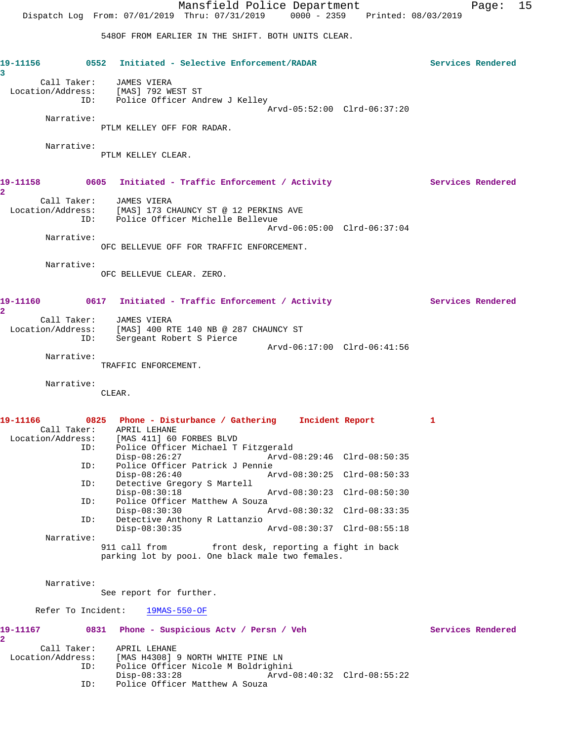Mansfield Police Department Fage: 15 Dispatch Log From: 07/01/2019 Thru: 07/31/2019 0000 - 2359 Printed: 08/03/2019 548OF FROM EARLIER IN THE SHIFT. BOTH UNITS CLEAR. **19-11156 0552 Initiated - Selective Enforcement/RADAR Services Rendered 3**  Call Taker: JAMES VIERA Location/Address: [MAS] 792 WEST ST ID: Police Officer Andrew J Kelley Arvd-05:52:00 Clrd-06:37:20 Narrative: PTLM KELLEY OFF FOR RADAR. Narrative: PTLM KELLEY CLEAR. 19-11158 **0605** Initiated - Traffic Enforcement / Activity **Services Rendered 2**  Call Taker: JAMES VIERA Location/Address: [MAS] 173 CHAUNCY ST @ 12 PERKINS AVE ID: Police Officer Michelle Bellevue Arvd-06:05:00 Clrd-06:37:04 Narrative: OFC BELLEVUE OFF FOR TRAFFIC ENFORCEMENT. Narrative: OFC BELLEVUE CLEAR. ZERO. 19-11160 **0617** Initiated - Traffic Enforcement / Activity **Services Rendered 2**  Call Taker: JAMES VIERA Location/Address: [MAS] 400 RTE 140 NB @ 287 CHAUNCY ST ID: Sergeant Robert S Pierce Arvd-06:17:00 Clrd-06:41:56 Narrative: TRAFFIC ENFORCEMENT. Narrative: CLEAR. **19-11166 0825 Phone - Disturbance / Gathering Incident Report 1**  Call Taker: APRIL LEHANE Location/Address: [MAS 411] 60 FORBES BLVD ID: Police Officer Michael T Fitzgerald<br>Disp-08:26:27 Arvd-0 Disp-08:26:27 Arvd-08:29:46 Clrd-08:50:35 ID: Police Officer Patrick J Pennie Disp-08:26:40 Arvd-08:30:25 Clrd-08:50:33<br>ID: Detective Gregory S Martell Detective Gregory S Martell<br>Disp-08:30:18 Disp-08:30:18 Arvd-08:30:23 Clrd-08:50:30 ID: Police Officer Matthew A Souza Disp-08:30:30 Arvd-08:30:32 Clrd-08:33:35 ID: Detective Anthony R Lattanzio<br>Disp-08:30:35 Disp-08:30:35 Arvd-08:30:37 Clrd-08:55:18 Narrative: 911 call from front desk, reporting a fight in back parking lot by pool. One black male two females. Narrative: See report for further. Refer To Incident: 19MAS-550-OF **19-11167 0831 Phone - Suspicious Actv / Persn / Veh Services Rendered 2**  Call Taker: APRIL LEHANE Location/Address: [MAS H4308] 9 NORTH WHITE PINE LN ID: Police Officer Nicole M Boldrighini

Disp-08:33:28 Arvd-08:40:32 Clrd-08:55:22

ID: Police Officer Matthew A Souza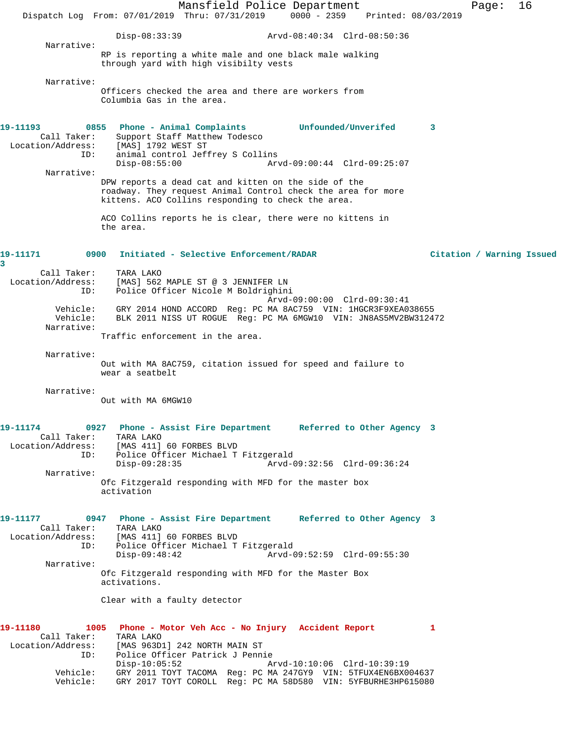Mansfield Police Department Fage: 16 Dispatch Log From: 07/01/2019 Thru: 07/31/2019 0000 - 2359 Printed: 08/03/2019 Disp-08:33:39 Arvd-08:40:34 Clrd-08:50:36 Narrative: RP is reporting a white male and one black male walking through yard with high visibilty vests Narrative: Officers checked the area and there are workers from Columbia Gas in the area. **19-11193 0855 Phone - Animal Complaints Unfounded/Unverifed 3**  Call Taker: Support Staff Matthew Todesco Location/Address: [MAS] 1792 WEST ST ID: animal control Jeffrey S Collins Disp-08:55:00 Arvd-09:00:44 Clrd-09:25:07 Narrative: DPW reports a dead cat and kitten on the side of the roadway. They request Animal Control check the area for more kittens. ACO Collins responding to check the area. ACO Collins reports he is clear, there were no kittens in the area. **19-11171 0900 Initiated - Selective Enforcement/RADAR Citation / Warning Issued 3**  Call Taker: TARA LAKO Location/Address: [MAS] 562 MAPLE ST @ 3 JENNIFER LN ID: Police Officer Nicole M Boldrighini Arvd-09:00:00 Clrd-09:30:41 Vehicle: GRY 2014 HOND ACCORD Reg: PC MA 8AC759 VIN: 1HGCR3F9XEA038655 Vehicle: BLK 2011 NISS UT ROGUE Reg: PC MA 6MGW10 VIN: JN8AS5MV2BW312472 Narrative: Traffic enforcement in the area. Narrative: Out with MA 8AC759, citation issued for speed and failure to wear a seatbelt Narrative: Out with MA 6MGW10 **19-11174 0927 Phone - Assist Fire Department Referred to Other Agency 3**  Call Taker: TARA LAKO Location/Address: [MAS 411] 60 FORBES BLVD ID: Police Officer Michael T Fitzgerald Disp-09:28:35 Arvd-09:32:56 Clrd-09:36:24 Narrative: Ofc Fitzgerald responding with MFD for the master box activation **19-11177 0947 Phone - Assist Fire Department Referred to Other Agency 3**  Call Taker: TARA LAKO Location/Address: [MAS 411] 60 FORBES BLVD ID: Police Officer Michael T Fitzgerald Arvd-09:52:59 Clrd-09:55:30 Narrative: Ofc Fitzgerald responding with MFD for the Master Box activations. Clear with a faulty detector **19-11180 1005 Phone - Motor Veh Acc - No Injury Accident Report 1**  Call Taker: TARA LAKO Location/Address: [MAS 963D1] 242 NORTH MAIN ST ID: Police Officer Patrick J Pennie Arvd-10:10:06 Clrd-10:39:19 Vehicle: GRY 2011 TOYT TACOMA Reg: PC MA 247GY9 VIN: 5TFUX4EN6BX004637 Vehicle: GRY 2017 TOYT COROLL Reg: PC MA 58D580 VIN: 5YFBURHE3HP615080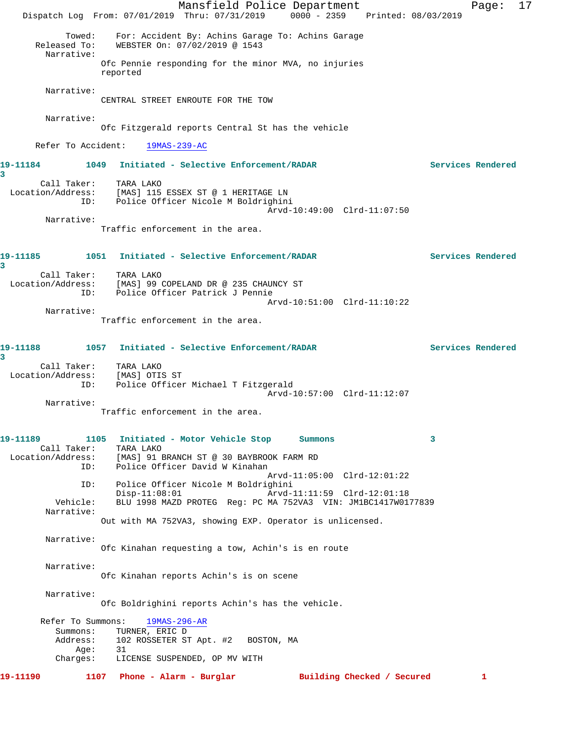|                                                       | Dispatch Log From: 07/01/2019 Thru: 07/31/2019 0000 - 2359 Printed: 08/03/2019                                                         | Mansfield Police Department                                |                            | 17<br>Page:       |
|-------------------------------------------------------|----------------------------------------------------------------------------------------------------------------------------------------|------------------------------------------------------------|----------------------------|-------------------|
| Towed:<br>Released To:<br>Narrative:                  | For: Accident By: Achins Garage To: Achins Garage<br>WEBSTER On: 07/02/2019 @ 1543                                                     |                                                            |                            |                   |
|                                                       | Ofc Pennie responding for the minor MVA, no injuries<br>reported                                                                       |                                                            |                            |                   |
| Narrative:                                            | CENTRAL STREET ENROUTE FOR THE TOW                                                                                                     |                                                            |                            |                   |
| Narrative:                                            | Ofc Fitzgerald reports Central St has the vehicle                                                                                      |                                                            |                            |                   |
| Refer To Accident:                                    | $19MAS - 239 - AC$                                                                                                                     |                                                            |                            |                   |
| 19-11184<br>3                                         | 1049 Initiated - Selective Enforcement/RADAR                                                                                           |                                                            |                            | Services Rendered |
| ID:                                                   | Call Taker: TARA LAKO<br>Location/Address: [MAS] 115 ESSEX ST @ 1 HERITAGE LN<br>Police Officer Nicole M Boldrighini                   | Arvd-10:49:00 Clrd-11:07:50                                |                            |                   |
| Narrative:                                            | Traffic enforcement in the area.                                                                                                       |                                                            |                            |                   |
| 19–11185<br>3                                         | 1051 Initiated - Selective Enforcement/RADAR                                                                                           |                                                            |                            | Services Rendered |
| Call Taker:<br>ID:                                    | TARA LAKO<br>Location/Address: [MAS] 99 COPELAND DR @ 235 CHAUNCY ST<br>Police Officer Patrick J Pennie                                | Arvd-10:51:00 Clrd-11:10:22                                |                            |                   |
| Narrative:                                            | Traffic enforcement in the area.                                                                                                       |                                                            |                            |                   |
| 19-11188<br>3                                         | 1057 Initiated - Selective Enforcement/RADAR                                                                                           |                                                            |                            | Services Rendered |
| Call Taker:<br>Location/Address: [MAS] OTIS ST<br>ID: | TARA LAKO<br>Police Officer Michael T Fitzgerald                                                                                       | Arvd-10:57:00 Clrd-11:12:07                                |                            |                   |
| Narrative:                                            | Traffic enforcement in the area.                                                                                                       |                                                            |                            |                   |
| 19–11189<br>Call Taker:<br>Location/Address:<br>ID:   | 1105 Initiated - Motor Vehicle Stop Summons<br>TARA LAKO<br>[MAS] 91 BRANCH ST @ 30 BAYBROOK FARM RD<br>Police Officer David W Kinahan |                                                            | 3                          |                   |
| ID:                                                   | Police Officer Nicole M Boldrighini<br>$Disp-11:08:01$                                                                                 | Arvd-11:05:00 Clrd-12:01:22<br>Arvd-11:11:59 Clrd-12:01:18 |                            |                   |
| Vehicle:<br>Narrative:                                | BLU 1998 MAZD PROTEG Req: PC MA 752VA3 VIN: JM1BC1417W0177839<br>Out with MA 752VA3, showing EXP. Operator is unlicensed.              |                                                            |                            |                   |
| Narrative:                                            | Ofc Kinahan requesting a tow, Achin's is en route                                                                                      |                                                            |                            |                   |
| Narrative:                                            | Ofc Kinahan reports Achin's is on scene                                                                                                |                                                            |                            |                   |
| Narrative:                                            | Ofc Boldrighini reports Achin's has the vehicle.                                                                                       |                                                            |                            |                   |
| Refer To Summons:<br>Summons:<br>Address:<br>Aqe:     | $19MAS - 296 - AR$<br>TURNER, ERIC D<br>102 ROSSETER ST Apt. #2 BOSTON, MA<br>31                                                       |                                                            |                            |                   |
| Charges:                                              | LICENSE SUSPENDED, OP MV WITH                                                                                                          |                                                            |                            |                   |
| 19–11190                                              | 1107 Phone - Alarm - Burglar                                                                                                           |                                                            | Building Checked / Secured | 1                 |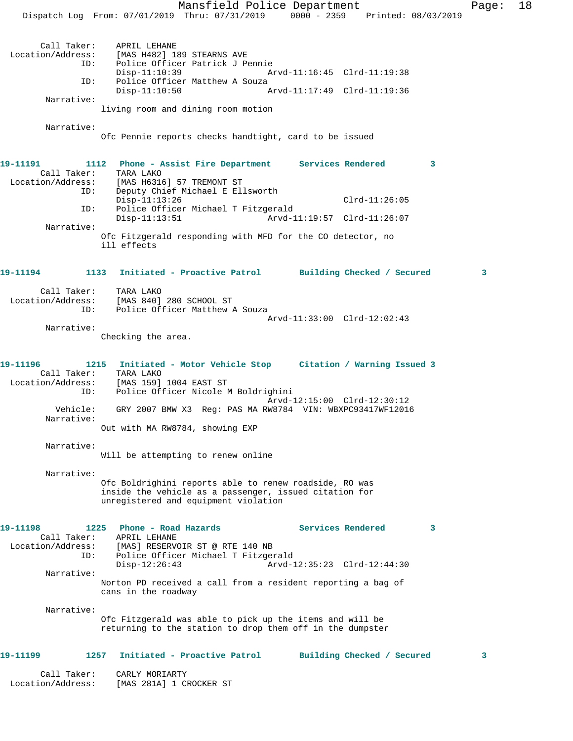Mansfield Police Department Fage: 18 Dispatch Log From: 07/01/2019 Thru: 07/31/2019 0000 - 2359 Printed: 08/03/2019 Call Taker: APRIL LEHANE<br>Location/Address: [MAS H482] 18 [MAS H482] 189 STEARNS AVE ID: Police Officer Patrick J Pennie Disp-11:10:39 Arvd-11:16:45 Clrd-11:19:38<br>TD: Police Officer Matthew A Souza Police Officer Matthew A Souza<br>Disp-11:10:50 A Disp-11:10:50 Arvd-11:17:49 Clrd-11:19:36 Narrative: living room and dining room motion Narrative: Ofc Pennie reports checks handtight, card to be issued **19-11191 1112 Phone - Assist Fire Department Services Rendered 3**  Call Taker: TARA LAKO Location/Address: [MAS H6316] 57 TREMONT ST ID: Deputy Chief Michael E Ellsworth Disp-11:13:26 Clrd-11:26:05 ID: Police Officer Michael T Fitzgerald Disp-11:13:51 Arvd-11:19:57 Clrd-11:26:07 Narrative: Ofc Fitzgerald responding with MFD for the CO detector, no ill effects **19-11194 1133 Initiated - Proactive Patrol Building Checked / Secured 3** Call Taker: TARA LAKO Location/Address: [MAS 840] 280 SCHOOL ST ID: Police Officer Matthew A Souza Arvd-11:33:00 Clrd-12:02:43 Narrative: Checking the area. **19-11196 1215 Initiated - Motor Vehicle Stop Citation / Warning Issued 3**  Call Taker: TARA LAKO Location/Address: [MAS 159] 1004 EAST ST ID: Police Officer Nicole M Boldrighini Arvd-12:15:00 Clrd-12:30:12 Vehicle: GRY 2007 BMW X3 Reg: PAS MA RW8784 VIN: WBXPC93417WF12016 Narrative: Out with MA RW8784, showing EXP Narrative: Will be attempting to renew online Narrative: Ofc Boldrighini reports able to renew roadside, RO was inside the vehicle as a passenger, issued citation for unregistered and equipment violation **19-11198 1225 Phone - Road Hazards Services Rendered 3**  Call Taker: APRIL LEHANE Location/Address: [MAS] RESERVOIR ST @ RTE 140 NB ID: Police Officer Michael T Fitzgerald Disp-12:26:43 Arvd-12:35:23 Clrd-12:44:30 Narrative: Norton PD received a call from a resident reporting a bag of cans in the roadway Narrative: Ofc Fitzgerald was able to pick up the items and will be returning to the station to drop them off in the dumpster **19-11199 1257 Initiated - Proactive Patrol Building Checked / Secured 3** Call Taker: CARLY MORIARTY Location/Address: [MAS 281A] 1 CROCKER ST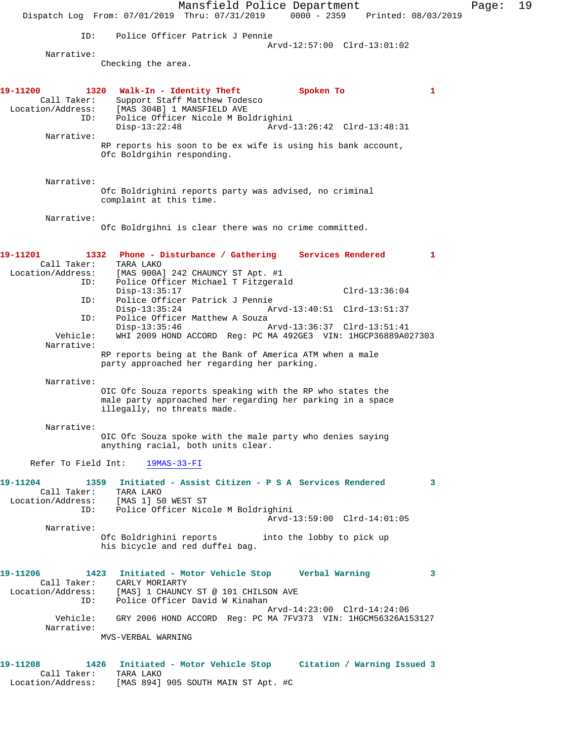Mansfield Police Department Fage: 19 Dispatch Log From: 07/01/2019 Thru: 07/31/2019 0000 - 2359 Printed: 08/03/2019 ID: Police Officer Patrick J Pennie Arvd-12:57:00 Clrd-13:01:02 Narrative: Checking the area. **19-11200 1320 Walk-In - Identity Theft Spoken To 1**  Call Taker: Support Staff Matthew Todesco Location/Address: [MAS 304B] 1 MANSFIELD AVE ID: Police Officer Nicole M Boldrighini Disp-13:22:48 Arvd-13:26:42 Clrd-13:48:31 Narrative: RP reports his soon to be ex wife is using his bank account, Ofc Boldrgihin responding. Narrative: Ofc Boldrighini reports party was advised, no criminal complaint at this time. Narrative: Ofc Boldrgihni is clear there was no crime committed. **19-11201 1332 Phone - Disturbance / Gathering Services Rendered 1**  Call Taker: TARA LAKO Location/Address: [MAS 900A] 242 CHAUNCY ST Apt. #1 ID: Police Officer Michael T Fitzgerald Disp-13:35:17 Clrd-13:36:04 ID: Police Officer Patrick J Pennie Disp-13:35:24 Arvd-13:40:51 Clrd-13:51:37 ID: Police Officer Matthew A Souza<br>Disp-13:35:46 Disp-13:35:46 Arvd-13:36:37 Clrd-13:51:41<br>Vehicle: WHI 2009 HOND ACCORD Reg: PC MA 492GE3 VIN: 1HGCP36889A0. WHI 2009 HOND ACCORD Reg: PC MA 492GE3 VIN: 1HGCP36889A027303 Narrative: RP reports being at the Bank of America ATM when a male party approached her regarding her parking. Narrative: OIC Ofc Souza reports speaking with the RP who states the male party approached her regarding her parking in a space illegally, no threats made. Narrative: OIC Ofc Souza spoke with the male party who denies saying anything racial, both units clear. Refer To Field Int: 19MAS-33-FI **19-11204 1359 Initiated - Assist Citizen - P S A Services Rendered 3**  Call Taker: TARA LAKO Location/Address: [MAS 1] 50 WEST ST ID: Police Officer Nicole M Boldrighini Arvd-13:59:00 Clrd-14:01:05 Narrative: Ofc Boldrighini reports into the lobby to pick up his bicycle and red duffel bag. **19-11206 1423 Initiated - Motor Vehicle Stop Verbal Warning 3**  Call Taker: CARLY MORIARTY Location/Address: [MAS] 1 CHAUNCY ST @ 101 CHILSON AVE ID: Police Officer David W Kinahan Arvd-14:23:00 Clrd-14:24:06 Vehicle: GRY 2006 HOND ACCORD Reg: PC MA 7FV373 VIN: 1HGCM56326A153127 Narrative: MVS-VERBAL WARNING **19-11208 1426 Initiated - Motor Vehicle Stop Citation / Warning Issued 3** 

Call Taker: TARA LAKO

Location/Address: [MAS 894] 905 SOUTH MAIN ST Apt. #C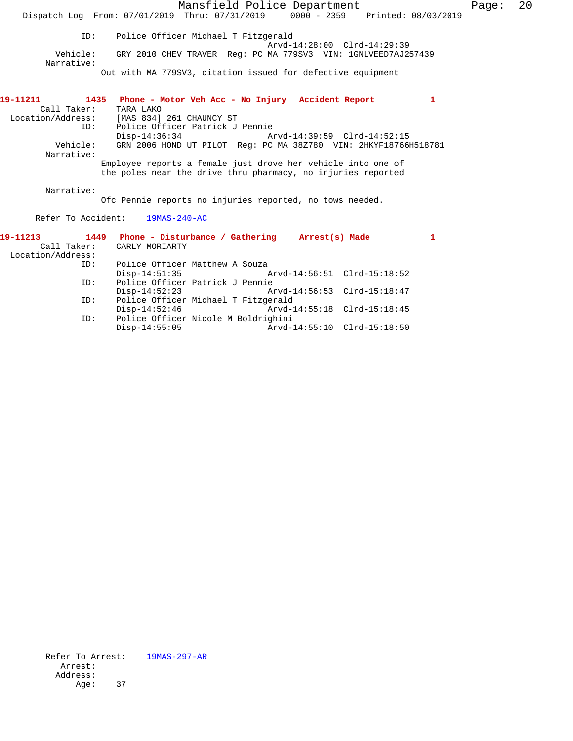|                          |                                                                                | Mansfield Police Department                                     |                             |   | Page: | 20 |
|--------------------------|--------------------------------------------------------------------------------|-----------------------------------------------------------------|-----------------------------|---|-------|----|
|                          | Dispatch Log From: 07/01/2019 Thru: 07/31/2019 0000 - 2359 Printed: 08/03/2019 |                                                                 |                             |   |       |    |
| ID:                      |                                                                                | Police Officer Michael T Fitzgerald                             | Arvd-14:28:00 Clrd-14:29:39 |   |       |    |
| Vehicle:<br>Narrative:   |                                                                                | GRY 2010 CHEV TRAVER Req: PC MA 779SV3 VIN: 1GNLVEED7AJ257439   |                             |   |       |    |
|                          |                                                                                | Out with MA 779SV3, citation issued for defective equipment     |                             |   |       |    |
| 19-11211                 | 1435 Phone - Motor Veh Acc - No Injury Accident Report                         |                                                                 |                             | 1 |       |    |
| Call Taker:              | TARA LAKO                                                                      |                                                                 |                             |   |       |    |
| Location/Address:<br>ID: | [MAS 834] 261 CHAUNCY ST                                                       | Police Officer Patrick J Pennie                                 |                             |   |       |    |
|                          | $Disp-14:36:34$                                                                |                                                                 | Arvd-14:39:59 Clrd-14:52:15 |   |       |    |
| Vehicle:                 |                                                                                | GRN 2006 HOND UT PILOT Reg: PC MA 38Z780 VIN: 2HKYF18766H518781 |                             |   |       |    |
| Narrative:               |                                                                                |                                                                 |                             |   |       |    |
|                          |                                                                                | Employee reports a female just drove her vehicle into one of    |                             |   |       |    |
|                          |                                                                                | the poles near the drive thru pharmacy, no injuries reported    |                             |   |       |    |
|                          |                                                                                |                                                                 |                             |   |       |    |
| Narrative:               |                                                                                |                                                                 |                             |   |       |    |
|                          |                                                                                | Ofc Pennie reports no injuries reported, no tows needed.        |                             |   |       |    |
|                          | Refer To Accident: 19MAS-240-AC                                                |                                                                 |                             |   |       |    |
| 19-11213                 | 1449 Phone - Disturbance / Gathering Arrest(s) Made                            |                                                                 |                             | 1 |       |    |
| Call Taker:              | CARLY MORIARTY                                                                 |                                                                 |                             |   |       |    |
| Location/Address:        |                                                                                |                                                                 |                             |   |       |    |
| ID:                      |                                                                                | Police Officer Matthew A Souza                                  |                             |   |       |    |
|                          |                                                                                | Disp-14:51:35 Arvd-14:56:51 Clrd-15:18:52                       |                             |   |       |    |
| ID:                      |                                                                                | Police Officer Patrick J Pennie                                 |                             |   |       |    |
|                          | $Disp-14:52:23$                                                                |                                                                 |                             |   |       |    |
| ID:                      |                                                                                | Police Officer Michael T Fitzgerald                             |                             |   |       |    |
|                          | $Disp-14:52:46$                                                                |                                                                 | Arvd-14:55:18 Clrd-15:18:45 |   |       |    |
| ID:                      |                                                                                | Police Officer Nicole M Boldrighini                             |                             |   |       |    |
|                          | $Disp-14:55:05$                                                                |                                                                 | Arvd-14:55:10 Clrd-15:18:50 |   |       |    |

Refer To Arrest:  $\frac{19MAS-297-AR}{}$  Arrest: Address: Age: 37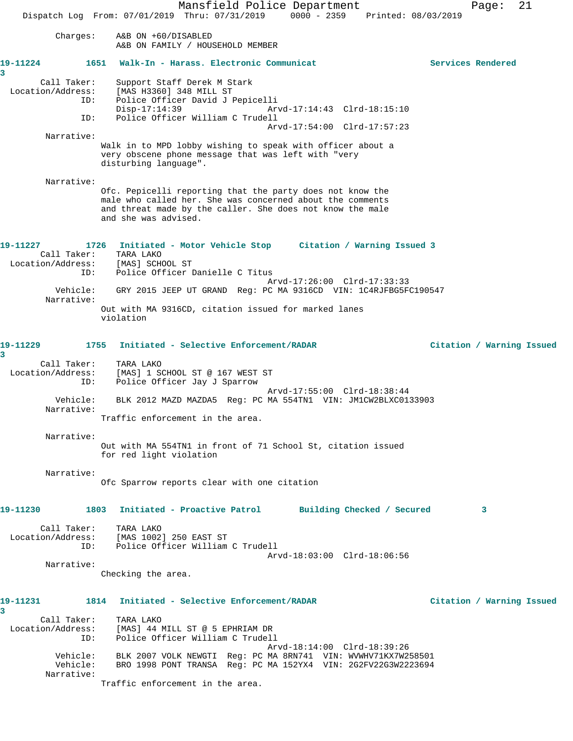Mansfield Police Department Fage: 21 Dispatch Log From: 07/01/2019 Thru: 07/31/2019 0000 - 2359 Printed: 08/03/2019 Charges: A&B ON +60/DISABLED A&B ON FAMILY / HOUSEHOLD MEMBER **19-11224 1651 Walk-In - Harass. Electronic Communicat Services Rendered 3**  Call Taker: Support Staff Derek M Stark Location/Address: [MAS H3360] 348 MILL ST ID: Police Officer David J Pepicelli<br>Disp-17:14:39 Ary<br>ID: Police Office: Will: Disp-17:14:39 Arvd-17:14:43 Clrd-18:15:10 Police Officer William C Trudell Arvd-17:54:00 Clrd-17:57:23 Narrative: Walk in to MPD lobby wishing to speak with officer about a very obscene phone message that was left with "very disturbing language". Narrative: Ofc. Pepicelli reporting that the party does not know the male who called her. She was concerned about the comments and threat made by the caller. She does not know the male and she was advised. **19-11227 1726 Initiated - Motor Vehicle Stop Citation / Warning Issued 3**  Call Taker: TARA LAKO Location/Address: [MAS] SCHOOL ST ID: Police Officer Danielle C Titus Arvd-17:26:00 Clrd-17:33:33 Vehicle: GRY 2015 JEEP UT GRAND Reg: PC MA 9316CD VIN: 1C4RJFBG5FC190547 Narrative: Out with MA 9316CD, citation issued for marked lanes violation **19-11229 1755 Initiated - Selective Enforcement/RADAR Citation / Warning Issued 3**  Call Taker: TARA LAKO Location/Address: [MAS] 1 SCHOOL ST @ 167 WEST ST ID: Police Officer Jay J Sparrow Arvd-17:55:00 Clrd-18:38:44 Vehicle: BLK 2012 MAZD MAZDA5 Reg: PC MA 554TN1 VIN: JM1CW2BLXC0133903 Narrative: Traffic enforcement in the area. Narrative: Out with MA 554TN1 in front of 71 School St, citation issued for red light violation Narrative: Ofc Sparrow reports clear with one citation **19-11230 1803 Initiated - Proactive Patrol Building Checked / Secured 3** Call Taker: TARA LAKO Location/Address: [MAS 1002] 250 EAST ST ID: Police Officer William C Trudell Arvd-18:03:00 Clrd-18:06:56 Narrative: Checking the area. **19-11231 1814 Initiated - Selective Enforcement/RADAR Citation / Warning Issued 3**  Call Taker: TARA LAKO Location/Address: [MAS] 44 MILL ST @ 5 EPHRIAM DR ID: Police Officer William C Trudell Arvd-18:14:00 Clrd-18:39:26 Vehicle: BLK 2007 VOLK NEWGTI Reg: PC MA 8RN741 VIN: WVWHV71KX7W258501 Vehicle: BRO 1998 PONT TRANSA Reg: PC MA 152YX4 VIN: 2G2FV22G3W2223694 Narrative: Traffic enforcement in the area.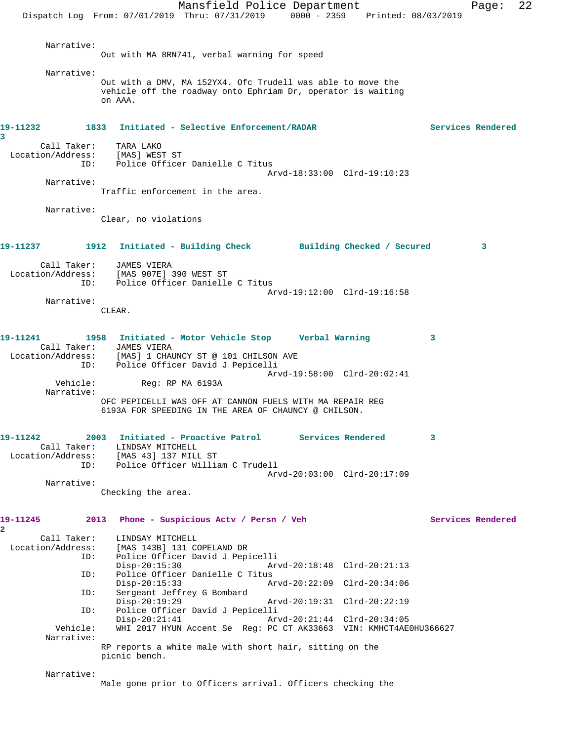Mansfield Police Department Fage: 22 Dispatch Log From: 07/01/2019 Thru: 07/31/2019 0000 - 2359 Printed: 08/03/2019 Narrative: Out with MA 8RN741, verbal warning for speed Narrative: Out with a DMV, MA 152YX4. Ofc Trudell was able to move the vehicle off the roadway onto Ephriam Dr, operator is waiting on AAA. **19-11232 1833 Initiated - Selective Enforcement/RADAR Services Rendered 3**  Call Taker: TARA LAKO Location/Address: [MAS] WEST ST ID: Police Officer Danielle C Titus Arvd-18:33:00 Clrd-19:10:23 Narrative: Traffic enforcement in the area. Narrative: Clear, no violations **19-11237 1912 Initiated - Building Check Building Checked / Secured 3** Call Taker: JAMES VIERA Location/Address: [MAS 907E] 390 WEST ST ID: Police Officer Danielle C Titus Arvd-19:12:00 Clrd-19:16:58 Narrative: CLEAR. **19-11241 1958 Initiated - Motor Vehicle Stop Verbal Warning 3**  Call Taker: JAMES VIERA Location/Address: [MAS] 1 CHAUNCY ST @ 101 CHILSON AVE ID: Police Officer David J Pepicelli  $Arvd-19:58:00$  Clrd-20:02:41<br>Vehicle: Req: RP MA 6193A Reg: RP MA 6193A Narrative: OFC PEPICELLI WAS OFF AT CANNON FUELS WITH MA REPAIR REG 6193A FOR SPEEDING IN THE AREA OF CHAUNCY @ CHILSON. **19-11242 2003 Initiated - Proactive Patrol Services Rendered 3**  Call Taker: LINDSAY MITCHELL Location/Address: [MAS 43] 137 MILL ST ID: Police Officer William C Trudell Arvd-20:03:00 Clrd-20:17:09 Narrative: Checking the area. **19-11245 2013 Phone - Suspicious Actv / Persn / Veh Services Rendered 2**  Call Taker: LINDSAY MITCHELL<br>Location/Address: [MAS 143B] 131 CO [MAS 143B] 131 COPELAND DR ID: Police Officer David J Pepicelli Disp-20:15:30 Arvd-20:18:48 Clrd-20:21:13 ID: Police Officer Danielle C Titus Disp-20:15:33 Arvd-20:22:09 Clrd-20:34:06<br>ID: Sergeant Jeffrey G Bombard Sergeant Jeffrey G Bombard<br>Disp-20:19:29 Disp-20:19:29 Arvd-20:19:31 Clrd-20:22:19<br>TD: Police Officer David J Pepicelli Police Officer David J Pepicelli<br>Disp-20:21:41 Arv Disp-20:21:41 Arvd-20:21:44 Clrd-20:34:05 Vehicle: WHI 2017 HYUN Accent Se Reg: PC CT AK33663 VIN: KMHCT4AE0HU366627 Narrative: RP reports a white male with short hair, sitting on the picnic bench. Narrative: Male gone prior to Officers arrival. Officers checking the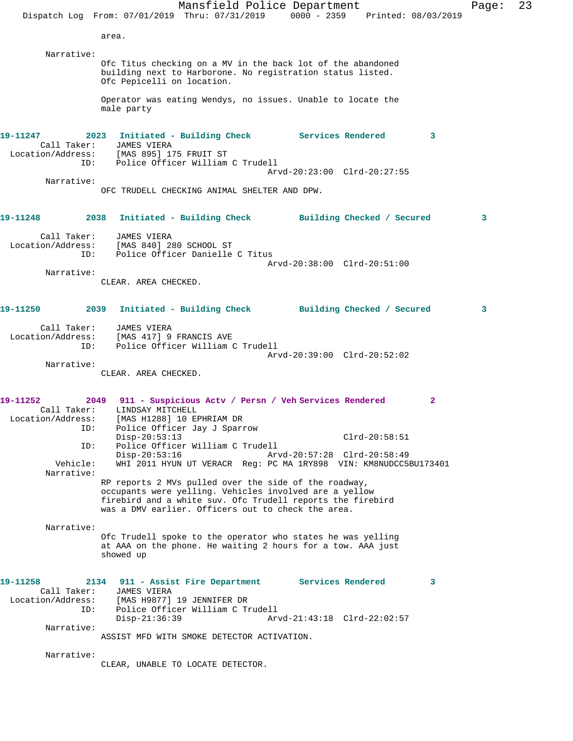Mansfield Police Department Page: 23 Dispatch Log From: 07/01/2019 Thru: 07/31/2019 0000 - 2359 Printed: 08/03/2019 area. Narrative: Ofc Titus checking on a MV in the back lot of the abandoned building next to Harborone. No registration status listed. Ofc Pepicelli on location. Operator was eating Wendys, no issues. Unable to locate the male party **19-11247 2023 Initiated - Building Check Services Rendered 3**  Call Taker: JAMES VIERA Location/Address: [MAS 895] 175 FRUIT ST ID: Police Officer William C Trudell Arvd-20:23:00 Clrd-20:27:55 Narrative: OFC TRUDELL CHECKING ANIMAL SHELTER AND DPW. **19-11248 2038 Initiated - Building Check Building Checked / Secured 3** Call Taker: JAMES VIERA Location/Address: [MAS 840] 280 SCHOOL ST ID: Police Officer Danielle C Titus Arvd-20:38:00 Clrd-20:51:00 Narrative: CLEAR. AREA CHECKED. **19-11250 2039 Initiated - Building Check Building Checked / Secured 3** Call Taker: JAMES VIERA Location/Address: [MAS 417] 9 FRANCIS AVE ID: Police Officer William C Trudell Arvd-20:39:00 Clrd-20:52:02 Narrative: CLEAR. AREA CHECKED. **19-11252 2049 911 - Suspicious Actv / Persn / Veh Services Rendered 2**  Call Taker: LINDSAY MITCHELL Location/Address: [MAS H1288] 10 EPHRIAM DR ID: Police Officer Jay J Sparrow Disp-20:53:13 Clrd-20:58:51 ID: Police Officer William C Trudell Disp-20:53:16 Arvd-20:57:28 Clrd-20:58:49<br>Vehicle: WHI 2011 HYUN UT VERACR Req: PC MA 1RY898 VIN: KM8NUDCC5 WHI 2011 HYUN UT VERACR Reg: PC MA 1RY898 VIN: KM8NUDCC5BU173401 Narrative: RP reports 2 MVs pulled over the side of the roadway, occupants were yelling. Vehicles involved are a yellow firebird and a white suv. Ofc Trudell reports the firebird was a DMV earlier. Officers out to check the area. Narrative: Ofc Trudell spoke to the operator who states he was yelling at AAA on the phone. He waiting 2 hours for a tow. AAA just showed up **19-11258 2134 911 - Assist Fire Department Services Rendered 3**  Call Taker: JAMES VIERA Location/Address: [MAS H9877] 19 JENNIFER DR ID: Police Officer William C Trudell<br>Disp-21:36:39 Arv Disp-21:36:39 Arvd-21:43:18 Clrd-22:02:57 Narrative: ASSIST MFD WITH SMOKE DETECTOR ACTIVATION. Narrative: CLEAR, UNABLE TO LOCATE DETECTOR.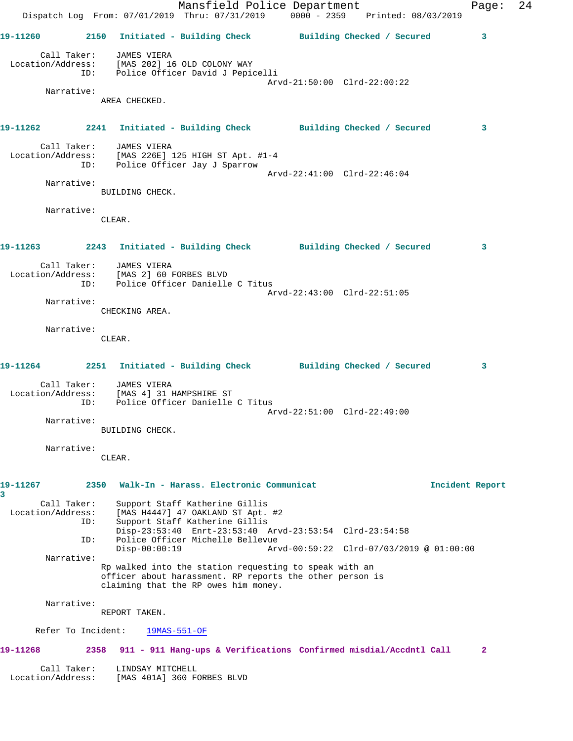|                        |                    |                                                                          | Mansfield Police Department<br>Dispatch Log From: 07/01/2019 Thru: 07/31/2019 0000 - 2359 Printed: 08/03/2019                                                    |                             |                                          | Page:        | 24 |
|------------------------|--------------------|--------------------------------------------------------------------------|------------------------------------------------------------------------------------------------------------------------------------------------------------------|-----------------------------|------------------------------------------|--------------|----|
|                        |                    |                                                                          | 19-11260 2150 Initiated - Building Check Building Checked / Secured                                                                                              |                             |                                          | 3            |    |
|                        |                    | Call Taker: JAMES VIERA<br>Location/Address: [MAS 202] 16 OLD COLONY WAY | ID: Police Officer David J Pepicelli                                                                                                                             |                             |                                          |              |    |
|                        |                    |                                                                          |                                                                                                                                                                  | Arvd-21:50:00 Clrd-22:00:22 |                                          |              |    |
|                        | Narrative:         | AREA CHECKED.                                                            |                                                                                                                                                                  |                             |                                          |              |    |
|                        |                    |                                                                          | 19-11262 2241 Initiated - Building Check Building Checked / Secured                                                                                              |                             |                                          | 3            |    |
|                        |                    | Call Taker: JAMES VIERA<br>ID: Police Officer Jay J Sparrow              | Location/Address: [MAS 226E] 125 HIGH ST Apt. #1-4                                                                                                               |                             |                                          |              |    |
|                        |                    |                                                                          |                                                                                                                                                                  | Arvd-22:41:00 Clrd-22:46:04 |                                          |              |    |
|                        | Narrative:         | BUILDING CHECK.                                                          |                                                                                                                                                                  |                             |                                          |              |    |
|                        | Narrative:         | CLEAR.                                                                   |                                                                                                                                                                  |                             |                                          |              |    |
|                        |                    |                                                                          | 19-11263 2243 Initiated - Building Check Building Checked / Secured                                                                                              |                             |                                          | 3            |    |
|                        |                    | Call Taker: JAMES VIERA<br>Location/Address: [MAS 2] 60 FORBES BLVD      | ID: Police Officer Danielle C Titus                                                                                                                              |                             |                                          |              |    |
|                        | Narrative:         |                                                                          |                                                                                                                                                                  | Arvd-22:43:00 Clrd-22:51:05 |                                          |              |    |
|                        |                    | CHECKING AREA.                                                           |                                                                                                                                                                  |                             |                                          |              |    |
|                        | Narrative:         | CLEAR.                                                                   |                                                                                                                                                                  |                             |                                          |              |    |
|                        |                    |                                                                          | 19-11264 2251 Initiated - Building Check Building Checked / Secured                                                                                              |                             |                                          | 3            |    |
|                        |                    | Call Taker: JAMES VIERA                                                  | Location/Address: [MAS 4] 31 HAMPSHIRE ST<br>ID: Police Officer Danielle C Titus                                                                                 | Arvd-22:51:00 Clrd-22:49:00 |                                          |              |    |
|                        | Narrative:         |                                                                          |                                                                                                                                                                  |                             |                                          |              |    |
|                        |                    | BUILDING CHECK.                                                          |                                                                                                                                                                  |                             |                                          |              |    |
|                        | Narrative:         | CLEAR.                                                                   |                                                                                                                                                                  |                             |                                          |              |    |
| 19-11267               | 2350               |                                                                          | Walk-In - Harass. Electronic Communicat                                                                                                                          |                             | Incident Report                          |              |    |
| 3<br>Location/Address: | Call Taker:<br>ID: |                                                                          | Support Staff Katherine Gillis<br>[MAS H4447] 47 OAKLAND ST Apt. #2<br>Support Staff Katherine Gillis<br>Disp-23:53:40 Enrt-23:53:40 Arvd-23:53:54 Clrd-23:54:58 |                             |                                          |              |    |
|                        | ID:                | $Disp-00:00:19$                                                          | Police Officer Michelle Bellevue                                                                                                                                 |                             | Arvd-00:59:22 Clrd-07/03/2019 @ 01:00:00 |              |    |
|                        | Narrative:         |                                                                          | Rp walked into the station requesting to speak with an<br>officer about harassment. RP reports the other person is<br>claiming that the RP owes him money.       |                             |                                          |              |    |
|                        | Narrative:         | REPORT TAKEN.                                                            |                                                                                                                                                                  |                             |                                          |              |    |
|                        | Refer To Incident: | $19MAS-551-OF$                                                           |                                                                                                                                                                  |                             |                                          |              |    |
| 19-11268               | 2358               |                                                                          | 911 - 911 Hang-ups & Verifications Confirmed misdial/Accdntl Call                                                                                                |                             |                                          | $\mathbf{2}$ |    |
| Location/Address:      | Call Taker:        | LINDSAY MITCHELL<br>[MAS 401A] 360 FORBES BLVD                           |                                                                                                                                                                  |                             |                                          |              |    |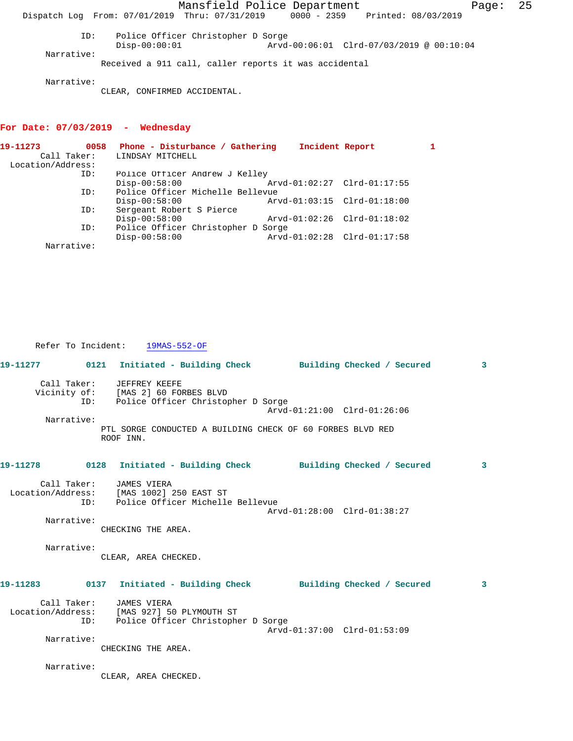Mansfield Police Department Fage: 25 Dispatch Log From: 07/01/2019 Thru: 07/31/2019 0000 - 2359 Printed: 08/03/2019 ID: Police Officer Christopher D Sorge<br>Disp-00:00:01 Arvd- Disp-00:00:01 Arvd-00:06:01 Clrd-07/03/2019 @ 00:10:04 Narrative: Received a 911 call, caller reports it was accidental Narrative:

CLEAR, CONFIRMED ACCIDENTAL.

## **For Date: 07/03/2019 - Wednesday**

Refer To Incident: 19MAS-552-OF

| 0058              |                  |                                                                                                                                                                         |                                                                                                                                             |
|-------------------|------------------|-------------------------------------------------------------------------------------------------------------------------------------------------------------------------|---------------------------------------------------------------------------------------------------------------------------------------------|
| Call Taker:       | LINDSAY MITCHELL |                                                                                                                                                                         |                                                                                                                                             |
| Location/Address: |                  |                                                                                                                                                                         |                                                                                                                                             |
| ID:               |                  |                                                                                                                                                                         |                                                                                                                                             |
|                   | $Disp-00:58:00$  |                                                                                                                                                                         |                                                                                                                                             |
| ID:               |                  |                                                                                                                                                                         |                                                                                                                                             |
|                   | $Disp-00:58:00$  |                                                                                                                                                                         |                                                                                                                                             |
| ID:               |                  |                                                                                                                                                                         |                                                                                                                                             |
|                   | $Disp-00:58:00$  |                                                                                                                                                                         |                                                                                                                                             |
| ID:               |                  |                                                                                                                                                                         |                                                                                                                                             |
|                   | $Disp-00:58:00$  |                                                                                                                                                                         |                                                                                                                                             |
| Narrative:        |                  |                                                                                                                                                                         |                                                                                                                                             |
|                   |                  | Phone - Disturbance / Gathering<br>Police Officer Andrew J Kelley<br>Police Officer Michelle Bellevue<br>Sergeant Robert S Pierce<br>Police Officer Christopher D Sorge | Incident Report<br>Arvd-01:02:27 Clrd-01:17:55<br>Arvd-01:03:15 Clrd-01:18:00<br>Arvd-01:02:26 Clrd-01:18:02<br>Arvd-01:02:28 Clrd-01:17:58 |

**19-11277 0121 Initiated - Building Check Building Checked / Secured 3** Call Taker: JEFFREY KEEFE Vicinity of: [MAS 2] 60 FORBES BLVD ID: Police Officer Christopher D Sorge Arvd-01:21:00 Clrd-01:26:06 Narrative: PTL SORGE CONDUCTED A BUILDING CHECK OF 60 FORBES BLVD RED ROOF INN. **19-11278 0128 Initiated - Building Check Building Checked / Secured 3** Call Taker: JAMES VIERA Location/Address: [MAS 1002] 250 EAST ST ID: Police Officer Michelle Bellevue Arvd-01:28:00 Clrd-01:38:27 Narrative: CHECKING THE AREA. Narrative: CLEAR, AREA CHECKED. **19-11283 0137 Initiated - Building Check Building Checked / Secured 3** Call Taker: JAMES VIERA Location/Address: [MAS 927] 50 PLYMOUTH ST ID: Police Officer Christopher D Sorge Arvd-01:37:00 Clrd-01:53:09 Narrative: CHECKING THE AREA. Narrative: CLEAR, AREA CHECKED.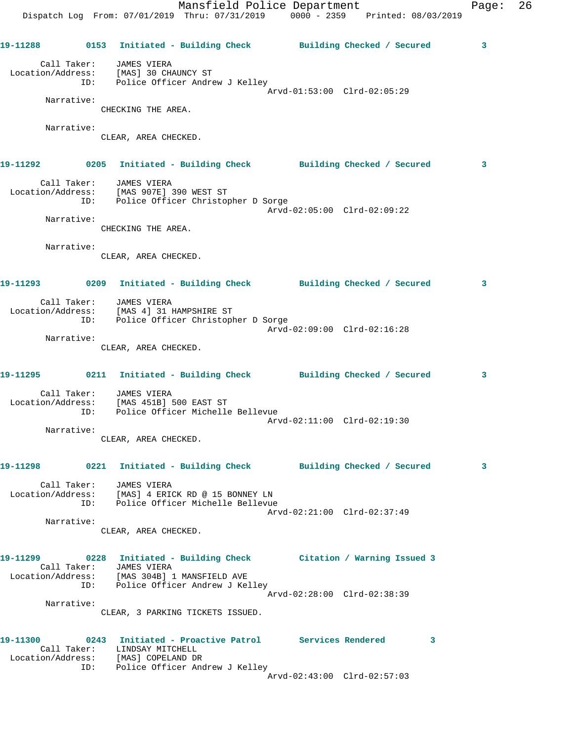Mansfield Police Department Fage: 26 Dispatch Log From: 07/01/2019 Thru: 07/31/2019 0000 - 2359 Printed: 08/03/2019 **19-11288 0153 Initiated - Building Check Building Checked / Secured 3** Call Taker: JAMES VIERA Location/Address: [MAS] 30 CHAUNCY ST ID: Police Officer Andrew J Kelley Arvd-01:53:00 Clrd-02:05:29 Narrative: CHECKING THE AREA. Narrative: CLEAR, AREA CHECKED. **19-11292 0205 Initiated - Building Check Building Checked / Secured 3** Call Taker: JAMES VIERA Location/Address: [MAS 907E] 390 WEST ST ID: Police Officer Christopher D Sorge Arvd-02:05:00 Clrd-02:09:22 Narrative: CHECKING THE AREA. Narrative: CLEAR, AREA CHECKED. **19-11293 0209 Initiated - Building Check Building Checked / Secured 3** Call Taker: JAMES VIERA Location/Address: [MAS 4] 31 HAMPSHIRE ST ID: Police Officer Christopher D Sorge Arvd-02:09:00 Clrd-02:16:28 Narrative: CLEAR, AREA CHECKED. **19-11295 0211 Initiated - Building Check Building Checked / Secured 3** Call Taker: JAMES VIERA Location/Address: [MAS 451B] 500 EAST ST ID: Police Officer Michelle Bellevue Arvd-02:11:00 Clrd-02:19:30 Narrative: CLEAR, AREA CHECKED. **19-11298 0221 Initiated - Building Check Building Checked / Secured 3** Call Taker: JAMES VIERA Location/Address: [MAS] 4 ERICK RD @ 15 BONNEY LN ID: Police Officer Michelle Bellevue Arvd-02:21:00 Clrd-02:37:49 Narrative: CLEAR, AREA CHECKED. **19-11299 0228 Initiated - Building Check Citation / Warning Issued 3**  Call Taker: JAMES VIERA Location/Address: [MAS 304B] 1 MANSFIELD AVE ID: Police Officer Andrew J Kelley Arvd-02:28:00 Clrd-02:38:39 Narrative: CLEAR, 3 PARKING TICKETS ISSUED. **19-11300 0243 Initiated - Proactive Patrol Services Rendered 3**  Call Taker: LINDSAY MITCHELL Location/Address: [MAS] COPELAND DR ID: Police Officer Andrew J Kelley

Arvd-02:43:00 Clrd-02:57:03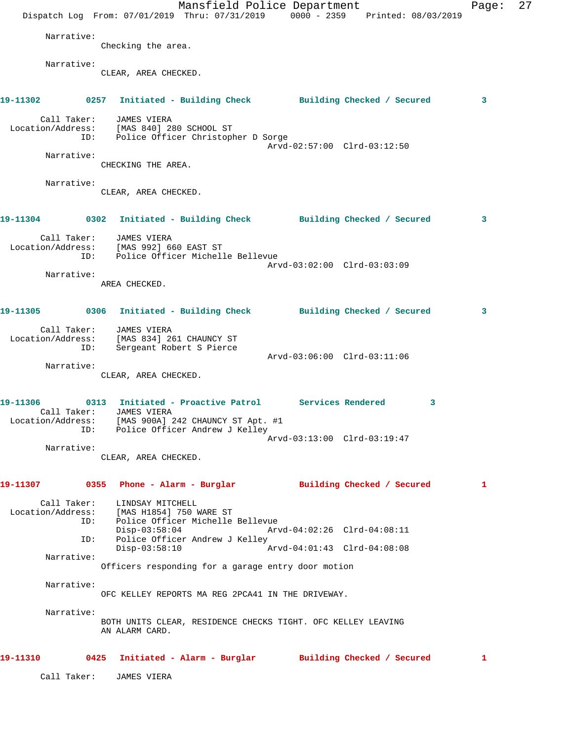Mansfield Police Department Page: 27 Dispatch Log From: 07/01/2019 Thru: 07/31/2019 0000 - 2359 Printed: 08/03/2019 Narrative: Checking the area. Narrative: CLEAR, AREA CHECKED. **19-11302 0257 Initiated - Building Check Building Checked / Secured 3** Call Taker: JAMES VIERA Location/Address: [MAS 840] 280 SCHOOL ST ID: Police Officer Christopher D Sorge Arvd-02:57:00 Clrd-03:12:50 Narrative: CHECKING THE AREA. Narrative: CLEAR, AREA CHECKED. **19-11304 0302 Initiated - Building Check Building Checked / Secured 3** Call Taker: JAMES VIERA Location/Address: [MAS 992] 660 EAST ST ID: Police Officer Michelle Bellevue Arvd-03:02:00 Clrd-03:03:09 Narrative: AREA CHECKED. **19-11305 0306 Initiated - Building Check Building Checked / Secured 3** Call Taker: JAMES VIERA Location/Address: [MAS 834] 261 CHAUNCY ST ID: Sergeant Robert S Pierce Arvd-03:06:00 Clrd-03:11:06 Narrative: CLEAR, AREA CHECKED. **19-11306 0313 Initiated - Proactive Patrol Services Rendered 3**  Call Taker: JAMES VIERA Location/Address: [MAS 900A] 242 CHAUNCY ST Apt. #1 ID: Police Officer Andrew J Kelley Arvd-03:13:00 Clrd-03:19:47 Narrative: CLEAR, AREA CHECKED. **19-11307 0355 Phone - Alarm - Burglar Building Checked / Secured 1** Call Taker: LINDSAY MITCHELL Location/Address: [MAS H1854] 750 WARE ST ID: Police Officer Michelle Bellevue Disp-03:58:04 Arvd-04:02:26 Clrd-04:08:11 ID: Police Officer Andrew J Kelley<br>Disp-03:58:10 A Disp-03:58:10 Arvd-04:01:43 Clrd-04:08:08 Narrative: Officers responding for a garage entry door motion Narrative: OFC KELLEY REPORTS MA REG 2PCA41 IN THE DRIVEWAY. Narrative: BOTH UNITS CLEAR, RESIDENCE CHECKS TIGHT. OFC KELLEY LEAVING AN ALARM CARD. **19-11310 0425 Initiated - Alarm - Burglar Building Checked / Secured 1** Call Taker: JAMES VIERA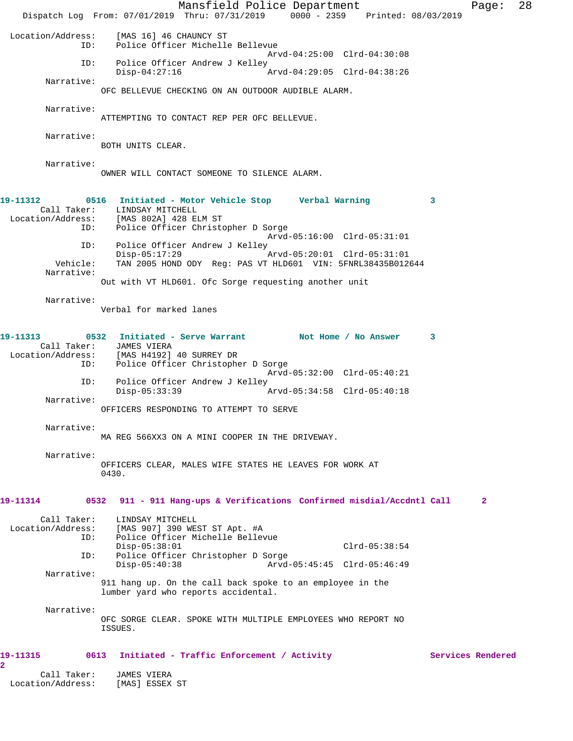Mansfield Police Department Fage: 28 Dispatch Log From: 07/01/2019 Thru: 07/31/2019 0000 - 2359 Printed: 08/03/2019 Location/Address: [MAS 16] 46 CHAUNCY ST ID: Police Officer Michelle Bellevue Arvd-04:25:00 Clrd-04:30:08 ID: Police Officer Andrew J Kelley<br>Disp-04:27:16 A Disp-04:27:16 Arvd-04:29:05 Clrd-04:38:26 Narrative: OFC BELLEVUE CHECKING ON AN OUTDOOR AUDIBLE ALARM. Narrative: ATTEMPTING TO CONTACT REP PER OFC BELLEVUE. Narrative: BOTH UNITS CLEAR. Narrative: OWNER WILL CONTACT SOMEONE TO SILENCE ALARM. **19-11312 0516 Initiated - Motor Vehicle Stop Verbal Warning 3**  Call Taker: LINDSAY MITCHELL Location/Address: [MAS 802A] 428 ELM ST<br>ID: Police Officer Christo Police Officer Christopher D Sorge Arvd-05:16:00 Clrd-05:31:01 ID: Police Officer Andrew J Kelley Disp-05:17:29 Arvd-05:20:01 Clrd-05:31:01 Vehicle: TAN 2005 HOND ODY Reg: PAS VT HLD601 VIN: 5FNRL38435B012644 Narrative: Out with VT HLD601. Ofc Sorge requesting another unit Narrative: Verbal for marked lanes **19-11313 0532 Initiated - Serve Warrant Not Home / No Answer 3**  Call Taker: JAMES VIERA<br>Location/Address: [MAS H4192] ess: [MAS H4192] 40 SURREY DR<br>ID: Police Officer Christophe Police Officer Christopher D Sorge Arvd-05:32:00 Clrd-05:40:21 ID: Police Officer Andrew J Kelley<br>Disp-05:33:39 Disp-05:33:39 Arvd-05:34:58 Clrd-05:40:18 Narrative: OFFICERS RESPONDING TO ATTEMPT TO SERVE Narrative: MA REG 566XX3 ON A MINI COOPER IN THE DRIVEWAY. Narrative: OFFICERS CLEAR, MALES WIFE STATES HE LEAVES FOR WORK AT 0430. **19-11314 0532 911 - 911 Hang-ups & Verifications Confirmed misdial/Accdntl Call 2** Call Taker: LINDSAY MITCHELL<br>Location/Address: [MAS 907] 390 WES Location/Address: [MAS 907] 390 WEST ST Apt. #A Police Officer Michelle Bellevue Disp-05:38:01 Clrd-05:38:54 ID: Police Officer Christopher D Sorge Disp-05:40:38 Arvd-05:45:45 Clrd-05:46:49 Narrative: 911 hang up. On the call back spoke to an employee in the lumber yard who reports accidental. Narrative: OFC SORGE CLEAR. SPOKE WITH MULTIPLE EMPLOYEES WHO REPORT NO ISSUES. 19-11315 0613 Initiated - Traffic Enforcement / Activity **Services Rendered 2**  Call Taker: JAMES VIERA Location/Address: [MAS] ESSEX ST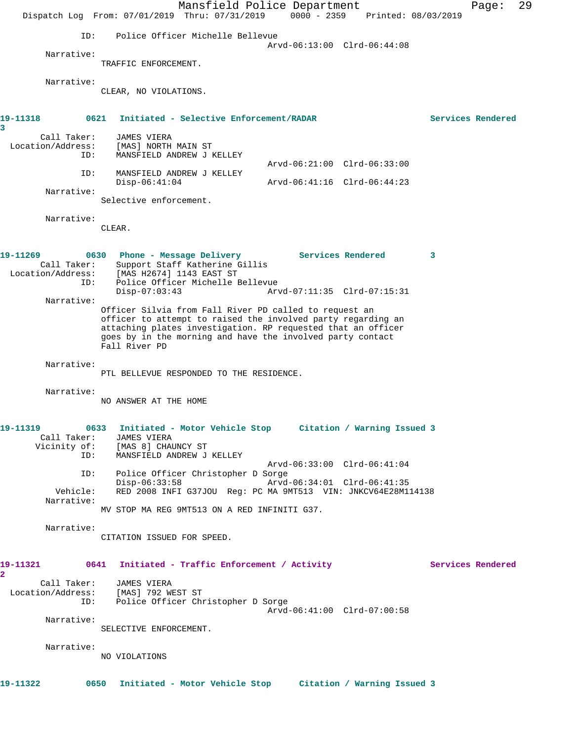|                                                     | Dispatch Log From: 07/01/2019 Thru: 07/31/2019                                                                                                                                                              | Mansfield Police Department | $0000 - 2359$ | Printed: 08/03/2019         |   | Page:             | 29 |
|-----------------------------------------------------|-------------------------------------------------------------------------------------------------------------------------------------------------------------------------------------------------------------|-----------------------------|---------------|-----------------------------|---|-------------------|----|
| ID:                                                 | Police Officer Michelle Bellevue                                                                                                                                                                            |                             |               |                             |   |                   |    |
| Narrative:                                          | TRAFFIC ENFORCEMENT.                                                                                                                                                                                        |                             |               | Arvd-06:13:00 Clrd-06:44:08 |   |                   |    |
| Narrative:                                          | CLEAR, NO VIOLATIONS.                                                                                                                                                                                       |                             |               |                             |   |                   |    |
| 19–11318<br>0621<br>3                               | Initiated - Selective Enforcement/RADAR                                                                                                                                                                     |                             |               |                             |   | Services Rendered |    |
| Call Taker:<br>Location/Address:<br>ID:             | <b>JAMES VIERA</b><br>[MAS] NORTH MAIN ST<br>MANSFIELD ANDREW J KELLEY                                                                                                                                      |                             |               | Arvd-06:21:00 Clrd-06:33:00 |   |                   |    |
| ID:                                                 | MANSFIELD ANDREW J KELLEY<br>$Disp-06:41:04$                                                                                                                                                                |                             |               | Arvd-06:41:16 Clrd-06:44:23 |   |                   |    |
| Narrative:                                          | Selective enforcement.                                                                                                                                                                                      |                             |               |                             |   |                   |    |
| Narrative:                                          | CLEAR.                                                                                                                                                                                                      |                             |               |                             |   |                   |    |
| 19-11269<br>Call Taker:<br>Location/Address:<br>ID: | 0630 Phone - Message Delivery<br>Support Staff Katherine Gillis<br>[MAS H2674] 1143 EAST ST<br>Police Officer Michelle Bellevue                                                                             |                             |               | Services Rendered           | 3 |                   |    |
| Narrative:                                          | $Disp-07:03:43$<br>Officer Silvia from Fall River PD called to request an                                                                                                                                   |                             |               | Arvd-07:11:35 Clrd-07:15:31 |   |                   |    |
|                                                     | officer to attempt to raised the involved party regarding an<br>attaching plates investigation. RP requested that an officer<br>goes by in the morning and have the involved party contact<br>Fall River PD |                             |               |                             |   |                   |    |
| Narrative:                                          | PTL BELLEVUE RESPONDED TO THE RESIDENCE.                                                                                                                                                                    |                             |               |                             |   |                   |    |
| Narrative:                                          | NO ANSWER AT THE HOME                                                                                                                                                                                       |                             |               |                             |   |                   |    |
| 19-11319<br>ID:                                     | 0633 Initiated - Motor Vehicle Stop Citation / Warning Issued 3<br>Call Taker: JAMES VIERA<br>Vicinity of: [MAS 8] CHAUNCY ST<br>MANSFIELD ANDREW J KELLEY                                                  |                             |               |                             |   |                   |    |
| ID:                                                 | Police Officer Christopher D Sorge                                                                                                                                                                          |                             |               | Arvd-06:33:00 Clrd-06:41:04 |   |                   |    |
| Vehicle:<br>Narrative:                              | $Disp-06:33:58$<br>RED 2008 INFI G37JOU Req: PC MA 9MT513 VIN: JNKCV64E28M114138                                                                                                                            |                             |               | Arvd-06:34:01 Clrd-06:41:35 |   |                   |    |
|                                                     | MV STOP MA REG 9MT513 ON A RED INFINITI G37.                                                                                                                                                                |                             |               |                             |   |                   |    |
| Narrative:                                          | CITATION ISSUED FOR SPEED.                                                                                                                                                                                  |                             |               |                             |   |                   |    |
| $\mathbf{2}$                                        | 19-11321               0641     Initiated - Traffic Enforcement / Activity                                                                                                                                  |                             |               |                             |   | Services Rendered |    |
| ID:                                                 | Call Taker: JAMES VIERA<br>Location/Address: [MAS] 792 WEST ST<br>Police Officer Christopher D Sorge                                                                                                        |                             |               | Arvd-06:41:00 Clrd-07:00:58 |   |                   |    |
| Narrative:                                          | SELECTIVE ENFORCEMENT.                                                                                                                                                                                      |                             |               |                             |   |                   |    |
| Narrative:                                          | NO VIOLATIONS                                                                                                                                                                                               |                             |               |                             |   |                   |    |
| 19-11322                                            | 0650 Initiated - Motor Vehicle Stop Citation / Warning Issued 3                                                                                                                                             |                             |               |                             |   |                   |    |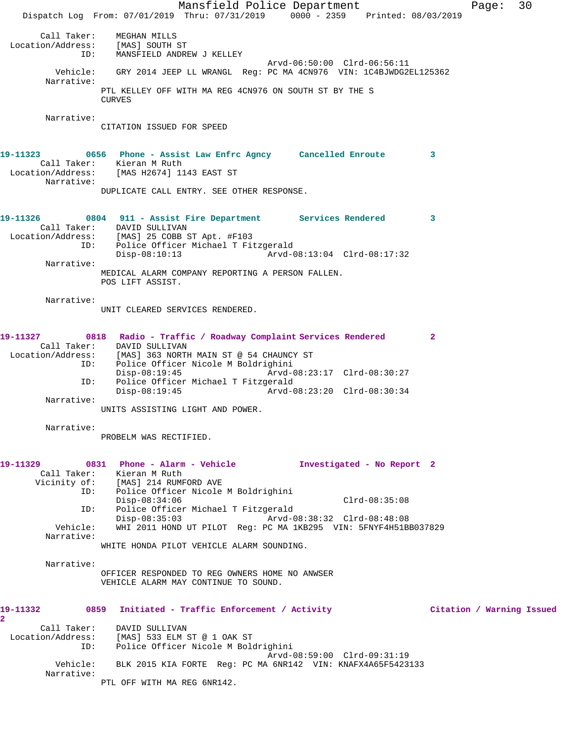Mansfield Police Department Fage: 30 Dispatch Log From: 07/01/2019 Thru: 07/31/2019 0000 - 2359 Printed: 08/03/2019 Call Taker: MEGHAN MILLS Location/Address: [MAS] SOUTH ST ID: MANSFIELD ANDREW J KELLEY Arvd-06:50:00 Clrd-06:56:11 Vehicle: GRY 2014 JEEP LL WRANGL Reg: PC MA 4CN976 VIN: 1C4BJWDG2EL125362 Narrative: PTL KELLEY OFF WITH MA REG 4CN976 ON SOUTH ST BY THE S CURVES Narrative: CITATION ISSUED FOR SPEED **19-11323 0656 Phone - Assist Law Enfrc Agncy Cancelled Enroute 3**  Call Taker: Kieran M Ruth Location/Address: [MAS H2674] 1143 EAST ST Narrative: DUPLICATE CALL ENTRY. SEE OTHER RESPONSE. **19-11326 0804 911 - Assist Fire Department Services Rendered 3**  Call Taker: DAVID SULLIVAN Location/Address: [MAS] 25 COBB ST Apt. #F103 ID: Police Officer Michael T Fitzgerald Disp-08:10:13 Arvd-08:13:04 Clrd-08:17:32 Narrative: MEDICAL ALARM COMPANY REPORTING A PERSON FALLEN. POS LIFT ASSIST. Narrative: UNIT CLEARED SERVICES RENDERED. **19-11327 0818 Radio - Traffic / Roadway Complaint Services Rendered 2**  Call Taker: DAVID SULLIVAN Location/Address: [MAS] 363 NORTH MAIN ST @ 54 CHAUNCY ST ESS. ITHOU JOURNAL ARRIVERS ID: Police Officer Nicole M Boldrighini Disp-08:19:45 Arvd-08:23:17 Clrd-08:30:27 ID: Police Officer Michael T Fitzgerald<br>Disp-08:19:45 Arvd-0 Arvd-08:23:20 Clrd-08:30:34 Narrative: UNITS ASSISTING LIGHT AND POWER. Narrative: PROBELM WAS RECTIFIED. **19-11329 0831 Phone - Alarm - Vehicle Investigated - No Report 2**  Call Taker: Kieran M Ruth Vicinity of: [MAS] 214 RUMFORD AVE ID: Police Officer Nicole M Boldrighini Disp-08:34:06 Clrd-08:35:08 ID: Police Officer Michael T Fitzgerald Disp-08:35:03 Arvd-08:38:32 Clrd-08:48:08 Vehicle: WHI 2011 HOND UT PILOT Reg: PC MA 1KB295 VIN: 5FNYF4H51BB037829 Narrative: WHITE HONDA PILOT VEHICLE ALARM SOUNDING. Narrative: OFFICER RESPONDED TO REG OWNERS HOME NO ANWSER VEHICLE ALARM MAY CONTINUE TO SOUND. **19-11332 0859 Initiated - Traffic Enforcement / Activity Citation / Warning Issued 2**  Call Taker: DAVID SULLIVAN Location/Address: [MAS] 533 ELM ST @ 1 OAK ST ID: Police Officer Nicole M Boldrighini Arvd-08:59:00 Clrd-09:31:19 Vehicle: BLK 2015 KIA FORTE Reg: PC MA 6NR142 VIN: KNAFX4A65F5423133 Narrative: PTL OFF WITH MA REG 6NR142.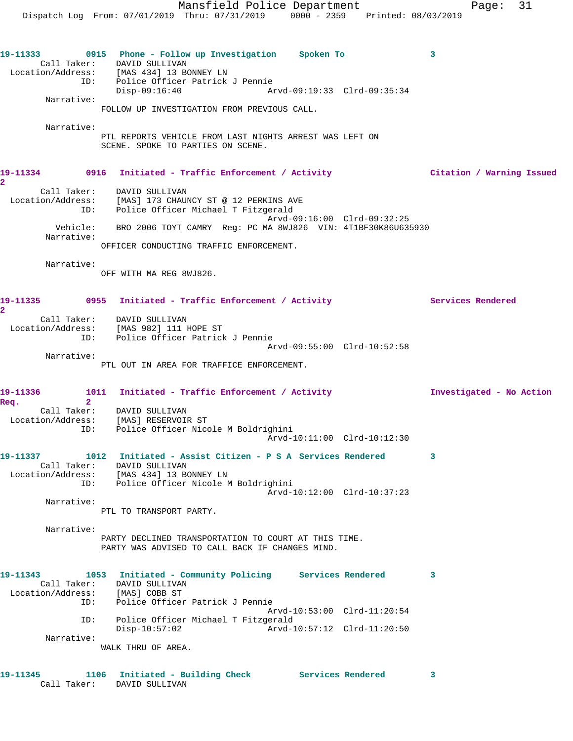Mansfield Police Department Fage: 31 Dispatch Log From: 07/01/2019 Thru: 07/31/2019 0000 - 2359 Printed: 08/03/2019 **19-11333 0915 Phone - Follow up Investigation Spoken To 3**  Call Taker: DAVID SULLIVAN Location/Address: [MAS 434] 13 BONNEY LN ID: Police Officer Patrick J Pennie<br>Disp-09:16:40 Ar Arvd-09:19:33 Clrd-09:35:34 Narrative: FOLLOW UP INVESTIGATION FROM PREVIOUS CALL. Narrative: PTL REPORTS VEHICLE FROM LAST NIGHTS ARREST WAS LEFT ON SCENE. SPOKE TO PARTIES ON SCENE. **19-11334 0916 Initiated - Traffic Enforcement / Activity Citation / Warning Issued 2**  Call Taker: DAVID SULLIVAN Location/Address: [MAS] 173 CHAUNCY ST @ 12 PERKINS AVE ID: Police Officer Michael T Fitzgerald Arvd-09:16:00 Clrd-09:32:25 Vehicle: BRO 2006 TOYT CAMRY Reg: PC MA 8WJ826 VIN: 4T1BF30K86U635930 Narrative: OFFICER CONDUCTING TRAFFIC ENFORCEMENT. Narrative: OFF WITH MA REG 8WJ826. 19-11335 **1nitiated - Traffic Enforcement / Activity** Services Rendered **2**  Call Taker: DAVID SULLIVAN Location/Address: [MAS 982] 111 HOPE ST ID: Police Officer Patrick J Pennie Arvd-09:55:00 Clrd-10:52:58 Narrative: PTL OUT IN AREA FOR TRAFFICE ENFORCEMENT. **19-11336 1011 Initiated - Traffic Enforcement / Activity Investigated - No Action Req. 2**  Call Taker: DAVID SULLIVAN Location/Address: [MAS] RESERVOIR ST ID: Police Officer Nicole M Boldrighini Arvd-10:11:00 Clrd-10:12:30 **19-11337 1012 Initiated - Assist Citizen - P S A Services Rendered 3**  Call Taker: DAVID SULLIVAN Location/Address: [MAS 434] 13 BONNEY LN ID: Police Officer Nicole M Boldrighini Arvd-10:12:00 Clrd-10:37:23 Narrative: PTL TO TRANSPORT PARTY. Narrative: PARTY DECLINED TRANSPORTATION TO COURT AT THIS TIME. PARTY WAS ADVISED TO CALL BACK IF CHANGES MIND. **19-11343 1053 Initiated - Community Policing Services Rendered 3**  Call Taker: DAVID SULLIVAN Location/Address: [MAS] COBB ST ID: Police Officer Patrick J Pennie Arvd-10:53:00 Clrd-11:20:54 ID: Police Officer Michael T Fitzgerald Disp-10:57:02 Arvd-10:57:12 Clrd-11:20:50 Narrative: WALK THRU OF AREA.

**19-11345 1106 Initiated - Building Check Services Rendered 3**  Call Taker: DAVID SULLIVAN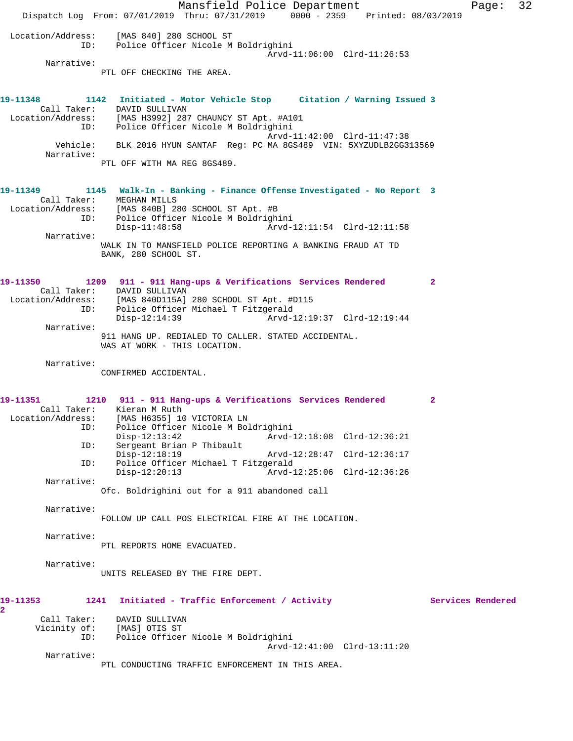Mansfield Police Department Page: 32 Dispatch Log From: 07/01/2019 Thru: 07/31/2019 0000 - 2359 Printed: 08/03/2019 Location/Address: [MAS 840] 280 SCHOOL ST ID: Police Officer Nicole M Boldrighini Arvd-11:06:00 Clrd-11:26:53 Narrative: PTL OFF CHECKING THE AREA. **19-11348 1142 Initiated - Motor Vehicle Stop Citation / Warning Issued 3**  Call Taker: DAVID SULLIVAN Location/Address: [MAS H3992] 287 CHAUNCY ST Apt. #A101 ID: Police Officer Nicole M Boldrighini Arvd-11:42:00 Clrd-11:47:38 Vehicle: BLK 2016 HYUN SANTAF Reg: PC MA 8GS489 VIN: 5XYZUDLB2GG313569 Narrative: PTL OFF WITH MA REG 8GS489. **19-11349 1145 Walk-In - Banking - Finance Offense Investigated - No Report 3**  Call Taker: MEGHAN MILLS Location/Address: [MAS 840B] 280 SCHOOL ST Apt. #B ID: Police Officer Nicole M Boldrighini Disp-11:48:58 Arvd-12:11:54 Clrd-12:11:58 Narrative: WALK IN TO MANSFIELD POLICE REPORTING A BANKING FRAUD AT TD BANK, 280 SCHOOL ST. **19-11350 1209 911 - 911 Hang-ups & Verifications Services Rendered 2**  Call Taker: DAVID SULLIVAN Location/Address: [MAS 840D115A] 280 SCHOOL ST Apt. #D115 ID: Police Officer Michael T Fitzgerald Disp-12:14:39 Arvd-12:19:37 Clrd-12:19:44 Narrative: 911 HANG UP. REDIALED TO CALLER. STATED ACCIDENTAL. WAS AT WORK - THIS LOCATION. Narrative: CONFIRMED ACCIDENTAL. **19-11351 1210 911 - 911 Hang-ups & Verifications Services Rendered 2**  Call Taker: Kieran M Ruth Location/Address: [MAS H6355] 10 VICTORIA LN ID: Police Officer Nicole M Boldrighini Disp-12:13:42 Arvd-12:18:08 Clrd-12:36:21<br>ID: Sergeant Brian P Thibault Sergeant Brian P Thibault Disp-12:18:19 Arvd-12:28:47 Clrd-12:36:17 ID: Police Officer Michael T Fitzgerald  $Arvd-12:25:06$  Clrd-12:36:26 Narrative: Ofc. Boldrighini out for a 911 abandoned call Narrative: FOLLOW UP CALL POS ELECTRICAL FIRE AT THE LOCATION. Narrative: PTL REPORTS HOME EVACUATED. Narrative: UNITS RELEASED BY THE FIRE DEPT. 19-11353 1241 Initiated - Traffic Enforcement / Activity **Services Rendered 2**  Call Taker: DAVID SULLIVAN Vicinity of: [MAS] OTIS ST<br>TD: Police Officer Police Officer Nicole M Boldrighini Arvd-12:41:00 Clrd-13:11:20 Narrative: PTL CONDUCTING TRAFFIC ENFORCEMENT IN THIS AREA.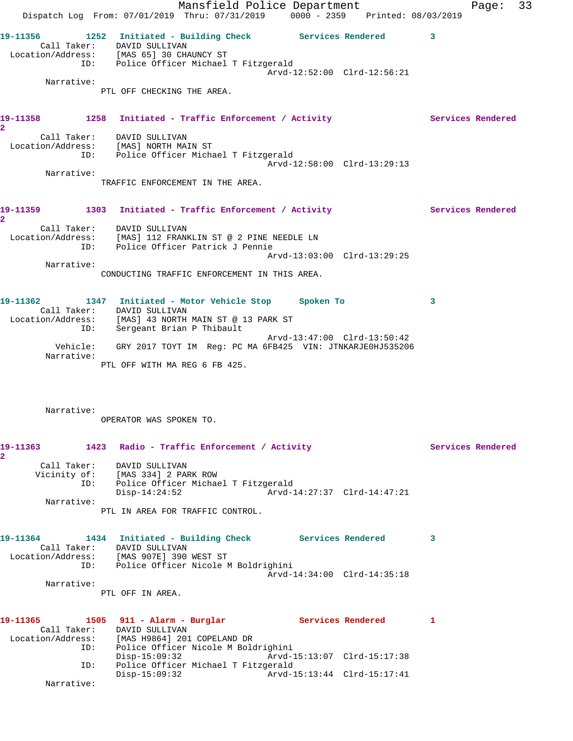Mansfield Police Department Fage: 33 Dispatch Log From: 07/01/2019 Thru: 07/31/2019 0000 - 2359 Printed: 08/03/2019 **19-11356 1252 Initiated - Building Check Services Rendered 3**  Call Taker: DAVID SULLIVAN Location/Address: [MAS 65] 30 CHAUNCY ST ID: Police Officer Michael T Fitzgerald Arvd-12:52:00 Clrd-12:56:21 Narrative: PTL OFF CHECKING THE AREA. 19-11358 1258 Initiated - Traffic Enforcement / Activity **Services Rendered 2**  Call Taker: DAVID SULLIVAN Location/Address: [MAS] NORTH MAIN ST ID: Police Officer Michael T Fitzgerald Arvd-12:58:00 Clrd-13:29:13 Narrative: TRAFFIC ENFORCEMENT IN THE AREA. **19-11359 1303 Initiated - Traffic Enforcement / Activity Services Rendered 2**  Call Taker: DAVID SULLIVAN Location/Address: [MAS] 112 FRANKLIN ST @ 2 PINE NEEDLE LN ID: Police Officer Patrick J Pennie Arvd-13:03:00 Clrd-13:29:25 Narrative: CONDUCTING TRAFFIC ENFORCEMENT IN THIS AREA. **19-11362 1347 Initiated - Motor Vehicle Stop Spoken To 3**  Call Taker: DAVID SULLIVAN Location/Address: [MAS] 43 NORTH MAIN ST @ 13 PARK ST ID: Sergeant Brian P Thibault Arvd-13:47:00 Clrd-13:50:42 Vehicle: GRY 2017 TOYT IM Reg: PC MA 6FB425 VIN: JTNKARJE0HJ535206 Narrative: PTL OFF WITH MA REG 6 FB 425. Narrative: OPERATOR WAS SPOKEN TO. **19-11363 1423 Radio - Traffic Enforcement / Activity Services Rendered 2**  Call Taker: DAVID SULLIVAN Vicinity of: [MAS 334] 2 PARK ROW ID: Police Officer Michael T Fitzgerald Disp-14:24:52 Arvd-14:27:37 Clrd-14:47:21 Narrative: PTL IN AREA FOR TRAFFIC CONTROL. **19-11364 1434 Initiated - Building Check Services Rendered 3**  Call Taker: DAVID SULLIVAN Location/Address: [MAS 907E] 390 WEST ST ID: Police Officer Nicole M Boldrighini Arvd-14:34:00 Clrd-14:35:18 Narrative: PTL OFF IN AREA. 19-11365 1505 911 - Alarm - Burglar **Services Rendered** 1 Call Taker: DAVID SULLIVAN Location/Address: [MAS H9864] 201 COPELAND DR ID: Police Officer Nicole M Boldrighini Disp-15:09:32 Arvd-15:13:07 Clrd-15:17:38 ID: Police Officer Michael T Fitzgerald Disp-15:09:32 Arvd-15:13:44 Clrd-15:17:41 Narrative: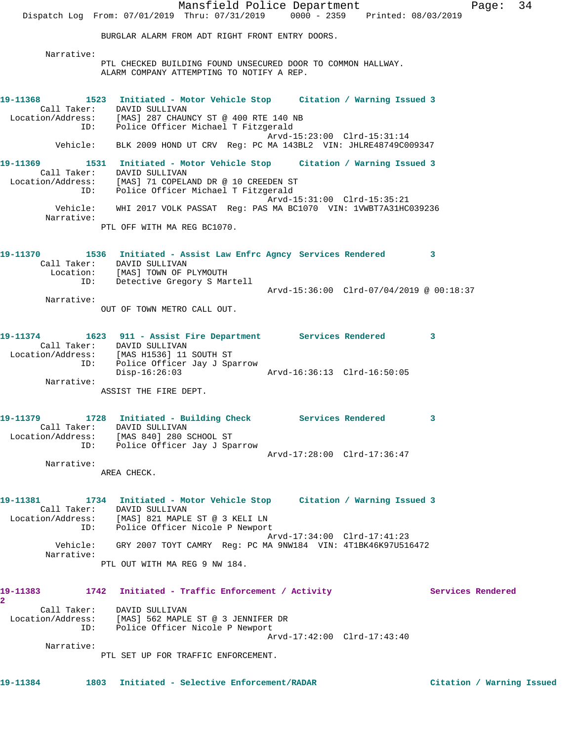Mansfield Police Department Fage: 34 Dispatch Log From: 07/01/2019 Thru: 07/31/2019 0000 - 2359 Printed: 08/03/2019 BURGLAR ALARM FROM ADT RIGHT FRONT ENTRY DOORS. Narrative: PTL CHECKED BUILDING FOUND UNSECURED DOOR TO COMMON HALLWAY. ALARM COMPANY ATTEMPTING TO NOTIFY A REP. **19-11368 1523 Initiated - Motor Vehicle Stop Citation / Warning Issued 3**  Call Taker: DAVID SULLIVAN Location/Address: [MAS] 287 CHAUNCY ST @ 400 RTE 140 NB ID: Police Officer Michael T Fitzgerald Arvd-15:23:00 Clrd-15:31:14 Vehicle: BLK 2009 HOND UT CRV Reg: PC MA 143BL2 VIN: JHLRE48749C009347 **19-11369 1531 Initiated - Motor Vehicle Stop Citation / Warning Issued 3**  Call Taker: DAVID SULLIVAN Location/Address: [MAS] 71 COPELAND DR @ 10 CREEDEN ST ID: Police Officer Michael T Fitzgerald Arvd-15:31:00 Clrd-15:35:21 Vehicle: WHI 2017 VOLK PASSAT Reg: PAS MA BC1070 VIN: 1VWBT7A31HC039236 Narrative: PTL OFF WITH MA REG BC1070. **19-11370 1536 Initiated - Assist Law Enfrc Agncy Services Rendered 3**  Call Taker: DAVID SULLIVAN Location: [MAS] TOWN OF PLYMOUTH ID: Detective Gregory S Martell Arvd-15:36:00 Clrd-07/04/2019 @ 00:18:37 Narrative: OUT OF TOWN METRO CALL OUT. **19-11374 1623 911 - Assist Fire Department Services Rendered 3**  Call Taker: DAVID SULLIVAN Location/Address: [MAS H1536] 11 SOUTH ST ID: Police Officer Jay J Sparrow Disp-16:26:03 Arvd-16:36:13 Clrd-16:50:05 Narrative: ASSIST THE FIRE DEPT. **19-11379 1728 Initiated - Building Check Services Rendered 3**  Call Taker: DAVID SULLIVAN Location/Address: [MAS 840] 280 SCHOOL ST ID: Police Officer Jay J Sparrow Arvd-17:28:00 Clrd-17:36:47 Narrative: AREA CHECK. **19-11381 1734 Initiated - Motor Vehicle Stop Citation / Warning Issued 3**  Call Taker: DAVID SULLIVAN Location/Address: [MAS] 821 MAPLE ST @ 3 KELI LN ID: Police Officer Nicole P Newport Arvd-17:34:00 Clrd-17:41:23 Vehicle: GRY 2007 TOYT CAMRY Reg: PC MA 9NW184 VIN: 4T1BK46K97U516472 Narrative: PTL OUT WITH MA REG 9 NW 184. **19-11383 1742 Initiated - Traffic Enforcement / Activity Services Rendered 2**  Call Taker: DAVID SULLIVAN Location/Address: [MAS] 562 MAPLE ST @ 3 JENNIFER DR ID: Police Officer Nicole P Newport Arvd-17:42:00 Clrd-17:43:40 Narrative: PTL SET UP FOR TRAFFIC ENFORCEMENT.

**19-11384 1803 Initiated - Selective Enforcement/RADAR Citation / Warning Issued**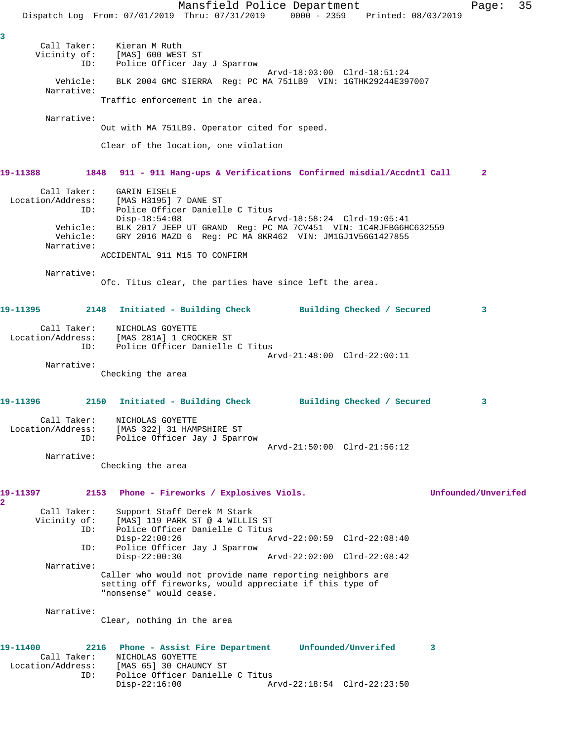Mansfield Police Department Fage: 35 Dispatch Log From: 07/01/2019 Thru: 07/31/2019 0000 - 2359 Printed: 08/03/2019 **3**  Call Taker: Kieran M Ruth Vicinity of: [MAS] 600 WEST ST ID: Police Officer Jay J Sparrow Arvd-18:03:00 Clrd-18:51:24 Vehicle: BLK 2004 GMC SIERRA Reg: PC MA 751LB9 VIN: 1GTHK29244E397007 Narrative: Traffic enforcement in the area. Narrative: Out with MA 751LB9. Operator cited for speed. Clear of the location, one violation **19-11388 1848 911 - 911 Hang-ups & Verifications Confirmed misdial/Accdntl Call 2** Call Taker: GARIN EISELE Location/Address: [MAS H3195] 7 DANE ST ID: Police Officer Danielle C Titus<br>Disp-18:54:08 A Disp-18:54:08 Arvd-18:58:24 Clrd-19:05:41 Vehicle: BLK 2017 JEEP UT GRAND Reg: PC MA 7CV451 VIN: 1C4RJFBG6HC632559 Vehicle: GRY 2016 MAZD 6 Reg: PC MA 8KR462 VIN: JM1GJ1V56G1427855 Narrative: ACCIDENTAL 911 M15 TO CONFIRM Narrative: Ofc. Titus clear, the parties have since left the area. **19-11395 2148 Initiated - Building Check Building Checked / Secured 3** Call Taker: NICHOLAS GOYETTE Location/Address: [MAS 281A] 1 CROCKER ST ID: Police Officer Danielle C Titus Arvd-21:48:00 Clrd-22:00:11 Narrative: Checking the area **19-11396 2150 Initiated - Building Check Building Checked / Secured 3** Call Taker: NICHOLAS GOYETTE Location/Address: [MAS 322] 31 HAMPSHIRE ST ID: Police Officer Jay J Sparrow Arvd-21:50:00 Clrd-21:56:12 Narrative: Checking the area **19-11397 2153 Phone - Fireworks / Explosives Viols. Unfounded/Unverifed 2**  Call Taker: Support Staff Derek M Stark Vicinity of: [MAS] 119 PARK ST @ 4 WILLIS ST<br>ID: Police Officer Danielle C Titus Police Officer Danielle C Titus<br>Disp-22:00:26 Am Disp-22:00:26 Arvd-22:00:59 Clrd-22:08:40 ID: Police Officer Jay J Sparrow<br>Disp-22:00:30 Disp-22:00:30 Arvd-22:02:00 Clrd-22:08:42 Narrative: Caller who would not provide name reporting neighbors are setting off fireworks, would appreciate if this type of "nonsense" would cease. Narrative: Clear, nothing in the area **19-11400 2216 Phone - Assist Fire Department Unfounded/Unverifed 3**  Call Taker: NICHOLAS GOYETTE Location/Address: [MAS 65] 30 CHAUNCY ST ID: Police Officer Danielle C Titus<br>Disp-22:16:00 A Arvd-22:18:54 Clrd-22:23:50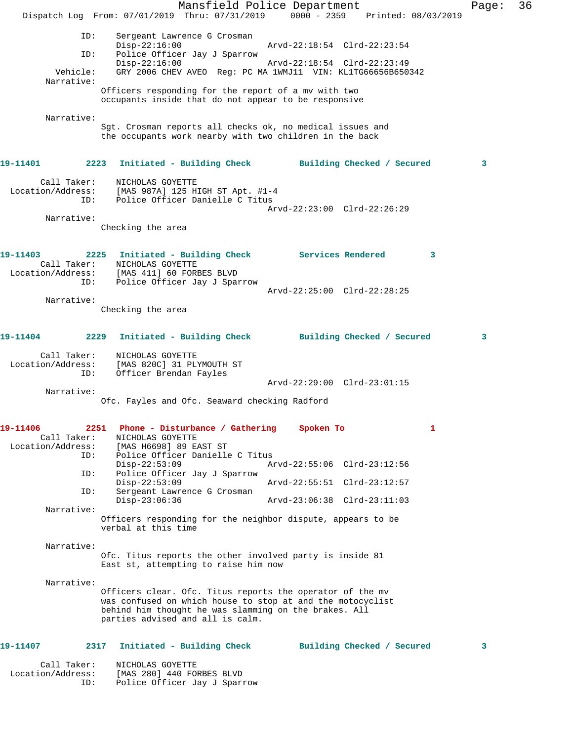|                                  | Dispatch Log From: 07/01/2019 Thru: 07/31/2019 0000 - 2359 Printed: 08/03/2019 | Mansfield Police Department |                             |                            |   | Page: | 36 |
|----------------------------------|--------------------------------------------------------------------------------|-----------------------------|-----------------------------|----------------------------|---|-------|----|
|                                  |                                                                                |                             |                             |                            |   |       |    |
| ID:                              | Sergeant Lawrence G Crosman<br>$Disp-22:16:00$                                 |                             | Arvd-22:18:54 Clrd-22:23:54 |                            |   |       |    |
| ID:                              | Police Officer Jay J Sparrow                                                   |                             |                             |                            |   |       |    |
|                                  | $Disp-22:16:00$                                                                |                             | Arvd-22:18:54 Clrd-22:23:49 |                            |   |       |    |
| Vehicle:<br>Narrative:           | GRY 2006 CHEV AVEO Reg: PC MA 1WMJ11 VIN: KL1TG66656B650342                    |                             |                             |                            |   |       |    |
|                                  | Officers responding for the report of a mv with two                            |                             |                             |                            |   |       |    |
|                                  | occupants inside that do not appear to be responsive                           |                             |                             |                            |   |       |    |
| Narrative:                       |                                                                                |                             |                             |                            |   |       |    |
|                                  | Sgt. Crosman reports all checks ok, no medical issues and                      |                             |                             |                            |   |       |    |
|                                  | the occupants work nearby with two children in the back                        |                             |                             |                            |   |       |    |
| 19-11401                         | 2223 Initiated - Building Check Building Checked / Secured                     |                             |                             |                            |   | 3     |    |
| Call Taker:                      | NICHOLAS GOYETTE                                                               |                             |                             |                            |   |       |    |
|                                  | Location/Address: [MAS 987A] 125 HIGH ST Apt. #1-4                             |                             |                             |                            |   |       |    |
| ID:                              | Police Officer Danielle C Titus                                                |                             |                             |                            |   |       |    |
| Narrative:                       |                                                                                |                             | Arvd-22:23:00 Clrd-22:26:29 |                            |   |       |    |
|                                  | Checking the area                                                              |                             |                             |                            |   |       |    |
|                                  |                                                                                |                             |                             |                            |   |       |    |
| 19-11403                         | 2225 Initiated - Building Check Services Rendered                              |                             |                             |                            | 3 |       |    |
| Call Taker:                      | NICHOLAS GOYETTE                                                               |                             |                             |                            |   |       |    |
|                                  | Location/Address: [MAS 411] 60 FORBES BLVD                                     |                             |                             |                            |   |       |    |
| ID:                              | Police Officer Jay J Sparrow                                                   |                             |                             |                            |   |       |    |
| Narrative:                       |                                                                                |                             | Arvd-22:25:00 Clrd-22:28:25 |                            |   |       |    |
|                                  | Checking the area                                                              |                             |                             |                            |   |       |    |
|                                  |                                                                                |                             |                             |                            |   |       |    |
| 19-11404                         | 2229 Initiated - Building Check Building Checked / Secured                     |                             |                             |                            |   | 3     |    |
| Call Taker:                      | NICHOLAS GOYETTE                                                               |                             |                             |                            |   |       |    |
| Location/Address:                | [MAS 820C] 31 PLYMOUTH ST                                                      |                             |                             |                            |   |       |    |
| ID:                              | Officer Brendan Fayles                                                         |                             | Arvd-22:29:00 Clrd-23:01:15 |                            |   |       |    |
| Narrative:                       |                                                                                |                             |                             |                            |   |       |    |
|                                  | Ofc. Fayles and Ofc. Seaward checking Radford                                  |                             |                             |                            |   |       |    |
|                                  |                                                                                |                             |                             |                            |   |       |    |
| 19-11406                         | 2251<br>Phone - Disturbance / Gathering                                        |                             | Spoken To                   |                            | 1 |       |    |
| Call Taker:<br>Location/Address: | NICHOLAS GOYETTE<br>[MAS H6698] 89 EAST ST                                     |                             |                             |                            |   |       |    |
| ID:                              | Police Officer Danielle C Titus                                                |                             |                             |                            |   |       |    |
|                                  | $Disp-22:53:09$                                                                |                             | Arvd-22:55:06 Clrd-23:12:56 |                            |   |       |    |
| ID:                              | Police Officer Jay J Sparrow<br>$Disp-22:53:09$                                |                             | Arvd-22:55:51 Clrd-23:12:57 |                            |   |       |    |
| ID:                              | Sergeant Lawrence G Crosman                                                    |                             |                             |                            |   |       |    |
|                                  | $Disp-23:06:36$                                                                |                             | Arvd-23:06:38 Clrd-23:11:03 |                            |   |       |    |
| Narrative:                       | Officers responding for the neighbor dispute, appears to be                    |                             |                             |                            |   |       |    |
|                                  | verbal at this time                                                            |                             |                             |                            |   |       |    |
|                                  |                                                                                |                             |                             |                            |   |       |    |
| Narrative:                       | Ofc. Titus reports the other involved party is inside 81                       |                             |                             |                            |   |       |    |
|                                  | East st, attempting to raise him now                                           |                             |                             |                            |   |       |    |
| Narrative:                       |                                                                                |                             |                             |                            |   |       |    |
|                                  | Officers clear. Ofc. Titus reports the operator of the mv                      |                             |                             |                            |   |       |    |
|                                  | was confused on which house to stop at and the motocyclist                     |                             |                             |                            |   |       |    |
|                                  | behind him thought he was slamming on the brakes. All                          |                             |                             |                            |   |       |    |
|                                  | parties advised and all is calm.                                               |                             |                             |                            |   |       |    |
|                                  |                                                                                |                             |                             |                            |   |       |    |
| 19-11407                         | Initiated - Building Check<br>2317                                             |                             |                             | Building Checked / Secured |   | 3     |    |
| Call Taker:                      | NICHOLAS GOYETTE                                                               |                             |                             |                            |   |       |    |
| Location/Address:                | [MAS 280] 440 FORBES BLVD                                                      |                             |                             |                            |   |       |    |
| ID:                              | Police Officer Jay J Sparrow                                                   |                             |                             |                            |   |       |    |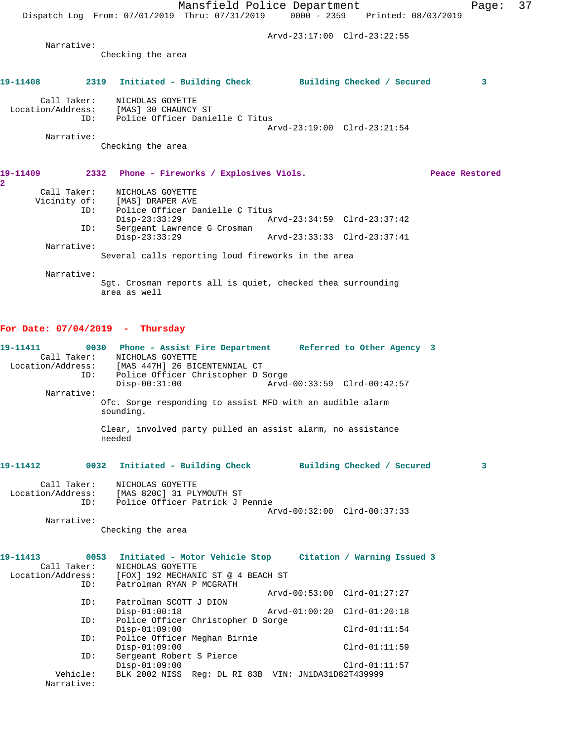|                            | Mansfield Police Department<br>Dispatch Log From: 07/01/2019 Thru: 07/31/2019 0000 - 2359 Printed: 08/03/2019 |                             | Page:          | 37 |
|----------------------------|---------------------------------------------------------------------------------------------------------------|-----------------------------|----------------|----|
|                            |                                                                                                               | Arvd-23:17:00 Clrd-23:22:55 |                |    |
| Narrative:                 | Checking the area                                                                                             |                             |                |    |
| 19-11408                   | 2319 Initiated - Building Check Building Checked / Secured                                                    |                             | 3              |    |
| Call Taker:<br>ID:         | NICHOLAS GOYETTE<br>Location/Address: [MAS] 30 CHAUNCY ST<br>Police Officer Danielle C Titus                  | Arvd-23:19:00 Clrd-23:21:54 |                |    |
| Narrative:                 |                                                                                                               |                             |                |    |
|                            | Checking the area                                                                                             |                             |                |    |
| 19-11409<br>$\mathbf{2}^-$ | 2332 Phone - Fireworks / Explosives Viols.                                                                    |                             | Peace Restored |    |
| Call Taker:                | NICHOLAS GOYETTE                                                                                              |                             |                |    |
|                            | Vicinity of: [MAS] DRAPER AVE                                                                                 |                             |                |    |
| ID:                        | Police Officer Danielle C Titus<br>$Disp-23:33:29$                                                            | Arvd-23:34:59 Clrd-23:37:42 |                |    |
| ID:                        | Sergeant Lawrence G Crosman                                                                                   |                             |                |    |
|                            | $Disp-23:33:29$                                                                                               |                             |                |    |
| Narrative:                 |                                                                                                               |                             |                |    |
|                            | Several calls reporting loud fireworks in the area                                                            |                             |                |    |
| Narrative:                 |                                                                                                               |                             |                |    |
|                            | Sqt. Crosman reports all is quiet, checked thea surrounding                                                   |                             |                |    |

area as well

## **For Date: 07/04/2019 - Thursday**

| 19-11411                |           | 0030 Phone - Assist Fire Department Referred to Other Agency 3<br>Call Taker: NICHOLAS GOYETTE<br>Location/Address: [MAS 447H] 26 BICENTENNIAL CT<br>ID: Police Officer Christopher D Sorge<br>$Disp-00:31:00$ |  | Arvd-00:33:59 Clrd-00:42:57 |   |
|-------------------------|-----------|----------------------------------------------------------------------------------------------------------------------------------------------------------------------------------------------------------------|--|-----------------------------|---|
| Narrative:              | sounding. | Ofc. Sorge responding to assist MFD with an audible alarm                                                                                                                                                      |  |                             |   |
|                         | needed    | Clear, involved party pulled an assist alarm, no assistance                                                                                                                                                    |  |                             |   |
| 19-11412                |           | 0032 Initiated - Building Check Building Checked / Secured                                                                                                                                                     |  |                             | 3 |
| Call Taker:             |           | NICHOLAS GOYETTE<br>Location/Address: [MAS 820C] 31 PLYMOUTH ST<br>ID: Police Officer Patrick J Pennie                                                                                                         |  | Arvd-00:32:00 Clrd-00:37:33 |   |
| Narrative:              |           | Checking the area                                                                                                                                                                                              |  |                             |   |
| 19-11413<br>Call Taker: | ID:       | 0053 Initiated - Motor Vehicle Stop Citation / Warning Issued 3<br>NICHOLAS GOYETTE<br>Location/Address: [FOX] 192 MECHANIC ST @ 4 BEACH ST<br>Patrolman RYAN P MCGRATH                                        |  |                             |   |
|                         |           |                                                                                                                                                                                                                |  | Arvd-00:53:00 Clrd-01:27:27 |   |
| ID:<br>ID:              |           | Patrolman SCOTT J DION<br>$Disp-01:00:18$<br>Police Officer Christopher D Sorge                                                                                                                                |  | Arvd-01:00:20 Clrd-01:20:18 |   |
| ID:                     |           | $Disp-01:09:00$<br>Police Officer Meghan Birnie                                                                                                                                                                |  | $Clrd-01:11:54$             |   |
| ID:                     |           | $Disp-01:09:00$<br>Sergeant Robert S Pierce                                                                                                                                                                    |  | $Clrd-01:11:59$             |   |
| Vehicle:<br>Narrative:  |           | $Disp-01:09:00$<br>BLK 2002 NISS Req: DL RI 83B VIN: JN1DA31D82T439999                                                                                                                                         |  | $Clrd-01:11:57$             |   |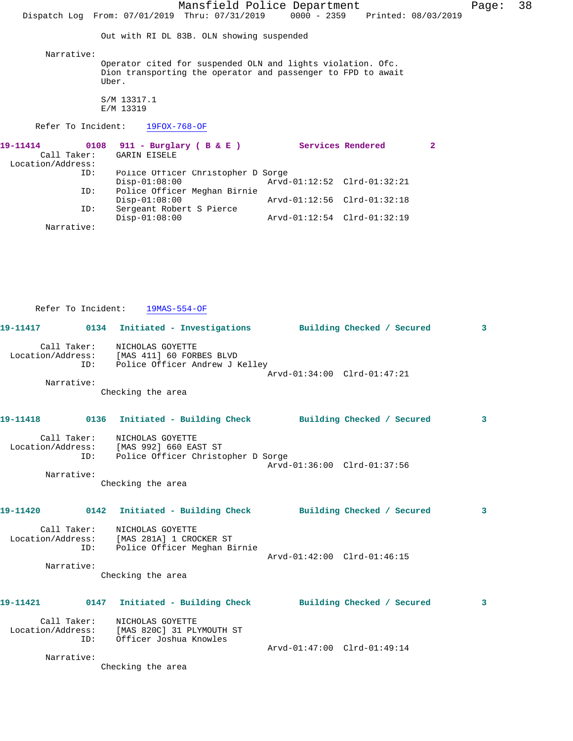Mansfield Police Department Fage: 38 Dispatch Log From: 07/01/2019 Thru: 07/31/2019 0000 - 2359 Printed: 08/03/2019 Out with RI DL 83B. OLN showing suspended Narrative: Operator cited for suspended OLN and lights violation. Ofc. Dion transporting the operator and passenger to FPD to await Uber. S/M 13317.1 E/M 13319 Refer To Incident: 19FOX-768-OF **19-11414 0108 911 - Burglary ( B & E ) Services Rendered 2**  GARIN EISELE Location/Address: Police Officer Christopher D Sorge<br>Disp-01:08:00 Arvd-Disp-01:08:00 <br>ID: Police Officer Meghan Birnie<br>D: Police Officer Meghan Birnie Police Officer Meghan Birnie<br>Disp-01:08:00 Disp-01:08:00 Arvd-01:12:56 Clrd-01:32:18<br>ID: Sergeant Robert S Pierce Sergeant Robert S Pierce<br>Disp-01:08:00 Disp-01:08:00 Arvd-01:12:54 Clrd-01:32:19

Narrative:

Refer To Incident: 19MAS-554-OF

|                   | 19-11417 0134 Initiated - Investigations Building Checked / Secured                                                                |                             |  | $\overline{3}$          |
|-------------------|------------------------------------------------------------------------------------------------------------------------------------|-----------------------------|--|-------------------------|
|                   | Call Taker: NICHOLAS GOYETTE<br>Location/Address: [MAS 411] 60 FORBES BLVD<br>ID: Police Officer Andrew J Kelley                   | Arvd-01:34:00 Clrd-01:47:21 |  |                         |
| Narrative:        | Checking the area                                                                                                                  |                             |  |                         |
|                   | 19-11418 		 0136 Initiated - Building Check 		 Building Checked / Secured                                                          |                             |  | $\mathbf{3}$            |
| ID:<br>Narrative: | Call Taker: NICHOLAS GOYETTE<br>Location/Address: [MAS 992] 660 EAST ST<br>Police Officer Christopher D Sorge<br>Checking the area | Arvd-01:36:00 Clrd-01:37:56 |  |                         |
|                   | 19-11420 		 0142 Initiated - Building Check 		 Building Checked / Secured                                                          |                             |  | $\overline{\mathbf{3}}$ |
| Narrative:        | Call Taker: NICHOLAS GOYETTE<br>Location/Address: [MAS 281A] 1 CROCKER ST<br>ID: Police Officer Meghan Birnie<br>Checking the area | Arvd-01:42:00 Clrd-01:46:15 |  |                         |
|                   |                                                                                                                                    |                             |  | $\overline{\mathbf{3}}$ |
|                   | Call Taker: NICHOLAS GOYETTE<br>Location/Address: [MAS 820C] 31 PLYMOUTH ST<br>ID: Officer Joshua Knowles                          | Arvd-01:47:00 Clrd-01:49:14 |  |                         |
| Narrative:        | Checking the area                                                                                                                  |                             |  |                         |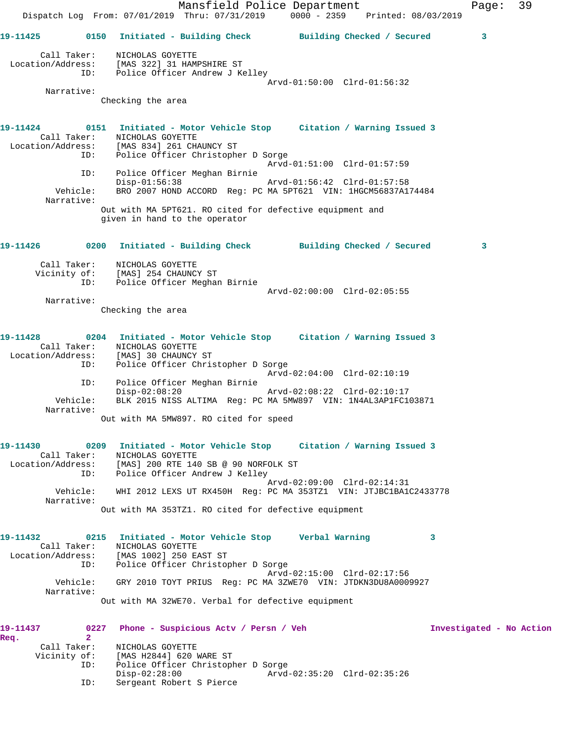Mansfield Police Department Fage: 39 Dispatch Log From: 07/01/2019 Thru: 07/31/2019 0000 - 2359 Printed: 08/03/2019 **19-11425 0150 Initiated - Building Check Building Checked / Secured 3** Call Taker: NICHOLAS GOYETTE Location/Address: [MAS 322] 31 HAMPSHIRE ST ID: Police Officer Andrew J Kelley Arvd-01:50:00 Clrd-01:56:32 Narrative: Checking the area **19-11424 0151 Initiated - Motor Vehicle Stop Citation / Warning Issued 3**  Call Taker: NICHOLAS GOYETTE Location/Address: [MAS 834] 261 CHAUNCY ST ID: Police Officer Christopher D Sorge Arvd-01:51:00 Clrd-01:57:59 ID: Police Officer Meghan Birnie Disp-01:56:38 Arvd-01:56:42 Clrd-01:57:58 Vehicle: BRO 2007 HOND ACCORD Reg: PC MA 5PT621 VIN: 1HGCM56837A174484 Narrative: Out with MA 5PT621. RO cited for defective equipment and given in hand to the operator **19-11426 0200 Initiated - Building Check Building Checked / Secured 3** Call Taker: NICHOLAS GOYETTE Vicinity of: [MAS] 254 CHAUNCY ST ID: Police Officer Meghan Birnie Arvd-02:00:00 Clrd-02:05:55 Narrative: Checking the area **19-11428 0204 Initiated - Motor Vehicle Stop Citation / Warning Issued 3**  Call Taker: NICHOLAS GOYETTE Location/Address: [MAS] 30 CHAUNCY ST ID: Police Officer Christopher D Sorge Arvd-02:04:00 Clrd-02:10:19 ID: Police Officer Meghan Birnie Disp-02:08:20 Arvd-02:08:22 Clrd-02:10:17<br>Vehicle: BLK 2015 NISS ALTIMA Reg: PC MA 5MW897 VIN: 1N4AL3AP1FC10 BLK 2015 NISS ALTIMA Reg: PC MA 5MW897 VIN: 1N4AL3AP1FC103871 Narrative: Out with MA 5MW897. RO cited for speed **19-11430 0209 Initiated - Motor Vehicle Stop Citation / Warning Issued 3**  Call Taker: NICHOLAS GOYETTE Location/Address: [MAS] 200 RTE 140 SB @ 90 NORFOLK ST ID: Police Officer Andrew J Kelley Arvd-02:09:00 Clrd-02:14:31 Vehicle: WHI 2012 LEXS UT RX450H Reg: PC MA 353TZ1 VIN: JTJBC1BA1C2433778 Narrative: Out with MA 353TZ1. RO cited for defective equipment **19-11432 0215 Initiated - Motor Vehicle Stop Verbal Warning 3**  Call Taker: NICHOLAS GOYETTE Location/Address: [MAS 1002] 250 EAST ST ID: Police Officer Christopher D Sorge Arvd-02:15:00 Clrd-02:17:56 Vehicle: GRY 2010 TOYT PRIUS Reg: PC MA 3ZWE70 VIN: JTDKN3DU8A0009927 Narrative: Out with MA 32WE70. Verbal for defective equipment **19-11437 0227 Phone - Suspicious Actv / Persn / Veh Investigated - No Action Req. 2**  Call Taker: NICHOLAS GOYETTE Vicinity of: [MAS H2844] 620 WARE ST ID: Police Officer Christopher D Sorge Disp-02:28:00 Arvd-02:35:20 Clrd-02:35:26

ID: Sergeant Robert S Pierce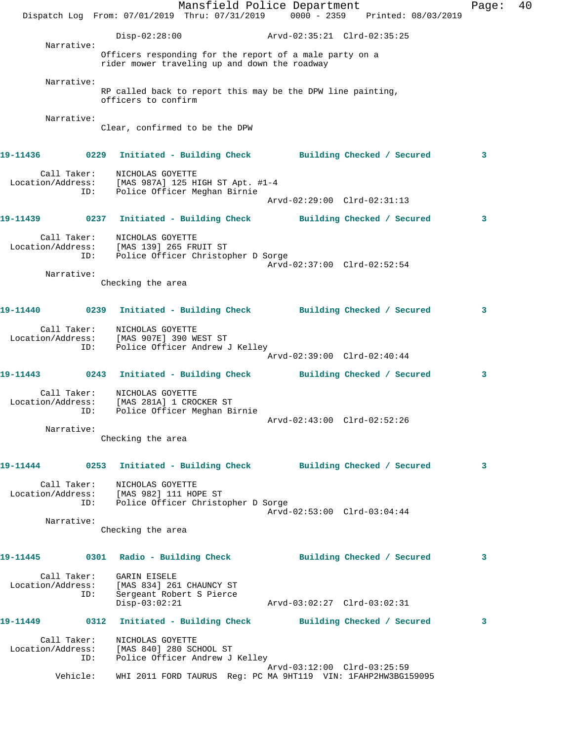Mansfield Police Department Fage: 40 Dispatch Log From: 07/01/2019 Thru: 07/31/2019 0000 - 2359 Printed: 08/03/2019 Disp-02:28:00 Arvd-02:35:21 Clrd-02:35:25 Narrative: Officers responding for the report of a male party on a rider mower traveling up and down the roadway Narrative: RP called back to report this may be the DPW line painting, officers to confirm Narrative: Clear, confirmed to be the DPW **19-11436 0229 Initiated - Building Check Building Checked / Secured 3** Call Taker: NICHOLAS GOYETTE Location/Address: [MAS 987A] 125 HIGH ST Apt. #1-4 ID: Police Officer Meghan Birnie Arvd-02:29:00 Clrd-02:31:13 **19-11439 0237 Initiated - Building Check Building Checked / Secured 3** Call Taker: NICHOLAS GOYETTE Location/Address: [MAS 139] 265 FRUIT ST ID: Police Officer Christopher D Sorge Arvd-02:37:00 Clrd-02:52:54 Narrative: Checking the area **19-11440 0239 Initiated - Building Check Building Checked / Secured 3** Call Taker: NICHOLAS GOYETTE Location/Address: [MAS 907E] 390 WEST ST ID: Police Officer Andrew J Kelley Arvd-02:39:00 Clrd-02:40:44 **19-11443 0243 Initiated - Building Check Building Checked / Secured 3** Call Taker: NICHOLAS GOYETTE Location/Address: [MAS 281A] 1 CROCKER ST ID: Police Officer Meghan Birnie Arvd-02:43:00 Clrd-02:52:26 Narrative: Checking the area **19-11444 0253 Initiated - Building Check Building Checked / Secured 3** Call Taker: NICHOLAS GOYETTE Location/Address: [MAS 982] 111 HOPE ST ID: Police Officer Christopher D Sorge Arvd-02:53:00 Clrd-03:04:44 Narrative: Checking the area **19-11445 0301 Radio - Building Check Building Checked / Secured 3** Call Taker: GARIN EISELE Location/Address: [MAS 834] 261 CHAUNCY ST ress: الساحة الحمد العام العام .<br>ID: Sergeant Robert S Pierce<br>Disp-03:02:21 Disp-03:02:21 Arvd-03:02:27 Clrd-03:02:31 **19-11449 0312 Initiated - Building Check Building Checked / Secured 3** Call Taker: NICHOLAS GOYETTE Location/Address: [MAS 840] 280 SCHOOL ST ID: Police Officer Andrew J Kelley Arvd-03:12:00 Clrd-03:25:59 Vehicle: WHI 2011 FORD TAURUS Reg: PC MA 9HT119 VIN: 1FAHP2HW3BG159095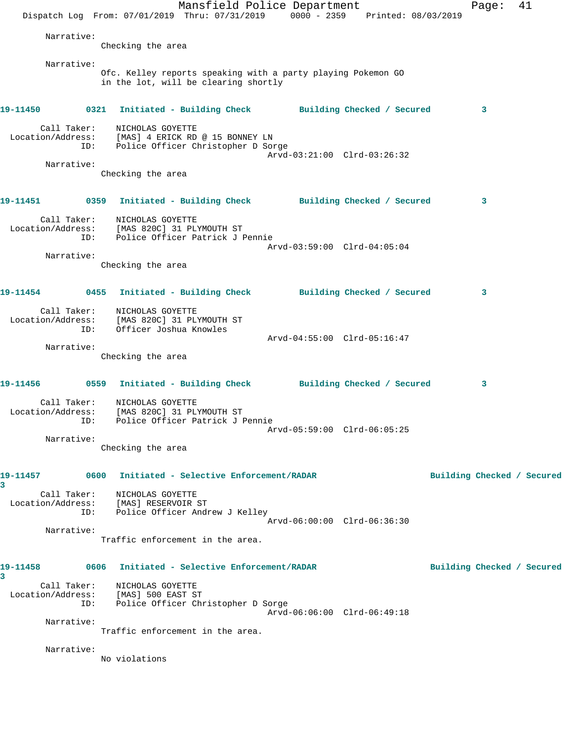| Narrative:<br>Checking the area<br>Narrative:<br>Ofc. Kelley reports speaking with a party playing Pokemon GO<br>in the lot, will be clearing shortly<br>19-11450 0321<br>Initiated - Building Check Building Checked / Secured<br>3<br>Call Taker:<br>NICHOLAS GOYETTE<br>Location/Address: [MAS] 4 ERICK RD @ 15 BONNEY LN<br>Police Officer Christopher D Sorge<br>ID:<br>Arvd-03:21:00 Clrd-03:26:32<br>Narrative:<br>Checking the area<br>19-11451 		 0359 Initiated - Building Check 		 Building Checked / Secured<br>3<br>Call Taker: NICHOLAS GOYETTE<br>Location/Address: [MAS 820C] 31 PLYMOUTH ST<br>Police Officer Patrick J Pennie<br>ID:<br>Arvd-03:59:00 Clrd-04:05:04<br>Narrative:<br>Checking the area<br>19-11454      0455   Initiated - Building Check      Building Checked / Secured<br>3<br>Call Taker:<br>MICHOLAS GOYETTE<br>Location/Address: [MAS 820C] 31 PLYMOUTH ST<br>Officer Joshua Knowles<br>ID:<br>Arvd-04:55:00 Clrd-05:16:47<br>Narrative:<br>Checking the area<br>3<br>Call Taker: NICHOLAS GOYETTE<br>Location/Address:<br>[MAS 820C] 31 PLYMOUTH ST<br>ID: Police Officer Patrick J Pennie<br>Arvd-05:59:00 Clrd-06:05:25<br>Narrative:<br>Checking the area<br>19-11457    0600    Initiated - Selective Enforcement/RADAR<br>Building Checked / Secured<br>3<br>Call Taker: NICHOLAS GOYETTE<br>Location/Address: [MAS] RESERVOIR ST<br>ID: Police Officer Andrew J Kelley<br>Arvd-06:00:00 Clrd-06:36:30<br>Narrative:<br>Traffic enforcement in the area.<br>0606 Initiated - Selective Enforcement/RADAR<br>19-11458<br>Building Checked / Secured<br>3<br>Call Taker: NICHOLAS GOYETTE<br>Location/Address: [MAS] 500 EAST ST<br>ID: Police Officer Christopher D Sorge<br>Arvd-06:06:00 Clrd-06:49:18<br>Narrative:<br>Traffic enforcement in the area.<br>Narrative:<br>No violations | Dispatch Log From: 07/01/2019 Thru: 07/31/2019 0000 - 2359 Printed: 08/03/2019 | Mansfield Police Department |  |  | Page: | 41 |  |
|----------------------------------------------------------------------------------------------------------------------------------------------------------------------------------------------------------------------------------------------------------------------------------------------------------------------------------------------------------------------------------------------------------------------------------------------------------------------------------------------------------------------------------------------------------------------------------------------------------------------------------------------------------------------------------------------------------------------------------------------------------------------------------------------------------------------------------------------------------------------------------------------------------------------------------------------------------------------------------------------------------------------------------------------------------------------------------------------------------------------------------------------------------------------------------------------------------------------------------------------------------------------------------------------------------------------------------------------------------------------------------------------------------------------------------------------------------------------------------------------------------------------------------------------------------------------------------------------------------------------------------------------------------------------------------------------------------------------------------------------------------------------------------------------------------------------------------------|--------------------------------------------------------------------------------|-----------------------------|--|--|-------|----|--|
|                                                                                                                                                                                                                                                                                                                                                                                                                                                                                                                                                                                                                                                                                                                                                                                                                                                                                                                                                                                                                                                                                                                                                                                                                                                                                                                                                                                                                                                                                                                                                                                                                                                                                                                                                                                                                                        |                                                                                |                             |  |  |       |    |  |
|                                                                                                                                                                                                                                                                                                                                                                                                                                                                                                                                                                                                                                                                                                                                                                                                                                                                                                                                                                                                                                                                                                                                                                                                                                                                                                                                                                                                                                                                                                                                                                                                                                                                                                                                                                                                                                        |                                                                                |                             |  |  |       |    |  |
|                                                                                                                                                                                                                                                                                                                                                                                                                                                                                                                                                                                                                                                                                                                                                                                                                                                                                                                                                                                                                                                                                                                                                                                                                                                                                                                                                                                                                                                                                                                                                                                                                                                                                                                                                                                                                                        |                                                                                |                             |  |  |       |    |  |
|                                                                                                                                                                                                                                                                                                                                                                                                                                                                                                                                                                                                                                                                                                                                                                                                                                                                                                                                                                                                                                                                                                                                                                                                                                                                                                                                                                                                                                                                                                                                                                                                                                                                                                                                                                                                                                        |                                                                                |                             |  |  |       |    |  |
|                                                                                                                                                                                                                                                                                                                                                                                                                                                                                                                                                                                                                                                                                                                                                                                                                                                                                                                                                                                                                                                                                                                                                                                                                                                                                                                                                                                                                                                                                                                                                                                                                                                                                                                                                                                                                                        |                                                                                |                             |  |  |       |    |  |
|                                                                                                                                                                                                                                                                                                                                                                                                                                                                                                                                                                                                                                                                                                                                                                                                                                                                                                                                                                                                                                                                                                                                                                                                                                                                                                                                                                                                                                                                                                                                                                                                                                                                                                                                                                                                                                        |                                                                                |                             |  |  |       |    |  |
|                                                                                                                                                                                                                                                                                                                                                                                                                                                                                                                                                                                                                                                                                                                                                                                                                                                                                                                                                                                                                                                                                                                                                                                                                                                                                                                                                                                                                                                                                                                                                                                                                                                                                                                                                                                                                                        |                                                                                |                             |  |  |       |    |  |
|                                                                                                                                                                                                                                                                                                                                                                                                                                                                                                                                                                                                                                                                                                                                                                                                                                                                                                                                                                                                                                                                                                                                                                                                                                                                                                                                                                                                                                                                                                                                                                                                                                                                                                                                                                                                                                        |                                                                                |                             |  |  |       |    |  |
|                                                                                                                                                                                                                                                                                                                                                                                                                                                                                                                                                                                                                                                                                                                                                                                                                                                                                                                                                                                                                                                                                                                                                                                                                                                                                                                                                                                                                                                                                                                                                                                                                                                                                                                                                                                                                                        |                                                                                |                             |  |  |       |    |  |
|                                                                                                                                                                                                                                                                                                                                                                                                                                                                                                                                                                                                                                                                                                                                                                                                                                                                                                                                                                                                                                                                                                                                                                                                                                                                                                                                                                                                                                                                                                                                                                                                                                                                                                                                                                                                                                        |                                                                                |                             |  |  |       |    |  |
|                                                                                                                                                                                                                                                                                                                                                                                                                                                                                                                                                                                                                                                                                                                                                                                                                                                                                                                                                                                                                                                                                                                                                                                                                                                                                                                                                                                                                                                                                                                                                                                                                                                                                                                                                                                                                                        |                                                                                |                             |  |  |       |    |  |
|                                                                                                                                                                                                                                                                                                                                                                                                                                                                                                                                                                                                                                                                                                                                                                                                                                                                                                                                                                                                                                                                                                                                                                                                                                                                                                                                                                                                                                                                                                                                                                                                                                                                                                                                                                                                                                        |                                                                                |                             |  |  |       |    |  |
|                                                                                                                                                                                                                                                                                                                                                                                                                                                                                                                                                                                                                                                                                                                                                                                                                                                                                                                                                                                                                                                                                                                                                                                                                                                                                                                                                                                                                                                                                                                                                                                                                                                                                                                                                                                                                                        |                                                                                |                             |  |  |       |    |  |
|                                                                                                                                                                                                                                                                                                                                                                                                                                                                                                                                                                                                                                                                                                                                                                                                                                                                                                                                                                                                                                                                                                                                                                                                                                                                                                                                                                                                                                                                                                                                                                                                                                                                                                                                                                                                                                        |                                                                                |                             |  |  |       |    |  |
|                                                                                                                                                                                                                                                                                                                                                                                                                                                                                                                                                                                                                                                                                                                                                                                                                                                                                                                                                                                                                                                                                                                                                                                                                                                                                                                                                                                                                                                                                                                                                                                                                                                                                                                                                                                                                                        |                                                                                |                             |  |  |       |    |  |
|                                                                                                                                                                                                                                                                                                                                                                                                                                                                                                                                                                                                                                                                                                                                                                                                                                                                                                                                                                                                                                                                                                                                                                                                                                                                                                                                                                                                                                                                                                                                                                                                                                                                                                                                                                                                                                        |                                                                                |                             |  |  |       |    |  |
|                                                                                                                                                                                                                                                                                                                                                                                                                                                                                                                                                                                                                                                                                                                                                                                                                                                                                                                                                                                                                                                                                                                                                                                                                                                                                                                                                                                                                                                                                                                                                                                                                                                                                                                                                                                                                                        |                                                                                |                             |  |  |       |    |  |
|                                                                                                                                                                                                                                                                                                                                                                                                                                                                                                                                                                                                                                                                                                                                                                                                                                                                                                                                                                                                                                                                                                                                                                                                                                                                                                                                                                                                                                                                                                                                                                                                                                                                                                                                                                                                                                        |                                                                                |                             |  |  |       |    |  |
|                                                                                                                                                                                                                                                                                                                                                                                                                                                                                                                                                                                                                                                                                                                                                                                                                                                                                                                                                                                                                                                                                                                                                                                                                                                                                                                                                                                                                                                                                                                                                                                                                                                                                                                                                                                                                                        |                                                                                |                             |  |  |       |    |  |
|                                                                                                                                                                                                                                                                                                                                                                                                                                                                                                                                                                                                                                                                                                                                                                                                                                                                                                                                                                                                                                                                                                                                                                                                                                                                                                                                                                                                                                                                                                                                                                                                                                                                                                                                                                                                                                        |                                                                                |                             |  |  |       |    |  |
|                                                                                                                                                                                                                                                                                                                                                                                                                                                                                                                                                                                                                                                                                                                                                                                                                                                                                                                                                                                                                                                                                                                                                                                                                                                                                                                                                                                                                                                                                                                                                                                                                                                                                                                                                                                                                                        |                                                                                |                             |  |  |       |    |  |
|                                                                                                                                                                                                                                                                                                                                                                                                                                                                                                                                                                                                                                                                                                                                                                                                                                                                                                                                                                                                                                                                                                                                                                                                                                                                                                                                                                                                                                                                                                                                                                                                                                                                                                                                                                                                                                        |                                                                                |                             |  |  |       |    |  |
|                                                                                                                                                                                                                                                                                                                                                                                                                                                                                                                                                                                                                                                                                                                                                                                                                                                                                                                                                                                                                                                                                                                                                                                                                                                                                                                                                                                                                                                                                                                                                                                                                                                                                                                                                                                                                                        |                                                                                |                             |  |  |       |    |  |
|                                                                                                                                                                                                                                                                                                                                                                                                                                                                                                                                                                                                                                                                                                                                                                                                                                                                                                                                                                                                                                                                                                                                                                                                                                                                                                                                                                                                                                                                                                                                                                                                                                                                                                                                                                                                                                        |                                                                                |                             |  |  |       |    |  |
|                                                                                                                                                                                                                                                                                                                                                                                                                                                                                                                                                                                                                                                                                                                                                                                                                                                                                                                                                                                                                                                                                                                                                                                                                                                                                                                                                                                                                                                                                                                                                                                                                                                                                                                                                                                                                                        |                                                                                |                             |  |  |       |    |  |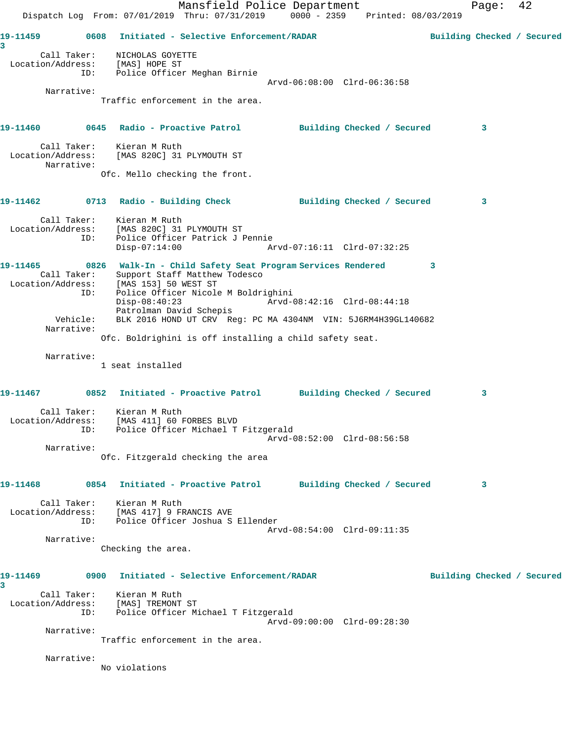Mansfield Police Department Fage: 42 Dispatch Log From: 07/01/2019 Thru: 07/31/2019 0000 - 2359 Printed: 08/03/2019 **19-11459 0608 Initiated - Selective Enforcement/RADAR Building Checked / Secured 3**  Call Taker: NICHOLAS GOYETTE Location/Address: [MAS] HOPE ST ID: Police Officer Meghan Birnie Arvd-06:08:00 Clrd-06:36:58 Narrative: Traffic enforcement in the area. **19-11460 0645 Radio - Proactive Patrol Building Checked / Secured 3** Call Taker: Kieran M Ruth Location/Address: [MAS 820C] 31 PLYMOUTH ST Narrative: Ofc. Mello checking the front. **19-11462 0713 Radio - Building Check Building Checked / Secured 3** Call Taker: Kieran M Ruth Location/Address: [MAS 820C] 31 PLYMOUTH ST ID: Police Officer Patrick J Pennie Disp-07:14:00 Arvd-07:16:11 Clrd-07:32:25 **19-11465 0826 Walk-In - Child Safety Seat Program Services Rendered 3**  Call Taker: Support Staff Matthew Todesco Location/Address: [MAS 153] 50 WEST ST ID: Police Officer Nicole M Boldrighini Disp-08:40:23 Arvd-08:42:16 Clrd-08:44:18 Patrolman David Schepis Vehicle: BLK 2016 HOND UT CRV Reg: PC MA 4304NM VIN: 5J6RM4H39GL140682 Narrative: Ofc. Boldrighini is off installing a child safety seat. Narrative: 1 seat installed **19-11467 0852 Initiated - Proactive Patrol Building Checked / Secured 3** Call Taker: Kieran M Ruth Location/Address: [MAS 411] 60 FORBES BLVD ID: Police Officer Michael T Fitzgerald Arvd-08:52:00 Clrd-08:56:58 Narrative: Ofc. Fitzgerald checking the area **19-11468 0854 Initiated - Proactive Patrol Building Checked / Secured 3** Call Taker: Kieran M Ruth Location/Address: [MAS 417] 9 FRANCIS AVE ID: Police Officer Joshua S Ellender Arvd-08:54:00 Clrd-09:11:35 Narrative: Checking the area. **19-11469 0900 Initiated - Selective Enforcement/RADAR Building Checked / Secured 3**  Call Taker: Kieran M Ruth Location/Address: [MAS] TREMONT ST ID: Police Officer Michael T Fitzgerald Arvd-09:00:00 Clrd-09:28:30 Narrative: Traffic enforcement in the area. Narrative: No violations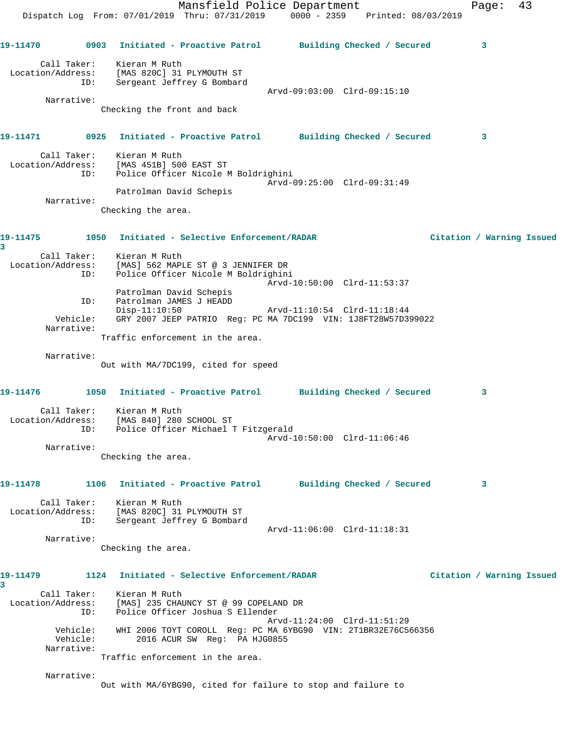|                                                                                  |                                                                                  | Mansfield Police Department                                                                   |  |                             | Page:                     | 43 |
|----------------------------------------------------------------------------------|----------------------------------------------------------------------------------|-----------------------------------------------------------------------------------------------|--|-----------------------------|---------------------------|----|
|                                                                                  | Dispatch Log From: 07/01/2019 Thru: 07/31/2019 0000 - 2359 Printed: 08/03/2019   |                                                                                               |  |                             |                           |    |
|                                                                                  |                                                                                  |                                                                                               |  |                             |                           |    |
| 19-11470      0903 Initiated - Proactive Patrol     Building Checked / Secured   |                                                                                  |                                                                                               |  |                             | 3                         |    |
| Call Taker:                                                                      | Kieran M Ruth                                                                    |                                                                                               |  |                             |                           |    |
| Location/Address: [MAS 820C] 31 PLYMOUTH ST                                      |                                                                                  |                                                                                               |  |                             |                           |    |
| ID:                                                                              |                                                                                  | Sergeant Jeffrey G Bombard                                                                    |  | Arvd-09:03:00 Clrd-09:15:10 |                           |    |
| Narrative:                                                                       |                                                                                  |                                                                                               |  |                             |                           |    |
|                                                                                  | Checking the front and back                                                      |                                                                                               |  |                             |                           |    |
| 19-11471      0925   Initiated - Proactive Patrol     Building Checked / Secured |                                                                                  |                                                                                               |  |                             |                           |    |
|                                                                                  |                                                                                  |                                                                                               |  |                             | 3                         |    |
|                                                                                  | Call Taker: Kieran M Ruth                                                        |                                                                                               |  |                             |                           |    |
| Location/Address: [MAS 451B] 500 EAST ST<br>ID:                                  |                                                                                  | Police Officer Nicole M Boldrighini                                                           |  |                             |                           |    |
|                                                                                  |                                                                                  |                                                                                               |  | Arvd-09:25:00 Clrd-09:31:49 |                           |    |
| Narrative:                                                                       | Patrolman David Schepis                                                          |                                                                                               |  |                             |                           |    |
|                                                                                  | Checking the area.                                                               |                                                                                               |  |                             |                           |    |
|                                                                                  |                                                                                  |                                                                                               |  |                             |                           |    |
| 19-11475    1050    Initiated - Selective Enforcement/RADAR                      |                                                                                  |                                                                                               |  |                             | Citation / Warning Issued |    |
| 3                                                                                | Call Taker: Kieran M Ruth                                                        |                                                                                               |  |                             |                           |    |
| Location/Address: [MAS] 562 MAPLE ST @ 3 JENNIFER DR                             |                                                                                  |                                                                                               |  |                             |                           |    |
| ID:                                                                              |                                                                                  | Police Officer Nicole M Boldrighini                                                           |  |                             |                           |    |
|                                                                                  | Patrolman David Schepis                                                          |                                                                                               |  | Arvd-10:50:00 Clrd-11:53:37 |                           |    |
| ID:                                                                              | Patrolman JAMES J HEADD                                                          |                                                                                               |  |                             |                           |    |
| Vehicle:                                                                         | $Disp-11:10:50$<br>GRY 2007 JEEP PATRIO Reg: PC MA 7DC199 VIN: 1J8FT28W57D399022 |                                                                                               |  | Arvd-11:10:54 Clrd-11:18:44 |                           |    |
| Narrative:                                                                       |                                                                                  |                                                                                               |  |                             |                           |    |
|                                                                                  | Traffic enforcement in the area.                                                 |                                                                                               |  |                             |                           |    |
| Narrative:                                                                       |                                                                                  |                                                                                               |  |                             |                           |    |
|                                                                                  | Out with MA/7DC199, cited for speed                                              |                                                                                               |  |                             |                           |    |
|                                                                                  |                                                                                  |                                                                                               |  |                             |                           |    |
| 19-11476 1050 Initiated - Proactive Patrol Building Checked / Secured            |                                                                                  |                                                                                               |  |                             | 3                         |    |
| Call Taker:                                                                      | Kieran M Ruth                                                                    |                                                                                               |  |                             |                           |    |
| Location/Address: [MAS 840] 280 SCHOOL ST                                        |                                                                                  | Police Officer Michael T Fitzgerald                                                           |  |                             |                           |    |
| ID:                                                                              |                                                                                  |                                                                                               |  | Arvd-10:50:00 Clrd-11:06:46 |                           |    |
| Narrative:                                                                       |                                                                                  |                                                                                               |  |                             |                           |    |
|                                                                                  | Checking the area.                                                               |                                                                                               |  |                             |                           |    |
| 19-11478                                                                         | 1106 Initiated - Proactive Patrol                                                |                                                                                               |  | Building Checked / Secured  | 3                         |    |
|                                                                                  |                                                                                  |                                                                                               |  |                             |                           |    |
| Call Taker:<br>Location/Address:                                                 | Kieran M Ruth<br>[MAS 820C] 31 PLYMOUTH ST                                       |                                                                                               |  |                             |                           |    |
| ID:                                                                              |                                                                                  | Sergeant Jeffrey G Bombard                                                                    |  |                             |                           |    |
|                                                                                  |                                                                                  |                                                                                               |  | Arvd-11:06:00 Clrd-11:18:31 |                           |    |
| Narrative:                                                                       | Checking the area.                                                               |                                                                                               |  |                             |                           |    |
|                                                                                  |                                                                                  |                                                                                               |  |                             |                           |    |
| 19-11479                                                                         | 1124                                                                             | Initiated - Selective Enforcement/RADAR                                                       |  |                             | Citation / Warning Issued |    |
| 3                                                                                |                                                                                  |                                                                                               |  |                             |                           |    |
| Call Taker:<br>Location/Address:                                                 | Kieran M Ruth<br>[MAS] 235 CHAUNCY ST @ 99 COPELAND DR                           |                                                                                               |  |                             |                           |    |
| ID:                                                                              |                                                                                  | Police Officer Joshua S Ellender                                                              |  |                             |                           |    |
|                                                                                  |                                                                                  |                                                                                               |  | Arvd-11:24:00 Clrd-11:51:29 |                           |    |
| Vehicle:<br>Vehicle:                                                             |                                                                                  | WHI 2006 TOYT COROLL Reg: PC MA 6YBG90 VIN: 2T1BR32E76C566356<br>2016 ACUR SW Reg: PA HJG0855 |  |                             |                           |    |
| Narrative:                                                                       |                                                                                  |                                                                                               |  |                             |                           |    |
|                                                                                  | Traffic enforcement in the area.                                                 |                                                                                               |  |                             |                           |    |
| Narrative:                                                                       |                                                                                  |                                                                                               |  |                             |                           |    |
|                                                                                  | Out with MA/6YBG90, cited for failure to stop and failure to                     |                                                                                               |  |                             |                           |    |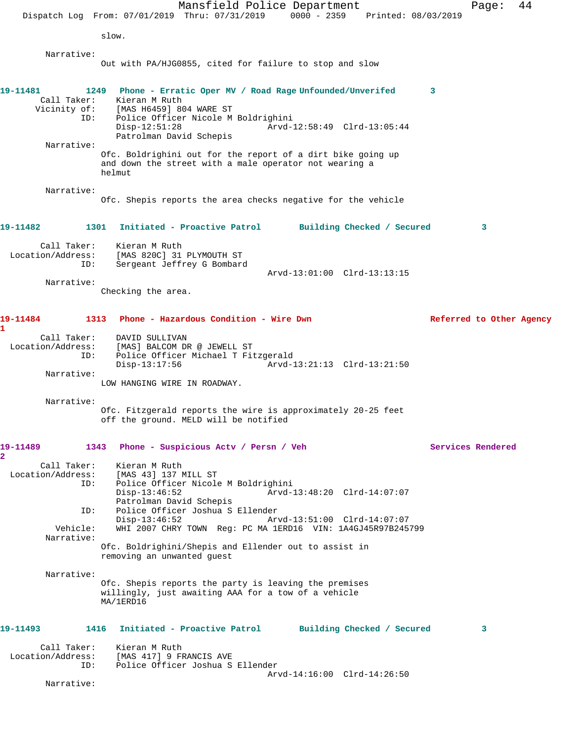Mansfield Police Department Fage: 44 Dispatch Log From: 07/01/2019 Thru: 07/31/2019 0000 - 2359 Printed: 08/03/2019 slow. Narrative: Out with PA/HJG0855, cited for failure to stop and slow **19-11481 1249 Phone - Erratic Oper MV / Road Rage Unfounded/Unverifed 3**  Call Taker: Kieran M Ruth Vicinity of: [MAS H6459] 804 WARE ST<br>ID: Police Officer Nicole M Police Officer Nicole M Boldrighini<br>Disp-12:51:28 Arvd-1 Arvd-12:58:49 Clrd-13:05:44 Patrolman David Schepis Narrative: Ofc. Boldrighini out for the report of a dirt bike going up and down the street with a male operator not wearing a helmut Narrative: Ofc. Shepis reports the area checks negative for the vehicle **19-11482 1301 Initiated - Proactive Patrol Building Checked / Secured 3** Call Taker: Kieran M Ruth Location/Address: [MAS 820C] 31 PLYMOUTH ST ID: Sergeant Jeffrey G Bombard Arvd-13:01:00 Clrd-13:13:15 Narrative: Checking the area. **19-11484 1313 Phone - Hazardous Condition - Wire Dwn Referred to Other Agency 1**  Call Taker: DAVID SULLIVAN Location/Address: [MAS] BALCOM DR @ JEWELL ST Police Officer Michael T Fitzgerald Disp-13:17:56 Arvd-13:21:13 Clrd-13:21:50 Narrative: LOW HANGING WIRE IN ROADWAY. Narrative: Ofc. Fitzgerald reports the wire is approximately 20-25 feet off the ground. MELD will be notified **19-11489 1343 Phone - Suspicious Actv / Persn / Veh Services Rendered 2**  Call Taker: Kieran M Ruth<br>Location/Address: [MAS 43] 137 M ess: [MAS 43] 137 MILL ST<br>ID: Police Officer Nicole Police Officer Nicole M Boldrighini<br>Disp-13:46:52 Arvd- Disp-13:46:52 Arvd-13:48:20 Clrd-14:07:07 Patrolman David Schepis ID: Police Officer Joshua S Ellender Disp-13:46:52 Arvd-13:51:00 Clrd-14:07:07<br>Vehicle: WHI 2007 CHRY TOWN Req: PC MA 1ERD16 VIN: 1A4GJ45R97B245 WHI 2007 CHRY TOWN Reg: PC MA 1ERD16 VIN: 1A4GJ45R97B245799 Narrative: Ofc. Boldrighini/Shepis and Ellender out to assist in removing an unwanted guest Narrative: Ofc. Shepis reports the party is leaving the premises willingly, just awaiting AAA for a tow of a vehicle MA/1ERD16 **19-11493 1416 Initiated - Proactive Patrol Building Checked / Secured 3** Call Taker: Kieran M Ruth Location/Address: [MAS 417] 9 FRANCIS AVE IMAS 4171 2 FAUNCER 100<br>Police Officer Joshua S Ellender Arvd-14:16:00 Clrd-14:26:50 Narrative: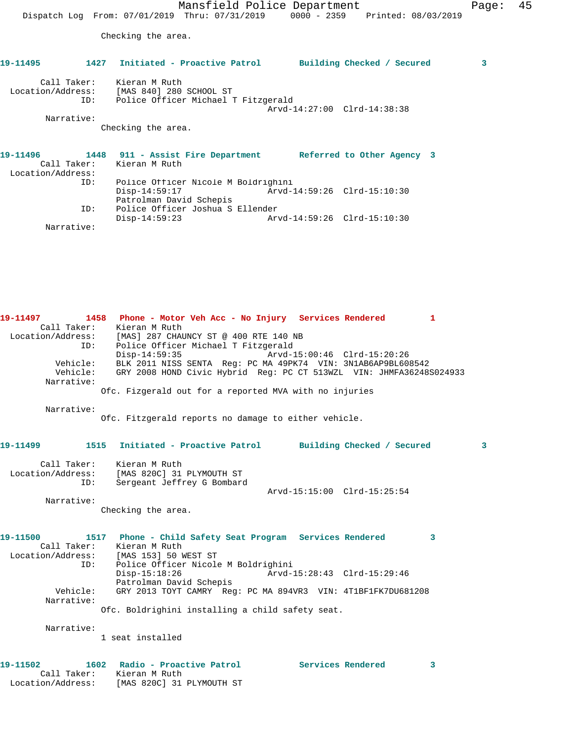Mansfield Police Department Fage: 45 Dispatch Log From: 07/01/2019 Thru: 07/31/2019 0000 - 2359 Printed: 08/03/2019 Checking the area. **19-11495 1427 Initiated - Proactive Patrol Building Checked / Secured 3** Call Taker: Kieran M Ruth Location/Address: [MAS 840] 280 SCHOOL ST ID: Police Officer Michael T Fitzgerald Arvd-14:27:00 Clrd-14:38:38 Narrative: Checking the area. **19-11496 1448 911 - Assist Fire Department Referred to Other Agency 3**  Call Taker: Kieran M Ruth Location/Address: ID: Police Officer Nicole M Boldrighini Disp-14:59:17 Arvd-14:59:26 Clrd-15:10:30 Patrolman David Schepis<br>TD: Police Officer Joshua S Police Officer Joshua S Ellender<br>Disp-14:59:23 Arv

Narrative:

Location/Address: [MAS 820C] 31 PLYMOUTH ST

Disp-14:59:23 Arvd-14:59:26 Clrd-15:10:30

**19-11497 1458 Phone - Motor Veh Acc - No Injury Services Rendered 1**  Call Taker: Kieran M Ruth Location/Address: [MAS] 287 CHAUNCY ST @ 400 RTE 140 NB ID: Police Officer Michael T Fitzgerald Disp-14:59:35 Arvd-15:00:46 Clrd-15:20:26 Vehicle: BLK 2011 NISS SENTA Reg: PC MA 49PK74 VIN: 3N1AB6AP9BL608542 Vehicle: GRY 2008 HOND Civic Hybrid Reg: PC CT 513WZL VIN: JHMFA36248S024933 Narrative: Ofc. Fizgerald out for a reported MVA with no injuries Narrative: Ofc. Fitzgerald reports no damage to either vehicle. **19-11499 1515 Initiated - Proactive Patrol Building Checked / Secured 3** Call Taker: Kieran M Ruth Location/Address: [MAS 820C] 31 PLYMOUTH ST ID: Sergeant Jeffrey G Bombard Arvd-15:15:00 Clrd-15:25:54 Narrative: Checking the area. **19-11500 1517 Phone - Child Safety Seat Program Services Rendered 3**  Call Taker: Kieran M Ruth Location/Address: [MAS 153] 50 WEST ST ID: Police Officer Nicole M Boldrighini Disp-15:18:26 Arvd-15:28:43 Clrd-15:29:46 Patrolman David Schepis Vehicle: GRY 2013 TOYT CAMRY Reg: PC MA 894VR3 VIN: 4T1BF1FK7DU681208 Narrative: Ofc. Boldrighini installing a child safety seat. Narrative: 1 seat installed **19-11502 1602 Radio - Proactive Patrol Services Rendered 3**  Call Taker: Kieran M Ruth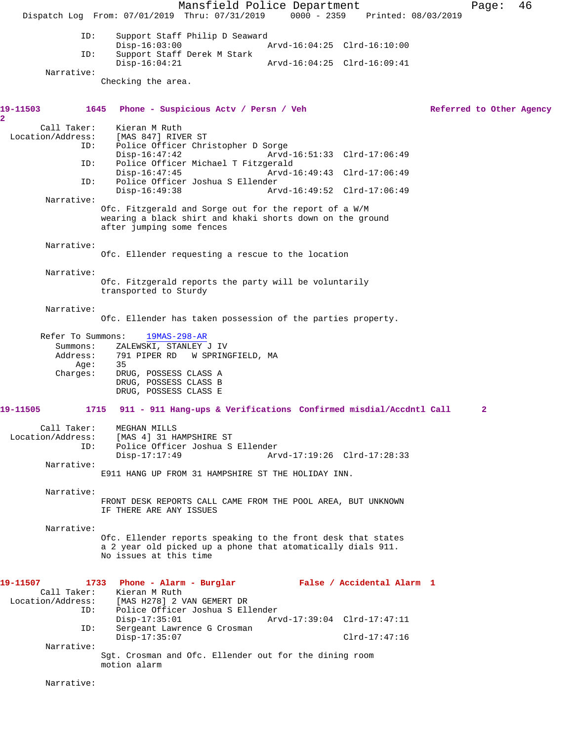Mansfield Police Department Page: 46 Dispatch Log From: 07/01/2019 Thru: 07/31/2019 0000 - 2359 Printed: 08/03/2019 ID: Support Staff Philip D Seaward<br>Disp-16:03:00 P Disp-16:03:00 Arvd-16:04:25 Clrd-16:10:00<br>ID: Support Staff Derek M Stark Support Staff Derek M Stark<br>Disp-16:04:21 Disp-16:04:21 Arvd-16:04:25 Clrd-16:09:41 Narrative: Checking the area. 19-11503 1645 Phone - Suspicious Actv / Persn / Veh Referred to Other Agency **2**  Call Taker: Kieran M Ruth<br>Location/Address: [MAS 847] RIVI [MAS 847] RIVER ST ID: Police Officer Christopher D Sorge Disp-16:47:42 Arvd-16:51:33 Clrd-17:06:49<br>ID: Police Officer Michael T Fitzgerald Police Officer Michael T Fitzgerald<br>Disp-16:47:45 Arvd-1 Arvd-16:49:43 Clrd-17:06:49 ID: Police Officer Joshua S Ellender Disp-16:49:38 Arvd-16:49:52 Clrd-17:06:49 Narrative: Ofc. Fitzgerald and Sorge out for the report of a W/M wearing a black shirt and khaki shorts down on the ground after jumping some fences Narrative: Ofc. Ellender requesting a rescue to the location Narrative: Ofc. Fitzgerald reports the party will be voluntarily transported to Sturdy Narrative: Ofc. Ellender has taken possession of the parties property. Refer To Summons: 19MAS-298-AR Summons: ZALEWSKI, STANLEY J IV<br>Address: 791 PIPER RD W SPRING 791 PIPER RD W SPRINGFIELD, MA<br>35 Age:<br>:Charges DRUG, POSSESS CLASS A DRUG, POSSESS CLASS B DRUG, POSSESS CLASS E **19-11505 1715 911 - 911 Hang-ups & Verifications Confirmed misdial/Accdntl Call 2** Call Taker: MEGHAN MILLS Location/Address: [MAS 4] 31 HAMPSHIRE ST Police Officer Joshua S Ellender<br>Disp-17:17:49 Ar Arvd-17:19:26 Clrd-17:28:33 Narrative: E911 HANG UP FROM 31 HAMPSHIRE ST THE HOLIDAY INN. Narrative: FRONT DESK REPORTS CALL CAME FROM THE POOL AREA, BUT UNKNOWN IF THERE ARE ANY ISSUES Narrative: Ofc. Ellender reports speaking to the front desk that states a 2 year old picked up a phone that atomatically dials 911. No issues at this time **19-11507 1733 Phone - Alarm - Burglar False / Accidental Alarm 1**  Kieran M Ruth Location/Address: [MAS H278] 2 VAN GEMERT DR ID: Police Officer Joshua S Ellender Disp-17:35:01 Arvd-17:39:04 Clrd-17:47:11<br>TD: Sergeant Lawrence G Crosman Sergeant Lawrence G Crosman Disp-17:35:07 Clrd-17:47:16 Narrative: Sgt. Crosman and Ofc. Ellender out for the dining room motion alarm Narrative: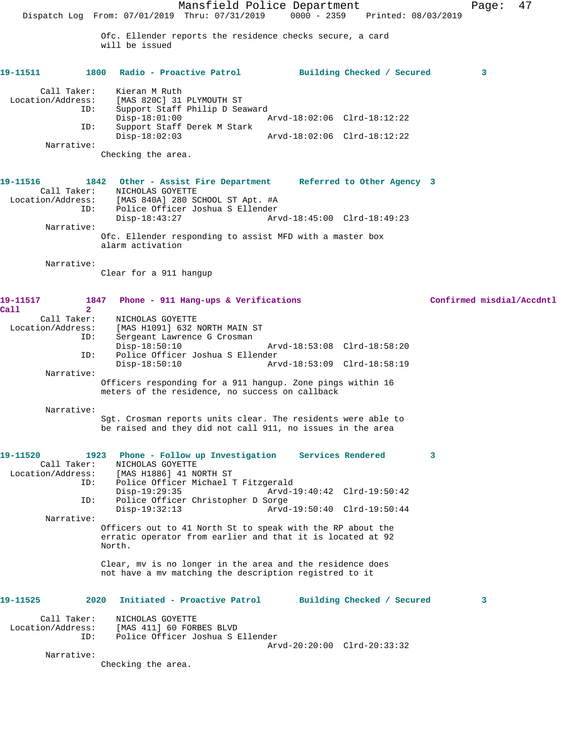Mansfield Police Department Fage: 47 Dispatch Log From: 07/01/2019 Thru: 07/31/2019 0000 - 2359 Printed: 08/03/2019 Ofc. Ellender reports the residence checks secure, a card will be issued **19-11511 1800 Radio - Proactive Patrol Building Checked / Secured 3** Call Taker: Kieran M Ruth Location/Address: [MAS 820C] 31 PLYMOUTH ST Support Staff Philip D Seaward<br>Disp-18:01:00 7 Disp-18:01:00 <br>TD: Support Staff Derek M Stark<br>TD: Support Staff Derek M Stark Support Staff Derek M Stark<br>Disp-18:02:03 Disp-18:02:03 Arvd-18:02:06 Clrd-18:12:22 Narrative: Checking the area. **19-11516 1842 Other - Assist Fire Department Referred to Other Agency 3**  Call Taker: NICHOLAS GOYETTE Location/Address: [MAS 840A] 280 SCHOOL ST Apt. #A ID: Police Officer Joshua S Ellender Disp-18:43:27 Arvd-18:45:00 Clrd-18:49:23 Narrative: Ofc. Ellender responding to assist MFD with a master box alarm activation Narrative: Clear for a 911 hangup **19-11517 1847 Phone - 911 Hang-ups & Verifications Confirmed misdial/Accdntl Call 2**  NICHOLAS GOYETTE Location/Address: [MAS H1091] 632 NORTH MAIN ST ID: Sergeant Lawrence G Crosman Disp-18:50:10 Arvd-18:53:08 Clrd-18:58:20<br>ID: Police Officer Joshua S Ellender Police Officer Joshua S Ellender<br>Disp-18:50:10 Ar Disp-18:50:10 Arvd-18:53:09 Clrd-18:58:19 Narrative: Officers responding for a 911 hangup. Zone pings within 16 meters of the residence, no success on callback Narrative: Sgt. Crosman reports units clear. The residents were able to be raised and they did not call 911, no issues in the area **19-11520 1923 Phone - Follow up Investigation Services Rendered 3**  Call Taker: NICHOLAS GOYETTE<br>Location/Address: [MAS H1886] 41 N ess: [MAS H1886] 41 NORTH ST<br>ID: Police Officer Michael ' Police Officer Michael T Fitzgerald<br>Disp-19:29:35 Arvd-1 Disp-19:29:35 Arvd-19:40:42 Clrd-19:50:42 ID: Police Officer Christopher D Sorge Disp-19:32:13 Arvd-19:50:40 Clrd-19:50:44 Narrative: Officers out to 41 North St to speak with the RP about the erratic operator from earlier and that it is located at 92 North. Clear, mv is no longer in the area and the residence does not have a mv matching the description registred to it **19-11525 2020 Initiated - Proactive Patrol Building Checked / Secured 3** Call Taker: NICHOLAS GOYETTE Location/Address: [MAS 411] 60 FORBES BLVD ID: Police Officer Joshua S Ellender Arvd-20:20:00 Clrd-20:33:32 Narrative: Checking the area.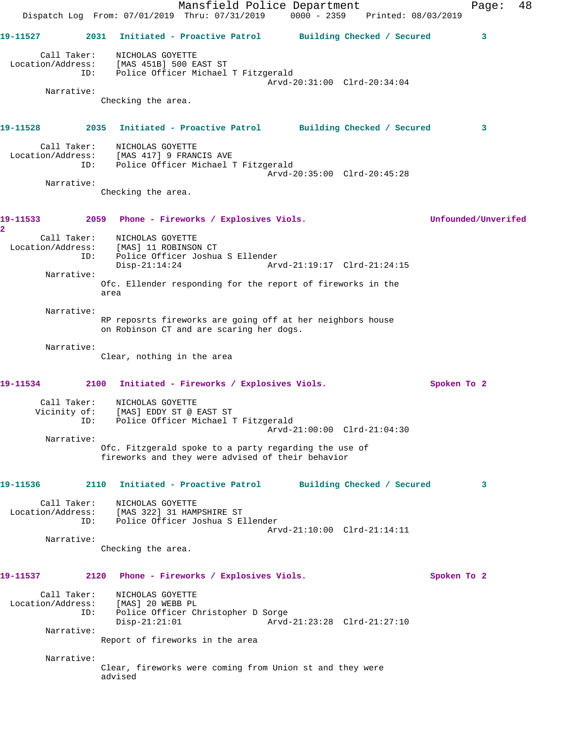Mansfield Police Department Fage: 48 Dispatch Log From: 07/01/2019 Thru: 07/31/2019 0000 - 2359 Printed: 08/03/2019 **19-11527 2031 Initiated - Proactive Patrol Building Checked / Secured 3** Call Taker: NICHOLAS GOYETTE Location/Address: [MAS 451B] 500 EAST ST ID: Police Officer Michael T Fitzgerald Arvd-20:31:00 Clrd-20:34:04 Narrative: Checking the area. **19-11528 2035 Initiated - Proactive Patrol Building Checked / Secured 3** Call Taker: NICHOLAS GOYETTE Location/Address: [MAS 417] 9 FRANCIS AVE ID: Police Officer Michael T Fitzgerald Arvd-20:35:00 Clrd-20:45:28 Narrative: Checking the area. **19-11533 2059 Phone - Fireworks / Explosives Viols. Unfounded/Unverifed 2**  Call Taker: NICHOLAS GOYETTE Location/Address: [MAS] 11 ROBINSON CT ID: Police Officer Joshua S Ellender Disp-21:14:24 Arvd-21:19:17 Clrd-21:24:15 Narrative: Ofc. Ellender responding for the report of fireworks in the area Narrative: RP reposrts fireworks are going off at her neighbors house on Robinson CT and are scaring her dogs. Narrative: Clear, nothing in the area **19-11534 2100 Initiated - Fireworks / Explosives Viols. Spoken To 2** Call Taker: NICHOLAS GOYETTE Vicinity of: [MAS] EDDY ST @ EAST ST ID: Police Officer Michael T Fitzgerald Arvd-21:00:00 Clrd-21:04:30 Narrative: Ofc. Fitzgerald spoke to a party regarding the use of fireworks and they were advised of their behavior **19-11536 2110 Initiated - Proactive Patrol Building Checked / Secured 3** Call Taker: NICHOLAS GOYETTE Location/Address: [MAS 322] 31 HAMPSHIRE ST ID: Police Officer Joshua S Ellender Arvd-21:10:00 Clrd-21:14:11 Narrative: Checking the area. **19-11537 2120 Phone - Fireworks / Explosives Viols. Spoken To 2** Call Taker: NICHOLAS GOYETTE Location/Address: [MAS] 20 WEBB PL Police Officer Christopher D Sorge<br>Disp-21:21:01 Arvd- Disp-21:21:01 Arvd-21:23:28 Clrd-21:27:10 Narrative: Report of fireworks in the area Narrative: Clear, fireworks were coming from Union st and they were advised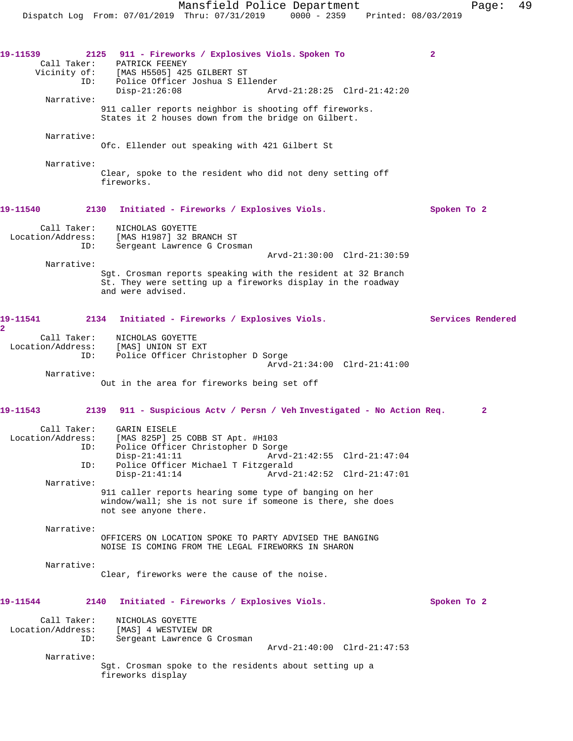Mansfield Police Department Page: 49 Dispatch Log From: 07/01/2019 Thru: 07/31/2019 0000 - 2359 Printed: 08/03/2019 **19-11539 2125 911 - Fireworks / Explosives Viols. Spoken To 2**  Call Taker: PATRICK FEENEY Vicinity of: [MAS H5505] 425 GILBERT ST ID: Police Officer Joshua S Ellender Disp-21:26:08 Arvd-21:28:25 Clrd-21:42:20 Narrative: 911 caller reports neighbor is shooting off fireworks. States it 2 houses down from the bridge on Gilbert. Narrative: Ofc. Ellender out speaking with 421 Gilbert St

 Narrative: Clear, spoke to the resident who did not deny setting off fireworks.

### **19-11540 2130 Initiated - Fireworks / Explosives Viols. Spoken To 2**

 Call Taker: NICHOLAS GOYETTE Location/Address: [MAS H1987] 32 BRANCH ST ID: Sergeant Lawrence G Crosman Arvd-21:30:00 Clrd-21:30:59

Narrative:

Sgt. Crosman reports speaking with the resident at 32 Branch St. They were setting up a fireworks display in the roadway and were advised.

#### **19-11541 2134 Initiated - Fireworks / Explosives Viols. Services Rendered 2**  Call Taker: NICHOLAS GOYETTE Location/Address: [MAS] UNION ST EXT<br>ID: Police Officer Chr. Police Officer Christopher D Sorge Arvd-21:34:00 Clrd-21:41:00

Narrative:

Out in the area for fireworks being set off

# **19-11543 2139 911 - Suspicious Actv / Persn / Veh Investigated - No Action Req. 2** Call Taker: GARIN EISELE Location/Address: [MAS 825P] 25 COBB ST Apt. #H103 ID: Police Officer Christopher D Sorge

 Disp-21:41:11 Arvd-21:42:55 Clrd-21:47:04 ID: Police Officer Michael T Fitzgerald Disp-21:41:14 Arvd-21:42:52 Clrd-21:47:01 Narrative: 911 caller reports hearing some type of banging on her

window/wall; she is not sure if someone is there, she does not see anyone there.

 Narrative: OFFICERS ON LOCATION SPOKE TO PARTY ADVISED THE BANGING NOISE IS COMING FROM THE LEGAL FIREWORKS IN SHARON

 Narrative: Clear, fireworks were the cause of the noise.

# **19-11544 2140 Initiated - Fireworks / Explosives Viols. Spoken To 2**

 Call Taker: NICHOLAS GOYETTE Location/Address: [MAS] 4 WESTVIEW DR ID: Sergeant Lawrence G Crosman Arvd-21:40:00 Clrd-21:47:53

Narrative:

Sgt. Crosman spoke to the residents about setting up a fireworks display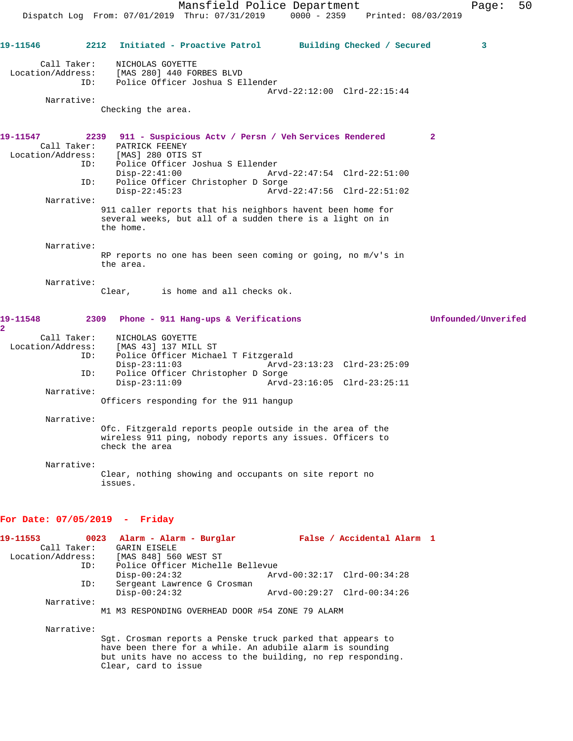**19-11546 2212 Initiated - Proactive Patrol Building Checked / Secured 3** Call Taker: NICHOLAS GOYETTE Location/Address: [MAS 280] 440 FORBES BLVD ID: Police Officer Joshua S Ellender Arvd-22:12:00 Clrd-22:15:44 Narrative: Checking the area. **19-11547 2239 911 - Suspicious Actv / Persn / Veh Services Rendered 2**  Call Taker: PATRICK FEENEY Location/Address: [MAS] 280 OTIS ST ID: Police Officer Joshua S Ellender Disp-22:41:00 Arvd-22:47:54 Clrd-22:51:00 ID: Police Officer Christopher D Sorge Disp-22:45:23 Arvd-22:47:56 Clrd-22:51:02 Narrative: 911 caller reports that his neighbors havent been home for several weeks, but all of a sudden there is a light on in the home. Narrative: RP reports no one has been seen coming or going, no m/v's in the area. Narrative:<br>Clear, is home and all checks ok. **19-11548 2309 Phone - 911 Hang-ups & Verifications Unfounded/Unverifed 2**  Call Taker: NICHOLAS GOYETTE Location/Address: [MAS 43] 137 MILL ST<br>ID: Police Officer Michae Police Officer Michael T Fitzgerald Disp-23:11:03 Arvd-23:13:23 Clrd-23:25:09 ID: Police Officer Christopher D Sorge<br>Disp-23:11:09 Arvd-Arvd-23:16:05 Clrd-23:25:11 Narrative: Officers responding for the 911 hangup Narrative: Ofc. Fitzgerald reports people outside in the area of the wireless 911 ping, nobody reports any issues. Officers to check the area Narrative: Clear, nothing showing and occupants on site report no issues. **For Date: 07/05/2019 - Friday**

### **19-11553 0023 Alarm - Alarm - Burglar False / Accidental Alarm 1**  Call Taker: GARIN EISELE Location/Address: [MAS 848] 560 WEST ST ID: Police Officer Michelle Bellevue Disp-00:24:32 Arvd-00:32:17 Clrd-00:34:28 ID: Sergeant Lawrence G Crosman Disp-00:24:32 Arvd-00:29:27 Clrd-00:34:26 Narrative: M1 M3 RESPONDING OVERHEAD DOOR #54 ZONE 79 ALARM Narrative:

Sgt. Crosman reports a Penske truck parked that appears to have been there for a while. An adubile alarm is sounding but units have no access to the building, no rep responding. Clear, card to issue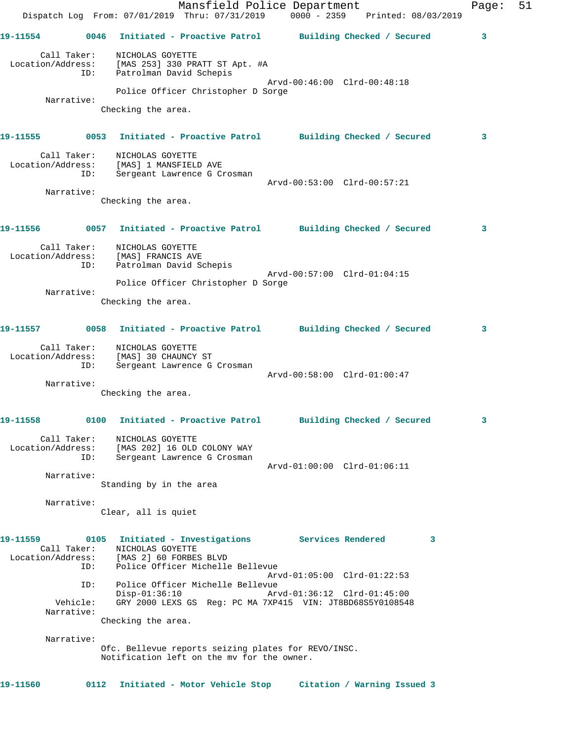|                               |                        | Dispatch Log From: 07/01/2019 Thru: 07/31/2019 0000 - 2359 Printed: 08/03/2019                    | Mansfield Police Department                               |                             |   | Page: | 51 |
|-------------------------------|------------------------|---------------------------------------------------------------------------------------------------|-----------------------------------------------------------|-----------------------------|---|-------|----|
| 19-11554                      |                        | 0046 Initiated - Proactive Patrol Building Checked / Secured                                      |                                                           |                             |   | 3     |    |
| Location/Address:             | Call Taker:            | NICHOLAS GOYETTE<br>[MAS 253] 330 PRATT ST Apt. #A                                                |                                                           |                             |   |       |    |
|                               | ID:                    | Patrolman David Schepis                                                                           |                                                           | Arvd-00:46:00 Clrd-00:48:18 |   |       |    |
|                               |                        |                                                                                                   | Police Officer Christopher D Sorge                        |                             |   |       |    |
|                               | Narrative:             | Checking the area.                                                                                |                                                           |                             |   |       |    |
| 19-11555 (1994)               |                        | 0053 Initiated - Proactive Patrol Building Checked / Secured                                      |                                                           |                             |   | 3     |    |
| Location/Address:             | Call Taker:<br>ID:     | NICHOLAS GOYETTE<br>[MAS] 1 MANSFIELD AVE<br>Sergeant Lawrence G Crosman                          |                                                           |                             |   |       |    |
|                               |                        |                                                                                                   |                                                           | Arvd-00:53:00 Clrd-00:57:21 |   |       |    |
|                               | Narrative:             | Checking the area.                                                                                |                                                           |                             |   |       |    |
| 19-11556 - 19                 |                        | 0057 Initiated - Proactive Patrol Building Checked / Secured                                      |                                                           |                             |   | 3     |    |
| Location/Address:             | Call Taker:            | NICHOLAS GOYETTE<br>[MAS] FRANCIS AVE                                                             |                                                           |                             |   |       |    |
|                               | ID:                    | Patrolman David Schepis                                                                           |                                                           | Arvd-00:57:00 Clrd-01:04:15 |   |       |    |
|                               |                        |                                                                                                   | Police Officer Christopher D Sorge                        |                             |   |       |    |
|                               | Narrative:             | Checking the area.                                                                                |                                                           |                             |   |       |    |
| 19-11557                      | 0058                   |                                                                                                   | Initiated - Proactive Patrol Building Checked / Secured   |                             |   | 3     |    |
| Location/Address:             | Call Taker:<br>ID:     | NICHOLAS GOYETTE<br>[MAS] 30 CHAUNCY ST<br>Sergeant Lawrence G Crosman                            |                                                           |                             |   |       |    |
|                               |                        |                                                                                                   |                                                           | Arvd-00:58:00 Clrd-01:00:47 |   |       |    |
|                               | Narrative:             | Checking the area.                                                                                |                                                           |                             |   |       |    |
| 19-11558                      |                        | 0100 Initiated - Proactive Patrol Building Checked / Secured                                      |                                                           |                             |   |       |    |
|                               | Call Taker:<br>ID:     | NICHOLAS GOYETTE<br>Location/Address: [MAS 202] 16 OLD COLONY WAY<br>Sergeant Lawrence G Crosman  |                                                           |                             |   |       |    |
|                               | Narrative:             |                                                                                                   |                                                           | Arvd-01:00:00 Clrd-01:06:11 |   |       |    |
|                               |                        | Standing by in the area                                                                           |                                                           |                             |   |       |    |
|                               | Narrative:             | Clear, all is quiet                                                                               |                                                           |                             |   |       |    |
| 19-11559<br>Location/Address: | Call Taker:            | 0105 Initiated - Investigations Services Rendered<br>NICHOLAS GOYETTE<br>[MAS 2] 60 FORBES BLVD   |                                                           |                             | 3 |       |    |
|                               | ID:                    |                                                                                                   | Police Officer Michelle Bellevue                          | Arvd-01:05:00 Clrd-01:22:53 |   |       |    |
|                               | ID:                    | $Disp-01:36:10$                                                                                   | Police Officer Michelle Bellevue                          | Arvd-01:36:12 Clrd-01:45:00 |   |       |    |
|                               | Vehicle:<br>Narrative: |                                                                                                   | GRY 2000 LEXS GS Req: PC MA 7XP415 VIN: JT8BD68S5Y0108548 |                             |   |       |    |
|                               |                        | Checking the area.                                                                                |                                                           |                             |   |       |    |
|                               | Narrative:             |                                                                                                   |                                                           |                             |   |       |    |
|                               |                        | Ofc. Bellevue reports seizing plates for REVO/INSC.<br>Notification left on the my for the owner. |                                                           |                             |   |       |    |
| 19-11560                      |                        | 0112 Initiated - Motor Vehicle Stop                                                               |                                                           | Citation / Warning Issued 3 |   |       |    |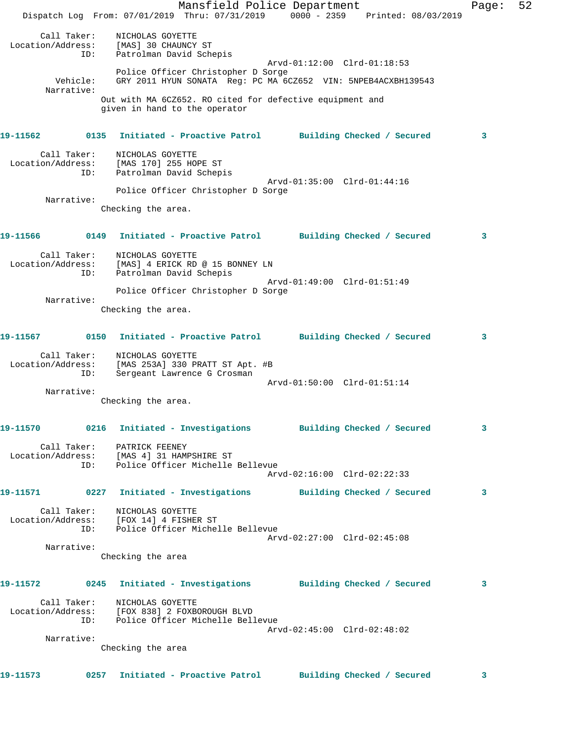|                                         | Mansfield Police Department<br>Dispatch Log From: 07/01/2019 Thru: 07/31/2019 0000 - 2359 Printed: 08/03/2019     |                             |                            | Page: | 52 |
|-----------------------------------------|-------------------------------------------------------------------------------------------------------------------|-----------------------------|----------------------------|-------|----|
|                                         |                                                                                                                   |                             |                            |       |    |
| Call Taker:<br>Location/Address:<br>ID: | NICHOLAS GOYETTE<br>[MAS] 30 CHAUNCY ST<br>Patrolman David Schepis                                                |                             |                            |       |    |
|                                         | Police Officer Christopher D Sorge                                                                                | Arvd-01:12:00 Clrd-01:18:53 |                            |       |    |
| Vehicle:<br>Narrative:                  | GRY 2011 HYUN SONATA Req: PC MA 6CZ652 VIN: 5NPEB4ACXBH139543                                                     |                             |                            |       |    |
|                                         | Out with MA 6CZ652. RO cited for defective equipment and<br>given in hand to the operator                         |                             |                            |       |    |
| 19-11562                                | 0135 Initiated - Proactive Patrol Building Checked / Secured                                                      |                             |                            | 3     |    |
| ID:                                     | Call Taker: NICHOLAS GOYETTE<br>Location/Address: [MAS 170] 255 HOPE ST<br>Patrolman David Schepis                |                             |                            |       |    |
|                                         |                                                                                                                   | Arvd-01:35:00 Clrd-01:44:16 |                            |       |    |
| Narrative:                              | Police Officer Christopher D Sorge                                                                                |                             |                            |       |    |
|                                         | Checking the area.                                                                                                |                             |                            |       |    |
|                                         | 19-11566 0149 Initiated - Proactive Patrol Building Checked / Secured                                             |                             |                            | 3     |    |
| Call Taker:                             | NICHOLAS GOYETTE<br>Location/Address: [MAS] 4 ERICK RD @ 15 BONNEY LN                                             |                             |                            |       |    |
| ID:                                     | Patrolman David Schepis                                                                                           | Arvd-01:49:00 Clrd-01:51:49 |                            |       |    |
|                                         | Police Officer Christopher D Sorge                                                                                |                             |                            |       |    |
| Narrative:                              | Checking the area.                                                                                                |                             |                            |       |    |
|                                         |                                                                                                                   |                             |                            | 3     |    |
| ID:                                     | Call Taker: NICHOLAS GOYETTE<br>Location/Address: [MAS 253A] 330 PRATT ST Apt. #B<br>Sergeant Lawrence G Crosman  |                             |                            |       |    |
|                                         |                                                                                                                   | Arvd-01:50:00 Clrd-01:51:14 |                            |       |    |
| Narrative:                              | Checking the area.                                                                                                |                             |                            |       |    |
| 19-11570                                | 0216 Initiated - Investigations                                                                                   |                             | Building Checked / Secured | 3     |    |
|                                         | Call Taker: PATRICK FEENEY                                                                                        |                             |                            |       |    |
| ID:                                     | Location/Address: [MAS 4] 31 HAMPSHIRE ST<br>ID: Police Officer Michelle<br>Police Officer Michelle Bellevue      |                             |                            |       |    |
|                                         |                                                                                                                   | Arvd-02:16:00 Clrd-02:22:33 |                            |       |    |
| 19-11571                                | 0227 Initiated - Investigations Building Checked / Secured                                                        |                             |                            | 3     |    |
| Call Taker:                             | NICHOLAS GOYETTE<br>Location/Address: [FOX 14] 4 FISHER ST                                                        |                             |                            |       |    |
| ID:                                     | Police Officer Michelle Bellevue                                                                                  | Arvd-02:27:00 Clrd-02:45:08 |                            |       |    |
| Narrative:                              |                                                                                                                   |                             |                            |       |    |
|                                         | Checking the area                                                                                                 |                             |                            |       |    |
| 19-11572                                | 0245 Initiated - Investigations Building Checked / Secured                                                        |                             |                            | 3     |    |
|                                         | Call Taker: NICHOLAS GOYETTE<br>Location/Address: [FOX 838] 2 FOXBOROUGH BLVD<br>Police Officer Michelle Bellevue |                             |                            |       |    |
| ID:                                     |                                                                                                                   | Arvd-02:45:00 Clrd-02:48:02 |                            |       |    |
| Narrative:                              | Checking the area                                                                                                 |                             |                            |       |    |
| 19-11573                                | 0257 Initiated - Proactive Patrol                                                                                 |                             | Building Checked / Secured | 3     |    |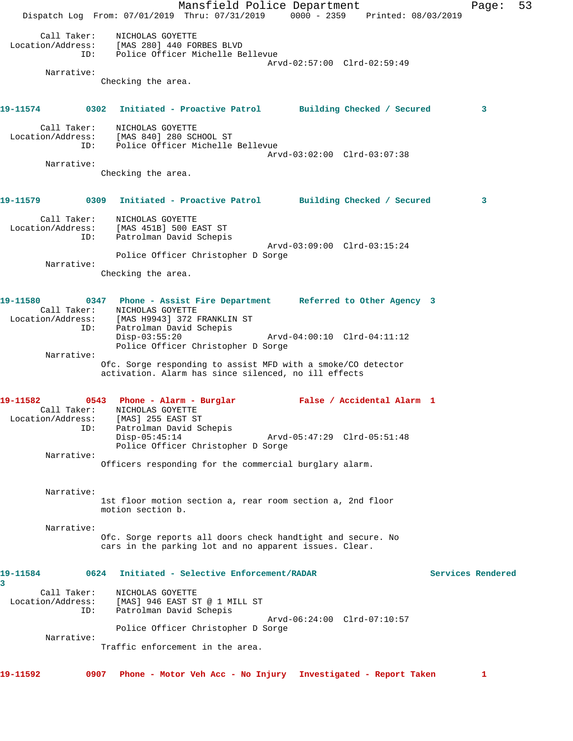Mansfield Police Department Fage: 53 Dispatch Log From: 07/01/2019 Thru: 07/31/2019 0000 - 2359 Printed: 08/03/2019 Call Taker: NICHOLAS GOYETTE Location/Address: [MAS 280] 440 FORBES BLVD ID: Police Officer Michelle Bellevue Arvd-02:57:00 Clrd-02:59:49 Narrative: Checking the area. **19-11574 0302 Initiated - Proactive Patrol Building Checked / Secured 3** Call Taker: NICHOLAS GOYETTE Location/Address: [MAS 840] 280 SCHOOL ST ID: Police Officer Michelle Bellevue Arvd-03:02:00 Clrd-03:07:38 Narrative: Checking the area. **19-11579 0309 Initiated - Proactive Patrol Building Checked / Secured 3** Call Taker: NICHOLAS GOYETTE Location/Address: [MAS 451B] 500 EAST ST ID: Patrolman David Schepis Arvd-03:09:00 Clrd-03:15:24 Police Officer Christopher D Sorge Narrative: Checking the area. **19-11580 0347 Phone - Assist Fire Department Referred to Other Agency 3**  Call Taker: NICHOLAS GOYETTE Location/Address: [MAS H9943] 372 FRANKLIN ST ID: Patrolman David Schepis Disp-03:55:20 Arvd-04:00:10 Clrd-04:11:12 Police Officer Christopher D Sorge Narrative: Ofc. Sorge responding to assist MFD with a smoke/CO detector activation. Alarm has since silenced, no ill effects **19-11582 0543 Phone - Alarm - Burglar False / Accidental Alarm 1**  Call Taker: NICHOLAS GOYETTE Location/Address: [MAS] 255 EAST ST ID: Patrolman David Schepis Disp-05:45:14 Arvd-05:47:29 Clrd-05:51:48 Police Officer Christopher D Sorge Narrative: Officers responding for the commercial burglary alarm. Narrative: 1st floor motion section a, rear room section a, 2nd floor motion section b. Narrative: Ofc. Sorge reports all doors check handtight and secure. No cars in the parking lot and no apparent issues. Clear. **19-11584 0624 Initiated - Selective Enforcement/RADAR Services Rendered 3**  Call Taker: NICHOLAS GOYETTE Location/Address: [MAS] 946 EAST ST @ 1 MILL ST ESS: INNSISTE THE CONFERN OF THE PATROLLARY SCHEP'S Arvd-06:24:00 Clrd-07:10:57 Police Officer Christopher D Sorge Narrative: Traffic enforcement in the area.

**19-11592 0907 Phone - Motor Veh Acc - No Injury Investigated - Report Taken 1**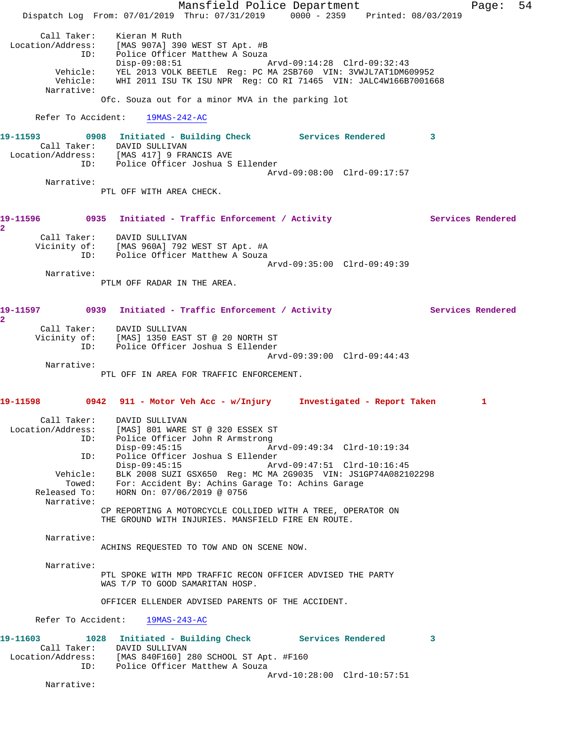Mansfield Police Department Fage: 54 Dispatch Log From: 07/01/2019 Thru: 07/31/2019 0000 - 2359 Printed: 08/03/2019 Call Taker: Kieran M Ruth Location/Address: [MAS 907A] 390 WEST ST Apt. #B ID: Police Officer Matthew A Souza Disp-09:08:51 Arvd-09:14:28 Clrd-09:32:43 Vehicle: YEL 2013 VOLK BEETLE Reg: PC MA 2SB760 VIN: 3VWJL7AT1DM609952 Vehicle: WHI 2011 ISU TK ISU NPR Reg: CO RI 71465 VIN: JALC4W166B7001668 Narrative: Ofc. Souza out for a minor MVA in the parking lot Refer To Accident: 19MAS-242-AC **19-11593 0908 Initiated - Building Check Services Rendered 3**  Call Taker: DAVID SULLIVAN Location/Address: [MAS 417] 9 FRANCIS AVE ID: Police Officer Joshua S Ellender Arvd-09:08:00 Clrd-09:17:57 Narrative: PTL OFF WITH AREA CHECK. **19-11596 0935 Initiated - Traffic Enforcement / Activity Services Rendered 2**  Call Taker: DAVID SULLIVAN Vicinity of: [MAS 960A] 792 WEST ST Apt. #A ID: Police Officer Matthew A Souza Arvd-09:35:00 Clrd-09:49:39 Narrative: PTLM OFF RADAR IN THE AREA. 19-11597 **0939** Initiated - Traffic Enforcement / Activity **Services Rendered 2**  Call Taker: DAVID SULLIVAN Vicinity of: [MAS] 1350 EAST ST @ 20 NORTH ST ID: Police Officer Joshua S Ellender Arvd-09:39:00 Clrd-09:44:43 Narrative: PTL OFF IN AREA FOR TRAFFIC ENFORCEMENT. **19-11598 0942 911 - Motor Veh Acc - w/Injury Investigated - Report Taken 1** Call Taker: DAVID SULLIVAN Location/Address: [MAS] 801 WARE ST @ 320 ESSEX ST ID: Police Officer John R Armstrong Disp-09:45:15 Arvd-09:49:34 Clrd-10:19:34 ID: Police Officer Joshua S Ellender Disp-09:45:15 Arvd-09:47:51 Clrd-10:16:45 Vehicle: BLK 2008 SUZI GSX650 Reg: MC MA 2G9035 VIN: JS1GP74A082102298 Towed: For: Accident By: Achins Garage To: Achins Garage Released To: HORN On: 07/06/2019 @ 0756 Narrative: CP REPORTING A MOTORCYCLE COLLIDED WITH A TREE, OPERATOR ON THE GROUND WITH INJURIES. MANSFIELD FIRE EN ROUTE. Narrative: ACHINS REQUESTED TO TOW AND ON SCENE NOW. Narrative: PTL SPOKE WITH MPD TRAFFIC RECON OFFICER ADVISED THE PARTY WAS T/P TO GOOD SAMARITAN HOSP. OFFICER ELLENDER ADVISED PARENTS OF THE ACCIDENT. Refer To Accident: 19MAS-243-AC **19-11603 1028 Initiated - Building Check Services Rendered 3**  Call Taker: DAVID SULLIVAN Location/Address: [MAS 840F160] 280 SCHOOL ST Apt. #F160 ID: Police Officer Matthew A Souza Arvd-10:28:00 Clrd-10:57:51 Narrative: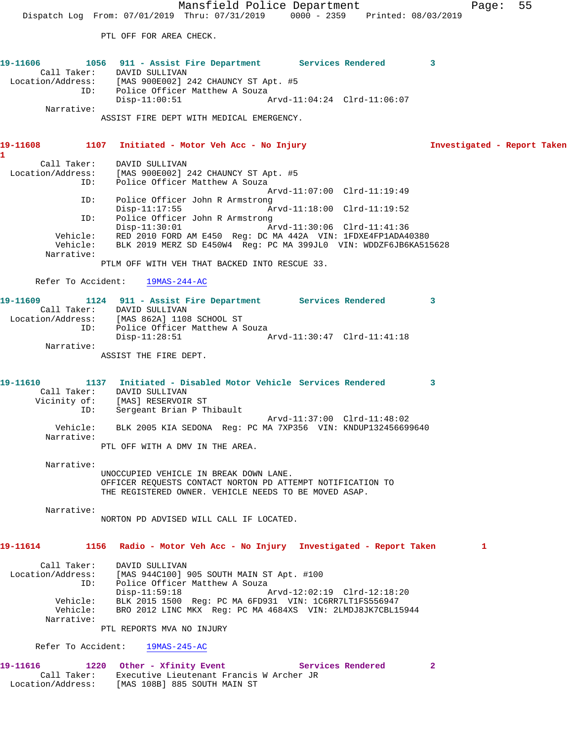Mansfield Police Department Fage: 55 Dispatch Log From: 07/01/2019 Thru: 07/31/2019 0000 - 2359 Printed: 08/03/2019 PTL OFF FOR AREA CHECK. **19-11606 1056 911 - Assist Fire Department Services Rendered 3**  Call Taker: DAVID SULLIVAN Location/Address: [MAS 900E002] 242 CHAUNCY ST Apt. #5 ID: Police Officer Matthew A Souza<br>51 Disp-11:00:51 Disp-11:00:51 Arvd-11:04:24 Clrd-11:06:07 Narrative: ASSIST FIRE DEPT WITH MEDICAL EMERGENCY. **19-11608 1107 Initiated - Motor Veh Acc - No Injury Investigated - Report Taken 1**  Call Taker: DAVID SULLIVAN Location/Address: [MAS 900E002] 242 CHAUNCY ST Apt. #5 ID: Police Officer Matthew A Souza Arvd-11:07:00 Clrd-11:19:49 ID: Police Officer John R Armstrong Arvd-11:18:00 Clrd-11:19:52 ID: Police Officer John R Armstrong Disp-11:30:01 Arvd-11:30:06 Clrd-11:41:36 Vehicle: RED 2010 FORD AM E450 Reg: DC MA 442A VIN: 1FDXE4FP1ADA40380 Vehicle: BLK 2019 MERZ SD E450W4 Reg: PC MA 399JL0 VIN: WDDZF6JB6KA515628 Narrative: PTLM OFF WITH VEH THAT BACKED INTO RESCUE 33. Refer To Accident: 19MAS-244-AC **19-11609 1124 911 - Assist Fire Department Services Rendered 3**  Call Taker: DAVID SULLIVAN Location/Address: [MAS 862A] 1108 SCHOOL ST ID: Police Officer Matthew A Souza  $Disp-11:28:51$  Narrative: ASSIST THE FIRE DEPT. **19-11610 1137 Initiated - Disabled Motor Vehicle Services Rendered 3**  Call Taker: DAVID SULLIVAN Vicinity of: [MAS] RESERVOIR ST ID: Sergeant Brian P Thibault Arvd-11:37:00 Clrd-11:48:02 Vehicle: BLK 2005 KIA SEDONA Reg: PC MA 7XP356 VIN: KNDUP132456699640 Narrative: PTL OFF WITH A DMV IN THE AREA. Narrative: UNOCCUPIED VEHICLE IN BREAK DOWN LANE. OFFICER REQUESTS CONTACT NORTON PD ATTEMPT NOTIFICATION TO THE REGISTERED OWNER. VEHICLE NEEDS TO BE MOVED ASAP. Narrative: NORTON PD ADVISED WILL CALL IF LOCATED. **19-11614 1156 Radio - Motor Veh Acc - No Injury Investigated - Report Taken 1** Call Taker: DAVID SULLIVAN Location/Address: [MAS 944C100] 905 SOUTH MAIN ST Apt. #100 ID: Police Officer Matthew A Souza Disp-11:59:18 Arvd-12:02:19 Clrd-12:18:20 Vehicle: BLK 2015 1500 Reg: PC MA 6FD931 VIN: 1C6RR7LT1FS556947 Vehicle: BRO 2012 LINC MKX Reg: PC MA 4684XS VIN: 2LMDJ8JK7CBL15944 Narrative: PTL REPORTS MVA NO INJURY Refer To Accident: 19MAS-245-AC

19-11616 1220 Other - Xfinity Event Services Rendered 2 Call Taker: Executive Lieutenant Francis W Archer JR Location/Address: [MAS 108B] 885 SOUTH MAIN ST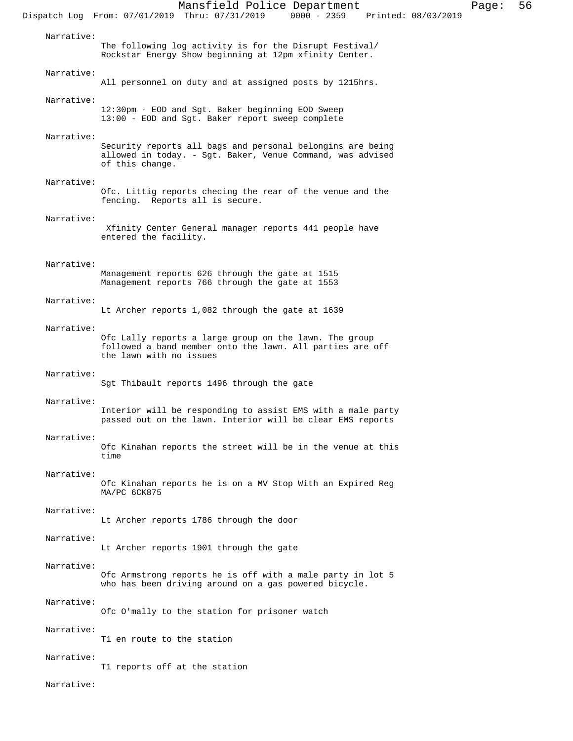Mansfield Police Department Page: 56 Dispatch Log From: 07/01/2019 Thru: 07/31/2019 Narrative: The following log activity is for the Disrupt Festival/ Rockstar Energy Show beginning at 12pm xfinity Center. Narrative: All personnel on duty and at assigned posts by 1215hrs. Narrative: 12:30pm - EOD and Sgt. Baker beginning EOD Sweep 13:00 - EOD and Sgt. Baker report sweep complete Narrative: Security reports all bags and personal belongins are being allowed in today. - Sgt. Baker, Venue Command, was advised of this change. Narrative: Ofc. Littig reports checing the rear of the venue and the fencing. Reports all is secure. Narrative: Xfinity Center General manager reports 441 people have entered the facility. Narrative: Management reports 626 through the gate at 1515 Management reports 766 through the gate at 1553 Narrative: Lt Archer reports 1,082 through the gate at 1639 Narrative: Ofc Lally reports a large group on the lawn. The group followed a band member onto the lawn. All parties are off the lawn with no issues Narrative: Sgt Thibault reports 1496 through the gate Narrative: Interior will be responding to assist EMS with a male party passed out on the lawn. Interior will be clear EMS reports Narrative: Ofc Kinahan reports the street will be in the venue at this time Narrative: Ofc Kinahan reports he is on a MV Stop With an Expired Reg MA/PC 6CK875 Narrative: Lt Archer reports 1786 through the door Narrative: Lt Archer reports 1901 through the gate Narrative: Ofc Armstrong reports he is off with a male party in lot 5 who has been driving around on a gas powered bicycle. Narrative: Ofc O'mally to the station for prisoner watch Narrative: T1 en route to the station Narrative: T1 reports off at the station Narrative: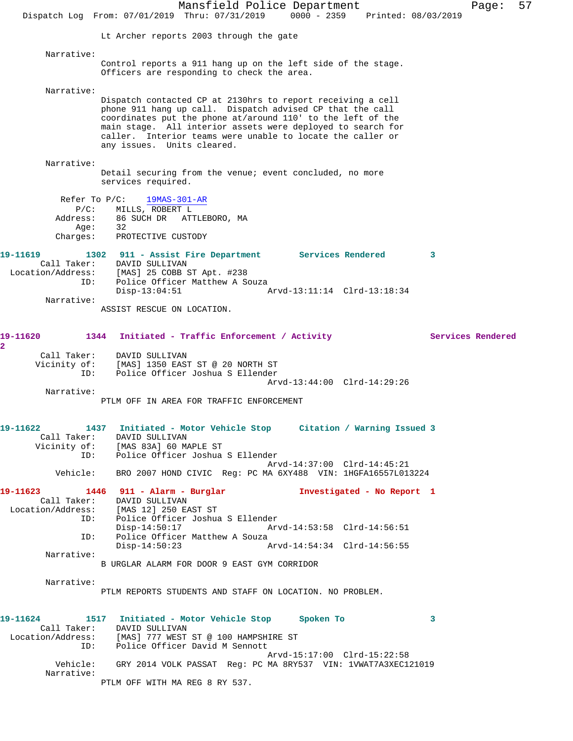Mansfield Police Department Page: 57 Dispatch Log From: 07/01/2019 Thru: 07/31/2019 0000 - 2359 Printed: 08/03/2019 Lt Archer reports 2003 through the gate Narrative: Control reports a 911 hang up on the left side of the stage. Officers are responding to check the area. Narrative: Dispatch contacted CP at 2130hrs to report receiving a cell phone 911 hang up call. Dispatch advised CP that the call coordinates put the phone at/around 110' to the left of the main stage. All interior assets were deployed to search for caller. Interior teams were unable to locate the caller or any issues. Units cleared. Narrative: Detail securing from the venue; event concluded, no more services required. Refer To P/C: 19MAS-301-AR P/C: MILLS, ROBERT L Address: 86 SUCH DR ATTLEBORO, MA Age:<br>:Charges PROTECTIVE CUSTODY **19-11619 1302 911 - Assist Fire Department Services Rendered 3**  Call Taker: DAVID SULLIVAN Location/Address: [MAS] 25 COBB ST Apt. #238 ID: Police Officer Matthew A Souza Disp-13:04:51 Arvd-13:11:14 Clrd-13:18:34 Narrative: ASSIST RESCUE ON LOCATION. 19-11620 1344 Initiated - Traffic Enforcement / Activity **Services Rendered 2**  Call Taker: DAVID SULLIVAN Vicinity of: [MAS] 1350 EAST ST @ 20 NORTH ST ID: Police Officer Joshua S Ellender Arvd-13:44:00 Clrd-14:29:26 Narrative: PTLM OFF IN AREA FOR TRAFFIC ENFORCEMENT **19-11622 1437 Initiated - Motor Vehicle Stop Citation / Warning Issued 3**  Call Taker: DAVID SULLIVAN Vicinity of: [MAS 83A] 60 MAPLE ST ID: Police Officer Joshua S Ellender Arvd-14:37:00 Clrd-14:45:21 Vehicle: BRO 2007 HOND CIVIC Reg: PC MA 6XY488 VIN: 1HGFA16557L013224 **19-11623 1446 911 - Alarm - Burglar Investigated - No Report 1**  Call Taker: DAVID SULLIVAN<br>Location/Address: [MAS 12] 250 E ess: [MAS 12] 250 EAST ST<br>TD: Police Officer Joshua Police Officer Joshua S Ellender Disp-14:50:17 Arvd-14:53:58 Clrd-14:56:51 ID: Police Officer Matthew A Souza Disp-14:50:23 Arvd-14:54:34 Clrd-14:56:55 Narrative: B URGLAR ALARM FOR DOOR 9 EAST GYM CORRIDOR Narrative: PTLM REPORTS STUDENTS AND STAFF ON LOCATION. NO PROBLEM. **19-11624 1517 Initiated - Motor Vehicle Stop Spoken To 3**  Call Taker: DAVID SULLIVAN Location/Address: [MAS] 777 WEST ST @ 100 HAMPSHIRE ST ID: Police Officer David M Sennott Arvd-15:17:00 Clrd-15:22:58 Vehicle: GRY 2014 VOLK PASSAT Reg: PC MA 8RY537 VIN: 1VWAT7A3XEC121019 Narrative: PTLM OFF WITH MA REG 8 RY 537.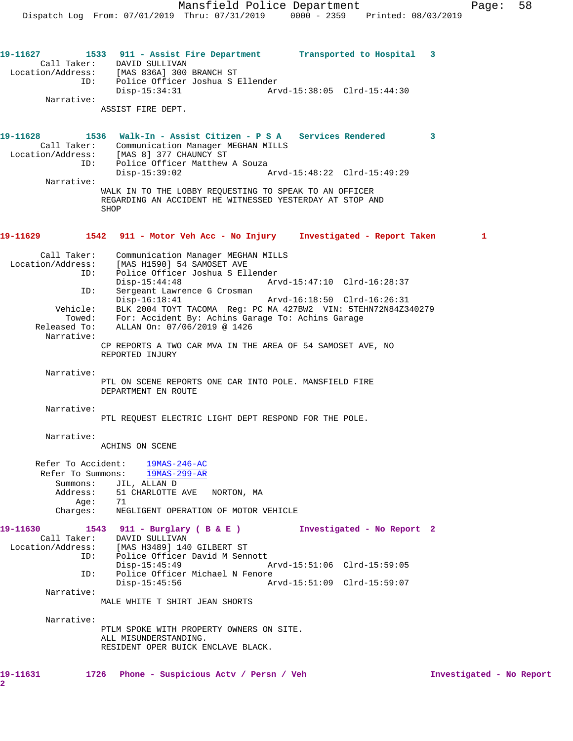**19-11627 1533 911 - Assist Fire Department Transported to Hospital 3**  Call Taker: DAVID SULLIVAN Location/Address: [MAS 836A] 300 BRANCH ST ID: Police Officer Joshua S Ellender<br>Disp-15:34:31 Arv Disp-15:34:31 Arvd-15:38:05 Clrd-15:44:30 Narrative: ASSIST FIRE DEPT. **19-11628 1536 Walk-In - Assist Citizen - P S A Services Rendered 3**  Call Taker: Communication Manager MEGHAN MILLS Location/Address: [MAS 8] 377 CHAUNCY ST ID: Police Officer Matthew A Souza<br>Disp-15:39:02 Disp-15:39:02 Arvd-15:48:22 Clrd-15:49:29 Narrative: WALK IN TO THE LOBBY REQUESTING TO SPEAK TO AN OFFICER REGARDING AN ACCIDENT HE WITNESSED YESTERDAY AT STOP AND **SHOP 19-11629 1542 911 - Motor Veh Acc - No Injury Investigated - Report Taken 1** Call Taker: Communication Manager MEGHAN MILLS Location/Address: [MAS H1590] 54 SAMOSET AVE ID: Police Officer Joshua S Ellender Disp-15:44:48 Arvd-15:47:10 Clrd-16:28:37 ID: Sergeant Lawrence G Crosman Disp-16:18:41 Arvd-16:18:50 Clrd-16:26:31 Vehicle: BLK 2004 TOYT TACOMA Reg: PC MA 427BW2 VIN: 5TEHN72N84Z340279 Towed: For: Accident By: Achins Garage To: Achins Garage Released To: ALLAN On: 07/06/2019 @ 1426 Narrative: CP REPORTS A TWO CAR MVA IN THE AREA OF 54 SAMOSET AVE, NO REPORTED INJURY Narrative: PTL ON SCENE REPORTS ONE CAR INTO POLE. MANSFIELD FIRE DEPARTMENT EN ROUTE Narrative: PTL REQUEST ELECTRIC LIGHT DEPT RESPOND FOR THE POLE. Narrative: ACHINS ON SCENE Refer To Accident: 19MAS-246-AC Refer To Summons: 19MAS-299-AR Summons: JIL, ALLAN D Address: 51 CHARLOTTE AVE NORTON, MA Age: 71 Charges: NEGLIGENT OPERATION OF MOTOR VEHICLE **19-11630 1543 911 - Burglary ( B & E ) Investigated - No Report 2**  Call Taker: DAVID SULLIVAN Location/Address: [MAS H3489] 140 GILBERT ST ID: Police Officer David M Sennott<br>Disp-15:45:49 Disp-15:45:49 Arvd-15:51:06 Clrd-15:59:05 ID: Police Officer Michael N Fenore<br>Disp-15:45:56 Ar Disp-15:45:56 Arvd-15:51:09 Clrd-15:59:07 Narrative: MALE WHITE T SHIRT JEAN SHORTS Narrative: PTLM SPOKE WITH PROPERTY OWNERS ON SITE. ALL MISUNDERSTANDING. RESIDENT OPER BUICK ENCLAVE BLACK. **19-11631 1726 Phone - Suspicious Actv / Persn / Veh Investigated - No Report**

**2**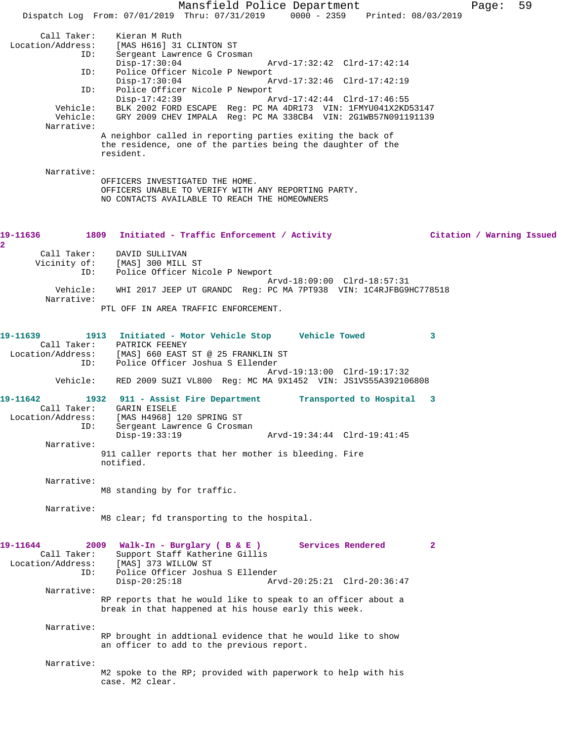Mansfield Police Department Fage: 59 Dispatch Log From: 07/01/2019 Thru: 07/31/2019 0000 - 2359 Printed: 08/03/2019 Call Taker: Kieran M Ruth<br>Location/Address: [MAS H616] 31 [MAS H616] 31 CLINTON ST ID: Sergeant Lawrence G Crosman Disp-17:30:04 Arvd-17:32:42 Clrd-17:42:14<br>ID: Police Officer Nicole P Newport Police Officer Nicole P Newport Disp-17:30:04 Arvd-17:32:46 Clrd-17:42:19<br>TD: Police Officer Nicole P Newport Police Officer Nicole P Newport<br>Disp-17:42:39 A Disp-17:42:39 Arvd-17:42:44 Clrd-17:46:55 Vehicle: BLK 2002 FORD ESCAPE Reg: PC MA 4DR173 VIN: 1FMYU041X2KD53147 Vehicle: GRY 2009 CHEV IMPALA Reg: PC MA 338CB4 VIN: 2G1WB57N091191139 Narrative: A neighbor called in reporting parties exiting the back of the residence, one of the parties being the daughter of the resident. Narrative: OFFICERS INVESTIGATED THE HOME. OFFICERS UNABLE TO VERIFY WITH ANY REPORTING PARTY. NO CONTACTS AVAILABLE TO REACH THE HOMEOWNERS **19-11636 1809 Initiated - Traffic Enforcement / Activity Citation / Warning Issued 2**  Call Taker: DAVID SULLIVAN Vicinity of: [MAS] 300 MILL ST ID: Police Officer Nicole P Newport Arvd-18:09:00 Clrd-18:57:31 Vehicle: WHI 2017 JEEP UT GRANDC Reg: PC MA 7PT938 VIN: 1C4RJFBG9HC778518 Narrative: PTL OFF IN AREA TRAFFIC ENFORCEMENT. **19-11639 1913 Initiated - Motor Vehicle Stop Vehicle Towed 3**  Call Taker:<br>Location/Address: Location/Address: [MAS] 660 EAST ST @ 25 FRANKLIN ST ID: Police Officer Joshua S Ellender Arvd-19:13:00 Clrd-19:17:32 Vehicle: RED 2009 SUZI VL800 Reg: MC MA 9X1452 VIN: JS1VS55A392106808 **19-11642 1932 911 - Assist Fire Department Transported to Hospital 3**  Call Taker: GARIN EISELE Location/Address: [MAS H4968] 120 SPRING ST ID: Sergeant Lawrence G Crosman<br>Disp-19:33:19 Disp-19:33:19 Arvd-19:34:44 Clrd-19:41:45 Narrative: 911 caller reports that her mother is bleeding. Fire notified. Narrative: M8 standing by for traffic. Narrative: M8 clear; fd transporting to the hospital. **19-11644 2009 Walk-In - Burglary ( B & E ) Services Rendered 2**  Call Taker: Support Staff Katherine Gillis<br>Location/Address: [MAS] 373 WILLOW ST ess: [MAS] 373 WILLOW ST<br>ID: Police Officer Joshu ID: Police Officer Joshua S Ellender Disp-20:25:18 Arvd-20:25:21 Clrd-20:36:47 Narrative: RP reports that he would like to speak to an officer about a break in that happened at his house early this week. Narrative: RP brought in addtional evidence that he would like to show an officer to add to the previous report. Narrative: M2 spoke to the RP; provided with paperwork to help with his case. M2 clear.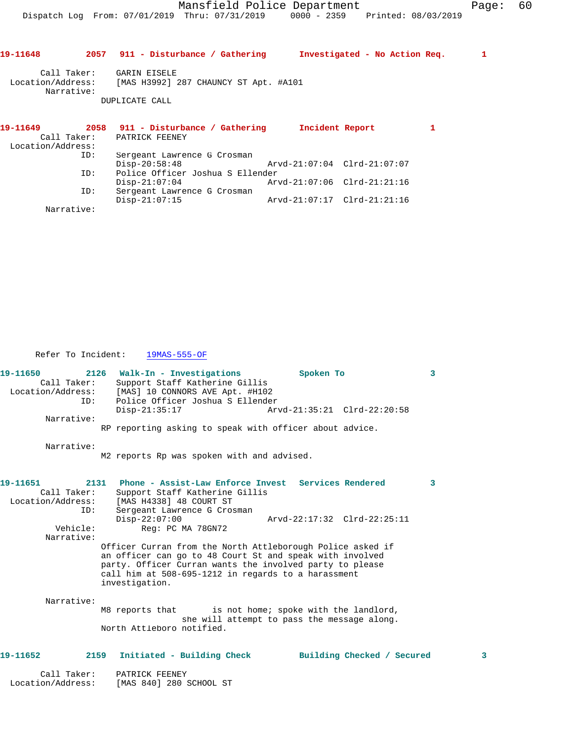| 19-11648          |     | 2057 911 - Disturbance / Gathering                      | Investigated - No Action Req. |  |   | 1 |
|-------------------|-----|---------------------------------------------------------|-------------------------------|--|---|---|
| Call Taker:       |     | GARIN EISELE                                            |                               |  |   |   |
| Narrative:        |     | Location/Address: [MAS H3992] 287 CHAUNCY ST Apt. #A101 |                               |  |   |   |
|                   |     | DUPLICATE CALL                                          |                               |  |   |   |
| 19-11649          |     | 2058 911 - Disturbance / Gathering                      | Incident Report               |  | 1 |   |
|                   |     | Call Taker: PATRICK FEENEY                              |                               |  |   |   |
| Location/Address: |     |                                                         |                               |  |   |   |
|                   | ID: | Sergeant Lawrence G Crosman                             |                               |  |   |   |
|                   |     | $Disp-20:58:48$                                         | Arvd-21:07:04 Clrd-21:07:07   |  |   |   |
|                   | ID: | Police Officer Joshua S Ellender                        |                               |  |   |   |
|                   |     | $Disp-21:07:04$                                         | Arvd-21:07:06 Clrd-21:21:16   |  |   |   |
|                   | ID: | Sergeant Lawrence G Crosman                             |                               |  |   |   |
|                   |     |                                                         |                               |  |   |   |

Narrative:

Refer To Incident: 19MAS-555-OF

Location/Address: [MAS 840] 280 SCHOOL ST

| 19-11650<br>2126<br>Call Taker:<br>Location/Address:<br>TD: | Walk-In - Investigations<br>Support Staff Katherine Gillis<br>[MAS] 10 CONNORS AVE Apt. #H102<br>Police Officer Joshua S Ellender | Spoken To                   | $\mathbf{3}$            |
|-------------------------------------------------------------|-----------------------------------------------------------------------------------------------------------------------------------|-----------------------------|-------------------------|
|                                                             | $Disp-21:35:17$                                                                                                                   | Arvd-21:35:21 Clrd-22:20:58 |                         |
| Narrative:                                                  |                                                                                                                                   |                             |                         |
|                                                             | RP reporting asking to speak with officer about advice.                                                                           |                             |                         |
| Narrative:                                                  |                                                                                                                                   |                             |                         |
|                                                             | M2 reports Rp was spoken with and advised.                                                                                        |                             |                         |
| 2131<br>19-11651                                            | Phone - Assist-Law Enforce Invest Services Rendered                                                                               |                             | $\overline{\mathbf{3}}$ |
| Call Taker:                                                 | Support Staff Katherine Gillis                                                                                                    |                             |                         |
| Location/Address:                                           | [MAS H4338] 48 COURT ST                                                                                                           |                             |                         |
| ID:                                                         | Sergeant Lawrence G Crosman                                                                                                       |                             |                         |
|                                                             | $Disp-22:07:00$                                                                                                                   | Arvd-22:17:32 Clrd-22:25:11 |                         |
| Vehicle:<br>Narrative:                                      | Req: PC MA 78GN72                                                                                                                 |                             |                         |
|                                                             | Officer Curran from the North Attleborough Police asked if                                                                        |                             |                         |
|                                                             | an officer can go to 48 Court St and speak with involved                                                                          |                             |                         |
|                                                             | party. Officer Curran wants the involved party to please                                                                          |                             |                         |
|                                                             | call him at 508-695-1212 in regards to a harassment                                                                               |                             |                         |
|                                                             | investigation.                                                                                                                    |                             |                         |
| Narrative:                                                  |                                                                                                                                   |                             |                         |
|                                                             | M8 reports that is not home; spoke with the landlord,                                                                             |                             |                         |
|                                                             | she will attempt to pass the message along.                                                                                       |                             |                         |
|                                                             | North Attleboro notified.                                                                                                         |                             |                         |
| 19-11652                                                    | 2159<br>Initiated - Building Check                                                                                                | Building Checked / Secured  | з                       |
|                                                             |                                                                                                                                   |                             |                         |
| Call Taker:                                                 | PATRICK FEENEY                                                                                                                    |                             |                         |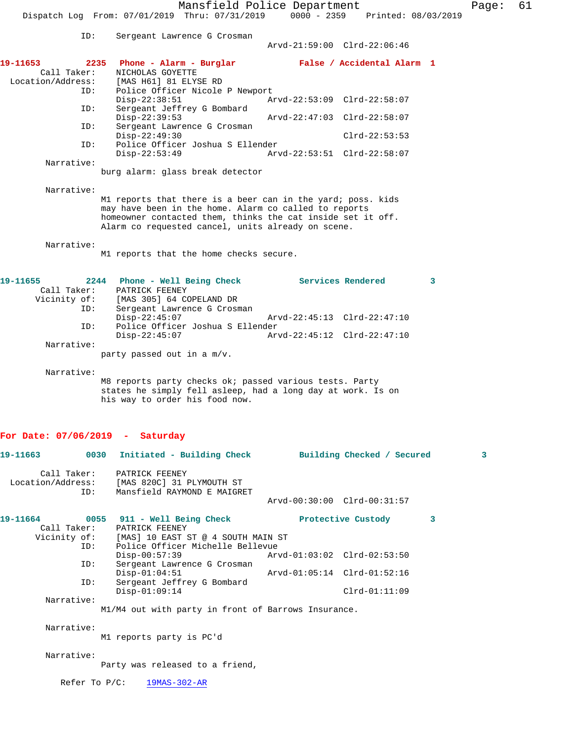Mansfield Police Department Fage: 61 Dispatch Log From: 07/01/2019 Thru: 07/31/2019 0000 - 2359 Printed: 08/03/2019

 ID: Sergeant Lawrence G Crosman Arvd-21:59:00 Clrd-22:06:46 **19-11653 2235 Phone - Alarm - Burglar False / Accidental Alarm 1**  Call Taker: NICHOLAS GOYETTE<br>Location/Address: [MAS H61] 81 ELY: ess: [MAS H61] 81 ELYSE RD<br>ID: Police Officer Nicole Police Officer Nicole P Newport<br>Disp-22:38:51 A Disp-22:38:51 Arvd-22:53:09 Clrd-22:58:07<br>ID: Sergeant Jeffrey G Bombard Sergeant Jeffrey G Bombard<br>Disp-22:39:53 Disp-22:39:53 Arvd-22:47:03 Clrd-22:58:07<br>ID: Sergeant Lawrence G Crosman

Sergeant Lawrence G Crosman

Disp-22:49:30 Clrd-22:53:53<br>ID: Police Officer Joshua S Ellender Police Officer Joshua S Ellender<br>Disp-22:53:49 Arv Disp-22:53:49 Arvd-22:53:51 Clrd-22:58:07 Narrative: burg alarm: glass break detector

Narrative:

M1 reports that there is a beer can in the yard; poss. kids may have been in the home. Alarm co called to reports homeowner contacted them, thinks the cat inside set it off. Alarm co requested cancel, units already on scene.

Narrative:

M1 reports that the home checks secure.

| 19-11655     |            | 2244 Phone - Well Being Check    |  | Services Rendered           |  |
|--------------|------------|----------------------------------|--|-----------------------------|--|
| Call Taker:  |            | PATRICK FEENEY                   |  |                             |  |
| Vicinity of: |            | [MAS 305] 64 COPELAND DR         |  |                             |  |
|              | ID:        | Sergeant Lawrence G Crosman      |  |                             |  |
|              |            | $Disp-22:45:07$                  |  | Arvd-22:45:13 Clrd-22:47:10 |  |
|              | ID:        | Police Officer Joshua S Ellender |  |                             |  |
|              |            | $Disp-22:45:07$                  |  | Arvd-22:45:12 Clrd-22:47:10 |  |
|              | Narrative: |                                  |  |                             |  |
|              |            | party passed out in a m/v.       |  |                             |  |

Narrative:

M8 reports party checks ok; passed various tests. Party states he simply fell asleep, had a long day at work. Is on his way to order his food now.

#### **For Date: 07/06/2019 - Saturday**

|            | 19-11663 6030 Initiated - Building Check Building Checked / Secured                                          |                             |   | $\overline{3}$ |
|------------|--------------------------------------------------------------------------------------------------------------|-----------------------------|---|----------------|
|            | Call Taker: PATRICK FEENEY<br>Location/Address: [MAS 820C] 31 PLYMOUTH ST<br>ID: Mansfield RAYMOND E MAIGRET |                             |   |                |
|            |                                                                                                              | Arvd-00:30:00 Clrd-00:31:57 |   |                |
|            | 19-11664  0055 911 - Well Being Check   Protective Custody                                                   |                             | 3 |                |
|            | Call Taker: PATRICK FEENEY                                                                                   |                             |   |                |
|            | Vicinity of: [MAS] 10 EAST ST @ 4 SOUTH MAIN ST                                                              |                             |   |                |
|            | ID: Police Officer Michelle Bellevue                                                                         |                             |   |                |
|            | $\rho_{\text{1sp}-00}:57:39$ $\rho_{\text{1s}-01}:03:02$ $\text{C1rd}-02:53:50$                              |                             |   |                |
| ID:        | Sergeant Lawrence G Crosman                                                                                  |                             |   |                |
|            | $Disp-01:04:51$                                                                                              |                             |   |                |
| ID:        | Sergeant Jeffrey G Bombard                                                                                   |                             |   |                |
|            | $Disp-01:09:14$                                                                                              | $Clrd-01:11:09$             |   |                |
| Narrative: |                                                                                                              |                             |   |                |
|            | M1/M4 out with party in front of Barrows Insurance.                                                          |                             |   |                |
| Narrative: |                                                                                                              |                             |   |                |
|            | M1 reports party is PC'd                                                                                     |                             |   |                |
| Narrative: |                                                                                                              |                             |   |                |
|            | Party was released to a friend,                                                                              |                             |   |                |

Refer To P/C: 19MAS-302-AR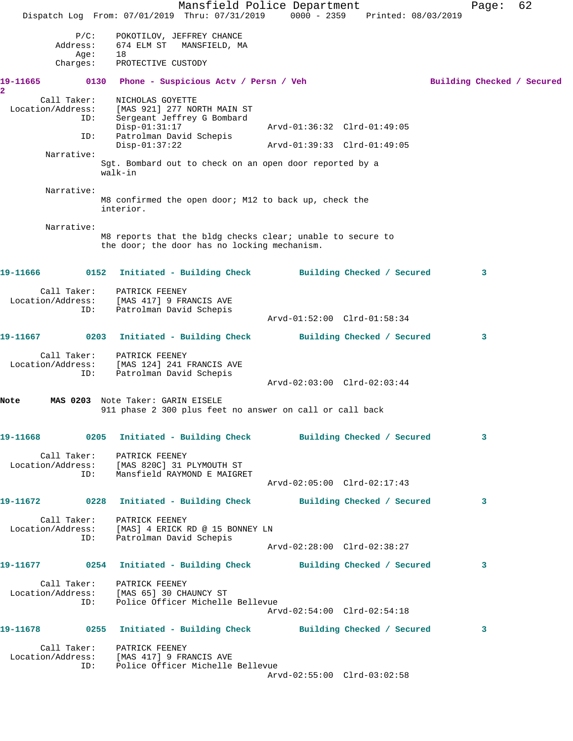Mansfield Police Department Fage: 62 Dispatch Log From: 07/01/2019 Thru: 07/31/2019 0000 - 2359 Printed: 08/03/2019 P/C: POKOTILOV, JEFFREY CHANCE Address: 674 ELM ST MANSFIELD, MA Age: 18 Charges: PROTECTIVE CUSTODY 19-11665 0130 Phone - Suspicious Actv / Persn / Veh Building Checked / Secured **2**  Call Taker: NICHOLAS GOYETTE Location/Address: [MAS 921] 277 NORTH MAIN ST ID: Sergeant Jeffrey G Bombard [MAS 921] 277 NUNILL ....<br>Sergeant Jeffrey G Bombard<br>Disp-01:31:17 Arvd-01:36:32 Clrd-01:49:05 ID: Patrolman David Schepis Disp-01:37:22 Arvd-01:39:33 Clrd-01:49:05 Narrative: Sgt. Bombard out to check on an open door reported by a walk-in Narrative: M8 confirmed the open door; M12 to back up, check the interior. Narrative: M8 reports that the bldg checks clear; unable to secure to the door; the door has no locking mechanism. **19-11666 0152 Initiated - Building Check Building Checked / Secured 3** Call Taker: PATRICK FEENEY Location/Address: [MAS 417] 9 FRANCIS AVE ID: Patrolman David Schepis Arvd-01:52:00 Clrd-01:58:34 **19-11667 0203 Initiated - Building Check Building Checked / Secured 3** Call Taker: PATRICK FEENEY Location/Address: [MAS 124] 241 FRANCIS AVE ID: Patrolman David Schepis Arvd-02:03:00 Clrd-02:03:44 **Note MAS 0203** Note Taker: GARIN EISELE 911 phase 2 300 plus feet no answer on call or call back **19-11668 0205 Initiated - Building Check Building Checked / Secured 3** Call Taker: PATRICK FEENEY Location/Address: [MAS 820C] 31 PLYMOUTH ST ID: Mansfield RAYMOND E MAIGRET Arvd-02:05:00 Clrd-02:17:43 **19-11672 0228 Initiated - Building Check Building Checked / Secured 3** Call Taker: PATRICK FEENEY Location/Address: [MAS] 4 ERICK RD @ 15 BONNEY LN ID: Patrolman David Schepis Arvd-02:28:00 Clrd-02:38:27 **19-11677 0254 Initiated - Building Check Building Checked / Secured 3** Call Taker: PATRICK FEENEY Location/Address: [MAS 65] 30 CHAUNCY ST ID: Police Officer Michelle Bellevue Arvd-02:54:00 Clrd-02:54:18 **19-11678 0255 Initiated - Building Check Building Checked / Secured 3** Call Taker: PATRICK FEENEY Location/Address: [MAS 417] 9 FRANCIS AVE ID: Police Officer Michelle Bellevue Arvd-02:55:00 Clrd-03:02:58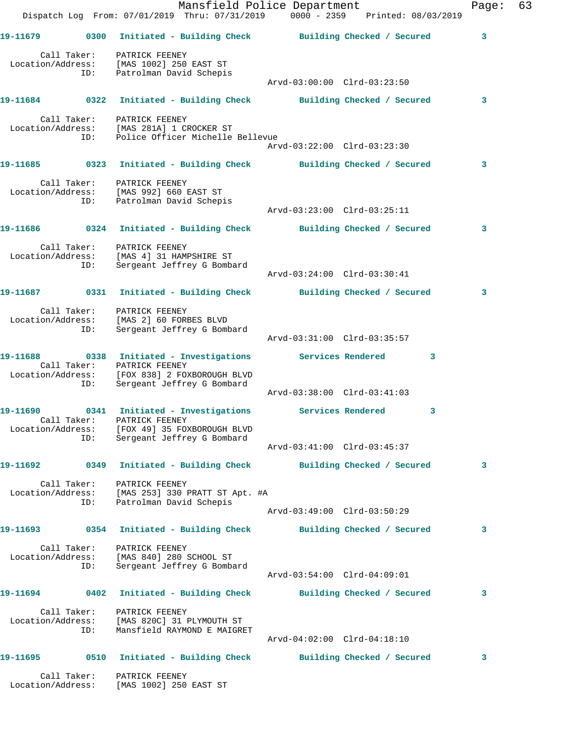|                   |     | Dispatch Log From: 07/01/2019 Thru: 07/31/2019 0000 - 2359 Printed: 08/03/2019                                                                                          | Mansfield Police Department |   | Page: | 63 |
|-------------------|-----|-------------------------------------------------------------------------------------------------------------------------------------------------------------------------|-----------------------------|---|-------|----|
|                   |     | 19-11679 		 0300 Initiated - Building Check 		 Building Checked / Secured                                                                                               |                             |   | 3     |    |
|                   | ID: | Call Taker: PATRICK FEENEY<br>Location/Address: [MAS 1002] 250 EAST ST<br>Patrolman David Schepis                                                                       | Arvd-03:00:00 Clrd-03:23:50 |   |       |    |
|                   |     | 19-11684 0322 Initiated - Building Check Building Checked / Secured                                                                                                     |                             |   | 3     |    |
|                   |     | Call Taker: PATRICK FEENEY<br>Location/Address: [MAS 281A] 1 CROCKER ST<br>ID: Police Officer Michelle Bellevue                                                         | Arvd-03:22:00 Clrd-03:23:30 |   |       |    |
|                   |     | 19-11685 0323 Initiated - Building Check Building Checked / Secured                                                                                                     |                             |   | 3     |    |
|                   |     | Call Taker: PATRICK FEENEY<br>Location/Address: [MAS 992] 660 EAST ST<br>ID: Patrolman David Schepis                                                                    | Arvd-03:23:00 Clrd-03:25:11 |   |       |    |
|                   |     | 19-11686 0324 Initiated - Building Check Building Checked / Secured                                                                                                     |                             |   | 3     |    |
|                   | ID: | Call Taker: PATRICK FEENEY<br>Location/Address: [MAS 4] 31 HAMPSHIRE ST<br>Sergeant Jeffrey G Bombard                                                                   | Arvd-03:24:00 Clrd-03:30:41 |   |       |    |
|                   |     | 19-11687 0331 Initiated - Building Check Building Checked / Secured                                                                                                     |                             |   | 3     |    |
| Location/Address: | ID: | Call Taker: PATRICK FEENEY<br>[MAS 2] 60 FORBES BLVD<br>Sergeant Jeffrey G Bombard                                                                                      | Arvd-03:31:00 Clrd-03:35:57 |   |       |    |
|                   | ID: | 19-11688 0338 Initiated - Investigations Services Rendered<br>Call Taker: PATRICK FEENEY<br>Location/Address: [FOX 838] 2 FOXBOROUGH BLVD<br>Sergeant Jeffrey G Bombard |                             | 3 |       |    |
|                   |     |                                                                                                                                                                         | Arvd-03:38:00 Clrd-03:41:03 |   |       |    |
|                   | ID: | Call Taker: PATRICK FEENEY<br>Location/Address: [FOX 49] 35 FOXBOROUGH BLVD<br>Sergeant Jeffrey G Bombard                                                               |                             | 3 |       |    |
|                   |     | 19-11692 		 0349 Initiated - Building Check 		 Building Checked / Secured                                                                                               | Arvd-03:41:00 Clrd-03:45:37 |   | 3     |    |
|                   |     |                                                                                                                                                                         |                             |   |       |    |
|                   | ID: | Call Taker: PATRICK FEENEY<br>Location/Address: [MAS 253] 330 PRATT ST Apt. #A<br>Patrolman David Schepis                                                               | Arvd-03:49:00 Clrd-03:50:29 |   |       |    |
|                   |     | 19-11693 0354 Initiated - Building Check Building Checked / Secured                                                                                                     |                             |   | 3     |    |
|                   | ID: | Call Taker: PATRICK FEENEY<br>Location/Address: [MAS 840] 280 SCHOOL ST<br>Sergeant Jeffrey G Bombard                                                                   | Arvd-03:54:00 Clrd-04:09:01 |   |       |    |
|                   |     | 19-11694 0402 Initiated - Building Check Building Checked / Secured                                                                                                     |                             |   | 3     |    |
|                   | ID: | Call Taker: PATRICK FEENEY<br>Location/Address: [MAS 820C] 31 PLYMOUTH ST<br>Mansfield RAYMOND E MAIGRET                                                                | Arvd-04:02:00 Clrd-04:18:10 |   |       |    |
|                   |     |                                                                                                                                                                         |                             |   | 3     |    |
|                   |     | Call Taker: PATRICK FEENEY<br>Location/Address: [MAS 1002] 250 EAST ST                                                                                                  |                             |   |       |    |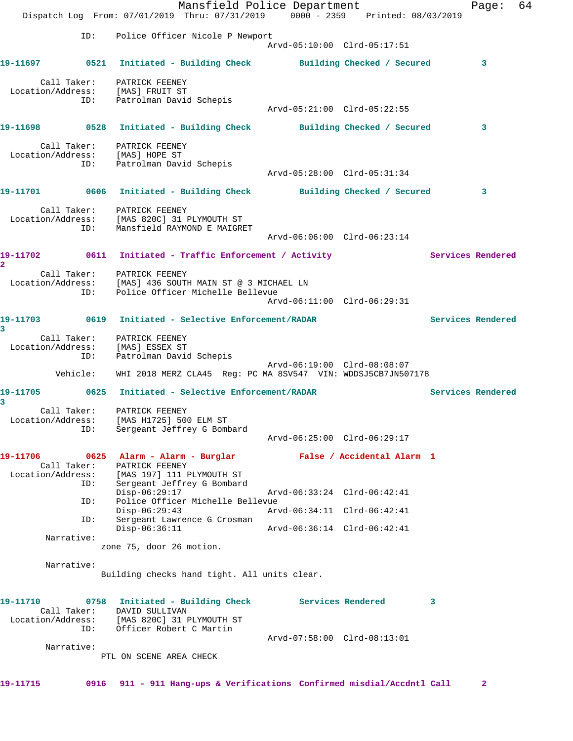Mansfield Police Department Page: 64 Dispatch Log From: 07/01/2019 Thru: 07/31/2019 0000 - 2359 Printed: 08/03/2019 ID: Police Officer Nicole P Newport Arvd-05:10:00 Clrd-05:17:51 **19-11697 0521 Initiated - Building Check Building Checked / Secured 3** Call Taker: PATRICK FEENEY Location/Address: [MAS] FRUIT ST ID: Patrolman David Schepis Arvd-05:21:00 Clrd-05:22:55 **19-11698 0528 Initiated - Building Check Building Checked / Secured 3** Call Taker: PATRICK FEENEY Location/Address: [MAS] HOPE ST ID: Patrolman David Schepis Arvd-05:28:00 Clrd-05:31:34 **19-11701 0606 Initiated - Building Check Building Checked / Secured 3** Call Taker: PATRICK FEENEY Location/Address: [MAS 820C] 31 PLYMOUTH ST ID: Mansfield RAYMOND E MAIGRET Arvd-06:06:00 Clrd-06:23:14 19-11702 0611 Initiated - Traffic Enforcement / Activity **Services Rendered 2**  Call Taker: PATRICK FEENEY Location/Address: [MAS] 436 SOUTH MAIN ST @ 3 MICHAEL LN ID: Police Officer Michelle Bellevue Arvd-06:11:00 Clrd-06:29:31 **19-11703 0619 Initiated - Selective Enforcement/RADAR Services Rendered 3**  Call Taker: PATRICK FEENEY Location/Address: [MAS] ESSEX ST ID: Patrolman David Schepis Arvd-06:19:00 Clrd-08:08:07 Vehicle: WHI 2018 MERZ CLA45 Reg: PC MA 8SV547 VIN: WDDSJ5CB7JN507178 **19-11705 0625 Initiated - Selective Enforcement/RADAR Services Rendered 3**  Call Taker: PATRICK FEENEY Location/Address: [MAS H1725] 500 ELM ST ID: Sergeant Jeffrey G Bombard Arvd-06:25:00 Clrd-06:29:17 **19-11706 0625 Alarm - Alarm - Burglar False / Accidental Alarm 1**  Call Taker: PATRICK FEENEY Location/Address: [MAS 197] 111 PLYMOUTH ST ID: Sergeant Jeffrey G Bombard Disp-06:29:17 Arvd-06:33:24 Clrd-06:42:41 ID: Police Officer Michelle Bellevue Disp-06:29:43 Arvd-06:34:11 Clrd-06:42:41 ID: Sergeant Lawrence G Crosman Disp-06:36:11 Arvd-06:36:14 Clrd-06:42:41 Narrative: zone 75, door 26 motion. Narrative: Building checks hand tight. All units clear. **19-11710 0758 Initiated - Building Check Services Rendered 3**  Call Taker: DAVID SULLIVAN Location/Address: [MAS 820C] 31 PLYMOUTH ST ID: Officer Robert C Martin Arvd-07:58:00 Clrd-08:13:01 Narrative: PTL ON SCENE AREA CHECK **19-11715 0916 911 - 911 Hang-ups & Verifications Confirmed misdial/Accdntl Call 2**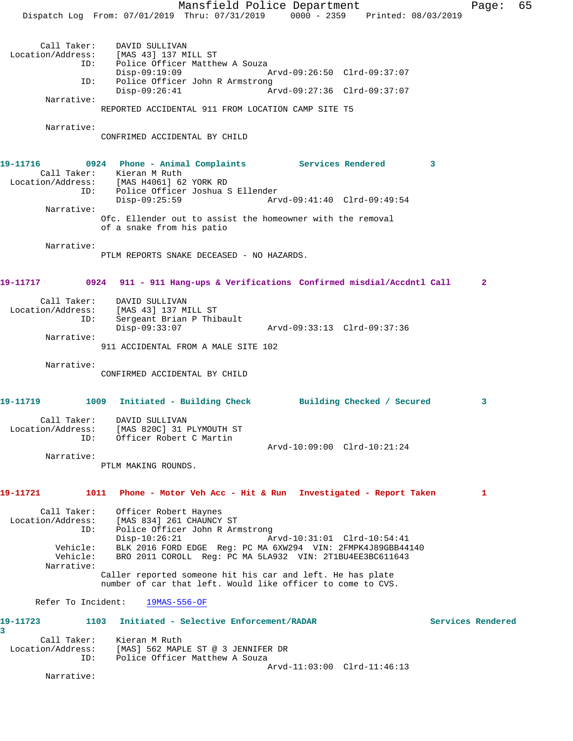Mansfield Police Department Fage: 65 Dispatch Log From: 07/01/2019 Thru: 07/31/2019 0000 - 2359 Printed: 08/03/2019 Call Taker: DAVID SULLIVAN Location/Address: [MAS 43] 137 MILL ST ID: Police Officer Matthew A Souza Disp-09:19:09 Arvd-09:26:50 Clrd-09:37:07 ID: Police Officer John R Armstrong<br>Disp-09:26:41 Ar Disp-09:26:41 Arvd-09:27:36 Clrd-09:37:07 Narrative: REPORTED ACCIDENTAL 911 FROM LOCATION CAMP SITE T5 Narrative: CONFRIMED ACCIDENTAL BY CHILD 19-11716 0924 Phone - Animal Complaints Services Rendered 3 Call Taker: Kieran M Ruth Location/Address: [MAS H4061] 62 YORK RD ID: Police Officer Joshua S Ellender Disp-09:25:59 Arvd-09:41:40 Clrd-09:49:54 Narrative: Ofc. Ellender out to assist the homeowner with the removal of a snake from his patio Narrative: PTLM REPORTS SNAKE DECEASED - NO HAZARDS. **19-11717 0924 911 - 911 Hang-ups & Verifications Confirmed misdial/Accdntl Call 2** Call Taker: DAVID SULLIVAN Location/Address: [MAS 43] 137 MILL ST ID: Sergeant Brian P Thibault Disp-09:33:07 Arvd-09:33:13 Clrd-09:37:36 Narrative: 911 ACCIDENTAL FROM A MALE SITE 102 Narrative: CONFIRMED ACCIDENTAL BY CHILD **19-11719 1009 Initiated - Building Check Building Checked / Secured 3** Call Taker: DAVID SULLIVAN Location/Address: [MAS 820C] 31 PLYMOUTH ST ID: Officer Robert C Martin Arvd-10:09:00 Clrd-10:21:24 Narrative: PTLM MAKING ROUNDS. **19-11721 1011 Phone - Motor Veh Acc - Hit & Run Investigated - Report Taken 1** Call Taker: Officer Robert Haynes Location/Address: [MAS 834] 261 CHAUNCY ST ID: Police Officer John R Armstrong Disp-10:26:21 Arvd-10:31:01 Clrd-10:54:41 Vehicle: BLK 2016 FORD EDGE Reg: PC MA 6XW294 VIN: 2FMPK4J89GBB44140 Vehicle: BRO 2011 COROLL Reg: PC MA 5LA932 VIN: 2T1BU4EE3BC611643 Narrative: Caller reported someone hit his car and left. He has plate number of car that left. Would like officer to come to CVS. Refer To Incident: 19MAS-556-OF **19-11723 1103 Initiated - Selective Enforcement/RADAR Services Rendered 3**  Call Taker: Kieran M Ruth Location/Address: [MAS] 562 MAPLE ST @ 3 JENNIFER DR ID: Police Officer Matthew A Souza Arvd-11:03:00 Clrd-11:46:13 Narrative: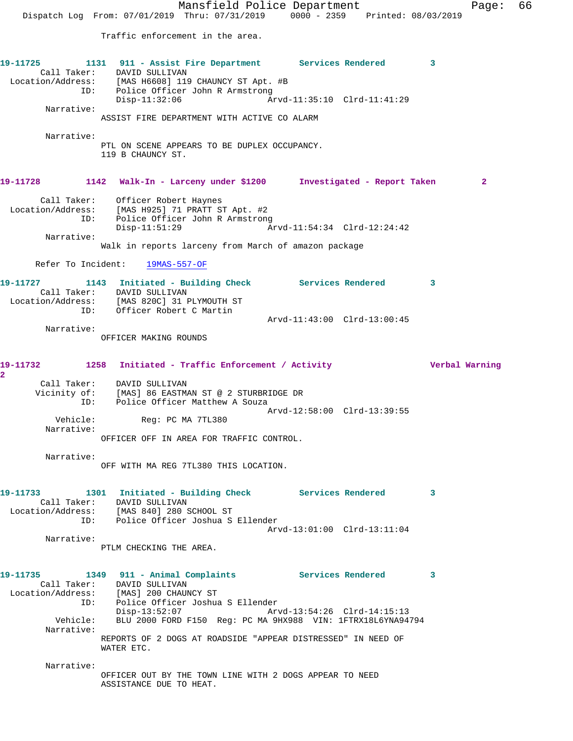Mansfield Police Department Fage: 66 Dispatch Log From: 07/01/2019 Thru: 07/31/2019 0000 - 2359 Printed: 08/03/2019 Traffic enforcement in the area. **19-11725 1131 911 - Assist Fire Department Services Rendered 3**  Call Taker: DAVID SULLIVAN Location/Address: [MAS H6608] 119 CHAUNCY ST Apt. #B ID: Police Officer John R Armstrong<br>Disp-11:32:06 Ar Disp-11:32:06 Arvd-11:35:10 Clrd-11:41:29 Narrative: ASSIST FIRE DEPARTMENT WITH ACTIVE CO ALARM Narrative: PTL ON SCENE APPEARS TO BE DUPLEX OCCUPANCY. 119 B CHAUNCY ST. **19-11728 1142 Walk-In - Larceny under \$1200 Investigated - Report Taken 2** Call Taker: Officer Robert Haynes Location/Address: [MAS H925] 71 PRATT ST Apt. #2 ID: Police Officer John R Armstrong<br>Disp-11:51:29 Am Disp-11:51:29 Arvd-11:54:34 Clrd-12:24:42 Narrative: Walk in reports larceny from March of amazon package Refer To Incident: 19MAS-557-OF **19-11727 1143 Initiated - Building Check Services Rendered 3**  Call Taker: DAVID SULLIVAN Location/Address: [MAS 820C] 31 PLYMOUTH ST ID: Officer Robert C Martin Arvd-11:43:00 Clrd-13:00:45 Narrative: OFFICER MAKING ROUNDS **19-11732 1258 Initiated - Traffic Enforcement / Activity Verbal Warning 2**  Call Taker: DAVID SULLIVAN Vicinity of: [MAS] 86 EASTMAN ST @ 2 STURBRIDGE DR ID: Police Officer Matthew A Souza Arvd-12:58:00 Clrd-13:39:55 Vehicle: Reg: PC MA 7TL380 Narrative: OFFICER OFF IN AREA FOR TRAFFIC CONTROL. Narrative: OFF WITH MA REG 7TL380 THIS LOCATION. **19-11733 1301 Initiated - Building Check Services Rendered 3**  Call Taker: DAVID SULLIVAN Location/Address: [MAS 840] 280 SCHOOL ST ID: Police Officer Joshua S Ellender Arvd-13:01:00 Clrd-13:11:04 Narrative: PTLM CHECKING THE AREA. **19-11735 1349 911 - Animal Complaints Services Rendered 3**  Call Taker: DAVID SULLIVAN Location/Address: [MAS] 200 CHAUNCY ST ID: Police Officer Joshua S Ellender Disp-13:52:07 Arvd-13:54:26 Clrd-14:15:13 Vehicle: BLU 2000 FORD F150 Reg: PC MA 9HX988 VIN: 1FTRX18L6YNA94794 Narrative: REPORTS OF 2 DOGS AT ROADSIDE "APPEAR DISTRESSED" IN NEED OF WATER ETC. Narrative: OFFICER OUT BY THE TOWN LINE WITH 2 DOGS APPEAR TO NEED ASSISTANCE DUE TO HEAT.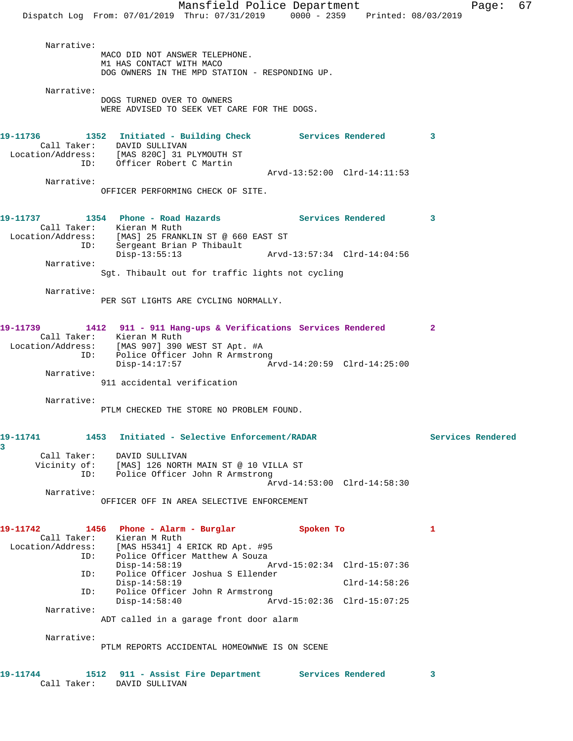Mansfield Police Department Fage: 67 Dispatch Log From: 07/01/2019 Thru: 07/31/2019 0000 - 2359 Printed: 08/03/2019 Narrative: MACO DID NOT ANSWER TELEPHONE. M1 HAS CONTACT WITH MACO DOG OWNERS IN THE MPD STATION - RESPONDING UP. Narrative: DOGS TURNED OVER TO OWNERS WERE ADVISED TO SEEK VET CARE FOR THE DOGS. **19-11736 1352 Initiated - Building Check Services Rendered 3**  Call Taker: DAVID SULLIVAN Location/Address: [MAS 820C] 31 PLYMOUTH ST ID: Officer Robert C Martin Arvd-13:52:00 Clrd-14:11:53 Narrative: OFFICER PERFORMING CHECK OF SITE. 19-11737 1354 Phone - Road Hazards **Services Rendered** 3 Call Taker: Kieran M Ruth Location/Address: [MAS] 25 FRANKLIN ST @ 660 EAST ST ID: Sergeant Brian P Thibault Disp-13:55:13 Arvd-13:57:34 Clrd-14:04:56 Narrative: Sgt. Thibault out for traffic lights not cycling Narrative: PER SGT LIGHTS ARE CYCLING NORMALLY. **19-11739 1412 911 - 911 Hang-ups & Verifications Services Rendered 2**  Call Taker: Kieran M Ruth Location/Address: [MAS 907] 390 WEST ST Apt. #A ID: Police Officer John R Armstrong Disp-14:17:57 Arvd-14:20:59 Clrd-14:25:00 Narrative: 911 accidental verification Narrative: PTLM CHECKED THE STORE NO PROBLEM FOUND. **19-11741 1453 Initiated - Selective Enforcement/RADAR Services Rendered 3**  Call Taker: DAVID SULLIVAN Vicinity of: [MAS] 126 NORTH MAIN ST @ 10 VILLA ST ID: Police Officer John R Armstrong Arvd-14:53:00 Clrd-14:58:30 Narrative: OFFICER OFF IN AREA SELECTIVE ENFORCEMENT 19-11742 1456 Phone - Alarm - Burglar **Spoken To** 1 Call Taker: Kieran M Ruth Location/Address: [MAS H5341] 4 ERICK RD Apt. #95 ID: Police Officer Matthew A Souza<br>Disp-14:58:19 A Disp-14:58:19 Arvd-15:02:34 Clrd-15:07:36 ID: Police Officer Joshua S Ellender Disp-14:58:19 Clrd-14:58:26<br>ID: Police Officer John R Armstrong Clrd-14:58:26 Police Officer John R Armstrong<br>Disp-14:58:40 Ar Disp-14:58:40 Arvd-15:02:36 Clrd-15:07:25 Narrative: ADT called in a garage front door alarm Narrative: PTLM REPORTS ACCIDENTAL HOMEOWNWE IS ON SCENE **19-11744 1512 911 - Assist Fire Department Services Rendered 3**  Call Taker: DAVID SULLIVAN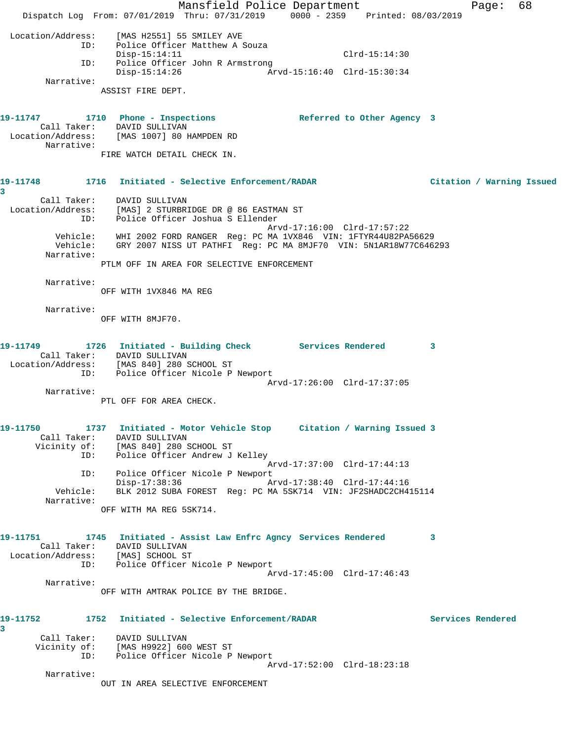Mansfield Police Department Franch Page: 68 Dispatch Log From: 07/01/2019 Thru: 07/31/2019 0000 - 2359 Printed: 08/03/2019 Location/Address: [MAS H2551] 55 SMILEY AVE ID: Police Officer Matthew A Souza Disp-15:14:11 Clrd-15:14:30 ID: Police Officer John R Armstrong Disp-15:14:26 Arvd-15:16:40 Clrd-15:30:34 Narrative: ASSIST FIRE DEPT. 19-11747 1710 Phone - Inspections **Referred to Other Agency** 3 Call Taker: DAVID SULLIVAN Location/Address: [MAS 1007] 80 HAMPDEN RD Narrative: FIRE WATCH DETAIL CHECK IN. **19-11748 1716 Initiated - Selective Enforcement/RADAR Citation / Warning Issued 3**  Call Taker: DAVID SULLIVAN Location/Address: [MAS] 2 STURBRIDGE DR @ 86 EASTMAN ST ID: Police Officer Joshua S Ellender Arvd-17:16:00 Clrd-17:57:22 Vehicle: WHI 2002 FORD RANGER Reg: PC MA 1VX846 VIN: 1FTYR44U82PA56629 Vehicle: GRY 2007 NISS UT PATHFI Reg: PC MA 8MJF70 VIN: 5N1AR18W77C646293 Narrative: PTLM OFF IN AREA FOR SELECTIVE ENFORCEMENT Narrative: OFF WITH 1VX846 MA REG Narrative: OFF WITH 8MJF70. **19-11749 1726 Initiated - Building Check Services Rendered 3**  Call Taker: DAVID SULLIVAN Location/Address: [MAS 840] 280 SCHOOL ST ID: Police Officer Nicole P Newport Arvd-17:26:00 Clrd-17:37:05 Narrative: PTL OFF FOR AREA CHECK. **19-11750 1737 Initiated - Motor Vehicle Stop Citation / Warning Issued 3**  Call Taker: DAVID SULLIVAN Vicinity of: [MAS 840] 280 SCHOOL ST ID: Police Officer Andrew J Kelley Arvd-17:37:00 Clrd-17:44:13 ID: Police Officer Nicole P Newport Disp-17:38:36 Arvd-17:38:40 Clrd-17:44:16 Vehicle: BLK 2012 SUBA FOREST Reg: PC MA 5SK714 VIN: JF2SHADC2CH415114 Narrative: OFF WITH MA REG 5SK714. **19-11751 1745 Initiated - Assist Law Enfrc Agncy Services Rendered 3**  Call Taker: DAVID SULLIVAN Location/Address: [MAS] SCHOOL ST ID: Police Officer Nicole P Newport Arvd-17:45:00 Clrd-17:46:43 Narrative: OFF WITH AMTRAK POLICE BY THE BRIDGE. **19-11752 1752 Initiated - Selective Enforcement/RADAR Services Rendered 3**  Call Taker: DAVID SULLIVAN Vicinity of: [MAS H9922] 600 WEST ST ID: Police Officer Nicole P Newport Arvd-17:52:00 Clrd-18:23:18 Narrative: OUT IN AREA SELECTIVE ENFORCEMENT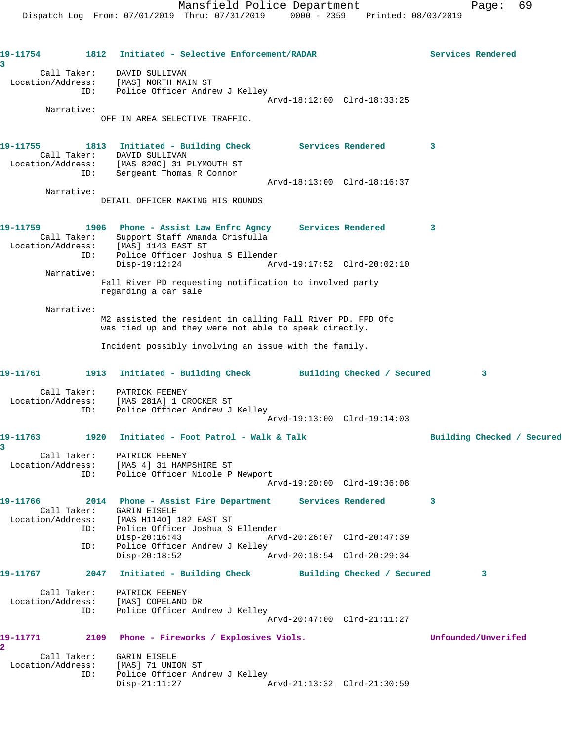**19-11754 1812 Initiated - Selective Enforcement/RADAR Services Rendered 3**  Call Taker: DAVID SULLIVAN Location/Address: [MAS] NORTH MAIN ST ID: Police Officer Andrew J Kelley Arvd-18:12:00 Clrd-18:33:25 Narrative: OFF IN AREA SELECTIVE TRAFFIC. 19-11755 1813 Initiated - Building Check Services Rendered 3 Call Taker: DAVID SULLIVAN Location/Address: [MAS 820C] 31 PLYMOUTH ST ID: Sergeant Thomas R Connor Arvd-18:13:00 Clrd-18:16:37 Narrative: DETAIL OFFICER MAKING HIS ROUNDS **19-11759 1906 Phone - Assist Law Enfrc Agncy Services Rendered 3**  Call Taker: Support Staff Amanda Crisfulla Location/Address: [MAS] 1143 EAST ST ID: Police Officer Joshua S Ellender Disp-19:12:24 Arvd-19:17:52 Clrd-20:02:10 Narrative: Fall River PD requesting notification to involved party regarding a car sale Narrative: M2 assisted the resident in calling Fall River PD. FPD Ofc was tied up and they were not able to speak directly. Incident possibly involving an issue with the family. **19-11761 1913 Initiated - Building Check Building Checked / Secured 3** Call Taker: PATRICK FEENEY Location/Address: [MAS 281A] 1 CROCKER ST ID: Police Officer Andrew J Kelley Arvd-19:13:00 Clrd-19:14:03 19-11763 1920 Initiated - Foot Patrol - Walk & Talk **Building Checked / Secured 3**  Call Taker: PATRICK FEENEY Location/Address: [MAS 4] 31 HAMPSHIRE ST ID: Police Officer Nicole P Newport Arvd-19:20:00 Clrd-19:36:08 **19-11766 2014 Phone - Assist Fire Department Services Rendered 3**  Call Taker: GARIN EISELE Location/Address: [MAS H1140] 182 EAST ST ID: Police Officer Joshua S Ellender Disp-20:16:43 Arvd-20:26:07 Clrd-20:47:39 ID: Police Officer Andrew J Kelley Disp-20:18:52 Arvd-20:18:54 Clrd-20:29:34 **19-11767 2047 Initiated - Building Check Building Checked / Secured 3** Call Taker: PATRICK FEENEY Location/Address: [MAS] COPELAND DR ID: Police Officer Andrew J Kelley Arvd-20:47:00 Clrd-21:11:27 **19-11771 2109 Phone - Fireworks / Explosives Viols. Unfounded/Unverifed 2**  Call Taker: GARIN EISELE Location/Address: [MAS] 71 UNION ST ID: Police Officer Andrew J Kelley<br>Disp-21:11:27 Arvd-21:13:32 Clrd-21:30:59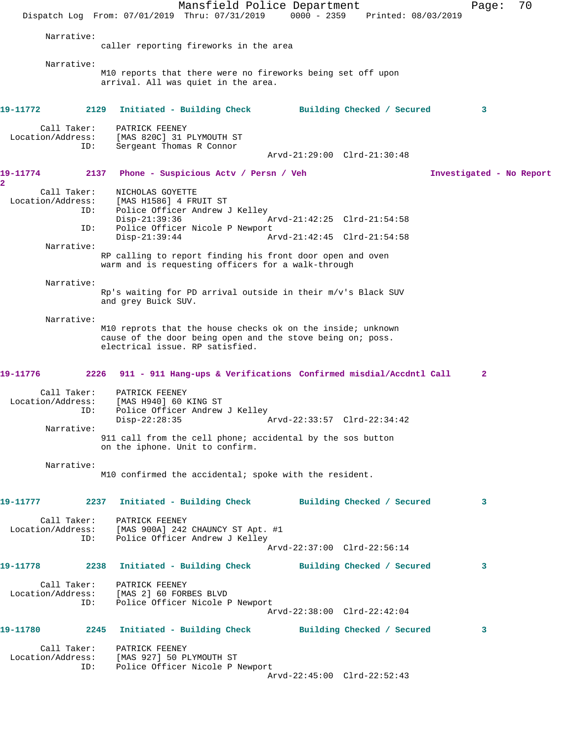Mansfield Police Department Fage: 70 Dispatch Log From: 07/01/2019 Thru: 07/31/2019 0000 - 2359 Printed: 08/03/2019 Narrative: caller reporting fireworks in the area Narrative: M10 reports that there were no fireworks being set off upon arrival. All was quiet in the area. **19-11772 2129 Initiated - Building Check Building Checked / Secured 3** Call Taker: PATRICK FEENEY Location/Address: [MAS 820C] 31 PLYMOUTH ST ID: Sergeant Thomas R Connor Arvd-21:29:00 Clrd-21:30:48 **19-11774 2137 Phone - Suspicious Actv / Persn / Veh Investigated - No Report 2**  Call Taker: NICHOLAS GOYETTE Location/Address: [MAS H1586] 4 FRUIT ST ID: Police Officer Andrew J Kelley Disp-21:39:36 Arvd-21:42:25 Clrd-21:54:58 ID: Police Officer Nicole P Newport Arvd-21:42:45 Clrd-21:54:58 Narrative: RP calling to report finding his front door open and oven warm and is requesting officers for a walk-through Narrative: Rp's waiting for PD arrival outside in their m/v's Black SUV and grey Buick SUV. Narrative: M10 reprots that the house checks ok on the inside; unknown cause of the door being open and the stove being on; poss. electrical issue. RP satisfied. **19-11776 2226 911 - 911 Hang-ups & Verifications Confirmed misdial/Accdntl Call 2** Call Taker: PATRICK FEENEY Location/Address: [MAS H940] 60 KING ST ID: Police Officer Andrew J Kelley<br>Disp-22:28:35 Disp-22:28:35 Arvd-22:33:57 Clrd-22:34:42 Narrative: 911 call from the cell phone; accidental by the sos button on the iphone. Unit to confirm. Narrative: M10 confirmed the accidental; spoke with the resident. **19-11777 2237 Initiated - Building Check Building Checked / Secured 3** Call Taker: PATRICK FEENEY Location/Address: [MAS 900A] 242 CHAUNCY ST Apt. #1 ID: Police Officer Andrew J Kelley Arvd-22:37:00 Clrd-22:56:14 **19-11778 2238 Initiated - Building Check Building Checked / Secured 3** Call Taker: PATRICK FEENEY Location/Address: [MAS 2] 60 FORBES BLVD Police Officer Nicole P Newport Arvd-22:38:00 Clrd-22:42:04 **19-11780 2245 Initiated - Building Check Building Checked / Secured 3** Call Taker: PATRICK FEENEY Location/Address: [MAS 927] 50 PLYMOUTH ST ID: Police Officer Nicole P Newport Arvd-22:45:00 Clrd-22:52:43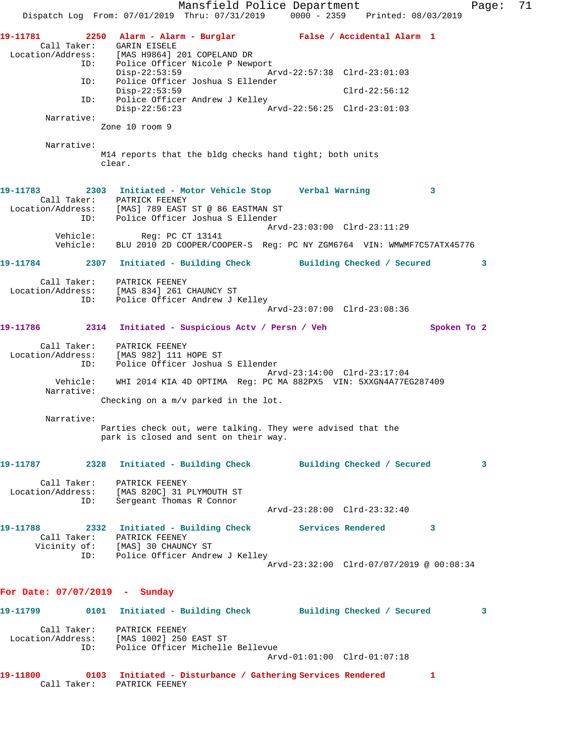Mansfield Police Department Fage: 71 Dispatch Log From: 07/01/2019 Thru: 07/31/2019 0000 - 2359 Printed: 08/03/2019 **19-11781 2250 Alarm - Alarm - Burglar False / Accidental Alarm 1**  Call Taker: GARIN EISELE Location/Address: [MAS H9864] 201 COPELAND DR ID: Police Officer Nicole P Newport Disp-22:53:59 Arvd-22:57:38 Clrd-23:01:03 ID: Police Officer Joshua S Ellender Disp-22:53:59 Clrd-22:56:12 ID: Police Officer Andrew J Kelley Disp-22:56:23 Arvd-22:56:25 Clrd-23:01:03 Narrative: Zone 10 room 9 Narrative: M14 reports that the bldg checks hand tight; both units clear. **19-11783 2303 Initiated - Motor Vehicle Stop Verbal Warning 3**  Call Taker: PATRICK FEENEY Location/Address: [MAS] 789 EAST ST @ 86 EASTMAN ST ID: Police Officer Joshua S Ellender Arvd-23:03:00 Clrd-23:11:29 Vehicle: Reg: PC CT 13141 Vehicle: BLU 2010 2D COOPER/COOPER-S Reg: PC NY ZGM6764 VIN: WMWMF7C57ATX45776 **19-11784 2307 Initiated - Building Check Building Checked / Secured 3** Call Taker: PATRICK FEENEY Location/Address: [MAS 834] 261 CHAUNCY ST ID: Police Officer Andrew J Kelley Arvd-23:07:00 Clrd-23:08:36 **19-11786 2314 Initiated - Suspicious Actv / Persn / Veh Spoken To 2** Call Taker: PATRICK FEENEY Location/Address: [MAS 982] 111 HOPE ST ID: Police Officer Joshua S Ellender Arvd-23:14:00 Clrd-23:17:04 Vehicle: WHI 2014 KIA 4D OPTIMA Reg: PC MA 882PX5 VIN: 5XXGN4A77EG287409 Narrative: Checking on a m/v parked in the lot. Narrative: Parties check out, were talking. They were advised that the park is closed and sent on their way. **19-11787 2328 Initiated - Building Check Building Checked / Secured 3** Call Taker: PATRICK FEENEY Location/Address: [MAS 820C] 31 PLYMOUTH ST ID: Sergeant Thomas R Connor Arvd-23:28:00 Clrd-23:32:40 **19-11788 2332 Initiated - Building Check Services Rendered 3**  Call Taker: PATRICK FEENEY Vicinity of: [MAS] 30 CHAUNCY ST ID: Police Officer Andrew J Kelley Arvd-23:32:00 Clrd-07/07/2019 @ 00:08:34 **For Date: 07/07/2019 - Sunday 19-11799 0101 Initiated - Building Check Building Checked / Secured 3** Call Taker: PATRICK FEENEY Location/Address: [MAS 1002] 250 EAST ST ID: Police Officer Michelle Bellevue Arvd-01:01:00 Clrd-01:07:18 **19-11800 0103 Initiated - Disturbance / Gathering Services Rendered 1**  Call Taker: PATRICK FEENEY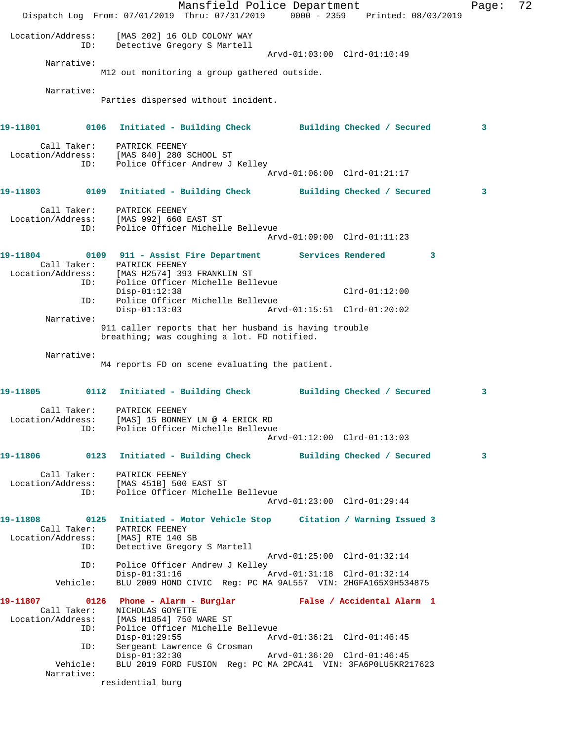Mansfield Police Department Fage: 72 Dispatch Log From: 07/01/2019 Thru: 07/31/2019 0000 - 2359 Printed: 08/03/2019 Location/Address: [MAS 202] 16 OLD COLONY WAY ID: Detective Gregory S Martell Arvd-01:03:00 Clrd-01:10:49 Narrative: M12 out monitoring a group gathered outside. Narrative: Parties dispersed without incident. **19-11801 0106 Initiated - Building Check Building Checked / Secured 3** Call Taker: PATRICK FEENEY Location/Address: [MAS 840] 280 SCHOOL ST ID: Police Officer Andrew J Kelley Arvd-01:06:00 Clrd-01:21:17 **19-11803 0109 Initiated - Building Check Building Checked / Secured 3** Call Taker: PATRICK FEENEY Location/Address: [MAS 992] 660 EAST ST ID: Police Officer Michelle Bellevue Arvd-01:09:00 Clrd-01:11:23 **19-11804 0109 911 - Assist Fire Department Services Rendered 3**  Call Taker: PATRICK FEENEY Location/Address: [MAS H2574] 393 FRANKLIN ST ID: Police Officer Michelle Bellevue Disp-01:12:38 Clrd-01:12:00 ID: Police Officer Michelle Bellevue Disp-01:13:03 Arvd-01:15:51 Clrd-01:20:02 Narrative: 911 caller reports that her husband is having trouble breathing; was coughing a lot. FD notified. Narrative: M4 reports FD on scene evaluating the patient. **19-11805 0112 Initiated - Building Check Building Checked / Secured 3** Call Taker: PATRICK FEENEY Location/Address: [MAS] 15 BONNEY LN @ 4 ERICK RD ID: Police Officer Michelle Bellevue Arvd-01:12:00 Clrd-01:13:03 **19-11806 0123 Initiated - Building Check Building Checked / Secured 3** Call Taker: PATRICK FEENEY Location/Address: [MAS 451B] 500 EAST ST ID: Police Officer Michelle Bellevue Arvd-01:23:00 Clrd-01:29:44 **19-11808 0125 Initiated - Motor Vehicle Stop Citation / Warning Issued 3**  Call Taker: PATRICK FEENEY Location/Address: [MAS] RTE 140 SB ID: Detective Gregory S Martell Arvd-01:25:00 Clrd-01:32:14 ID: Police Officer Andrew J Kelley<br>Disp-01:31:16 Disp-01:31:16 Arvd-01:31:18 Clrd-01:32:14 Vehicle: BLU 2009 HOND CIVIC Reg: PC MA 9AL557 VIN: 2HGFA165X9H534875 **19-11807 0126 Phone - Alarm - Burglar False / Accidental Alarm 1**  Call Taker: NICHOLAS GOYETTE Location/Address: [MAS H1854] 750 WARE ST ID: Police Officer Michelle Bellevue Disp-01:29:55 Arvd-01:36:21 Clrd-01:46:45 ID: Sergeant Lawrence G Crosman Disp-01:32:30 Arvd-01:36:20 Clrd-01:46:45 Vehicle: BLU 2019 FORD FUSION Reg: PC MA 2PCA41 VIN: 3FA6P0LU5KR217623 Narrative: residential burg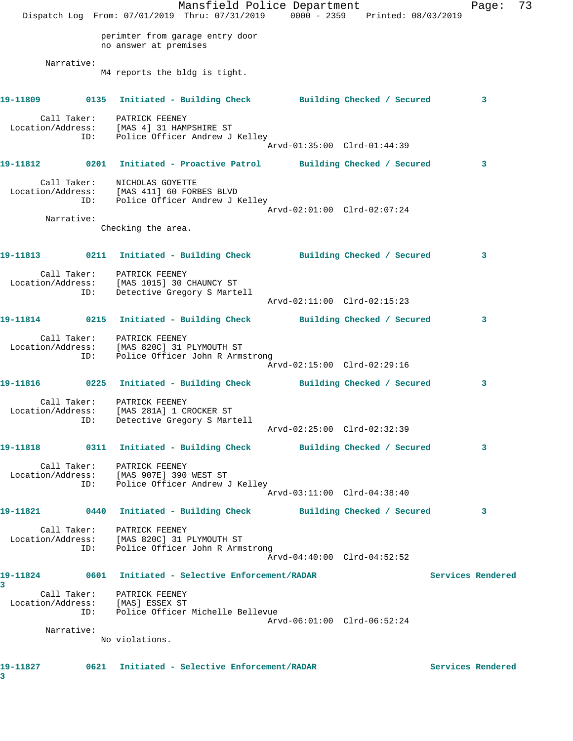Mansfield Police Department Fage: 73 Dispatch Log From: 07/01/2019 Thru: 07/31/2019 0000 - 2359 Printed: 08/03/2019 perimter from garage entry door no answer at premises Narrative: M4 reports the bldg is tight. **19-11809 0135 Initiated - Building Check Building Checked / Secured 3** Call Taker: PATRICK FEENEY Location/Address: [MAS 4] 31 HAMPSHIRE ST ID: Police Officer Andrew J Kelley Arvd-01:35:00 Clrd-01:44:39 **19-11812 0201 Initiated - Proactive Patrol Building Checked / Secured 3** Call Taker: NICHOLAS GOYETTE Location/Address: [MAS 411] 60 FORBES BLVD ID: Police Officer Andrew J Kelley Arvd-02:01:00 Clrd-02:07:24 Narrative: Checking the area. **19-11813 0211 Initiated - Building Check Building Checked / Secured 3** Call Taker: PATRICK FEENEY Location/Address: [MAS 1015] 30 CHAUNCY ST ID: Detective Gregory S Martell Arvd-02:11:00 Clrd-02:15:23 **19-11814 0215 Initiated - Building Check Building Checked / Secured 3** Call Taker: PATRICK FEENEY Location/Address: [MAS 820C] 31 PLYMOUTH ST ID: Police Officer John R Armstrong Arvd-02:15:00 Clrd-02:29:16 **19-11816 0225 Initiated - Building Check Building Checked / Secured 3** Call Taker: PATRICK FEENEY Location/Address: [MAS 281A] 1 CROCKER ST ID: Detective Gregory S Martell Arvd-02:25:00 Clrd-02:32:39 **19-11818 0311 Initiated - Building Check Building Checked / Secured 3** Call Taker: PATRICK FEENEY Location/Address: [MAS 907E] 390 WEST ST ID: Police Officer Andrew J Kelley Arvd-03:11:00 Clrd-04:38:40 **19-11821 0440 Initiated - Building Check Building Checked / Secured 3** Call Taker: PATRICK FEENEY Location/Address: [MAS 820C] 31 PLYMOUTH ST ID: Police Officer John R Armstrong Arvd-04:40:00 Clrd-04:52:52 **19-11824 0601 Initiated - Selective Enforcement/RADAR Services Rendered 3**  Call Taker: PATRICK FEENEY Location/Address: [MAS] ESSEX ST ID: Police Officer Michelle Bellevue Arvd-06:01:00 Clrd-06:52:24 Narrative: No violations. **19-11827 0621 Initiated - Selective Enforcement/RADAR Services Rendered 3**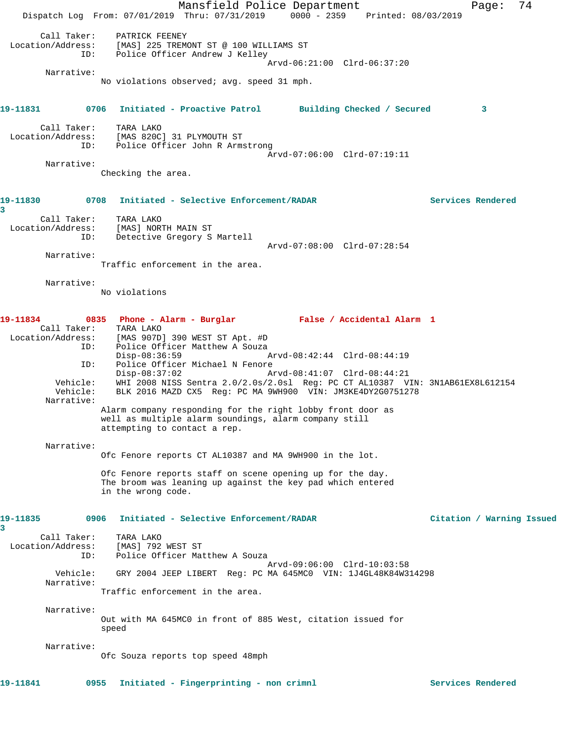Mansfield Police Department Page: 74 Dispatch Log From: 07/01/2019 Thru: 07/31/2019 0000 - 2359 Printed: 08/03/2019 Call Taker: PATRICK FEENEY Location/Address: [MAS] 225 TREMONT ST @ 100 WILLIAMS ST ID: Police Officer Andrew J Kelley Arvd-06:21:00 Clrd-06:37:20 Narrative: No violations observed; avg. speed 31 mph. **19-11831 0706 Initiated - Proactive Patrol Building Checked / Secured 3** Call Taker: TARA LAKO Location/Address: [MAS 820C] 31 PLYMOUTH ST ID: Police Officer John R Armstrong Arvd-07:06:00 Clrd-07:19:11 Narrative: Checking the area. **19-11830 0708 Initiated - Selective Enforcement/RADAR Services Rendered 3**  Call Taker: TARA LAKO Location/Address: [MAS] NORTH MAIN ST ID: Detective Gregory S Martell Arvd-07:08:00 Clrd-07:28:54 Narrative: Traffic enforcement in the area. Narrative: No violations **19-11834 0835 Phone - Alarm - Burglar False / Accidental Alarm 1**  Call Taker: TARA LAKO Location/Address: [MAS 907D] 390 WEST ST Apt. #D ID: Police Officer Matthew A Souza<br>Disp-08:36:59 Disp-08:36:59 Arvd-08:42:44 Clrd-08:44:19 ID: Police Officer Michael N Fenore<br>Disp-08:37:02 A Disp-08:37:02 Arvd-08:41:07 Clrd-08:44:21 Vehicle: WHI 2008 NISS Sentra 2.0/2.0s/2.0sl Reg: PC CT AL10387 VIN: 3N1AB61EX8L612154 Vehicle: BLK 2016 MAZD CX5 Reg: PC MA 9WH900 VIN: JM3KE4DY2G0751278 Narrative: Alarm company responding for the right lobby front door as well as multiple alarm soundings, alarm company still attempting to contact a rep. Narrative: Ofc Fenore reports CT AL10387 and MA 9WH900 in the lot. Ofc Fenore reports staff on scene opening up for the day. The broom was leaning up against the key pad which entered in the wrong code. **19-11835 0906 Initiated - Selective Enforcement/RADAR Citation / Warning Issued 3**  Call Taker: TARA LAKO Location/Address: [MAS] 792 WEST ST ID: Police Officer Matthew A Souza Arvd-09:06:00 Clrd-10:03:58 Vehicle: GRY 2004 JEEP LIBERT Reg: PC MA 645MC0 VIN: 1J4GL48K84W314298 Narrative: Traffic enforcement in the area. Narrative: Out with MA 645MC0 in front of 885 West, citation issued for speed Narrative: Ofc Souza reports top speed 48mph **19-11841 0955 Initiated - Fingerprinting - non crimnl Services Rendered**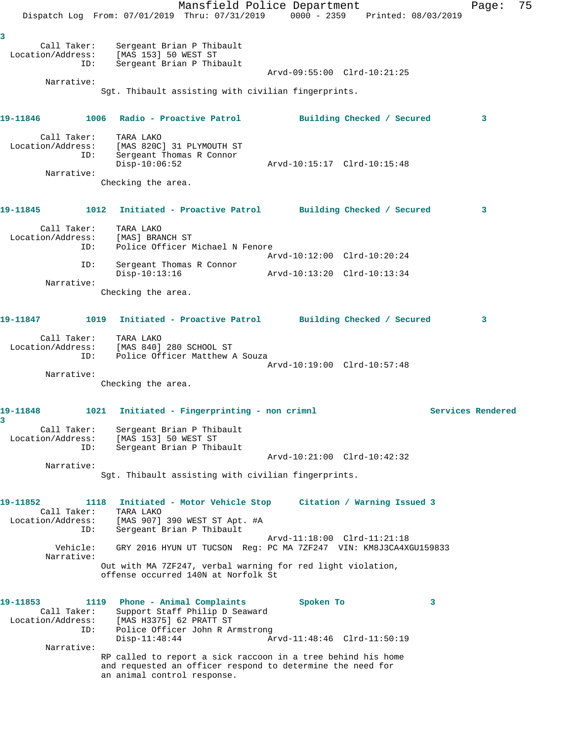Mansfield Police Department Fage: 75 Dispatch Log From: 07/01/2019 Thru: 07/31/2019 0000 - 2359 Printed: 08/03/2019 **3**  Call Taker: Sergeant Brian P Thibault Location/Address: [MAS 153] 50 WEST ST ID: Sergeant Brian P Thibault Arvd-09:55:00 Clrd-10:21:25 Narrative: Sgt. Thibault assisting with civilian fingerprints. **19-11846 1006 Radio - Proactive Patrol Building Checked / Secured 3** Call Taker: TARA LAKO Location/Address: [MAS 820C] 31 PLYMOUTH ST ID: Sergeant Thomas R Connor Disp-10:06:52 Arvd-10:15:17 Clrd-10:15:48 Narrative: Checking the area. **19-11845 1012 Initiated - Proactive Patrol Building Checked / Secured 3** Call Taker: TARA LAKO Location/Address: [MAS] BRANCH ST ID: Police Officer Michael N Fenore<br>Arvd-10:12:00 Clrd-10:20:24 Arvd-10:12:00 Clrd-10:20:24 ID: Sergeant Thomas R Connor Disp-10:13:16 Arvd-10:13:20 Clrd-10:13:34 Narrative: Checking the area. **19-11847 1019 Initiated - Proactive Patrol Building Checked / Secured 3** Call Taker: TARA LAKO Location/Address: [MAS 840] 280 SCHOOL ST ID: Police Officer Matthew A Souza Arvd-10:19:00 Clrd-10:57:48 Narrative: Checking the area. **19-11848 1021 Initiated - Fingerprinting - non crimnl Services Rendered 3**  Call Taker: Sergeant Brian P Thibault Location/Address: [MAS 153] 50 WEST ST ID: Sergeant Brian P Thibault Arvd-10:21:00 Clrd-10:42:32 Narrative: Sgt. Thibault assisting with civilian fingerprints. **19-11852 1118 Initiated - Motor Vehicle Stop Citation / Warning Issued 3**  Call Taker: TARA LAKO Location/Address: [MAS 907] 390 WEST ST Apt. #A ID: Sergeant Brian P Thibault Arvd-11:18:00 Clrd-11:21:18 Vehicle: GRY 2016 HYUN UT TUCSON Reg: PC MA 7ZF247 VIN: KM8J3CA4XGU159833 Narrative: Out with MA 7ZF247, verbal warning for red light violation, offense occurred 140N at Norfolk St **19-11853 1119 Phone - Animal Complaints Spoken To 3**  Call Taker: Support Staff Philip D Seaward Location/Address: [MAS H3375] 62 PRATT ST ID: Police Officer John R Armstrong Disp-11:48:44 Arvd-11:48:46 Clrd-11:50:19 Narrative: RP called to report a sick raccoon in a tree behind his home and requested an officer respond to determine the need for an animal control response.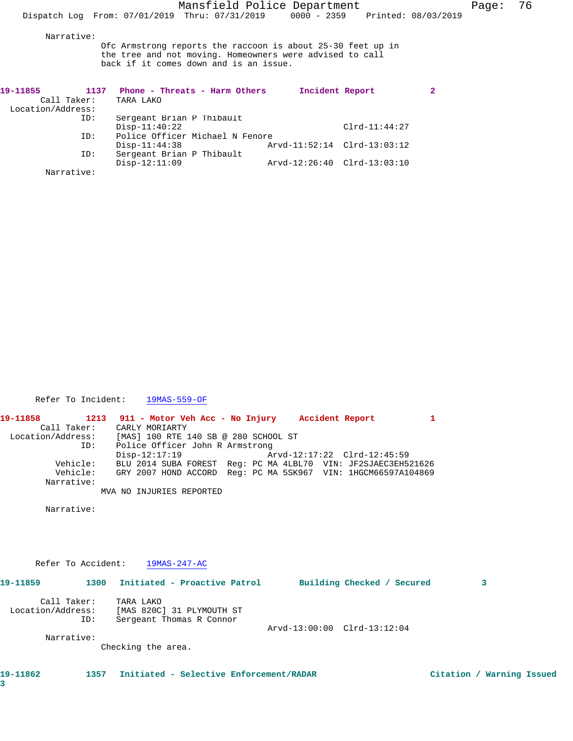Narrative:

Ofc Armstrong reports the raccoon is about 25-30 feet up in the tree and not moving. Homeowners were advised to call back if it comes down and is an issue.

| 19-11855          | 1137 | Phone - Threats - Harm Others   | Incident Report             |                             | $\mathbf{2}$ |
|-------------------|------|---------------------------------|-----------------------------|-----------------------------|--------------|
| Call Taker:       |      | TARA LAKO                       |                             |                             |              |
| Location/Address: |      |                                 |                             |                             |              |
|                   | ID:  | Sergeant Brian P Thibault       |                             |                             |              |
|                   |      | $Disp-11:40:22$                 |                             | $Clrd-11:44:27$             |              |
|                   | ID:  | Police Officer Michael N Fenore |                             |                             |              |
|                   |      | $Disp-11:44:38$                 | Arvd-11:52:14 Clrd-13:03:12 |                             |              |
|                   | ID:  | Sergeant Brian P Thibault       |                             |                             |              |
|                   |      | $Disp-12:11:09$                 |                             | Arvd-12:26:40 Clrd-13:03:10 |              |
| Narrative:        |      |                                 |                             |                             |              |

Refer To Incident: 19MAS-559-OF

**19-11858 1213 911 - Motor Veh Acc - No Injury Accident Report 1**  Call Taker: CARLY MORIARTY Location/Address: [MAS] 100 RTE 140 SB @ 280 SCHOOL ST ID: Police Officer John R Armstrong Disp-12:17:19 Arvd-12:17:22 Clrd-12:45:59 Vehicle: BLU 2014 SUBA FOREST Reg: PC MA 4LBL70 VIN: JF2SJAEC3EH521626 Vehicle: GRY 2007 HOND ACCORD Reg: PC MA 5SK967 VIN: 1HGCM66597A104869 Narrative: MVA NO INJURIES REPORTED

Narrative:

Refer To Accident: 19MAS-247-AC

| 19-11859                         | 1300 | Initiated - Proactive Patrol                                       |  |                             | Building Checked / Secured |  | 3 |
|----------------------------------|------|--------------------------------------------------------------------|--|-----------------------------|----------------------------|--|---|
| Call Taker:<br>Location/Address: | ID:  | TARA LAKO<br>[MAS 820C] 31 PLYMOUTH ST<br>Sergeant Thomas R Connor |  | Arvd-13:00:00 Clrd-13:12:04 |                            |  |   |
| Narrative:                       |      | Checking the area.                                                 |  |                             |                            |  |   |

**19-11862 1357 Initiated - Selective Enforcement/RADAR Citation / Warning Issued**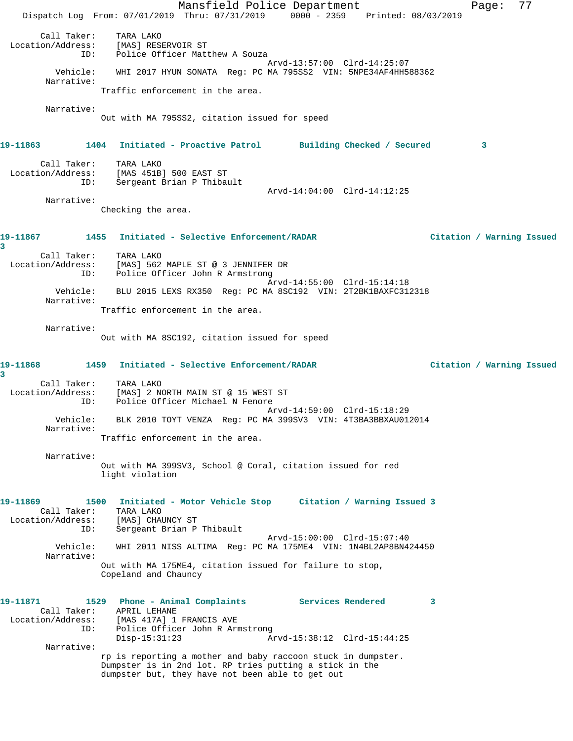Mansfield Police Department Page: 77 Dispatch Log From: 07/01/2019 Thru: 07/31/2019 0000 - 2359 Printed: 08/03/2019 Call Taker: TARA LAKO Location/Address: [MAS] RESERVOIR ST ID: Police Officer Matthew A Souza Arvd-13:57:00 Clrd-14:25:07 Vehicle: WHI 2017 HYUN SONATA Reg: PC MA 795SS2 VIN: 5NPE34AF4HH588362 Narrative: Traffic enforcement in the area. Narrative: Out with MA 795SS2, citation issued for speed **19-11863 1404 Initiated - Proactive Patrol Building Checked / Secured 3** Call Taker: TARA LAKO Location/Address: [MAS 451B] 500 EAST ST ID: Sergeant Brian P Thibault Arvd-14:04:00 Clrd-14:12:25 Narrative: Checking the area. **19-11867 1455 Initiated - Selective Enforcement/RADAR Citation / Warning Issued 3**  Call Taker: TARA LAKO Location/Address: [MAS] 562 MAPLE ST @ 3 JENNIFER DR ID: Police Officer John R Armstrong Arvd-14:55:00 Clrd-15:14:18 Vehicle: BLU 2015 LEXS RX350 Reg: PC MA 8SC192 VIN: 2T2BK1BAXFC312318 Narrative: Traffic enforcement in the area. Narrative: Out with MA 8SC192, citation issued for speed **19-11868 1459 Initiated - Selective Enforcement/RADAR Citation / Warning Issued 3**  Call Taker: TARA LAKO Location/Address: [MAS] 2 NORTH MAIN ST @ 15 WEST ST ID: Police Officer Michael N Fenore Arvd-14:59:00 Clrd-15:18:29 Vehicle: BLK 2010 TOYT VENZA Reg: PC MA 399SV3 VIN: 4T3BA3BBXAU012014 Narrative: Traffic enforcement in the area. Narrative: Out with MA 399SV3, School @ Coral, citation issued for red light violation **19-11869 1500 Initiated - Motor Vehicle Stop Citation / Warning Issued 3**  Call Taker: TARA LAKO Location/Address: [MAS] CHAUNCY ST ID: Sergeant Brian P Thibault Arvd-15:00:00 Clrd-15:07:40 Vehicle: WHI 2011 NISS ALTIMA Reg: PC MA 175ME4 VIN: 1N4BL2AP8BN424450 Narrative: Out with MA 175ME4, citation issued for failure to stop, Copeland and Chauncy **19-11871 1529 Phone - Animal Complaints Services Rendered 3**  Call Taker: APRIL LEHANE Location/Address: [MAS 417A] 1 FRANCIS AVE ID: Police Officer John R Armstrong<br>Disp-15:31:23 Ar Arvd-15:38:12 Clrd-15:44:25 Narrative: rp is reporting a mother and baby raccoon stuck in dumpster. Dumpster is in 2nd lot. RP tries putting a stick in the dumpster but, they have not been able to get out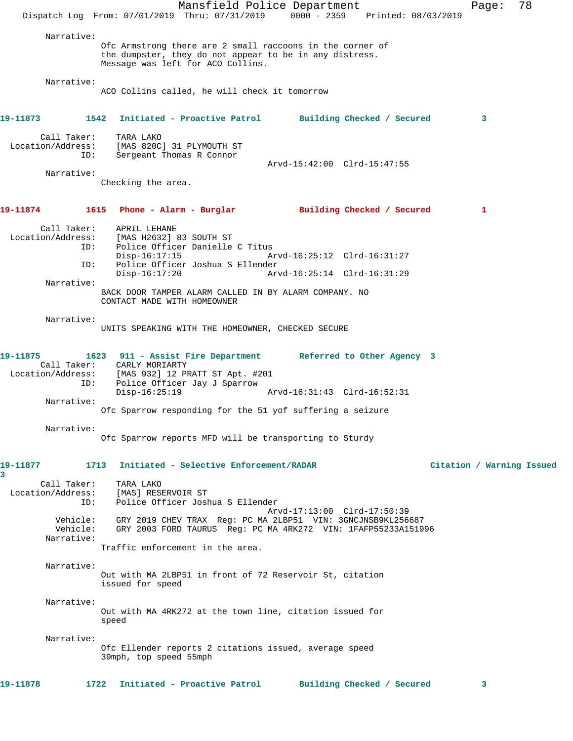|                                         | Mansfield Police Department<br>Dispatch Log From: 07/01/2019 Thru: 07/31/2019 0000 - 2359 Printed: 08/03/2019                                                                          |                                                            | 78<br>Page:               |
|-----------------------------------------|----------------------------------------------------------------------------------------------------------------------------------------------------------------------------------------|------------------------------------------------------------|---------------------------|
| Narrative:                              | Ofc Armstrong there are 2 small raccoons in the corner of<br>the dumpster, they do not appear to be in any distress.<br>Message was left for ACO Collins.                              |                                                            |                           |
| Narrative:                              | ACO Collins called, he will check it tomorrow                                                                                                                                          |                                                            |                           |
| 19–11873                                | 1542 Initiated - Proactive Patrol Building Checked / Secured                                                                                                                           |                                                            | 3                         |
| Call Taker:<br>Location/Address:<br>ID: | TARA LAKO<br>[MAS 820C] 31 PLYMOUTH ST<br>Sergeant Thomas R Connor                                                                                                                     | Arvd-15:42:00 Clrd-15:47:55                                |                           |
| Narrative:                              |                                                                                                                                                                                        |                                                            |                           |
|                                         | Checking the area.                                                                                                                                                                     |                                                            |                           |
| 19-11874                                | 1615 Phone - Alarm - Burglar                                                                                                                                                           | Building Checked / Secured                                 | 1                         |
| Call Taker:<br>ID:                      | APRIL LEHANE<br>Location/Address: [MAS H2632] 83 SOUTH ST<br>Police Officer Danielle C Titus                                                                                           |                                                            |                           |
| ID:                                     | $Disp-16:17:15$<br>Police Officer Joshua S Ellender<br>$Disp-16:17:20$                                                                                                                 | Arvd-16:25:12 Clrd-16:31:27<br>Arvd-16:25:14 Clrd-16:31:29 |                           |
| Narrative:                              | BACK DOOR TAMPER ALARM CALLED IN BY ALARM COMPANY. NO<br>CONTACT MADE WITH HOMEOWNER                                                                                                   |                                                            |                           |
| Narrative:                              | UNITS SPEAKING WITH THE HOMEOWNER, CHECKED SECURE                                                                                                                                      |                                                            |                           |
| 19–11875<br>Call Taker:<br>ID:          | 1623 911 - Assist Fire Department Referred to Other Agency 3<br>CARLY MORIARTY<br>Location/Address: [MAS 932] 12 PRATT ST Apt. #201<br>Police Officer Jay J Sparrow<br>$Disp-16:25:19$ | Arvd-16:31:43 Clrd-16:52:31                                |                           |
| Narrative:                              | Ofc Sparrow responding for the 51 yof suffering a seizure                                                                                                                              |                                                            |                           |
| Narrative:                              | Ofc Sparrow reports MFD will be transporting to Sturdy                                                                                                                                 |                                                            |                           |
| 19-11877<br>3                           | 1713<br>Initiated - Selective Enforcement/RADAR                                                                                                                                        |                                                            | Citation / Warning Issued |
| Call Taker:<br>Location/Address:<br>ID: | TARA LAKO<br>[MAS] RESERVOIR ST<br>Police Officer Joshua S Ellender                                                                                                                    | Arvd-17:13:00 Clrd-17:50:39                                |                           |
| Vehicle:<br>Vehicle:<br>Narrative:      | GRY 2019 CHEV TRAX Reg: PC MA 2LBP51 VIN: 3GNCJNSB9KL256687<br>GRY 2003 FORD TAURUS Reg: PC MA 4RK272 VIN: 1FAFP55233A151996<br>Traffic enforcement in the area.                       |                                                            |                           |
| Narrative:                              |                                                                                                                                                                                        |                                                            |                           |
|                                         | Out with MA 2LBP51 in front of 72 Reservoir St, citation<br>issued for speed                                                                                                           |                                                            |                           |
| Narrative:                              | Out with MA 4RK272 at the town line, citation issued for<br>speed                                                                                                                      |                                                            |                           |
| Narrative:                              | Ofc Ellender reports 2 citations issued, average speed<br>39mph, top speed 55mph                                                                                                       |                                                            |                           |
| 19-11878                                | Initiated - Proactive Patrol<br>1722                                                                                                                                                   | Building Checked / Secured                                 | 3                         |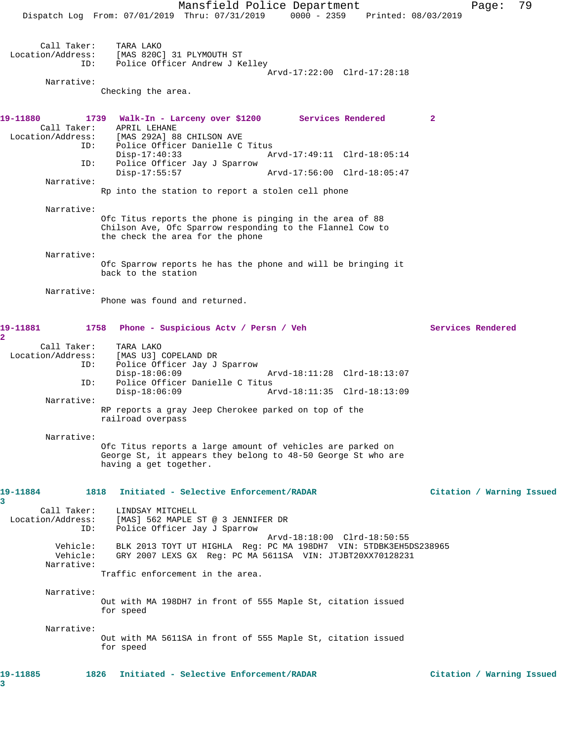Mansfield Police Department Fage: 79 Dispatch Log From: 07/01/2019 Thru: 07/31/2019 0000 - 2359 Printed: 08/03/2019 Call Taker: TARA LAKO Location/Address: [MAS 820C] 31 PLYMOUTH ST ID: Police Officer Andrew J Kelley Arvd-17:22:00 Clrd-17:28:18 Narrative: Checking the area. **19-11880 1739 Walk-In - Larceny over \$1200 Services Rendered 2**  Call Taker: APRIL LEHANE Location/Address: [MAS 292A] 88 CHILSON AVE ID: Police Officer Danielle C Titus Disp-17:40:33 Arvd-17:49:11 Clrd-18:05:14 ID: Police Officer Jay J Sparrow<br>Disp-17:55:57 Disp-17:55:57 Arvd-17:56:00 Clrd-18:05:47 Narrative: Rp into the station to report a stolen cell phone Narrative: Ofc Titus reports the phone is pinging in the area of 88 Chilson Ave, Ofc Sparrow responding to the Flannel Cow to the check the area for the phone Narrative: Ofc Sparrow reports he has the phone and will be bringing it back to the station Narrative: Phone was found and returned. **19-11881 1758 Phone - Suspicious Actv / Persn / Veh Services Rendered 2**  Call Taker: TARA LAKO<br>Location/Address: [MAS U3] ( Location (Address: [MAS U3] COPELAND DR<br>ID: Police Officer Jay J Police Officer Jay J Sparrow<br>Disp-18:06:09 Disp-18:06:09 Arvd-18:11:28 Clrd-18:13:07 ID: Police Officer Danielle C Titus Disp-18:06:09 Arvd-18:11:35 Clrd-18:13:09 Narrative: RP reports a gray Jeep Cherokee parked on top of the railroad overpass Narrative: Ofc Titus reports a large amount of vehicles are parked on George St, it appears they belong to 48-50 George St who are having a get together. **19-11884 1818 Initiated - Selective Enforcement/RADAR Citation / Warning Issued** Call Taker: LINDSAY MITCHELL Location/Address: [MAS] 562 MAPLE ST @ 3 JENNIFER DR ID: Police Officer Jay J Sparrow Arvd-18:18:00 Clrd-18:50:55 Vehicle: BLK 2013 TOYT UT HIGHLA Reg: PC MA 198DH7 VIN: 5TDBK3EH5DS238965 Vehicle: GRY 2007 LEXS GX Reg: PC MA 5611SA VIN: JTJBT20XX70128231 Narrative: Traffic enforcement in the area. Narrative: Out with MA 198DH7 in front of 555 Maple St, citation issued for speed Narrative: Out with MA 5611SA in front of 555 Maple St, citation issued for speed **19-11885 1826 Initiated - Selective Enforcement/RADAR Citation / Warning Issued**

**3** 

**3**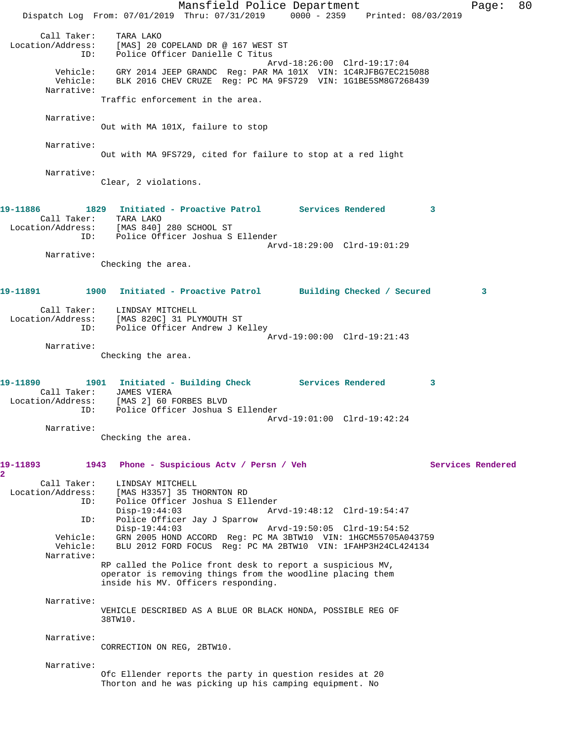Mansfield Police Department Fage: 80 Dispatch Log From: 07/01/2019 Thru: 07/31/2019 0000 - 2359 Printed: 08/03/2019 Call Taker: TARA LAKO Location/Address: [MAS] 20 COPELAND DR @ 167 WEST ST ID: Police Officer Danielle C Titus Arvd-18:26:00 Clrd-19:17:04 Vehicle: GRY 2014 JEEP GRANDC Reg: PAR MA 101X VIN: 1C4RJFBG7EC215088 Vehicle: BLK 2016 CHEV CRUZE Reg: PC MA 9FS729 VIN: 1G1BE5SM8G7268439 Narrative: Traffic enforcement in the area. Narrative: Out with MA 101X, failure to stop Narrative: Out with MA 9FS729, cited for failure to stop at a red light Narrative: Clear, 2 violations. **19-11886 1829 Initiated - Proactive Patrol Services Rendered 3**  Call Taker: TARA LAKO Location/Address: [MAS 840] 280 SCHOOL ST ID: Police Officer Joshua S Ellender Arvd-18:29:00 Clrd-19:01:29 Narrative: Checking the area. **19-11891 1900 Initiated - Proactive Patrol Building Checked / Secured 3** Call Taker: LINDSAY MITCHELL Location/Address: [MAS 820C] 31 PLYMOUTH ST ID: Police Officer Andrew J Kelley Arvd-19:00:00 Clrd-19:21:43 Narrative: Checking the area. 19-11890 1901 Initiated - Building Check Services Rendered 3 Call Taker: JAMES VIERA Location/Address: [MAS 2] 60 FORBES BLVD ID: Police Officer Joshua S Ellender Arvd-19:01:00 Clrd-19:42:24 Narrative: Checking the area. **19-11893 1943 Phone - Suspicious Actv / Persn / Veh Services Rendered 2**  Call Taker: LINDSAY MITCHELL<br>Location/Address: [MAS H3357] 35 T [MAS H3357] 35 THORNTON RD ID: Police Officer Joshua S Ellender Disp-19:44:03 Arvd-19:48:12 Clrd-19:54:47 ID: Police Officer Jay J Sparrow Disp-19:44:03 Arvd-19:50:05 Clrd-19:54:52 Vehicle: GRN 2005 HOND ACCORD Reg: PC MA 3BTW10 VIN: 1HGCM55705A043759 Vehicle: BLU 2012 FORD FOCUS Reg: PC MA 2BTW10 VIN: 1FAHP3H24CL424134 Narrative: RP called the Police front desk to report a suspicious MV, operator is removing things from the woodline placing them inside his MV. Officers responding. Narrative: VEHICLE DESCRIBED AS A BLUE OR BLACK HONDA, POSSIBLE REG OF 38TW10. Narrative: CORRECTION ON REG, 2BTW10. Narrative: Ofc Ellender reports the party in question resides at 20 Thorton and he was picking up his camping equipment. No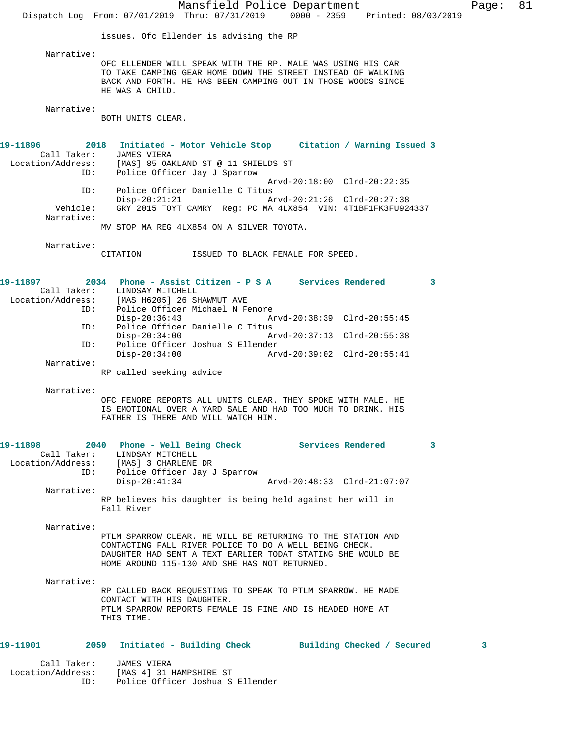Mansfield Police Department Fage: 81 Dispatch Log From: 07/01/2019 Thru: 07/31/2019 0000 - 2359 Printed: 08/03/2019 issues. Ofc Ellender is advising the RP Narrative: OFC ELLENDER WILL SPEAK WITH THE RP. MALE WAS USING HIS CAR TO TAKE CAMPING GEAR HOME DOWN THE STREET INSTEAD OF WALKING BACK AND FORTH. HE HAS BEEN CAMPING OUT IN THOSE WOODS SINCE HE WAS A CHILD. Narrative: BOTH UNITS CLEAR. **19-11896 2018 Initiated - Motor Vehicle Stop Citation / Warning Issued 3**  Call Taker: JAMES VIERA Location/Address: [MAS] 85 OAKLAND ST @ 11 SHIELDS ST ID: Police Officer Jay J Sparrow Arvd-20:18:00 Clrd-20:22:35 ID: Police Officer Danielle C Titus Disp-20:21:21 Arvd-20:21:26 Clrd-20:27:38 Vehicle: GRY 2015 TOYT CAMRY Reg: PC MA 4LX854 VIN: 4T1BF1FK3FU924337 Narrative: MV STOP MA REG 4LX854 ON A SILVER TOYOTA. Narrative: CITATION ISSUED TO BLACK FEMALE FOR SPEED. **19-11897 2034 Phone - Assist Citizen - P S A Services Rendered 3**  Call Taker: LINDSAY MITCHELL Location/Address: [MAS H6205] 26 SHAWMUT AVE ID: Police Officer Michael N Fenore<br>Disp-20:36:43 Disp-20:36:43 Arvd-20:38:39 Clrd-20:55:45 ID: Police Officer Danielle C Titus Disp-20:34:00 Arvd-20:37:13 Clrd-20:55:38<br>ID: Police Officer Joshua S Ellender Police Officer Joshua S Ellender<br>Disp-20:34:00 Ar Disp-20:34:00 Arvd-20:39:02 Clrd-20:55:41 Narrative: RP called seeking advice Narrative: OFC FENORE REPORTS ALL UNITS CLEAR. THEY SPOKE WITH MALE. HE IS EMOTIONAL OVER A YARD SALE AND HAD TOO MUCH TO DRINK. HIS FATHER IS THERE AND WILL WATCH HIM. **19-11898 2040 Phone - Well Being Check Services Rendered 3**  Call Taker: LINDSAY MITCHELL Location/Address: [MAS] 3 CHARLENE DR ID: Police Officer Jay J Sparrow Disp-20:41:34 Arvd-20:48:33 Clrd-21:07:07 Narrative: RP believes his daughter is being held against her will in Fall River Narrative: PTLM SPARROW CLEAR. HE WILL BE RETURNING TO THE STATION AND CONTACTING FALL RIVER POLICE TO DO A WELL BEING CHECK. DAUGHTER HAD SENT A TEXT EARLIER TODAT STATING SHE WOULD BE HOME AROUND 115-130 AND SHE HAS NOT RETURNED. Narrative: RP CALLED BACK REQUESTING TO SPEAK TO PTLM SPARROW. HE MADE CONTACT WITH HIS DAUGHTER. PTLM SPARROW REPORTS FEMALE IS FINE AND IS HEADED HOME AT THIS TIME. **19-11901 2059 Initiated - Building Check Building Checked / Secured 3** Call Taker: JAMES VIERA Location/Address: [MAS 4] 31 HAMPSHIRE ST<br>ID: Police Officer Joshua S Police Officer Joshua S Ellender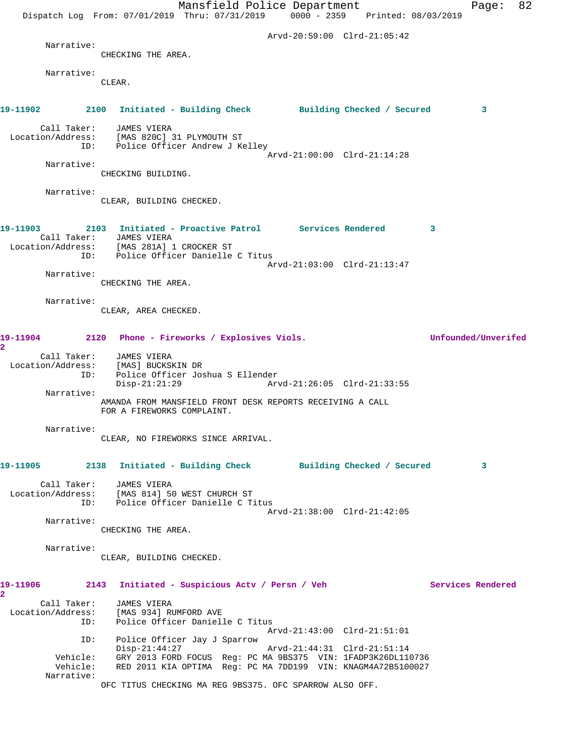|                                                                                | Dispatch Log From: 07/01/2019 Thru: 07/31/2019 0000 - 2359 Printed: 08/03/2019                               | Mansfield Police Department                                  |                                                            |   | Page:               | 82 |
|--------------------------------------------------------------------------------|--------------------------------------------------------------------------------------------------------------|--------------------------------------------------------------|------------------------------------------------------------|---|---------------------|----|
|                                                                                |                                                                                                              |                                                              | Arvd-20:59:00 Clrd-21:05:42                                |   |                     |    |
| Narrative:                                                                     | CHECKING THE AREA.                                                                                           |                                                              |                                                            |   |                     |    |
|                                                                                |                                                                                                              |                                                              |                                                            |   |                     |    |
| Narrative:                                                                     | CLEAR.                                                                                                       |                                                              |                                                            |   |                     |    |
| 19-11902 2100 Initiated - Building Check Building Checked / Secured            |                                                                                                              |                                                              |                                                            |   | 3                   |    |
|                                                                                | Call Taker: JAMES VIERA<br>Location/Address: [MAS 820C] 31 PLYMOUTH ST<br>ID: Police Officer Andrew J Kelley |                                                              | Arvd-21:00:00 Clrd-21:14:28                                |   |                     |    |
| Narrative:                                                                     | CHECKING BUILDING.                                                                                           |                                                              |                                                            |   |                     |    |
| Narrative:                                                                     | CLEAR, BUILDING CHECKED.                                                                                     |                                                              |                                                            |   |                     |    |
| 19-11903  2103  Initiated - Proactive Patrol  Services Rendered                | Call Taker: JAMES VIERA<br>Location/Address: [MAS 281A] 1 CROCKER ST                                         |                                                              |                                                            | 3 |                     |    |
|                                                                                | ID: Police Officer Danielle C Titus                                                                          |                                                              | Arvd-21:03:00 Clrd-21:13:47                                |   |                     |    |
| Narrative:                                                                     | CHECKING THE AREA.                                                                                           |                                                              |                                                            |   |                     |    |
| Narrative:                                                                     | CLEAR, AREA CHECKED.                                                                                         |                                                              |                                                            |   |                     |    |
|                                                                                |                                                                                                              |                                                              |                                                            |   |                     |    |
| 19-11904 2120 Phone - Fireworks / Explosives Viols.<br>$\overline{\mathbf{2}}$ |                                                                                                              |                                                              |                                                            |   | Unfounded/Unverifed |    |
| Call Taker:<br>ID:                                                             | JAMES VIERA<br>Location/Address: [MAS] BUCKSKIN DR<br>$Disp-21:21:29$                                        | Police Officer Joshua S Ellender                             |                                                            |   |                     |    |
| Narrative:                                                                     | AMANDA FROM MANSFIELD FRONT DESK REPORTS RECEIVING A CALL<br>FOR A FIREWORKS COMPLAINT.                      |                                                              |                                                            |   |                     |    |
| Narrative:                                                                     | CLEAR, NO FIREWORKS SINCE ARRIVAL.                                                                           |                                                              |                                                            |   |                     |    |
|                                                                                |                                                                                                              |                                                              |                                                            |   | 3                   |    |
| Call Taker:                                                                    | JAMES VIERA<br>Location/Address: [MAS 814] 50 WEST CHURCH ST<br>ID: Police Officer Danielle C Titus          |                                                              | Arvd-21:38:00 Clrd-21:42:05                                |   |                     |    |
| Narrative:                                                                     | CHECKING THE AREA.                                                                                           |                                                              |                                                            |   |                     |    |
| Narrative:                                                                     | CLEAR, BUILDING CHECKED.                                                                                     |                                                              |                                                            |   |                     |    |
| 19-11906<br>2                                                                  | 2143 Initiated - Suspicious Actv / Persn / Veh                                                               |                                                              |                                                            |   | Services Rendered   |    |
| Call Taker:<br>ID:                                                             | JAMES VIERA<br>Location/Address: [MAS 934] RUMFORD AVE                                                       | Police Officer Danielle C Titus                              |                                                            |   |                     |    |
| ID:<br>Vehicle:                                                                | Police Officer Jay J Sparrow<br>$Disp-21:44:27$                                                              | GRY 2013 FORD FOCUS Reg: PC MA 9BS375 VIN: 1FADP3K26DL110736 | Arvd-21:43:00 Clrd-21:51:01<br>Arvd-21:44:31 Clrd-21:51:14 |   |                     |    |
| Vehicle:<br>Narrative:                                                         | OFC TITUS CHECKING MA REG 9BS375. OFC SPARROW ALSO OFF.                                                      | RED 2011 KIA OPTIMA Reg: PC MA 7DD199 VIN: KNAGM4A72B5100027 |                                                            |   |                     |    |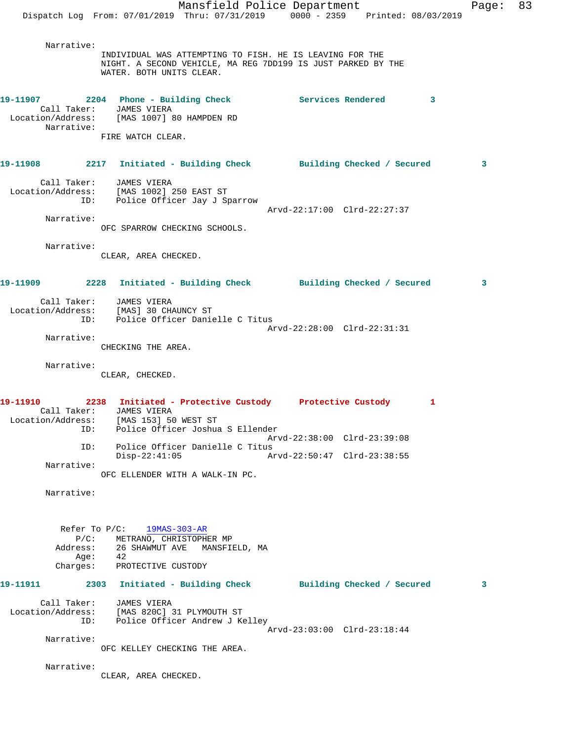Mansfield Police Department Fage: 83 Dispatch Log From: 07/01/2019 Thru: 07/31/2019 0000 - 2359 Printed: 08/03/2019 Narrative: INDIVIDUAL WAS ATTEMPTING TO FISH. HE IS LEAVING FOR THE NIGHT. A SECOND VEHICLE, MA REG 7DD199 IS JUST PARKED BY THE WATER. BOTH UNITS CLEAR. **19-11907 2204 Phone - Building Check Services Rendered 3**  Call Taker: JAMES VIERA Location/Address: [MAS 1007] 80 HAMPDEN RD Narrative: FIRE WATCH CLEAR. **19-11908 2217 Initiated - Building Check Building Checked / Secured 3** Call Taker: JAMES VIERA Location/Address: [MAS 1002] 250 EAST ST ID: Police Officer Jay J Sparrow Arvd-22:17:00 Clrd-22:27:37 Narrative: OFC SPARROW CHECKING SCHOOLS. Narrative: CLEAR, AREA CHECKED. **19-11909 2228 Initiated - Building Check Building Checked / Secured 3** Call Taker: JAMES VIERA Location/Address: [MAS] 30 CHAUNCY ST ID: Police Officer Danielle C Titus Arvd-22:28:00 Clrd-22:31:31 Narrative: CHECKING THE AREA. Narrative: CLEAR, CHECKED. **19-11910 2238 Initiated - Protective Custody Protective Custody 1**  Call Taker: JAMES VIERA Location/Address: [MAS 153] 50 WEST ST ID: Police Officer Joshua S Ellender Arvd-22:38:00 Clrd-23:39:08 ID: Police Officer Danielle C Titus Arvd-22:50:47 Clrd-23:38:55 Narrative: OFC ELLENDER WITH A WALK-IN PC. Narrative: Refer To P/C: 19MAS-303-AR P/C: METRANO, CHRISTOPHER MP Address: 26 SHAWMUT AVE MANSFIELD, MA Age: 42 Charges: PROTECTIVE CUSTODY **19-11911 2303 Initiated - Building Check Building Checked / Secured 3** Call Taker: JAMES VIERA Location/Address: [MAS 820C] 31 PLYMOUTH ST ID: Police Officer Andrew J Kelley Arvd-23:03:00 Clrd-23:18:44 Narrative: OFC KELLEY CHECKING THE AREA. Narrative: CLEAR, AREA CHECKED.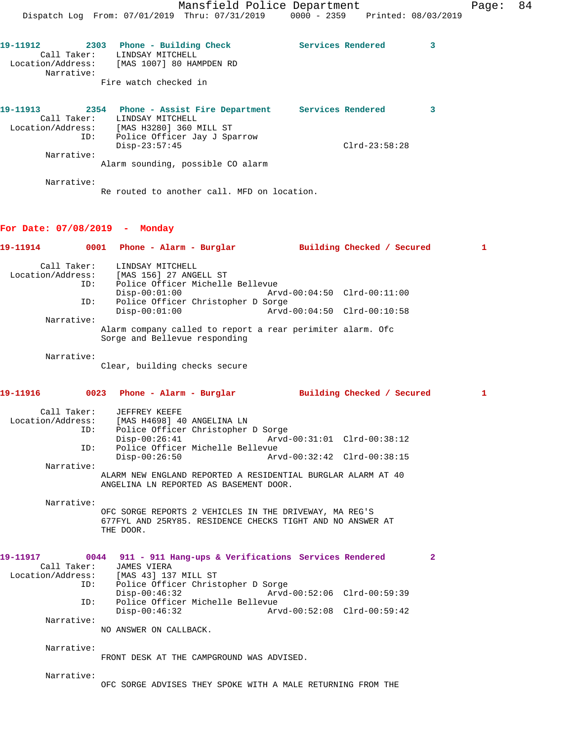19-11912 **2303** Phone - Building Check Services Rendered 3 Call Taker: LINDSAY MITCHELL Location/Address: [MAS 1007] 80 HAMPDEN RD Narrative: Fire watch checked in

| 19-11913          | 2354        | Phone - Assist Fire Department    |  | Services Rendered |  |
|-------------------|-------------|-----------------------------------|--|-------------------|--|
|                   | Call Taker: | LINDSAY MITCHELL                  |  |                   |  |
| Location/Address: |             | [MAS H3280] 360 MILL ST           |  |                   |  |
|                   | ID:         | Police Officer Jay J Sparrow      |  |                   |  |
|                   |             | $Disp-23:57:45$                   |  | $Clrd-23:58:28$   |  |
|                   | Narrative:  |                                   |  |                   |  |
|                   |             | Alarm sounding, possible CO alarm |  |                   |  |

Narrative:

Re routed to another call. MFD on location.

#### **For Date: 07/08/2019 - Monday**

|            | 19-11914      0001   Phone - Alarm - Burglar        Building Checked / Secured                                   |                                         |                            | $\mathbf{1}$ |
|------------|------------------------------------------------------------------------------------------------------------------|-----------------------------------------|----------------------------|--------------|
|            | Call Taker: LINDSAY MITCHELL<br>Location/Address: [MAS 156] 27 ANGELL ST<br>ID: Police Officer Michelle Bellevue |                                         |                            |              |
|            | $Disp-00:01:00$                                                                                                  | $Arvd - 00:04:50 \quad CLrd - 00:11:00$ |                            |              |
| ID:        | Police Officer Christopher D Sorge<br>$Disp-00:01:00$                                                            |                                         |                            |              |
| Narrative: |                                                                                                                  |                                         |                            |              |
|            | Alarm company called to report a rear perimiter alarm. Ofc<br>Sorge and Bellevue responding                      |                                         |                            |              |
| Narrative: | Clear, building checks secure                                                                                    |                                         |                            |              |
|            |                                                                                                                  |                                         | Building Checked / Secured | 1            |
|            | Call Taker: JEFFREY KEEFE                                                                                        |                                         |                            |              |
|            | Location/Address: [MAS H4698] 40 ANGELINA LN                                                                     |                                         |                            |              |
| ID:        | Police Officer Christopher D Sorge                                                                               |                                         |                            |              |
|            | Disp-00:26:41 Arvd-00:31:01 Clrd-00:38:12                                                                        |                                         |                            |              |
| ID:        | Police Officer Michelle Bellevue<br>Disp-00:26:50 Arvd-00:32:42 Clrd-00:38:15                                    |                                         |                            |              |
| Narrative: |                                                                                                                  |                                         |                            |              |
|            | ALARM NEW ENGLAND REPORTED A RESIDENTIAL BURGLAR ALARM AT 40                                                     |                                         |                            |              |

ANGELINA LN REPORTED AS BASEMENT DOOR.

 Narrative: OFC SORGE REPORTS 2 VEHICLES IN THE DRIVEWAY, MA REG'S 677FYL AND 25RY85. RESIDENCE CHECKS TIGHT AND NO ANSWER AT THE DOOR.

#### **19-11917 0044 911 - 911 Hang-ups & Verifications Services Rendered 2**  Call Taker: JAMES VIERA Location/Address: [MAS 43] 137 MILL ST ID: Police Officer Christopher D Sorge Disp-00:46:32 Arvd-00:52:06 Clrd-00:59:39<br>ID: Police Officer Michelle Bellevue Police Officer Michelle Bellevue<br>Disp-00:46:32 Arv Disp-00:46:32 Arvd-00:52:08 Clrd-00:59:42 Narrative: NO ANSWER ON CALLBACK.

Narrative:

FRONT DESK AT THE CAMPGROUND WAS ADVISED.

Narrative:

OFC SORGE ADVISES THEY SPOKE WITH A MALE RETURNING FROM THE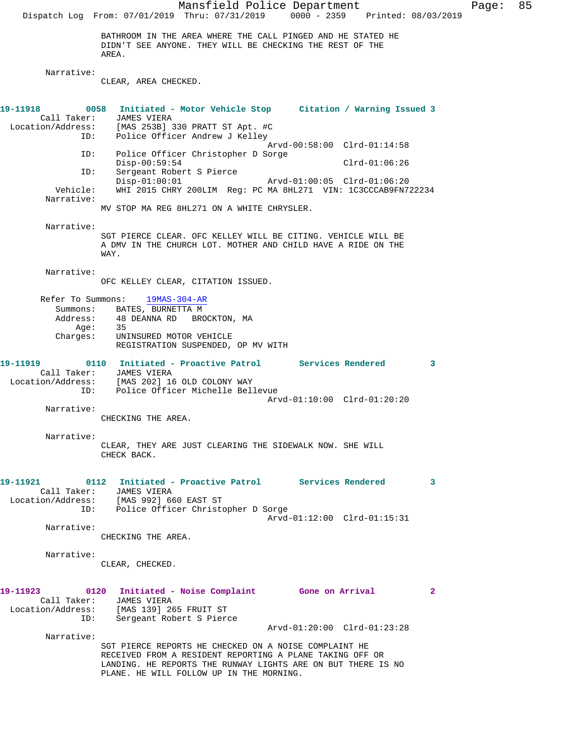Mansfield Police Department Page: 85 Dispatch Log From: 07/01/2019 Thru: 07/31/2019 0000 - 2359 Printed: 08/03/2019 BATHROOM IN THE AREA WHERE THE CALL PINGED AND HE STATED HE DIDN'T SEE ANYONE. THEY WILL BE CHECKING THE REST OF THE AREA. Narrative: CLEAR, AREA CHECKED. **19-11918 0058 Initiated - Motor Vehicle Stop Citation / Warning Issued 3**  Call Taker: JAMES VIERA Location/Address: [MAS 253B] 330 PRATT ST Apt. #C ID: Police Officer Andrew J Kelley Arvd-00:58:00 Clrd-01:14:58 ID: Police Officer Christopher D Sorge Disp-00:59:54 Clrd-01:06:26 ID: Sergeant Robert S Pierce Disp-01:00:01 Arvd-01:00:05 Clrd-01:06:20<br>Vehicle: WHI 2015 CHRY 200LIM Reg: PC MA 8HL271 VIN: 1C3CCCAB9FN7 Vehicle: WHI 2015 CHRY 200LIM Reg: PC MA 8HL271 VIN: 1C3CCCAB9FN722234 Narrative: MV STOP MA REG 8HL271 ON A WHITE CHRYSLER. Narrative: SGT PIERCE CLEAR. OFC KELLEY WILL BE CITING. VEHICLE WILL BE A DMV IN THE CHURCH LOT. MOTHER AND CHILD HAVE A RIDE ON THE WAY. Narrative: OFC KELLEY CLEAR, CITATION ISSUED. Refer To Summons: 19MAS-304-AR Summons: BATES, BURNETTA M Address: 48 DEANNA RD BROCKTON, MA Age: 35<br>Charges: UNI UNINSURED MOTOR VEHICLE REGISTRATION SUSPENDED, OP MV WITH **19-11919 0110 Initiated - Proactive Patrol Services Rendered 3**  Call Taker: JAMES VIERA Location/Address: [MAS 202] 16 OLD COLONY WAY ID: Police Officer Michelle Bellevue Arvd-01:10:00 Clrd-01:20:20 Narrative: CHECKING THE AREA. Narrative: CLEAR, THEY ARE JUST CLEARING THE SIDEWALK NOW. SHE WILL CHECK BACK. **19-11921 0112 Initiated - Proactive Patrol Services Rendered 3**  Call Taker: JAMES VIERA Location/Address: [MAS 992] 660 EAST ST ID: Police Officer Christopher D Sorge Arvd-01:12:00 Clrd-01:15:31 Narrative: CHECKING THE AREA. Narrative: CLEAR, CHECKED. **19-11923 0120 Initiated - Noise Complaint Gone on Arrival 2**  Call Taker: JAMES VIERA Location/Address: [MAS 139] 265 FRUIT ST ID: Sergeant Robert S Pierce Arvd-01:20:00 Clrd-01:23:28 Narrative: SGT PIERCE REPORTS HE CHECKED ON A NOISE COMPLAINT HE RECEIVED FROM A RESIDENT REPORTING A PLANE TAKING OFF OR LANDING. HE REPORTS THE RUNWAY LIGHTS ARE ON BUT THERE IS NO PLANE. HE WILL FOLLOW UP IN THE MORNING.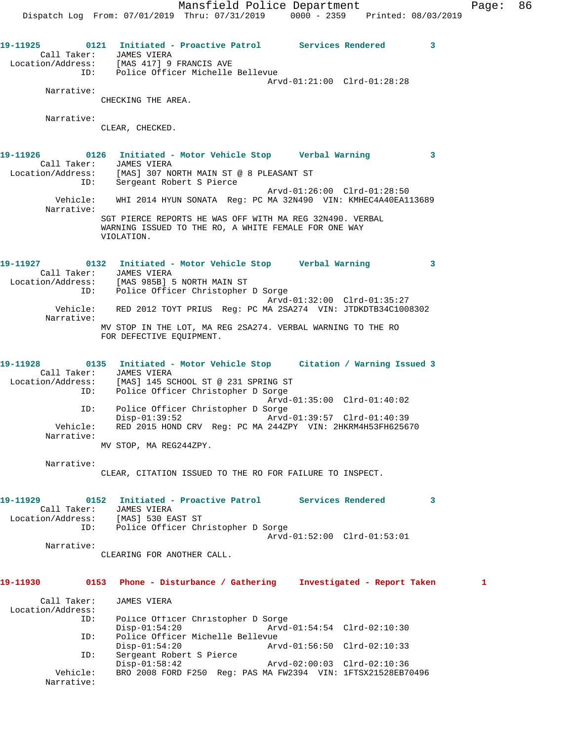**19-11925 0121 Initiated - Proactive Patrol Services Rendered 3**  Call Taker: JAMES VIERA Location/Address: [MAS 417] 9 FRANCIS AVE ID: Police Officer Michelle Bellevue Arvd-01:21:00 Clrd-01:28:28 Narrative: CHECKING THE AREA. Narrative: CLEAR, CHECKED. **19-11926 0126 Initiated - Motor Vehicle Stop Verbal Warning 3**  Call Taker: JAMES VIERA Location/Address: [MAS] 307 NORTH MAIN ST @ 8 PLEASANT ST ID: Sergeant Robert S Pierce Arvd-01:26:00 Clrd-01:28:50 Vehicle: WHI 2014 HYUN SONATA Reg: PC MA 32N490 VIN: KMHEC4A40EA113689 Narrative: SGT PIERCE REPORTS HE WAS OFF WITH MA REG 32N490. VERBAL WARNING ISSUED TO THE RO, A WHITE FEMALE FOR ONE WAY VIOLATION. **19-11927 0132 Initiated - Motor Vehicle Stop Verbal Warning 3**  Call Taker: JAMES VIERA Location/Address: [MAS 985B] 5 NORTH MAIN ST ID: Police Officer Christopher D Sorge Arvd-01:32:00 Clrd-01:35:27 Vehicle: RED 2012 TOYT PRIUS Reg: PC MA 2SA274 VIN: JTDKDTB34C1008302 Narrative: MV STOP IN THE LOT, MA REG 2SA274. VERBAL WARNING TO THE RO FOR DEFECTIVE EQUIPMENT. **19-11928 0135 Initiated - Motor Vehicle Stop Citation / Warning Issued 3**  Call Taker: JAMES VIERA Location/Address: [MAS] 145 SCHOOL ST @ 231 SPRING ST ID: Police Officer Christopher D Sorge Arvd-01:35:00 Clrd-01:40:02 ID: Police Officer Christopher D Sorge Disp-01:39:52 Arvd-01:39:57 Clrd-01:40:39 Vehicle: RED 2015 HOND CRV Reg: PC MA 244ZPY VIN: 2HKRM4H53FH625670 Narrative: MV STOP, MA REG244ZPY. Narrative: CLEAR, CITATION ISSUED TO THE RO FOR FAILURE TO INSPECT. **19-11929 0152 Initiated - Proactive Patrol Services Rendered 3**  Call Taker: JAMES VIERA Location/Address: [MAS] 530 EAST ST ID: Police Officer Christopher D Sorge Arvd-01:52:00 Clrd-01:53:01 Narrative: CLEARING FOR ANOTHER CALL. **19-11930 0153 Phone - Disturbance / Gathering Investigated - Report Taken 1** Call Taker: JAMES VIERA Location/Address: ID: Police Officer Christopher D Sorge Disp-01:54:20 Arvd-01:54:54 Clrd-02:10:30 ID: Police Officer Michelle Bellevue Disp-01:54:20 Arvd-01:56:50 Clrd-02:10:33<br>ID: Sergeant Robert S Pierce Sergeant Robert S Pierce<br>Disp-01:58:42 Disp-01:58:42 Arvd-02:00:03 Clrd-02:10:36<br>Vehicle: BRO 2008 FORD F250 Req: PAS MA FW2394 VIN: 1FTSX21528EB7

BRO 2008 FORD F250 Reg: PAS MA FW2394 VIN: 1FTSX21528EB70496

Narrative: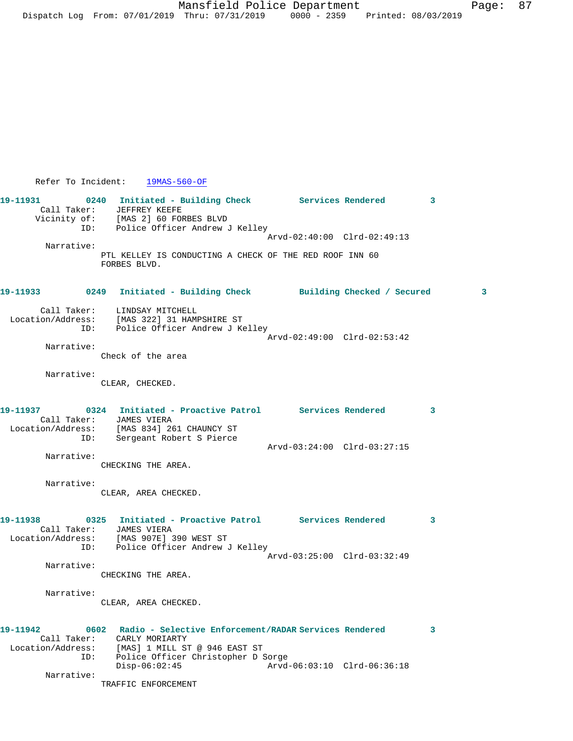Refer To Incident: 19MAS-560-OF **19-11931 0240 Initiated - Building Check Services Rendered 3**  Call Taker: JEFFREY KEEFE Vicinity of: [MAS 2] 60 FORBES BLVD ID: Police Officer Andrew J Kelley Arvd-02:40:00 Clrd-02:49:13 Narrative: PTL KELLEY IS CONDUCTING A CHECK OF THE RED ROOF INN 60 FORBES BLVD. **19-11933 0249 Initiated - Building Check Building Checked / Secured 3** Call Taker: LINDSAY MITCHELL Location/Address: [MAS 322] 31 HAMPSHIRE ST ID: Police Officer Andrew J Kelley Arvd-02:49:00 Clrd-02:53:42 Narrative: Check of the area Narrative: CLEAR, CHECKED. **19-11937 0324 Initiated - Proactive Patrol Services Rendered 3**  Call Taker: JAMES VIERA Location/Address: [MAS 834] 261 CHAUNCY ST ID: Sergeant Robert S Pierce Arvd-03:24:00 Clrd-03:27:15 Narrative: CHECKING THE AREA. Narrative: CLEAR, AREA CHECKED. **19-11938 0325 Initiated - Proactive Patrol Services Rendered 3**  Call Taker: JAMES VIERA Location/Address: [MAS 907E] 390 WEST ST ID: Police Officer Andrew J Kelley Arvd-03:25:00 Clrd-03:32:49 Narrative: CHECKING THE AREA. Narrative: CLEAR, AREA CHECKED. **19-11942 0602 Radio - Selective Enforcement/RADAR Services Rendered 3**  Call Taker: CARLY MORIARTY Location/Address: [MAS] 1 MILL ST @ 946 EAST ST ID: Police Officer Christopher D Sorge Disp-06:02:45 Arvd-06:03:10 Clrd-06:36:18 Narrative: TRAFFIC ENFORCEMENT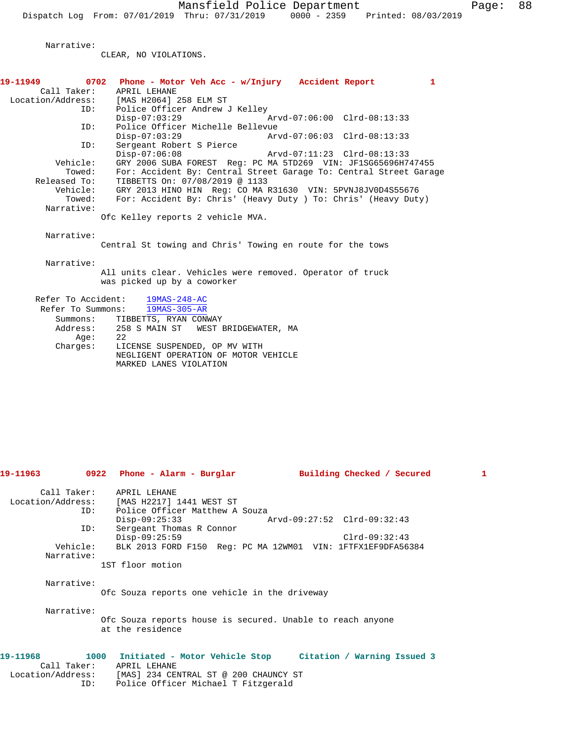Narrative:

CLEAR, NO VIOLATIONS.

| 19-11963    | 0922 Phone - Alarm - Burglar<br>Building Checked / Secured                                         | 1 |
|-------------|----------------------------------------------------------------------------------------------------|---|
|             | Call Taker: APRIL LEHANE                                                                           |   |
|             | Location/Address: [MAS H2217] 1441 WEST ST                                                         |   |
| TD:         | Police Officer Matthew A Souza                                                                     |   |
|             | $Disp-09:25:33$                                                                                    |   |
| ID:         | Sergeant Thomas R Connor<br>$Disp-09:25:59$<br>$Clrd-09:32:43$                                     |   |
| Vehicle:    | BLK 2013 FORD F150 Req: PC MA 12WM01 VIN: 1FTFX1EF9DFA56384                                        |   |
| Narrative:  |                                                                                                    |   |
|             | 1ST floor motion                                                                                   |   |
| Narrative:  |                                                                                                    |   |
|             | Ofc Souza reports one vehicle in the driveway                                                      |   |
| Narrative:  |                                                                                                    |   |
|             | Ofc Souza reports house is secured. Unable to reach anyone<br>at the residence                     |   |
|             |                                                                                                    |   |
| 19–11968    | 1000 Initiated - Motor Vehicle Stop Citation / Warning Issued 3                                    |   |
| Call Taker: | APRIL LEHANE                                                                                       |   |
|             | Location/Address: [MAS] 234 CENTRAL ST @ 200 CHAUNCY ST<br>ID: Police Officer Michael T Fitzgerald |   |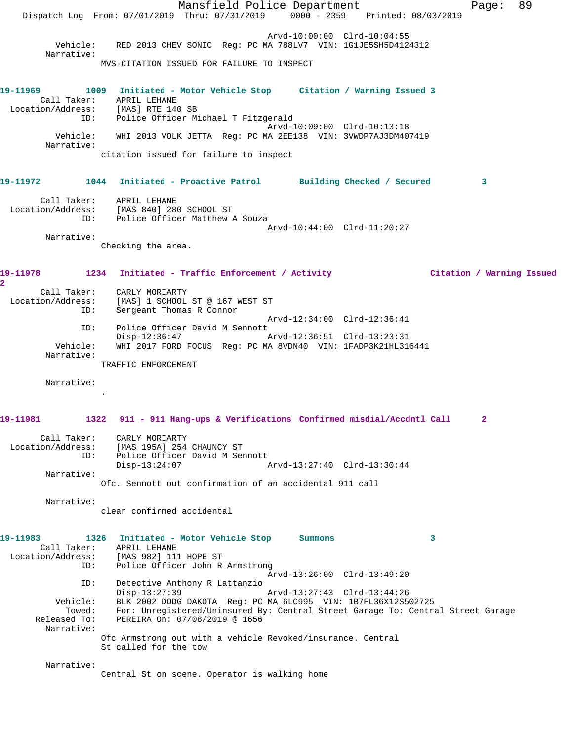Mansfield Police Department Page: 89 Dispatch Log From: 07/01/2019 Thru: 07/31/2019 0000 - 2359 Printed: 08/03/2019 Arvd-10:00:00 Clrd-10:04:55 Vehicle: RED 2013 CHEV SONIC Reg: PC MA 788LV7 VIN: 1G1JE5SH5D4124312 Narrative: MVS-CITATION ISSUED FOR FAILURE TO INSPECT **19-11969 1009 Initiated - Motor Vehicle Stop Citation / Warning Issued 3**  Call Taker: APRIL LEHANE Location/Address: [MAS] RTE 140 SB ID: Police Officer Michael T Fitzgerald Arvd-10:09:00 Clrd-10:13:18 Vehicle: WHI 2013 VOLK JETTA Reg: PC MA 2EE138 VIN: 3VWDP7AJ3DM407419 Narrative: citation issued for failure to inspect **19-11972 1044 Initiated - Proactive Patrol Building Checked / Secured 3** Call Taker: APRIL LEHANE Location/Address: [MAS 840] 280 SCHOOL ST ID: Police Officer Matthew A Souza Arvd-10:44:00 Clrd-11:20:27 Narrative: Checking the area. **19-11978 1234 Initiated - Traffic Enforcement / Activity Citation / Warning Issued 2**  Call Taker: CARLY MORIARTY Location/Address: [MAS] 1 SCHOOL ST @ 167 WEST ST ID: Sergeant Thomas R Connor Arvd-12:34:00 Clrd-12:36:41 ID: Police Officer David M Sennott Disp-12:36:47 Arvd-12:36:51 Clrd-13:23:31 Vehicle: WHI 2017 FORD FOCUS Reg: PC MA 8VDN40 VIN: 1FADP3K21HL316441 Narrative: TRAFFIC ENFORCEMENT Narrative: . **19-11981 1322 911 - 911 Hang-ups & Verifications Confirmed misdial/Accdntl Call 2** Call Taker: CARLY MORIARTY Location/Address: [MAS 195A] 254 CHAUNCY ST ID: Police Officer David M Sennott<br>Disp-13:24:07 A Disp-13:24:07 Arvd-13:27:40 Clrd-13:30:44 Narrative: Ofc. Sennott out confirmation of an accidental 911 call Narrative: clear confirmed accidental **19-11983 1326 Initiated - Motor Vehicle Stop Summons 3**  Call Taker: APRIL LEHANE Location/Address: [MAS 982] 111 HOPE ST ID: Police Officer John R Armstrong Arvd-13:26:00 Clrd-13:49:20 ID: Detective Anthony R Lattanzio Disp-13:27:39 Arvd-13:27:43 Clrd-13:44:26<br>Vehicle: BLK 2002 DODG DAKOTA Reg: PC MA 6LC995 VIN: 1B7FL36X12S5 BLK 2002 DODG DAKOTA Reg: PC MA 6LC995 VIN: 1B7FL36X12S502725 Towed: For: Unregistered/Uninsured By: Central Street Garage To: Central Street Garage Released To: PEREIRA On: 07/08/2019 @ 1656 Narrative: Ofc Armstrong out with a vehicle Revoked/insurance. Central St called for the tow Narrative: Central St on scene. Operator is walking home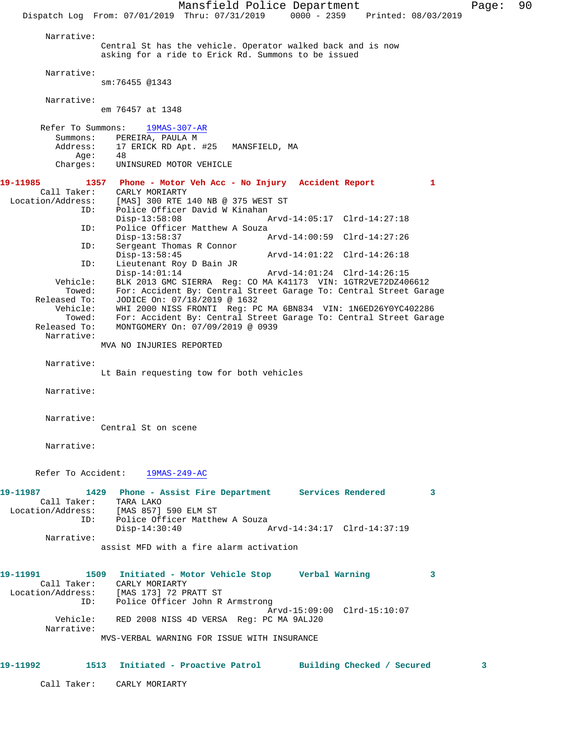Mansfield Police Department Page: 90 Dispatch Log From: 07/01/2019 Thru: 07/31/2019 0000 - 2359 Printed: 08/03/2019 Narrative: Central St has the vehicle. Operator walked back and is now asking for a ride to Erick Rd. Summons to be issued Narrative: sm:76455 @1343 Narrative: em 76457 at 1348 Refer To Summons: 19MAS-307-AR Summons: PEREIRA, PAULA M<br>Address: 17 ERICK RD Apt. 17 ERICK RD Apt. #25 MANSFIELD, MA Age: 48 Charges: UNINSURED MOTOR VEHICLE **19-11985 1357 Phone - Motor Veh Acc - No Injury Accident Report 1**  Call Taker: CARLY MORIARTY Location/Address: [MAS] 300 RTE 140 NB @ 375 WEST ST ID: Police Officer David W Kinahan Disp-13:58:08 Arvd-14:05:17 Clrd-14:27:18 ID: Police Officer Matthew A Souza<br>Disp-13:58:37 Disp-13:58:37 Arvd-14:00:59 Clrd-14:27:26<br>TD: Sergeant Thomas R Connor Sergeant Thomas R Connor<br>Disp-13:58:45 Disp-13:58:45 Arvd-14:01:22 Clrd-14:26:18 ID: Lieutenant Roy D Bain JR Disp-14:01:14 Arvd-14:01:24 Clrd-14:26:15 Vehicle: BLK 2013 GMC SIERRA Reg: CO MA K41173 VIN: 1GTR2VE72DZ406612 Towed: For: Accident By: Central Street Garage To: Central Street Garage Released To: JODICE On: 07/18/2019 @ 1632 Vehicle: WHI 2000 NISS FRONTI Reg: PC MA 6BN834 VIN: 1N6ED26Y0YC402286 Towed: For: Accident By: Central Street Garage To: Central Street Garage Released To: MONTGOMERY On: 07/09/2019 @ 0939 Narrative: MVA NO INJURIES REPORTED Narrative: Lt Bain requesting tow for both vehicles Narrative: Narrative: Central St on scene Narrative: Refer To Accident: 19MAS-249-AC **19-11987 1429 Phone - Assist Fire Department Services Rendered 3**  Call Taker: TARA LAKO Location/Address: [MAS 857] 590 ELM ST ID: Police Officer Matthew A Souza<br>Disp-14:30:40 Disp-14:30:40 Arvd-14:34:17 Clrd-14:37:19 Narrative: assist MFD with a fire alarm activation **19-11991 1509 Initiated - Motor Vehicle Stop Verbal Warning 3**  Call Taker: CARLY MORIARTY Location/Address: [MAS 173] 72 PRATT ST ID: Police Officer John R Armstrong Arvd-15:09:00 Clrd-15:10:07 Vehicle: RED 2008 NISS 4D VERSA Reg: PC MA 9ALJ20 Narrative: MVS-VERBAL WARNING FOR ISSUE WITH INSURANCE **19-11992 1513 Initiated - Proactive Patrol Building Checked / Secured 3**

Call Taker: CARLY MORIARTY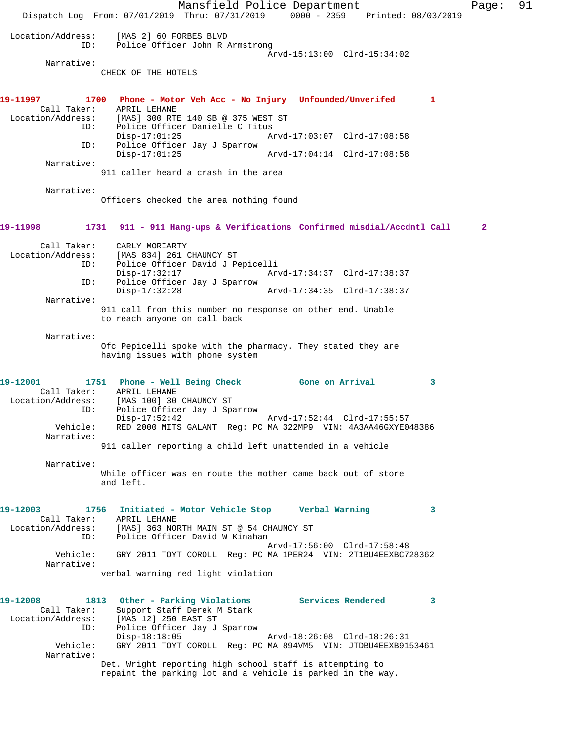Mansfield Police Department Fage: 91 Dispatch Log From: 07/01/2019 Thru: 07/31/2019 0000 - 2359 Printed: 08/03/2019 Location/Address: [MAS 2] 60 FORBES BLVD ID: Police Officer John R Armstrong Arvd-15:13:00 Clrd-15:34:02 Narrative: CHECK OF THE HOTELS **19-11997 1700 Phone - Motor Veh Acc - No Injury Unfounded/Unverifed 1**  Call Taker: APRIL LEHANE<br>Location/Address: [MAS] 300 RTI [MAS] 300 RTE 140 SB @ 375 WEST ST ID: Police Officer Danielle C Titus<br>Disp-17:01:25 Disp-17:01:25 Arvd-17:03:07 Clrd-17:08:58 ID: Police Officer Jay J Sparrow Disp-17:01:25 Arvd-17:04:14 Clrd-17:08:58 Narrative: 911 caller heard a crash in the area Narrative: Officers checked the area nothing found **19-11998 1731 911 - 911 Hang-ups & Verifications Confirmed misdial/Accdntl Call 2** Call Taker: CARLY MORIARTY<br>Location/Address: [MAS 834] 261 0 [MAS 834] 261 CHAUNCY ST ID: Police Officer David J Pepicelli Disp-17:32:17 Arvd-17:34:37 Clrd-17:38:37<br>TD: Police Officer Jav J Sparrow Police Officer Jay J Sparrow<br>Disp-17:32:28 Disp-17:32:28 Arvd-17:34:35 Clrd-17:38:37 Narrative: 911 call from this number no response on other end. Unable to reach anyone on call back Narrative: Ofc Pepicelli spoke with the pharmacy. They stated they are having issues with phone system **19-12001 1751 Phone - Well Being Check Gone on Arrival 3**  Call Taker: APRIL LEHANE Location/Address: [MAS 100] 30 CHAUNCY ST ID: Police Officer Jay J Sparrow Disp-17:52:42 Arvd-17:52:44 Clrd-17:55:57 Vehicle: RED 2000 MITS GALANT Reg: PC MA 322MP9 VIN: 4A3AA46GXYE048386 Narrative: 911 caller reporting a child left unattended in a vehicle Narrative: While officer was en route the mother came back out of store and left. **19-12003 1756 Initiated - Motor Vehicle Stop Verbal Warning 3**  Call Taker: APRIL LEHANE Location/Address: [MAS] 363 NORTH MAIN ST @ 54 CHAUNCY ST ID: Police Officer David W Kinahan Arvd-17:56:00 Clrd-17:58:48 Vehicle: GRY 2011 TOYT COROLL Reg: PC MA 1PER24 VIN: 2T1BU4EEXBC728362 Narrative: verbal warning red light violation **19-12008 1813 Other - Parking Violations Services Rendered 3**  Call Taker: Support Staff Derek M Stark Location/Address: [MAS 12] 250 EAST ST ID: Police Officer Jay J Sparrow Disp-18:18:05 Arvd-18:26:08 Clrd-18:26:31 Vehicle: GRY 2011 TOYT COROLL Reg: PC MA 894VM5 VIN: JTDBU4EEXB9153461 Narrative: Det. Wright reporting high school staff is attempting to repaint the parking lot and a vehicle is parked in the way.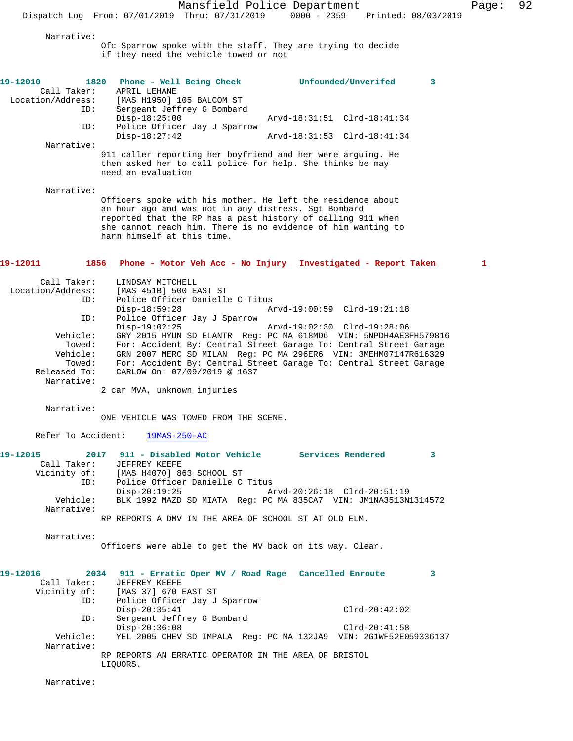Mansfield Police Department Page: 92 Dispatch Log From: 07/01/2019 Thru: 07/31/2019 0000 - 2359 Printed: 08/03/2019

Narrative:

Ofc Sparrow spoke with the staff. They are trying to decide if they need the vehicle towed or not

| 19-12010<br>Call Taker:<br>Location/Address: | 1820 Phone - Well Being Check<br>APRIL LEHANE<br>[MAS H1950] 105 BALCOM ST                                                                                                                                                                                                       | Unfounded/Unverifed                                           | 3 |
|----------------------------------------------|----------------------------------------------------------------------------------------------------------------------------------------------------------------------------------------------------------------------------------------------------------------------------------|---------------------------------------------------------------|---|
| ID:                                          | Sergeant Jeffrey G Bombard                                                                                                                                                                                                                                                       |                                                               |   |
|                                              | $Disp-18:25:00$                                                                                                                                                                                                                                                                  | Arvd-18:31:51 Clrd-18:41:34                                   |   |
| ID:                                          | Police Officer Jay J Sparrow<br>$Disp-18:27:42$                                                                                                                                                                                                                                  | Arvd-18:31:53 Clrd-18:41:34                                   |   |
| Narrative:                                   |                                                                                                                                                                                                                                                                                  |                                                               |   |
|                                              | 911 caller reporting her boyfriend and her were arguing. He<br>then asked her to call police for help. She thinks be may<br>need an evaluation                                                                                                                                   |                                                               |   |
| Narrative:                                   |                                                                                                                                                                                                                                                                                  |                                                               |   |
|                                              | Officers spoke with his mother. He left the residence about<br>an hour ago and was not in any distress. Sgt Bombard<br>reported that the RP has a past history of calling 911 when<br>she cannot reach him. There is no evidence of him wanting to<br>harm himself at this time. |                                                               |   |
| 19-12011                                     | 1856                                                                                                                                                                                                                                                                             | Phone - Motor Veh Acc - No Injury Investigated - Report Taken | 1 |
| Call Taker:                                  | LINDSAY MITCHELL                                                                                                                                                                                                                                                                 |                                                               |   |
| Location/Address:                            | [MAS 451B] 500 EAST ST<br>Police Officer Danielle C Titus                                                                                                                                                                                                                        |                                                               |   |
| ID:                                          | $Disp-18:59:28$                                                                                                                                                                                                                                                                  | Arvd-19:00:59 Clrd-19:21:18                                   |   |
| ID:                                          | Police Officer Jay J Sparrow                                                                                                                                                                                                                                                     |                                                               |   |
|                                              | $Disp-19:02:25$                                                                                                                                                                                                                                                                  | Arvd-19:02:30 Clrd-19:28:06                                   |   |
| Vehicle:<br>Towed:                           | GRY 2015 HYUN SD ELANTR Reg: PC MA 618MD6 VIN: 5NPDH4AE3FH579816<br>For: Accident By: Central Street Garage To: Central Street Garage                                                                                                                                            |                                                               |   |
| Vehicle:                                     | GRN 2007 MERC SD MILAN Reg: PC MA 296ER6 VIN: 3MEHM07147R616329                                                                                                                                                                                                                  |                                                               |   |
| Towed:                                       | For: Accident By: Central Street Garage To: Central Street Garage                                                                                                                                                                                                                |                                                               |   |
| Released To:                                 | CARLOW On: 07/09/2019 @ 1637                                                                                                                                                                                                                                                     |                                                               |   |
| Narrative:                                   | 2 car MVA, unknown injuries                                                                                                                                                                                                                                                      |                                                               |   |
| Narrative:                                   |                                                                                                                                                                                                                                                                                  |                                                               |   |
|                                              | ONE VEHICLE WAS TOWED FROM THE SCENE.                                                                                                                                                                                                                                            |                                                               |   |
| Refer To Accident:                           | $19MAS-250-AC$                                                                                                                                                                                                                                                                   |                                                               |   |
| 19-12015                                     | 2017 911 - Disabled Motor Vehicle                                                                                                                                                                                                                                                | <b>Services Rendered</b>                                      | 3 |
| Call Taker:<br>Vicinity of:                  | JEFFREY KEEFE<br>[MAS H4070] 863 SCHOOL ST                                                                                                                                                                                                                                       |                                                               |   |
| ID:                                          | Police Officer Danielle C Titus                                                                                                                                                                                                                                                  |                                                               |   |
|                                              | $Disp-20:19:25$                                                                                                                                                                                                                                                                  | Arvd-20:26:18 Clrd-20:51:19                                   |   |
| Vehicle:<br>Narrative:                       | BLK 1992 MAZD SD MIATA Req: PC MA 835CA7 VIN: JM1NA3513N1314572                                                                                                                                                                                                                  |                                                               |   |
|                                              | RP REPORTS A DMV IN THE AREA OF SCHOOL ST AT OLD ELM.                                                                                                                                                                                                                            |                                                               |   |
| Narrative:                                   |                                                                                                                                                                                                                                                                                  |                                                               |   |
|                                              | Officers were able to get the MV back on its way. Clear.                                                                                                                                                                                                                         |                                                               |   |
| 19-12016                                     | 2034 911 - Erratic Oper MV / Road Rage Cancelled Enroute                                                                                                                                                                                                                         |                                                               | 3 |
| Call Taker:                                  | JEFFREY KEEFE                                                                                                                                                                                                                                                                    |                                                               |   |
| Vicinity of:<br>ID:                          | [MAS 37] 670 EAST ST<br>Police Officer Jay J Sparrow                                                                                                                                                                                                                             |                                                               |   |
|                                              | $Disp-20:35:41$                                                                                                                                                                                                                                                                  | $Clrd-20:42:02$                                               |   |
| ID:                                          | Sergeant Jeffrey G Bombard                                                                                                                                                                                                                                                       |                                                               |   |
|                                              | Disp-20:36:08                                                                                                                                                                                                                                                                    | $Clrd-20:41:58$                                               |   |

Vehicle: YEL 2005 CHEV SD IMPALA Reg: PC MA 132JA9 VIN: 2G1WF52E059336137

RP REPORTS AN ERRATIC OPERATOR IN THE AREA OF BRISTOL

Narrative:

LIQUORS.

Narrative: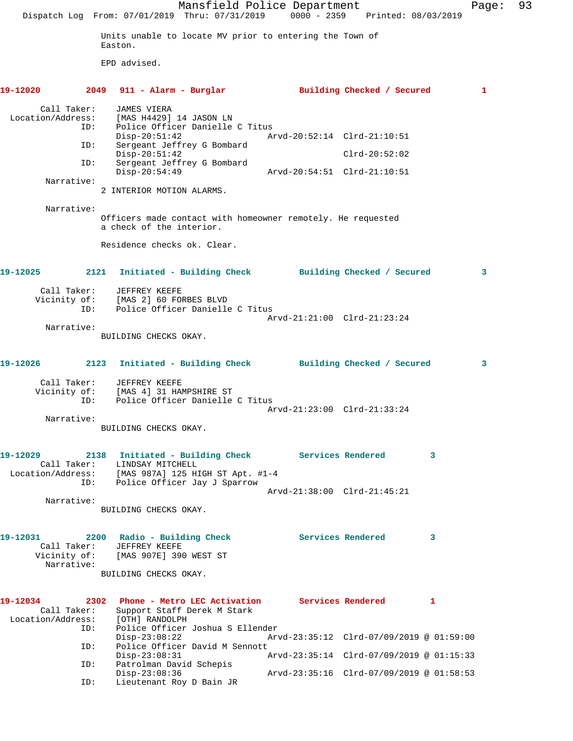|                               |                           |                                                                                     | Mansfield Police Department<br>Dispatch Log From: 07/01/2019 Thru: 07/31/2019 0000 - 2359 Printed: 08/03/2019 |                                          |                   |                            |   | Page: | 93 |
|-------------------------------|---------------------------|-------------------------------------------------------------------------------------|---------------------------------------------------------------------------------------------------------------|------------------------------------------|-------------------|----------------------------|---|-------|----|
|                               |                           | Easton.                                                                             | Units unable to locate MV prior to entering the Town of                                                       |                                          |                   |                            |   |       |    |
|                               |                           | EPD advised.                                                                        |                                                                                                               |                                          |                   |                            |   |       |    |
| 19-12020                      |                           | 2049 911 - Alarm - Burglar                                                          |                                                                                                               |                                          |                   | Building Checked / Secured |   | 1     |    |
| Location/Address:             | Call Taker:<br>ID:        | <b>JAMES VIERA</b><br>[MAS H4429] 14 JASON LN                                       | Police Officer Danielle C Titus                                                                               |                                          |                   |                            |   |       |    |
|                               |                           | $Disp-20:51:42$                                                                     |                                                                                                               | Arvd-20:52:14 Clrd-21:10:51              |                   |                            |   |       |    |
|                               | ID:                       | $Disp-20:51:42$                                                                     | Sergeant Jeffrey G Bombard                                                                                    |                                          |                   | $Clrd-20:52:02$            |   |       |    |
|                               | ID:                       | $Disp-20:54:49$                                                                     | Sergeant Jeffrey G Bombard                                                                                    |                                          |                   |                            |   |       |    |
|                               | Narrative:                | 2 INTERIOR MOTION ALARMS.                                                           |                                                                                                               |                                          |                   |                            |   |       |    |
|                               | Narrative:                | a check of the interior.                                                            | Officers made contact with homeowner remotely. He requested                                                   |                                          |                   |                            |   |       |    |
|                               |                           | Residence checks ok. Clear.                                                         |                                                                                                               |                                          |                   |                            |   |       |    |
| 19-12025                      |                           |                                                                                     | 2121 Initiated - Building Check Building Checked / Secured                                                    |                                          |                   |                            |   | 3     |    |
|                               | Call Taker:<br>ID:        | JEFFREY KEEFE<br>Vicinity of: [MAS 2] 60 FORBES BLVD                                | Police Officer Danielle C Titus                                                                               |                                          |                   |                            |   |       |    |
|                               | Narrative:                |                                                                                     |                                                                                                               | Arvd-21:21:00 Clrd-21:23:24              |                   |                            |   |       |    |
|                               |                           | BUILDING CHECKS OKAY.                                                               |                                                                                                               |                                          |                   |                            |   |       |    |
| 19-12026                      |                           |                                                                                     | 2123 Initiated - Building Check Building Checked / Secured                                                    |                                          |                   |                            |   | 3     |    |
|                               | Call Taker:<br>ID:        | JEFFREY KEEFE<br>Vicinity of: [MAS 4] 31 HAMPSHIRE ST                               | Police Officer Danielle C Titus                                                                               | Arvd-21:23:00 Clrd-21:33:24              |                   |                            |   |       |    |
|                               | Narrative:                |                                                                                     |                                                                                                               |                                          |                   |                            |   |       |    |
|                               |                           | BUILDING CHECKS OKAY.                                                               |                                                                                                               |                                          |                   |                            |   |       |    |
| 19-12029                      | Location/Address:         | Call Taker: LINDSAY MITCHELL                                                        | 2138 Initiated - Building Check Services Rendered<br>[MAS 987A] 125 HIGH ST Apt. #1-4                         |                                          |                   |                            | 3 |       |    |
|                               | ID:                       |                                                                                     | Police Officer Jay J Sparrow                                                                                  | Arvd-21:38:00 Clrd-21:45:21              |                   |                            |   |       |    |
|                               | Narrative:                | BUILDING CHECKS OKAY.                                                               |                                                                                                               |                                          |                   |                            |   |       |    |
| 19-12031                      | Call Taker:<br>Narrative: | 2200 Radio - Building Check<br>JEFFREY KEEFE<br>Vicinity of: [MAS 907E] 390 WEST ST |                                                                                                               |                                          | Services Rendered |                            | 3 |       |    |
|                               |                           | BUILDING CHECKS OKAY.                                                               |                                                                                                               |                                          |                   |                            |   |       |    |
| 19-12034<br>Location/Address: | Call Taker:<br>ID:        | [OTH] RANDOLPH                                                                      | 2302 Phone - Metro LEC Activation<br>Support Staff Derek M Stark<br>Police Officer Joshua S Ellender          |                                          | Services Rendered |                            | 1 |       |    |
|                               | ID:                       | $Disp-23:08:22$                                                                     | Police Officer David M Sennott                                                                                | Arvd-23:35:12 Clrd-07/09/2019 @ 01:59:00 |                   |                            |   |       |    |
|                               |                           | $Disp-23:08:31$                                                                     |                                                                                                               | Arvd-23:35:14 Clrd-07/09/2019 @ 01:15:33 |                   |                            |   |       |    |
|                               | ID:<br>ID:                | Patrolman David Schepis<br>$Disp-23:08:36$<br>Lieutenant Roy D Bain JR              |                                                                                                               | Arvd-23:35:16 Clrd-07/09/2019 @ 01:58:53 |                   |                            |   |       |    |
|                               |                           |                                                                                     |                                                                                                               |                                          |                   |                            |   |       |    |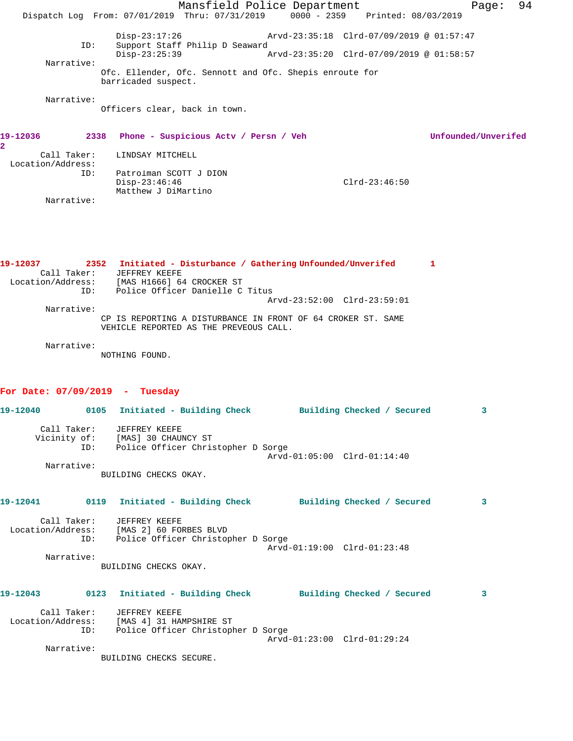|                |                                  |                                                                  | Mansfield Police Department<br>Dispatch Log From: 07/01/2019 Thru: 07/31/2019 0000 - 2359 Printed: 08/03/2019 |                                          |   | Page:               | 94 |
|----------------|----------------------------------|------------------------------------------------------------------|---------------------------------------------------------------------------------------------------------------|------------------------------------------|---|---------------------|----|
|                | ID:                              | $Disp-23:17:26$                                                  | Support Staff Philip D Seaward                                                                                | Arvd-23:35:18 Clrd-07/09/2019 @ 01:57:47 |   |                     |    |
|                |                                  | $Disp-23:25:39$                                                  |                                                                                                               | Aryd-23:35:20 Clrd-07/09/2019 @ 01:58:57 |   |                     |    |
|                | Narrative:                       | barricaded suspect.                                              | Ofc. Ellender, Ofc. Sennott and Ofc. Shepis enroute for                                                       |                                          |   |                     |    |
|                | Narrative:                       | Officers clear, back in town.                                    |                                                                                                               |                                          |   |                     |    |
| 19-12036<br>2. |                                  |                                                                  | 2338 Phone - Suspicious Actv / Persn / Veh                                                                    |                                          |   | Unfounded/Unverifed |    |
|                | Call Taker:<br>Location/Address: | LINDSAY MITCHELL                                                 |                                                                                                               |                                          |   |                     |    |
|                | ID:                              | Patrolman SCOTT J DION<br>$Disp-23:46:46$<br>Matthew J DiMartino |                                                                                                               | $Clrd-23:46:50$                          |   |                     |    |
|                | Narrative:                       |                                                                  |                                                                                                               |                                          |   |                     |    |
|                |                                  |                                                                  |                                                                                                               |                                          |   |                     |    |
| 19-12037       | Call Taker:                      | JEFFREY KEEFE                                                    | 2352 Initiated - Disturbance / Gathering Unfounded/Unverifed                                                  |                                          | 1 |                     |    |

| Location/Address: | [MAS H1666] 64 CROCKER ST                                    |
|-------------------|--------------------------------------------------------------|
| TD:               | Police Officer Danielle C Titus                              |
|                   | Arvd-23:52:00 Clrd-23:59:01                                  |
| Narrative:        |                                                              |
|                   | CP IS REPORTING A DISTURBANCE IN FRONT OF 64 CROKER ST. SAME |
|                   | VEHICLE REPORTED AS THE PREVEOUS CALL.                       |

Narrative:

NOTHING FOUND.

### **For Date: 07/09/2019 - Tuesday**

| 19-12040<br>0105 | Initiated - Building Check         |                             | Building Checked / Secured | 3 |
|------------------|------------------------------------|-----------------------------|----------------------------|---|
| Call Taker:      | JEFFREY KEEFE                      |                             |                            |   |
| Vicinity of:     | [MAS] 30 CHAUNCY ST                |                             |                            |   |
| ID:              | Police Officer Christopher D Sorge |                             |                            |   |
|                  |                                    | Arvd-01:05:00 Clrd-01:14:40 |                            |   |
| Narrative:       |                                    |                             |                            |   |
|                  | BUILDING CHECKS OKAY.              |                             |                            |   |
|                  |                                    |                             |                            |   |

| 19-12041          | 0119        | Initiated - Building Check         |                             | Building Checked / Secured | 3 |
|-------------------|-------------|------------------------------------|-----------------------------|----------------------------|---|
|                   | Call Taker: | JEFFREY KEEFE                      |                             |                            |   |
| Location/Address: |             | [MAS 2] 60 FORBES BLVD             |                             |                            |   |
|                   | ID:         | Police Officer Christopher D Sorge |                             |                            |   |
|                   |             |                                    | Arvd-01:19:00 Clrd-01:23:48 |                            |   |
|                   | Narrative:  |                                    |                             |                            |   |
|                   |             | BUILDING CHECKS OKAY.              |                             |                            |   |
| 19-12043          | 0123        | Initiated - Building Check         |                             | Building Checked / Secured | 3 |
|                   | Call Taker: | JEFFREY KEEFE                      |                             |                            |   |
| Location/Address: |             | [MAS 4] 31 HAMPSHIRE ST            |                             |                            |   |
|                   | ID:         | Police Officer Christopher D Sorge |                             |                            |   |
|                   |             |                                    | Arvd-01:23:00 Clrd-01:29:24 |                            |   |

Narrative:

BUILDING CHECKS SECURE.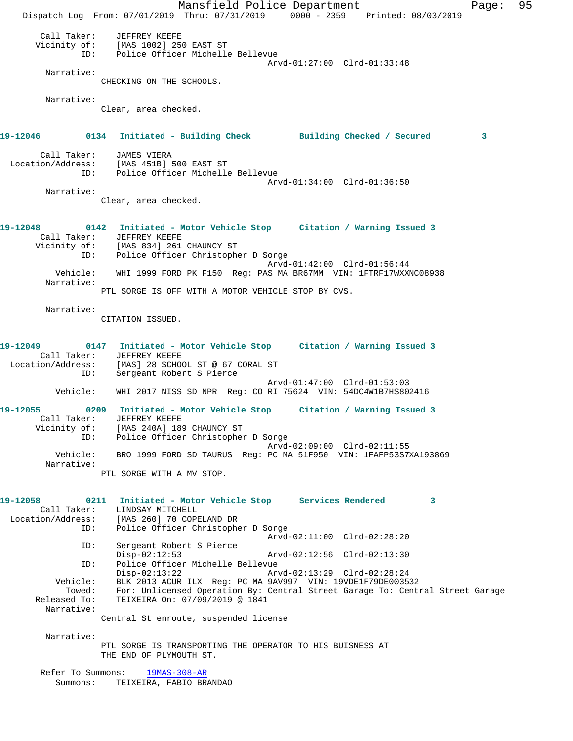Mansfield Police Department Fage: 95 Dispatch Log From: 07/01/2019 Thru: 07/31/2019 0000 - 2359 Printed: 08/03/2019 Call Taker: JEFFREY KEEFE Vicinity of: [MAS 1002] 250 EAST ST ID: Police Officer Michelle Bellevue Arvd-01:27:00 Clrd-01:33:48 Narrative: CHECKING ON THE SCHOOLS. Narrative: Clear, area checked. **19-12046 0134 Initiated - Building Check Building Checked / Secured 3** Call Taker: JAMES VIERA Location/Address: [MAS 451B] 500 EAST ST ID: Police Officer Michelle Bellevue Arvd-01:34:00 Clrd-01:36:50 Narrative: Clear, area checked. **19-12048 0142 Initiated - Motor Vehicle Stop Citation / Warning Issued 3**  Call Taker: JEFFREY KEEFE Vicinity of: [MAS 834] 261 CHAUNCY ST ID: Police Officer Christopher D Sorge Arvd-01:42:00 Clrd-01:56:44 Vehicle: WHI 1999 FORD PK F150 Reg: PAS MA BR67MM VIN: 1FTRF17WXXNC08938 Narrative: PTL SORGE IS OFF WITH A MOTOR VEHICLE STOP BY CVS. Narrative: CITATION ISSUED. **19-12049 0147 Initiated - Motor Vehicle Stop Citation / Warning Issued 3**  Call Taker: JEFFREY KEEFE Location/Address: [MAS] 28 SCHOOL ST @ 67 CORAL ST ID: Sergeant Robert S Pierce Arvd-01:47:00 Clrd-01:53:03 Vehicle: WHI 2017 NISS SD NPR Reg: CO RI 75624 VIN: 54DC4W1B7HS802416 **19-12055 0209 Initiated - Motor Vehicle Stop Citation / Warning Issued 3**  Call Taker: JEFFREY KEEFE Vicinity of: [MAS 240A] 189 CHAUNCY ST ID: Police Officer Christopher D Sorge Arvd-02:09:00 Clrd-02:11:55 Vehicle: BRO 1999 FORD SD TAURUS Reg: PC MA 51F950 VIN: 1FAFP53S7XA193869 Narrative: PTL SORGE WITH A MV STOP. **19-12058 0211 Initiated - Motor Vehicle Stop Services Rendered 3**  Call Taker: LINDSAY MITCHELL Location/Address: [MAS 260] 70 COPELAND DR ID: Police Officer Christopher D Sorge Arvd-02:11:00 Clrd-02:28:20 ID: Sergeant Robert S Pierce Disp-02:12:53 Arvd-02:12:56 Clrd-02:13:30 ID: Police Officer Michelle Bellevue Disp-02:13:22 Arvd-02:13:29 Clrd-02:28:24<br>Vehicle: BLK 2013 ACUR ILX Reg: PC MA 9AV997 VIN: 19VDE1F79DE0035 BLK 2013 ACUR ILX Reg: PC MA 9AV997 VIN: 19VDE1F79DE003532 Towed: For: Unlicensed Operation By: Central Street Garage To: Central Street Garage Released To: TEIXEIRA On: 07/09/2019 @ 1841 Narrative: Central St enroute, suspended license Narrative: PTL SORGE IS TRANSPORTING THE OPERATOR TO HIS BUISNESS AT THE END OF PLYMOUTH ST. Refer To Summons: 19MAS-308-AR Summons: TEIXEIRA, FABIO BRANDAO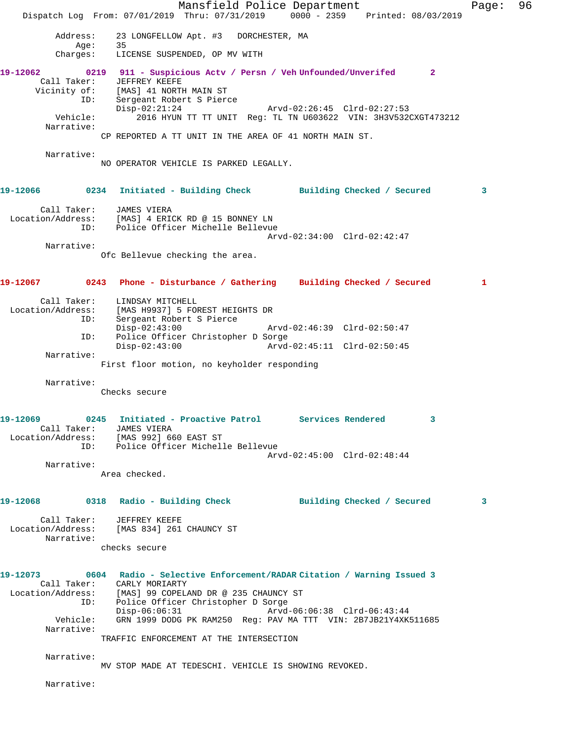Mansfield Police Department Fage: 96 Dispatch Log From: 07/01/2019 Thru: 07/31/2019 0000 - 2359 Printed: 08/03/2019 Address: 23 LONGFELLOW Apt. #3 DORCHESTER, MA<br>Age: 35 Age: 35 Charges: LICENSE SUSPENDED, OP MV WITH **19-12062 0219 911 - Suspicious Actv / Persn / Veh Unfounded/Unverifed 2**  Call Taker: JEFFREY KEEFE Vicinity of: [MAS] 41 NORTH MAIN ST<br>ID: Sergeant Robert S Pierce<br>Disp-02:21:24<br>The Marvd-02:26:45 Clrd-02:27:53<br>The Marvd-02:26:45 Clrd-02:27:53 ID: Sergeant Robert S Pierce Disp-02:21:24 Arvd-02:26:45 Clrd-02:27:53 Vehicle: 2016 HYUN TT TT UNIT Reg: TL TN U603622 VIN: 3H3V532CXGT473212 Narrative: CP REPORTED A TT UNIT IN THE AREA OF 41 NORTH MAIN ST. Narrative: NO OPERATOR VEHICLE IS PARKED LEGALLY. **19-12066 0234 Initiated - Building Check Building Checked / Secured 3** Call Taker: JAMES VIERA Location/Address: [MAS] 4 ERICK RD @ 15 BONNEY LN ID: Police Officer Michelle Bellevue Arvd-02:34:00 Clrd-02:42:47 Narrative: Ofc Bellevue checking the area. **19-12067 0243 Phone - Disturbance / Gathering Building Checked / Secured 1** Call Taker: LINDSAY MITCHELL Location/Address: [MAS H9937] 5 FOREST HEIGHTS DR ID: Sergeant Robert S Pierce Disp-02:43:00 Arvd-02:46:39 Clrd-02:50:47 ID: Police Officer Christopher D Sorge Disp-02:43:00 Arvd-02:45:11 Clrd-02:50:45 Narrative: First floor motion, no keyholder responding Narrative: Checks secure **19-12069 0245 Initiated - Proactive Patrol Services Rendered 3**  Call Taker: JAMES VIERA Location/Address: [MAS 992] 660 EAST ST ID: Police Officer Michelle Bellevue Arvd-02:45:00 Clrd-02:48:44 Narrative: Area checked. **19-12068 0318 Radio - Building Check Building Checked / Secured 3** Call Taker: JEFFREY KEEFE Location/Address: [MAS 834] 261 CHAUNCY ST Narrative: checks secure **19-12073 0604 Radio - Selective Enforcement/RADAR Citation / Warning Issued 3**  Call Taker: CARLY MORIARTY Location/Address: [MAS] 99 COPELAND DR @ 235 CHAUNCY ST ID: Police Officer Christopher D Sorge Disp-06:06:31 Arvd-06:06:38 Clrd-06:43:44 Vehicle: GRN 1999 DODG PK RAM250 Reg: PAV MA TTT VIN: 2B7JB21Y4XK511685 Narrative: TRAFFIC ENFORCEMENT AT THE INTERSECTION Narrative: MV STOP MADE AT TEDESCHI. VEHICLE IS SHOWING REVOKED. Narrative: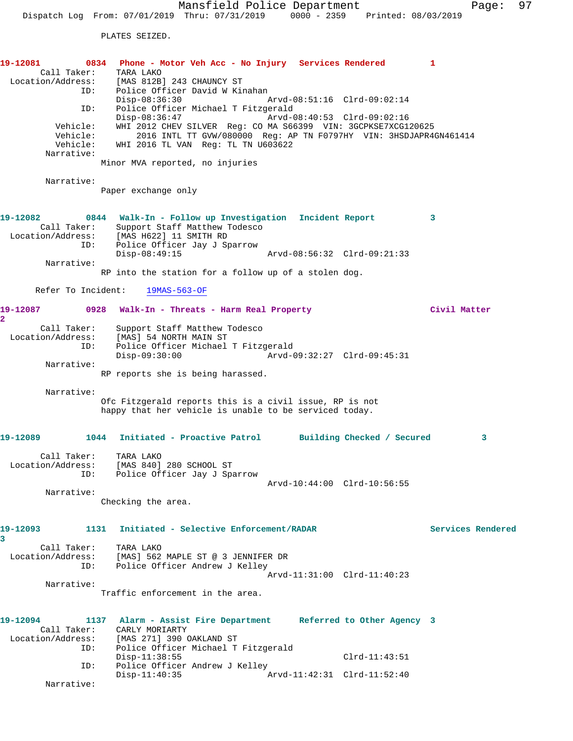PLATES SEIZED.

## **19-12081 0834 Phone - Motor Veh Acc - No Injury Services Rendered 1**  Call Taker: TARA LAKO Location/Address: [MAS 812B] 243 CHAUNCY ST ID: Police Officer David W Kinahan<br>Disp-08:36:30 Mrvd-08:51:16 Clrd-09:02:14 Disp-08:36:30<br>ID: Police Officer Michael T Fit ID: Police Officer Michael T Fitzgerald Disp-08:36:47 Arvd-08:40:53 Clrd-09:02:16 Vehicle: WHI 2012 CHEV SILVER Reg: CO MA S66399 VIN: 3GCPKSE7XCG120625 Vehicle: 2016 INTL TT GVW/080000 Reg: AP TN F0797HY VIN: 3HSDJAPR4GN461414 Vehicle: 2016 INTL TT GVW/080000 Reg: AF<br>Vehicle: WHI 2016 TL VAN Reg: TL TN U603622 Narrative: Minor MVA reported, no injuries Narrative: Paper exchange only **19-12082 0844 Walk-In - Follow up Investigation Incident Report 3**  Call Taker: Support Staff Matthew Todesco Location/Address: [MAS H622] 11 SMITH RD ID: Police Officer Jay J Sparrow<br>Disp-08:49:15 Arvd-08:56:32 Clrd-09:21:33 Narrative: RP into the station for a follow up of a stolen dog. Refer To Incident: 19MAS-563-OF **19-12087 0928 Walk-In - Threats - Harm Real Property Civil Matter 2**  Call Taker: Support Staff Matthew Todesco Location/Address: [MAS] 54 NORTH MAIN ST ID: Police Officer Michael T Fitzgerald Disp-09:30:00 Arvd-09:32:27 Clrd-09:45:31 Narrative: RP reports she is being harassed. Narrative: Ofc Fitzgerald reports this is a civil issue, RP is not happy that her vehicle is unable to be serviced today. **19-12089 1044 Initiated - Proactive Patrol Building Checked / Secured 3** Call Taker: TARA LAKO Location/Address: [MAS 840] 280 SCHOOL ST ID: Police Officer Jay J Sparrow Arvd-10:44:00 Clrd-10:56:55 Narrative: Checking the area. **19-12093 1131 Initiated - Selective Enforcement/RADAR Services Rendered 3**  Call Taker: TARA LAKO Location/Address: [MAS] 562 MAPLE ST @ 3 JENNIFER DR ID: Police Officer Andrew J Kelley Arvd-11:31:00 Clrd-11:40:23 Narrative: Traffic enforcement in the area. **19-12094 1137 Alarm - Assist Fire Department Referred to Other Agency 3**  Call Taker: CARLY MORIARTY Location/Address: [MAS 271] 390 OAKLAND ST ID: Police Officer Michael T Fitzgerald Disp-11:38:55 Clrd-11:43:51 ID: Police Officer Andrew J Kelley Disp-11:40:35 Arvd-11:42:31 Clrd-11:52:40

Narrative: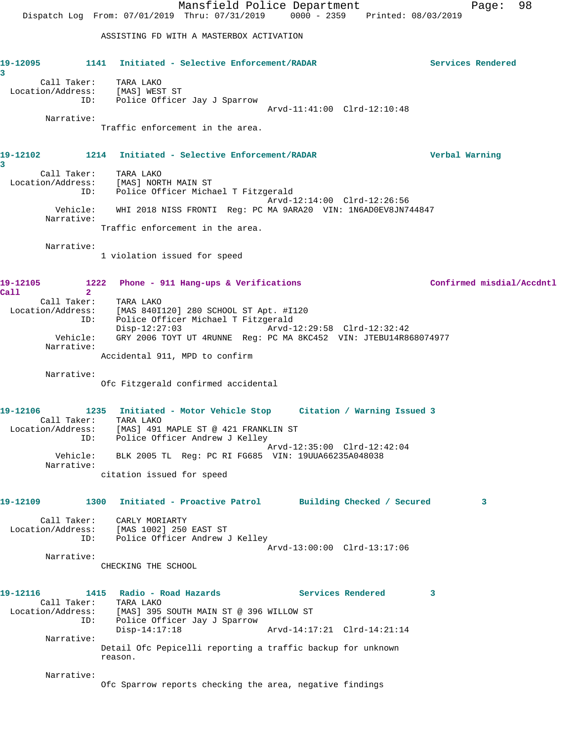Mansfield Police Department Fage: 98 Dispatch Log From: 07/01/2019 Thru: 07/31/2019 0000 - 2359 Printed: 08/03/2019 ASSISTING FD WITH A MASTERBOX ACTIVATION **19-12095 1141 Initiated - Selective Enforcement/RADAR Services Rendered 3**  Call Taker: TARA LAKO Location/Address: [MAS] WEST ST ID: Police Officer Jay J Sparrow Arvd-11:41:00 Clrd-12:10:48 Narrative: Traffic enforcement in the area. **19-12102 1214 Initiated - Selective Enforcement/RADAR Verbal Warning 3**  Call Taker: TARA LAKO Location/Address: [MAS] NORTH MAIN ST ID: Police Officer Michael T Fitzgerald Arvd-12:14:00 Clrd-12:26:56 Vehicle: WHI 2018 NISS FRONTI Reg: PC MA 9ARA20 VIN: 1N6AD0EV8JN744847 Narrative: Traffic enforcement in the area. Narrative: 1 violation issued for speed 19-12105 1222 Phone - 911 Hang-ups & Verifications **1222 Confirmed misdial/Accdntl**<br>Call 2 **Call 2**  Call Taker: TARA LAKO Location/Address: [MAS 840I120] 280 SCHOOL ST Apt. #I120 ID: Police Officer Michael T Fitzgerald Disp-12:27:03 Arvd-12:29:58 Clrd-12:32:42 Vehicle: GRY 2006 TOYT UT 4RUNNE Reg: PC MA 8KC452 VIN: JTEBU14R868074977 Narrative: Accidental 911, MPD to confirm Narrative: Ofc Fitzgerald confirmed accidental **19-12106 1235 Initiated - Motor Vehicle Stop Citation / Warning Issued 3**  Call Taker: TARA LAKO Location/Address: [MAS] 491 MAPLE ST @ 421 FRANKLIN ST ID: Police Officer Andrew J Kelley Arvd-12:35:00 Clrd-12:42:04 Vehicle: BLK 2005 TL Reg: PC RI FG685 VIN: 19UUA66235A048038 Narrative: citation issued for speed **19-12109 1300 Initiated - Proactive Patrol Building Checked / Secured 3** Call Taker: CARLY MORIARTY Location/Address: [MAS 1002] 250 EAST ST ID: Police Officer Andrew J Kelley Arvd-13:00:00 Clrd-13:17:06 Narrative: CHECKING THE SCHOOL **19-12116 1415 Radio - Road Hazards Services Rendered 3**  Call Taker: TARA LAKO<br>Location/Address: [MAS] 395 [MAS] 395 SOUTH MAIN ST @ 396 WILLOW ST ID: Police Officer Jay J Sparrow<br>Disp-14:17:18 Disp-14:17:18 Arvd-14:17:21 Clrd-14:21:14 Narrative: Detail Ofc Pepicelli reporting a traffic backup for unknown reason. Narrative: Ofc Sparrow reports checking the area, negative findings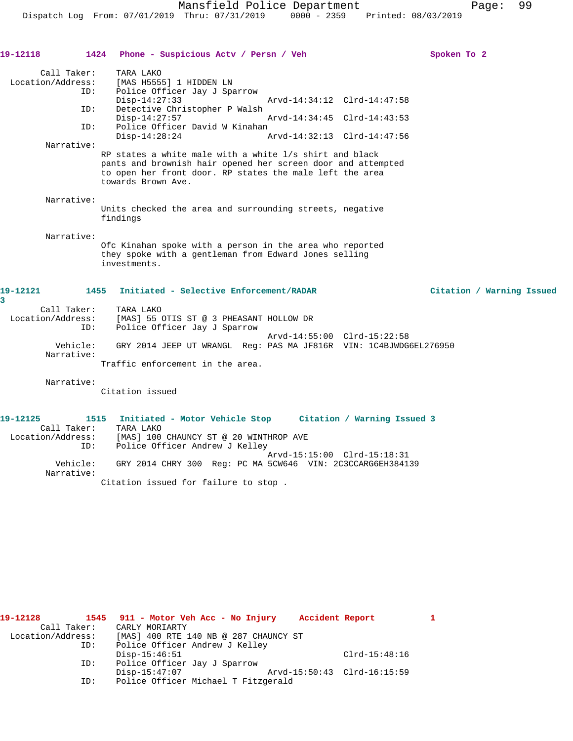| 19-12118                                            | 1424<br>Phone - Suspicious Actv / Persn / Veh                                                                                                                                                             | Spoken To 2               |
|-----------------------------------------------------|-----------------------------------------------------------------------------------------------------------------------------------------------------------------------------------------------------------|---------------------------|
| Call Taker:<br>Location/Address:<br>ID:             | TARA LAKO<br>[MAS H5555] 1 HIDDEN LN<br>Police Officer Jay J Sparrow<br>$Disp-14:27:33$<br>Arvd-14:34:12 Clrd-14:47:58                                                                                    |                           |
| ID:<br>ID:                                          | Detective Christopher P Walsh<br>$Disp-14:27:57$<br>Arvd-14:34:45 Clrd-14:43:53<br>Police Officer David W Kinahan                                                                                         |                           |
|                                                     | Arvd-14:32:13 Clrd-14:47:56<br>$Disp-14:28:24$                                                                                                                                                            |                           |
| Narrative:                                          | RP states a white male with a white 1/s shirt and black<br>pants and brownish hair opened her screen door and attempted<br>to open her front door. RP states the male left the area<br>towards Brown Ave. |                           |
| Narrative:                                          | Units checked the area and surrounding streets, negative<br>findings                                                                                                                                      |                           |
| Narrative:                                          | Ofc Kinahan spoke with a person in the area who reported<br>they spoke with a gentleman from Edward Jones selling<br>investments.                                                                         |                           |
| 19-12121<br>3                                       | 1455<br>Initiated - Selective Enforcement/RADAR                                                                                                                                                           | Citation / Warning Issued |
| Call Taker:<br>Location/Address:<br>ID:             | TARA LAKO<br>[MAS] 55 OTIS ST @ 3 PHEASANT HOLLOW DR<br>Police Officer Jay J Sparrow                                                                                                                      |                           |
| Vehicle:<br>Narrative:                              | Arvd-14:55:00 Clrd-15:22:58<br>GRY 2014 JEEP UT WRANGL Req: PAS MA JF816R VIN: 1C4BJWDG6EL276950                                                                                                          |                           |
|                                                     | Traffic enforcement in the area.                                                                                                                                                                          |                           |
| Narrative:                                          | Citation issued                                                                                                                                                                                           |                           |
| 19-12125<br>Call Taker:<br>Location/Address:<br>ID: | 1515<br>Initiated - Motor Vehicle Stop<br>Citation / Warning Issued 3<br>TARA LAKO<br>[MAS] 100 CHAUNCY ST @ 20 WINTHROP AVE<br>Police Officer Andrew J Kelley                                            |                           |

 Narrative: Citation issued for failure to stop .

 Arvd-15:15:00 Clrd-15:18:31 Vehicle: GRY 2014 CHRY 300 Reg: PC MA 5CW646 VIN: 2C3CCARG6EH384139

| 19-12128          |             | 1545 911 - Motor Veh Acc - No Injury  |  | Accident Report             |                 |  |
|-------------------|-------------|---------------------------------------|--|-----------------------------|-----------------|--|
|                   | Call Taker: | CARLY MORIARTY                        |  |                             |                 |  |
| Location/Address: |             | [MAS] 400 RTE 140 NB @ 287 CHAUNCY ST |  |                             |                 |  |
|                   | ID:         | Police Officer Andrew J Kelley        |  |                             |                 |  |
|                   |             | $Disp-15:46:51$                       |  |                             | $Clrd-15:48:16$ |  |
|                   | ID:         | Police Officer Jay J Sparrow          |  |                             |                 |  |
|                   |             | $Disp-15:47:07$                       |  | Arvd-15:50:43 Clrd-16:15:59 |                 |  |
|                   | ID:         | Police Officer Michael T Fitzgerald   |  |                             |                 |  |
|                   |             |                                       |  |                             |                 |  |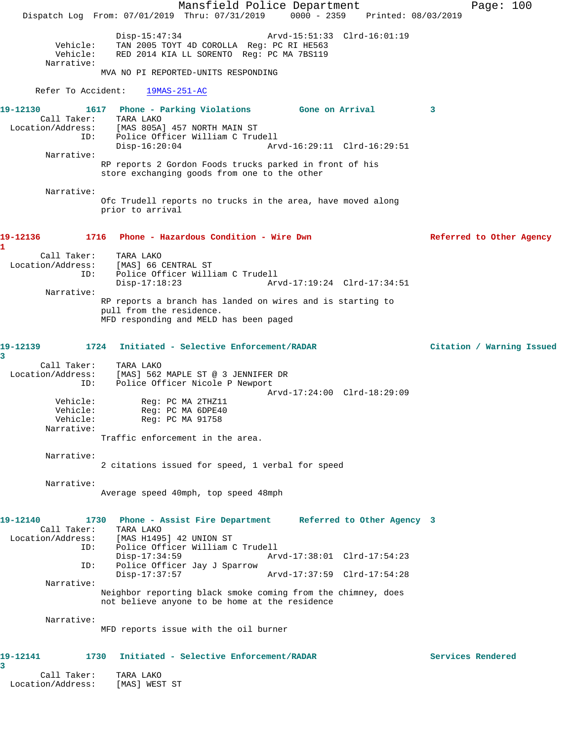Mansfield Police Department Page: 100 Dispatch Log From: 07/01/2019 Thru: 07/31/2019 0000 - 2359 Printed: 08/03/2019 Disp-15:47:34 Arvd-15:51:33 Clrd-16:01:19<br>Vehicle: TAN 2005 TOYT 4D COROLLA Reg: PC RI HE563 Vehicle: TAN 2005 TOYT 4D COROLLA Reg: PC RI HE563 Vehicle: RED 2014 KIA LL SORENTO Reg: PC MA 7BS119 Narrative: MVA NO PI REPORTED-UNITS RESPONDING Refer To Accident: 19MAS-251-AC **19-12130 1617 Phone - Parking Violations Gone on Arrival 3**  Call Taker: TARA LAKO<br>Location/Address: [MAS 805A] [MAS 805A] 457 NORTH MAIN ST ID: Police Officer William C Trudell<br>Disp-16:20:04 Arv Disp-16:20:04 Arvd-16:29:11 Clrd-16:29:51 Narrative: RP reports 2 Gordon Foods trucks parked in front of his store exchanging goods from one to the other Narrative: Ofc Trudell reports no trucks in the area, have moved along prior to arrival **19-12136 1716 Phone - Hazardous Condition - Wire Dwn Referred to Other Agency 1**  Call Taker: TARA LAKO Location/Address: [MAS] 66 CENTRAL ST ID: Police Officer William C Trudell Disp-17:18:23 Arvd-17:19:24 Clrd-17:34:51 Narrative: RP reports a branch has landed on wires and is starting to pull from the residence. MFD responding and MELD has been paged **19-12139 1724 Initiated - Selective Enforcement/RADAR Citation / Warning Issued 3**  Call Taker: TARA LAKO<br>Location/Address: [MAS] ECO [MAS] 562 MAPLE ST @ 3 JENNIFER DR ID: Police Officer Nicole P Newport Vehicle: Reg: PC MA 2THZ11 Arvd-17:24:00 Clrd-18:29:09 Vehicle: Reg: PC MA 2THZ11<br>Vehicle: Reg: PC MA 6DPE40 Reg: PC MA 6DPE40 Vehicle: Reg: PC MA 91758 Narrative: Traffic enforcement in the area. Narrative: 2 citations issued for speed, 1 verbal for speed Narrative: Average speed 40mph, top speed 48mph **19-12140 1730 Phone - Assist Fire Department Referred to Other Agency 3**  Call Taker: TARA LAKO<br>Location/Address: [MAS H149! [MAS H1495] 42 UNION ST ID: Police Officer William C Trudell Disp-17:34:59 Arvd-17:38:01 Clrd-17:54:23 ID: Police Officer Jay J Sparrow Disp-17:37:57 Arvd-17:37:59 Clrd-17:54:28 Narrative: Neighbor reporting black smoke coming from the chimney, does not believe anyone to be home at the residence Narrative: MFD reports issue with the oil burner **19-12141 1730 Initiated - Selective Enforcement/RADAR Services Rendered 3**  Call Taker: TARA LAKO Location/Address: [MAS] WEST ST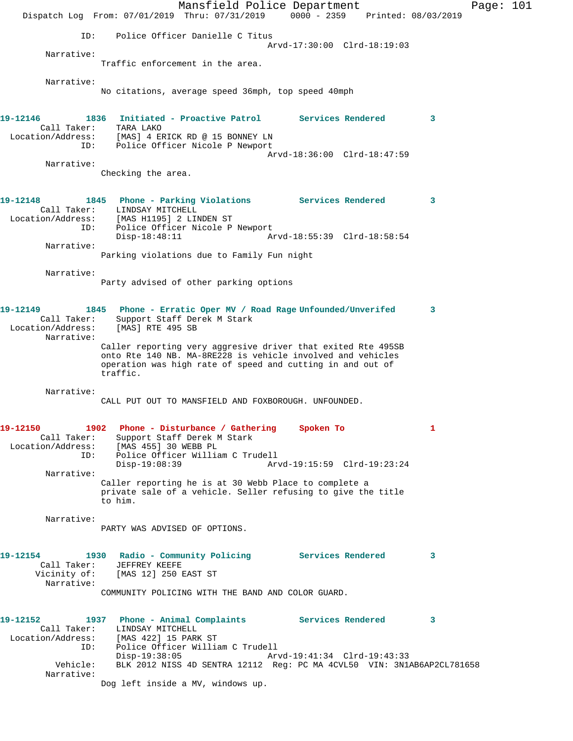Mansfield Police Department Page: 101 Dispatch Log From: 07/01/2019 Thru: 07/31/2019 0000 - 2359 Printed: 08/03/2019 ID: Police Officer Danielle C Titus Arvd-17:30:00 Clrd-18:19:03 Narrative: Traffic enforcement in the area. Narrative: No citations, average speed 36mph, top speed 40mph **19-12146 1836 Initiated - Proactive Patrol Services Rendered 3**  Call Taker: TARA LAKO Location/Address: [MAS] 4 ERICK RD @ 15 BONNEY LN ID: Police Officer Nicole P Newport Arvd-18:36:00 Clrd-18:47:59 Narrative: Checking the area. **19-12148 1845 Phone - Parking Violations Services Rendered 3**  Call Taker: LINDSAY MITCHELL Location/Address: [MAS H1195] 2 LINDEN ST ID: Police Officer Nicole P Newport Disp-18:48:11 Arvd-18:55:39 Clrd-18:58:54 Narrative: Parking violations due to Family Fun night Narrative: Party advised of other parking options **19-12149 1845 Phone - Erratic Oper MV / Road Rage Unfounded/Unverifed 3**  Call Taker: Support Staff Derek M Stark Location/Address: [MAS] RTE 495 SB Narrative: Caller reporting very aggresive driver that exited Rte 495SB onto Rte 140 NB. MA-8RE228 is vehicle involved and vehicles operation was high rate of speed and cutting in and out of traffic. Narrative: CALL PUT OUT TO MANSFIELD AND FOXBOROUGH. UNFOUNDED. **19-12150 1902 Phone - Disturbance / Gathering Spoken To 1**  Call Taker: Support Staff Derek M Stark Location/Address: [MAS 455] 30 WEBB PL ID: Police Officer William C Trudell Arvd-19:15:59 Clrd-19:23:24 Narrative: Caller reporting he is at 30 Webb Place to complete a private sale of a vehicle. Seller refusing to give the title to him. Narrative: PARTY WAS ADVISED OF OPTIONS. **19-12154 1930 Radio - Community Policing Services Rendered 3**  Call Taker: JEFFREY KEEFE Vicinity of: [MAS 12] 250 EAST ST Narrative: COMMUNITY POLICING WITH THE BAND AND COLOR GUARD. **19-12152 1937 Phone - Animal Complaints Services Rendered 3**  Call Taker: LINDSAY MITCHELL Location/Address: [MAS 422] 15 PARK ST ID: Police Officer William C Trudell Police Officer William C Trudell<br>Disp-19:38:05 Arvd-19:41:34 Clrd-19:43:33 Vehicle: BLK 2012 NISS 4D SENTRA 12112 Reg: PC MA 4CVL50 VIN: 3N1AB6AP2CL781658 Narrative: Dog left inside a MV, windows up.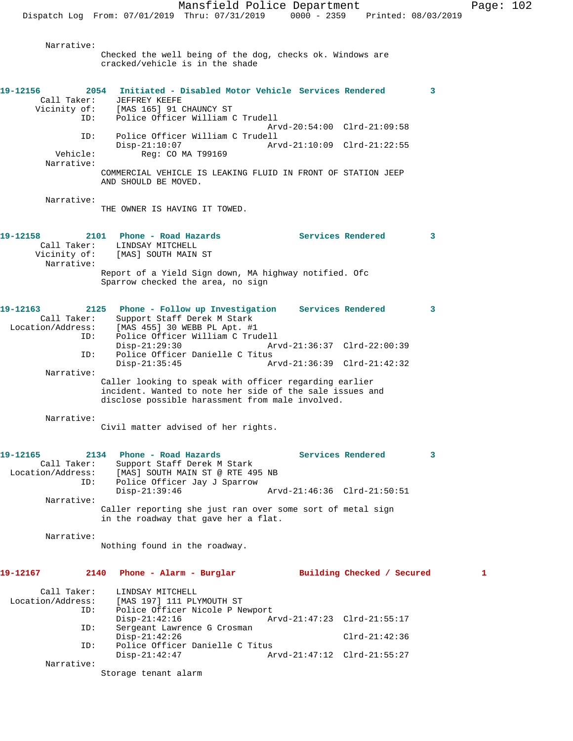Narrative:

Checked the well being of the dog, checks ok. Windows are cracked/vehicle is in the shade **19-12156 2054 Initiated - Disabled Motor Vehicle Services Rendered 3**  Call Taker: JEFFREY KEEFE Vicinity of: [MAS 165] 91 CHAUNCY ST<br>ID: Police Officer William Police Officer William C Trudell Arvd-20:54:00 Clrd-21:09:58 ID: Police Officer William C Trudell Arvd-21:10:09 Clrd-21:22:55 Vehicle: Reg: CO MA T99169 Narrative: COMMERCIAL VEHICLE IS LEAKING FLUID IN FRONT OF STATION JEEP AND SHOULD BE MOVED. Narrative: THE OWNER IS HAVING IT TOWED. **19-12158 2101 Phone - Road Hazards Services Rendered 3**  Call Taker: LINDSAY MITCHELL Vicinity of: [MAS] SOUTH MAIN ST Narrative: Report of a Yield Sign down, MA highway notified. Ofc Sparrow checked the area, no sign **19-12163 2125 Phone - Follow up Investigation Services Rendered 3**  Call Taker: Support Staff Derek M Stark Location/Address: [MAS 455] 30 WEBB PL Apt. #1 Police Officer William C Trudell<br>Disp-21:29:30 Arv Disp-21:29:30 Arvd-21:36:37 Clrd-22:00:39<br>ID: Police Officer Danielle C Titus Police Officer Danielle C Titus<br>Disp-21:35:45 A Disp-21:35:45 Arvd-21:36:39 Clrd-21:42:32 Narrative: Caller looking to speak with officer regarding earlier incident. Wanted to note her side of the sale issues and disclose possible harassment from male involved. Narrative: Civil matter advised of her rights. **19-12165 2134 Phone - Road Hazards Services Rendered 3**  Call Taker: Support Staff Derek M Stark Location/Address: [MAS] SOUTH MAIN ST @ RTE 495 NB ID: Police Officer Jay J Sparrow Disp-21:39:46 Arvd-21:46:36 Clrd-21:50:51 Narrative: Caller reporting she just ran over some sort of metal sign in the roadway that gave her a flat. Narrative: Nothing found in the roadway. **19-12167 2140 Phone - Alarm - Burglar Building Checked / Secured 1** Call Taker: LINDSAY MITCHELL<br>Location/Address: [MAS 197] 111 PL [MAS 197] 111 PLYMOUTH ST ID: Police Officer Nicole P Newport Disp-21:42:16 Arvd-21:47:23 Clrd-21:55:17<br>ID: Sergeant Lawrence G Crosman Sergeant Lawrence G Crosman Disp-21:42:26 Clrd-21:42:36 ID: Police Officer Danielle C Titus Disp-21:42:47 Arvd-21:47:12 Clrd-21:55:27 Narrative: Storage tenant alarm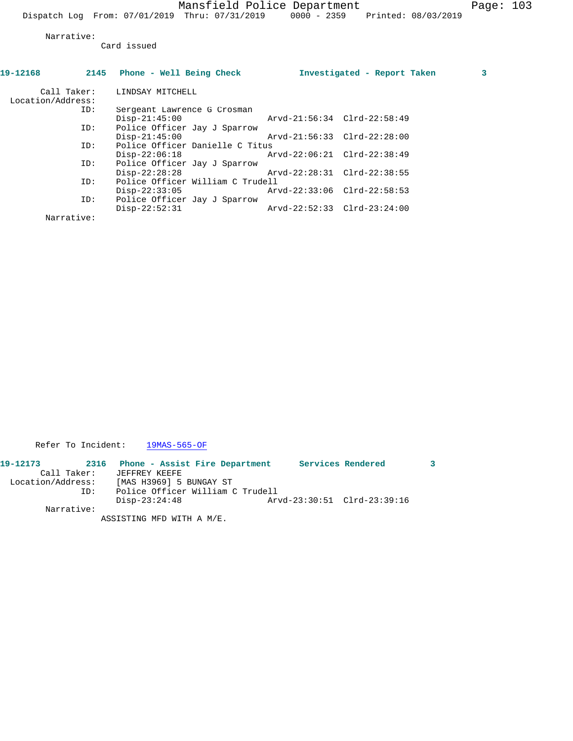Narrative:

Card issued

| 2145 Phone - Well Being Check |                                                                     | 3                                                                                                                                                                                                                     |
|-------------------------------|---------------------------------------------------------------------|-----------------------------------------------------------------------------------------------------------------------------------------------------------------------------------------------------------------------|
| Call Taker: LINDSAY MITCHELL  |                                                                     |                                                                                                                                                                                                                       |
|                               |                                                                     |                                                                                                                                                                                                                       |
| Sergeant Lawrence G Crosman   |                                                                     |                                                                                                                                                                                                                       |
| $Disp-21:45:00$               |                                                                     |                                                                                                                                                                                                                       |
| Police Officer Jay J Sparrow  |                                                                     |                                                                                                                                                                                                                       |
| $Disp-21:45:00$               |                                                                     |                                                                                                                                                                                                                       |
|                               |                                                                     |                                                                                                                                                                                                                       |
| $Disp-22:06:18$               |                                                                     |                                                                                                                                                                                                                       |
| Police Officer Jay J Sparrow  |                                                                     |                                                                                                                                                                                                                       |
| $Disp-22:28:28$               |                                                                     |                                                                                                                                                                                                                       |
|                               |                                                                     |                                                                                                                                                                                                                       |
| $Disp-22:33:05$               |                                                                     |                                                                                                                                                                                                                       |
| Police Officer Jay J Sparrow  |                                                                     |                                                                                                                                                                                                                       |
| $Disp-22:52:31$               |                                                                     |                                                                                                                                                                                                                       |
|                               |                                                                     |                                                                                                                                                                                                                       |
|                               | Police Officer Danielle C Titus<br>Police Officer William C Trudell | Investigated - Report Taken<br>Arvd-21:56:34 Clrd-22:58:49<br>Arvd-21:56:33 Clrd-22:28:00<br>Arvd-22:06:21 Clrd-22:38:49<br>Arvd-22:28:31 Clrd-22:38:55<br>Arvd-22:33:06 Clrd-22:58:53<br>Arvd-22:52:33 Clrd-23:24:00 |

Refer To Incident: 19MAS-565-OF

| 19-12173          | 2316        | Phone - Assist Fire Department   |  | Services Rendered           |  |
|-------------------|-------------|----------------------------------|--|-----------------------------|--|
|                   | Call Taker: | JEFFREY KEEFE                    |  |                             |  |
| Location/Address: |             | [MAS H3969] 5 BUNGAY ST          |  |                             |  |
|                   | TD:         | Police Officer William C Trudell |  |                             |  |
|                   |             | $Disp-23:24:48$                  |  | Arvd-23:30:51 Clrd-23:39:16 |  |
|                   | Narrative:  |                                  |  |                             |  |

ASSISTING MFD WITH A M/E.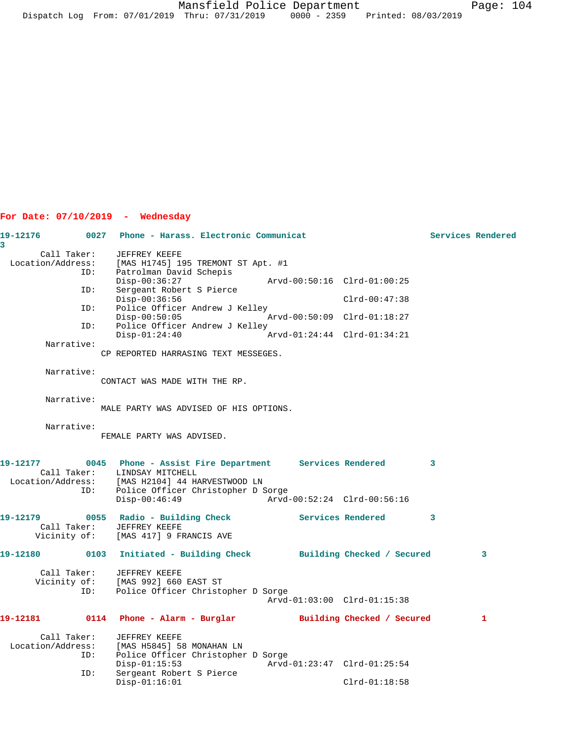# **For Date: 07/10/2019 - Wednesday**

| 19-12176          |             | 0027 Phone - Harass. Electronic Communicat                                                                                  |                             |                   | Services Rendered |              |
|-------------------|-------------|-----------------------------------------------------------------------------------------------------------------------------|-----------------------------|-------------------|-------------------|--------------|
| 3                 | Call Taker: | JEFFREY KEEFE                                                                                                               |                             |                   |                   |              |
| Location/Address: |             | [MAS H1745] 195 TREMONT ST Apt. #1                                                                                          |                             |                   |                   |              |
|                   | ID:         | Patrolman David Schepis                                                                                                     |                             |                   |                   |              |
|                   | ID:         | $Disp-00:36:27$<br>Sergeant Robert S Pierce                                                                                 | Arvd-00:50:16 Clrd-01:00:25 |                   |                   |              |
|                   |             | $Disp-00:36:56$                                                                                                             |                             | $Clrd-00:47:38$   |                   |              |
|                   | ID:         | Police Officer Andrew J Kelley                                                                                              |                             |                   |                   |              |
|                   | ID:         | $Disp-00:50:05$<br>Police Officer Andrew J Kelley                                                                           |                             |                   |                   |              |
|                   |             | $Disp-01:24:40$                                                                                                             |                             |                   |                   |              |
|                   | Narrative:  |                                                                                                                             |                             |                   |                   |              |
|                   |             | CP REPORTED HARRASING TEXT MESSEGES.                                                                                        |                             |                   |                   |              |
|                   | Narrative:  |                                                                                                                             |                             |                   |                   |              |
|                   |             | CONTACT WAS MADE WITH THE RP.                                                                                               |                             |                   |                   |              |
|                   | Narrative:  |                                                                                                                             |                             |                   |                   |              |
|                   |             | MALE PARTY WAS ADVISED OF HIS OPTIONS.                                                                                      |                             |                   |                   |              |
|                   |             |                                                                                                                             |                             |                   |                   |              |
|                   | Narrative:  |                                                                                                                             |                             |                   |                   |              |
|                   |             | FEMALE PARTY WAS ADVISED.                                                                                                   |                             |                   |                   |              |
|                   |             |                                                                                                                             |                             |                   |                   |              |
| 19-12177          |             | 0045 Phone - Assist Fire Department Services Rendered<br>Call Taker: LINDSAY MITCHELL                                       |                             | $\sim$ 3          |                   |              |
|                   |             |                                                                                                                             |                             |                   |                   |              |
|                   |             | Location/Address: [MAS H2104] 44 HARVESTWOOD LN<br>ID: Police Officer Christopher D 9<br>Police Officer Christopher D Sorge |                             |                   |                   |              |
|                   |             | $Disp-00:46:49$                                                                                                             | Arvd-00:52:24 Clrd-00:56:16 |                   |                   |              |
|                   |             |                                                                                                                             |                             | Services Rendered | $\mathbf{3}$      |              |
|                   |             | Call Taker: JEFFREY KEEFE                                                                                                   |                             |                   |                   |              |
|                   |             | Vicinity of: [MAS 417] 9 FRANCIS AVE                                                                                        |                             |                   |                   |              |
|                   |             | 19-12180 		 0103 Initiated - Building Check 		 Building Checked / Secured                                                   |                             |                   |                   | 3            |
|                   |             |                                                                                                                             |                             |                   |                   |              |
|                   |             | Call Taker: JEFFREY KEEFE<br>Vicinity of: [MAS 992] 660 EAST ST                                                             |                             |                   |                   |              |
|                   | ID:         | Police Officer Christopher D Sorge                                                                                          |                             |                   |                   |              |
|                   |             |                                                                                                                             | Arvd-01:03:00 Clrd-01:15:38 |                   |                   |              |
|                   |             |                                                                                                                             |                             |                   |                   | $\mathbf{1}$ |
|                   |             | Call Taker: JEFFREY KEEFE                                                                                                   |                             |                   |                   |              |
| Location/Address: |             | [MAS H5845] 58 MONAHAN LN                                                                                                   |                             |                   |                   |              |
|                   | ID:         | Police Officer Christopher D Sorge                                                                                          |                             |                   |                   |              |
|                   | ID:         | $Disp-01:15:53$<br>Sergeant Robert S Pierce                                                                                 | Arvd-01:23:47 Clrd-01:25:54 |                   |                   |              |
|                   |             | $Disp-01:16:01$                                                                                                             |                             | $Clrd-01:18:58$   |                   |              |
|                   |             |                                                                                                                             |                             |                   |                   |              |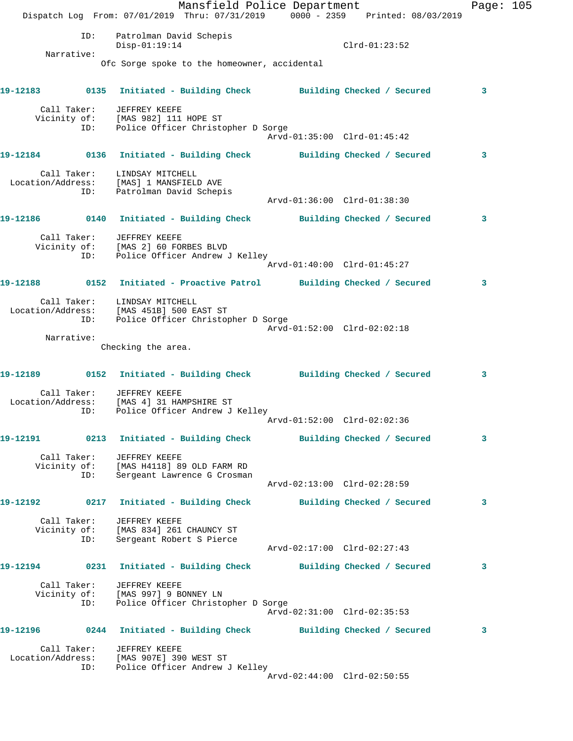Mansfield Police Department Page: 105 Dispatch Log From: 07/01/2019 Thru: 07/31/2019 0000 - 2359 Printed: 08/03/2019 ID: Patrolman David Schepis Disp-01:19:14 Clrd-01:23:52 Narrative: Ofc Sorge spoke to the homeowner, accidental **19-12183 0135 Initiated - Building Check Building Checked / Secured 3** Call Taker: JEFFREY KEEFE Vicinity of: [MAS 982] 111 HOPE ST ID: Police Officer Christopher D Sorge Arvd-01:35:00 Clrd-01:45:42 **19-12184 0136 Initiated - Building Check Building Checked / Secured 3** Call Taker: LINDSAY MITCHELL Location/Address: [MAS] 1 MANSFIELD AVE ID: Patrolman David Schepis Arvd-01:36:00 Clrd-01:38:30 **19-12186 0140 Initiated - Building Check Building Checked / Secured 3** Call Taker: JEFFREY KEEFE Vicinity of: [MAS 2] 60 FORBES BLVD ID: Police Officer Andrew J Kelley Arvd-01:40:00 Clrd-01:45:27 **19-12188 0152 Initiated - Proactive Patrol Building Checked / Secured 3** Call Taker: LINDSAY MITCHELL Location/Address: [MAS 451B] 500 EAST ST ID: Police Officer Christopher D Sorge Arvd-01:52:00 Clrd-02:02:18 Narrative: Checking the area. **19-12189 0152 Initiated - Building Check Building Checked / Secured 3** Call Taker: JEFFREY KEEFE Location/Address: [MAS 4] 31 HAMPSHIRE ST ID: Police Officer Andrew J Kelley Arvd-01:52:00 Clrd-02:02:36 **19-12191 0213 Initiated - Building Check Building Checked / Secured 3** Call Taker: JEFFREY KEEFE Vicinity of: [MAS H4118] 89 OLD FARM RD ID: Sergeant Lawrence G Crosman Arvd-02:13:00 Clrd-02:28:59 **19-12192 0217 Initiated - Building Check Building Checked / Secured 3** Call Taker: JEFFREY KEEFE Vicinity of: [MAS 834] 261 CHAUNCY ST ID: Sergeant Robert S Pierce Arvd-02:17:00 Clrd-02:27:43 **19-12194 0231 Initiated - Building Check Building Checked / Secured 3** Call Taker: JEFFREY KEEFE Vicinity of: [MAS 997] 9 BONNEY LN ID: Police Officer Christopher D Sorge Arvd-02:31:00 Clrd-02:35:53 **19-12196 0244 Initiated - Building Check Building Checked / Secured 3** Call Taker: JEFFREY KEEFE Location/Address: [MAS 907E] 390 WEST ST ID: Police Officer Andrew J Kelley Arvd-02:44:00 Clrd-02:50:55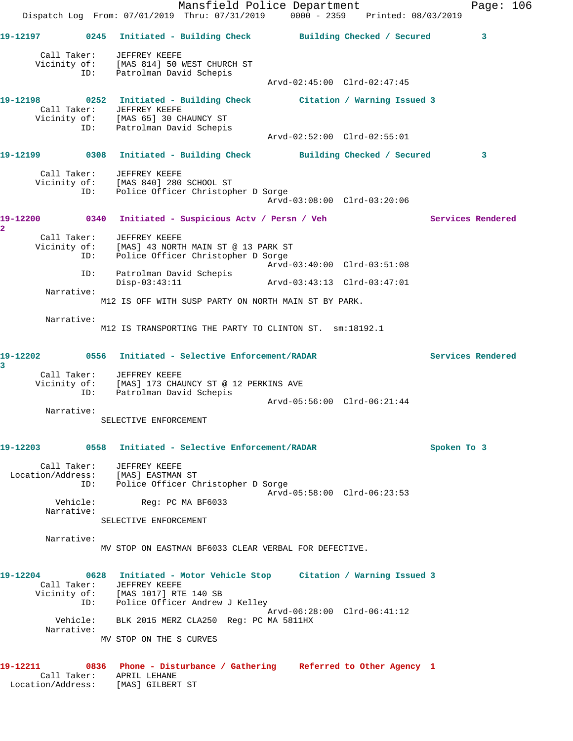Mansfield Police Department Fage: 106 Dispatch Log From: 07/01/2019 Thru: 07/31/2019 0000 - 2359 Printed: 08/03/2019 **19-12197 0245 Initiated - Building Check Building Checked / Secured 3** Call Taker: JEFFREY KEEFE Vicinity of: [MAS 814] 50 WEST CHURCH ST ID: Patrolman David Schepis Arvd-02:45:00 Clrd-02:47:45 **19-12198 0252 Initiated - Building Check Citation / Warning Issued 3**  Call Taker: JEFFREY KEEFE Vicinity of: [MAS 65] 30 CHAUNCY ST ID: Patrolman David Schepis Arvd-02:52:00 Clrd-02:55:01 **19-12199 0308 Initiated - Building Check Building Checked / Secured 3** Call Taker: JEFFREY KEEFE Vicinity of: [MAS 840] 280 SCHOOL ST ID: Police Officer Christopher D Sorge Arvd-03:08:00 Clrd-03:20:06 **19-12200 0340 Initiated - Suspicious Actv / Persn / Veh Services Rendered 2**  Call Taker: JEFFREY KEEFE Vicinity of: [MAS] 43 NORTH MAIN ST @ 13 PARK ST ID: Police Officer Christopher D Sorge Arvd-03:40:00 Clrd-03:51:08 ID: Patrolman David Schepis Disp-03:43:11 Arvd-03:43:13 Clrd-03:47:01 Narrative: M12 IS OFF WITH SUSP PARTY ON NORTH MAIN ST BY PARK. Narrative: M12 IS TRANSPORTING THE PARTY TO CLINTON ST. sm:18192.1 **19-12202 0556 Initiated - Selective Enforcement/RADAR Services Rendered 3**  Call Taker: JEFFREY KEEFE Vicinity of: [MAS] 173 CHAUNCY ST @ 12 PERKINS AVE ID: Patrolman David Schepis Arvd-05:56:00 Clrd-06:21:44 Narrative: SELECTIVE ENFORCEMENT **19-12203 0558 Initiated - Selective Enforcement/RADAR Spoken To 3** Call Taker: JEFFREY KEEFE Location/Address: [MAS] EASTMAN ST ID: Police Officer Christopher D Sorge Arvd-05:58:00 Clrd-06:23:53<br>Vehicle: Reg: PC MA BF6033 Reg: PC MA BF6033 Narrative: SELECTIVE ENFORCEMENT Narrative: MV STOP ON EASTMAN BF6033 CLEAR VERBAL FOR DEFECTIVE. **19-12204 0628 Initiated - Motor Vehicle Stop Citation / Warning Issued 3**  Call Taker: JEFFREY KEEFE Vicinity of: [MAS 1017] RTE 140 SB ID: Police Officer Andrew J Kelley Arvd-06:28:00 Clrd-06:41:12 Vehicle: BLK 2015 MERZ CLA250 Reg: PC MA 5811HX Narrative: MV STOP ON THE S CURVES **19-12211 0836 Phone - Disturbance / Gathering Referred to Other Agency 1**  Call Taker: APRIL LEHANE Location/Address: [MAS] GILBERT ST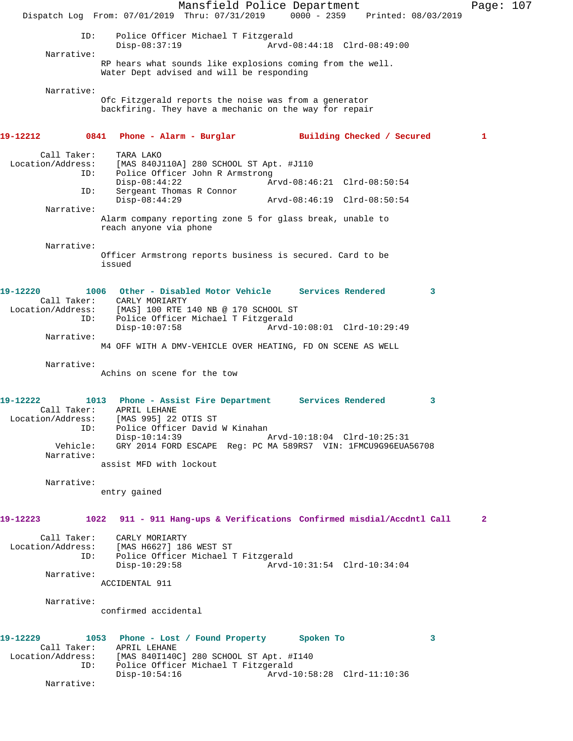Mansfield Police Department Page: 107 Dispatch Log From: 07/01/2019 Thru: 07/31/2019 0000 - 2359 Printed: 08/03/2019 ID: Police Officer Michael T Fitzgerald  $X$ Arvd-08:44:18 Clrd-08:49:00 Narrative: RP hears what sounds like explosions coming from the well. Water Dept advised and will be responding Narrative: Ofc Fitzgerald reports the noise was from a generator backfiring. They have a mechanic on the way for repair **19-12212 0841 Phone - Alarm - Burglar Building Checked / Secured 1** Call Taker: TARA LAKO<br>Location/Address: [MAS 840J] ess: [MAS 840J110A] 280 SCHOOL ST Apt. #J110<br>ID: Police Officer John R Armstrong Police Officer John R Armstrong Disp-08:44:22 Arvd-08:46:21 Clrd-08:50:54<br>TD: Sergeant Thomas R Connor Sergeant Thomas R Connor<br>Disp-08:44:29 Disp-08:44:29 Arvd-08:46:19 Clrd-08:50:54 Narrative: Alarm company reporting zone 5 for glass break, unable to reach anyone via phone Narrative: Officer Armstrong reports business is secured. Card to be issued **19-12220 1006 Other - Disabled Motor Vehicle Services Rendered 3**  Call Taker: Location/Address: [MAS] 100 RTE 140 NB @ 170 SCHOOL ST ID: Police Officer Michael T Fitzgerald Arvd-10:08:01 Clrd-10:29:49 Narrative: M4 OFF WITH A DMV-VEHICLE OVER HEATING, FD ON SCENE AS WELL Narrative: Achins on scene for the tow **19-12222 1013 Phone - Assist Fire Department Services Rendered 3**  Call Taker: APRIL LEHANE Location/Address: [MAS 995] 22 OTIS ST ID: Police Officer David W Kinahan<br>Disp-10:14:39 Disp-10:14:39 Arvd-10:18:04 Clrd-10:25:31 Vehicle: GRY 2014 FORD ESCAPE Reg: PC MA 589RS7 VIN: 1FMCU9G96EUA56708 Narrative: assist MFD with lockout Narrative: entry gained **19-12223 1022 911 - 911 Hang-ups & Verifications Confirmed misdial/Accdntl Call 2** Call Taker: CARLY MORIARTY Location/Address: [MAS H6627] 186 WEST ST ID: Police Officer Michael T Fitzgerald Disp-10:29:58 Arvd-10:31:54 Clrd-10:34:04 Narrative: ACCIDENTAL 911 Narrative: confirmed accidental **19-12229 1053 Phone - Lost / Found Property Spoken To 3**  Call Taker: APRIL LEHANE Location/Address: [MAS 840I140C] 280 SCHOOL ST Apt. #I140 ID: Police Officer Michael T Fitzgerald<br>Disp-10:54:16 Arvd-1 Disp-10:54:16 Arvd-10:58:28 Clrd-11:10:36 Narrative: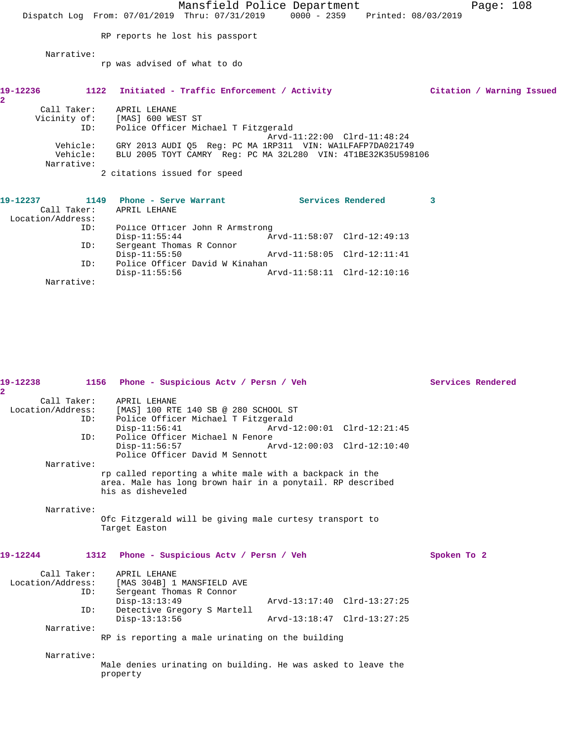|                                    |                                                                                | Mansfield Police Department |   | Page: $108$               |  |
|------------------------------------|--------------------------------------------------------------------------------|-----------------------------|---|---------------------------|--|
|                                    | Dispatch Log From: 07/01/2019 Thru: 07/31/2019 0000 - 2359 Printed: 08/03/2019 |                             |   |                           |  |
|                                    |                                                                                |                             |   |                           |  |
|                                    | RP reports he lost his passport                                                |                             |   |                           |  |
| Narrative:                         |                                                                                |                             |   |                           |  |
|                                    | rp was advised of what to do                                                   |                             |   |                           |  |
|                                    |                                                                                |                             |   |                           |  |
|                                    |                                                                                |                             |   |                           |  |
| 1122<br>19-12236<br>$\mathbf{2}^-$ | Initiated - Traffic Enforcement / Activity                                     |                             |   | Citation / Warning Issued |  |
| Call Taker:                        | APRIL LEHANE                                                                   |                             |   |                           |  |
|                                    | Vicinity of: [MAS] 600 WEST ST                                                 |                             |   |                           |  |
| ID:                                | Police Officer Michael T Fitzgerald                                            |                             |   |                           |  |
|                                    |                                                                                | Arvd-11:22:00 Clrd-11:48:24 |   |                           |  |
| Vehicle:                           | GRY 2013 AUDI Q5 Reg: PC MA 1RP311 VIN: WA1LFAFP7DA021749                      |                             |   |                           |  |
| Vehicle:                           | BLU 2005 TOYT CAMRY Req: PC MA 32L280 VIN: 4T1BE32K35U598106                   |                             |   |                           |  |
| Narrative:                         |                                                                                |                             |   |                           |  |
|                                    | 2 citations issued for speed                                                   |                             |   |                           |  |
|                                    |                                                                                |                             |   |                           |  |
| 19-12237                           | 1149 Phone - Serve Warrant                                                     | <b>Services Rendered</b>    | 3 |                           |  |
| Call Taker: APRIL LEHANE           |                                                                                |                             |   |                           |  |
| Location/Address:                  |                                                                                |                             |   |                           |  |
| ID:                                | Police Officer John R Armstrong                                                |                             |   |                           |  |
|                                    | $Disp-11:55:44$                                                                |                             |   |                           |  |

Disp-11:55:50 Arvd-11:58:05 Clrd-12:11:41

Disp-11:55:56 Arvd-11:58:11 Clrd-12:10:16

ID: Police Officer David W Kinahan<br>Disp-11:55:56 A Narrative:

ID: Sergeant Thomas R Connor

| $\overline{2}$ |                           |                                                                                                                                                                                               |                                                            |             | Services Rendered |
|----------------|---------------------------|-----------------------------------------------------------------------------------------------------------------------------------------------------------------------------------------------|------------------------------------------------------------|-------------|-------------------|
|                | Call Taker:<br>ID:<br>ID: | APRIL LEHANE<br>Location/Address: [MAS] 100 RTE 140 SB @ 280 SCHOOL ST<br>Police Officer Michael T Fitzgerald<br>Disp-11:56:41 Arvd-12:00:01 Clrd-12:21:45<br>Police Officer Michael N Fenore |                                                            |             |                   |
|                |                           | $Disp-11:56:57$<br>Police Officer David M Sennott                                                                                                                                             | Arvd-12:00:03 Clrd-12:10:40                                |             |                   |
|                | Narrative:                | rp called reporting a white male with a backpack in the<br>area. Male has long brown hair in a ponytail. RP described<br>his as disheveled                                                    |                                                            |             |                   |
|                | Narrative:                | Ofc Fitzgerald will be giving male curtesy transport to<br>Target Easton                                                                                                                      |                                                            |             |                   |
| 19-12244       |                           | 1312 Phone - Suspicious Acty / Persn / Veh                                                                                                                                                    |                                                            | Spoken To 2 |                   |
|                | ID:<br>ID:                | Call Taker: APRIL LEHANE<br>Location/Address: [MAS 304B] 1 MANSFIELD AVE<br>Sergeant Thomas R Connor<br>$Disp-13:13:49$<br>Detective Gregory S Martell<br>$Disp-13:13:56$                     | Arvd-13:17:40 Clrd-13:27:25<br>Arvd-13:18:47 Clrd-13:27:25 |             |                   |
|                | Narrative:                | RP is reporting a male urinating on the building                                                                                                                                              |                                                            |             |                   |
|                | Narrative:                | Male denies urinating on building. He was asked to leave the<br>property                                                                                                                      |                                                            |             |                   |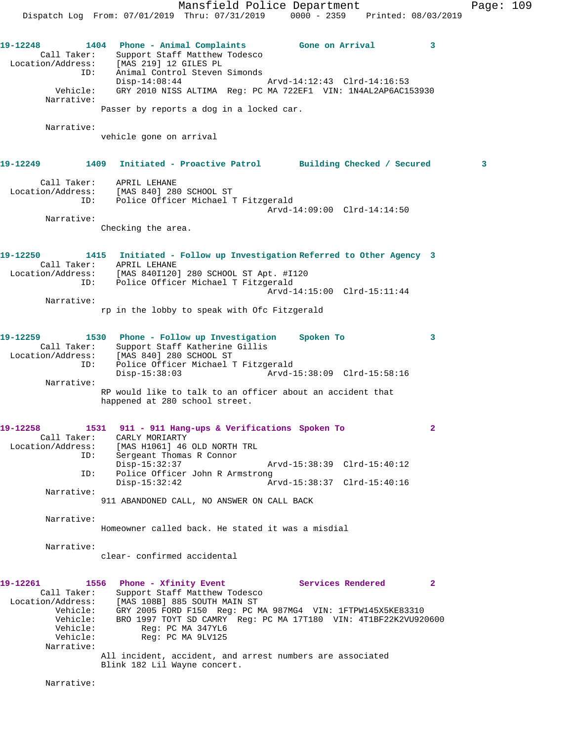Mansfield Police Department Page: 109 Dispatch Log From: 07/01/2019 Thru: 07/31/2019 0000 - 2359 Printed: 08/03/2019 **19-12248 1404 Phone - Animal Complaints Gone on Arrival 3**  Call Taker: Support Staff Matthew Todesco Location/Address: [MAS 219] 12 GILES PL ID: Animal Control Steven Simonds Disp-14:08:44 Arvd-14:12:43 Clrd-14:16:53<br>Vehicle: GRY 2010 NISS ALTIMA Reg: PC MA 722EF1 VIN: 1N4AL2AP6AC1! Vehicle: GRY 2010 NISS ALTIMA Reg: PC MA 722EF1 VIN: 1N4AL2AP6AC153930 Narrative: Passer by reports a dog in a locked car. Narrative: vehicle gone on arrival **19-12249 1409 Initiated - Proactive Patrol Building Checked / Secured 3** Call Taker: APRIL LEHANE Location/Address: [MAS 840] 280 SCHOOL ST ID: Police Officer Michael T Fitzgerald Arvd-14:09:00 Clrd-14:14:50 Narrative: Checking the area. **19-12250 1415 Initiated - Follow up Investigation Referred to Other Agency 3**  Call Taker: APRIL LEHANE Location/Address: [MAS 840I120] 280 SCHOOL ST Apt. #I120 ID: Police Officer Michael T Fitzgerald Arvd-14:15:00 Clrd-15:11:44 Narrative: rp in the lobby to speak with Ofc Fitzgerald **19-12259 1530 Phone - Follow up Investigation Spoken To 3**  Call Taker: Support Staff Katherine Gillis Location/Address: [MAS 840] 280 SCHOOL ST ID: Police Officer Michael T Fitzgerald Disp-15:38:03 Arvd-15:38:09 Clrd-15:58:16 Narrative: RP would like to talk to an officer about an accident that happened at 280 school street. **19-12258 1531 911 - 911 Hang-ups & Verifications Spoken To 2**  Call Taker: CARLY MORIARTY Location/Address: [MAS H1061] 46 OLD NORTH TRL ID: Sergeant Thomas R Connor Disp-15:32:37 Arvd-15:38:39 Clrd-15:40:12<br>ID: Police Officer John R Armstrong Police Officer John R Armstrong<br>Disp-15:32:42 Ar Disp-15:32:42 Arvd-15:38:37 Clrd-15:40:16 Narrative: 911 ABANDONED CALL, NO ANSWER ON CALL BACK Narrative: Homeowner called back. He stated it was a misdial Narrative: clear- confirmed accidental **19-12261 1556 Phone - Xfinity Event Services Rendered 2**  Call Taker: Support Staff Matthew Todesco Location/Address: [MAS 108B] 885 SOUTH MAIN ST Vehicle: GRY 2005 FORD F150 Reg: PC MA 987MG4 VIN: 1FTPW145X5KE83310 Vehicle: BRO 1997 TOYT SD CAMRY Reg: PC MA 17T180 VIN: 4T1BF22K2VU920600 Vehicle: Reg: PC MA 347YL6 Vehicle: Reg: PC MA 9LV125 Narrative: All incident, accident, and arrest numbers are associated Blink 182 Lil Wayne concert.

Narrative: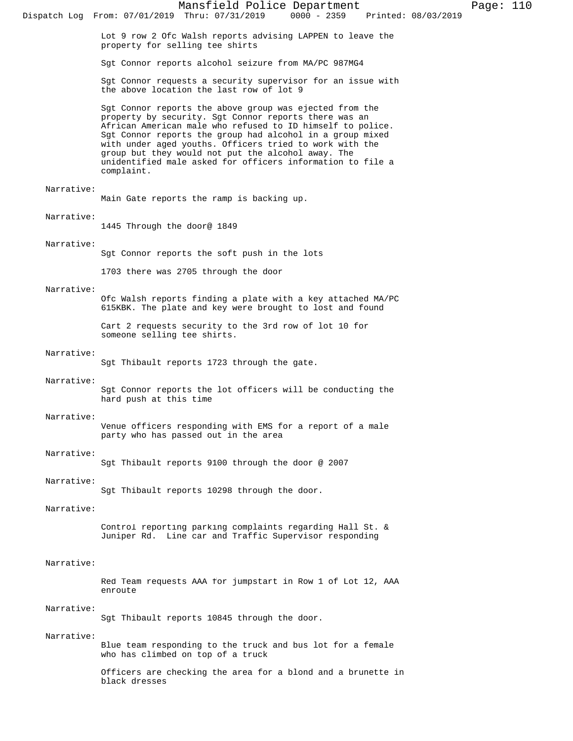Lot 9 row 2 Ofc Walsh reports advising LAPPEN to leave the property for selling tee shirts

Sgt Connor reports alcohol seizure from MA/PC 987MG4

Sgt Connor requests a security supervisor for an issue with the above location the last row of lot 9

Sgt Connor reports the above group was ejected from the property by security. Sgt Connor reports there was an African American male who refused to ID himself to police. Sgt Connor reports the group had alcohol in a group mixed with under aged youths. Officers tried to work with the group but they would not put the alcohol away. The unidentified male asked for officers information to file a complaint.

### Narrative:

Main Gate reports the ramp is backing up.

# Narrative:

1445 Through the door@ 1849

### Narrative:

Sgt Connor reports the soft push in the lots

1703 there was 2705 through the door

#### Narrative:

Ofc Walsh reports finding a plate with a key attached MA/PC 615KBK. The plate and key were brought to lost and found

Cart 2 requests security to the 3rd row of lot 10 for someone selling tee shirts.

### Narrative:

Sgt Thibault reports 1723 through the gate.

### Narrative:

Sgt Connor reports the lot officers will be conducting the hard push at this time

### Narrative:

Venue officers responding with EMS for a report of a male party who has passed out in the area

### Narrative:

Sgt Thibault reports 9100 through the door @ 2007

#### Narrative:

Sgt Thibault reports 10298 through the door.

## Narrative:

Control reporting parking complaints regarding Hall St. & Juniper Rd. Line car and Traffic Supervisor responding

## Narrative:

Red Team requests AAA for jumpstart in Row 1 of Lot 12, AAA enroute

#### Narrative:

Sgt Thibault reports 10845 through the door.

### Narrative:

Blue team responding to the truck and bus lot for a female who has climbed on top of a truck

Officers are checking the area for a blond and a brunette in black dresses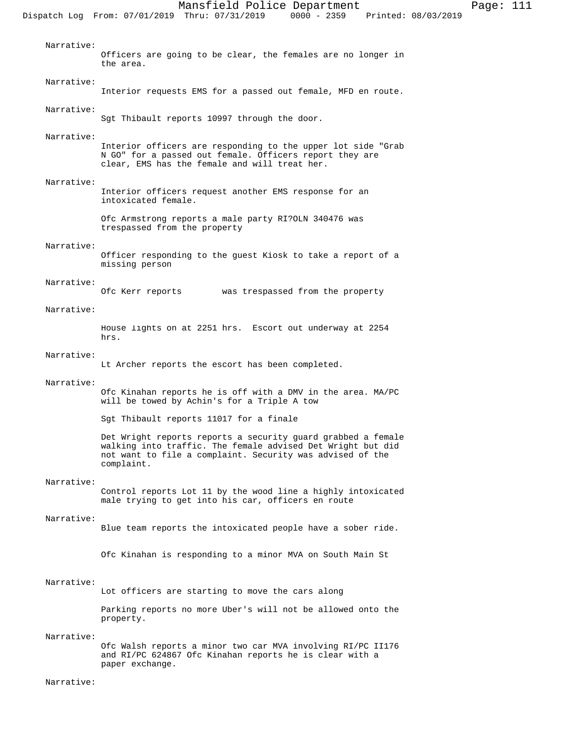Officers are going to be clear, the females are no longer in the area. Narrative: Interior requests EMS for a passed out female, MFD en route. Narrative: Sgt Thibault reports 10997 through the door. Narrative: Interior officers are responding to the upper lot side "Grab N GO" for a passed out female. Officers report they are clear, EMS has the female and will treat her. Narrative: Interior officers request another EMS response for an intoxicated female. Ofc Armstrong reports a male party RI?OLN 340476 was trespassed from the property Narrative: Officer responding to the guest Kiosk to take a report of a missing person Narrative: Ofc Kerr reports was trespassed from the property Narrative: House lights on at 2251 hrs. Escort out underway at 2254 hrs. Narrative: Lt Archer reports the escort has been completed. Ofc Kinahan reports he is off with a DMV in the area. MA/PC

#### Narrative:

Narrative:

will be towed by Achin's for a Triple A tow

Sgt Thibault reports 11017 for a finale

Det Wright reports reports a security guard grabbed a female walking into traffic. The female advised Det Wright but did not want to file a complaint. Security was advised of the complaint.

#### Narrative:

Control reports Lot 11 by the wood line a highly intoxicated male trying to get into his car, officers en route

#### Narrative:

Blue team reports the intoxicated people have a sober ride.

Ofc Kinahan is responding to a minor MVA on South Main St

#### Narrative:

Lot officers are starting to move the cars along

Parking reports no more Uber's will not be allowed onto the property.

#### Narrative:

Ofc Walsh reports a minor two car MVA involving RI/PC II176 and RI/PC 624867 Ofc Kinahan reports he is clear with a paper exchange.

#### Narrative: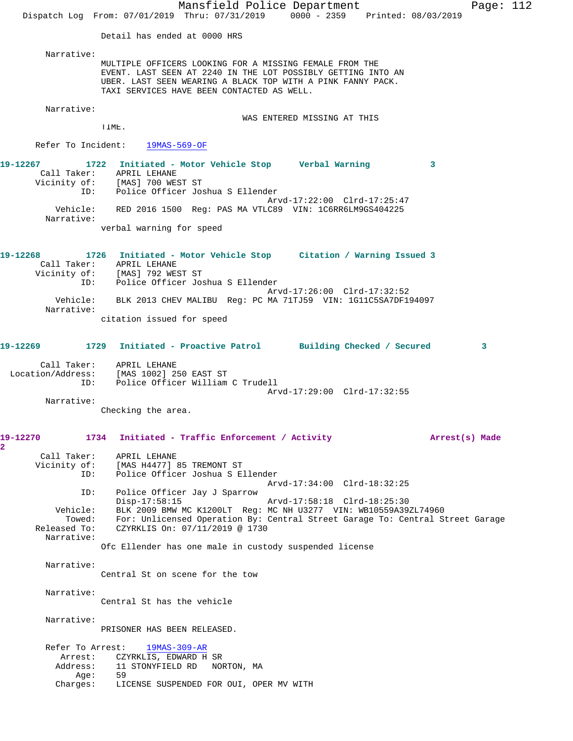Mansfield Police Department Page: 112 Dispatch Log From: 07/01/2019 Thru: 07/31/2019 0000 - 2359 Printed: 08/03/2019 Detail has ended at 0000 HRS Narrative: MULTIPLE OFFICERS LOOKING FOR A MISSING FEMALE FROM THE EVENT. LAST SEEN AT 2240 IN THE LOT POSSIBLY GETTING INTO AN UBER. LAST SEEN WEARING A BLACK TOP WITH A PINK FANNY PACK. TAXI SERVICES HAVE BEEN CONTACTED AS WELL. Narrative: WAS ENTERED MISSING AT THIS TIME. Refer To Incident: 19MAS-569-OF **19-12267 1722 Initiated - Motor Vehicle Stop Verbal Warning 3**  Call Taker: APRIL LEHANE Vicinity of: [MAS] 700 WEST ST ID: Police Officer Joshua S Ellender Arvd-17:22:00 Clrd-17:25:47 Vehicle: RED 2016 1500 Reg: PAS MA VTLC89 VIN: 1C6RR6LM9GS404225 Narrative: verbal warning for speed **19-12268 1726 Initiated - Motor Vehicle Stop Citation / Warning Issued 3**  Call Taker: APRIL LEHANE Vicinity of: [MAS] 792 WEST ST ID: Police Officer Joshua S Ellender Arvd-17:26:00 Clrd-17:32:52 Vehicle: BLK 2013 CHEV MALIBU Reg: PC MA 71TJ59 VIN: 1G11C5SA7DF194097 Narrative: citation issued for speed **19-12269 1729 Initiated - Proactive Patrol Building Checked / Secured 3** Call Taker: APRIL LEHANE Location/Address: [MAS 1002] 250 EAST ST ID: Police Officer William C Trudell Arvd-17:29:00 Clrd-17:32:55 Narrative: Checking the area. **19-12270 1734 Initiated - Traffic Enforcement / Activity Arrest(s) Made 2**  Call Taker: APRIL LEHANE Vicinity of: [MAS H4477] 85 TREMONT ST<br>TD: Police Officer Joshua S.E. Police Officer Joshua S Ellender Arvd-17:34:00 Clrd-18:32:25 ID: Police Officer Jay J Sparrow Disp-17:58:15 Arvd-17:58:18 Clrd-18:25:30 Vehicle: BLK 2009 BMW MC K1200LT Reg: MC NH U3277 VIN: WB10559A39ZL74960 Towed: For: Unlicensed Operation By: Central Street Garage To: Central Street Garage<br>Released To: CZYRKLIS On: 07/11/2019 @ 1730 CZYRKLIS On: 07/11/2019 @ 1730 Narrative: Ofc Ellender has one male in custody suspended license Narrative: Central St on scene for the tow Narrative: Central St has the vehicle Narrative: PRISONER HAS BEEN RELEASED. Refer To Arrest: 19MAS-309-AR Arrest: CZYRKLIS, EDWARD H SR Address: 11 STONYFIELD RD NORTON, MA Age: 59 Charges: LICENSE SUSPENDED FOR OUI, OPER MV WITH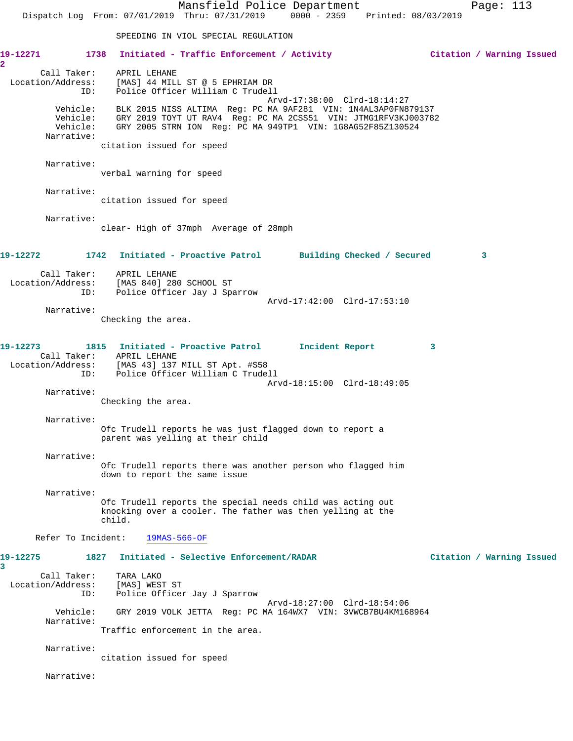Mansfield Police Department Page: 113 Dispatch Log From: 07/01/2019 Thru: 07/31/2019 0000 - 2359 Printed: 08/03/2019 SPEEDING IN VIOL SPECIAL REGULATION **19-12271 1738 Initiated - Traffic Enforcement / Activity Citation / Warning Issued 2**  Call Taker: APRIL LEHANE Location/Address: [MAS] 44 MILL ST @ 5 EPHRIAM DR ID: Police Officer William C Trudell Arvd-17:38:00 Clrd-18:14:27 Vehicle: BLK 2015 NISS ALTIMA Reg: PC MA 9AF281 VIN: 1N4AL3AP0FN879137 Vehicle: GRY 2019 TOYT UT RAV4 Reg: PC MA 2CSS51 VIN: JTMG1RFV3KJ003782 Vehicle: GRY 2005 STRN ION Reg: PC MA 949TP1 VIN: 1G8AG52F85Z130524 Narrative: citation issued for speed Narrative: verbal warning for speed Narrative: citation issued for speed Narrative: clear- High of 37mph Average of 28mph **19-12272 1742 Initiated - Proactive Patrol Building Checked / Secured 3** Call Taker: APRIL LEHANE Location/Address: [MAS 840] 280 SCHOOL ST ID: Police Officer Jay J Sparrow Arvd-17:42:00 Clrd-17:53:10 Narrative: Checking the area. **19-12273 1815 Initiated - Proactive Patrol Incident Report 3**  Call Taker: APRIL LEHANE Location/Address: [MAS 43] 137 MILL ST Apt. #S58 ID: Police Officer William C Trudell Arvd-18:15:00 Clrd-18:49:05 Narrative: Checking the area. Narrative: Ofc Trudell reports he was just flagged down to report a parent was yelling at their child Narrative: Ofc Trudell reports there was another person who flagged him down to report the same issue Narrative: Ofc Trudell reports the special needs child was acting out knocking over a cooler. The father was then yelling at the child. Refer To Incident: 19MAS-566-OF **19-12275 1827 Initiated - Selective Enforcement/RADAR Citation / Warning Issued 3**  Call Taker: TARA LAKO Location/Address: [MAS] WEST ST ID: Police Officer Jay J Sparrow Arvd-18:27:00 Clrd-18:54:06 Vehicle: GRY 2019 VOLK JETTA Reg: PC MA 164WX7 VIN: 3VWCB7BU4KM168964 Narrative: Traffic enforcement in the area. Narrative: citation issued for speed Narrative: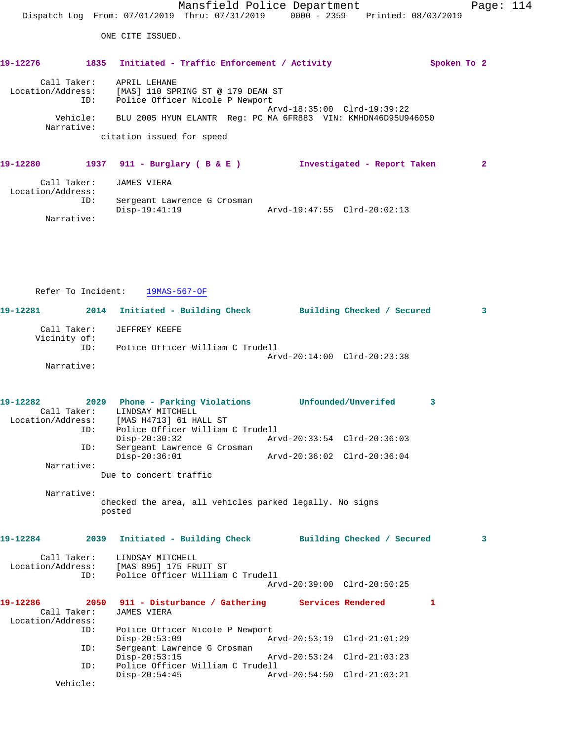# **19-12280 1937 911 - Burglary ( B & E ) Investigated - Report Taken 2** Call Taker: JAMES VIERA Location/Address: ID: Sergeant Lawrence G Crosman Disp-19:41:19 Arvd-19:47:55 Clrd-20:02:13 Narrative:

Refer To Incident: 19MAS-567-OF **19-12281 2014 Initiated - Building Check Building Checked / Secured 3** Call Taker: JEFFREY KEEFE Vicinity of: ID: Police Officer William C Trudell Arvd-20:14:00 Clrd-20:23:38 Narrative:

| 19-12282                                     | ID: | 2029 Phone - Parking Violations Unfounded/Unverifed<br>Call Taker: LINDSAY MITCHELL<br>Location/Address: [MAS H4713] 61 HALL ST<br>Police Officer William C Trudell |                             | 3  |   |
|----------------------------------------------|-----|---------------------------------------------------------------------------------------------------------------------------------------------------------------------|-----------------------------|----|---|
|                                              | ID: | $Disp-20:30:32$<br>Sergeant Lawrence G Crosman                                                                                                                      | Arvd-20:33:54 Clrd-20:36:03 |    |   |
|                                              |     | $Disp-20:36:01$                                                                                                                                                     |                             |    |   |
| Narrative:                                   |     | Due to concert traffic                                                                                                                                              |                             |    |   |
| Narrative:                                   |     | checked the area, all vehicles parked legally. No signs<br>posted                                                                                                   |                             |    |   |
| 19-12284                                     |     | 2039 Initiated - Building Check Building Checked / Secured                                                                                                          |                             |    | 3 |
|                                              | ID: | Call Taker: LINDSAY MITCHELL<br>Location/Address: [MAS 895] 175 FRUIT ST<br>Police Officer William C Trudell                                                        |                             |    |   |
|                                              |     |                                                                                                                                                                     | Arvd-20:39:00 Clrd-20:50:25 |    |   |
| 19-12286<br>Call Taker:<br>Location/Address: |     | 2050 911 - Disturbance / Gathering Services Rendered<br>JAMES VIERA                                                                                                 |                             | 1. |   |
|                                              | ID: | Police Officer Nicole P Newport<br>$Disp-20:53:09$                                                                                                                  |                             |    |   |
|                                              | ID: | Sergeant Lawrence G Crosman<br>$Disp-20:53:15$                                                                                                                      | Arvd-20:53:24 Clrd-21:03:23 |    |   |
|                                              | ID: | Police Officer William C Trudell<br>$Disp-20:54:45$                                                                                                                 |                             |    |   |
| Vehicle:                                     |     |                                                                                                                                                                     |                             |    |   |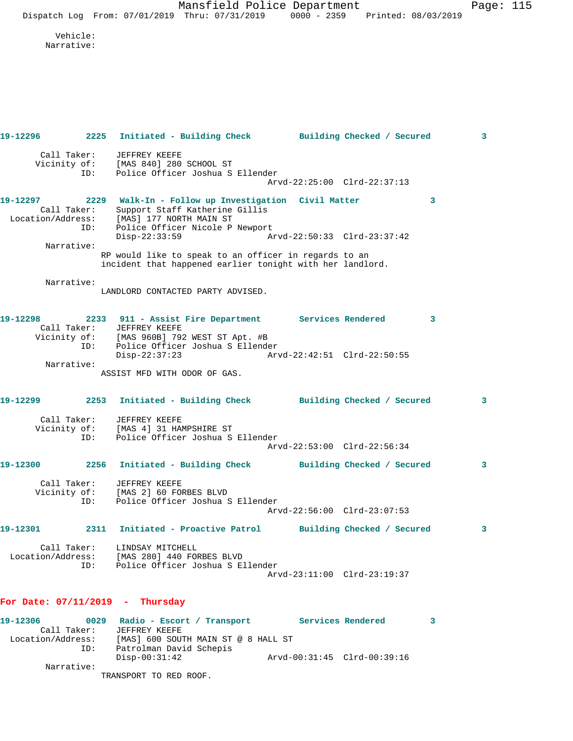Mansfield Police Department Fage: 115 Dispatch Log From: 07/01/2019 Thru: 07/31/2019 0000 - 2359 Printed: 08/03/2019

 Vehicle: Narrative:

| 19-12296                      |                            | 2225 Initiated - Building Check Building Checked / Secured                                                                                                                |                             |   | 3 |
|-------------------------------|----------------------------|---------------------------------------------------------------------------------------------------------------------------------------------------------------------------|-----------------------------|---|---|
|                               | Call Taker:<br>ID:         | JEFFREY KEEFE<br>Vicinity of: [MAS 840] 280 SCHOOL ST<br>TD: Police Officer Joshua S<br>Police Officer Joshua S Ellender                                                  | Arvd-22:25:00 Clrd-22:37:13 |   |   |
| 19-12297                      |                            | 2229 Walk-In - Follow up Investigation Civil Matter<br>Support Staff Katherine Gillis<br>Call Taker: Support Staff Katherine<br>Location/Address: [MAS] 177 NORTH MAIN ST |                             | 3 |   |
|                               | ID:                        | Police Officer Nicole P Newport<br>$Disp-22:33:59$                                                                                                                        | Arvd-22:50:33 Clrd-23:37:42 |   |   |
|                               | Narrative:                 | RP would like to speak to an officer in regards to an<br>incident that happened earlier tonight with her landlord.                                                        |                             |   |   |
|                               | Narrative:                 | LANDLORD CONTACTED PARTY ADVISED.                                                                                                                                         |                             |   |   |
| 19-12298                      |                            | 2233 911 - Assist Fire Department Services Rendered<br>Call Taker: JEFFREY KEEFE<br>Vicinity of: [MAS 960B] 792 WEST ST Apt. #B<br>ID: Police Officer Joshua S Ellender   |                             | 3 |   |
|                               | Narrative:                 | $Disp-22:37:23$                                                                                                                                                           |                             |   |   |
|                               |                            | ASSIST MFD WITH ODOR OF GAS.                                                                                                                                              |                             |   |   |
|                               |                            | 19-12299 2253 Initiated - Building Check Building Checked / Secured                                                                                                       |                             |   | 3 |
|                               | ID:                        | Call Taker: JEFFREY KEEFE<br>Vicinity of: [MAS 4] 31 HAMPSHIRE ST<br>Police Officer Joshua S Ellender                                                                     |                             |   |   |
|                               |                            |                                                                                                                                                                           | Arvd-22:53:00 Clrd-22:56:34 |   |   |
| 19-12300                      | 2256<br>Call Taker:<br>ID: | Initiated - Building Check Building Checked / Secured<br>JEFFREY KEEFE<br>Vicinity of: [MAS 2] 60 FORBES BLVD<br>Police Officer Joshua S Ellender                         |                             |   | 3 |
| 19-12301                      |                            | 2311 Initiated - Proactive Patrol Building Checked / Secured                                                                                                              | Arvd-22:56:00 Clrd-23:07:53 |   | 3 |
| Location/Address:             | Call Taker:<br>ID:         | LINDSAY MITCHELL<br>[MAS 280] 440 FORBES BLVD<br>Police Officer Joshua S Ellender                                                                                         | Arvd-23:11:00 Clrd-23:19:37 |   |   |
|                               |                            | For Date: $07/11/2019$ - Thursday                                                                                                                                         |                             |   |   |
| 19-12306<br>Location/Address: | Call Taker:                | 0029 Radio - Escort / Transport<br>JEFFREY KEEFE<br>[MAS] 600 SOUTH MAIN ST @ 8 HALL ST                                                                                   | Services Rendered           | 3 |   |

 Disp-00:31:42 Arvd-00:31:45 Clrd-00:39:16 Narrative:

TRANSPORT TO RED ROOF.

ID: Patrolman David Schepis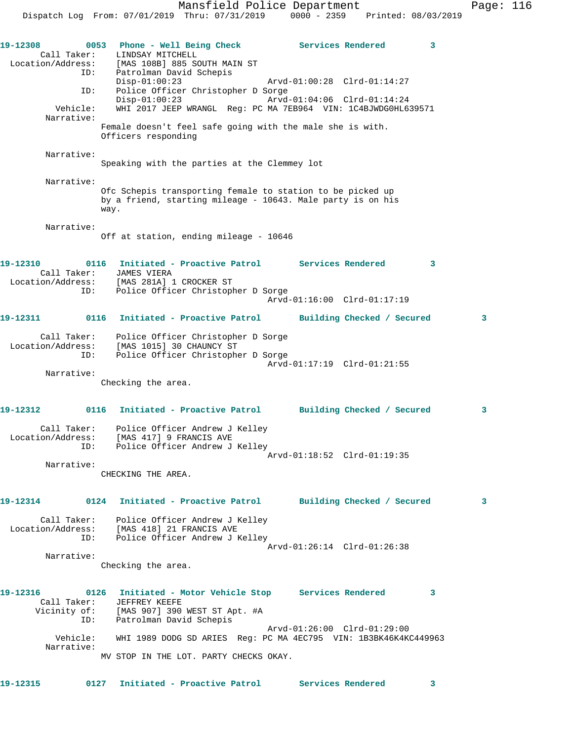19-12308 0053 Phone - Well Being Check Services Rendered 3 Call Taker: LINDSAY MITCHELL Location/Address: [MAS 108B] 885 SOUTH MAIN ST ID: Patrolman David Schepis Disp-01:00:23 Arvd-01:00:28 Clrd-01:14:27 ID: Police Officer Christopher D Sorge<br>Disp-01:00:23 Arvd-01:04:06 Clrd-01:14:24 Disp-01:00:23 Arvd-01:04:06 Clrd-01:14:24 Vehicle: WHI 2017 JEEP WRANGL Reg: PC MA 7EB964 VIN: 1C4BJWDG0HL639571 Narrative: Female doesn't feel safe going with the male she is with. Officers responding Narrative: Speaking with the parties at the Clemmey lot Narrative: Ofc Schepis transporting female to station to be picked up by a friend, starting mileage - 10643. Male party is on his way. Narrative: Off at station, ending mileage - 10646 **19-12310 0116 Initiated - Proactive Patrol Services Rendered 3**  Call Taker: JAMES VIERA Location/Address: [MAS 281A] 1 CROCKER ST ID: Police Officer Christopher D Sorge Arvd-01:16:00 Clrd-01:17:19 **19-12311 0116 Initiated - Proactive Patrol Building Checked / Secured 3** Call Taker: Police Officer Christopher D Sorge Location/Address: [MAS 1015] 30 CHAUNCY ST ID: Police Officer Christopher D Sorge Arvd-01:17:19 Clrd-01:21:55 Narrative: Checking the area. **19-12312 0116 Initiated - Proactive Patrol Building Checked / Secured 3** Call Taker: Police Officer Andrew J Kelley Location/Address: [MAS 417] 9 FRANCIS AVE ID: Police Officer Andrew J Kelley Arvd-01:18:52 Clrd-01:19:35 Narrative: CHECKING THE AREA. **19-12314 0124 Initiated - Proactive Patrol Building Checked / Secured 3** Call Taker: Police Officer Andrew J Kelley Location/Address: [MAS 418] 21 FRANCIS AVE ID: Police Officer Andrew J Kelley Arvd-01:26:14 Clrd-01:26:38 Narrative: Checking the area. **19-12316 0126 Initiated - Motor Vehicle Stop Services Rendered 3**  Call Taker: JEFFREY KEEFE Vicinity of: [MAS 907] 390 WEST ST Apt. #A ID: Patrolman David Schepis Arvd-01:26:00 Clrd-01:29:00 Vehicle: WHI 1989 DODG SD ARIES Reg: PC MA 4EC795 VIN: 1B3BK46K4KC449963 Narrative: MV STOP IN THE LOT. PARTY CHECKS OKAY. **19-12315 0127 Initiated - Proactive Patrol Services Rendered 3**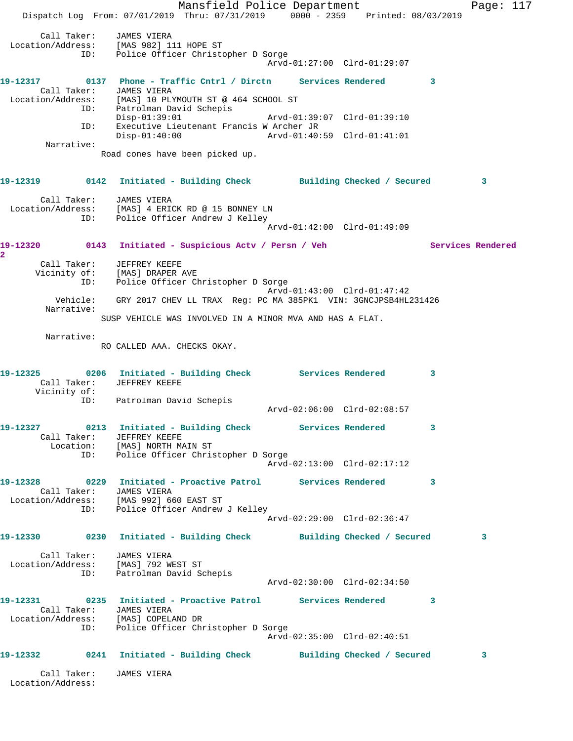Mansfield Police Department Page: 117 Dispatch Log From: 07/01/2019 Thru: 07/31/2019 0000 - 2359 Printed: 08/03/2019 Call Taker: JAMES VIERA Location/Address: [MAS 982] 111 HOPE ST ID: Police Officer Christopher D Sorge Arvd-01:27:00 Clrd-01:29:07 **19-12317 0137 Phone - Traffic Cntrl / Dirctn Services Rendered 3**  Call Taker: JAMES VIERA Location/Address: [MAS] 10 PLYMOUTH ST @ 464 SCHOOL ST ID: Patrolman David Schepis Disp-01:39:01 Arvd-01:39:07 Clrd-01:39:10 ID: Executive Lieutenant Francis W Archer JR<br>Disp-01:40:00 Arvd-01:40: Disp-01:40:00 Arvd-01:40:59 Clrd-01:41:01 Narrative: Road cones have been picked up. **19-12319 0142 Initiated - Building Check Building Checked / Secured 3** Call Taker: JAMES VIERA Location/Address: [MAS] 4 ERICK RD @ 15 BONNEY LN ID: Police Officer Andrew J Kelley Arvd-01:42:00 Clrd-01:49:09 19-12320 0143 Initiated - Suspicious Actv / Persn / Veh Services Rendered **2**  Call Taker: JEFFREY KEEFE Vicinity of: [MAS] DRAPER AVE ID: Police Officer Christopher D Sorge Arvd-01:43:00 Clrd-01:47:42 Vehicle: GRY 2017 CHEV LL TRAX Reg: PC MA 385PK1 VIN: 3GNCJPSB4HL231426 Narrative: SUSP VEHICLE WAS INVOLVED IN A MINOR MVA AND HAS A FLAT. Narrative: RO CALLED AAA. CHECKS OKAY. **19-12325 0206 Initiated - Building Check Services Rendered 3**  Call Taker: JEFFREY KEEFE Vicinity of: ID: Patrolman David Schepis Arvd-02:06:00 Clrd-02:08:57 **19-12327 0213 Initiated - Building Check Services Rendered 3**  Call Taker: JEFFREY KEEFE Location: [MAS] NORTH MAIN ST ID: Police Officer Christopher D Sorge Arvd-02:13:00 Clrd-02:17:12 **19-12328 0229 Initiated - Proactive Patrol Services Rendered 3**  Call Taker: JAMES VIERA Location/Address: [MAS 992] 660 EAST ST ID: Police Officer Andrew J Kelley Arvd-02:29:00 Clrd-02:36:47 **19-12330 0230 Initiated - Building Check Building Checked / Secured 3** Call Taker: JAMES VIERA Location/Address: [MAS] 792 WEST ST ID: Patrolman David Schepis Arvd-02:30:00 Clrd-02:34:50 **19-12331 0235 Initiated - Proactive Patrol Services Rendered 3**  Call Taker: JAMES VIERA Location/Address: [MAS] COPELAND DR ID: Police Officer Christopher D Sorge Arvd-02:35:00 Clrd-02:40:51 **19-12332 0241 Initiated - Building Check Building Checked / Secured 3** Call Taker: JAMES VIERA Location/Address: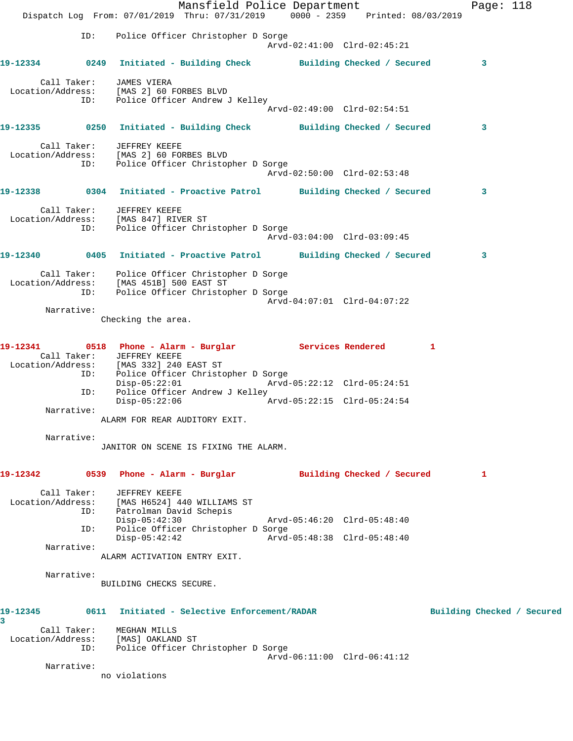|                                                                                                                                              |                                                           | Mansfield Police Department<br>Dispatch Log From: 07/01/2019 Thru: 07/31/2019 0000 - 2359 Printed: 08/03/2019 |                             | Page: 118                  |  |
|----------------------------------------------------------------------------------------------------------------------------------------------|-----------------------------------------------------------|---------------------------------------------------------------------------------------------------------------|-----------------------------|----------------------------|--|
| ID:                                                                                                                                          |                                                           | Police Officer Christopher D Sorge                                                                            | Arvd-02:41:00 Clrd-02:45:21 |                            |  |
| 19-12334 0249 Initiated - Building Check Building Checked / Secured                                                                          |                                                           |                                                                                                               |                             | 3                          |  |
| Location/Address: [MAS 2] 60 FORBES BLVD<br>ID: Police Officer Andrew J Kelley                                                               | Call Taker: JAMES VIERA                                   |                                                                                                               |                             |                            |  |
|                                                                                                                                              |                                                           |                                                                                                               | Arvd-02:49:00 Clrd-02:54:51 |                            |  |
| 19-12335 0250 Initiated - Building Check Building Checked / Secured                                                                          |                                                           |                                                                                                               |                             | 3                          |  |
| Call Taker: JEFFREY KEEFE<br>Location/Address: [MAS 2] 60 FORBES BLVD<br>ID:                                                                 |                                                           | Police Officer Christopher D Sorge                                                                            | Arvd-02:50:00 Clrd-02:53:48 |                            |  |
| 19-12338      0304  Initiated - Proactive Patrol     Building Checked / Secured                                                              |                                                           |                                                                                                               |                             | 3                          |  |
| Location/Address: [MAS 847] RIVER ST<br>ID: Police Officer Christopher D Sorge                                                               | Call Taker: JEFFREY KEEFE                                 |                                                                                                               | Arvd-03:04:00 Clrd-03:09:45 |                            |  |
| 19-12340 0405 Initiated - Proactive Patrol Building Checked / Secured                                                                        |                                                           |                                                                                                               |                             | $\mathbf{3}$               |  |
| Location/Address: [MAS 451B] 500 EAST ST                                                                                                     |                                                           | Call Taker: Police Officer Christopher D Sorge<br>ID: Police Officer Christopher D Sorge                      | Arvd-04:07:01 Clrd-04:07:22 |                            |  |
| Narrative:                                                                                                                                   |                                                           |                                                                                                               |                             |                            |  |
|                                                                                                                                              | Checking the area.                                        |                                                                                                               |                             |                            |  |
| 19-12341 0518 Phone - Alarm - Burglar Services Rendered<br>Location/Address: [MAS 332] 240 EAST ST<br>ID: Police Officer Christopher D Sorge | Call Taker: JEFFREY KEEFE                                 |                                                                                                               |                             | -1                         |  |
| ID:                                                                                                                                          | $Disp-05:22:01$                                           | Police Officer Andrew J Kelley                                                                                | Arvd-05:22:12 Clrd-05:24:51 |                            |  |
| Narrative:                                                                                                                                   | Disp-05:22:06                                             |                                                                                                               | Arvd-05:22:15 Clrd-05:24:54 |                            |  |
|                                                                                                                                              | ALARM FOR REAR AUDITORY EXIT.                             |                                                                                                               |                             |                            |  |
| Narrative:                                                                                                                                   |                                                           | JANITOR ON SCENE IS FIXING THE ALARM.                                                                         |                             |                            |  |
| 19-12342                                                                                                                                     |                                                           | 0539 Phone - Alarm - Burglar               Building Checked / Secured                                         |                             | 1                          |  |
| Call Taker:<br>Location/Address: [MAS H6524] 440 WILLIAMS ST<br>ID:<br>ID:                                                                   | JEFFREY KEEFE<br>Patrolman David Schepis<br>Disp-05:42:30 | Police Officer Christopher D Sorge                                                                            | Arvd-05:46:20 Clrd-05:48:40 |                            |  |
|                                                                                                                                              | $Disp-05:42:42$                                           |                                                                                                               | Arvd-05:48:38 Clrd-05:48:40 |                            |  |
| Narrative:                                                                                                                                   | ALARM ACTIVATION ENTRY EXIT.                              |                                                                                                               |                             |                            |  |
| Narrative:                                                                                                                                   | BUILDING CHECKS SECURE.                                   |                                                                                                               |                             |                            |  |
| 19-12345<br>3                                                                                                                                | 0611                                                      | Initiated - Selective Enforcement/RADAR                                                                       |                             | Building Checked / Secured |  |
| Location/Address: [MAS] OAKLAND ST<br>ID:                                                                                                    | Call Taker: MEGHAN MILLS                                  | Police Officer Christopher D Sorge                                                                            |                             |                            |  |
| Narrative:                                                                                                                                   |                                                           |                                                                                                               | Arvd-06:11:00 Clrd-06:41:12 |                            |  |
|                                                                                                                                              | no violations                                             |                                                                                                               |                             |                            |  |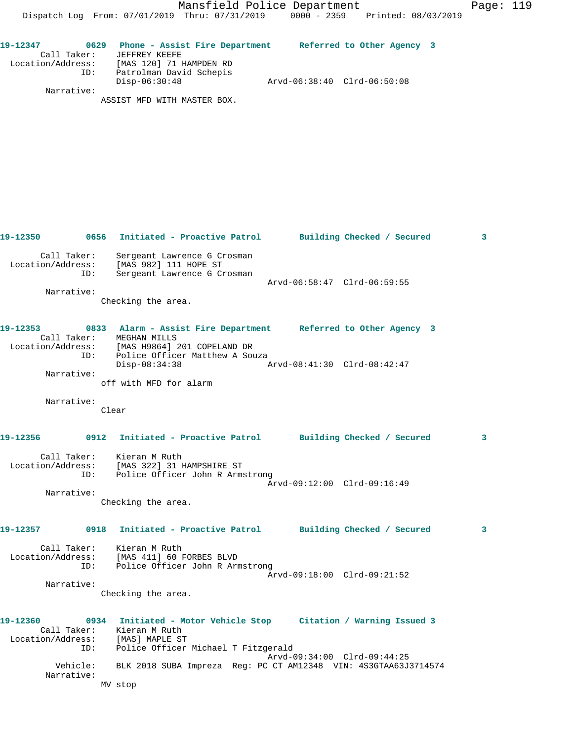| 19-12347          |     | 0629 Phone - Assist Fire Department |                             | Referred to Other Agency 3 |  |
|-------------------|-----|-------------------------------------|-----------------------------|----------------------------|--|
| Call Taker:       |     | JEFFREY KEEFE                       |                             |                            |  |
| Location/Address: |     | [MAS 120] 71 HAMPDEN RD             |                             |                            |  |
|                   | ID: | Patrolman David Schepis             |                             |                            |  |
|                   |     | $Disp-06:30:48$                     | Arvd-06:38:40 Clrd-06:50:08 |                            |  |
| Narrative:        |     |                                     |                             |                            |  |

ASSIST MFD WITH MASTER BOX.

|                   |            |                                                                                                                                            |                             | 3                          |
|-------------------|------------|--------------------------------------------------------------------------------------------------------------------------------------------|-----------------------------|----------------------------|
|                   | ID:        | Call Taker: Sergeant Lawrence G C<br>Location/Address: [MAS 982] 111 HOPE ST<br>Sergeant Lawrence G Crosman<br>Sergeant Lawrence G Crosman | Arvd-06:58:47 Clrd-06:59:55 |                            |
| Narrative:        |            |                                                                                                                                            |                             |                            |
|                   |            | Checking the area.                                                                                                                         |                             |                            |
| 19-12353          |            | 0833 Alarm - Assist Fire Department Referred to Other Agency 3                                                                             |                             |                            |
| Location/Address: |            | Call Taker: MEGHAN MILLS<br>[MAS H9864] 201 COPELAND DR                                                                                    |                             |                            |
|                   | ID:        | Police Officer Matthew A Souza<br>Disp-08:34:38                                                                                            | Arvd-08:41:30 Clrd-08:42:47 |                            |
|                   | Narrative: |                                                                                                                                            |                             |                            |
|                   |            | off with MFD for alarm                                                                                                                     |                             |                            |
|                   | Narrative: |                                                                                                                                            |                             |                            |
|                   |            | Clear                                                                                                                                      |                             |                            |
|                   |            | 19-12356 0912 Initiated - Proactive Patrol Building Checked / Secured                                                                      |                             | $\overline{\phantom{a}}$ 3 |
|                   |            | Call Taker: Kieran M Ruth<br>Location/Address: [MAS 322] 31 HAMPSHIRE ST<br>ID: Police Officer John R Armstrong                            |                             |                            |
|                   | Narrative: |                                                                                                                                            | Arvd-09:12:00 Clrd-09:16:49 |                            |
|                   |            | Checking the area.                                                                                                                         |                             |                            |
|                   |            | 19-12357 0918 Initiated - Proactive Patrol Building Checked / Secured                                                                      |                             | $\overline{\mathbf{3}}$    |
|                   |            | Call Taker: Kieran M Ruth<br>Location/Address: [MAS 411] 60 FORBES BLVD                                                                    |                             |                            |
|                   | ID:        | Police Officer John R Armstrong                                                                                                            |                             |                            |
|                   |            |                                                                                                                                            | Arvd-09:18:00 Clrd-09:21:52 |                            |
| Narrative:        |            | Checking the area.                                                                                                                         |                             |                            |
|                   |            |                                                                                                                                            |                             |                            |
| 19-12360          |            | 0934 Initiated - Motor Vehicle Stop Citation / Warning Issued 3                                                                            |                             |                            |
| Location/Address: |            | Call Taker: Kieran M Ruth<br>[MAS] MAPLE ST                                                                                                |                             |                            |
|                   | ID:        | Police Officer Michael T Fitzgerald                                                                                                        |                             |                            |
|                   |            |                                                                                                                                            | Arvd-09:34:00 Clrd-09:44:25 |                            |
| Narrative:        | Vehicle:   | BLK 2018 SUBA Impreza Req: PC CT AM12348 VIN: 4S3GTAA63J3714574                                                                            |                             |                            |
|                   |            | MV stop                                                                                                                                    |                             |                            |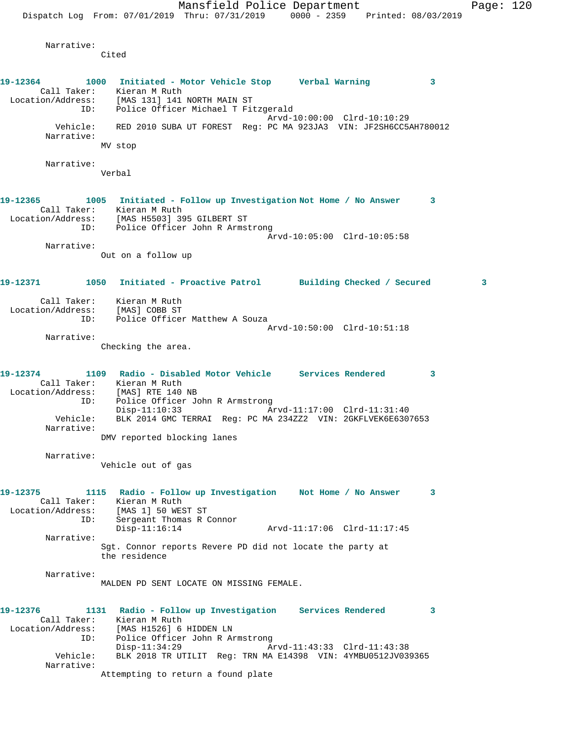Narrative:

Cited **19-12364 1000 Initiated - Motor Vehicle Stop Verbal Warning 3**  Call Taker: Kieran M Ruth Location/Address: [MAS 131] 141 NORTH MAIN ST ID: Police Officer Michael T Fitzgerald Arvd-10:00:00 Clrd-10:10:29 Vehicle: RED 2010 SUBA UT FOREST Reg: PC MA 923JA3 VIN: JF2SH6CC5AH780012 Narrative: MV stop Narrative: Verbal **19-12365 1005 Initiated - Follow up Investigation Not Home / No Answer 3**  Call Taker: Kieran M Ruth Location/Address: [MAS H5503] 395 GILBERT ST ID: Police Officer John R Armstrong Arvd-10:05:00 Clrd-10:05:58 Narrative: Out on a follow up **19-12371 1050 Initiated - Proactive Patrol Building Checked / Secured 3** Call Taker: Kieran M Ruth Location/Address: [MAS] COBB ST ID: Police Officer Matthew A Souza Arvd-10:50:00 Clrd-10:51:18 Narrative: Checking the area. **19-12374 1109 Radio - Disabled Motor Vehicle Services Rendered 3**  Call Taker: Kieran M Ruth Location/Address: [MAS] RTE 140 NB ID: Police Officer John R Armstrong Disp-11:10:33 Arvd-11:17:00 Clrd-11:31:40 Vehicle: BLK 2014 GMC TERRAI Reg: PC MA 234ZZ2 VIN: 2GKFLVEK6E6307653 Narrative: DMV reported blocking lanes Narrative: Vehicle out of gas **19-12375 1115 Radio - Follow up Investigation Not Home / No Answer 3**  Call Taker: Kieran M Ruth Location/Address: [MAS 1] 50 WEST ST ID: Sergeant Thomas R Connor Disp-11:16:14 Arvd-11:17:06 Clrd-11:17:45 Narrative: Sgt. Connor reports Revere PD did not locate the party at the residence Narrative: MALDEN PD SENT LOCATE ON MISSING FEMALE. **19-12376 1131 Radio - Follow up Investigation Services Rendered 3**  Call Taker: Kieran M Ruth Location/Address: [MAS H1526] 6 HIDDEN LN ID: Police Officer John R Armstrong Disp-11:34:29 Arvd-11:43:33 Clrd-11:43:38 Vehicle: BLK 2018 TR UTILIT Reg: TRN MA E14398 VIN: 4YMBU0512JV039365 Narrative: Attempting to return a found plate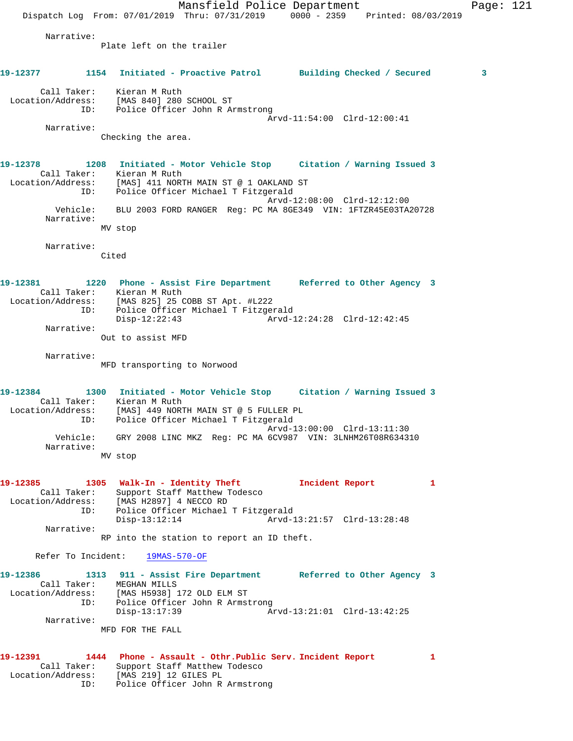Mansfield Police Department Page: 121 Dispatch Log From: 07/01/2019 Thru: 07/31/2019 0000 - 2359 Printed: 08/03/2019 Narrative: Plate left on the trailer **19-12377 1154 Initiated - Proactive Patrol Building Checked / Secured 3** Call Taker: Kieran M Ruth Location/Address: [MAS 840] 280 SCHOOL ST ID: Police Officer John R Armstrong Arvd-11:54:00 Clrd-12:00:41 Narrative: Checking the area. **19-12378 1208 Initiated - Motor Vehicle Stop Citation / Warning Issued 3**  Call Taker: Kieran M Ruth Location/Address: [MAS] 411 NORTH MAIN ST @ 1 OAKLAND ST ID: Police Officer Michael T Fitzgerald Arvd-12:08:00 Clrd-12:12:00 Vehicle: BLU 2003 FORD RANGER Reg: PC MA 8GE349 VIN: 1FTZR45E03TA20728 Narrative: MV stop Narrative: Cited **19-12381 1220 Phone - Assist Fire Department Referred to Other Agency 3**  Call Taker: Kieran M Ruth Location/Address: [MAS 825] 25 COBB ST Apt. #L222 ID: Police Officer Michael T Fitzgerald Disp-12:22:43 Arvd-12:24:28 Clrd-12:42:45 Narrative: Out to assist MFD Narrative: MFD transporting to Norwood **19-12384 1300 Initiated - Motor Vehicle Stop Citation / Warning Issued 3**  Call Taker: Kieran M Ruth Location/Address: [MAS] 449 NORTH MAIN ST @ 5 FULLER PL ID: Police Officer Michael T Fitzgerald Arvd-13:00:00 Clrd-13:11:30 Vehicle: GRY 2008 LINC MKZ Reg: PC MA 6CV987 VIN: 3LNHM26T08R634310 Narrative: MV stop **19-12385 1305 Walk-In - Identity Theft Incident Report 1**  Call Taker: Support Staff Matthew Todesco Location/Address: [MAS H2897] 4 NECCO RD ID: Police Officer Michael T Fitzgerald Arvd-13:21:57 Clrd-13:28:48 Narrative: RP into the station to report an ID theft. Refer To Incident: 19MAS-570-OF **19-12386 1313 911 - Assist Fire Department Referred to Other Agency 3**  Call Taker: MEGHAN MILLS Location/Address: [MAS H5938] 172 OLD ELM ST ID: Police Officer John R Armstrong Disp-13:17:39 Arvd-13:21:01 Clrd-13:42:25 Narrative: MFD FOR THE FALL **19-12391 1444 Phone - Assault - Othr.Public Serv. Incident Report 1**  Call Taker: Support Staff Matthew Todesco Location/Address: [MAS 219] 12 GILES PL ID: Police Officer John R Armstrong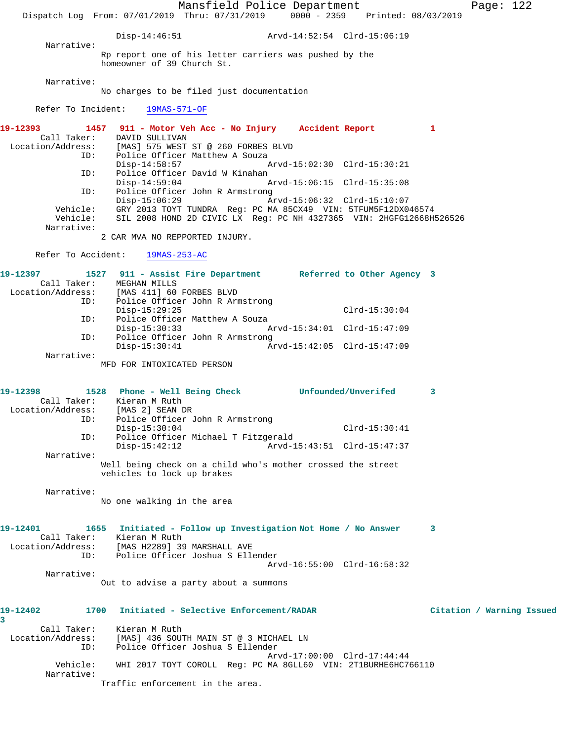Mansfield Police Department Page: 122 Dispatch Log From: 07/01/2019 Thru: 07/31/2019 0000 - 2359 Printed: 08/03/2019 Disp-14:46:51 Arvd-14:52:54 Clrd-15:06:19 Narrative: Rp report one of his letter carriers was pushed by the homeowner of 39 Church St. Narrative: No charges to be filed just documentation Refer To Incident: 19MAS-571-OF **19-12393 1457 911 - Motor Veh Acc - No Injury Accident Report 1**  Call Taker: DAVID SULLIVAN Location/Address: [MAS] 575 WEST ST @ 260 FORBES BLVD ID: Police Officer Matthew A Souza<br>Disp-14:58:57 Disp-14:58:57 Arvd-15:02:30 Clrd-15:30:21 ID: Police Officer David W Kinahan Disp-14:59:04 Arvd-15:06:15 Clrd-15:35:08<br>ID: Police Officer John R Armstrong ID: Police Officer John R Armstrong Disp-15:06:29 Arvd-15:06:32 Clrd-15:10:07 Vehicle: GRY 2013 TOYT TUNDRA Reg: PC MA 85CX49 VIN: 5TFUM5F12DX046574 Vehicle: SIL 2008 HOND 2D CIVIC LX Reg: PC NH 4327365 VIN: 2HGFG12668H526526 Narrative: 2 CAR MVA NO REPPORTED INJURY. Refer To Accident: 19MAS-253-AC **19-12397 1527 911 - Assist Fire Department Referred to Other Agency 3**  Call Taker: MEGHAN MILLS<br>Location/Address: [MAS 411] 60 [MAS 411] 60 FORBES BLVD ID: Police Officer John R Armstrong Disp-15:29:25 Clrd-15:30:04 ID: Police Officer Matthew A Souza Disp-15:30:33 Arvd-15:34:01 Clrd-15:47:09 ID: Police Officer John R Armstrong<br>Disp-15:30:41 Ar Disp-15:30:41 Arvd-15:42:05 Clrd-15:47:09 Narrative: MFD FOR INTOXICATED PERSON **19-12398 1528 Phone - Well Being Check Unfounded/Unverifed 3**  Call Taker: Kieran M Ruth Location/Address: [MAS 2] SEAN DR ess: [MAS 2] SEAN DR<br>ID: Police Officer John R Armstrong Disp-15:30:04 Clrd-15:30:41 ID: Police Officer Michael T Fitzgerald Disp-15:42:12 Arvd-15:43:51 Clrd-15:47:37 Narrative: Well being check on a child who's mother crossed the street vehicles to lock up brakes Narrative: No one walking in the area **19-12401 1655 Initiated - Follow up Investigation Not Home / No Answer 3**  Call Taker: Kieran M Ruth Location/Address: [MAS H2289] 39 MARSHALL AVE ID: Police Officer Joshua S Ellender Arvd-16:55:00 Clrd-16:58:32 Narrative: Out to advise a party about a summons **19-12402 1700 Initiated - Selective Enforcement/RADAR Citation / Warning Issued 3**  Call Taker: Kieran M Ruth Location/Address: [MAS] 436 SOUTH MAIN ST @ 3 MICHAEL LN ID: Police Officer Joshua S Ellender Arvd-17:00:00 Clrd-17:44:44 Vehicle: WHI 2017 TOYT COROLL Reg: PC MA 8GLL60 VIN: 2T1BURHE6HC766110 Narrative: Traffic enforcement in the area.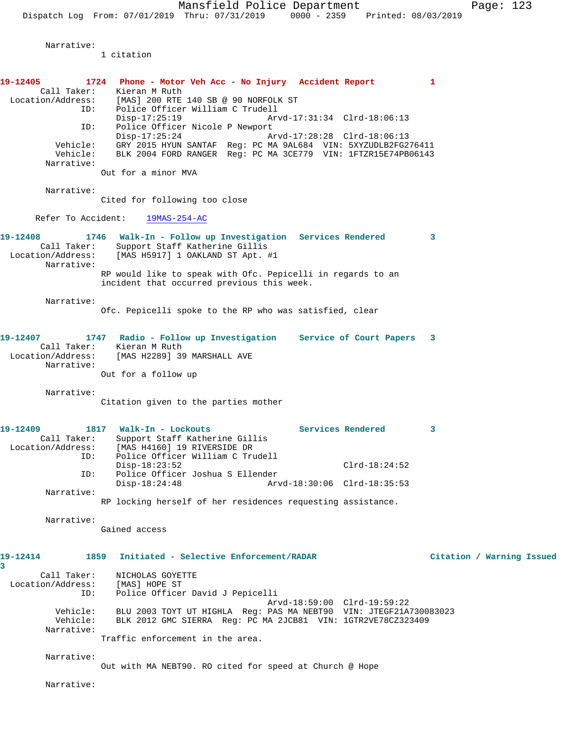Narrative:

1 citation

**19-12405 1724 Phone - Motor Veh Acc - No Injury Accident Report 1**  Call Taker: Kieran M Ruth Location/Address: [MAS] 200 RTE 140 SB @ 90 NORFOLK ST ID: Police Officer William C Trudell Disp-17:25:19 Arvd-17:31:34 Clrd-18:06:13 ID: Police Officer Nicole P Newport<br>Disp-17:25:24 Am Disp-17:25:24 Arvd-17:28:28 Clrd-18:06:13 Vehicle: GRY 2015 HYUN SANTAF Reg: PC MA 9AL684 VIN: 5XYZUDLB2FG276411 Vehicle: BLK 2004 FORD RANGER Reg: PC MA 3CE779 VIN: 1FTZR15E74PB06143 Narrative: Out for a minor MVA Narrative: Cited for following too close Refer To Accident: 19MAS-254-AC **19-12408 1746 Walk-In - Follow up Investigation Services Rendered 3**  Call Taker: Support Staff Katherine Gillis Location/Address: [MAS H5917] 1 OAKLAND ST Apt. #1 Narrative: RP would like to speak with Ofc. Pepicelli in regards to an incident that occurred previous this week. Narrative: Ofc. Pepicelli spoke to the RP who was satisfied, clear **19-12407 1747 Radio - Follow up Investigation Service of Court Papers 3**  Call Taker: Kieran M Ruth Location/Address: [MAS H2289] 39 MARSHALL AVE Narrative: Out for a follow up Narrative: Citation given to the parties mother **19-12409 1817 Walk-In - Lockouts Services Rendered 3**  Call Taker: Support Staff Katherine Gillis Location/Address: [MAS H4160] 19 RIVERSIDE DR ID: Police Officer William C Trudell Disp-18:23:52 Clrd-18:24:52<br>ID: Police Officer Joshua S Ellender Clrd-18:24:52 Police Officer Joshua S Ellender<br>Disp-18:24:48 Arw Arvd-18:30:06 Clrd-18:35:53 Narrative: RP locking herself of her residences requesting assistance. Narrative: Gained access **19-12414 1859 Initiated - Selective Enforcement/RADAR Citation / Warning Issued 3**  Call Taker: NICHOLAS GOYETTE Location/Address: [MAS] HOPE ST ID: Police Officer David J Pepicelli Arvd-18:59:00 Clrd-19:59:22 Vehicle: BLU 2003 TOYT UT HIGHLA Reg: PAS MA NEBT90 VIN: JTEGF21A730083023 Vehicle: BLK 2012 GMC SIERRA Reg: PC MA 2JCB81 VIN: 1GTR2VE78CZ323409 Narrative: Traffic enforcement in the area. Narrative:

Out with MA NEBT90. RO cited for speed at Church @ Hope

Narrative: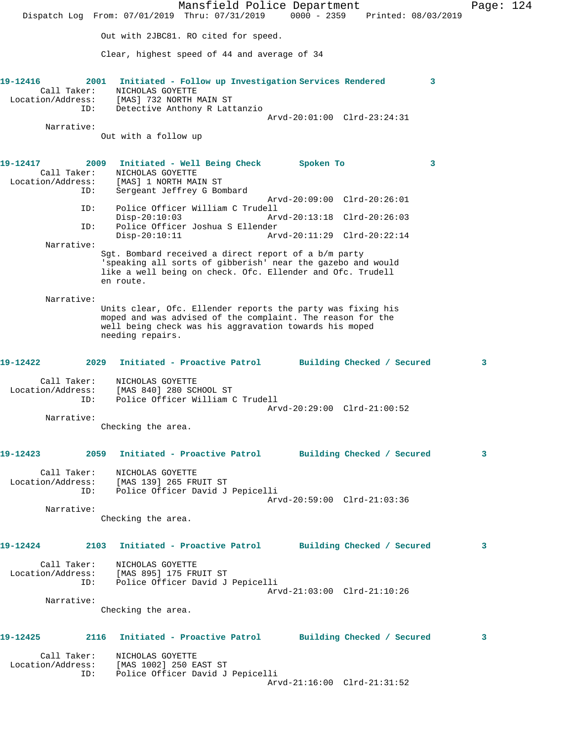Mansfield Police Department Page: 124 Dispatch Log From: 07/01/2019 Thru: 07/31/2019 0000 - 2359 Printed: 08/03/2019 Out with 2JBC81. RO cited for speed. Clear, highest speed of 44 and average of 34 **19-12416 2001 Initiated - Follow up Investigation Services Rendered 3**  Call Taker: NICHOLAS GOYETTE Location/Address: [MAS] 732 NORTH MAIN ST ID: Detective Anthony R Lattanzio Arvd-20:01:00 Clrd-23:24:31 Narrative: Out with a follow up **19-12417 2009 Initiated - Well Being Check Spoken To 3**  Call Taker: NICHOLAS GOYETTE Location/Address: [MAS] 1 NORTH MAIN ST ID: Sergeant Jeffrey G Bombard Arvd-20:09:00 Clrd-20:26:01 ID: Police Officer William C Trudell Disp-20:10:03 Arvd-20:13:18 Clrd-20:26:03<br>ID: Police Officer Joshua S Ellender Police Officer Joshua S Ellender<br>Disp-20:10:11 Ar Disp-20:10:11 Arvd-20:11:29 Clrd-20:22:14 Narrative: Sgt. Bombard received a direct report of a b/m party 'speaking all sorts of gibberish' near the gazebo and would like a well being on check. Ofc. Ellender and Ofc. Trudell en route. Narrative: Units clear, Ofc. Ellender reports the party was fixing his moped and was advised of the complaint. The reason for the well being check was his aggravation towards his moped needing repairs. **19-12422 2029 Initiated - Proactive Patrol Building Checked / Secured 3** Call Taker: NICHOLAS GOYETTE Location/Address: [MAS 840] 280 SCHOOL ST ID: Police Officer William C Trudell Arvd-20:29:00 Clrd-21:00:52 Narrative: Checking the area. **19-12423 2059 Initiated - Proactive Patrol Building Checked / Secured 3** Call Taker: NICHOLAS GOYETTE Location/Address: [MAS 139] 265 FRUIT ST ID: Police Officer David J Pepicelli Arvd-20:59:00 Clrd-21:03:36 Narrative: Checking the area. **19-12424 2103 Initiated - Proactive Patrol Building Checked / Secured 3** Call Taker: NICHOLAS GOYETTE Location/Address: [MAS 895] 175 FRUIT ST ID: Police Officer David J Pepicelli Arvd-21:03:00 Clrd-21:10:26 Narrative: Checking the area. **19-12425 2116 Initiated - Proactive Patrol Building Checked / Secured 3** Call Taker: NICHOLAS GOYETTE Location/Address: [MAS 1002] 250 EAST ST ID: Police Officer David J Pepicelli Arvd-21:16:00 Clrd-21:31:52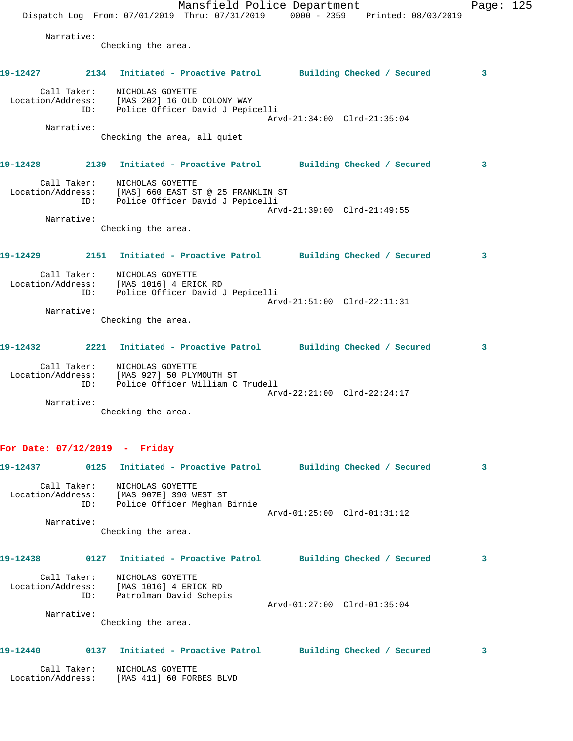Mansfield Police Department Page: 125 Dispatch Log From:  $07/01/2019$  Thru:  $07/31/2019$  0000 - 2359 Printed: 08/03/2019 Narrative: Checking the area. **19-12427 2134 Initiated - Proactive Patrol Building Checked / Secured 3** Call Taker: NICHOLAS GOYETTE Location/Address: [MAS 202] 16 OLD COLONY WAY ID: Police Officer David J Pepicelli Arvd-21:34:00 Clrd-21:35:04 Narrative: Checking the area, all quiet **19-12428 2139 Initiated - Proactive Patrol Building Checked / Secured 3** Call Taker: NICHOLAS GOYETTE Location/Address: [MAS] 660 EAST ST @ 25 FRANKLIN ST ID: Police Officer David J Pepicelli Arvd-21:39:00 Clrd-21:49:55 Narrative: Checking the area. **19-12429 2151 Initiated - Proactive Patrol Building Checked / Secured 3** Call Taker: NICHOLAS GOYETTE Location/Address: [MAS 1016] 4 ERICK RD ID: Police Officer David J Pepicelli Arvd-21:51:00 Clrd-22:11:31 Narrative: Checking the area. **19-12432 2221 Initiated - Proactive Patrol Building Checked / Secured 3** Call Taker: NICHOLAS GOYETTE Location/Address: [MAS 927] 50 PLYMOUTH ST ID: Police Officer William C Trudell Arvd-22:21:00 Clrd-22:24:17 Narrative: Checking the area. **For Date: 07/12/2019 - Friday 19-12437 0125 Initiated - Proactive Patrol Building Checked / Secured 3**

 Call Taker: NICHOLAS GOYETTE Location/Address: [MAS 907E] 390 WEST ST ID: Police Officer Meghan Birnie Arvd-01:25:00 Clrd-01:31:12 Narrative:

Checking the area.

| 19-12438                         | 0127 | Initiated - Proactive Patrol              |                             | Building Checked / Secured |  |
|----------------------------------|------|-------------------------------------------|-----------------------------|----------------------------|--|
| Call Taker:<br>Location/Address: |      | NICHOLAS GOYETTE<br>[MAS 1016] 4 ERICK RD |                             |                            |  |
|                                  | ID:  | Patrolman David Schepis                   |                             |                            |  |
|                                  |      |                                           | Arvd-01:27:00 Clrd-01:35:04 |                            |  |
| Narrative:                       |      |                                           |                             |                            |  |
|                                  |      | Checking the area.                        |                             |                            |  |

## **19-12440 0137 Initiated - Proactive Patrol Building Checked / Secured 3**

 Call Taker: NICHOLAS GOYETTE Location/Address: [MAS 411] 60 FORBES BLVD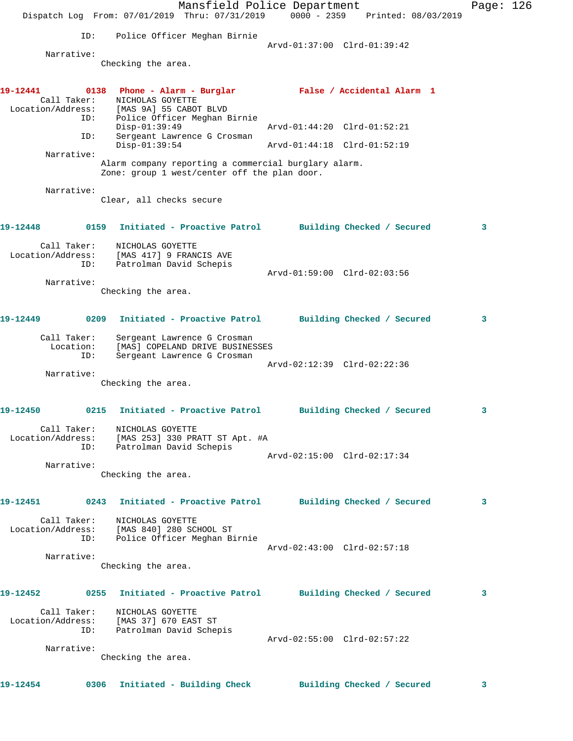Mansfield Police Department Fage: 126 Dispatch Log From: 07/01/2019 Thru: 07/31/2019 0000 - 2359 Printed: 08/03/2019 ID: Police Officer Meghan Birnie Arvd-01:37:00 Clrd-01:39:42 Narrative: Checking the area. **19-12441 0138 Phone - Alarm - Burglar False / Accidental Alarm 1**  Call Taker: NICHOLAS GOYETTE Location/Address: [MAS 9A] 55 CABOT BLVD ID: Police Officer Meghan Birnie Disp-01:39:49 Arvd-01:44:20 Clrd-01:52:21 ID: Sergeant Lawrence G Crosman<br>Disp-01:39:54 Disp-01:39:54 Arvd-01:44:18 Clrd-01:52:19 Narrative: Alarm company reporting a commercial burglary alarm. Zone: group 1 west/center off the plan door. Narrative: Clear, all checks secure **19-12448 0159 Initiated - Proactive Patrol Building Checked / Secured 3** Call Taker: NICHOLAS GOYETTE Location/Address: [MAS 417] 9 FRANCIS AVE ID: Patrolman David Schepis Arvd-01:59:00 Clrd-02:03:56 Narrative: Checking the area. **19-12449 0209 Initiated - Proactive Patrol Building Checked / Secured 3** Call Taker: Sergeant Lawrence G Crosman Location: [MAS] COPELAND DRIVE BUSINESSES ID: Sergeant Lawrence G Crosman Arvd-02:12:39 Clrd-02:22:36 Narrative: Checking the area. **19-12450 0215 Initiated - Proactive Patrol Building Checked / Secured 3** Call Taker: NICHOLAS GOYETTE Location/Address: [MAS 253] 330 PRATT ST Apt. #A ID: Patrolman David Schepis Arvd-02:15:00 Clrd-02:17:34 Narrative: Checking the area. **19-12451 0243 Initiated - Proactive Patrol Building Checked / Secured 3** Call Taker: NICHOLAS GOYETTE Location/Address: [MAS 840] 280 SCHOOL ST ID: Police Officer Meghan Birnie Arvd-02:43:00 Clrd-02:57:18 Narrative: Checking the area. **19-12452 0255 Initiated - Proactive Patrol Building Checked / Secured 3** Call Taker: NICHOLAS GOYETTE Location/Address: [MAS 37] 670 EAST ST ID: Patrolman David Schepis Arvd-02:55:00 Clrd-02:57:22 Narrative: Checking the area. **19-12454 0306 Initiated - Building Check Building Checked / Secured 3**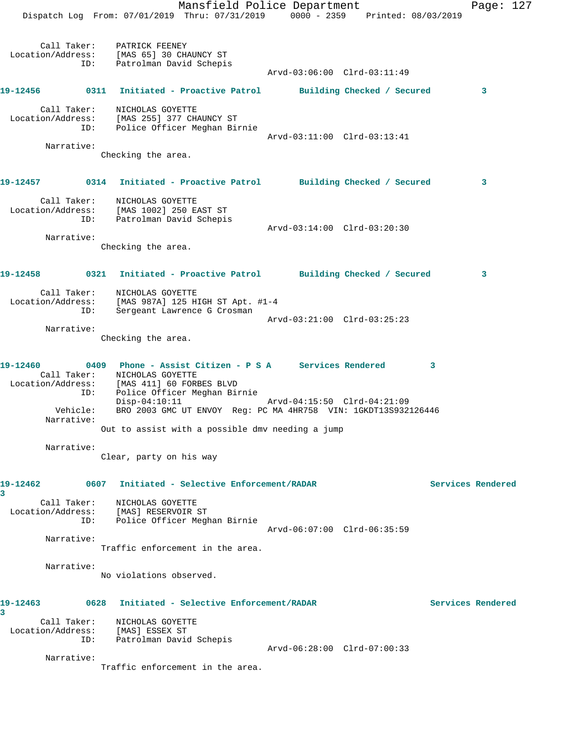Mansfield Police Department Page: 127 Dispatch Log From: 07/01/2019 Thru: 07/31/2019 0000 - 2359 Printed: 08/03/2019 Call Taker: PATRICK FEENEY Location/Address: [MAS 65] 30 CHAUNCY ST ID: Patrolman David Schepis Arvd-03:06:00 Clrd-03:11:49 **19-12456 0311 Initiated - Proactive Patrol Building Checked / Secured 3** Call Taker: NICHOLAS GOYETTE Location/Address: [MAS 255] 377 CHAUNCY ST ID: Police Officer Meghan Birnie Arvd-03:11:00 Clrd-03:13:41 Narrative: Checking the area. **19-12457 0314 Initiated - Proactive Patrol Building Checked / Secured 3** Call Taker: NICHOLAS GOYETTE Location/Address: [MAS 1002] 250 EAST ST ID: Patrolman David Schepis Arvd-03:14:00 Clrd-03:20:30 Narrative: Checking the area. **19-12458 0321 Initiated - Proactive Patrol Building Checked / Secured 3** Call Taker: NICHOLAS GOYETTE Location/Address: [MAS 987A] 125 HIGH ST Apt. #1-4 ID: Sergeant Lawrence G Crosman Arvd-03:21:00 Clrd-03:25:23 Narrative: Checking the area. **19-12460 0409 Phone - Assist Citizen - P S A Services Rendered 3**  Call Taker: NICHOLAS GOYETTE Location/Address: [MAS 411] 60 FORBES BLVD ID: Police Officer Meghan Birnie Disp-04:10:11 Arvd-04:15:50 Clrd-04:21:09 Vehicle: BRO 2003 GMC UT ENVOY Reg: PC MA 4HR758 VIN: 1GKDT13S932126446 Narrative: Out to assist with a possible dmv needing a jump Narrative: Clear, party on his way **19-12462 0607 Initiated - Selective Enforcement/RADAR Services Rendered 3**  Call Taker: NICHOLAS GOYETTE Location/Address: [MAS] RESERVOIR ST ID: Police Officer Meghan Birnie Arvd-06:07:00 Clrd-06:35:59 Narrative: Traffic enforcement in the area. Narrative: No violations observed. **19-12463 0628 Initiated - Selective Enforcement/RADAR Services Rendered 3**  Call Taker: NICHOLAS GOYETTE Location/Address: [MAS] ESSEX ST ID: Patrolman David Schepis Arvd-06:28:00 Clrd-07:00:33 Narrative: Traffic enforcement in the area.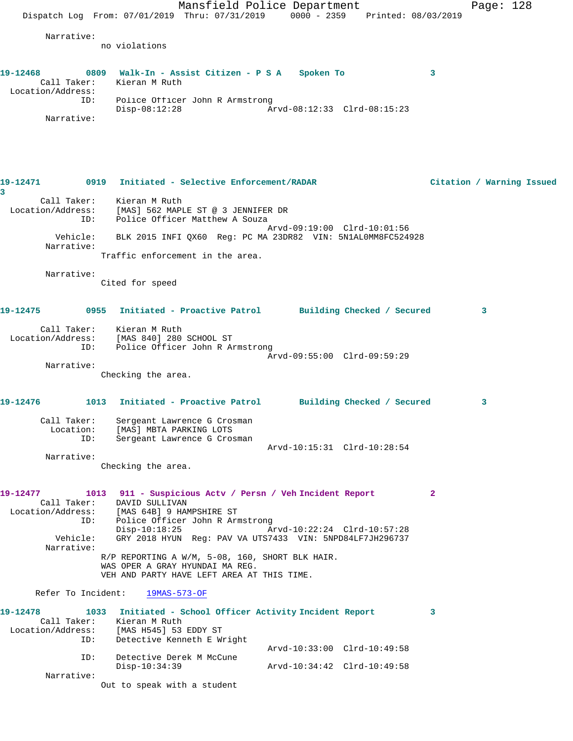Mansfield Police Department Page: 128 Dispatch Log From:  $07/01/2019$  Thru:  $07/31/2019$  0000 - 2359 Printed: 08/03/2019 Narrative: no violations **19-12468 0809 Walk-In - Assist Citizen - P S A Spoken To 3**  Call Taker: Kieran M Ruth Location/Address: ID: Police Officer John R Armstrong Disp-08:12:28 Arvd-08:12:33 Clrd-08:15:23 Narrative: **19-12471 0919 Initiated - Selective Enforcement/RADAR Citation / Warning Issued 3**  Call Taker: Kieran M Ruth Location/Address: [MAS] 562 MAPLE ST @ 3 JENNIFER DR ID: Police Officer Matthew A Souza Arvd-09:19:00 Clrd-10:01:56 Vehicle: BLK 2015 INFI QX60 Reg: PC MA 23DR82 VIN: 5N1AL0MM8FC524928 Narrative: Traffic enforcement in the area. Narrative: Cited for speed **19-12475 0955 Initiated - Proactive Patrol Building Checked / Secured 3** Call Taker: Kieran M Ruth Location/Address: [MAS 840] 280 SCHOOL ST ID: Police Officer John R Armstrong Arvd-09:55:00 Clrd-09:59:29 Narrative: Checking the area. **19-12476 1013 Initiated - Proactive Patrol Building Checked / Secured 3** Call Taker: Sergeant Lawrence G Crosman Location: [MAS] MBTA PARKING LOTS ID: Sergeant Lawrence G Crosman Arvd-10:15:31 Clrd-10:28:54 Narrative: Checking the area. **19-12477 1013 911 - Suspicious Actv / Persn / Veh Incident Report 2**  Call Taker: DAVID SULLIVAN Location/Address: [MAS 64B] 9 HAMPSHIRE ST ID: Police Officer John R Armstrong Disp-10:18:25 Arvd-10:22:24 Clrd-10:57:28 Vehicle: GRY 2018 HYUN Reg: PAV VA UTS7433 VIN: 5NPD84LF7JH296737 Narrative: R/P REPORTING A W/M, 5-08, 160, SHORT BLK HAIR. WAS OPER A GRAY HYUNDAI MA REG. VEH AND PARTY HAVE LEFT AREA AT THIS TIME. Refer To Incident: 19MAS-573-OF **19-12478 1033 Initiated - School Officer Activity Incident Report 3**  Call Taker: Kieran M Ruth Location/Address: [MAS H545] 53 EDDY ST ID: Detective Kenneth E Wright Arvd-10:33:00 Clrd-10:49:58 ID: Detective Derek M McCune<br>Disp-10:34:39 Disp-10:34:39 Arvd-10:34:42 Clrd-10:49:58 Narrative: Out to speak with a student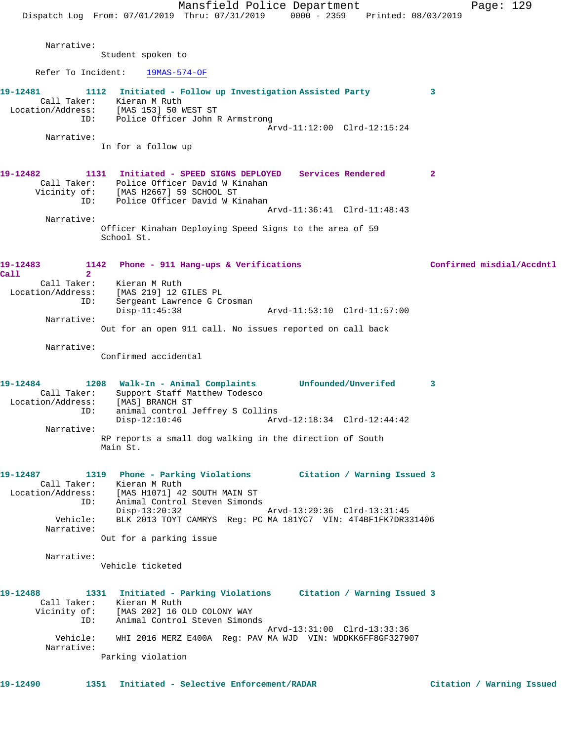|                                                                      | Mansfield Police Department<br>Page: 129<br>Dispatch Log From: 07/01/2019 Thru: 07/31/2019 0000 - 2359 Printed: 08/03/2019                                                                                                                                                                                                           |
|----------------------------------------------------------------------|--------------------------------------------------------------------------------------------------------------------------------------------------------------------------------------------------------------------------------------------------------------------------------------------------------------------------------------|
| Narrative:                                                           | Student spoken to                                                                                                                                                                                                                                                                                                                    |
| Refer To Incident:                                                   | 19MAS-574-OF                                                                                                                                                                                                                                                                                                                         |
| 19-12481<br>Location/Address:<br>ID:                                 | 1112 Initiated - Follow up Investigation Assisted Party<br>3<br>Call Taker: Kieran M Ruth<br>[MAS 153] 50 WEST ST<br>Police Officer John R Armstrong<br>Arvd-11:12:00 Clrd-12:15:24                                                                                                                                                  |
| Narrative:                                                           | In for a follow up                                                                                                                                                                                                                                                                                                                   |
| 19-12482<br>1131<br>ID:                                              | Initiated - SPEED SIGNS DEPLOYED Services Rendered<br>$\mathbf{2}$<br>Call Taker: Police Officer David W Kinahan<br>Vicinity of: [MAS H2667] 59 SCHOOL ST<br>Police Officer David W Kinahan<br>Arvd-11:36:41 Clrd-11:48:43                                                                                                           |
| Narrative:                                                           | Officer Kinahan Deploying Speed Signs to the area of 59<br>School St.                                                                                                                                                                                                                                                                |
| 19-12483<br>Call<br>$\mathbf{2}^{\circ}$<br>Location/Address:<br>ID: | Confirmed misdial/Accdntl<br>1142 Phone - 911 Hang-ups & Verifications<br>Call Taker: Kieran M Ruth<br>[MAS 219] 12 GILES PL<br>Sergeant Lawrence G Crosman<br>Arvd-11:53:10 Clrd-11:57:00<br>$Disp-11:45:38$                                                                                                                        |
| Narrative:                                                           | Out for an open 911 call. No issues reported on call back                                                                                                                                                                                                                                                                            |
| Narrative:                                                           | Confirmed accidental                                                                                                                                                                                                                                                                                                                 |
| 19-12484<br>Call Taker:<br>Location/Address:<br>ID:                  | Unfounded/Unverifed<br>1208 Walk-In - Animal Complaints<br>3<br>Support Staff Matthew Todesco<br>[MAS] BRANCH ST<br>animal control Jeffrey S Collins<br>$Disp-12:10:46$                                                                                                                                                              |
| Narrative:                                                           | RP reports a small dog walking in the direction of South<br>Main St.                                                                                                                                                                                                                                                                 |
| Vehicle:<br>Narrative:                                               | 19-12487 1319 Phone - Parking Violations Citation / Warning Issued 3<br>Call Taker: Kieran M Ruth<br>Location/Address: [MAS H1071] 42 SOUTH MAIN ST<br>ID: Animal Control Steven Simonds<br>Disp-13:20:32<br>Arvd-13:29:36 Clrd-13:31:45<br>BLK 2013 TOYT CAMRYS Reg: PC MA 181YC7 VIN: 4T4BF1FK7DR331406<br>Out for a parking issue |
| Narrative:                                                           | Vehicle ticketed                                                                                                                                                                                                                                                                                                                     |
| 19-12488<br>Vehicle:                                                 | 1331 Initiated - Parking Violations Citation / Warning Issued 3<br>Call Taker: Kieran M Ruth<br>Vicinity of: [MAS 202] 16 OLD COLONY WAY<br>ID: Animal Control Steven Simonds<br>Arvd-13:31:00 Clrd-13:33:36<br>WHI 2016 MERZ E400A Req: PAV MA WJD VIN: WDDKK6FF8GF327907                                                           |
| Narrative:                                                           | Parking violation                                                                                                                                                                                                                                                                                                                    |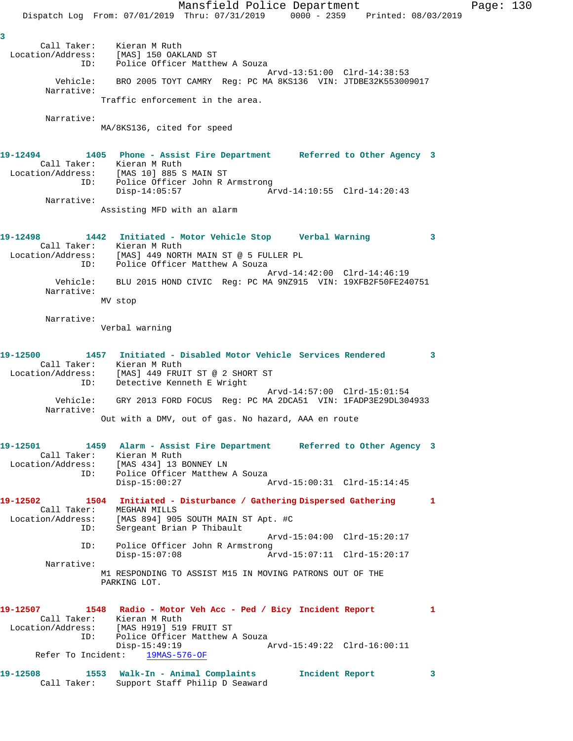Mansfield Police Department Page: 130 Dispatch Log From: 07/01/2019 Thru: 07/31/2019 0000 - 2359 Printed: 08/03/2019 **3**  Call Taker: Kieran M Ruth Location/Address: [MAS] 150 OAKLAND ST ID: Police Officer Matthew A Souza Arvd-13:51:00 Clrd-14:38:53 Vehicle: BRO 2005 TOYT CAMRY Reg: PC MA 8KS136 VIN: JTDBE32K553009017 Narrative: Traffic enforcement in the area. Narrative: MA/8KS136, cited for speed **19-12494 1405 Phone - Assist Fire Department Referred to Other Agency 3**  Call Taker: Kieran M Ruth Location/Address: [MAS 10] 885 S MAIN ST ID: Police Officer John R Armstrong Disp-14:05:57 Arvd-14:10:55 Clrd-14:20:43 Narrative: Assisting MFD with an alarm **19-12498 1442 Initiated - Motor Vehicle Stop Verbal Warning 3**  Call Taker: Kieran M Ruth Location/Address: [MAS] 449 NORTH MAIN ST @ 5 FULLER PL ID: Police Officer Matthew A Souza Arvd-14:42:00 Clrd-14:46:19 Vehicle: BLU 2015 HOND CIVIC Reg: PC MA 9NZ915 VIN: 19XFB2F50FE240751 Narrative: MV stop Narrative: Verbal warning **19-12500 1457 Initiated - Disabled Motor Vehicle Services Rendered 3**  Call Taker: Kieran M Ruth Location/Address: [MAS] 449 FRUIT ST @ 2 SHORT ST ID: Detective Kenneth E Wright Arvd-14:57:00 Clrd-15:01:54 Vehicle: GRY 2013 FORD FOCUS Reg: PC MA 2DCA51 VIN: 1FADP3E29DL304933 Narrative: Out with a DMV, out of gas. No hazard, AAA en route **19-12501 1459 Alarm - Assist Fire Department Referred to Other Agency 3**  Call Taker: Kieran M Ruth Location/Address: [MAS 434] 13 BONNEY LN ID: Police Officer Matthew A Souza Disp-15:00:27 Arvd-15:00:31 Clrd-15:14:45 **19-12502 1504 Initiated - Disturbance / Gathering Dispersed Gathering 1**  Call Taker: MEGHAN MILLS Location/Address: [MAS 894] 905 SOUTH MAIN ST Apt. #C ID: Sergeant Brian P Thibault Arvd-15:04:00 Clrd-15:20:17 ID: Police Officer John R Armstrong Disp-15:07:08 Arvd-15:07:11 Clrd-15:20:17 Narrative: M1 RESPONDING TO ASSIST M15 IN MOVING PATRONS OUT OF THE PARKING LOT. **19-12507 1548 Radio - Motor Veh Acc - Ped / Bicy Incident Report 1**  Call Taker: Kieran M Ruth Location/Address: [MAS H919] 519 FRUIT ST Police Officer Matthew A Souza<br>Disp-15:49:19 A Disp-15:49:19 Arvd-15:49:22 Clrd-16:00:11 Refer To Incident: 19MAS-576-OF **19-12508 1553 Walk-In - Animal Complaints Incident Report 3**  Call Taker: Support Staff Philip D Seaward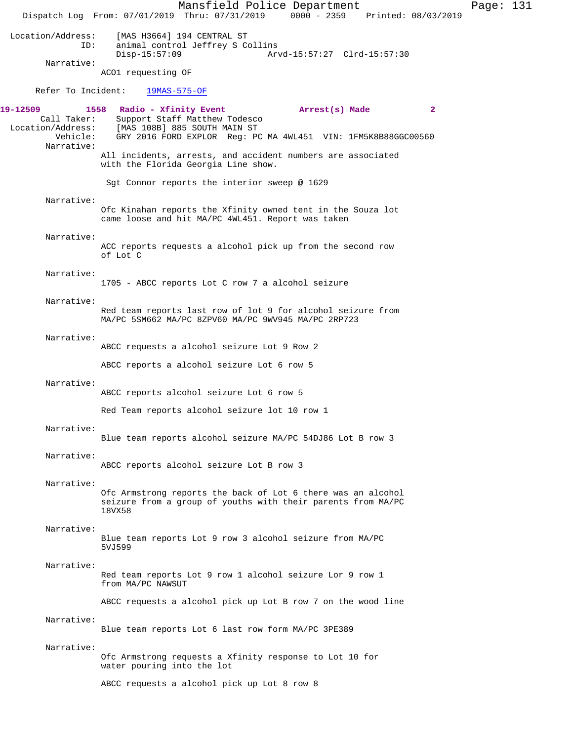Mansfield Police Department Page: 131 Dispatch Log From: 07/01/2019 Thru: 07/31/2019 0000 - 2359 Printed: 08/03/2019 Location/Address: [MAS H3664] 194 CENTRAL ST animal control Jeffrey S Collins<br>Disp-15:57:09 Arv Disp-15:57:09 Arvd-15:57:27 Clrd-15:57:30 Narrative: ACO1 requesting OF Refer To Incident: 19MAS-575-OF **19-12509 1558 Radio - Xfinity Event Arrest(s) Made 2**  Call Taker: Support Staff Matthew Todesco<br>Location/Address: [MAS 108B] 885 SOUTH MAIN ST [MAS 108B] 885 SOUTH MAIN ST Vehicle: GRY 2016 FORD EXPLOR Reg: PC MA 4WL451 VIN: 1FM5K8B88GGC00560 Narrative: All incidents, arrests, and accident numbers are associated with the Florida Georgia Line show. Sgt Connor reports the interior sweep @ 1629 Narrative: Ofc Kinahan reports the Xfinity owned tent in the Souza lot came loose and hit MA/PC 4WL451. Report was taken Narrative: ACC reports requests a alcohol pick up from the second row of Lot C Narrative: 1705 - ABCC reports Lot C row 7 a alcohol seizure Narrative: Red team reports last row of lot 9 for alcohol seizure from MA/PC 5SM662 MA/PC 8ZPV60 MA/PC 9WV945 MA/PC 2RP723 Narrative: ABCC requests a alcohol seizure Lot 9 Row 2 ABCC reports a alcohol seizure Lot 6 row 5 Narrative: ABCC reports alcohol seizure Lot 6 row 5 Red Team reports alcohol seizure lot 10 row 1 Narrative: Blue team reports alcohol seizure MA/PC 54DJ86 Lot B row 3 Narrative: ABCC reports alcohol seizure Lot B row 3 Narrative: Ofc Armstrong reports the back of Lot 6 there was an alcohol seizure from a group of youths with their parents from MA/PC 18VX58 Narrative: Blue team reports Lot 9 row 3 alcohol seizure from MA/PC 5VJ599 Narrative: Red team reports Lot 9 row 1 alcohol seizure Lor 9 row 1 from MA/PC NAWSUT ABCC requests a alcohol pick up Lot B row 7 on the wood line Narrative: Blue team reports Lot 6 last row form MA/PC 3PE389 Narrative: Ofc Armstrong requests a Xfinity response to Lot 10 for water pouring into the lot ABCC requests a alcohol pick up Lot 8 row 8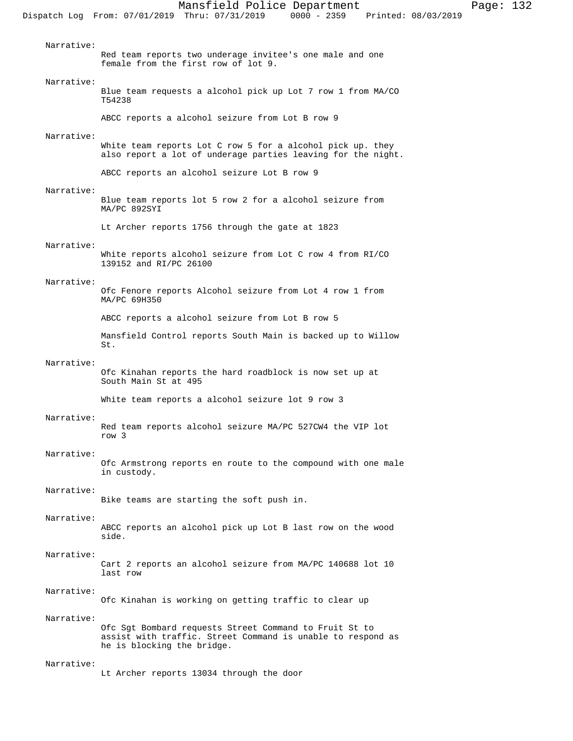Narrative: Red team reports two underage invitee's one male and one female from the first row of lot 9. Narrative: Blue team requests a alcohol pick up Lot 7 row 1 from MA/CO T54238 ABCC reports a alcohol seizure from Lot B row 9 Narrative: White team reports Lot C row 5 for a alcohol pick up. they also report a lot of underage parties leaving for the night. ABCC reports an alcohol seizure Lot B row 9 Narrative: Blue team reports lot 5 row 2 for a alcohol seizure from MA/PC 892SYI Lt Archer reports 1756 through the gate at 1823 Narrative: White reports alcohol seizure from Lot C row 4 from RI/CO 139152 and RI/PC 26100 Narrative: Ofc Fenore reports Alcohol seizure from Lot 4 row 1 from MA/PC 69H350 ABCC reports a alcohol seizure from Lot B row 5 Mansfield Control reports South Main is backed up to Willow St. Narrative: Ofc Kinahan reports the hard roadblock is now set up at South Main St at 495 White team reports a alcohol seizure lot 9 row 3 Narrative: Red team reports alcohol seizure MA/PC 527CW4 the VIP lot row 3 Narrative: Ofc Armstrong reports en route to the compound with one male in custody. Narrative: Bike teams are starting the soft push in. Narrative: ABCC reports an alcohol pick up Lot B last row on the wood side. Narrative: Cart 2 reports an alcohol seizure from MA/PC 140688 lot 10 last row Narrative: Ofc Kinahan is working on getting traffic to clear up Narrative: Ofc Sgt Bombard requests Street Command to Fruit St to assist with traffic. Street Command is unable to respond as he is blocking the bridge. Narrative:

Lt Archer reports 13034 through the door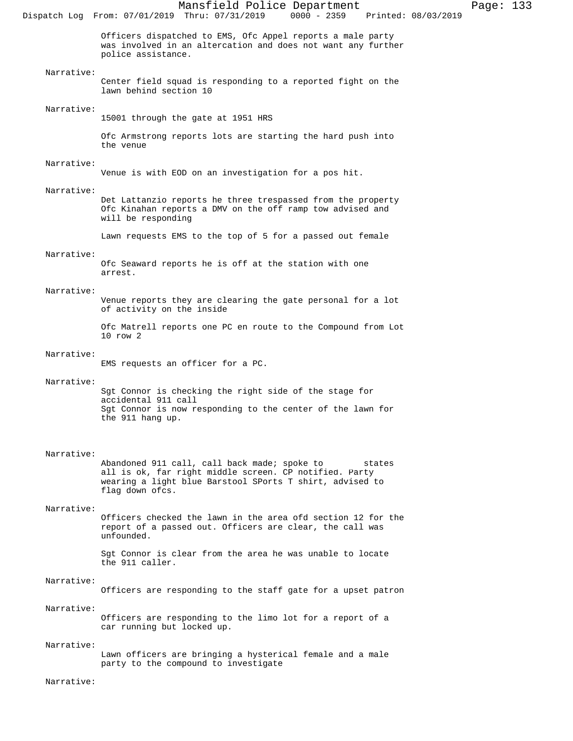Mansfield Police Department Page: 133 Dispatch Log From: 07/01/2019 Thru: 07/31/2019 Officers dispatched to EMS, Ofc Appel reports a male party was involved in an altercation and does not want any further police assistance. Narrative: Center field squad is responding to a reported fight on the lawn behind section 10 Narrative: 15001 through the gate at 1951 HRS Ofc Armstrong reports lots are starting the hard push into the venue Narrative: Venue is with EOD on an investigation for a pos hit. Narrative: Det Lattanzio reports he three trespassed from the property Ofc Kinahan reports a DMV on the off ramp tow advised and will be responding Lawn requests EMS to the top of 5 for a passed out female Narrative: Ofc Seaward reports he is off at the station with one arrest. Narrative: Venue reports they are clearing the gate personal for a lot of activity on the inside Ofc Matrell reports one PC en route to the Compound from Lot 10 row 2 Narrative: EMS requests an officer for a PC. Narrative: Sgt Connor is checking the right side of the stage for accidental 911 call Sgt Connor is now responding to the center of the lawn for the 911 hang up. Narrative: Abandoned 911 call, call back made; spoke to states all is ok, far right middle screen. CP notified. Party wearing a light blue Barstool SPorts T shirt, advised to flag down ofcs. Narrative: Officers checked the lawn in the area ofd section 12 for the report of a passed out. Officers are clear, the call was unfounded. Sgt Connor is clear from the area he was unable to locate the 911 caller. Narrative: Officers are responding to the staff gate for a upset patron Narrative: Officers are responding to the limo lot for a report of a car running but locked up. Narrative: Lawn officers are bringing a hysterical female and a male

party to the compound to investigate

Narrative: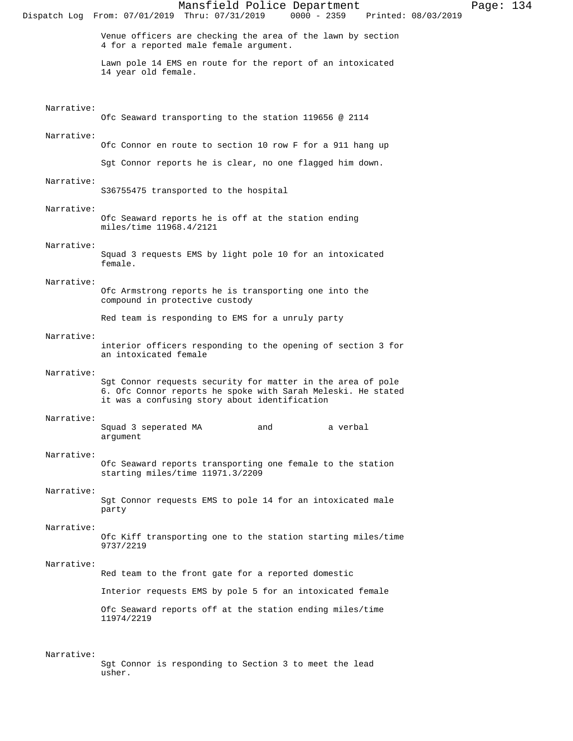Mansfield Police Department Page: 134 Dispatch Log From: 07/01/2019 Thru: 07/31/2019 Venue officers are checking the area of the lawn by section 4 for a reported male female argument. Lawn pole 14 EMS en route for the report of an intoxicated 14 year old female. Narrative: Ofc Seaward transporting to the station 119656 @ 2114 Narrative: Ofc Connor en route to section 10 row F for a 911 hang up Sgt Connor reports he is clear, no one flagged him down. Narrative: S36755475 transported to the hospital Narrative: Ofc Seaward reports he is off at the station ending miles/time 11968.4/2121 Narrative: Squad 3 requests EMS by light pole 10 for an intoxicated female. Narrative: Ofc Armstrong reports he is transporting one into the compound in protective custody Red team is responding to EMS for a unruly party Narrative: interior officers responding to the opening of section 3 for an intoxicated female Narrative: Sgt Connor requests security for matter in the area of pole 6. Ofc Connor reports he spoke with Sarah Meleski. He stated it was a confusing story about identification Narrative: Squad 3 seperated MA and a verbal argument Narrative: Ofc Seaward reports transporting one female to the station starting miles/time 11971.3/2209 Narrative: Sgt Connor requests EMS to pole 14 for an intoxicated male party Narrative: Ofc Kiff transporting one to the station starting miles/time 9737/2219 Narrative: Red team to the front gate for a reported domestic Interior requests EMS by pole 5 for an intoxicated female Ofc Seaward reports off at the station ending miles/time 11974/2219 Narrative: Sgt Connor is responding to Section 3 to meet the lead

usher.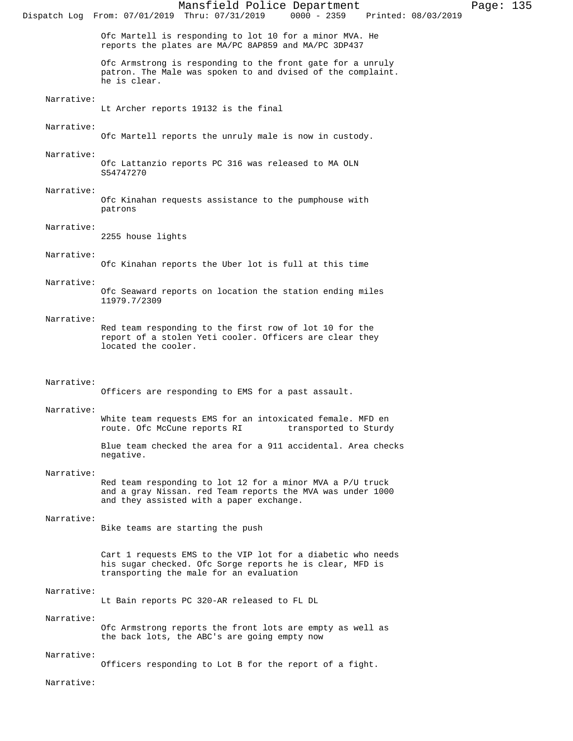Mansfield Police Department Page: 135 Dispatch Log From: 07/01/2019 Thru: 07/31/2019 Ofc Martell is responding to lot 10 for a minor MVA. He reports the plates are MA/PC 8AP859 and MA/PC 3DP437 Ofc Armstrong is responding to the front gate for a unruly patron. The Male was spoken to and dvised of the complaint. he is clear. Narrative: Lt Archer reports 19132 is the final Narrative: Ofc Martell reports the unruly male is now in custody. Narrative: Ofc Lattanzio reports PC 316 was released to MA OLN S54747270 Narrative: Ofc Kinahan requests assistance to the pumphouse with patrons Narrative: 2255 house lights Narrative: Ofc Kinahan reports the Uber lot is full at this time Narrative: Ofc Seaward reports on location the station ending miles 11979.7/2309 Narrative: Red team responding to the first row of lot 10 for the report of a stolen Yeti cooler. Officers are clear they located the cooler. Narrative: Officers are responding to EMS for a past assault. Narrative: White team requests EMS for an intoxicated female. MFD en route. Ofc McCune reports RI transported to Sturdy Blue team checked the area for a 911 accidental. Area checks negative. Narrative: Red team responding to lot 12 for a minor MVA a P/U truck and a gray Nissan. red Team reports the MVA was under 1000 and they assisted with a paper exchange. Narrative: Bike teams are starting the push Cart 1 requests EMS to the VIP lot for a diabetic who needs his sugar checked. Ofc Sorge reports he is clear, MFD is transporting the male for an evaluation Narrative: Lt Bain reports PC 320-AR released to FL DL Narrative: Ofc Armstrong reports the front lots are empty as well as

the back lots, the ABC's are going empty now

#### Narrative:

Officers responding to Lot B for the report of a fight.

Narrative: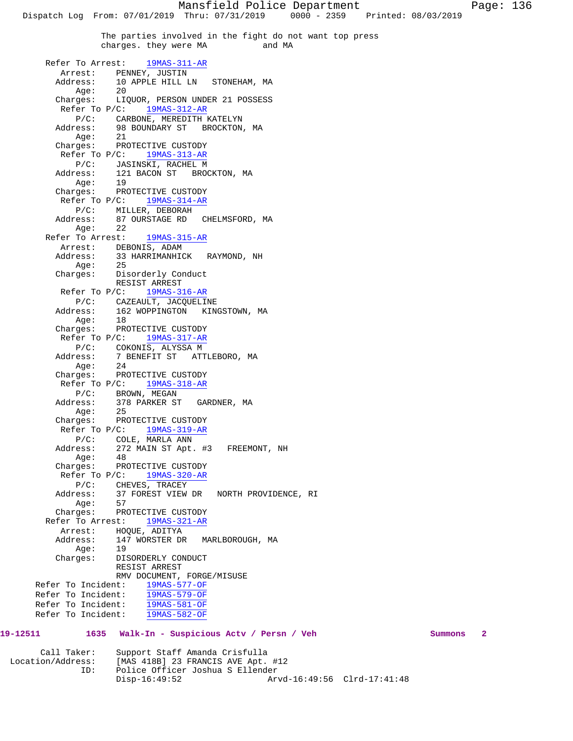Mansfield Police Department Page: 136 Dispatch Log From: 07/01/2019 Thru: 07/31/2019 0000 - 2359 Printed: 08/03/2019 The parties involved in the fight do not want top press<br>charges, they were MA and MA charges. they were MA Refer To Arrest: 19MAS-311-AR Arrest: PENNEY, JUSTIN Address: 10 APPLE HILL LN STONEHAM, MA Age: 20 Charges: LIQUOR, PERSON UNDER 21 POSSESS Refer To P/C: 19MAS-312-AR P/C: CARBONE, MEREDITH KATELYN<br>Address: 98 BOUNDARY ST BROCKTON 98 BOUNDARY ST BROCKTON, MA Age: 21 Charges: PROTECTIVE CUSTODY Refer To P/C: 19MAS-313-AR P/C: JASINSKI, RACHEL M Address: 121 BACON ST BROCKTON, MA Age: 19 Charges: PROTECTIVE CUSTODY Refer To P/C: 19MAS-314-AR P/C: MILLER, DEBORAH Address: 87 OURSTAGE RD CHELMSFORD, MA Age: 22 Refer To Arrest: 19MAS-315-AR Arrest: DEBONIS, ADAM<br>Address: 33 HARRIMANHIC 33 HARRIMANHICK RAYMOND, NH Age: 25 Charges: Disorderly Conduct RESIST ARREST Refer To P/C: 19MAS-316-AR P/C: CAZEAULT, JACQUELINE Address: 162 WOPPINGTON KINGSTOWN, MA Age: 18 Charges: PROTECTIVE CUSTODY Refer To P/C: 19MAS-317-AR P/C: COKONIS, ALYSSA M<br>Address: 7 BENEFIT ST ATT 7 BENEFIT ST ATTLEBORO, MA Age: 24 Charges: PROTECTIVE CUSTODY Refer To P/C: 19MAS-318-AR P/C: BROWN, MEGAN Address: 378 PARKER ST GARDNER, MA Age: 25 Charges: PROTECTIVE CUSTODY Refer To P/C: 19MAS-319-AR P/C: COLE, MARLA ANN Address: 272 MAIN ST Apt. #3 FREEMONT, NH Age: 48 Charges: PROTECTIVE CUSTODY Refer To P/C: 19MAS-320-AR P/C: CHEVES, TRACEY 37 FOREST VIEW DR NORTH PROVIDENCE, RI Age: 57 Charges: PROTECTIVE CUSTODY Refer To Arrest: 19MAS-321-AR Arrest: HOQUE, ADITYA Address: 147 WORSTER DR MARLBOROUGH, MA Age: 19<br>Charges: DIS DISORDERLY CONDUCT RESIST ARREST RMV DOCUMENT, FORGE/MISUSE Refer To Incident: 19MAS-577-OF Refer To Incident: 19MAS-579-OF Refer To Incident: 19MAS-581-OF Refer To Incident: 19MAS-582-OF **19-12511 1635 Walk-In - Suspicious Actv / Persn / Veh Summons 2**

 Call Taker: Support Staff Amanda Crisfulla Location/Address: [MAS 418B] 23 FRANCIS AVE Apt. #12 Police Officer Joshua S Ellender<br>Disp-16:49:52 Ar Arvd-16:49:56 Clrd-17:41:48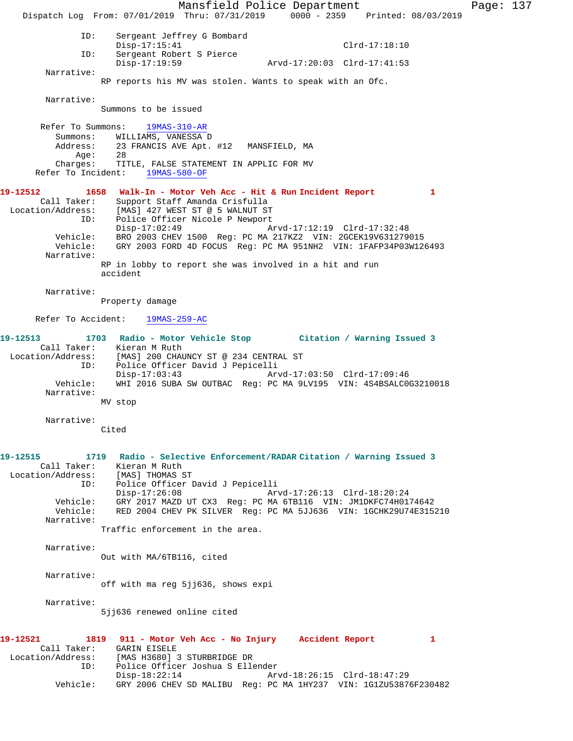Mansfield Police Department Page: 137 Dispatch Log From: 07/01/2019 Thru: 07/31/2019 0000 - 2359 Printed: 08/03/2019 ID: Sergeant Jeffrey G Bombard Disp-17:15:41 Clrd-17:18:10 ID: Sergeant Robert S Pierce Disp-17:19:59 Arvd-17:20:03 Clrd-17:41:53 Narrative: RP reports his MV was stolen. Wants to speak with an Ofc. Narrative: Summons to be issued Refer To Summons: 19MAS-310-AR Summons: WILLIAMS, VANESSA D<br>Address: 23 FRANCIS AVE Apt. 23 FRANCIS AVE Apt. #12 MANSFIELD, MA Age: 28 Charges: TITLE, FALSE STATEMENT IN APPLIC FOR MV Refer To Incident: 19MAS-580-OF **19-12512 1658 Walk-In - Motor Veh Acc - Hit & Run Incident Report 1**  Call Taker: Support Staff Amanda Crisfulla Location/Address: [MAS] 427 WEST ST @ 5 WALNUT ST ID: Police Officer Nicole P Newport<br>Disp-17:02:49 A: Disp-17:02:49 Arvd-17:12:19 Clrd-17:32:48 Vehicle: BRO 2003 CHEV 1500 Reg: PC MA 217KZ2 VIN: 2GCEK19V631279015 Vehicle: GRY 2003 FORD 4D FOCUS Reg: PC MA 951NH2 VIN: 1FAFP34P03W126493 Narrative: RP in lobby to report she was involved in a hit and run accident Narrative: Property damage Refer To Accident: 19MAS-259-AC **19-12513 1703 Radio - Motor Vehicle Stop Citation / Warning Issued 3**  Call Taker: Kieran M Ruth Location/Address: [MAS] 200 CHAUNCY ST @ 234 CENTRAL ST Police Officer David J Pepicelli<br>Disp-17:03:43 Ar Disp-17:03:43 Arvd-17:03:50 Clrd-17:09:46 Vehicle: WHI 2016 SUBA SW OUTBAC Reg: PC MA 9LV195 VIN: 4S4BSALC0G3210018 Narrative: MV stop Narrative: Cited **19-12515 1719 Radio - Selective Enforcement/RADAR Citation / Warning Issued 3**  Call Taker: Kieran M Ruth Location/Address: [MAS] THOMAS ST<br>ID: Police Officer I ID: Police Officer David J Pepicelli Disp-17:26:08 Arvd-17:26:13 Clrd-18:20:24 Vehicle: GRY 2017 MAZD UT CX3 Reg: PC MA 6TB116 VIN: JM1DKFC74H0174642 Vehicle: RED 2004 CHEV PK SILVER Reg: PC MA 5JJ636 VIN: 1GCHK29U74E315210 Narrative: Traffic enforcement in the area. Narrative: Out with MA/6TB116, cited Narrative: off with ma reg 5jj636, shows expi Narrative: 5jj636 renewed online cited **19-12521 1819 911 - Motor Veh Acc - No Injury Accident Report 1**  Call Taker: GARIN EISELE<br>Location/Address: [MAS H3680] 3 [MAS H3680] 3 STURBRIDGE DR ID: Police Officer Joshua S Ellender Disp-18:22:14 Arvd-18:26:15 Clrd-18:47:29 Vehicle: GRY 2006 CHEV SD MALIBU Reg: PC MA 1HY237 VIN: 1G1ZU53876F230482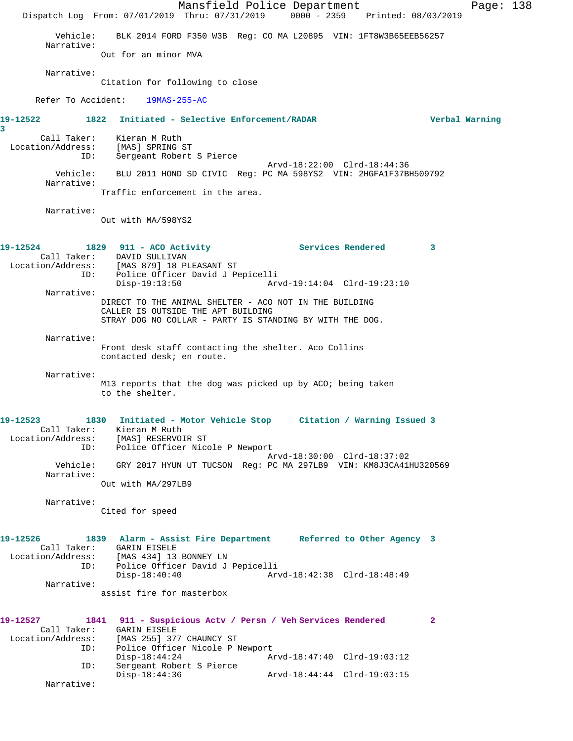Mansfield Police Department Page: 138 Dispatch Log From: 07/01/2019 Thru: 07/31/2019 0000 - 2359 Printed: 08/03/2019 Vehicle: BLK 2014 FORD F350 W3B Reg: CO MA L20895 VIN: 1FT8W3B65EEB56257 Narrative: Out for an minor MVA Narrative: Citation for following to close Refer To Accident: 19MAS-255-AC **19-12522 1822 Initiated - Selective Enforcement/RADAR Verbal Warning 3**  Call Taker: Kieran M Ruth Location/Address: [MAS] SPRING ST ID: Sergeant Robert S Pierce Arvd-18:22:00 Clrd-18:44:36 Vehicle: BLU 2011 HOND SD CIVIC Reg: PC MA 598YS2 VIN: 2HGFA1F37BH509792 Narrative: Traffic enforcement in the area. Narrative: Out with MA/598YS2 **19-12524 1829 911 - ACO Activity Services Rendered 3**  Call Taker: DAVID SULLIVAN Location/Address: [MAS 879] 18 PLEASANT ST ID: Police Officer David J Pepicelli<br>Disp-19:13:50 Arv Disp-19:13:50 Arvd-19:14:04 Clrd-19:23:10 Narrative: DIRECT TO THE ANIMAL SHELTER - ACO NOT IN THE BUILDING CALLER IS OUTSIDE THE APT BUILDING STRAY DOG NO COLLAR - PARTY IS STANDING BY WITH THE DOG. Narrative: Front desk staff contacting the shelter. Aco Collins contacted desk; en route. Narrative: M13 reports that the dog was picked up by ACO; being taken to the shelter. **19-12523 1830 Initiated - Motor Vehicle Stop Citation / Warning Issued 3**  Call Taker: Kieran M Ruth Location/Address: [MAS] RESERVOIR ST ID: Police Officer Nicole P Newport Arvd-18:30:00 Clrd-18:37:02 Vehicle: GRY 2017 HYUN UT TUCSON Reg: PC MA 297LB9 VIN: KM8J3CA41HU320569 Narrative: Out with MA/297LB9 Narrative: Cited for speed **19-12526 1839 Alarm - Assist Fire Department Referred to Other Agency 3**  Call Taker: GARIN EISELE Location/Address: [MAS 434] 13 BONNEY LN ID: Police Officer David J Pepicelli Disp-18:40:40 Arvd-18:42:38 Clrd-18:48:49 Narrative: assist fire for masterbox **19-12527 1841 911 - Suspicious Actv / Persn / Veh Services Rendered 2**  Call Taker: GARIN EISELE Location/Address: [MAS 255] 377 CHAUNCY ST<br>ID: Police Officer Nicole P 1 Police Officer Nicole P Newport Disp-18:44:24 Arvd-18:47:40 Clrd-19:03:12 ID: Sergeant Robert S Pierce Disp-18:44:36 Arvd-18:44:44 Clrd-19:03:15 Narrative: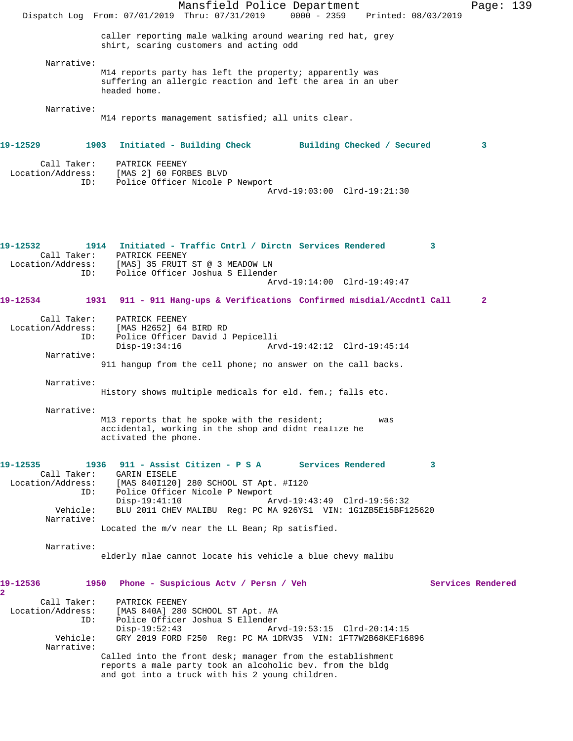|                                                                                                     | Mansfield Police Department<br>Dispatch Log From: 07/01/2019 Thru: 07/31/2019<br>$0000 - 2359$<br>Printed: 08/03/2019                                                                                                                                                                                                         | Page: 139         |
|-----------------------------------------------------------------------------------------------------|-------------------------------------------------------------------------------------------------------------------------------------------------------------------------------------------------------------------------------------------------------------------------------------------------------------------------------|-------------------|
|                                                                                                     | caller reporting male walking around wearing red hat, grey<br>shirt, scaring customers and acting odd                                                                                                                                                                                                                         |                   |
| Narrative:                                                                                          | M14 reports party has left the property; apparently was<br>suffering an allergic reaction and left the area in an uber<br>headed home.                                                                                                                                                                                        |                   |
| Narrative:                                                                                          | M14 reports management satisfied; all units clear.                                                                                                                                                                                                                                                                            |                   |
| 19-12529                                                                                            | 1903<br>Initiated - Building Check Building Checked / Secured                                                                                                                                                                                                                                                                 | 3                 |
| Call Taker:<br>Location/Address:<br>ID:                                                             | PATRICK FEENEY<br>[MAS 2] 60 FORBES BLVD<br>Police Officer Nicole P Newport<br>Arvd-19:03:00 Clrd-19:21:30                                                                                                                                                                                                                    |                   |
| 19-12532<br>Location/Address:<br>ID:                                                                | 1914 Initiated - Traffic Cntrl / Dirctn Services Rendered<br>3<br>Call Taker: PATRICK FEENEY<br>[MAS] 35 FRUIT ST @ 3 MEADOW LN<br>Police Officer Joshua S Ellender<br>Arvd-19:14:00 Clrd-19:49:47                                                                                                                            |                   |
| 19-12534                                                                                            | 1931 911 - 911 Hang-ups & Verifications Confirmed misdial/Accdntl Call                                                                                                                                                                                                                                                        | $\mathbf{2}$      |
| Call Taker:<br>Location/Address:<br>ID:<br>Narrative:                                               | PATRICK FEENEY<br>[MAS H2652] 64 BIRD RD<br>Police Officer David J Pepicelli<br>$Disp-19:34:16$<br>Arvd-19:42:12 Clrd-19:45:14                                                                                                                                                                                                |                   |
|                                                                                                     | 911 hangup from the cell phone; no answer on the call backs.                                                                                                                                                                                                                                                                  |                   |
| Narrative:                                                                                          | History shows multiple medicals for eld. fem.; falls etc.                                                                                                                                                                                                                                                                     |                   |
| Narrative:                                                                                          | M13 reports that he spoke with the resident;<br>was<br>accidental, working in the shop and didnt realize he<br>activated the phone.                                                                                                                                                                                           |                   |
| 19-12535<br>1936<br>Call Taker:<br>Location/Address:<br>ID:<br>Vehicle:<br>Narrative:<br>Narrative: | 911 - Assist Citizen - P S A Services Rendered<br>3<br><b>GARIN EISELE</b><br>[MAS 840I120] 280 SCHOOL ST Apt. #I120<br>Police Officer Nicole P Newport<br>$Disp-19:41:10$<br>Arvd-19:43:49 Clrd-19:56:32<br>BLU 2011 CHEV MALIBU Req: PC MA 926YS1 VIN: 1G1ZB5E15BF125620<br>Located the m/v near the LL Bean; Rp satisfied. |                   |
|                                                                                                     | elderly mlae cannot locate his vehicle a blue chevy malibu                                                                                                                                                                                                                                                                    |                   |
| 19-12536<br>1950<br>2.<br>Call Taker:<br>Location/Address:<br>ID:                                   | Phone - Suspicious Acty / Persn / Veh<br>PATRICK FEENEY<br>[MAS 840A] 280 SCHOOL ST Apt. #A<br>Police Officer Joshua S Ellender<br>$Disp-19:52:43$<br>Arvd-19:53:15 Clrd-20:14:15                                                                                                                                             | Services Rendered |
| Vehicle:<br>Narrative:                                                                              | GRY 2019 FORD F250 Req: PC MA 1DRV35 VIN: 1FT7W2B68KEF16896<br>Called into the front desk; manager from the establishment<br>reports a male party took an alcoholic bev. from the bldg<br>and got into a truck with his 2 young children.                                                                                     |                   |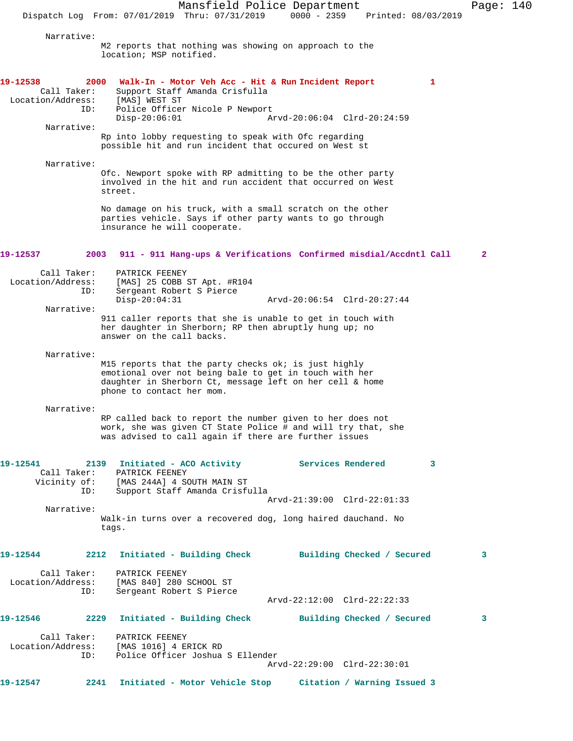Mansfield Police Department Page: 140 Dispatch Log From: 07/01/2019 Thru: 07/31/2019 0000 - 2359 Printed: 08/03/2019 Narrative: M2 reports that nothing was showing on approach to the location; MSP notified. **19-12538 2000 Walk-In - Motor Veh Acc - Hit & Run Incident Report 1**  Call Taker: Support Staff Amanda Crisfulla Location/Address: [MAS] WEST ST ID: Police Officer Nicole P Newport<br>Disp-20:06:01 A Disp-20:06:01 Arvd-20:06:04 Clrd-20:24:59 Narrative: Rp into lobby requesting to speak with Ofc regarding possible hit and run incident that occured on West st Narrative: Ofc. Newport spoke with RP admitting to be the other party involved in the hit and run accident that occurred on West street. No damage on his truck, with a small scratch on the other parties vehicle. Says if other party wants to go through insurance he will cooperate. **19-12537 2003 911 - 911 Hang-ups & Verifications Confirmed misdial/Accdntl Call 2** Call Taker: PATRICK FEENEY Location/Address: [MAS] 25 COBB ST Apt. #R104<br>ID: Sergeant Robert S Pierce Sergeant Robert S Pierce Disp-20:04:31 Arvd-20:06:54 Clrd-20:27:44 Narrative: 911 caller reports that she is unable to get in touch with her daughter in Sherborn; RP then abruptly hung up; no answer on the call backs. Narrative: M15 reports that the party checks ok; is just highly emotional over not being bale to get in touch with her daughter in Sherborn Ct, message left on her cell & home phone to contact her mom. Narrative: RP called back to report the number given to her does not work, she was given CT State Police # and will try that, she was advised to call again if there are further issues **19-12541 2139 Initiated - ACO Activity Services Rendered 3**  Call Taker: PATRICK FEENEY<br>Vicinity of: [MAS 244A] 4 SO [MAS 244A] 4 SOUTH MAIN ST ID: Support Staff Amanda Crisfulla Arvd-21:39:00 Clrd-22:01:33 Narrative: Walk-in turns over a recovered dog, long haired dauchand. No tags. **19-12544 2212 Initiated - Building Check Building Checked / Secured 3** Call Taker: PATRICK FEENEY<br>: Location/Address: [MAS 840] 280 ess: [MAS 840] 280 SCHOOL ST<br>ID: Sergeant Robert S Pierce Sergeant Robert S Pierce Arvd-22:12:00 Clrd-22:22:33 **19-12546 2229 Initiated - Building Check Building Checked / Secured 3** Call Taker: PATRICK FEENEY Location/Address: [MAS 1016] 4 ERICK RD ID: Police Officer Joshua S Ellender Arvd-22:29:00 Clrd-22:30:01 **19-12547 2241 Initiated - Motor Vehicle Stop Citation / Warning Issued 3**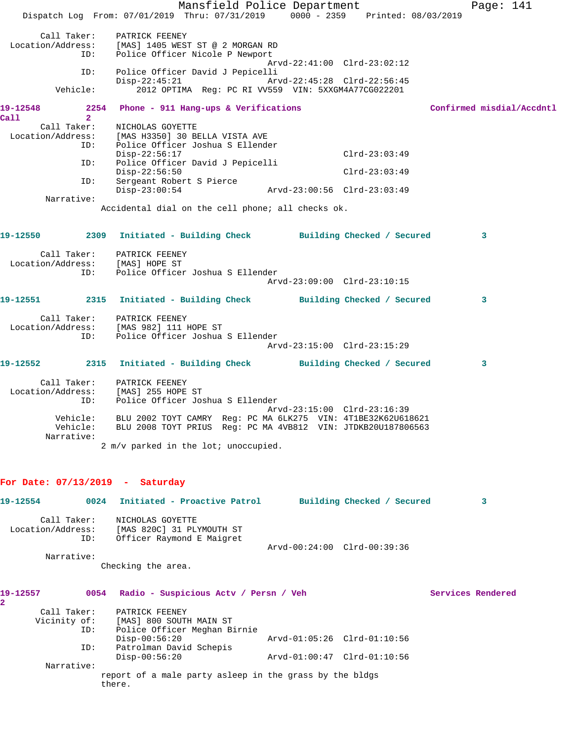|                                                               | Mansfield Police Department<br>Dispatch Log From: 07/01/2019 Thru: 07/31/2019 0000 - 2359 Printed: 08/03/2019                                                                |                                                            |                 | Page: 141                 |
|---------------------------------------------------------------|------------------------------------------------------------------------------------------------------------------------------------------------------------------------------|------------------------------------------------------------|-----------------|---------------------------|
|                                                               |                                                                                                                                                                              |                                                            |                 |                           |
| Call Taker:<br>Location/Address:<br>ID:                       | PATRICK FEENEY<br>[MAS] 1405 WEST ST @ 2 MORGAN RD<br>Police Officer Nicole P Newport                                                                                        |                                                            |                 |                           |
| ID:                                                           | Police Officer David J Pepicelli<br>$Disp-22:45:21$                                                                                                                          | Arvd-22:41:00 Clrd-23:02:12<br>Arvd-22:45:28 Clrd-22:56:45 |                 |                           |
| Vehicle:                                                      | 2012 OPTIMA Reg: PC RI VV559 VIN: 5XXGM4A77CG022201                                                                                                                          |                                                            |                 |                           |
| 2254<br>19-12548<br>$\overline{2}$<br>Call                    | Phone - 911 Hang-ups & Verifications                                                                                                                                         |                                                            |                 | Confirmed misdial/Accdntl |
|                                                               | Call Taker: NICHOLAS GOYETTE<br>Location/Address: [MAS H3350] 30 BELLA VISTA AVE<br>ID: Police Officer Joshua S Ellende<br>Police Officer Joshua S Ellender<br>Disp-22:56:17 |                                                            | $Clrd-23:03:49$ |                           |
| ID:                                                           | Police Officer David J Pepicelli<br>$Disp-22:56:50$                                                                                                                          |                                                            | $Clrd-23:03:49$ |                           |
| ID:                                                           | Sergeant Robert S Pierce<br>$Disp-23:00:54$                                                                                                                                  | Arvd-23:00:56 Clrd-23:03:49                                |                 |                           |
| Narrative:                                                    |                                                                                                                                                                              |                                                            |                 |                           |
|                                                               | Accidental dial on the cell phone; all checks ok.                                                                                                                            |                                                            |                 |                           |
|                                                               | 19-12550 2309 Initiated - Building Check Building Checked / Secured                                                                                                          |                                                            |                 | $\mathbf{3}$              |
| Call Taker: PATRICK FEENEY<br>Location/Address: [MAS] HOPE ST |                                                                                                                                                                              |                                                            |                 |                           |
| ID:                                                           | Police Officer Joshua S Ellender                                                                                                                                             | Arvd-23:09:00 Clrd-23:10:15                                |                 |                           |
|                                                               | 19-12551 2315 Initiated - Building Check Building Checked / Secured                                                                                                          |                                                            |                 | 3                         |
| ID:                                                           | Call Taker: PATRICK FEENEY<br>Location/Address: [MAS 982] 111 HOPE ST<br>Police Officer Joshua S Ellender                                                                    |                                                            |                 |                           |
|                                                               |                                                                                                                                                                              | Arvd-23:15:00 Clrd-23:15:29                                |                 |                           |
| 19-12552                                                      | 2315 Initiated - Building Check Building Checked / Secured                                                                                                                   |                                                            |                 | 3                         |
| Location/Address:<br>ID:                                      | Call Taker: PATRICK FEENEY<br>[MAS] 255 HOPE ST<br>Police Officer Joshua S Ellender                                                                                          |                                                            |                 |                           |
| Vehicle:<br>Vehicle:<br>Narrative:                            | BLU 2002 TOYT CAMRY Reg: PC MA 6LK275 VIN: 4T1BE32K62U618621<br>BLU 2008 TOYT PRIUS Reg: PC MA 4VB812 VIN: JTDKB20U187806563                                                 | Arvd-23:15:00 Clrd-23:16:39                                |                 |                           |
|                                                               | 2 m/v parked in the lot; unoccupied.                                                                                                                                         |                                                            |                 |                           |
| For Date: $07/13/2019$ - Saturday                             |                                                                                                                                                                              |                                                            |                 |                           |
| 19-12554<br>0024                                              | Initiated - Proactive Patrol Building Checked / Secured                                                                                                                      |                                                            |                 | 3                         |
| Call Taker:<br>Location/Address:<br>ID:                       | NICHOLAS GOYETTE<br>[MAS 820C] 31 PLYMOUTH ST<br>Officer Raymond E Maigret                                                                                                   |                                                            |                 |                           |
| Narrative:                                                    |                                                                                                                                                                              | Arvd-00:24:00 Clrd-00:39:36                                |                 |                           |
|                                                               | Checking the area.                                                                                                                                                           |                                                            |                 |                           |
| 19-12557<br>0054                                              | Radio - Suspicious Actv / Persn / Veh                                                                                                                                        |                                                            |                 | Services Rendered         |

**2** 

Call Taker: PATRICK FEENEY<br>Vicinity of: [MAS] 800 SOUTH of: [MAS] 800 SOUTH MAIN ST<br>ID: Police Officer Meghan Bi Police Officer Meghan Birnie<br>Disp-00:56:20 Disp-00:56:20 Arvd-01:05:26 Clrd-01:10:56 Patrolman David Schepis<br>Disp-00:56:20 Disp-00:56:20 Arvd-01:00:47 Clrd-01:10:56 Narrative: report of a male party asleep in the grass by the bldgs there.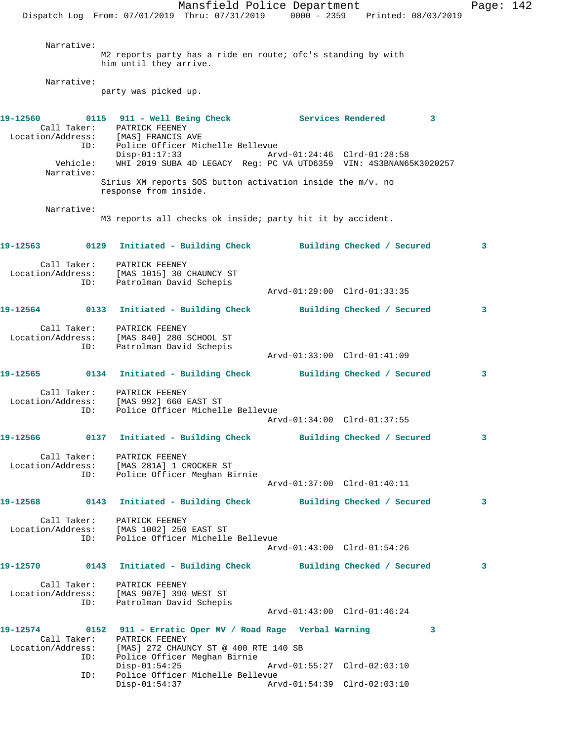Mansfield Police Department Form Page: 142 Dispatch Log From: 07/01/2019 Thru: 07/31/2019 0000 - 2359 Printed: 08/03/2019 Narrative: M2 reports party has a ride en route; ofc's standing by with him until they arrive. Narrative: party was picked up. **19-12560 0115 911 - Well Being Check Services Rendered 3**  Call Taker: PATRICK FEENEY Location/Address: [MAS] FRANCIS AVE ID: Police Officer Michelle Bellevue Disp-01:17:33 Arvd-01:24:46 Clrd-01:28:58 Vehicle: WHI 2019 SUBA 4D LEGACY Reg: PC VA UTD6359 VIN: 4S3BNAN65K3020257 Narrative: Sirius XM reports SOS button activation inside the m/v. no response from inside. Narrative: M3 reports all checks ok inside; party hit it by accident. **19-12563 0129 Initiated - Building Check Building Checked / Secured 3** Call Taker: PATRICK FEENEY Location/Address: [MAS 1015] 30 CHAUNCY ST ID: Patrolman David Schepis Arvd-01:29:00 Clrd-01:33:35 **19-12564 0133 Initiated - Building Check Building Checked / Secured 3** Call Taker: PATRICK FEENEY Location/Address: [MAS 840] 280 SCHOOL ST ID: Patrolman David Schepis Arvd-01:33:00 Clrd-01:41:09 **19-12565 0134 Initiated - Building Check Building Checked / Secured 3** Call Taker: PATRICK FEENEY Location/Address: [MAS 992] 660 EAST ST ID: Police Officer Michelle Bellevue Arvd-01:34:00 Clrd-01:37:55 **19-12566 0137 Initiated - Building Check Building Checked / Secured 3** Call Taker: PATRICK FEENEY Location/Address: [MAS 281A] 1 CROCKER ST ID: Police Officer Meghan Birnie Arvd-01:37:00 Clrd-01:40:11 **19-12568 0143 Initiated - Building Check Building Checked / Secured 3** Call Taker: PATRICK FEENEY Location/Address: [MAS 1002] 250 EAST ST ID: Police Officer Michelle Bellevue Arvd-01:43:00 Clrd-01:54:26 **19-12570 0143 Initiated - Building Check Building Checked / Secured 3** Call Taker: PATRICK FEENEY Location/Address: [MAS 907E] 390 WEST ST ID: Patrolman David Schepis Arvd-01:43:00 Clrd-01:46:24 **19-12574 0152 911 - Erratic Oper MV / Road Rage Verbal Warning 3**  Call Taker: PATRICK FEENEY Location/Address: [MAS] 272 CHAUNCY ST @ 400 RTE 140 SB ID: Police Officer Meghan Birnie Disp-01:54:25 Arvd-01:55:27 Clrd-02:03:10 ID: Police Officer Michelle Bellevue Disp-01:54:37 Arvd-01:54:39 Clrd-02:03:10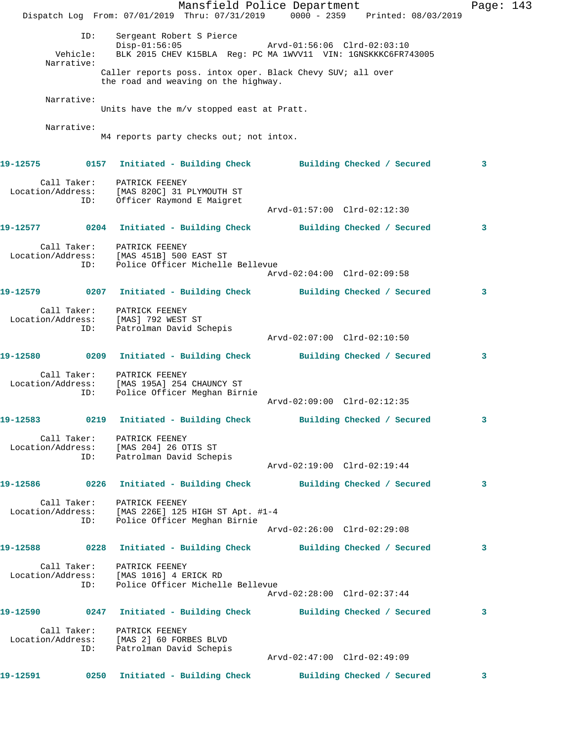Mansfield Police Department Fage: 143 Dispatch Log From: 07/01/2019 Thru: 07/31/2019 0000 - 2359 Printed: 08/03/2019 ID: Sergeant Robert S Pierce<br>
Displaysion Revolution Clrd-02:03:10 Disp-01:56:05 Arvd-01:56:06 Clrd-02:03:10 Vehicle: BLK 2015 CHEV K15BLA Reg: PC MA 1WVV11 VIN: 1GNSKKKC6FR743005 Narrative: Caller reports poss. intox oper. Black Chevy SUV; all over the road and weaving on the highway. Narrative: Units have the m/v stopped east at Pratt. Narrative: M4 reports party checks out; not intox. **19-12575 0157 Initiated - Building Check Building Checked / Secured 3** Call Taker: PATRICK FEENEY Location/Address: [MAS 820C] 31 PLYMOUTH ST ID: Officer Raymond E Maigret Arvd-01:57:00 Clrd-02:12:30 **19-12577 0204 Initiated - Building Check Building Checked / Secured 3** Call Taker: PATRICK FEENEY Location/Address: [MAS 451B] 500 EAST ST ID: Police Officer Michelle Bellevue Arvd-02:04:00 Clrd-02:09:58 **19-12579 0207 Initiated - Building Check Building Checked / Secured 3** Call Taker: PATRICK FEENEY Location/Address: [MAS] 792 WEST ST ID: Patrolman David Schepis Arvd-02:07:00 Clrd-02:10:50 **19-12580 0209 Initiated - Building Check Building Checked / Secured 3** Call Taker: PATRICK FEENEY Location/Address: [MAS 195A] 254 CHAUNCY ST ID: Police Officer Meghan Birnie Arvd-02:09:00 Clrd-02:12:35 **19-12583 0219 Initiated - Building Check Building Checked / Secured 3** Call Taker: PATRICK FEENEY Location/Address: [MAS 204] 26 OTIS ST ID: Patrolman David Schepis Arvd-02:19:00 Clrd-02:19:44 **19-12586 0226 Initiated - Building Check Building Checked / Secured 3** Call Taker: PATRICK FEENEY Location/Address: [MAS 226E] 125 HIGH ST Apt. #1-4 ID: Police Officer Meghan Birnie Arvd-02:26:00 Clrd-02:29:08 **19-12588 0228 Initiated - Building Check Building Checked / Secured 3** Call Taker: PATRICK FEENEY Location/Address: [MAS 1016] 4 ERICK RD ID: Police Officer Michelle Bellevue Arvd-02:28:00 Clrd-02:37:44 **19-12590 0247 Initiated - Building Check Building Checked / Secured 3** Call Taker: PATRICK FEENEY Location/Address: [MAS 2] 60 FORBES BLVD ID: Patrolman David Schepis Arvd-02:47:00 Clrd-02:49:09 **19-12591 0250 Initiated - Building Check Building Checked / Secured 3**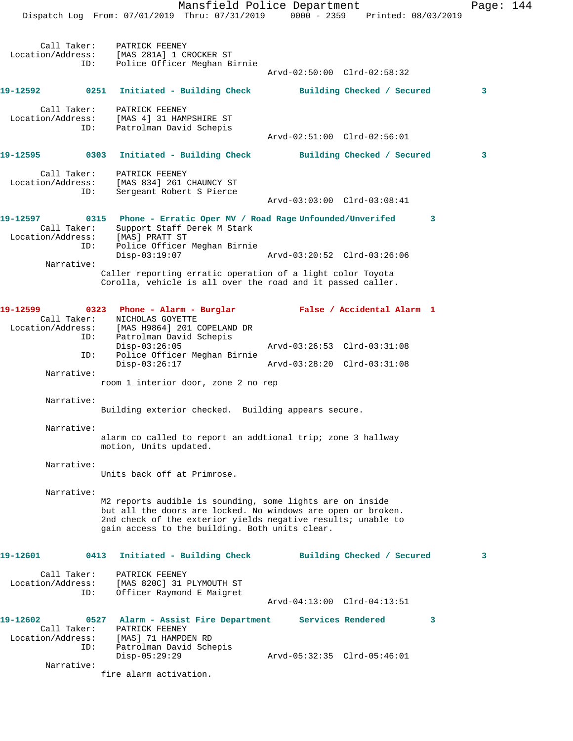Dispatch Log From: 07/01/2019 Thru: 07/31/2019 0000 - 2359 Printed: 08/03/2019 Call Taker: PATRICK FEENEY Location/Address: [MAS 281A] 1 CROCKER ST ID: Police Officer Meghan Birnie Arvd-02:50:00 Clrd-02:58:32 **19-12592 0251 Initiated - Building Check Building Checked / Secured 3** Call Taker: PATRICK FEENEY Location/Address: [MAS 4] 31 HAMPSHIRE ST ID: Patrolman David Schepis Arvd-02:51:00 Clrd-02:56:01 **19-12595 0303 Initiated - Building Check Building Checked / Secured 3** Call Taker: PATRICK FEENEY Location/Address: [MAS 834] 261 CHAUNCY ST ID: Sergeant Robert S Pierce Arvd-03:03:00 Clrd-03:08:41 **19-12597 0315 Phone - Erratic Oper MV / Road Rage Unfounded/Unverifed 3**  Call Taker: Support Staff Derek M Stark Location/Address: [MAS] PRATT ST ID: Police Officer Meghan Birnie Disp-03:19:07 Arvd-03:20:52 Clrd-03:26:06 Narrative: Caller reporting erratic operation of a light color Toyota Corolla, vehicle is all over the road and it passed caller. **19-12599 0323 Phone - Alarm - Burglar False / Accidental Alarm 1**  Call Taker: NICHOLAS GOYETTE Location/Address: [MAS H9864] 201 COPELAND DR ID: Patrolman David Schepis Disp-03:26:05 Arvd-03:26:53 Clrd-03:31:08<br>Disp-03:26:17 Arvd-03:28:20 Clrd-03:31:08<br>Disp-03:26:17 Police Officer Meghan Birnie Disp-03:26:17 Arvd-03:28:20 Clrd-03:31:08 Narrative: room 1 interior door, zone 2 no rep Narrative: Building exterior checked. Building appears secure. Narrative: alarm co called to report an addtional trip; zone 3 hallway motion, Units updated. Narrative: Units back off at Primrose. Narrative: M2 reports audible is sounding, some lights are on inside but all the doors are locked. No windows are open or broken. 2nd check of the exterior yields negative results; unable to gain access to the building. Both units clear. **19-12601 0413 Initiated - Building Check Building Checked / Secured 3** Call Taker: PATRICK FEENEY Location/Address: [MAS 820C] 31 PLYMOUTH ST ID: Officer Raymond E Maigret Arvd-04:13:00 Clrd-04:13:51 **19-12602 0527 Alarm - Assist Fire Department Services Rendered 3**  Call Taker: PATRICK FEENEY Location/Address: [MAS] 71 HAMPDEN RD ID: Patrolman David Schepis Disp-05:29:29 Arvd-05:32:35 Clrd-05:46:01 Narrative: fire alarm activation.

Mansfield Police Department Page: 144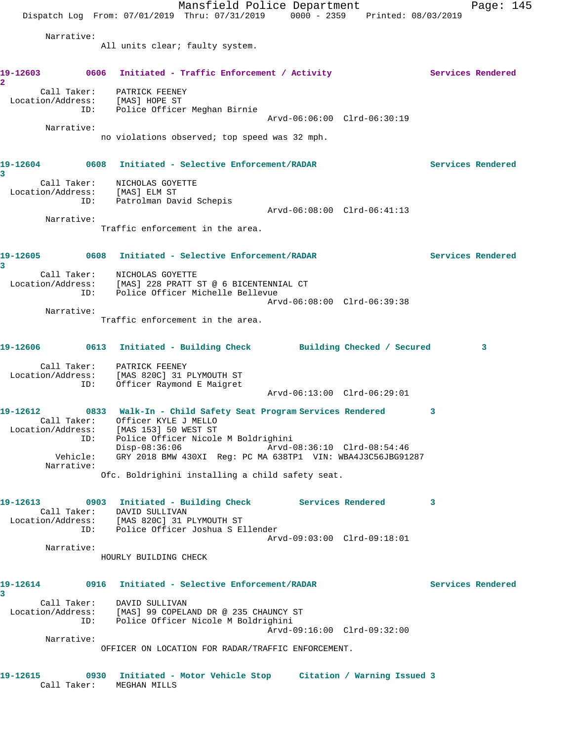|                                                                                                                  |                                                                                      | Mansfield Police Department<br>Dispatch Log From: 07/01/2019 Thru: 07/31/2019 0000 - 2359 Printed: 08/03/2019                                        |                             |                   | Page: $145$       |
|------------------------------------------------------------------------------------------------------------------|--------------------------------------------------------------------------------------|------------------------------------------------------------------------------------------------------------------------------------------------------|-----------------------------|-------------------|-------------------|
| Narrative:                                                                                                       |                                                                                      |                                                                                                                                                      |                             |                   |                   |
|                                                                                                                  | All units clear; faulty system.                                                      |                                                                                                                                                      |                             |                   |                   |
| 19-12603<br>2                                                                                                    |                                                                                      | 0606 Initiated - Traffic Enforcement / Activity                                                                                                      |                             | Services Rendered |                   |
| Location/Address:<br>ID:                                                                                         | Call Taker: PATRICK FEENEY<br>[MAS] HOPE ST<br>Police Officer Meghan Birnie          |                                                                                                                                                      |                             |                   |                   |
| Narrative:                                                                                                       |                                                                                      |                                                                                                                                                      | Arvd-06:06:00 Clrd-06:30:19 |                   |                   |
|                                                                                                                  |                                                                                      | no violations observed; top speed was 32 mph.                                                                                                        |                             |                   |                   |
| 19-12604<br>3                                                                                                    |                                                                                      | 0608 Initiated - Selective Enforcement/RADAR                                                                                                         |                             |                   | Services Rendered |
| Location/Address: [MAS] ELM ST<br>ID: Patrolman David Schepis                                                    | Call Taker: NICHOLAS GOYETTE                                                         |                                                                                                                                                      |                             |                   |                   |
| Narrative:                                                                                                       |                                                                                      |                                                                                                                                                      | Arvd-06:08:00 Clrd-06:41:13 |                   |                   |
|                                                                                                                  |                                                                                      | Traffic enforcement in the area.                                                                                                                     |                             |                   |                   |
| 19-12605 0608 Initiated - Selective Enforcement/RADAR<br>3                                                       |                                                                                      |                                                                                                                                                      |                             |                   | Services Rendered |
| Location/Address: [MAS] 228 PRATT ST @ 6 BICENTENNIAL CT<br>ID:                                                  | Call Taker: NICHOLAS GOYETTE                                                         | Police Officer Michelle Bellevue                                                                                                                     |                             |                   |                   |
| Narrative:                                                                                                       |                                                                                      | Traffic enforcement in the area.                                                                                                                     | Arvd-06:08:00 Clrd-06:39:38 |                   |                   |
| 19-12606 0613 Initiated - Building Check Building Checked / Secured                                              |                                                                                      |                                                                                                                                                      |                             |                   | 3                 |
| Location/Address:<br>ID:                                                                                         | Call Taker: PATRICK FEENEY<br>[MAS 820C] 31 PLYMOUTH ST<br>Officer Raymond E Maigret |                                                                                                                                                      | Arvd-06:13:00 Clrd-06:29:01 |                   |                   |
|                                                                                                                  |                                                                                      |                                                                                                                                                      |                             |                   |                   |
| 19-12612<br>Location/Address: [MAS 153] 50 WEST ST<br>ID:                                                        | Call Taker: Officer KYLE J MELLO                                                     | 0833 Walk-In - Child Safety Seat Program Services Rendered<br>Police Officer Nicole M Boldrighini<br>Disp-08:36:06    Arvd-08:36:10    Clrd-08:54:46 |                             | 3                 |                   |
| Vehicle:<br>Narrative:                                                                                           |                                                                                      | GRY 2018 BMW 430XI Reg: PC MA 638TP1 VIN: WBA4J3C56JBG91287                                                                                          |                             |                   |                   |
|                                                                                                                  |                                                                                      | Ofc. Boldrighini installing a child safety seat.                                                                                                     |                             |                   |                   |
| 19-12613 0903 Initiated - Building Check Services Rendered<br>Location/Address: [MAS 820C] 31 PLYMOUTH ST<br>ID: | Call Taker: DAVID SULLIVAN                                                           | Police Officer Joshua S Ellender                                                                                                                     |                             | 3                 |                   |
| Narrative:                                                                                                       |                                                                                      |                                                                                                                                                      | Arvd-09:03:00 Clrd-09:18:01 |                   |                   |
|                                                                                                                  | HOURLY BUILDING CHECK                                                                |                                                                                                                                                      |                             |                   |                   |
| 19-12614<br>3                                                                                                    |                                                                                      | 0916 Initiated - Selective Enforcement/RADAR                                                                                                         |                             |                   | Services Rendered |
| Location/Address: [MAS] 99 COPELAND DR @ 235 CHAUNCY ST<br>ID:                                                   | Call Taker: DAVID SULLIVAN                                                           | Police Officer Nicole M Boldrighini                                                                                                                  | Arvd-09:16:00 Clrd-09:32:00 |                   |                   |
| Narrative:                                                                                                       |                                                                                      |                                                                                                                                                      |                             |                   |                   |
|                                                                                                                  |                                                                                      | OFFICER ON LOCATION FOR RADAR/TRAFFIC ENFORCEMENT.                                                                                                   |                             |                   |                   |
| 19-12615                                                                                                         | Call Taker: MEGHAN MILLS                                                             | 0930 Initiated - Motor Vehicle Stop     Citation / Warning Issued 3                                                                                  |                             |                   |                   |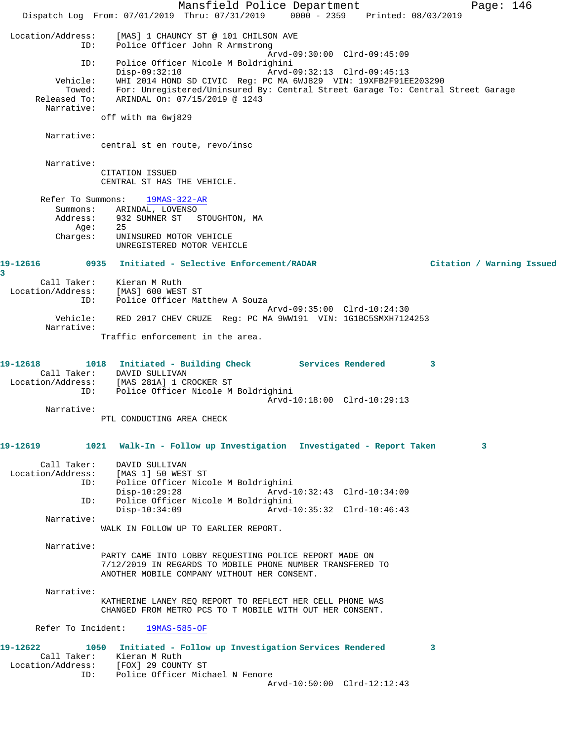Mansfield Police Department Fage: 146 Dispatch Log From: 07/01/2019 Thru: 07/31/2019 0000 - 2359 Printed: 08/03/2019 Location/Address: [MAS] 1 CHAUNCY ST @ 101 CHILSON AVE ID: Police Officer John R Armstrong Arvd-09:30:00 Clrd-09:45:09 ID: Police Officer Nicole M Boldrighini Disp-09:32:10 Arvd-09:32:13 Clrd-09:45:13 Vehicle: WHI 2014 HOND SD CIVIC Reg: PC MA 6WJ829 VIN: 19XFB2F91EE203290 Towed: For: Unregistered/Uninsured By: Central Street Garage To: Central Street Garage Released To: ARINDAL On: 07/15/2019 @ 1243 ARINDAL On: 07/15/2019 @ 1243 Narrative: off with ma 6wj829 Narrative: central st en route, revo/insc Narrative: CITATION ISSUED CENTRAL ST HAS THE VEHICLE. Refer To Summons: 19MAS-322-AR Summons: ARINDAL, LOVENSO Address: 932 SUMNER ST STOUGHTON, MA Age: 25<br>Charges: UNI UNINSURED MOTOR VEHICLE UNREGISTERED MOTOR VEHICLE **19-12616 0935 Initiated - Selective Enforcement/RADAR Citation / Warning Issued 3**  Call Taker: Kieran M Ruth Location/Address: [MAS] 600 WEST ST ID: Police Officer Matthew A Souza Arvd-09:35:00 Clrd-10:24:30 Vehicle: RED 2017 CHEV CRUZE Reg: PC MA 9WW191 VIN: 1G1BC5SMXH7124253 Narrative: Traffic enforcement in the area. **19-12618 1018 Initiated - Building Check Services Rendered 3**  Call Taker: DAVID SULLIVAN Location/Address: [MAS 281A] 1 CROCKER ST ID: Police Officer Nicole M Boldrighini Arvd-10:18:00 Clrd-10:29:13 Narrative: PTL CONDUCTING AREA CHECK **19-12619 1021 Walk-In - Follow up Investigation Investigated - Report Taken 3** Call Taker: DAVID SULLIVAN<br>Location/Address: [MAS 1] 50 WEST ess: [MAS 1] 50 WEST ST<br>ID: Police Officer Nico Police Officer Nicole M Boldrighini<br>Disp-10:29:28 Arvd-1 Disp-10:29:28 Arvd-10:32:43 Clrd-10:34:09 ID: Police Officer Nicole M Boldrighini Disp-10:34:09 Arvd-10:35:32 Clrd-10:46:43 Narrative: WALK IN FOLLOW UP TO EARLIER REPORT. Narrative: PARTY CAME INTO LOBBY REQUESTING POLICE REPORT MADE ON 7/12/2019 IN REGARDS TO MOBILE PHONE NUMBER TRANSFERED TO ANOTHER MOBILE COMPANY WITHOUT HER CONSENT. Narrative: KATHERINE LANEY REQ REPORT TO REFLECT HER CELL PHONE WAS CHANGED FROM METRO PCS TO T MOBILE WITH OUT HER CONSENT. Refer To Incident: 19MAS-585-OF **19-12622 1050 Initiated - Follow up Investigation Services Rendered 3**  Call Taker: Kieran M Ruth Location/Address: [FOX] 29 COUNTY ST ID: Police Officer Michael N Fenore Arvd-10:50:00 Clrd-12:12:43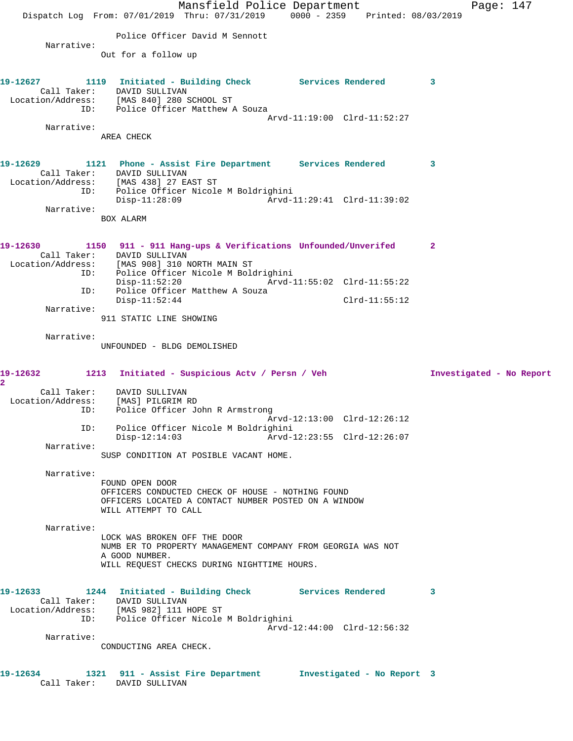Mansfield Police Department Page: 147 Dispatch Log From: 07/01/2019 Thru: 07/31/2019 0000 - 2359 Printed: 08/03/2019 Police Officer David M Sennott Narrative: Out for a follow up **19-12627 1119 Initiated - Building Check Services Rendered 3**  Call Taker: DAVID SULLIVAN Location/Address: [MAS 840] 280 SCHOOL ST ID: Police Officer Matthew A Souza Arvd-11:19:00 Clrd-11:52:27 Narrative: AREA CHECK **19-12629 1121 Phone - Assist Fire Department Services Rendered 3**  Call Taker: DAVID SULLIVAN Location/Address: [MAS 438] 27 EAST ST ID: Police Officer Nicole M Boldrighini Disp-11:28:09 Arvd-11:29:41 Clrd-11:39:02 Narrative: BOX ALARM **19-12630 1150 911 - 911 Hang-ups & Verifications Unfounded/Unverifed 2**  Call Taker: DAVID SULLIVAN Location/Address: [MAS 908] 310 NORTH MAIN ST ID: Police Officer Nicole M Boldrighini Disp-11:52:20 Arvd-11:55:02 Clrd-11:55:22 ID: Police Officer Matthew A Souza Disp-11:52:44 Clrd-11:55:12 Narrative: 911 STATIC LINE SHOWING Narrative: UNFOUNDED - BLDG DEMOLISHED **19-12632 1213 Initiated - Suspicious Actv / Persn / Veh Investigated - No Report 2**  Call Taker: DAVID SULLIVAN Location/Address: [MAS] PILGRIM RD ID: Police Officer John R Armstrong Arvd-12:13:00 Clrd-12:26:12 ID: Police Officer Nicole M Boldrighini Disp-12:14:03 Arvd-12:23:55 Clrd-12:26:07 Narrative: SUSP CONDITION AT POSIBLE VACANT HOME. Narrative: FOUND OPEN DOOR OFFICERS CONDUCTED CHECK OF HOUSE - NOTHING FOUND OFFICERS LOCATED A CONTACT NUMBER POSTED ON A WINDOW WILL ATTEMPT TO CALL Narrative: LOCK WAS BROKEN OFF THE DOOR NUMB ER TO PROPERTY MANAGEMENT COMPANY FROM GEORGIA WAS NOT A GOOD NUMBER. WILL REQUEST CHECKS DURING NIGHTTIME HOURS. **19-12633 1244 Initiated - Building Check Services Rendered 3**  Call Taker: DAVID SULLIVAN Location/Address: [MAS 982] 111 HOPE ST ID: Police Officer Nicole M Boldrighini Arvd-12:44:00 Clrd-12:56:32 Narrative: CONDUCTING AREA CHECK. **19-12634 1321 911 - Assist Fire Department Investigated - No Report 3**  Call Taker: DAVID SULLIVAN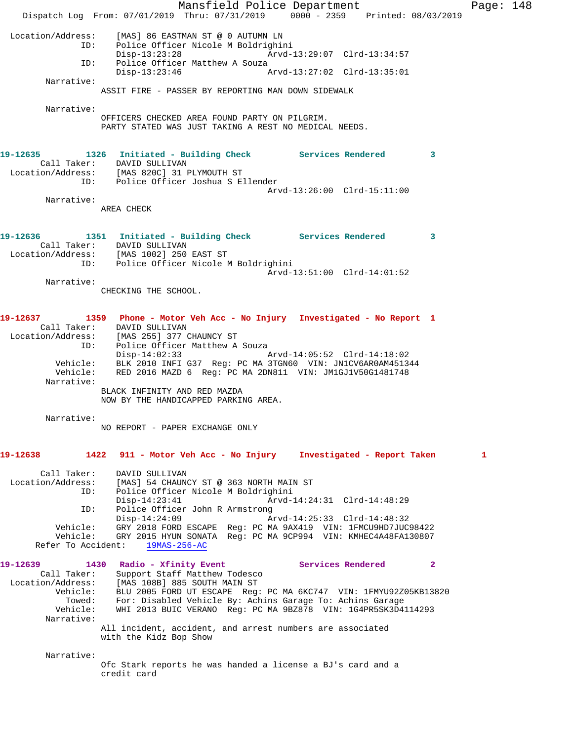Mansfield Police Department Page: 148 Dispatch Log From: 07/01/2019 Thru: 07/31/2019 0000 - 2359 Printed: 08/03/2019 Location/Address: [MAS] 86 EASTMAN ST @ 0 AUTUMN LN Police Officer Nicole M Boldrighini<br>Disp-13:23:28 Arvd- Disp-13:23:28 Arvd-13:29:07 Clrd-13:34:57 ID: Police Officer Matthew A Souza<br>Disp-13:23:46 A Disp-13:23:46 Arvd-13:27:02 Clrd-13:35:01 Narrative: ASSIT FIRE - PASSER BY REPORTING MAN DOWN SIDEWALK Narrative: OFFICERS CHECKED AREA FOUND PARTY ON PILGRIM. PARTY STATED WAS JUST TAKING A REST NO MEDICAL NEEDS. **19-12635 1326 Initiated - Building Check Services Rendered 3**  Call Taker: DAVID SULLIVAN Location/Address: [MAS 820C] 31 PLYMOUTH ST ID: Police Officer Joshua S Ellender Arvd-13:26:00 Clrd-15:11:00 Narrative: AREA CHECK **19-12636 1351 Initiated - Building Check Services Rendered 3**  Call Taker: DAVID SULLIVAN Location/Address: [MAS 1002] 250 EAST ST ID: Police Officer Nicole M Boldrighini Arvd-13:51:00 Clrd-14:01:52 Narrative: CHECKING THE SCHOOL. **19-12637 1359 Phone - Motor Veh Acc - No Injury Investigated - No Report 1**  Call Taker: DAVID SULLIVAN Location/Address: [MAS 255] 377 CHAUNCY ST ID: Police Officer Matthew A Souza Disp-14:02:33 Arvd-14:05:52 Clrd-14:18:02 Vehicle: BLK 2010 INFI G37 Reg: PC MA 3TGN60 VIN: JN1CV6AR0AM451344 Vehicle: RED 2016 MAZD 6 Reg: PC MA 2DN811 VIN: JM1GJ1V50G1481748 Narrative: BLACK INFINITY AND RED MAZDA NOW BY THE HANDICAPPED PARKING AREA. Narrative: NO REPORT - PAPER EXCHANGE ONLY **19-12638 1422 911 - Motor Veh Acc - No Injury Investigated - Report Taken 1** Call Taker: DAVID SULLIVAN Location/Address: [MAS] 54 CHAUNCY ST @ 363 NORTH MAIN ST ID: Police Officer Nicole M Boldrighini Disp-14:23:41 Arvd-14:24:31 Clrd-14:48:29 ID: Police Officer John R Armstrong<br>Disp-14:24:09 Ar Disp-14:24:09 Arvd-14:25:33 Clrd-14:48:32 Vehicle: GRY 2018 FORD ESCAPE Reg: PC MA 9AX419 VIN: 1FMCU9HD7JUC98422 Vehicle: GRY 2015 HYUN SONATA Reg: PC MA 9CP994 VIN: KMHEC4A48FA130807 Refer To Accident: 19MAS-256-AC 19-12639 1430 Radio - Xfinity Event **19-12639** Services Rendered 2 Call Taker: Support Staff Matthew Todesco Location/Address: [MAS 108B] 885 SOUTH MAIN ST Vehicle: BLU 2005 FORD UT ESCAPE Reg: PC MA 6KC747 VIN: 1FMYU92Z05KB13820 Towed: For: Disabled Vehicle By: Achins Garage To: Achins Garage Vehicle: WHI 2013 BUIC VERANO Reg: PC MA 9BZ878 VIN: 1G4PR5SK3D4114293 Narrative: All incident, accident, and arrest numbers are associated with the Kidz Bop Show Narrative: Ofc Stark reports he was handed a license a BJ's card and a credit card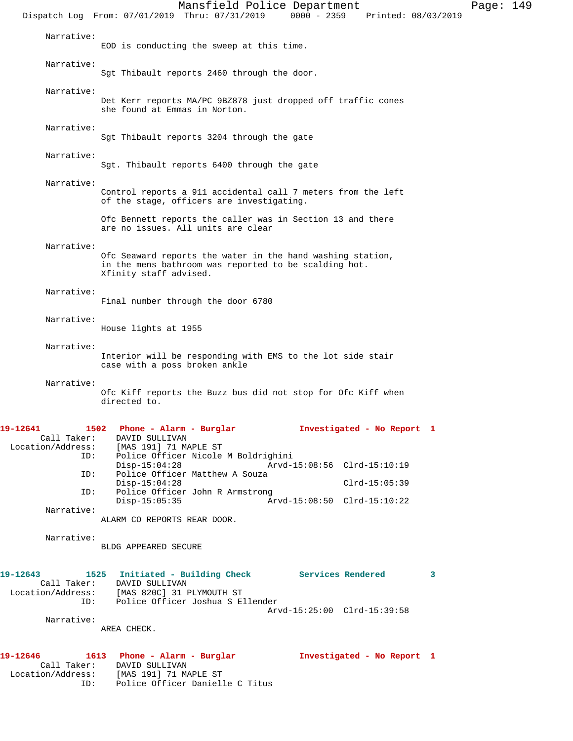Mansfield Police Department Page: 149 Dispatch Log From: 07/01/2019 Thru: 07/31/2019 0000 - 2359 Printed: 08/03/2019 Narrative: EOD is conducting the sweep at this time. Narrative: Sgt Thibault reports 2460 through the door. Narrative: Det Kerr reports MA/PC 9BZ878 just dropped off traffic cones she found at Emmas in Norton. Narrative: Sgt Thibault reports 3204 through the gate Narrative: Sgt. Thibault reports 6400 through the gate Narrative: Control reports a 911 accidental call 7 meters from the left of the stage, officers are investigating. Ofc Bennett reports the caller was in Section 13 and there are no issues. All units are clear Narrative: Ofc Seaward reports the water in the hand washing station, in the mens bathroom was reported to be scalding hot. Xfinity staff advised. Narrative: Final number through the door 6780 Narrative: House lights at 1955 Narrative: Interior will be responding with EMS to the lot side stair case with a poss broken ankle Narrative: Ofc Kiff reports the Buzz bus did not stop for Ofc Kiff when directed to. **19-12641 1502 Phone - Alarm - Burglar Investigated - No Report 1**  Call Taker: DAVID SULLIVAN Location/Address: [MAS 191] 71 MAPLE ST ID: Police Officer Nicole M Boldrighini Disp-15:04:28 Arvd-15:08:56 Clrd-15:10:19<br>ID: Police Officer Matthew A Souza Police Officer Matthew A Souza Disp-15:04:28 Clrd-15:05:39 ID: Police Officer John R Armstrong<br>Disp-15:05:35 Ar Disp-15:05:35 Arvd-15:08:50 Clrd-15:10:22 Narrative: ALARM CO REPORTS REAR DOOR. Narrative: BLDG APPEARED SECURE 19-12643 1525 Initiated - Building Check Services Rendered 3 Call Taker: DAVID SULLIVAN<br>Location/Address: [MAS 820C] 31 1<br>ID: Police Officer [MAS 820C] 31 PLYMOUTH ST Police Officer Joshua S Ellender Arvd-15:25:00 Clrd-15:39:58 Narrative: AREA CHECK. **19-12646 1613 Phone - Alarm - Burglar Investigated - No Report 1**  Call Taker: DAVID SULLIVAN Location/Address: [MAS 191] 71 MAPLE ST ID: Police Officer Danielle C Titus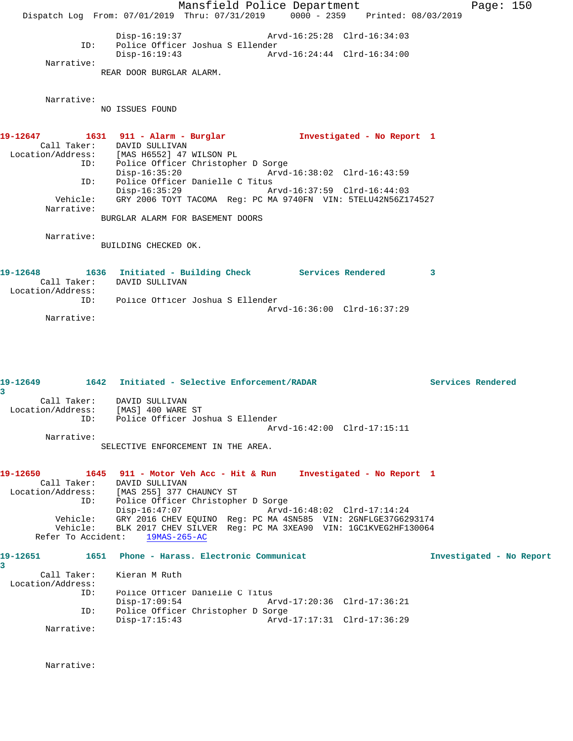Mansfield Police Department Fage: 150 Dispatch Log From: 07/01/2019 Thru: 07/31/2019 0000 - 2359 Printed: 08/03/2019 Disp-16:19:37 Arvd-16:25:28 Clrd-16:34:03 ID: Police Officer Joshua S Ellender Disp-16:19:43 Arvd-16:24:44 Clrd-16:34:00 Narrative: REAR DOOR BURGLAR ALARM. Narrative: NO ISSUES FOUND **19-12647 1631 911 - Alarm - Burglar Investigated - No Report 1**  Call Taker: DAVID SULLIVAN Location/Address: [MAS H6552] 47 WILSON PL<br>ID: Police Officer Christopher Police Officer Christopher D Sorge<br>Disp-16:35:20 Arvd- Disp-16:35:20 Arvd-16:38:02 Clrd-16:43:59 ID: Police Officer Danielle C Titus<br>Disp-16:35:29 Mrvd-16:37:59 Clrd-16:44:03  $Disp-16:35:29$  Vehicle: GRY 2006 TOYT TACOMA Reg: PC MA 9740FN VIN: 5TELU42N56Z174527 Narrative: BURGLAR ALARM FOR BASEMENT DOORS Narrative: BUILDING CHECKED OK. 19-12648 1636 Initiated - Building Check Services Rendered 3 Call Taker: DAVID SULLIVAN Location/Address: ID: Police Officer Joshua S Ellender Arvd-16:36:00 Clrd-16:37:29 Narrative: **19-12649 1642 Initiated - Selective Enforcement/RADAR Services Rendered 3**  Call Taker: DAVID SULLIVAN Location/Address: [MAS] 400 WARE ST ID: Police Officer Joshua S Ellender Arvd-16:42:00 Clrd-17:15:11 Narrative: SELECTIVE ENFORCEMENT IN THE AREA. **19-12650 1645 911 - Motor Veh Acc - Hit & Run Investigated - No Report 1**  Call Taker: DAVID SULLIVAN Location/Address: [MAS 255] 377 CHAUNCY ST ID: Police Officer Christopher D Sorge Disp-16:47:07 Arvd-16:48:02 Clrd-17:14:24 Vehicle: GRY 2016 CHEV EQUINO Reg: PC MA 4SN585 VIN: 2GNFLGE37G6293174 Vehicle: BLK 2017 CHEV SILVER Reg: PC MA 3XEA90 VIN: 1GC1KVEG2HF130064 Refer To Accident: 19MAS-265-AC

**19-12651 1651 Phone - Harass. Electronic Communicat Investigated - No Report 3**  Call Taker: Kieran M Ruth Location/Address: Police Officer Danielle C Titus Disp-17:09:54 Arvd-17:20:36 Clrd-17:36:21 ID: Police Officer Christopher D Sorge Disp-17:15:43 Arvd-17:17:31 Clrd-17:36:29 Narrative:

Narrative: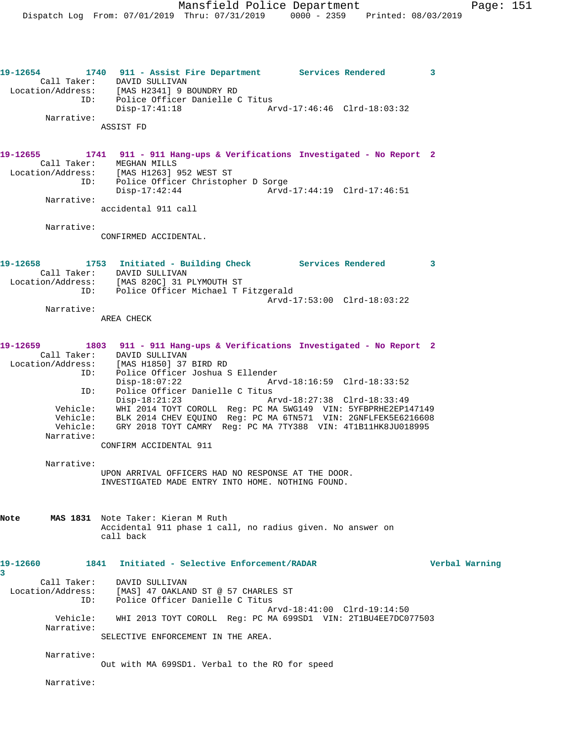**19-12654 1740 911 - Assist Fire Department Services Rendered 3**  Call Taker: DAVID SULLIVAN Location/Address: [MAS H2341] 9 BOUNDRY RD ID: Police Officer Danielle C Titus Disp-17:41:18 Arvd-17:46:46 Clrd-18:03:32 Narrative: ASSIST FD **19-12655 1741 911 - 911 Hang-ups & Verifications Investigated - No Report 2**  Call Taker: MEGHAN MILLS Location/Address: [MAS H1263] 952 WEST ST ID: Police Officer Christopher D Sorge Disp-17:42:44 Arvd-17:44:19 Clrd-17:46:51 Narrative: accidental 911 call Narrative: CONFIRMED ACCIDENTAL. **19-12658 1753 Initiated - Building Check Services Rendered 3**  Call Taker: DAVID SULLIVAN Location/Address: [MAS 820C] 31 PLYMOUTH ST ID: Police Officer Michael T Fitzgerald Arvd-17:53:00 Clrd-18:03:22 Narrative: AREA CHECK **19-12659 1803 911 - 911 Hang-ups & Verifications Investigated - No Report 2**  Call Taker: DAVID SULLIVAN Location/Address: [MAS H1850] 37 BIRD RD ID: Police Officer Joshua S Ellender Disp-18:07:22 Arvd-18:16:59 Clrd-18:33:52 ID: Police Officer Danielle C Titus<br>Disp-18:21:23 hrvd-18:27:38 Clrd-18:33:49 Disp-18:21:23 Arvd-18:27:38 Clrd-18:33:49 Vehicle: WHI 2014 TOYT COROLL Reg: PC MA 5WG149 VIN: 5YFBPRHE2EP147149 Vehicle: BLK 2014 CHEV EQUINO Reg: PC MA 6TN571 VIN: 2GNFLFEK5E6216608 Vehicle: GRY 2018 TOYT CAMRY Reg: PC MA 7TY388 VIN: 4T1B11HK8JU018995 Narrative: CONFIRM ACCIDENTAL 911 Narrative: UPON ARRIVAL OFFICERS HAD NO RESPONSE AT THE DOOR. INVESTIGATED MADE ENTRY INTO HOME. NOTHING FOUND. **Note MAS 1831** Note Taker: Kieran M Ruth Accidental 911 phase 1 call, no radius given. No answer on call back **19-12660 1841 Initiated - Selective Enforcement/RADAR Verbal Warning 3**  Call Taker: DAVID SULLIVAN Location/Address: [MAS] 47 OAKLAND ST @ 57 CHARLES ST ID: Police Officer Danielle C Titus Arvd-18:41:00 Clrd-19:14:50 Vehicle: WHI 2013 TOYT COROLL Reg: PC MA 699SD1 VIN: 2T1BU4EE7DC077503 Narrative: SELECTIVE ENFORCEMENT IN THE AREA. Narrative: Out with MA 699SD1. Verbal to the RO for speed

Narrative: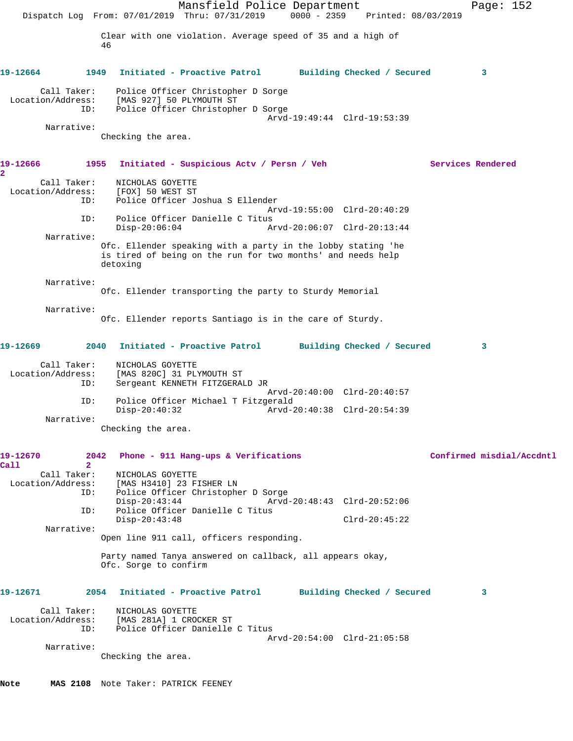|                                         | Mansfield Police Department<br>Dispatch Log From: 07/01/2019 Thru: 07/31/2019<br>$0000 - 2359$<br>Printed: 08/03/2019                   | Page: $152$               |
|-----------------------------------------|-----------------------------------------------------------------------------------------------------------------------------------------|---------------------------|
|                                         | Clear with one violation. Average speed of 35 and a high of<br>46                                                                       |                           |
| 19-12664                                | 1949<br>Initiated - Proactive Patrol<br>Building Checked / Secured                                                                      | 3                         |
| Call Taker:<br>Location/Address:<br>ID: | Police Officer Christopher D Sorge<br>[MAS 927] 50 PLYMOUTH ST<br>Police Officer Christopher D Sorge                                    |                           |
| Narrative:                              | Arvd-19:49:44 Clrd-19:53:39<br>Checking the area.                                                                                       |                           |
| 19-12666<br>2                           | 1955<br>Initiated - Suspicious Actv / Persn / Veh                                                                                       | Services Rendered         |
| Call Taker:<br>Location/Address:<br>ID: | NICHOLAS GOYETTE<br>[FOX] 50 WEST ST<br>Police Officer Joshua S Ellender                                                                |                           |
| ID:                                     | Arvd-19:55:00 Clrd-20:40:29<br>Police Officer Danielle C Titus<br>$Disp-20:06:04$<br>Arvd-20:06:07 Clrd-20:13:44                        |                           |
| Narrative:                              | Ofc. Ellender speaking with a party in the lobby stating 'he<br>is tired of being on the run for two months' and needs help<br>detoxing |                           |
| Narrative:                              | Ofc. Ellender transporting the party to Sturdy Memorial                                                                                 |                           |
| Narrative:                              | Ofc. Ellender reports Santiago is in the care of Sturdy.                                                                                |                           |
| 19-12669                                | 2040<br>Initiated - Proactive Patrol Building Checked / Secured                                                                         | 3                         |
| Call Taker:<br>Location/Address:<br>ID: | NICHOLAS GOYETTE<br>[MAS 820C] 31 PLYMOUTH ST<br>Sergeant KENNETH FITZGERALD JR<br>Arvd-20:40:00 Clrd-20:40:57                          |                           |
| ID:<br>Narrative:                       | Police Officer Michael T Fitzgerald<br>$Disp-20:40:32$<br>Arvd-20:40:38 Clrd-20:54:39                                                   |                           |
|                                         | Checking the area.                                                                                                                      |                           |
| 19-12670<br>$\overline{2}$<br>Call      | 2042<br>Phone - 911 Hang-ups & Verifications                                                                                            | Confirmed misdial/Accdntl |
| Call Taker:<br>Location/Address:<br>ID: | NICHOLAS GOYETTE<br>[MAS H3410] 23 FISHER LN<br>Police Officer Christopher D Sorge<br>$Disp-20:43:44$<br>Arvd-20:48:43 Clrd-20:52:06    |                           |
| ID:<br>Narrative:                       | Police Officer Danielle C Titus<br>$Disp-20:43:48$<br>$Clrd-20:45:22$                                                                   |                           |
|                                         | Open line 911 call, officers responding.<br>Party named Tanya answered on callback, all appears okay,                                   |                           |
|                                         | Ofc. Sorge to confirm                                                                                                                   |                           |
| 19-12671                                | 2054 Initiated - Proactive Patrol Building Checked / Secured                                                                            | 3                         |
| Call Taker:<br>Location/Address:<br>ID: | NICHOLAS GOYETTE<br>[MAS 281A] 1 CROCKER ST<br>Police Officer Danielle C Titus<br>Arvd-20:54:00 Clrd-21:05:58                           |                           |
| Narrative:                              | Checking the area.                                                                                                                      |                           |
| Note                                    | MAS 2108 Note Taker: PATRICK FEENEY                                                                                                     |                           |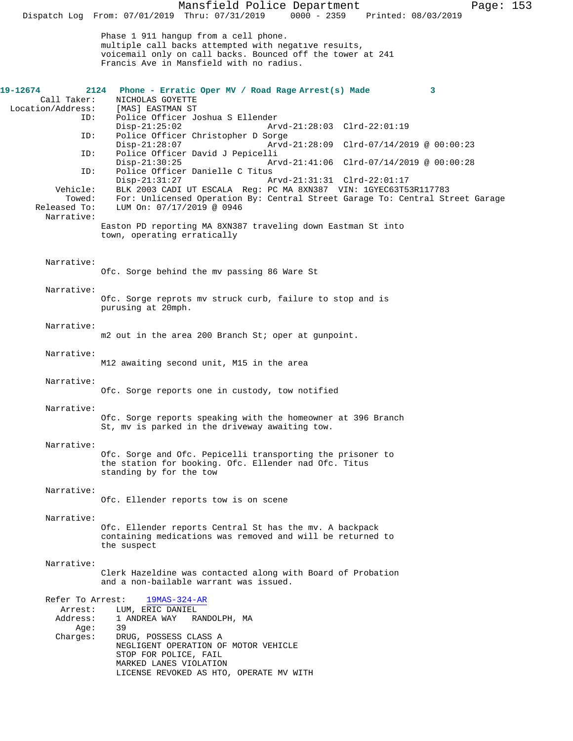Mansfield Police Department Page: 153 Dispatch Log From: 07/01/2019 Thru: 07/31/2019 Phase 1 911 hangup from a cell phone. multiple call backs attempted with negative results, voicemail only on call backs. Bounced off the tower at 241 Francis Ave in Mansfield with no radius. **19-12674 2124 Phone - Erratic Oper MV / Road Rage Arrest(s) Made 3**  Call Taker: NICHOLAS GOYETTE<br>.on/Address: [MAS] EASTMAN ST Location/Address: ID: Police Officer Joshua S Ellender Disp-21:25:02 Arvd-21:28:03 Clrd-22:01:19<br>ID: Police Officer Christopher D Sorge Police Officer Christopher D Sorge<br>Disp-21:28:07 Arvd Disp-21:28:07 Arvd-21:28:09 Clrd-07/14/2019 @ 00:00:23<br>TD: Police Officer David J Pepicelli Police Officer David J Pepicelli Disp-21:30:25 Arvd-21:41:06 Clrd-07/14/2019 @ 00:00:28 ID: Police Officer Danielle C Titus Disp-21:31:27 Arvd-21:31:31 Clrd-22:01:17<br>Vehicle: BLK 2003 CADI UT ESCALA Req: PC MA 8XN387 VIN: 1GYEC63T5 ehicle: BLK 2003 CADI UT ESCALA Reg: PC MA 8XN387 VIN: 1GYEC63T53R117783<br>Towed: For: Unlicensed Operation By: Central Street Garage To: Central St For: Unlicensed Operation By: Central Street Garage To: Central Street Garage Released To: LUM On: 07/17/2019 @ 0946 Narrative: Easton PD reporting MA 8XN387 traveling down Eastman St into town, operating erratically Narrative: Ofc. Sorge behind the mv passing 86 Ware St Narrative: Ofc. Sorge reprots mv struck curb, failure to stop and is purusing at 20mph. Narrative: m2 out in the area 200 Branch St; oper at gunpoint. Narrative: M12 awaiting second unit, M15 in the area Narrative: Ofc. Sorge reports one in custody, tow notified Narrative: Ofc. Sorge reports speaking with the homeowner at 396 Branch St, mv is parked in the driveway awaiting tow. Narrative: Ofc. Sorge and Ofc. Pepicelli transporting the prisoner to the station for booking. Ofc. Ellender nad Ofc. Titus standing by for the tow Narrative: Ofc. Ellender reports tow is on scene Narrative: Ofc. Ellender reports Central St has the mv. A backpack containing medications was removed and will be returned to the suspect Narrative: Clerk Hazeldine was contacted along with Board of Probation and a non-bailable warrant was issued. Refer To Arrest: 19MAS-324-AR Arrest: LUM, ERIC DANIEL Address: 1 ANDREA WAY RANDOLPH, MA :Age<br>:Charges DRUG, POSSESS CLASS A NEGLIGENT OPERATION OF MOTOR VEHICLE STOP FOR POLICE, FAIL MARKED LANES VIOLATION LICENSE REVOKED AS HTO, OPERATE MV WITH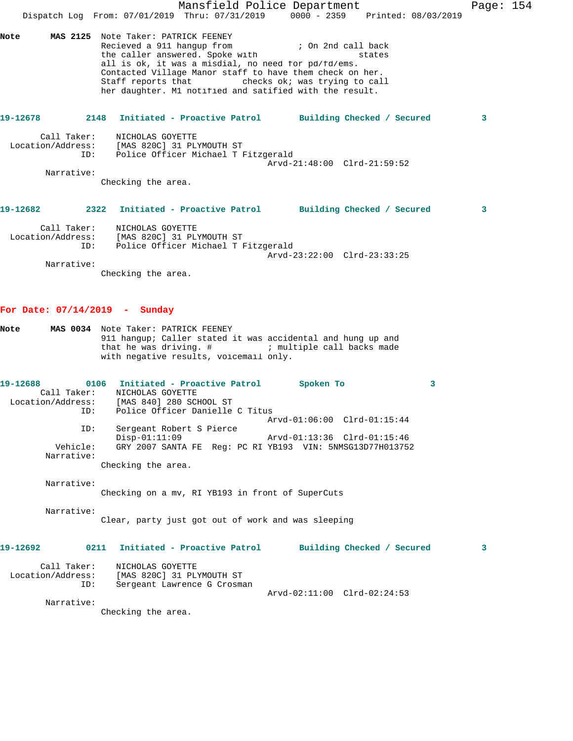|                                         | Mansfield Police Department<br>Dispatch Log From: 07/01/2019 Thru: 07/31/2019 0000 - 2359 Printed: 08/03/2019                                                                                                                                                                                                                                                              |   | Page: 154 |
|-----------------------------------------|----------------------------------------------------------------------------------------------------------------------------------------------------------------------------------------------------------------------------------------------------------------------------------------------------------------------------------------------------------------------------|---|-----------|
| Note                                    | MAS 2125 Note Taker: PATRICK FEENEY<br>Recieved a 911 hangup from<br>; On 2nd call back<br>the caller answered. Spoke with<br>states<br>all is ok, it was a misdial, no need for pd/fd/ems.<br>Contacted Village Manor staff to have them check on her.<br>Staff reports that The Checks ok; was trying to call<br>her daughter. M1 notified and satified with the result. |   |           |
| 19-12678                                | Initiated - Proactive Patrol Building Checked / Secured<br>2148                                                                                                                                                                                                                                                                                                            | 3 |           |
| Call Taker:<br>ID:                      | NICHOLAS GOYETTE<br>Location/Address: [MAS 820C] 31 PLYMOUTH ST<br>Police Officer Michael T Fitzgerald<br>Arvd-21:48:00 Clrd-21:59:52                                                                                                                                                                                                                                      |   |           |
| Narrative:                              | Checking the area.                                                                                                                                                                                                                                                                                                                                                         |   |           |
| 19-12682 2001                           | 2322<br>Initiated - Proactive Patrol Building Checked / Secured                                                                                                                                                                                                                                                                                                            | 3 |           |
| Call Taker:<br>ID:                      | NICHOLAS GOYETTE<br>Location/Address: [MAS 820C] 31 PLYMOUTH ST<br>Police Officer Michael T Fitzgerald<br>Arvd-23:22:00 Clrd-23:33:25                                                                                                                                                                                                                                      |   |           |
| Narrative:                              | Checking the area.                                                                                                                                                                                                                                                                                                                                                         |   |           |
| For Date: $07/14/2019$ - Sunday         |                                                                                                                                                                                                                                                                                                                                                                            |   |           |
| Note                                    | MAS 0034 Note Taker: PATRICK FEENEY<br>911 hangup; Caller stated it was accidental and hung up and<br>with negative results, voicemail only.                                                                                                                                                                                                                               |   |           |
| 19-12688<br>Call Taker:<br>ID:          | 0106 Initiated - Proactive Patrol<br><b>Spoken To</b><br>NICHOLAS GOYETTE<br>Location/Address: [MAS 840] 280 SCHOOL ST<br>Police Officer Danielle C Titus                                                                                                                                                                                                                  | 3 |           |
| ID:                                     | Arvd-01:06:00 Clrd-01:15:44<br>Sergeant Robert S Pierce                                                                                                                                                                                                                                                                                                                    |   |           |
| Vehicle:<br>Narrative:                  | $Disp-01:11:09$<br>Arvd-01:13:36 Clrd-01:15:46<br>GRY 2007 SANTA FE Req: PC RI YB193 VIN: 5NMSG13D77H013752                                                                                                                                                                                                                                                                |   |           |
| Narrative:                              | Checking the area.                                                                                                                                                                                                                                                                                                                                                         |   |           |
| Narrative:                              | Checking on a mv, RI YB193 in front of SuperCuts                                                                                                                                                                                                                                                                                                                           |   |           |
|                                         | Clear, party just got out of work and was sleeping                                                                                                                                                                                                                                                                                                                         |   |           |
| 19-12692                                | 0211<br>Initiated - Proactive Patrol<br>Building Checked / Secured                                                                                                                                                                                                                                                                                                         | 3 |           |
| Call Taker:<br>Location/Address:<br>ID: | NICHOLAS GOYETTE<br>[MAS 820C] 31 PLYMOUTH ST<br>Sergeant Lawrence G Crosman                                                                                                                                                                                                                                                                                               |   |           |
| Narrative:                              | Arvd-02:11:00 Clrd-02:24:53<br>Checking the area.                                                                                                                                                                                                                                                                                                                          |   |           |
|                                         |                                                                                                                                                                                                                                                                                                                                                                            |   |           |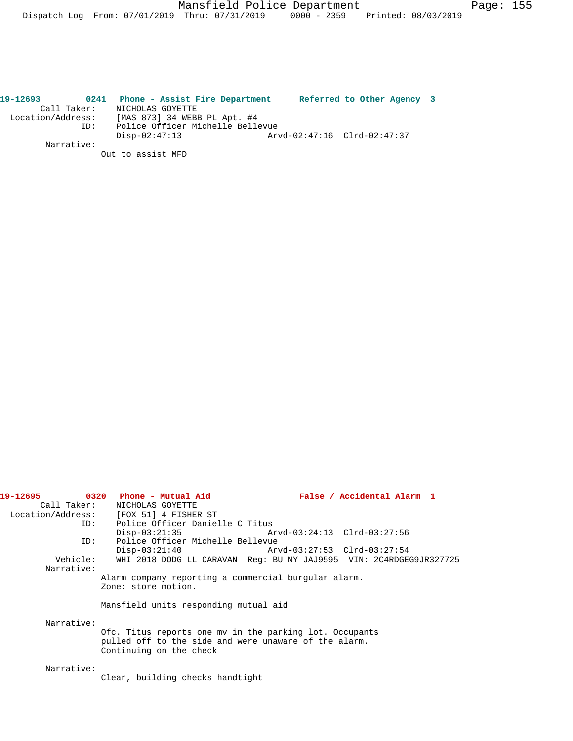| 19-12693          | 0241        | Phone - Assist Fire Department   | Referred to Other Agency 3  |  |  |
|-------------------|-------------|----------------------------------|-----------------------------|--|--|
|                   | Call Taker: | NICHOLAS GOYETTE                 |                             |  |  |
| Location/Address: |             | [MAS 873] 34 WEBB PL Apt. #4     |                             |  |  |
|                   | ID:         | Police Officer Michelle Bellevue |                             |  |  |
|                   |             | $Disp-02:47:13$                  | Arvd-02:47:16 Clrd-02:47:37 |  |  |
|                   | Narrative:  |                                  |                             |  |  |
|                   |             | Out to assist MFD                |                             |  |  |

| 19-12695   | 0320 Phone - Mutual Aid                                            | False / Accidental Alarm 1 |
|------------|--------------------------------------------------------------------|----------------------------|
|            | Call Taker: NICHOLAS GOYETTE                                       |                            |
|            | Location/Address: [FOX 51] 4 FISHER ST                             |                            |
|            | ID: Police Officer Danielle C Titus                                |                            |
|            | $Disp-03:21:35$                                                    |                            |
| ID:        | Police Officer Michelle Bellevue                                   |                            |
|            | $Disp-03:21:40$                                                    |                            |
| Vehicle:   | WHI 2018 DODG LL CARAVAN Req: BU NY JAJ9595 VIN: 2C4RDGEG9JR327725 |                            |
| Narrative: |                                                                    |                            |
|            | Alarm company reporting a commercial burgular alarm.               |                            |
|            | Zone: store motion.                                                |                            |
|            |                                                                    |                            |
|            | Mansfield units responding mutual aid                              |                            |
|            |                                                                    |                            |
| Narrative: |                                                                    |                            |
|            | Ofc. Titus reports one my in the parking lot. Occupants            |                            |
|            | pulled off to the side and were unaware of the alarm.              |                            |
|            | Continuing on the check                                            |                            |
|            |                                                                    |                            |
| Narrative: |                                                                    |                            |
|            | Clear, building checks handtight                                   |                            |
|            |                                                                    |                            |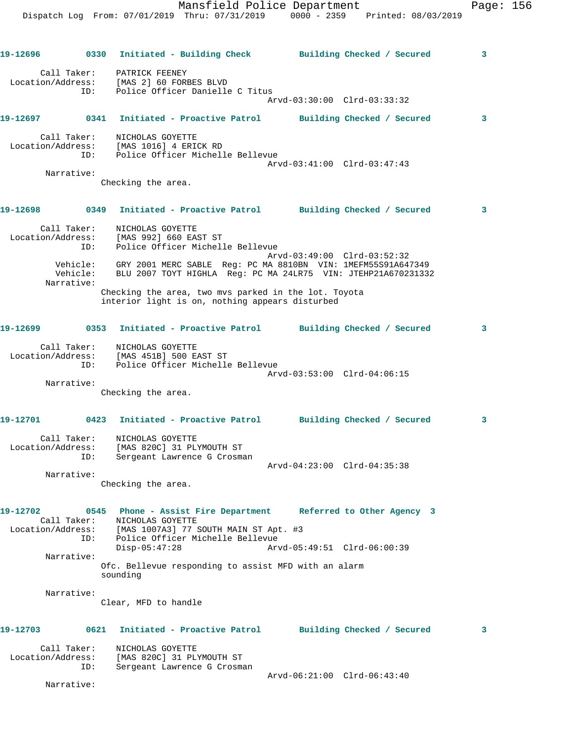Mansfield Police Department Page: 156 Dispatch Log From: 07/01/2019 Thru: 07/31/2019 0000 - 2359 Printed: 08/03/2019 **19-12696 0330 Initiated - Building Check Building Checked / Secured 3** Call Taker: PATRICK FEENEY Location/Address: [MAS 2] 60 FORBES BLVD ID: Police Officer Danielle C Titus Arvd-03:30:00 Clrd-03:33:32 **19-12697 0341 Initiated - Proactive Patrol Building Checked / Secured 3** Call Taker: NICHOLAS GOYETTE Location/Address: [MAS 1016] 4 ERICK RD ID: Police Officer Michelle Bellevue Arvd-03:41:00 Clrd-03:47:43 Narrative: Checking the area. **19-12698 0349 Initiated - Proactive Patrol Building Checked / Secured 3** Call Taker: NICHOLAS GOYETTE Location/Address: [MAS 992] 660 EAST ST ID: Police Officer Michelle Bellevue Arvd-03:49:00 Clrd-03:52:32 Vehicle: GRY 2001 MERC SABLE Reg: PC MA 8810BN VIN: 1MEFM55S91A647349 Vehicle: BLU 2007 TOYT HIGHLA Reg: PC MA 24LR75 VIN: JTEHP21A670231332 Narrative: Checking the area, two mvs parked in the lot. Toyota interior light is on, nothing appears disturbed **19-12699 0353 Initiated - Proactive Patrol Building Checked / Secured 3** Call Taker: NICHOLAS GOYETTE Location/Address: [MAS 451B] 500 EAST ST ID: Police Officer Michelle Bellevue Arvd-03:53:00 Clrd-04:06:15 Narrative: Checking the area.

## **19-12701 0423 Initiated - Proactive Patrol Building Checked / Secured 3**

| Call Taker:<br>Location/Address:<br>ID: | NICHOLAS GOYETTE<br>[MAS 820C] 31 PLYMOUTH ST<br>Sergeant Lawrence G Crosman |                             |
|-----------------------------------------|------------------------------------------------------------------------------|-----------------------------|
| Narrative:                              |                                                                              | Arvd-04:23:00 Clrd-04:35:38 |
|                                         |                                                                              |                             |

Checking the area.

**19-12702 0545 Phone - Assist Fire Department Referred to Other Agency 3**  Call Taker: NICHOLAS GOYETTE Location/Address: [MAS 1007A3] 77 SOUTH MAIN ST Apt. #3 ID: Police Officer Michelle Bellevue Disp-05:47:28 Arvd-05:49:51 Clrd-06:00:39 Narrative: Ofc. Bellevue responding to assist MFD with an alarm sounding

Narrative:

Clear, MFD to handle

**19-12703 0621 Initiated - Proactive Patrol Building Checked / Secured 3** Call Taker: NICHOLAS GOYETTE Location/Address: [MAS 820C] 31 PLYMOUTH ST ID: Sergeant Lawrence G Crosman Arvd-06:21:00 Clrd-06:43:40

Narrative: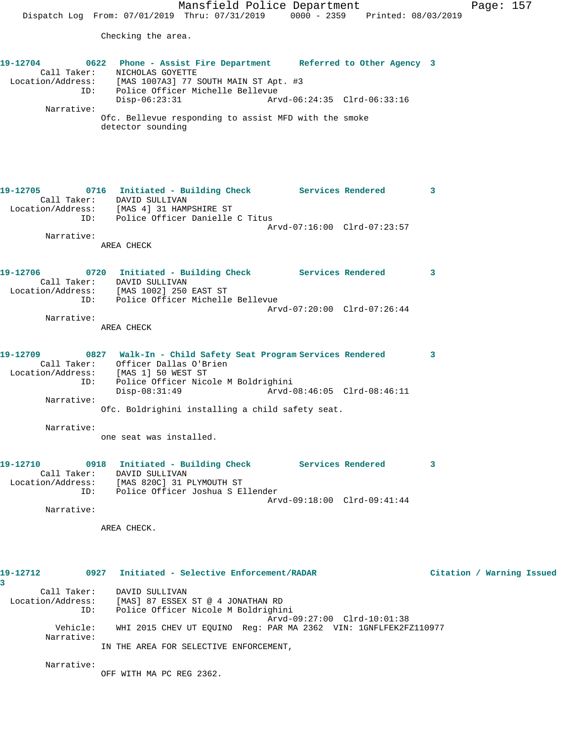Checking the area.

| 19-12704<br>ID:                                     | 0622 Phone - Assist Fire Department Referred to Other Agency 3<br>Call Taker: NICHOLAS GOYETTE<br>Location/Address: [MAS 1007A3] 77 SOUTH MAIN ST Apt. #3<br>Police Officer Michelle Bellevue |                             |                           |
|-----------------------------------------------------|-----------------------------------------------------------------------------------------------------------------------------------------------------------------------------------------------|-----------------------------|---------------------------|
| Narrative:                                          | $Disp-06:23:31$                                                                                                                                                                               | Arvd-06:24:35 Clrd-06:33:16 |                           |
|                                                     | Ofc. Bellevue responding to assist MFD with the smoke<br>detector sounding                                                                                                                    |                             |                           |
| 19-12705                                            | 0716 Initiated - Building Check Services Rendered 3                                                                                                                                           |                             |                           |
|                                                     | Call Taker: DAVID SULLIVAN<br>Location/Address: [MAS 4] 31 HAMPSHIRE ST<br>ID: Police Officer Danielle C Titus                                                                                |                             |                           |
|                                                     |                                                                                                                                                                                               | Arvd-07:16:00 Clrd-07:23:57 |                           |
| Narrative:                                          | AREA CHECK                                                                                                                                                                                    |                             |                           |
| 19-12706                                            | 0720 Initiated - Building Check Services Rendered<br>Call Taker: DAVID SULLIVAN<br>Location/Address: [MAS 1002] 250 EAST ST<br>ID: Police Officer Michelle Bellevue                           |                             | 3                         |
|                                                     |                                                                                                                                                                                               | Arvd-07:20:00 Clrd-07:26:44 |                           |
| Narrative:                                          | AREA CHECK                                                                                                                                                                                    |                             |                           |
| 19-12709<br>ID:                                     | 0827 Walk-In - Child Safety Seat Program Services Rendered<br>Call Taker: Officer Dallas O'Brien<br>Location/Address: [MAS 1] 50 WEST ST<br>Police Officer Nicole M Boldrighini               |                             | 3                         |
|                                                     | Disp-08:31:49                                                                                                                                                                                 |                             |                           |
| Narrative:                                          | Ofc. Boldrighini installing a child safety seat.                                                                                                                                              |                             |                           |
| Narrative:                                          | one seat was installed.                                                                                                                                                                       |                             |                           |
| 19-12710<br>Call Taker:<br>Location/Address:<br>ID: | 0918 Initiated - Building Check Services Rendered<br>DAVID SULLIVAN<br>[MAS 820C] 31 PLYMOUTH ST<br>Police Officer Joshua S Ellender                                                          |                             | 3                         |
| Narrative:                                          |                                                                                                                                                                                               | Arvd-09:18:00 Clrd-09:41:44 |                           |
|                                                     | AREA CHECK.                                                                                                                                                                                   |                             |                           |
|                                                     |                                                                                                                                                                                               |                             |                           |
| 19-12712<br>3                                       | 0927 Initiated - Selective Enforcement/RADAR                                                                                                                                                  |                             | Citation / Warning Issued |
| Call Taker:<br>Location/Address:<br>ID:             | DAVID SULLIVAN<br>[MAS] 87 ESSEX ST @ 4 JONATHAN RD<br>Police Officer Nicole M Boldrighini                                                                                                    | Arvd-09:27:00 Clrd-10:01:38 |                           |
| Vehicle:<br>Narrative:                              | WHI 2015 CHEV UT EQUINO Req: PAR MA 2362 VIN: 1GNFLFEK2FZ110977                                                                                                                               |                             |                           |
|                                                     | IN THE AREA FOR SELECTIVE ENFORCEMENT,                                                                                                                                                        |                             |                           |

Narrative:

OFF WITH MA PC REG 2362.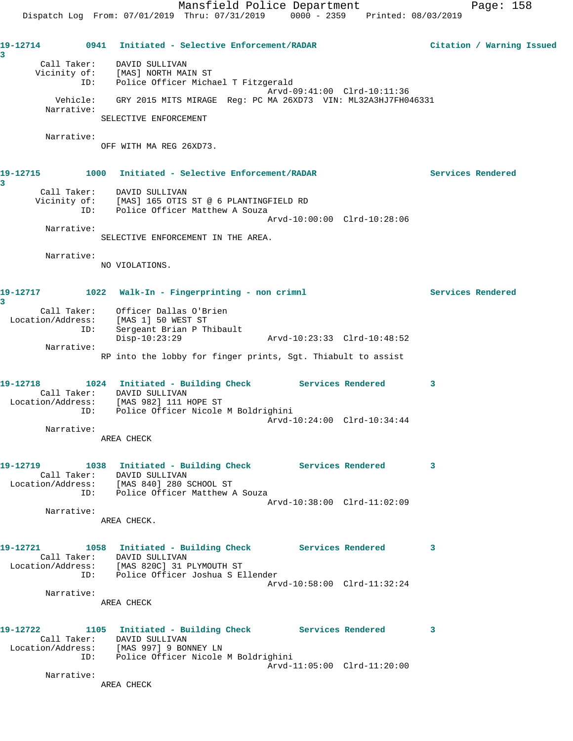**19-12714 0941 Initiated - Selective Enforcement/RADAR Citation / Warning Issued 3**  Call Taker: DAVID SULLIVAN Vicinity of: [MAS] NORTH MAIN ST ID: Police Officer Michael T Fitzgerald Arvd-09:41:00 Clrd-10:11:36 Vehicle: GRY 2015 MITS MIRAGE Reg: PC MA 26XD73 VIN: ML32A3HJ7FH046331 Narrative: SELECTIVE ENFORCEMENT Narrative: OFF WITH MA REG 26XD73. **19-12715 1000 Initiated - Selective Enforcement/RADAR Services Rendered 3**  Call Taker: DAVID SULLIVAN Vicinity of: [MAS] 165 OTIS ST @ 6 PLANTINGFIELD RD ID: Police Officer Matthew A Souza Arvd-10:00:00 Clrd-10:28:06 Narrative: SELECTIVE ENFORCEMENT IN THE AREA. Narrative: NO VIOLATIONS. **19-12717 1022 Walk-In - Fingerprinting - non crimnl Services Rendered 3**  Call Taker: Officer Dallas O'Brien Location/Address: [MAS 1] 50 WEST ST ID: Sergeant Brian P Thibault Disp-10:23:29 Arvd-10:23:33 Clrd-10:48:52 Narrative: RP into the lobby for finger prints, Sgt. Thiabult to assist **19-12718 1024 Initiated - Building Check Services Rendered 3**  Call Taker: DAVID SULLIVAN Location/Address: [MAS 982] 111 HOPE ST ID: Police Officer Nicole M Boldrighini Arvd-10:24:00 Clrd-10:34:44 Narrative: AREA CHECK **19-12719 1038 Initiated - Building Check Services Rendered 3**  Call Taker: DAVID SULLIVAN Location/Address: [MAS 840] 280 SCHOOL ST ID: Police Officer Matthew A Souza Arvd-10:38:00 Clrd-11:02:09 Narrative: AREA CHECK. **19-12721 1058 Initiated - Building Check Services Rendered 3**  Call Taker: DAVID SULLIVAN Location/Address: [MAS 820C] 31 PLYMOUTH ST ID: Police Officer Joshua S Ellender Arvd-10:58:00 Clrd-11:32:24 Narrative: AREA CHECK **19-12722 1105 Initiated - Building Check Services Rendered 3**  Call Taker: DAVID SULLIVAN Location/Address: [MAS 997] 9 BONNEY LN ID: Police Officer Nicole M Boldrighini Arvd-11:05:00 Clrd-11:20:00 Narrative: AREA CHECK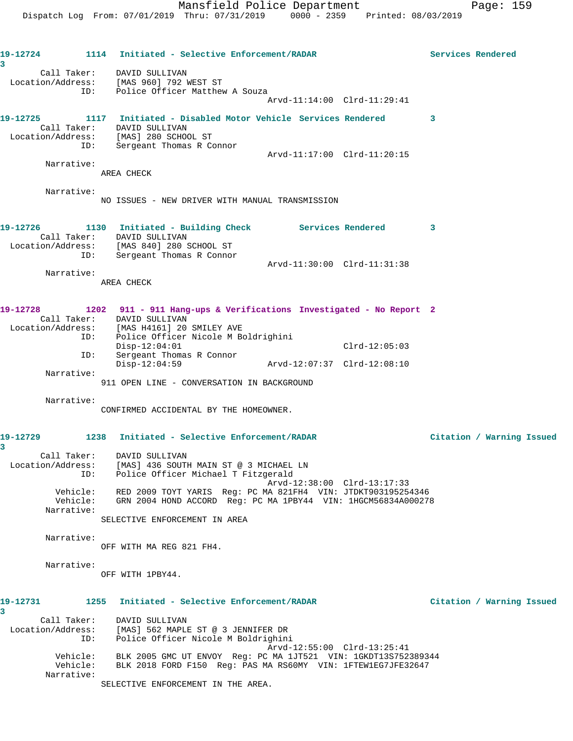**19-12724 1114 Initiated - Selective Enforcement/RADAR Services Rendered 3**  Call Taker: DAVID SULLIVAN Location/Address: [MAS 960] 792 WEST ST ID: Police Officer Matthew A Souza Arvd-11:14:00 Clrd-11:29:41 **19-12725 1117 Initiated - Disabled Motor Vehicle Services Rendered 3**  Call Taker: DAVID SULLIVAN Location/Address: [MAS] 280 SCHOOL ST ID: Sergeant Thomas R Connor Arvd-11:17:00 Clrd-11:20:15 Narrative: AREA CHECK Narrative: NO ISSUES - NEW DRIVER WITH MANUAL TRANSMISSION **19-12726 1130 Initiated - Building Check Services Rendered 3**  Call Taker: DAVID SULLIVAN Location/Address: [MAS 840] 280 SCHOOL ST ID: Sergeant Thomas R Connor Arvd-11:30:00 Clrd-11:31:38 Narrative: AREA CHECK **19-12728 1202 911 - 911 Hang-ups & Verifications Investigated - No Report 2**  Call Taker: DAVID SULLIVAN Location/Address: [MAS H4161] 20 SMILEY AVE ID: Police Officer Nicole M Boldrighini Disp-12:04:01 Clrd-12:05:03<br>
Disp-12:04:01 Clrd-12:05:03<br>
Disp-12:04:59 Arvd-12:07:37 Clrd-12:08:10 ID: Sergeant Thomas R Connor Disp-12:04:59 Arvd-12:07:37 Clrd-12:08:10 Narrative: 911 OPEN LINE - CONVERSATION IN BACKGROUND Narrative: CONFIRMED ACCIDENTAL BY THE HOMEOWNER. **19-12729 1238 Initiated - Selective Enforcement/RADAR Citation / Warning Issued 3**  Call Taker: DAVID SULLIVAN Location/Address: [MAS] 436 SOUTH MAIN ST @ 3 MICHAEL LN ID: Police Officer Michael T Fitzgerald Arvd-12:38:00 Clrd-13:17:33 Vehicle: RED 2009 TOYT YARIS Reg: PC MA 821FH4 VIN: JTDKT903195254346 Vehicle: GRN 2004 HOND ACCORD Reg: PC MA 1PBY44 VIN: 1HGCM56834A000278 Narrative: SELECTIVE ENFORCEMENT IN AREA Narrative: OFF WITH MA REG 821 FH4. Narrative: OFF WITH 1PBY44. **19-12731 1255 Initiated - Selective Enforcement/RADAR Citation / Warning Issued 3**  Call Taker: DAVID SULLIVAN Location/Address: [MAS] 562 MAPLE ST @ 3 JENNIFER DR ID: Police Officer Nicole M Boldrighini Arvd-12:55:00 Clrd-13:25:41 Vehicle: BLK 2005 GMC UT ENVOY Reg: PC MA 1JT521 VIN: 1GKDT13S752389344 Vehicle: BLK 2018 FORD F150 Reg: PAS MA RS60MY VIN: 1FTEW1EG7JFE32647 Narrative:

SELECTIVE ENFORCEMENT IN THE AREA.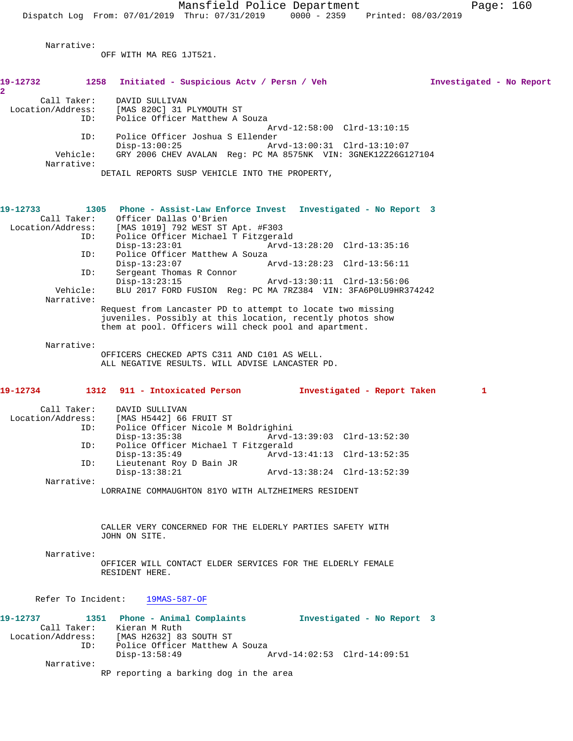**2** 

 Narrative: OFF WITH MA REG 1JT521. **19-12732 1258 Initiated - Suspicious Actv / Persn / Veh Investigated - No Report** Call Taker: DAVID SULLIVAN Location/Address: [MAS 820C] 31 PLYMOUTH ST<br>TD: Police Officer Matthew A 3 Police Officer Matthew A Souza Arvd-12:58:00 Clrd-13:10:15 ID: Police Officer Joshua S Ellender Disp-13:00:25 Arvd-13:00:31 Clrd-13:10:07 Vehicle: GRY 2006 CHEV AVALAN Reg: PC MA 8575NK VIN: 3GNEK12Z26G127104 Narrative: DETAIL REPORTS SUSP VEHICLE INTO THE PROPERTY, **19-12733 1305 Phone - Assist-Law Enforce Invest Investigated - No Report 3**  Call Taker: Officer Dallas O'Brien<br>Location/Address: [MAS 1019] 792 WEST ST Location/Address: [MAS 1019] 792 WEST ST Apt. #F303 Police Officer Michael T Fitzgerald<br>Disp-13:23:01 Arvd-1 Disp-13:23:01 Arvd-13:28:20 Clrd-13:35:16 ID: Police Officer Matthew A Souza Disp-13:23:07 Arvd-13:28:23 Clrd-13:56:11 ID: Sergeant Thomas R Connor Disp-13:23:15 Arvd-13:30:11 Clrd-13:56:06 Vehicle: BLU 2017 FORD FUSION Reg: PC MA 7RZ384 VIN: 3FA6P0LU9HR374242 Narrative: Request from Lancaster PD to attempt to locate two missing juveniles. Possibly at this location, recently photos show them at pool. Officers will check pool and apartment. Narrative: OFFICERS CHECKED APTS C311 AND C101 AS WELL. ALL NEGATIVE RESULTS. WILL ADVISE LANCASTER PD. **19-12734 1312 911 - Intoxicated Person Investigated - Report Taken 1** Call Taker: DAVID SULLIVAN Location/Address: [MAS H5442] 66 FRUIT ST ID: Police Officer Nicole M Boldrighini Disp-13:35:38 Arvd-13:39:03 Clrd-13:52:30<br>TD: Police Officer Michael T Fitzgerald Police Officer Michael T Fitzgerald Disp-13:35:49 Arvd-13:41:13 Clrd-13:52:35<br>TD: Lieutenant Roy D Bain JR Lieutenant Roy D Bain JR<br>Disp-13:38:21 Disp-13:38:21 Arvd-13:38:24 Clrd-13:52:39 Narrative: LORRAINE COMMAUGHTON 81YO WITH ALTZHEIMERS RESIDENT CALLER VERY CONCERNED FOR THE ELDERLY PARTIES SAFETY WITH JOHN ON SITE. Narrative: OFFICER WILL CONTACT ELDER SERVICES FOR THE ELDERLY FEMALE RESIDENT HERE. Refer To Incident: 19MAS-587-OF

**19-12737 1351 Phone - Animal Complaints Investigated - No Report 3**  Call Taker: Kieran M Ruth Location/Address: [MAS H2632] 83 SOUTH ST ID: Police Officer Matthew A Souza<br>Disp-13:58:49 Disp-13:58:49 Arvd-14:02:53 Clrd-14:09:51 Narrative:

RP reporting a barking dog in the area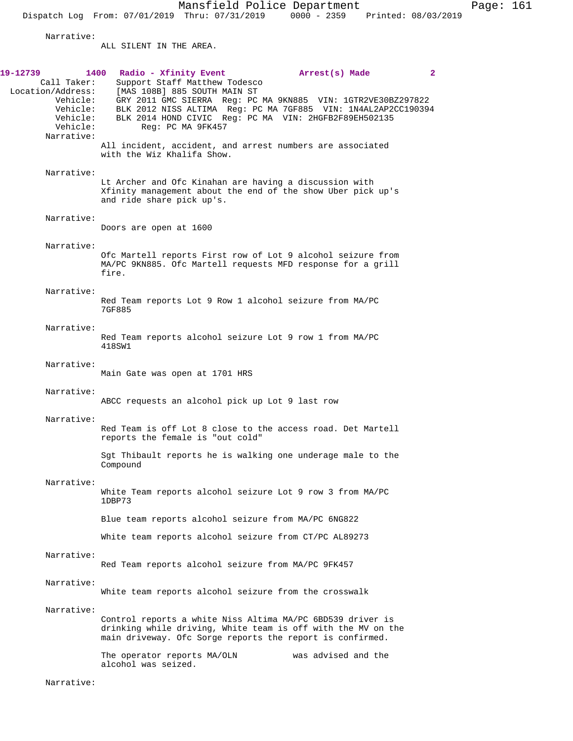Narrative:

ALL SILENT IN THE AREA.

| 19-12739<br>Call Taker:<br>Location/Address:<br>Vehicle: | 1400<br>Radio - Xfinity Event<br>Arrest(s) Made<br>$\mathbf{2}$<br>Support Staff Matthew Todesco<br>[MAS 108B] 885 SOUTH MAIN ST<br>GRY 2011 GMC SIERRA Reg: PC MA 9KN885 VIN: 1GTR2VE30BZ297822 |
|----------------------------------------------------------|--------------------------------------------------------------------------------------------------------------------------------------------------------------------------------------------------|
| Vehicle:<br>Vehicle:<br>Vehicle:<br>Narrative:           | BLK 2012 NISS ALTIMA Reg: PC MA 7GF885 VIN: 1N4AL2AP2CC190394<br>BLK 2014 HOND CIVIC Reg: PC MA VIN: 2HGFB2F89EH502135<br>Req: PC MA 9FK457                                                      |
|                                                          | All incident, accident, and arrest numbers are associated<br>with the Wiz Khalifa Show.                                                                                                          |
| Narrative:                                               | Lt Archer and Ofc Kinahan are having a discussion with<br>Xfinity management about the end of the show Uber pick up's<br>and ride share pick up's.                                               |
| Narrative:                                               | Doors are open at 1600                                                                                                                                                                           |
| Narrative:                                               |                                                                                                                                                                                                  |
|                                                          | Ofc Martell reports First row of Lot 9 alcohol seizure from<br>MA/PC 9KN885. Ofc Martell requests MFD response for a grill<br>fire.                                                              |
| Narrative:                                               | Red Team reports Lot 9 Row 1 alcohol seizure from MA/PC<br>7GF885                                                                                                                                |
| Narrative:                                               | Red Team reports alcohol seizure Lot 9 row 1 from MA/PC<br>418SW1                                                                                                                                |
| Narrative:                                               | Main Gate was open at 1701 HRS                                                                                                                                                                   |
| Narrative:                                               | ABCC requests an alcohol pick up Lot 9 last row                                                                                                                                                  |
| Narrative:                                               | Red Team is off Lot 8 close to the access road. Det Martell<br>reports the female is "out cold"                                                                                                  |
|                                                          | Sqt Thibault reports he is walking one underage male to the<br>Compound                                                                                                                          |
| Narrative:                                               | White Team reports alcohol seizure Lot 9 row 3 from MA/PC<br>1DBP73                                                                                                                              |
|                                                          | Blue team reports alcohol seizure from MA/PC 6NG822                                                                                                                                              |
|                                                          | White team reports alcohol seizure from CT/PC AL89273                                                                                                                                            |
| Narrative:                                               | Red Team reports alcohol seizure from MA/PC 9FK457                                                                                                                                               |
| Narrative:                                               | White team reports alcohol seizure from the crosswalk                                                                                                                                            |
| Narrative:                                               | Control reports a white Niss Altima MA/PC 6BD539 driver is<br>drinking while driving, White team is off with the MV on the<br>main driveway. Ofc Sorge reports the report is confirmed.          |
|                                                          | was advised and the<br>The operator reports MA/OLN<br>alcohol was seized.                                                                                                                        |
| Narrative:                                               |                                                                                                                                                                                                  |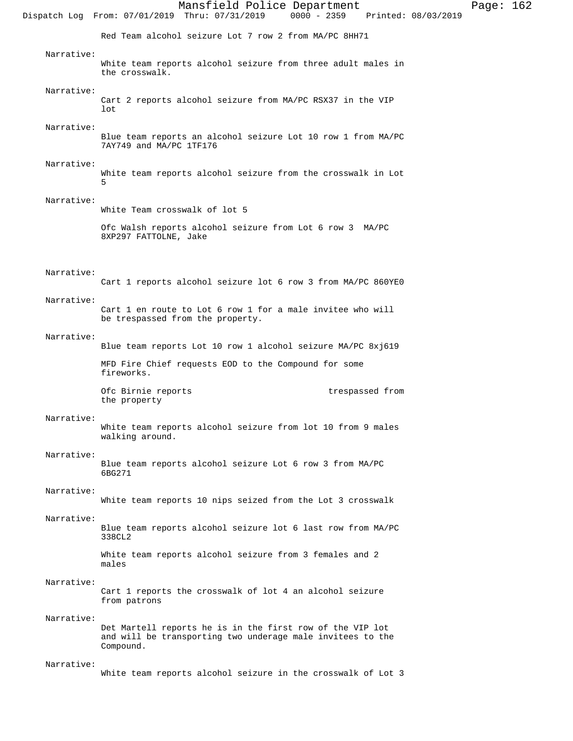Mansfield Police Department Page: 162 Dispatch Log From: 07/01/2019 Thru: 07/31/2019 Red Team alcohol seizure Lot 7 row 2 from MA/PC 8HH71 Narrative: White team reports alcohol seizure from three adult males in the crosswalk. Narrative: Cart 2 reports alcohol seizure from MA/PC RSX37 in the VIP lot Narrative: Blue team reports an alcohol seizure Lot 10 row 1 from MA/PC 7AY749 and MA/PC 1TF176 Narrative: White team reports alcohol seizure from the crosswalk in Lot 5 Narrative: White Team crosswalk of lot 5 Ofc Walsh reports alcohol seizure from Lot 6 row 3 MA/PC 8XP297 FATTOLNE, Jake Narrative: Cart 1 reports alcohol seizure lot 6 row 3 from MA/PC 860YE0 Narrative: Cart 1 en route to Lot 6 row 1 for a male invitee who will be trespassed from the property. Narrative: Blue team reports Lot 10 row 1 alcohol seizure MA/PC 8xj619 MFD Fire Chief requests EOD to the Compound for some fireworks. Ofc Birnie reports trespassed from the property Narrative: White team reports alcohol seizure from lot 10 from 9 males walking around. Narrative: Blue team reports alcohol seizure Lot 6 row 3 from MA/PC 6BG271 Narrative: White team reports 10 nips seized from the Lot 3 crosswalk Narrative: Blue team reports alcohol seizure lot 6 last row from MA/PC 338CL2 White team reports alcohol seizure from 3 females and 2 males Narrative: Cart 1 reports the crosswalk of lot 4 an alcohol seizure from patrons Narrative: Det Martell reports he is in the first row of the VIP lot and will be transporting two underage male invitees to the Compound. Narrative: White team reports alcohol seizure in the crosswalk of Lot 3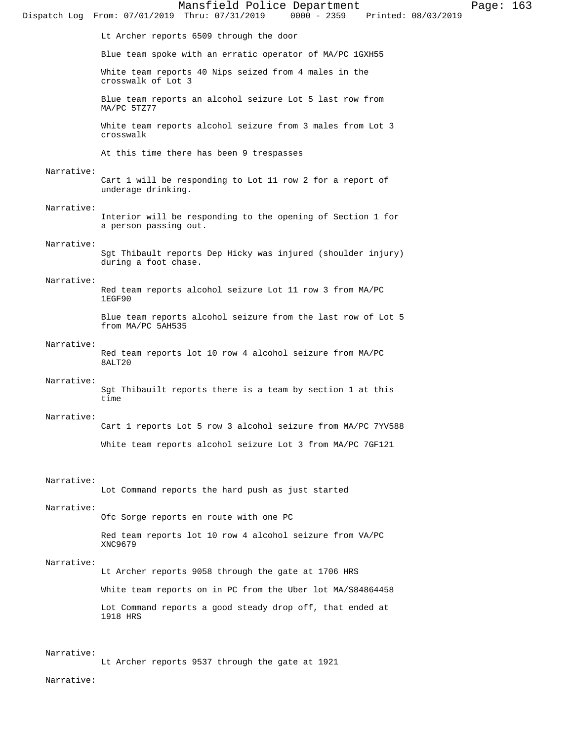Lt Archer reports 6509 through the door Blue team spoke with an erratic operator of MA/PC 1GXH55 White team reports 40 Nips seized from 4 males in the crosswalk of Lot 3 Blue team reports an alcohol seizure Lot 5 last row from MA/PC 5TZ77 White team reports alcohol seizure from 3 males from Lot 3 crosswalk At this time there has been 9 trespasses Narrative: Cart 1 will be responding to Lot 11 row 2 for a report of underage drinking. Narrative: Interior will be responding to the opening of Section 1 for a person passing out. Narrative: Sgt Thibault reports Dep Hicky was injured (shoulder injury) during a foot chase. Narrative: Red team reports alcohol seizure Lot 11 row 3 from MA/PC 1EGF90 Blue team reports alcohol seizure from the last row of Lot 5 from MA/PC 5AH535 Narrative: Red team reports lot 10 row 4 alcohol seizure from MA/PC 8ALT20 Narrative: Sgt Thibauilt reports there is a team by section 1 at this time Narrative: Cart 1 reports Lot 5 row 3 alcohol seizure from MA/PC 7YV588 White team reports alcohol seizure Lot 3 from MA/PC 7GF121 Narrative: Lot Command reports the hard push as just started Narrative: Ofc Sorge reports en route with one PC Red team reports lot 10 row 4 alcohol seizure from VA/PC XNC9679 Narrative: Lt Archer reports 9058 through the gate at 1706 HRS White team reports on in PC from the Uber lot MA/S84864458 Lot Command reports a good steady drop off, that ended at 1918 HRS Narrative: Lt Archer reports 9537 through the gate at 1921 Narrative:

Dispatch Log From: 07/01/2019 Thru: 07/31/2019

Mansfield Police Department Page: 163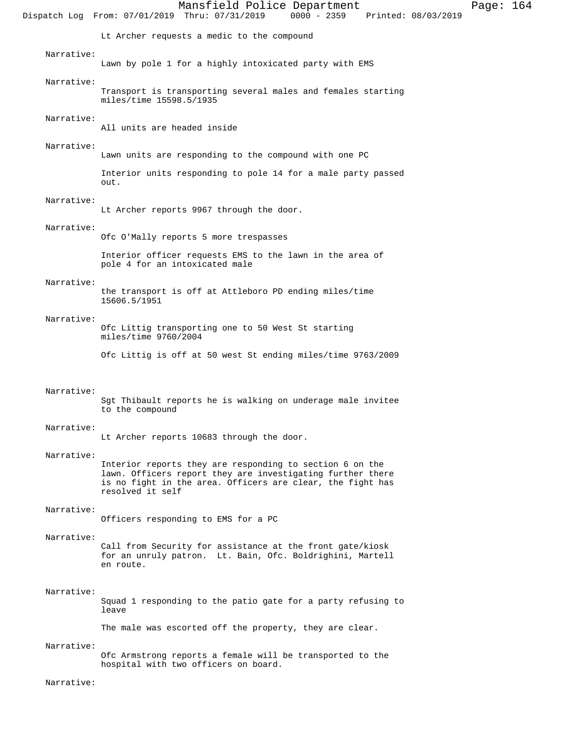Mansfield Police Department Page: 164 Dispatch Log From: 07/01/2019 Thru: 07/31/2019 Lt Archer requests a medic to the compound Narrative: Lawn by pole 1 for a highly intoxicated party with EMS Narrative: Transport is transporting several males and females starting miles/time 15598.5/1935 Narrative: All units are headed inside Narrative: Lawn units are responding to the compound with one PC Interior units responding to pole 14 for a male party passed out. Narrative: Lt Archer reports 9967 through the door. Narrative: Ofc O'Mally reports 5 more trespasses Interior officer requests EMS to the lawn in the area of pole 4 for an intoxicated male Narrative: the transport is off at Attleboro PD ending miles/time 15606.5/1951 Narrative: Ofc Littig transporting one to 50 West St starting miles/time 9760/2004 Ofc Littig is off at 50 west St ending miles/time 9763/2009 Narrative: Sgt Thibault reports he is walking on underage male invitee to the compound Narrative: Lt Archer reports 10683 through the door. Narrative: Interior reports they are responding to section 6 on the lawn. Officers report they are investigating further there is no fight in the area. Officers are clear, the fight has resolved it self Narrative: Officers responding to EMS for a PC Narrative: Call from Security for assistance at the front gate/kiosk for an unruly patron. Lt. Bain, Ofc. Boldrighini, Martell en route. Narrative: Squad 1 responding to the patio gate for a party refusing to leave The male was escorted off the property, they are clear.

Narrative:

Ofc Armstrong reports a female will be transported to the hospital with two officers on board.

Narrative: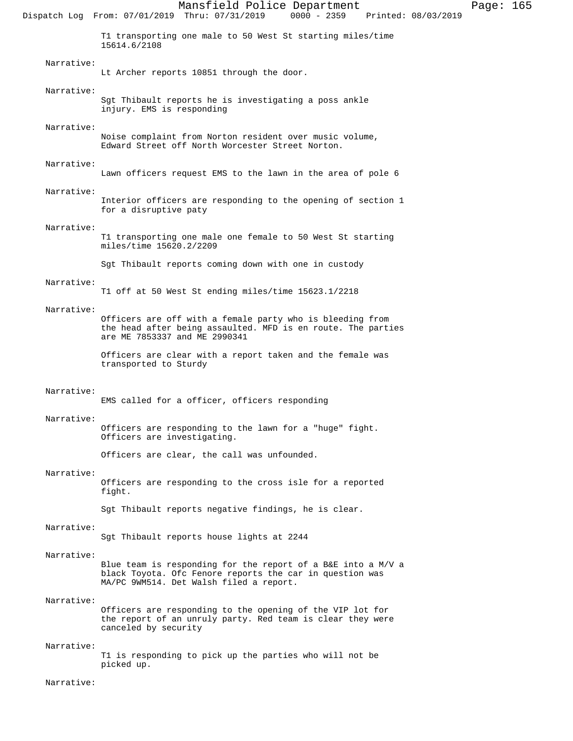Mansfield Police Department Page: 165 Dispatch Log From: 07/01/2019 Thru: 07/31/2019 T1 transporting one male to 50 West St starting miles/time 15614.6/2108 Narrative: Lt Archer reports 10851 through the door. Narrative: Sgt Thibault reports he is investigating a poss ankle injury. EMS is responding Narrative: Noise complaint from Norton resident over music volume, Edward Street off North Worcester Street Norton. Narrative: Lawn officers request EMS to the lawn in the area of pole 6 Narrative: Interior officers are responding to the opening of section 1 for a disruptive paty Narrative: T1 transporting one male one female to 50 West St starting miles/time 15620.2/2209 Sgt Thibault reports coming down with one in custody Narrative: T1 off at 50 West St ending miles/time 15623.1/2218 Narrative: Officers are off with a female party who is bleeding from the head after being assaulted. MFD is en route. The parties are ME 7853337 and ME 2990341 Officers are clear with a report taken and the female was transported to Sturdy Narrative: EMS called for a officer, officers responding Narrative: Officers are responding to the lawn for a "huge" fight. Officers are investigating. Officers are clear, the call was unfounded. Narrative: Officers are responding to the cross isle for a reported fight. Sgt Thibault reports negative findings, he is clear. Narrative: Sgt Thibault reports house lights at 2244 Narrative: Blue team is responding for the report of a B&E into a M/V a black Toyota. Ofc Fenore reports the car in question was MA/PC 9WM514. Det Walsh filed a report. Narrative: Officers are responding to the opening of the VIP lot for the report of an unruly party. Red team is clear they were canceled by security Narrative: T1 is responding to pick up the parties who will not be picked up. Narrative: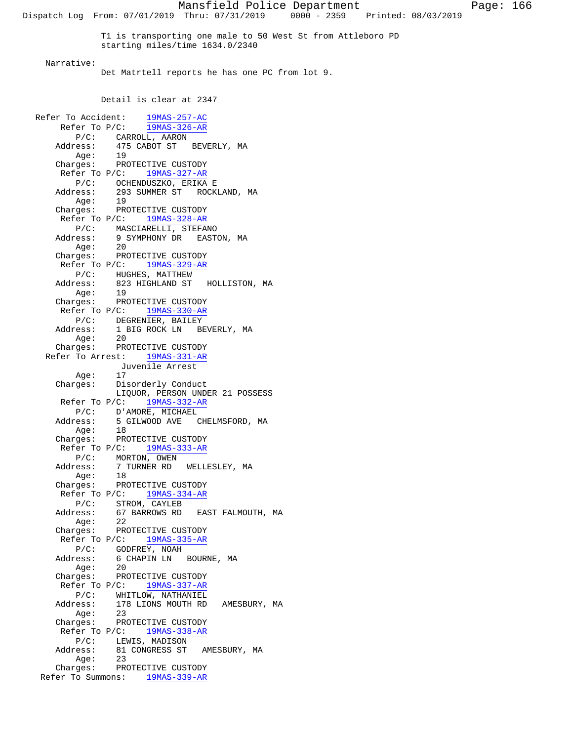Mansfield Police Department Page: 166 Dispatch Log From: 07/01/2019 Thru: 07/31/2019 0000 - 2359 Printed: 08/03/2019 T1 is transporting one male to 50 West St from Attleboro PD starting miles/time 1634.0/2340 Narrative: Det Matrtell reports he has one PC from lot 9. Detail is clear at 2347 Refer To Accident: 19MAS-257-AC Refer To P/C: 19MAS-326-AR P/C: CARROLL, AARON Address: 475 CABOT ST BEVERLY, MA Age: 19 Charges: PROTECTIVE CUSTODY Refer To P/C: 19MAS-327-AR P/C: OCHENDUSZKO, ERIKA E Address: 293 SUMMER ST ROCKLAND, MA Age: 19 Charges: PROTECTIVE CUSTODY Refer To P/C: 19MAS-328-AR P/C: MASCIARELLI, STEFANO Address: 9 SYMPHONY DR EASTON, MA Age: 20 Charges: PROTECTIVE CUSTODY Refer To P/C: 19MAS-329-AR P/C: HUGHES, MATTHEW Address: 823 HIGHLAND ST HOLLISTON, MA Age: 19 Charges: PROTECTIVE CUSTODY Refer To P/C: 19MAS-330-AR P/C: DEGRENIER, BAILEY Address: 1 BIG ROCK LN BEVERLY, MA Age: 20 Charges: PROTECTIVE CUSTODY Refer To Arrest: 19MAS-331-AR Juvenile Arrest<br>Age: 17 Age: 17 Charges: Disorderly Conduct LIQUOR, PERSON UNDER 21 POSSESS Refer To P/C: 19MAS-332-AR P/C: D'AMORE, MICHAEL Address: 5 GILWOOD AVE CHELMSFORD, MA Age: 18 Charges: PROTECTIVE CUSTODY Refer To P/C: 19MAS-333-AR P/C: MORTON, OWEN Address: 7 TURNER RD WELLESLEY, MA Age: 18 Charges: PROTECTIVE CUSTODY Refer To P/C:  $\frac{19MAS-334-AR}{}$ P/C: STROM, CAYLEB Address: 67 BARROWS RD EAST FALMOUTH, MA Age: 22 Charges: PROTECTIVE CUSTODY Refer To P/C: 19MAS-335-AR P/C: GODFREY, NOAH<br>Address: 6 CHAPIN LN 6 CHAPIN LN BOURNE, MA Age: 20 Charges: PROTECTIVE CUSTODY Refer To P/C: 19MAS-337-AR P/C: WHITLOW, NATHANIEL Address: 178 LIONS MOUTH RD AMESBURY, MA Age: 23<br>Charges: PRC PROTECTIVE CUSTODY Refer To P/C:  $\frac{19MAS-338-AR}{}$  P/C: LEWIS, MADISON Address: 81 CONGRESS ST AMESBURY, MA Age: 23 Charges: PROTECTIVE CUSTODY Refer To Summons: 19MAS-339-AR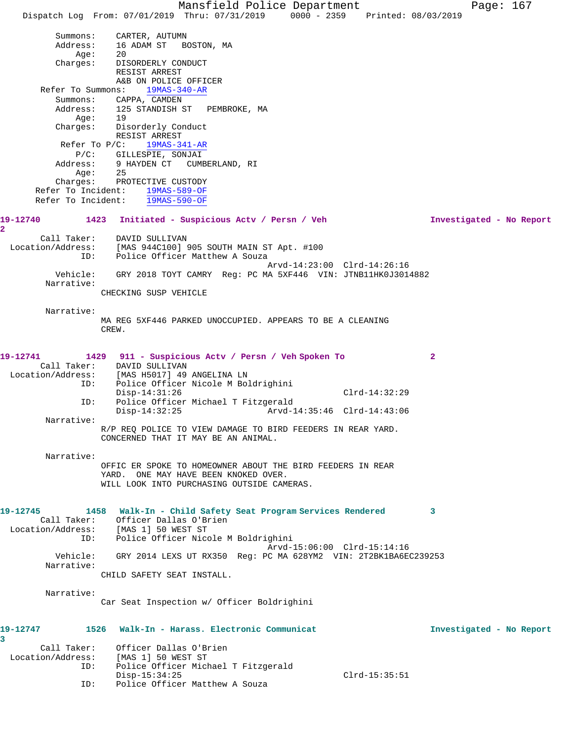Mansfield Police Department Page: 167 Dispatch Log From: 07/01/2019 Thru: 07/31/2019 0000 - 2359 Printed: 08/03/2019 Summons: CARTER, AUTUMN Address: 16 ADAM ST BOSTON, MA Age: 20 Charges: DISORDERLY CONDUCT RESIST ARREST A&B ON POLICE OFFICER Refer To Summons: 19MAS-340-AR Summons: CAPPA, CAMDEN Address: 125 STANDISH ST PEMBROKE, MA Age: 19 Charges: Disorderly Conduct RESIST ARREST Refer To P/C: 19MAS-341-AR P/C: GILLESPIE, SONJAI Address: 9 HAYDEN CT CUMBERLAND, RI Age: 25 Charges: PROTECTIVE CUSTODY Refer To Incident: 19MAS-589-OF Refer To Incident: 19MAS-590-OF **19-12740 1423 Initiated - Suspicious Actv / Persn / Veh Investigated - No Report 2**  Call Taker: DAVID SULLIVAN Location/Address: [MAS 944C100] 905 SOUTH MAIN ST Apt. #100 ID: Police Officer Matthew A Souza Arvd-14:23:00 Clrd-14:26:16 Vehicle: GRY 2018 TOYT CAMRY Reg: PC MA 5XF446 VIN: JTNB11HK0J3014882 Narrative: CHECKING SUSP VEHICLE Narrative: MA REG 5XF446 PARKED UNOCCUPIED. APPEARS TO BE A CLEANING CREW. **19-12741 1429 911 - Suspicious Actv / Persn / Veh Spoken To 2**  Call Taker: DAVID SULLIVAN Location/Address: [MAS H5017] 49 ANGELINA LN ESS. IMAS AUGLITI IS ANVILLIMATED:<br>ID: Police Officer Nicole M Boldrighini Disp-14:31:26 Clrd-14:32:29 ID: Police Officer Michael T Fitzgerald Disp-14:32:25 Arvd-14:35:46 Clrd-14:43:06 Narrative: R/P REQ POLICE TO VIEW DAMAGE TO BIRD FEEDERS IN REAR YARD. CONCERNED THAT IT MAY BE AN ANIMAL. Narrative: OFFIC ER SPOKE TO HOMEOWNER ABOUT THE BIRD FEEDERS IN REAR YARD. ONE MAY HAVE BEEN KNOKED OVER. WILL LOOK INTO PURCHASING OUTSIDE CAMERAS. **19-12745 1458 Walk-In - Child Safety Seat Program Services Rendered 3**  Call Taker: Officer Dallas O'Brien Location/Address: [MAS 1] 50 WEST ST ID: Police Officer Nicole M Boldrighini Arvd-15:06:00 Clrd-15:14:16 Vehicle: GRY 2014 LEXS UT RX350 Reg: PC MA 628YM2 VIN: 2T2BK1BA6EC239253 Narrative: CHILD SAFETY SEAT INSTALL. Narrative: Car Seat Inspection w/ Officer Boldrighini **19-12747 1526 Walk-In - Harass. Electronic Communicat Investigated - No Report 3**  Call Taker: Officer Dallas O'Brien Location/Address: [MAS 1] 50 WEST ST ID: Police Officer Michael T Fitzgerald Disp-15:34:25 Clrd-15:35:51 ID: Police Officer Matthew A Souza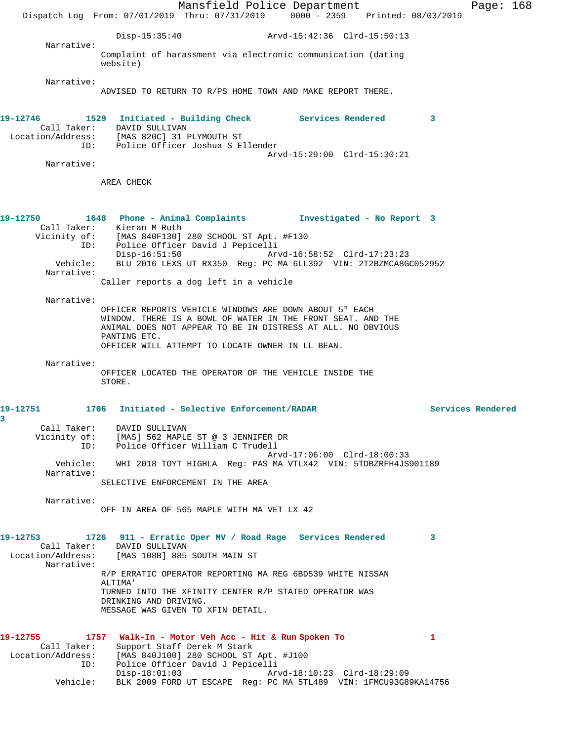Mansfield Police Department Fage: 168 Dispatch Log From: 07/01/2019 Thru: 07/31/2019 0000 - 2359 Printed: 08/03/2019 Disp-15:35:40 Arvd-15:42:36 Clrd-15:50:13 Narrative: Complaint of harassment via electronic communication (dating website) Narrative: ADVISED TO RETURN TO R/PS HOME TOWN AND MAKE REPORT THERE. **19-12746 1529 Initiated - Building Check Services Rendered 3**  Call Taker: DAVID SULLIVAN Location/Address: [MAS 820C] 31 PLYMOUTH ST ID: Police Officer Joshua S Ellender Arvd-15:29:00 Clrd-15:30:21 Narrative: AREA CHECK **19-12750 1648 Phone - Animal Complaints Investigated - No Report 3**  Call Taker: Kieran M Ruth Vicinity of: [MAS 840F130] 280 SCHOOL ST Apt. #F130 ID: Police Officer David J Pepicelli Disp-16:51:50 Arvd-16:58:52 Clrd-17:23:23 Vehicle: BLU 2016 LEXS UT RX350 Reg: PC MA 6LL392 VIN: 2T2BZMCA8GC052952 Narrative: Caller reports a dog left in a vehicle Narrative: OFFICER REPORTS VEHICLE WINDOWS ARE DOWN ABOUT 5" EACH WINDOW. THERE IS A BOWL OF WATER IN THE FRONT SEAT. AND THE ANIMAL DOES NOT APPEAR TO BE IN DISTRESS AT ALL. NO OBVIOUS PANTING ETC. OFFICER WILL ATTEMPT TO LOCATE OWNER IN LL BEAN. Narrative: OFFICER LOCATED THE OPERATOR OF THE VEHICLE INSIDE THE STORE. **19-12751 1706 Initiated - Selective Enforcement/RADAR Services Rendered 3**  Call Taker: DAVID SULLIVAN Vicinity of: [MAS] 562 MAPLE ST @ 3 JENNIFER DR ID: Police Officer William C Trudell Arvd-17:06:00 Clrd-18:00:33 Vehicle: WHI 2018 TOYT HIGHLA Reg: PAS MA VTLX42 VIN: 5TDBZRFH4JS901189 Narrative: SELECTIVE ENFORCEMENT IN THE AREA Narrative: OFF IN AREA OF 565 MAPLE WITH MA VET LX 42 **19-12753 1726 911 - Erratic Oper MV / Road Rage Services Rendered 3**  Call Taker: DAVID SULLIVAN Location/Address: [MAS 108B] 885 SOUTH MAIN ST Narrative: R/P ERRATIC OPERATOR REPORTING MA REG 6BD539 WHITE NISSAN ALTIMA' TURNED INTO THE XFINITY CENTER R/P STATED OPERATOR WAS DRINKING AND DRIVING. MESSAGE WAS GIVEN TO XFIN DETAIL. **19-12755 1757 Walk-In - Motor Veh Acc - Hit & Run Spoken To 1**  Call Taker: Support Staff Derek M Stark Location/Address: [MAS 840J100] 280 SCHOOL ST Apt. #J100 ID: Police Officer David J Pepicelli Disp-18:01:03 Arvd-18:10:23 Clrd-18:29:09 Vehicle: BLK 2009 FORD UT ESCAPE Reg: PC MA 5TL489 VIN: 1FMCU93G89KA14756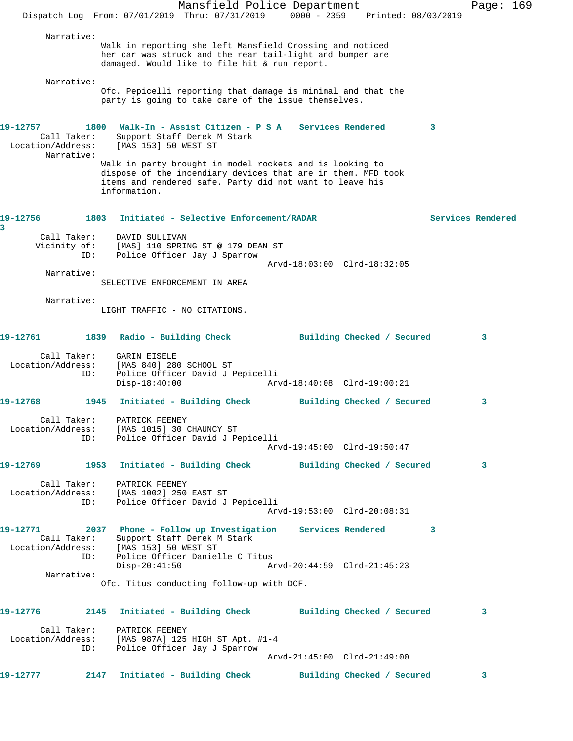|                                                            | Dispatch Log From: 07/01/2019 Thru: 07/31/2019 0000 - 2359 Printed: 08/03/2019                                                                                                                       | Mansfield Police Department |                             |                            |   | Page: 169         |  |
|------------------------------------------------------------|------------------------------------------------------------------------------------------------------------------------------------------------------------------------------------------------------|-----------------------------|-----------------------------|----------------------------|---|-------------------|--|
| Narrative:                                                 | Walk in reporting she left Mansfield Crossing and noticed<br>her car was struck and the rear tail-light and bumper are<br>damaged. Would like to file hit & run report.                              |                             |                             |                            |   |                   |  |
| Narrative:                                                 | Ofc. Pepicelli reporting that damage is minimal and that the<br>party is going to take care of the issue themselves.                                                                                 |                             |                             |                            |   |                   |  |
| 19-12757<br>Call Taker:<br>Location/Address:<br>Narrative: | 1800 Walk-In - Assist Citizen - P S A Services Rendered<br>Support Staff Derek M Stark<br>[MAS 153] 50 WEST ST                                                                                       |                             |                             |                            | 3 |                   |  |
|                                                            | Walk in party brought in model rockets and is looking to<br>dispose of the incendiary devices that are in them. MFD took<br>items and rendered safe. Party did not want to leave his<br>information. |                             |                             |                            |   |                   |  |
| 19-12756<br>3                                              | 1803 Initiated - Selective Enforcement/RADAR                                                                                                                                                         |                             |                             |                            |   | Services Rendered |  |
| Call Taker:<br>Vicinity of:<br>ID:                         | DAVID SULLIVAN<br>[MAS] 110 SPRING ST @ 179 DEAN ST<br>Police Officer Jay J Sparrow                                                                                                                  |                             |                             |                            |   |                   |  |
|                                                            |                                                                                                                                                                                                      |                             | Arvd-18:03:00 Clrd-18:32:05 |                            |   |                   |  |
| Narrative:                                                 | SELECTIVE ENFORCEMENT IN AREA                                                                                                                                                                        |                             |                             |                            |   |                   |  |
| Narrative:                                                 | LIGHT TRAFFIC - NO CITATIONS.                                                                                                                                                                        |                             |                             |                            |   |                   |  |
| 19-12761                                                   | 1839 Radio - Building Check                                                                                                                                                                          |                             |                             | Building Checked / Secured |   | 3                 |  |
| Call Taker:<br>Location/Address:<br>ID:                    | GARIN EISELE<br>[MAS 840] 280 SCHOOL ST<br>Police Officer David J Pepicelli<br>$Disp-18:40:00$                                                                                                       |                             | Arvd-18:40:08 Clrd-19:00:21 |                            |   |                   |  |
| 19-12768                                                   | 1945<br>Initiated - Building Check                                                                                                                                                                   |                             |                             | Building Checked / Secured |   | 3                 |  |
|                                                            | Call Taker: PATRICK FEENEY<br>Location/Address: [MAS 1015] 30 CHAUNCY ST<br>ID: Police Officer David J Pepicelli                                                                                     |                             | Arvd-19:45:00 Clrd-19:50:47 |                            |   |                   |  |
|                                                            | 19-12769 1953 Initiated - Building Check Building Checked / Secured                                                                                                                                  |                             |                             |                            |   | 3                 |  |
|                                                            | Call Taker: PATRICK FEENEY<br>Location/Address: [MAS 1002] 250 EAST ST<br>ID: Police Officer David J Pepicelli                                                                                       |                             | Arvd-19:53:00 Clrd-20:08:31 |                            |   |                   |  |
| ID:                                                        | 19-12771 2037 Phone - Follow up Investigation Services Rendered<br>Call Taker: Support Staff Derek M Stark<br>Location/Address: [MAS 153] 50 WEST ST<br>Police Officer Danielle C Titus              |                             |                             |                            | 3 |                   |  |
|                                                            | $Disp-20:41:50$                                                                                                                                                                                      |                             | Arvd-20:44:59 Clrd-21:45:23 |                            |   |                   |  |
| Narrative:                                                 | Ofc. Titus conducting follow-up with DCF.                                                                                                                                                            |                             |                             |                            |   |                   |  |
|                                                            | 19-12776 2145 Initiated - Building Check Building Checked / Secured                                                                                                                                  |                             |                             |                            |   | 3                 |  |
|                                                            | Call Taker: PATRICK FEENEY<br>Location/Address: [MAS 987A] 125 HIGH ST Apt. #1-4<br>ID: Police Officer Jay J Sparrow                                                                                 |                             |                             |                            |   |                   |  |
|                                                            |                                                                                                                                                                                                      |                             | Arvd-21:45:00 Clrd-21:49:00 |                            |   |                   |  |
| 19-12777                                                   | 2147 Initiated - Building Check Building Checked / Secured                                                                                                                                           |                             |                             |                            |   | 3                 |  |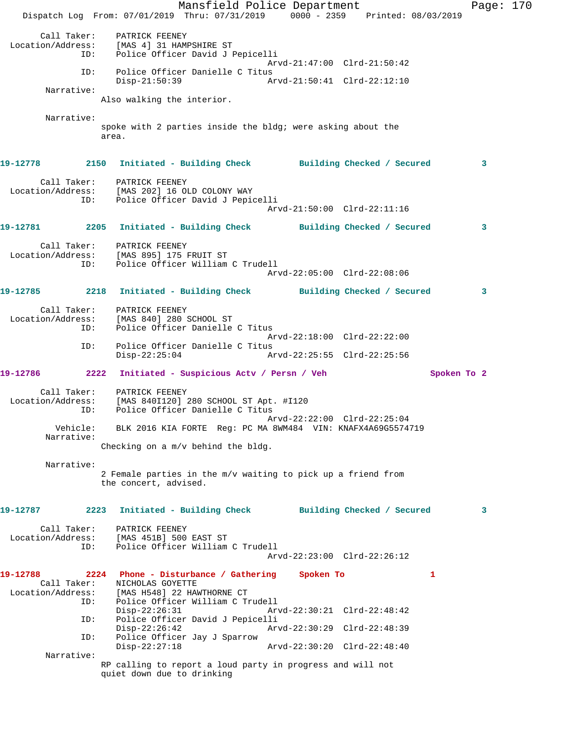Mansfield Police Department Page: 170 Dispatch Log From: 07/01/2019 Thru: 07/31/2019 0000 - 2359 Printed: 08/03/2019 Call Taker: PATRICK FEENEY<br>Location/Address: [MAS 4] 31 HAM! ess: [MAS 4] 31 HAMPSHIRE ST<br>ID: Police Officer David J I Police Officer David J Pepicelli Arvd-21:47:00 Clrd-21:50:42 ID: Police Officer Danielle C Titus Disp-21:50:39 Arvd-21:50:41 Clrd-22:12:10 Narrative: Also walking the interior. Narrative: spoke with 2 parties inside the bldg; were asking about the area. **19-12778 2150 Initiated - Building Check Building Checked / Secured 3** Call Taker: PATRICK FEENEY Location/Address: [MAS 202] 16 OLD COLONY WAY ID: Police Officer David J Pepicelli Arvd-21:50:00 Clrd-22:11:16 **19-12781 2205 Initiated - Building Check Building Checked / Secured 3** Call Taker: PATRICK FEENEY Location/Address: [MAS 895] 175 FRUIT ST ID: Police Officer William C Trudell Arvd-22:05:00 Clrd-22:08:06 **19-12785 2218 Initiated - Building Check Building Checked / Secured 3** Call Taker: PATRICK FEENEY Location/Address: [MAS 840] 280 SCHOOL ST ID: Police Officer Danielle C Titus Arvd-22:18:00 Clrd-22:22:00<br>TD: Police Officer Danielle C Titus Police Officer Danielle C Titus<br>Disp-22:25:04 A Disp-22:25:04 Arvd-22:25:55 Clrd-22:25:56 **19-12786 2222 Initiated - Suspicious Actv / Persn / Veh Spoken To 2** Call Taker: PATRICK FEENEY Location/Address: [MAS 840I120] 280 SCHOOL ST Apt. #I120 ID: Police Officer Danielle C Titus Arvd-22:22:00 Clrd-22:25:04 Vehicle: BLK 2016 KIA FORTE Reg: PC MA 8WM484 VIN: KNAFX4A69G5574719 Narrative: Checking on a m/v behind the bldg. Narrative: 2 Female parties in the m/v waiting to pick up a friend from the concert, advised. **19-12787 2223 Initiated - Building Check Building Checked / Secured 3** Call Taker: PATRICK FEENEY Location/Address: [MAS 451B] 500 EAST ST ID: Police Officer William C Trudell Arvd-22:23:00 Clrd-22:26:12 **19-12788 2224 Phone - Disturbance / Gathering Spoken To 1**  Call Taker: NICHOLAS GOYETTE<br>Location/Address: [MAS H548] 22 HAI ess: [MAS H548] 22 HAWTHORNE CT<br>ID: Police Officer William C T Police Officer William C Trudell<br>Disp-22:26:31 Arv Disp-22:26:31 Arvd-22:30:21 Clrd-22:48:42 ID: Police Officer David J Pepicelli Disp-22:26:42 Arvd-22:30:29 Clrd-22:48:39<br>TD: Police Officer Jay J Sparrow Police Officer Jay J Sparrow<br>Disp-22:27:18 Disp-22:27:18 Arvd-22:30:20 Clrd-22:48:40 Narrative: RP calling to report a loud party in progress and will not quiet down due to drinking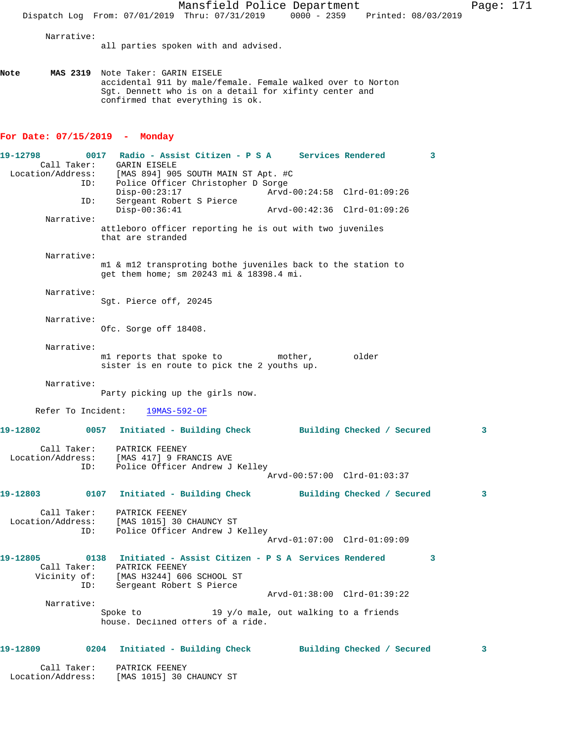Mansfield Police Department Page: 171 Dispatch Log From: 07/01/2019 Thru: 07/31/2019 0000 - 2359 Printed: 08/03/2019 Narrative: all parties spoken with and advised. **Note MAS 2319** Note Taker: GARIN EISELE accidental 911 by male/female. Female walked over to Norton Sgt. Dennett who is on a detail for xifinty center and confirmed that everything is ok. **For Date: 07/15/2019 - Monday 19-12798 0017 Radio - Assist Citizen - P S A Services Rendered 3**  Call Taker: GARIN EISELE Location/Address: [MAS 894] 905 SOUTH MAIN ST Apt. #C Police Officer Christopher D Sorge Disp-00:23:17 Arvd-00:24:58 Clrd-01:09:26 ID: Sergeant Robert S Pierce Disp-00:36:41 Arvd-00:42:36 Clrd-01:09:26 Narrative: attleboro officer reporting he is out with two juveniles that are stranded Narrative: m1 & m12 transproting bothe juveniles back to the station to get them home; sm 20243 mi & 18398.4 mi. Narrative: Sgt. Pierce off, 20245 Narrative: Ofc. Sorge off 18408. Narrative: m1 reports that spoke to mother, older sister is en route to pick the 2 youths up. Narrative: Party picking up the girls now. Refer To Incident: 19MAS-592-OF **19-12802 0057 Initiated - Building Check Building Checked / Secured 3** Call Taker: PATRICK FEENEY Location/Address: [MAS 417] 9 FRANCIS AVE ID: Police Officer Andrew J Kelley Arvd-00:57:00 Clrd-01:03:37 **19-12803 0107 Initiated - Building Check Building Checked / Secured 3** Call Taker: PATRICK FEENEY Location/Address: [MAS 1015] 30 CHAUNCY ST ID: Police Officer Andrew J Kelley Arvd-01:07:00 Clrd-01:09:09 **19-12805 0138 Initiated - Assist Citizen - P S A Services Rendered 3**  Call Taker: PATRICK FEENEY Vicinity of: [MAS H3244] 606 SCHOOL ST ID: Sergeant Robert S Pierce Arvd-01:38:00 Clrd-01:39:22 Narrative: Spoke to  $19 \t{y/o}$  male, out walking to a friends house. Declined offers of a ride. **19-12809 0204 Initiated - Building Check Building Checked / Secured 3**

 Call Taker: PATRICK FEENEY Location/Address: [MAS 1015] 30 CHAUNCY ST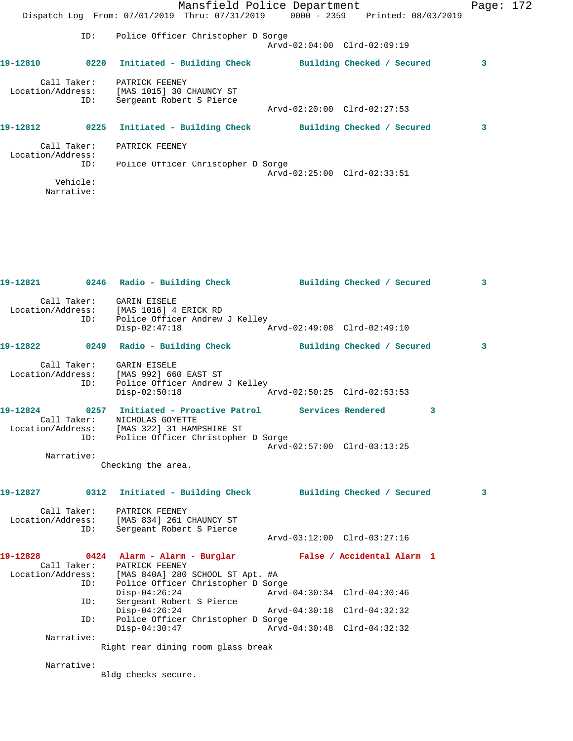|                                  |      |                                                                                | Mansfield Police Department |                            | Page: $172$ |  |
|----------------------------------|------|--------------------------------------------------------------------------------|-----------------------------|----------------------------|-------------|--|
|                                  |      | Dispatch Log From: 07/01/2019 Thru: 07/31/2019 0000 - 2359 Printed: 08/03/2019 |                             |                            |             |  |
|                                  | ID:  | Police Officer Christopher D Sorge                                             | Arvd-02:04:00 Clrd-02:09:19 |                            |             |  |
| 19-12810                         | 0220 | Initiated - Building Check                                                     |                             | Building Checked / Secured | 3           |  |
| Call Taker:<br>Location/Address: | ID:  | PATRICK FEENEY<br>[MAS 1015] 30 CHAUNCY ST<br>Sergeant Robert S Pierce         |                             |                            |             |  |
|                                  |      |                                                                                | Arvd-02:20:00 Clrd-02:27:53 |                            |             |  |
| 19-12812                         |      | 0225 Initiated - Building Check                                                |                             | Building Checked / Secured | 3           |  |
| Call Taker:<br>Location/Address: |      | PATRICK FEENEY                                                                 |                             |                            |             |  |
|                                  | ID:  | Police Officer Christopher D Sorge                                             | Arvd-02:25:00 Clrd-02:33:51 |                            |             |  |
| Vehicle:                         |      |                                                                                |                             |                            |             |  |
| Narrative:                       |      |                                                                                |                             |                            |             |  |

|            | 19-12821 0246 Radio - Building Check Building Checked / Secured                                                                                                                                           |                             | $\mathbf{3}$ |
|------------|-----------------------------------------------------------------------------------------------------------------------------------------------------------------------------------------------------------|-----------------------------|--------------|
|            | Call Taker: GARIN EISELE<br>Location/Address: [MAS 1016] 4 ERICK RD<br>ID: Police Officer Andrew J Kelley<br>Disp-02:47:18 Arvd-02:49:08 Clrd-02:49:10                                                    |                             |              |
|            | 19-12822 0249 Radio - Building Check Building Checked / Secured 3                                                                                                                                         |                             |              |
|            | Call Taker: GARIN EISELE<br>Location/Address: [MAS 992] 660 EAST ST<br>ID: Police Officer Andrew J Kelley<br>Disp-02:50:18 Arvd-02:50:25 Clrd-02:53:53                                                    |                             |              |
|            | 19-12824          0257 Initiated - Proactive Patrol            Services Rendered<br>Call Taker: NICHOLAS GOYETTE<br>Location/Address: [MAS 322] 31 HAMPSHIRE ST<br>ID: Police Officer Christopher D Sorge |                             | 3            |
|            |                                                                                                                                                                                                           | Arvd-02:57:00 Clrd-03:13:25 |              |
| Narrative: | Checking the area.                                                                                                                                                                                        |                             |              |
|            |                                                                                                                                                                                                           |                             |              |
|            | 19-12827      0312  Initiated - Building Check      Building Checked / Secured                                                                                                                            |                             | 3            |
| ID:        | Call Taker: PATRICK FEENEY<br>Location/Address: [MAS 834] 261 CHAUNCY ST<br>Sergeant Robert S Pierce                                                                                                      |                             |              |
|            |                                                                                                                                                                                                           |                             |              |
| ID:        | 19-12828 		 0424 Alarm - Alarm - Burglar 		 False / Accidental Alarm 1<br>Call Taker: PATRICK FEENEY<br>Location/Address: [MAS 840A] 280 SCHOOL ST Apt. #A<br>Police Officer Christopher D Sorge          |                             |              |
|            | $Disp-04:26:24$                                                                                                                                                                                           | Arvd-04:30:34 Clrd-04:30:46 |              |
| ID:        | Sergeant Robert S Pierce<br>$Disp-04:26:24$                                                                                                                                                               | Arvd-04:30:18 Clrd-04:32:32 |              |
| ID:        | Police Officer Christopher D Sorge                                                                                                                                                                        |                             |              |
|            | $Disp-04:30:47$                                                                                                                                                                                           | Arvd-04:30:48 Clrd-04:32:32 |              |
| Narrative: | Right rear dining room glass break                                                                                                                                                                        |                             |              |
| Narrative: | Bldg checks secure.                                                                                                                                                                                       |                             |              |
|            |                                                                                                                                                                                                           |                             |              |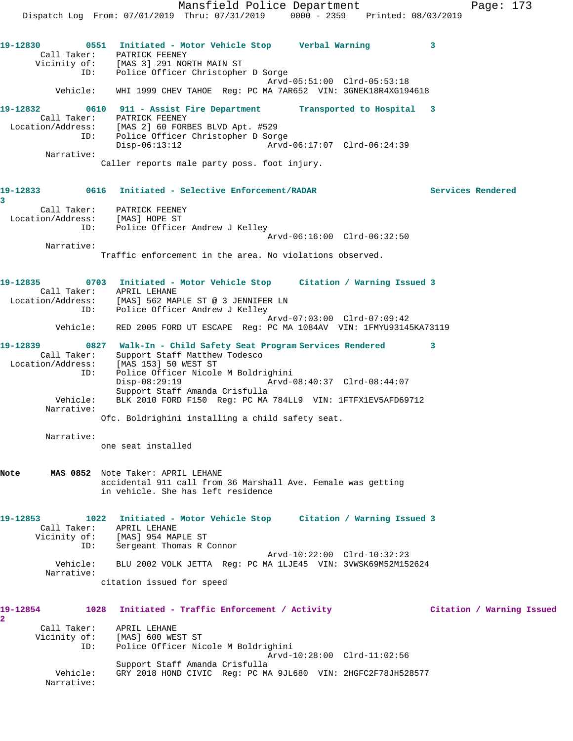Mansfield Police Department Fage: 173 Dispatch Log From: 07/01/2019 Thru: 07/31/2019 0000 - 2359 Printed: 08/03/2019 **19-12830 0551 Initiated - Motor Vehicle Stop Verbal Warning 3**  Call Taker: PATRICK FEENEY Vicinity of: [MAS 3] 291 NORTH MAIN ST ID: Police Officer Christopher D Sorge Arvd-05:51:00 Clrd-05:53:18 Vehicle: WHI 1999 CHEV TAHOE Reg: PC MA 7AR652 VIN: 3GNEK18R4XG194618 **19-12832 0610 911 - Assist Fire Department Transported to Hospital 3**  Call Taker: PATRICK FEENEY Location/Address: [MAS 2] 60 FORBES BLVD Apt. #529 ID: Police Officer Christopher D Sorge Disp-06:13:12 Arvd-06:17:07 Clrd-06:24:39 Narrative: Caller reports male party poss. foot injury. **19-12833 0616 Initiated - Selective Enforcement/RADAR Services Rendered 3**  Call Taker: PATRICK FEENEY Location/Address: [MAS] HOPE ST ID: Police Officer Andrew J Kelley Arvd-06:16:00 Clrd-06:32:50 Narrative: Traffic enforcement in the area. No violations observed. **19-12835 0703 Initiated - Motor Vehicle Stop Citation / Warning Issued 3**  Call Taker: APRIL LEHANE Location/Address: [MAS] 562 MAPLE ST @ 3 JENNIFER LN ID: Police Officer Andrew J Kelley Arvd-07:03:00 Clrd-07:09:42 Vehicle: RED 2005 FORD UT ESCAPE Reg: PC MA 1084AV VIN: 1FMYU93145KA73119 **19-12839 0827 Walk-In - Child Safety Seat Program Services Rendered 3**  Call Taker: Support Staff Matthew Todesco Location/Address: [MAS 153] 50 WEST ST ID: Police Officer Nicole M Boldrighini Disp-08:29:19 Support Staff Amanda Crisfulla<br>Vehicle: BLK 2010 FORD F150 Req: PC MA BLK 2010 FORD F150 Reg: PC MA 784LL9 VIN: 1FTFX1EV5AFD69712 Narrative: Ofc. Boldrighini installing a child safety seat. Narrative: one seat installed **Note MAS 0852** Note Taker: APRIL LEHANE accidental 911 call from 36 Marshall Ave. Female was getting in vehicle. She has left residence **19-12853 1022 Initiated - Motor Vehicle Stop Citation / Warning Issued 3**  Call Taker: APRIL LEHANE Vicinity of: [MAS] 954 MAPLE ST ID: Sergeant Thomas R Connor Arvd-10:22:00 Clrd-10:32:23 Vehicle: BLU 2002 VOLK JETTA Reg: PC MA 1LJE45 VIN: 3VWSK69M52M152624 Narrative: citation issued for speed **19-12854 1028 Initiated - Traffic Enforcement / Activity Citation / Warning Issued 2**  Call Taker: APRIL LEHANE<br>Vicinity of: [MAS] 600 WE. of: [MAS] 600 WEST ST<br>ID: Police Officer Nio Police Officer Nicole M Boldrighini Arvd-10:28:00 Clrd-11:02:56 Support Staff Amanda Crisfulla Vehicle: GRY 2018 HOND CIVIC Reg: PC MA 9JL680 VIN: 2HGFC2F78JH528577

Narrative: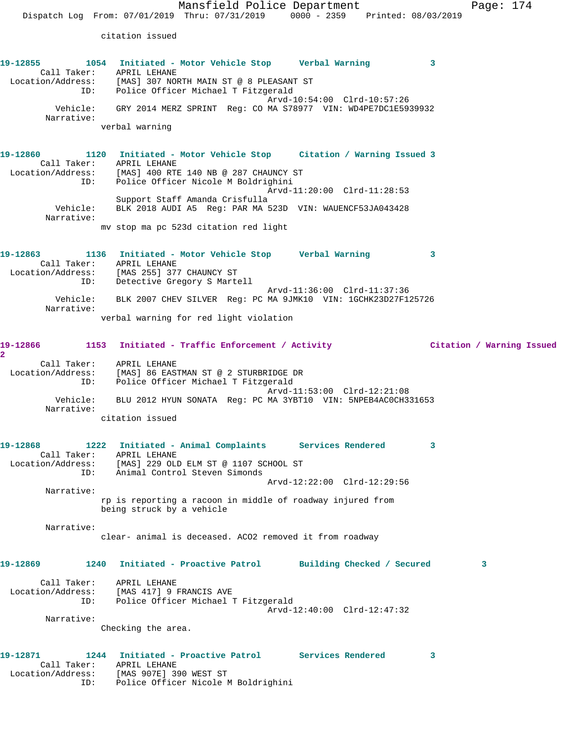citation issued

|                          | citation issued                                                                                                                                                                                            |                             |                         |
|--------------------------|------------------------------------------------------------------------------------------------------------------------------------------------------------------------------------------------------------|-----------------------------|-------------------------|
|                          | 19-12855 1054 Initiated - Motor Vehicle Stop Verbal Warning 3<br>Call Taker: APRIL LEHANE<br>Location/Address: [MAS] 307 NORTH MAIN ST @ 8 PLEASANT ST<br>ID: Police Officer Michael T Fitzgerald          |                             |                         |
| Narrative:               | Vehicle: GRY 2014 MERZ SPRINT Reg: CO MA S78977 VIN: WD4PE7DC1E5939932<br>verbal warning                                                                                                                   | Arvd-10:54:00 Clrd-10:57:26 |                         |
|                          |                                                                                                                                                                                                            |                             |                         |
|                          | 19-12860 1120 Initiated - Motor Vehicle Stop Citation / Warning Issued 3<br>Call Taker: APRIL LEHANE<br>Location/Address: [MAS] 400 RTE 140 NB @ 287 CHAUNCY ST<br>ID: Police Officer Nicole M Boldrighini |                             |                         |
|                          |                                                                                                                                                                                                            | Arvd-11:20:00 Clrd-11:28:53 |                         |
| Narrative:               | Support Staff Amanda Crisfulla<br>Vehicle: BLK 2018 AUDI A5 Reg: PAR MA 523D VIN: WAUENCF53JA043428                                                                                                        |                             |                         |
|                          | my stop ma pc 523d citation red light                                                                                                                                                                      |                             |                         |
|                          | 19-12863     1136 Initiated - Motor Vehicle Stop    Verbal Warning                                                                                                                                         |                             | $\overline{\mathbf{3}}$ |
|                          | Call Taker: APRIL LEHANE<br>Location/Address: [MAS 255] 377 CHAUNCY ST<br>ID: Detective Gregory S Martell                                                                                                  |                             |                         |
| Narrative:               | Vehicle: BLK 2007 CHEV SILVER Reg: PC MA 9JMK10 VIN: 1GCHK23D27F125726                                                                                                                                     | Arvd-11:36:00 Clrd-11:37:36 |                         |
|                          | verbal warning for red light violation                                                                                                                                                                     |                             |                         |
| $\overline{a}$           | 19-12866 1153 Initiated - Traffic Enforcement / Activity Citation / Warning Issued                                                                                                                         |                             |                         |
| Call Taker: APRIL LEHANE |                                                                                                                                                                                                            |                             |                         |
|                          | Location/Address: [MAS] 86 EASTMAN ST @ 2 STURBRIDGE DR<br>ID: Police Officer Michael T Fitzgerald                                                                                                         | Arvd-11:53:00 Clrd-12:21:08 |                         |
| Narrative:               | Vehicle: BLU 2012 HYUN SONATA Reg: PC MA 3YBT10 VIN: 5NPEB4AC0CH331653                                                                                                                                     |                             |                         |
|                          | citation issued                                                                                                                                                                                            |                             |                         |
|                          | 19-12868 1222 Initiated - Animal Complaints Services Rendered                                                                                                                                              |                             | $\overline{\mathbf{3}}$ |
|                          | Call Taker: APRIL LEHANE                                                                                                                                                                                   |                             |                         |
|                          | Location/Address: [MAS] 229 OLD ELM ST @ 1107 SCHOOL ST                                                                                                                                                    |                             |                         |

 ID: Animal Control Steven Simonds Arvd-12:22:00 Clrd-12:29:56 Narrative:

> rp is reporting a racoon in middle of roadway injured from being struck by a vehicle

Narrative:

clear- animal is deceased. ACO2 removed it from roadway

**19-12869 1240 Initiated - Proactive Patrol Building Checked / Secured 3**

 Call Taker: APRIL LEHANE Location/Address: [MAS 417] 9 FRANCIS AVE ID: Police Officer Michael T Fitzgerald Arvd-12:40:00 Clrd-12:47:32

Narrative:

Checking the area.

## **19-12871 1244 Initiated - Proactive Patrol Services Rendered 3**  Call Taker: APRIL LEHANE Location/Address: [MAS 907E] 390 WEST ST ID: Police Officer Nicole M Boldrighini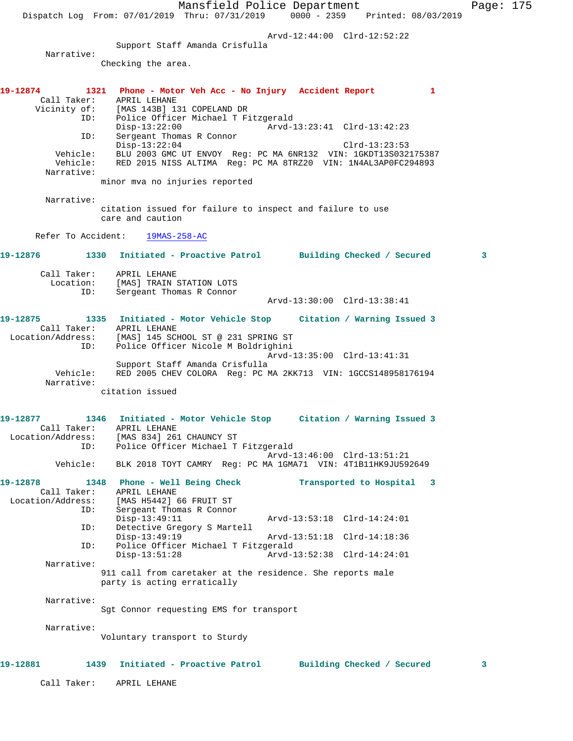Mansfield Police Department Page: 175 Dispatch Log From: 07/01/2019 Thru: 07/31/2019 0000 - 2359 Printed: 08/03/2019 Arvd-12:44:00 Clrd-12:52:22 Support Staff Amanda Crisfulla Narrative: Checking the area. **19-12874 1321 Phone - Motor Veh Acc - No Injury Accident Report 1**  Call Taker: APRIL LEHANE Vicinity of: [MAS 143B] 131 COPELAND DR ID: Police Officer Michael T Fitzgerald Disp-13:22:00 Arvd-13:23:41 Clrd-13:42:23<br>ID: Sergeant Thomas R Connor Sergeant Thomas R Connor<br>Disp-13:22:04 Disp-13:22:04 Clrd-13:23:53 Vehicle: BLU 2003 GMC UT ENVOY Reg: PC MA 6NR132 VIN: 1GKDT13S032175387 Vehicle: RED 2015 NISS ALTIMA Reg: PC MA 8TRZ20 VIN: 1N4AL3AP0FC294893 Narrative: minor mva no injuries reported Narrative: citation issued for failure to inspect and failure to use care and caution Refer To Accident: 19MAS-258-AC **19-12876 1330 Initiated - Proactive Patrol Building Checked / Secured 3** Call Taker: APRIL LEHANE Location: [MAS] TRAIN STATION LOTS ID: Sergeant Thomas R Connor Arvd-13:30:00 Clrd-13:38:41 **19-12875 1335 Initiated - Motor Vehicle Stop Citation / Warning Issued 3**  Call Taker: APRIL LEHANE Location/Address: [MAS] 145 SCHOOL ST @ 231 SPRING ST ID: Police Officer Nicole M Boldrighini Arvd-13:35:00 Clrd-13:41:31 Support Staff Amanda Crisfulla Vehicle: RED 2005 CHEV COLORA Reg: PC MA 2KK713 VIN: 1GCCS148958176194 Narrative: citation issued **19-12877 1346 Initiated - Motor Vehicle Stop Citation / Warning Issued 3**  Call Taker: APRIL LEHANE Location/Address: [MAS 834] 261 CHAUNCY ST ID: Police Officer Michael T Fitzgerald Arvd-13:46:00 Clrd-13:51:21 Vehicle: BLK 2018 TOYT CAMRY Reg: PC MA 1GMA71 VIN: 4T1B11HK9JU592649 **19-12878 1348 Phone - Well Being Check Transported to Hospital 3**  Call Taker: APRIL LEHANE Location/Address: [MAS H5442] 66 FRUIT ST ID: Sergeant Thomas R Connor Disp-13:49:11 Arvd-13:53:18 Clrd-14:24:01 ID: Detective Gregory S Martell Disp-13:49:19 Arvd-13:51:18 Clrd-14:18:36 ID: Police Officer Michael T Fitzgerald Disp-13:51:28 Arvd-13:52:38 Clrd-14:24:01 Narrative: 911 call from caretaker at the residence. She reports male party is acting erratically Narrative: Sgt Connor requesting EMS for transport Narrative: Voluntary transport to Sturdy **19-12881 1439 Initiated - Proactive Patrol Building Checked / Secured 3** Call Taker: APRIL LEHANE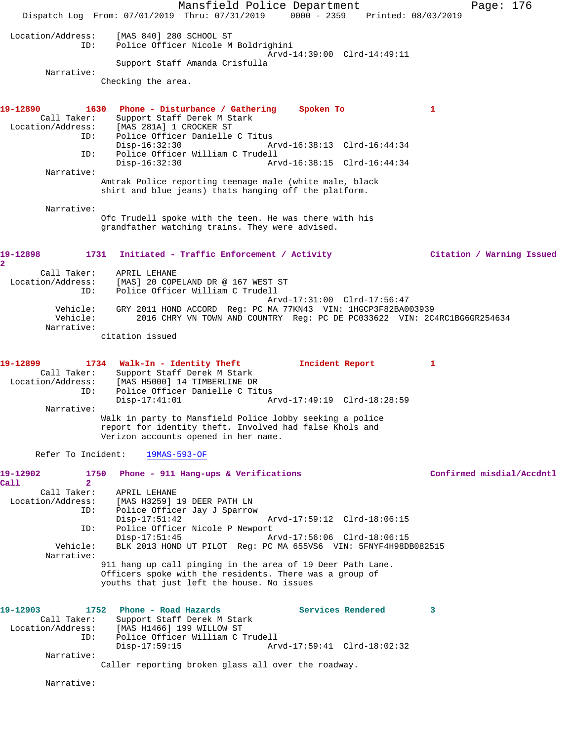Mansfield Police Department Fage: 176 Dispatch Log From: 07/01/2019 Thru: 07/31/2019 0000 - 2359 Printed: 08/03/2019 Location/Address: [MAS 840] 280 SCHOOL ST ID: Police Officer Nicole M Boldrighini Arvd-14:39:00 Clrd-14:49:11 Support Staff Amanda Crisfulla Narrative: Checking the area. **19-12890 1630 Phone - Disturbance / Gathering Spoken To 1**  Call Taker: Support Staff Derek M Stark Location/Address: [MAS 281A] 1 CROCKER ST ID: Police Officer Danielle C Titus Disp-16:32:30 Arvd-16:38:13 Clrd-16:44:34 ID: Police Officer William C Trudell Disp-16:32:30 Arvd-16:38:15 Clrd-16:44:34 Narrative: Amtrak Police reporting teenage male (white male, black shirt and blue jeans) thats hanging off the platform. Narrative: Ofc Trudell spoke with the teen. He was there with his grandfather watching trains. They were advised. **19-12898 1731 Initiated - Traffic Enforcement / Activity Citation / Warning Issued 2**  Call Taker: APRIL LEHANE Location/Address: [MAS] 20 COPELAND DR @ 167 WEST ST ID: Police Officer William C Trudell Arvd-17:31:00 Clrd-17:56:47 Vehicle: GRY 2011 HOND ACCORD Reg: PC MA 77KN43 VIN: 1HGCP3F82BA003939 2016 CHRY VN TOWN AND COUNTRY Reg: PC DE PC033622 VIN: 2C4RC1BG6GR254634 Narrative: citation issued **19-12899 1734 Walk-In - Identity Theft Incident Report 1**  Call Taker: Support Staff Derek M Stark Location/Address: [MAS H5000] 14 TIMBERLINE DR ID: Police Officer Danielle C Titus Disp-17:41:01 Arvd-17:49:19 Clrd-18:28:59 Narrative: Walk in party to Mansfield Police lobby seeking a police report for identity theft. Involved had false Khols and Verizon accounts opened in her name. Refer To Incident: 19MAS-593-OF **19-12902 1750 Phone - 911 Hang-ups & Verifications Confirmed misdial/Accdntl Call 2**  Call Taker: APRIL LEHANE Location/Address: [MAS H3259] 19 DEER PATH LN ID: Police Officer Jay J Sparrow Disp-17:51:42 Arvd-17:59:12 Clrd-18:06:15<br>ID: Police Officer Nicole P Newport Police Officer Nicole P Newport Disp-17:51:45 Arvd-17:56:06 Clrd-18:06:15<br>Vehicle: BLK 2013 HOND UT PILOT Req: PC MA 655VS6 VIN: 5FNYF4H98D BLK 2013 HOND UT PILOT Reg: PC MA 655VS6 VIN: 5FNYF4H98DB082515 Narrative: 911 hang up call pinging in the area of 19 Deer Path Lane. Officers spoke with the residents. There was a group of youths that just left the house. No issues **19-12903 1752 Phone - Road Hazards Services Rendered 3**  Call Taker: Support Staff Derek M Stark<br>Location/Address: [MAS H1466] 199 WILLOW ST ess: [MAS H1466] 199 WILLOW ST<br>TD: Police Officer William C Tr Police Officer William C Trudell<br>Disp-17:59:15 Arv Disp-17:59:15 Arvd-17:59:41 Clrd-18:02:32 Narrative: Caller reporting broken glass all over the roadway. Narrative: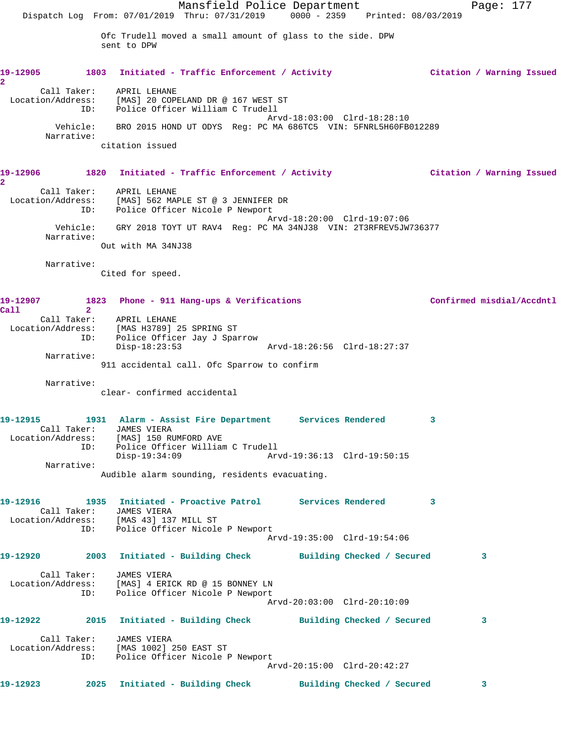Mansfield Police Department Fage: 177 Dispatch Log From: 07/01/2019 Thru: 07/31/2019 0000 - 2359 Printed: 08/03/2019 Ofc Trudell moved a small amount of glass to the side. DPW sent to DPW **19-12905 1803 Initiated - Traffic Enforcement / Activity Citation / Warning Issued 2**  Call Taker: APRIL LEHANE Location/Address: [MAS] 20 COPELAND DR @ 167 WEST ST ID: Police Officer William C Trudell Arvd-18:03:00 Clrd-18:28:10 Vehicle: BRO 2015 HOND UT ODYS Reg: PC MA 686TC5 VIN: 5FNRL5H60FB012289 Narrative: citation issued **19-12906 1820 Initiated - Traffic Enforcement / Activity Citation / Warning Issued 2**  Call Taker: APRIL LEHANE Location/Address: [MAS] 562 MAPLE ST @ 3 JENNIFER DR ID: Police Officer Nicole P Newport Arvd-18:20:00 Clrd-19:07:06 Vehicle: GRY 2018 TOYT UT RAV4 Reg: PC MA 34NJ38 VIN: 2T3RFREV5JW736377 Narrative: Out with MA 34NJ38 Narrative: Cited for speed. **19-12907 1823 Phone - 911 Hang-ups & Verifications Confirmed misdial/Accdntl Call 2**  Call Taker: APRIL LEHANE Location/Address: [MAS H3789] 25 SPRING ST ID: Police Officer Jay J Sparrow Disp-18:23:53 Arvd-18:26:56 Clrd-18:27:37 Narrative: 911 accidental call. Ofc Sparrow to confirm Narrative: clear- confirmed accidental **19-12915 1931 Alarm - Assist Fire Department Services Rendered 3**  Call Taker: JAMES VIERA Location/Address: [MAS] 150 RUMFORD AVE ID: Police Officer William C Trudell Disp-19:34:09 Narrative: Audible alarm sounding, residents evacuating. **19-12916 1935 Initiated - Proactive Patrol Services Rendered 3**  Call Taker: JAMES VIERA Location/Address: [MAS 43] 137 MILL ST ID: Police Officer Nicole P Newport Arvd-19:35:00 Clrd-19:54:06 **19-12920 2003 Initiated - Building Check Building Checked / Secured 3** Call Taker: JAMES VIERA Location/Address: [MAS] 4 ERICK RD @ 15 BONNEY LN ID: Police Officer Nicole P Newport Arvd-20:03:00 Clrd-20:10:09 **19-12922 2015 Initiated - Building Check Building Checked / Secured 3** Call Taker: JAMES VIERA Location/Address: [MAS 1002] 250 EAST ST ID: Police Officer Nicole P Newport Arvd-20:15:00 Clrd-20:42:27 **19-12923 2025 Initiated - Building Check Building Checked / Secured 3**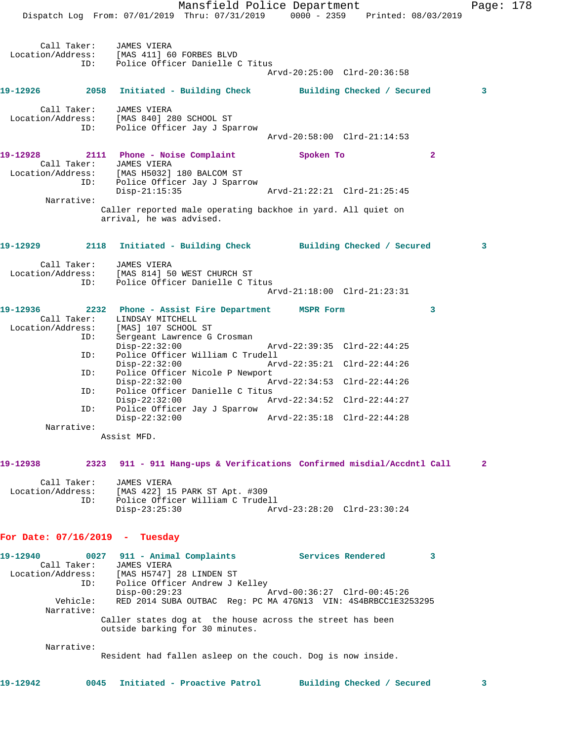Mansfield Police Department Page: 178 Dispatch Log From: 07/01/2019 Thru: 07/31/2019 0000 - 2359 Printed: 08/03/2019 Call Taker: JAMES VIERA Location/Address: [MAS 411] 60 FORBES BLVD ID: Police Officer Danielle C Titus Arvd-20:25:00 Clrd-20:36:58 **19-12926 2058 Initiated - Building Check Building Checked / Secured 3** Call Taker: JAMES VIERA Location/Address: [MAS 840] 280 SCHOOL ST ID: Police Officer Jay J Sparrow Arvd-20:58:00 Clrd-21:14:53 **19-12928 2111 Phone - Noise Complaint Spoken To 2**  Call Taker: JAMES VIERA Location/Address: [MAS H5032] 180 BALCOM ST ID: Police Officer Jay J Sparrow Disp-21:15:35 Arvd-21:22:21 Clrd-21:25:45 Narrative: Caller reported male operating backhoe in yard. All quiet on arrival, he was advised. **19-12929 2118 Initiated - Building Check Building Checked / Secured 3** Call Taker: JAMES VIERA Location/Address: [MAS 814] 50 WEST CHURCH ST ID: Police Officer Danielle C Titus Arvd-21:18:00 Clrd-21:23:31 **19-12936 2232 Phone - Assist Fire Department MSPR Form 3**  Call Taker: LINDSAY MITCHELL Location/Address: [MAS] 107 SCHOOL ST ID: Sergeant Lawrence G Crosman<br>Disp-22:32:00 Disp-22:32:00 Arvd-22:39:35 Clrd-22:44:25<br>ID: Police Officer William C Trudell Police Officer William C Trudell<br>Disp-22:32:00 Arv Disp-22:32:00 Arvd-22:35:21 Clrd-22:44:26 ID: Police Officer Nicole P Newport Disp-22:32:00 Arvd-22:34:53 Clrd-22:44:26 ID: Police Officer Danielle C Titus<br>Disp-22:32:00 Ar Disp-22:32:00 Arvd-22:34:52 Clrd-22:44:27<br>ID: Police Officer Jay J Sparrow Police Officer Jay J Sparrow Disp-22:32:00 Arvd-22:35:18 Clrd-22:44:28 Narrative: Assist MFD. **19-12938 2323 911 - 911 Hang-ups & Verifications Confirmed misdial/Accdntl Call 2** Call Taker: JAMES VIERA Location/Address: [MAS 422] 15 PARK ST Apt. #309 ID: Police Officer William C Trudell Disp-23:25:30 Arvd-23:28:20 Clrd-23:30:24 **For Date: 07/16/2019 - Tuesday 19-12940 0027 911 - Animal Complaints Services Rendered 3**  Call Taker: JAMES VIERA Location/Address: [MAS H5747] 28 LINDEN ST ID: Police Officer Andrew J Kelley Disp-00:29:23 Arvd-00:36:27 Clrd-00:45:26 Vehicle: RED 2014 SUBA OUTBAC Reg: PC MA 47GN13 VIN: 4S4BRBCC1E3253295 Narrative: Caller states dog at the house across the street has been outside barking for 30 minutes. Narrative: Resident had fallen asleep on the couch. Dog is now inside.

**19-12942 0045 Initiated - Proactive Patrol Building Checked / Secured 3**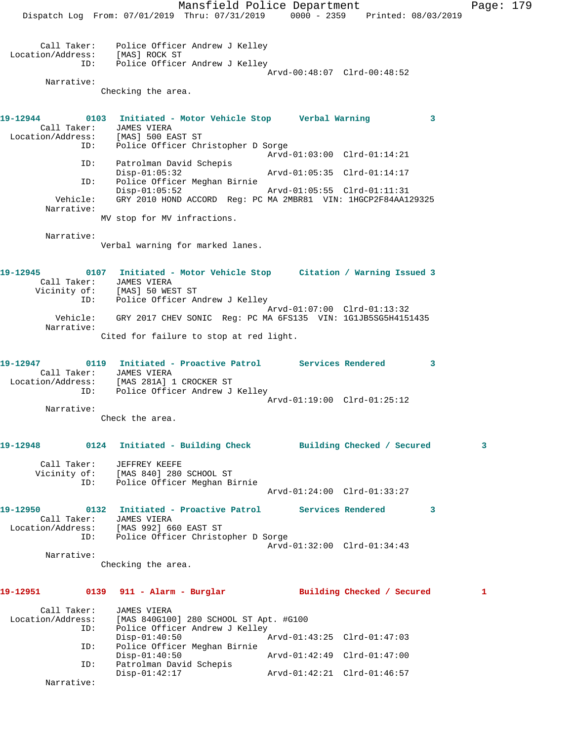Mansfield Police Department Page: 179 Dispatch Log From: 07/01/2019 Thru: 07/31/2019 0000 - 2359 Printed: 08/03/2019 Call Taker: Police Officer Andrew J Kelley Location/Address: [MAS] ROCK ST ID: Police Officer Andrew J Kelley Arvd-00:48:07 Clrd-00:48:52 Narrative: Checking the area. **19-12944 0103 Initiated - Motor Vehicle Stop Verbal Warning 3**  Call Taker: JAMES VIERA Location/Address: [MAS] 500 EAST ST ID: Police Officer Christopher D Sorge Arvd-01:03:00 Clrd-01:14:21 ID: Patrolman David Schepis Disp-01:05:32 Arvd-01:05:35 Clrd-01:14:17 ID: Police Officer Meghan Birnie Disp-01:05:52 Arvd-01:05:55 Clrd-01:11:31 Vehicle: GRY 2010 HOND ACCORD Reg: PC MA 2MBR81 VIN: 1HGCP2F84AA129325 Narrative: MV stop for MV infractions. Narrative: Verbal warning for marked lanes. **19-12945 0107 Initiated - Motor Vehicle Stop Citation / Warning Issued 3**  Call Taker: JAMES VIERA Vicinity of: [MAS] 50 WEST ST ID: Police Officer Andrew J Kelley Arvd-01:07:00 Clrd-01:13:32 Vehicle: GRY 2017 CHEV SONIC Reg: PC MA 6FS135 VIN: 1G1JB5SG5H4151435 Narrative: Cited for failure to stop at red light. **19-12947 0119 Initiated - Proactive Patrol Services Rendered 3**  Call Taker: JAMES VIERA Location/Address: [MAS 281A] 1 CROCKER ST ID: Police Officer Andrew J Kelley Arvd-01:19:00 Clrd-01:25:12 Narrative: Check the area. **19-12948 0124 Initiated - Building Check Building Checked / Secured 3** Call Taker: JEFFREY KEEFE Vicinity of: [MAS 840] 280 SCHOOL ST ID: Police Officer Meghan Birnie Arvd-01:24:00 Clrd-01:33:27 **19-12950 0132 Initiated - Proactive Patrol Services Rendered 3**  Call Taker: JAMES VIERA Location/Address: [MAS 992] 660 EAST ST ID: Police Officer Christopher D Sorge Arvd-01:32:00 Clrd-01:34:43 Narrative: Checking the area. **19-12951 0139 911 - Alarm - Burglar Building Checked / Secured 1** Call Taker: JAMES VIERA Location/Address: [MAS 840G100] 280 SCHOOL ST Apt. #G100 ID: Police Officer Andrew J Kelley<br>Disp-01:40:50 Disp-01:40:50 <br>ID: Police Officer Meghan Birnie<br> Police Officer Meghan Birnie<br>Disp-01:40:50 Disp-01:40:50 Arvd-01:42:49 Clrd-01:47:00 ID: Patrolman David Schepis Disp-01:42:17 Arvd-01:42:21 Clrd-01:46:57 Narrative: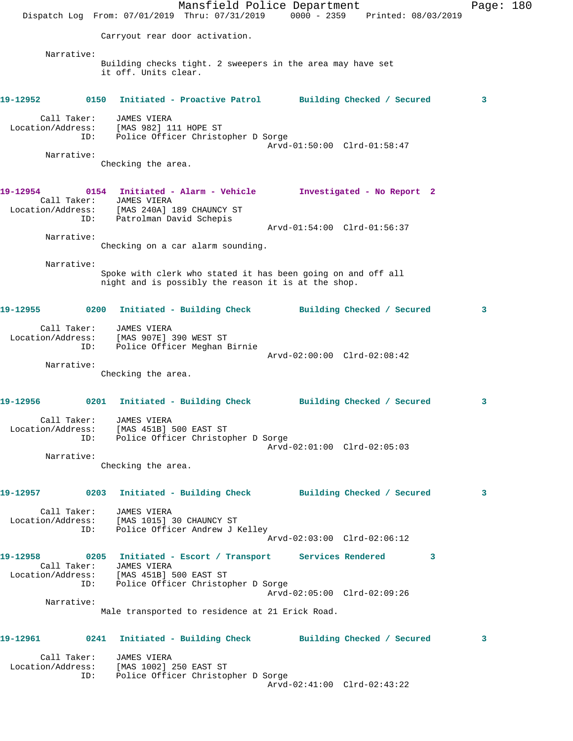Mansfield Police Department Fage: 180 Dispatch Log From: 07/01/2019 Thru: 07/31/2019 0000 - 2359 Printed: 08/03/2019 Carryout rear door activation. Narrative: Building checks tight. 2 sweepers in the area may have set it off. Units clear. **19-12952 0150 Initiated - Proactive Patrol Building Checked / Secured 3** Call Taker: JAMES VIERA Location/Address: [MAS 982] 111 HOPE ST ID: Police Officer Christopher D Sorge Arvd-01:50:00 Clrd-01:58:47 Narrative: Checking the area. **19-12954 0154 Initiated - Alarm - Vehicle Investigated - No Report 2**  Call Taker: JAMES VIERA Location/Address: [MAS 240A] 189 CHAUNCY ST ess. Inno 2000.<br>ID: Patrolman David Schepis Arvd-01:54:00 Clrd-01:56:37 Narrative: Checking on a car alarm sounding. Narrative: Spoke with clerk who stated it has been going on and off all night and is possibly the reason it is at the shop. **19-12955 0200 Initiated - Building Check Building Checked / Secured 3** Call Taker: JAMES VIERA Location/Address: [MAS 907E] 390 WEST ST ID: Police Officer Meghan Birnie Arvd-02:00:00 Clrd-02:08:42 Narrative: Checking the area. **19-12956 0201 Initiated - Building Check Building Checked / Secured 3** Call Taker: JAMES VIERA Location/Address: [MAS 451B] 500 EAST ST ID: Police Officer Christopher D Sorge Arvd-02:01:00 Clrd-02:05:03 Narrative: Checking the area. **19-12957 0203 Initiated - Building Check Building Checked / Secured 3** Call Taker: JAMES VIERA Location/Address: [MAS 1015] 30 CHAUNCY ST ID: Police Officer Andrew J Kelley Arvd-02:03:00 Clrd-02:06:12 **19-12958 0205 Initiated - Escort / Transport Services Rendered 3**  Call Taker: JAMES VIERA Location/Address: [MAS 451B] 500 EAST ST ID: Police Officer Christopher D Sorge Arvd-02:05:00 Clrd-02:09:26 Narrative: Male transported to residence at 21 Erick Road. **19-12961 0241 Initiated - Building Check Building Checked / Secured 3** Call Taker: JAMES VIERA Location/Address: [MAS 1002] 250 EAST ST ID: Police Officer Christopher D Sorge Arvd-02:41:00 Clrd-02:43:22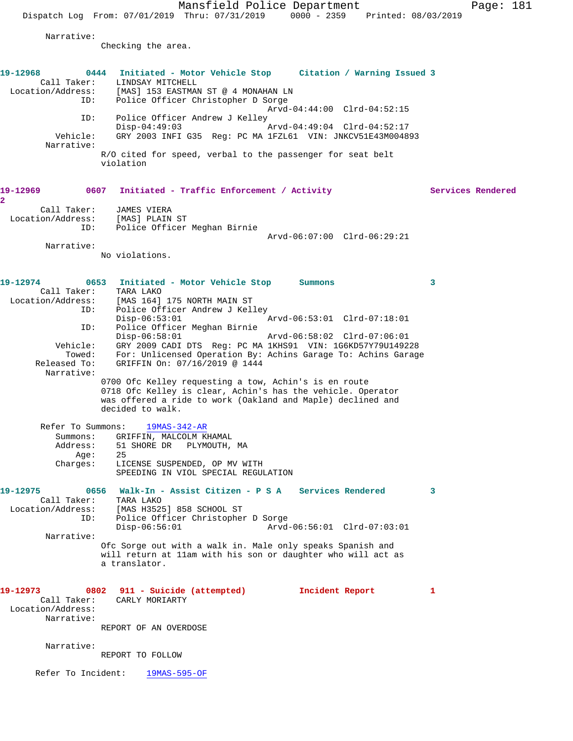Mansfield Police Department Page: 181

Dispatch Log From: 07/01/2019 Thru: 07/31/2019 0000 - 2359 Printed: 08/03/2019

Narrative:

Checking the area.

**19-12968 0444 Initiated - Motor Vehicle Stop Citation / Warning Issued 3**  Call Taker: LINDSAY MITCHELL Location/Address: [MAS] 153 EASTMAN ST @ 4 MONAHAN LN ID: Police Officer Christopher D Sorge Arvd-04:44:00 Clrd-04:52:15 ID: Police Officer Andrew J Kelley Disp-04:49:03 Arvd-04:49:04 Clrd-04:52:17 Vehicle: GRY 2003 INFI G35 Reg: PC MA 1FZL61 VIN: JNKCV51E43M004893 Narrative: R/O cited for speed, verbal to the passenger for seat belt violation 19-12969 0607 Initiated - Traffic Enforcement / Activity **Services Rendered 2**  Call Taker: JAMES VIERA Location/Address: [MAS] PLAIN ST ID: Police Officer Meghan Birnie Arvd-06:07:00 Clrd-06:29:21 Narrative: No violations. **19-12974 0653 Initiated - Motor Vehicle Stop Summons 3**  Call Taker: TARA LAKO Location/Address: [MAS 164] 175 NORTH MAIN ST ID: Police Officer Andrew J Kelley<br>Disp-06:53:01 Disp-06:53:01 Arvd-06:53:01 Clrd-07:18:01 ID: Police Officer Meghan Birnie<br>Disp-06:58:01<br>Vehicle: GRY 2009 CADI DTG - Disp-06:58:01 Arvd-06:58:02 Clrd-07:06:01 Vehicle: GRY 2009 CADI DTS Reg: PC MA 1KHS91 VIN: 1G6KD57Y79U149228 Towed: For: Unlicensed Operation By: Achins Garage To: Achins Garage Released To: GRIFFIN On: 07/16/2019 @ 1444 Narrative: 0700 Ofc Kelley requesting a tow, Achin's is en route 0718 Ofc Kelley is clear, Achin's has the vehicle. Operator was offered a ride to work (Oakland and Maple) declined and decided to walk. Refer To Summons: 19MAS-342-AR Summons: GRIFFIN, MALCOLM KHAMAL Address: 51 SHORE DR PLYMOUTH, MA Age: 25<br>Charges: LIC LICENSE SUSPENDED, OP MV WITH SPEEDING IN VIOL SPECIAL REGULATION **19-12975 0656 Walk-In - Assist Citizen - P S A Services Rendered 3**  Call Taker: TARA LAKO Location/Address: [MAS H3525] 858 SCHOOL ST ID: Police Officer Christopher D Sorge Disp-06:56:01 Arvd-06:56:01 Clrd-07:03:01 Narrative: Ofc Sorge out with a walk in. Male only speaks Spanish and will return at 11am with his son or daughter who will act as a translator. **19-12973 0802 911 - Suicide (attempted) Incident Report 1**  Call Taker: CARLY MORIARTY Location/Address: Narrative: REPORT OF AN OVERDOSE Narrative: REPORT TO FOLLOW

Refer To Incident: 19MAS-595-OF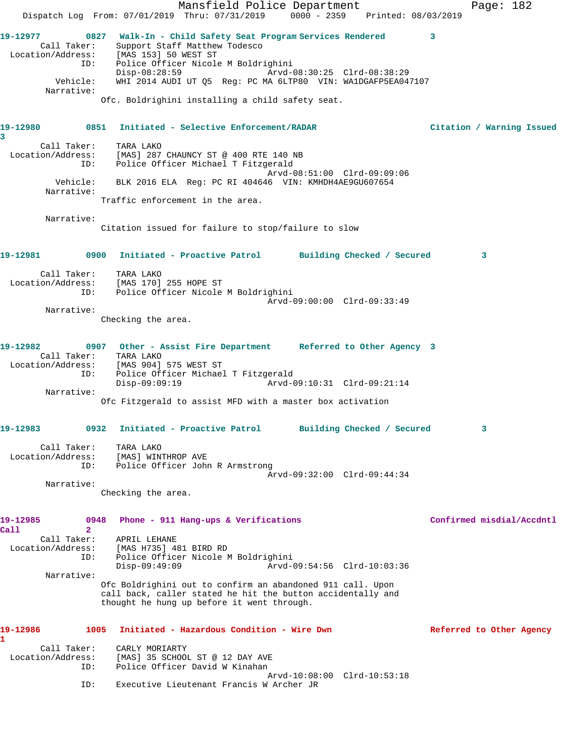|                                                                               |                                                                                                                                                                         | Mansfield Police Department                                       |                             |  |   | Page: 182                 |
|-------------------------------------------------------------------------------|-------------------------------------------------------------------------------------------------------------------------------------------------------------------------|-------------------------------------------------------------------|-----------------------------|--|---|---------------------------|
|                                                                               | Dispatch Log From: 07/01/2019 Thru: 07/31/2019 0000 - 2359 Printed: 08/03/2019                                                                                          |                                                                   |                             |  |   |                           |
| 19-12977<br>Call Taker:<br>Location/Address: [MAS 153] 50 WEST ST             | 0827 Walk-In - Child Safety Seat Program Services Rendered                                                                                                              | Support Staff Matthew Todesco                                     |                             |  | 3 |                           |
| ID:                                                                           | Disp-08:28:59                                                                                                                                                           | Police Officer Nicole M Boldrighini                               |                             |  |   |                           |
| Vehicle:<br>Narrative:                                                        | Ofc. Boldrighini installing a child safety seat.                                                                                                                        | WHI 2014 AUDI UT Q5 Reg: PC MA 6LTP80 VIN: WA1DGAFP5EA047107      |                             |  |   |                           |
|                                                                               |                                                                                                                                                                         |                                                                   |                             |  |   |                           |
| 19-12980<br>3                                                                 | 0851 Initiated - Selective Enforcement/RADAR                                                                                                                            |                                                                   |                             |  |   | Citation / Warning Issued |
| Call Taker:<br>Location/Address: [MAS] 287 CHAUNCY ST @ 400 RTE 140 NB<br>ID: | TARA LAKO                                                                                                                                                               | Police Officer Michael T Fitzgerald                               |                             |  |   |                           |
| Vehicle:<br>Narrative:                                                        |                                                                                                                                                                         | BLK 2016 ELA Req: PC RI 404646 VIN: KMHDH4AE9GU607654             | Arvd-08:51:00 Clrd-09:09:06 |  |   |                           |
|                                                                               | Traffic enforcement in the area.                                                                                                                                        |                                                                   |                             |  |   |                           |
| Narrative:                                                                    | Citation issued for failure to stop/failure to slow                                                                                                                     |                                                                   |                             |  |   |                           |
| 19-12981 0900 Initiated - Proactive Patrol Building Checked / Secured         |                                                                                                                                                                         |                                                                   |                             |  |   | 3                         |
| Call Taker:<br>Location/Address: [MAS 170] 255 HOPE ST                        | TARA LAKO<br>ID:                                                                                                                                                        | Police Officer Nicole M Boldrighini                               | Arvd-09:00:00 Clrd-09:33:49 |  |   |                           |
| Narrative:                                                                    | Checking the area.                                                                                                                                                      |                                                                   |                             |  |   |                           |
| 19-12982<br>Call Taker:                                                       | 0907 Other - Assist Fire Department Referred to Other Agency 3<br>TARA LAKO                                                                                             |                                                                   |                             |  |   |                           |
| Location/Address: [MAS 904] 575 WEST ST<br>ID:                                | $Disp-09:09:19$                                                                                                                                                         | Police Officer Michael T Fitzgerald                               |                             |  |   |                           |
| Narrative:                                                                    | Ofc Fitzgerald to assist MFD with a master box activation                                                                                                               |                                                                   |                             |  |   |                           |
| 19-12983                                                                      | 0932                                                                                                                                                                    | Initiated - Proactive Patrol                                      | Building Checked / Secured  |  |   | 3                         |
| Call Taker:<br>Location/Address:<br>ID:                                       | TARA LAKO<br>[MAS] WINTHROP AVE                                                                                                                                         | Police Officer John R Armstrong                                   | Arvd-09:32:00 Clrd-09:44:34 |  |   |                           |
| Narrative:                                                                    |                                                                                                                                                                         |                                                                   |                             |  |   |                           |
|                                                                               | Checking the area.                                                                                                                                                      |                                                                   |                             |  |   |                           |
| 19-12985<br>Call<br>$\mathbf{2}$                                              | 0948                                                                                                                                                                    | Phone - 911 Hang-ups & Verifications                              |                             |  |   | Confirmed misdial/Accdntl |
| Call Taker:<br>Location/Address:<br>ID:                                       | APRIL LEHANE<br>[MAS H735] 481 BIRD RD<br>$Disp-09:49:09$                                                                                                               | Police Officer Nicole M Boldrighini                               | Arvd-09:54:56 Clrd-10:03:36 |  |   |                           |
| Narrative:                                                                    | Ofc Boldrighini out to confirm an abandoned 911 call. Upon<br>call back, caller stated he hit the button accidentally and<br>thought he hung up before it went through. |                                                                   |                             |  |   |                           |
| 19-12986<br>1                                                                 | 1005                                                                                                                                                                    | Initiated - Hazardous Condition - Wire Dwn                        |                             |  |   | Referred to Other Agency  |
| Call Taker:<br>Location/Address:<br>ID:                                       | CARLY MORIARTY                                                                                                                                                          | [MAS] 35 SCHOOL ST @ 12 DAY AVE<br>Police Officer David W Kinahan | Arvd-10:08:00 Clrd-10:53:18 |  |   |                           |
| ID:                                                                           |                                                                                                                                                                         | Executive Lieutenant Francis W Archer JR                          |                             |  |   |                           |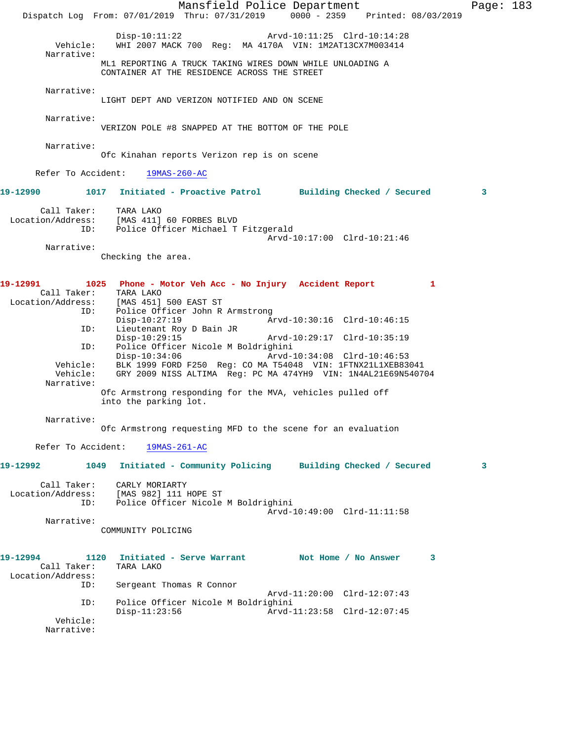Mansfield Police Department Page: 183 Dispatch Log From: 07/01/2019 Thru: 07/31/2019 0000 - 2359 Printed: 08/03/2019 Disp-10:11:22 Arvd-10:11:25 Clrd-10:14:28<br>Vehicle: WHI 2007 MACK 700 Reg: MA 4170A VIN: 1M2AT13CX7M003414 Vehicle: WHI 2007 MACK 700 Reg: MA 4170A VIN: 1M2AT13CX7M003414 Narrative: ML1 REPORTING A TRUCK TAKING WIRES DOWN WHILE UNLOADING A CONTAINER AT THE RESIDENCE ACROSS THE STREET Narrative: LIGHT DEPT AND VERIZON NOTIFIED AND ON SCENE Narrative: VERIZON POLE #8 SNAPPED AT THE BOTTOM OF THE POLE Narrative: Ofc Kinahan reports Verizon rep is on scene Refer To Accident: 19MAS-260-AC **19-12990 1017 Initiated - Proactive Patrol Building Checked / Secured 3** Call Taker: TARA LAKO Location/Address: [MAS 411] 60 FORBES BLVD ID: Police Officer Michael T Fitzgerald Arvd-10:17:00 Clrd-10:21:46 Narrative: Checking the area. **19-12991 1025 Phone - Motor Veh Acc - No Injury Accident Report 1**  Call Taker: TARA LAKO<br>Location/Address: [MAS 451] ess: [MAS 451] 500 EAST ST<br>ID: Police Officer John R Police Officer John R Armstrong<br>Disp-10:27:19 A Disp-10:27:19 Arvd-10:30:16 Clrd-10:46:15<br>TD: Lieutenant Roy D Bain JR Lieutenant Roy D Bain JR<br>Disp-10:29:15 Disp-10:29:15 Arvd-10:29:17 Clrd-10:35:19<br>ID: Police Officer Nicole M Boldrighini Police Officer Nicole M Boldrighini<br>Disp-10:34:06 Arvd-Disp-10:34:06 Arvd-10:34:08 Clrd-10:46:53<br>Vehicle: BLK 1999 FORD F250 Req: CO MA T54048 VIN: 1FTNX21L1XEB83 BLK 1999 FORD F250 Reg: CO MA T54048 VIN: 1FTNX21L1XEB83041 Vehicle: GRY 2009 NISS ALTIMA Reg: PC MA 474YH9 VIN: 1N4AL21E69N540704 Narrative: Ofc Armstrong responding for the MVA, vehicles pulled off into the parking lot. Narrative: Ofc Armstrong requesting MFD to the scene for an evaluation Refer To Accident: 19MAS-261-AC **19-12992 1049 Initiated - Community Policing Building Checked / Secured 3** Call Taker: CARLY MORIARTY<br>ion/Address: [MAS 982] 111 HOPE ST Location/Address:<br>ID: Police Officer Nicole M Boldrighini Arvd-10:49:00 Clrd-11:11:58 Narrative: COMMUNITY POLICING **19-12994 1120 Initiated - Serve Warrant Not Home / No Answer 3**  Call Taker: TARA LAKO Location/Address:<br>ID: Sergeant Thomas R Connor Arvd-11:20:00 Clrd-12:07:43<br>ID: Police Officer Nicole M Boldrighini Police Officer Nicole M Boldrighini<br>Disp-11:23:56 Arvd-Arvd-11:23:58 Clrd-12:07:45 Vehicle: Narrative: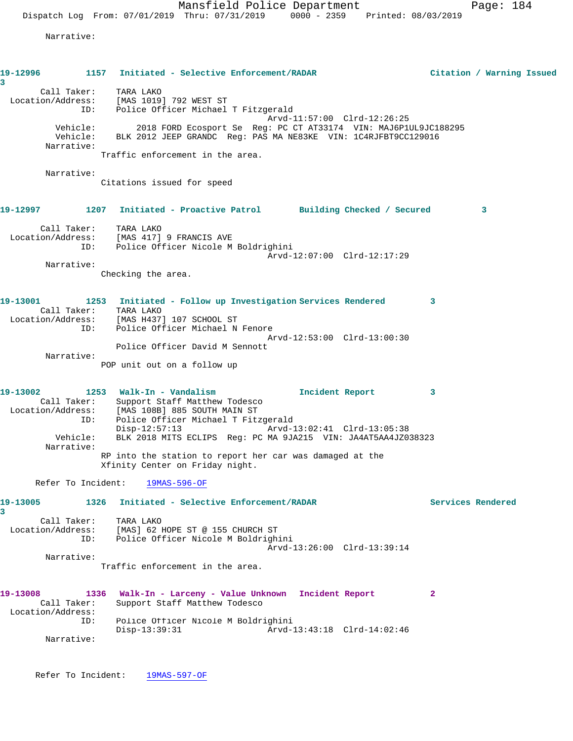Narrative:

| 19-12996                        |                                | 1157 Initiated - Selective Enforcement/RADAR                                                                                                                                                                         |                 |                             |                   | Citation / Warning Issued |  |
|---------------------------------|--------------------------------|----------------------------------------------------------------------------------------------------------------------------------------------------------------------------------------------------------------------|-----------------|-----------------------------|-------------------|---------------------------|--|
| 3<br>Call Taker:                | ID:                            | TARA LAKO<br>Location/Address: [MAS 1019] 792 WEST ST<br>Police Officer Michael T Fitzgerald                                                                                                                         |                 | Arvd-11:57:00 Clrd-12:26:25 |                   |                           |  |
| Narrative:                      | Vehicle:<br>Vehicle:           | 2018 FORD Ecosport Se Req: PC CT AT33174 VIN: MAJ6P1UL9JC188295<br>BLK 2012 JEEP GRANDC Req: PAS MA NE83KE VIN: 1C4RJFBT9CC129016                                                                                    |                 |                             |                   |                           |  |
|                                 |                                | Traffic enforcement in the area.                                                                                                                                                                                     |                 |                             |                   |                           |  |
| Narrative:                      |                                | Citations issued for speed                                                                                                                                                                                           |                 |                             |                   |                           |  |
| 19-12997                        |                                | 1207 Initiated - Proactive Patrol Building Checked / Secured                                                                                                                                                         |                 |                             |                   | 3                         |  |
| Call Taker:                     |                                | TARA LAKO<br>Location/Address: [MAS 417] 9 FRANCIS AVE<br>ID: Police Officer Nicole M Boldrighini                                                                                                                    |                 | Arvd-12:07:00 Clrd-12:17:29 |                   |                           |  |
| Narrative:                      |                                | Checking the area.                                                                                                                                                                                                   |                 |                             |                   |                           |  |
| 19-13001                        | ID:                            | 1253 Initiated - Follow up Investigation Services Rendered<br>Call Taker: TARA LAKO<br>Location/Address: [MAS H437] 107 SCHOOL ST<br>Police Officer Michael N Fenore                                                 |                 |                             | 3                 |                           |  |
| Narrative:                      |                                | Police Officer David M Sennott<br>POP unit out on a follow up                                                                                                                                                        |                 | Arvd-12:53:00 Clrd-13:00:30 |                   |                           |  |
| 19-13002<br>Location/Address:   | Call Taker:<br>ID:<br>Vehicle: | 1253 Walk-In - Vandalism<br>Support Staff Matthew Todesco<br>[MAS 108B] 885 SOUTH MAIN ST<br>Police Officer Michael T Fitzgerald<br>$Disp-12:57:13$<br>BLK 2018 MITS ECLIPS Req: PC MA 9JA215 VIN: JA4AT5AA4JZ038323 | Incident Report | Arvd-13:02:41 Clrd-13:05:38 | 3                 |                           |  |
| Narrative:                      |                                | RP into the station to report her car was damaged at the<br>Xfinity Center on Friday night.                                                                                                                          |                 |                             |                   |                           |  |
| Refer To Incident:              |                                | $19MAS-596-OF$                                                                                                                                                                                                       |                 |                             |                   |                           |  |
| 19-13005                        | 1326                           | Initiated - Selective Enforcement/RADAR                                                                                                                                                                              |                 |                             | Services Rendered |                           |  |
| 3<br>Location/Address:          | Call Taker:<br>ID:             | TARA LAKO<br>[MAS] 62 HOPE ST @ 155 CHURCH ST<br>Police Officer Nicole M Boldrighini                                                                                                                                 |                 | Arvd-13:26:00 Clrd-13:39:14 |                   |                           |  |
| Narrative:                      |                                | Traffic enforcement in the area.                                                                                                                                                                                     |                 |                             |                   |                           |  |
|                                 |                                |                                                                                                                                                                                                                      |                 |                             |                   |                           |  |
| 19-13008<br>Call Taker:         | 1336                           | Walk-In - Larceny - Value Unknown Incident Report<br>Support Staff Matthew Todesco                                                                                                                                   |                 |                             | 2                 |                           |  |
| Location/Address:<br>Narrative: | ID:                            | Police Officer Nicole M Boldrighini<br>$Disp-13:39:31$                                                                                                                                                               |                 | Arvd-13:43:18 Clrd-14:02:46 |                   |                           |  |
|                                 |                                |                                                                                                                                                                                                                      |                 |                             |                   |                           |  |

Refer To Incident: 19MAS-597-OF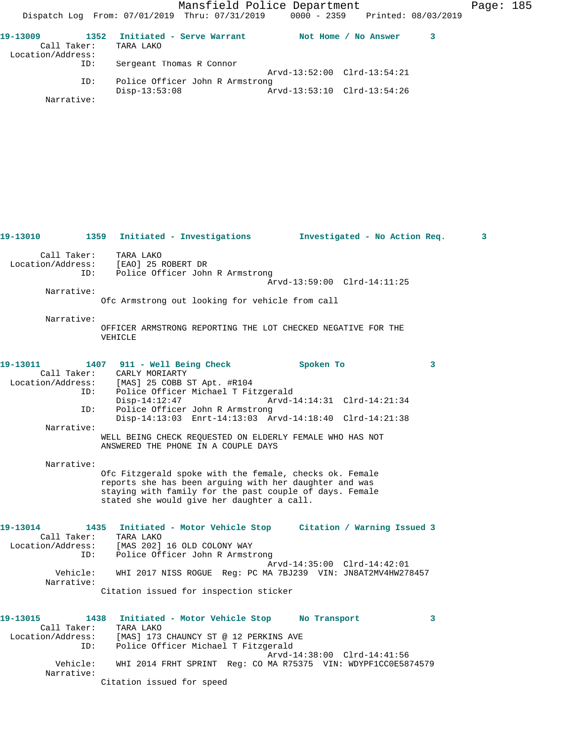Mansfield Police Department Fage: 185 Dispatch Log From: 07/01/2019 Thru: 07/31/2019 0000 - 2359 Printed: 08/03/2019 **19-13009 1352 Initiated - Serve Warrant Not Home / No Answer 3** 

| Call Taker:       | TARA LAKO                       |                             |
|-------------------|---------------------------------|-----------------------------|
| Location/Address: |                                 |                             |
| ID:               | Sergeant Thomas R Connor        |                             |
|                   |                                 | Arvd-13:52:00 Clrd-13:54:21 |
| ID:               | Police Officer John R Armstrong |                             |
|                   | Disp-13:53:08                   | Arvd-13:53:10 Clrd-13:54:26 |
| Narrative:        |                                 |                             |

| 19-13010                                            |     | 1359 Initiated - Investigations                                                                                                                                                                                                                                              | Investigated - No Action Req.               |   | 3 |
|-----------------------------------------------------|-----|------------------------------------------------------------------------------------------------------------------------------------------------------------------------------------------------------------------------------------------------------------------------------|---------------------------------------------|---|---|
|                                                     |     | Call Taker: TARA LAKO<br>Location/Address: [EAO] 25 ROBERT DR<br>ID: Police Officer John<br>Police Officer John R Armstrong                                                                                                                                                  | Arvd-13:59:00 Clrd-14:11:25                 |   |   |
| Narrative:                                          |     | Ofc Armstrong out looking for vehicle from call                                                                                                                                                                                                                              |                                             |   |   |
| Narrative:                                          |     | OFFICER ARMSTRONG REPORTING THE LOT CHECKED NEGATIVE FOR THE<br>VEHICLE                                                                                                                                                                                                      |                                             |   |   |
| 19-13011<br>ID:                                     | ID: | 1407 911 - Well Being Check Spoken To<br>Call Taker: CARLY MORIARTY<br>Location/Address: [MAS] 25 COBB ST Apt. #R104<br>Police Officer Michael T Fitzgerald<br>$Disp-14:12:47$<br>Police Officer John R Armstrong<br>Disp-14:13:03 Enrt-14:13:03 Arvd-14:18:40 Clrd-14:21:38 |                                             | 3 |   |
| Narrative:                                          |     | WELL BEING CHECK REQUESTED ON ELDERLY FEMALE WHO HAS NOT<br>ANSWERED THE PHONE IN A COUPLE DAYS                                                                                                                                                                              |                                             |   |   |
| Narrative:                                          |     | Ofc Fitzgerald spoke with the female, checks ok. Female<br>reports she has been arguing with her daughter and was<br>staying with family for the past couple of days. Female<br>stated she would give her daughter a call.                                                   |                                             |   |   |
| 19-13014<br>Call Taker:<br>Location/Address:<br>ID: |     | 1435 Initiated - Motor Vehicle Stop Citation / Warning Issued 3<br>TARA LAKO<br>[MAS 202] 16 OLD COLONY WAY<br>Police Officer John R Armstrong                                                                                                                               | Arvd-14:35:00 Clrd-14:42:01                 |   |   |
| Vehicle:<br>Narrative:                              |     | WHI 2017 NISS ROGUE Reg: PC MA 7BJ239 VIN: JN8AT2MV4HW278457<br>Citation issued for inspection sticker                                                                                                                                                                       |                                             |   |   |
| 19-13015<br>Call Taker:<br>Location/Address:        | ID: | 1438 Initiated - Motor Vehicle Stop<br>TARA LAKO<br>[MAS] 173 CHAUNCY ST @ 12 PERKINS AVE<br>Police Officer Michael T Fitzgerald                                                                                                                                             | No Transport<br>Arvd-14:38:00 Clrd-14:41:56 | 3 |   |
| Vehicle:<br>Narrative:                              |     | WHI 2014 FRHT SPRINT Req: CO MA R75375 VIN: WDYPF1CC0E5874579<br>Citation issued for speed                                                                                                                                                                                   |                                             |   |   |
|                                                     |     |                                                                                                                                                                                                                                                                              |                                             |   |   |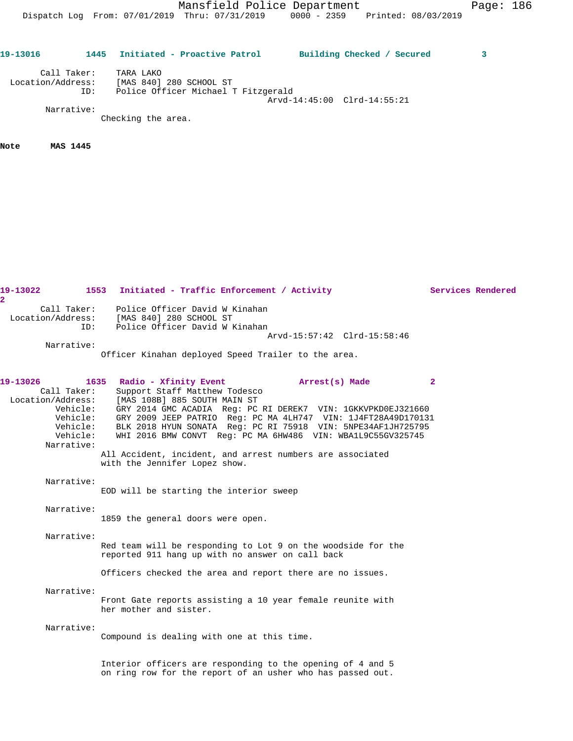Dispatch Log From: 07/01/2019 Thru: 07/31/2019 0000 - 2359 Printed: 08/03/2019

| 19-13016          | 1445               | Initiated - Proactive Patrol                                                | Building Checked / Secured  |  |
|-------------------|--------------------|-----------------------------------------------------------------------------|-----------------------------|--|
| Location/Address: | Call Taker:<br>ID: | TARA LAKO<br>[MAS 840] 280 SCHOOL ST<br>Police Officer Michael T Fitzgerald |                             |  |
|                   | Narrative:         | Checking the area.                                                          | Arvd-14:45:00 Clrd-14:55:21 |  |

**Note MAS 1445** 

| 19-13022<br>$\overline{\mathbf{2}}$                                                            | 1553 Initiated - Traffic Enforcement / Activity                                                                                                                                                                                                                                                                                                                                                                                                        |              | Services Rendered |
|------------------------------------------------------------------------------------------------|--------------------------------------------------------------------------------------------------------------------------------------------------------------------------------------------------------------------------------------------------------------------------------------------------------------------------------------------------------------------------------------------------------------------------------------------------------|--------------|-------------------|
| Call Taker:<br>Location/Address:<br>ID:<br>Narrative:                                          | Police Officer David W Kinahan<br>[MAS 840] 280 SCHOOL ST<br>Police Officer David W Kinahan<br>Arvd-15:57:42 Clrd-15:58:46                                                                                                                                                                                                                                                                                                                             |              |                   |
|                                                                                                | Officer Kinahan deployed Speed Trailer to the area.                                                                                                                                                                                                                                                                                                                                                                                                    |              |                   |
| 19-13026<br>Call Taker:<br>Location/Address:<br>Vehicle:<br>Vehicle:<br>Vehicle:<br>Narrative: | 1635<br>Radio - Xfinity Event<br>Arrest(s) Made<br>Support Staff Matthew Todesco<br>[MAS 108B] 885 SOUTH MAIN ST<br>GRY 2014 GMC ACADIA Req: PC RI DEREK7 VIN: 1GKKVPKD0EJ321660<br>Vehicle: GRY 2009 JEEP PATRIO Reg: PC MA 4LH747 VIN: 1J4FT28A49D170131<br>BLK 2018 HYUN SONATA Req: PC RI 75918 VIN: 5NPE34AF1JH725795<br>WHI 2016 BMW CONVT Req: PC MA 6HW486 VIN: WBA1L9C55GV325745<br>All Accident, incident, and arrest numbers are associated | $\mathbf{2}$ |                   |
|                                                                                                | with the Jennifer Lopez show.                                                                                                                                                                                                                                                                                                                                                                                                                          |              |                   |
| Narrative:                                                                                     | EOD will be starting the interior sweep                                                                                                                                                                                                                                                                                                                                                                                                                |              |                   |
| Narrative:                                                                                     | 1859 the general doors were open.                                                                                                                                                                                                                                                                                                                                                                                                                      |              |                   |
| Narrative:                                                                                     | Red team will be responding to Lot 9 on the woodside for the<br>reported 911 hang up with no answer on call back<br>Officers checked the area and report there are no issues.                                                                                                                                                                                                                                                                          |              |                   |
| Narrative:                                                                                     | Front Gate reports assisting a 10 year female reunite with<br>her mother and sister.                                                                                                                                                                                                                                                                                                                                                                   |              |                   |
| Narrative:                                                                                     | Compound is dealing with one at this time.                                                                                                                                                                                                                                                                                                                                                                                                             |              |                   |
|                                                                                                | Interior officers are responding to the opening of 4 and 5<br>on ring row for the report of an usher who has passed out.                                                                                                                                                                                                                                                                                                                               |              |                   |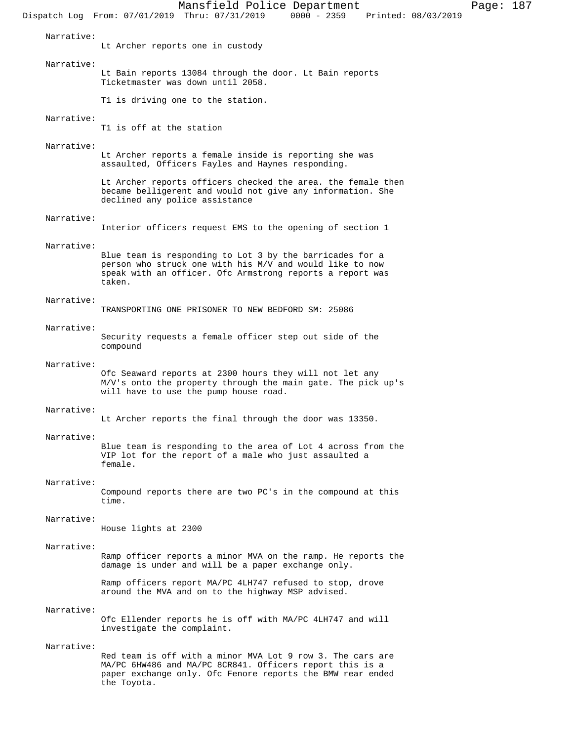Mansfield Police Department Page: 187 Dispatch Log From: 07/01/2019 Thru: 07/31/2019 Narrative: Lt Archer reports one in custody Narrative: Lt Bain reports 13084 through the door. Lt Bain reports Ticketmaster was down until 2058. T1 is driving one to the station. Narrative: T1 is off at the station Narrative: Lt Archer reports a female inside is reporting she was assaulted, Officers Fayles and Haynes responding. Lt Archer reports officers checked the area. the female then became belligerent and would not give any information. She declined any police assistance Narrative: Interior officers request EMS to the opening of section 1 Narrative: Blue team is responding to Lot 3 by the barricades for a person who struck one with his M/V and would like to now speak with an officer. Ofc Armstrong reports a report was taken. Narrative: TRANSPORTING ONE PRISONER TO NEW BEDFORD SM: 25086 Narrative: Security requests a female officer step out side of the compound Narrative: Ofc Seaward reports at 2300 hours they will not let any M/V's onto the property through the main gate. The pick up's will have to use the pump house road. Narrative: Lt Archer reports the final through the door was 13350. Narrative: Blue team is responding to the area of Lot 4 across from the VIP lot for the report of a male who just assaulted a female. Narrative: Compound reports there are two PC's in the compound at this time. Narrative: House lights at 2300 Narrative: Ramp officer reports a minor MVA on the ramp. He reports the damage is under and will be a paper exchange only. Ramp officers report MA/PC 4LH747 refused to stop, drove around the MVA and on to the highway MSP advised. Narrative: Ofc Ellender reports he is off with MA/PC 4LH747 and will investigate the complaint. Narrative: Red team is off with a minor MVA Lot 9 row 3. The cars are MA/PC 6HW486 and MA/PC 8CR841. Officers report this is a paper exchange only. Ofc Fenore reports the BMW rear ended

the Toyota.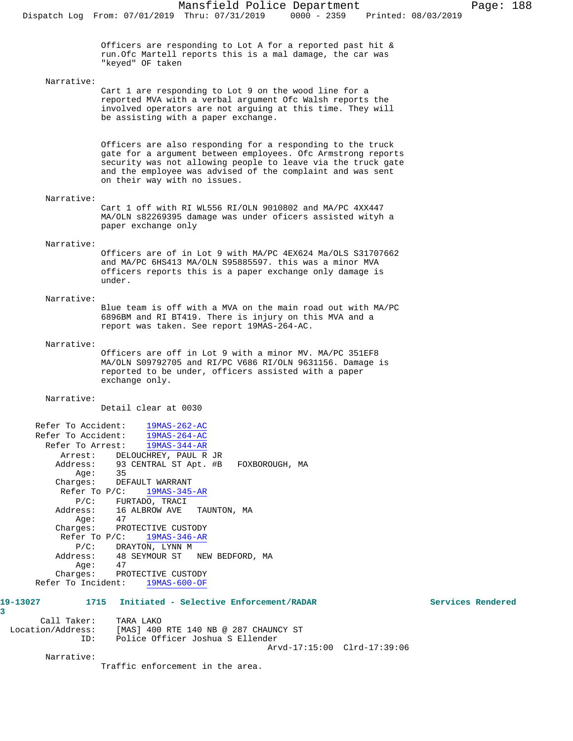Officers are responding to Lot A for a reported past hit & run.Ofc Martell reports this is a mal damage, the car was "keyed" OF taken

#### Narrative:

Cart 1 are responding to Lot 9 on the wood line for a reported MVA with a verbal argument Ofc Walsh reports the involved operators are not arguing at this time. They will be assisting with a paper exchange.

Officers are also responding for a responding to the truck gate for a argument between employees. Ofc Armstrong reports security was not allowing people to leave via the truck gate and the employee was advised of the complaint and was sent on their way with no issues.

### Narrative:

Cart 1 off with RI WL556 RI/OLN 9010802 and MA/PC 4XX447 MA/OLN s82269395 damage was under oficers assisted wityh a paper exchange only

## Narrative:

Officers are of in Lot 9 with MA/PC 4EX624 Ma/OLS S31707662 and MA/PC 6HS413 MA/OLN S95885597. this was a minor MVA officers reports this is a paper exchange only damage is under.

# Narrative:

Blue team is off with a MVA on the main road out with MA/PC 6896BM and RI BT419. There is injury on this MVA and a report was taken. See report 19MAS-264-AC.

## Narrative:

Officers are off in Lot 9 with a minor MV. MA/PC 351EF8 MA/OLN S09792705 and RI/PC V686 RI/OLN 9631156. Damage is reported to be under, officers assisted with a paper exchange only.

#### Narrative:

Detail clear at 0030 Refer To Accident: 19MAS-262-AC Refer To Accident:  $\frac{19MAS-264-AC}{19MAS-264-AC}$ Refer To Arrest: 19MAS-344-AR Arrest: DELOUCHREY, PAUL R JR Address: 93 CENTRAL ST Apt. #B FOXBOROUGH, MA Age: 35 Charges: DEFAULT WARRANT Refer To P/C: 19MAS-345-AR P/C: FURTADO, TRACI Address: 16 ALBROW AVE TAUNTON, MA Age: 47 Charges: PROTECTIVE CUSTODY Refer To P/C: 19MAS-346-AR P/C: DRAYTON, LYNN M Address: 48 SEYMOUR ST NEW BEDFORD, MA<br>Age: 47  $Age:$ Charges: PROTECTIVE CUSTODY<br>r To Incident: 19MAS-600-OF Refer To Incident: **19-13027 1715 Initiated - Selective Enforcement/RADAR Services Rendered**

**3**  Call Taker: TARA LAKO Location/Address: [MAS] 400 RTE 140 NB @ 287 CHAUNCY ST ID: Police Officer Joshua S Ellender Arvd-17:15:00 Clrd-17:39:06

Narrative:

Traffic enforcement in the area.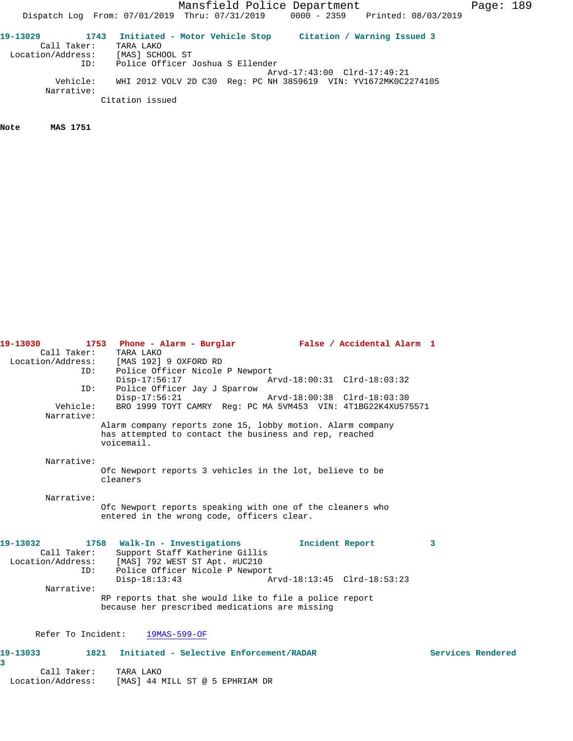Dispatch Log From: 07/01/2019 Thru: 07/31/2019 0000 - 2359 Printed: 08/03/2019

**19-13029 1743 Initiated - Motor Vehicle Stop Citation / Warning Issued 3**  Call Taker: TARA LAKO Location/Address: [MAS] SCHOOL ST ID: Police Officer Joshua S Ellender Arvd-17:43:00 Clrd-17:49:21 Vehicle: WHI 2012 VOLV 2D C30 Reg: PC NH 3859619 VIN: YV1672MK0C2274105 Narrative: Citation issued

**Note MAS 1751** 

| Call Taker:       | TARA LAKO                                                            |   |                   |
|-------------------|----------------------------------------------------------------------|---|-------------------|
| Location/Address: | [MAS 192] 9 OXFORD RD                                                |   |                   |
| ID:               | Police Officer Nicole P Newport                                      |   |                   |
|                   | $Disp-17:56:17$<br>Arvd-18:00:31 Clrd-18:03:32                       |   |                   |
| ID:               | Police Officer Jay J Sparrow                                         |   |                   |
|                   | $Disp-17:56:21$<br>Arvd-18:00:38 Clrd-18:03:30                       |   |                   |
| Vehicle:          | BRO 1999 TOYT CAMRY Req: PC MA 5VM453 VIN: 4T1BG22K4XU575571         |   |                   |
| Narrative:        |                                                                      |   |                   |
|                   | Alarm company reports zone 15, lobby motion. Alarm company           |   |                   |
|                   | has attempted to contact the business and rep, reached               |   |                   |
|                   | voicemail.                                                           |   |                   |
| Narrative:        |                                                                      |   |                   |
|                   |                                                                      |   |                   |
|                   | Ofc Newport reports 3 vehicles in the lot, believe to be<br>cleaners |   |                   |
|                   |                                                                      |   |                   |
| Narrative:        |                                                                      |   |                   |
|                   | Ofc Newport reports speaking with one of the cleaners who            |   |                   |
|                   | entered in the wrong code, officers clear.                           |   |                   |
|                   |                                                                      |   |                   |
|                   |                                                                      |   |                   |
| 19-13032          | 1758 Walk-In - Investigations<br>Incident Report                     | 3 |                   |
| Call Taker:       | Support Staff Katherine Gillis                                       |   |                   |
|                   | Location/Address: [MAS] 792 WEST ST Apt. #UC210                      |   |                   |
| ID:               | Police Officer Nicole P Newport                                      |   |                   |
|                   | $Disp-18:13:43$<br>Arvd-18:13:45 Clrd-18:53:23                       |   |                   |
| Narrative:        |                                                                      |   |                   |
|                   | RP reports that she would like to file a police report               |   |                   |
|                   | because her prescribed medications are missing                       |   |                   |
|                   |                                                                      |   |                   |
|                   | Refer To Incident: 19MAS-599-OF                                      |   |                   |
|                   |                                                                      |   |                   |
| 19-13033          | 1821<br>Initiated - Selective Enforcement/RADAR                      |   | Services Rendered |
| 3                 |                                                                      |   |                   |
|                   |                                                                      |   |                   |

**19-13030 1753 Phone - Alarm - Burglar False / Accidental Alarm 1** 

| Call Taker:       | TARA LAKO                       |
|-------------------|---------------------------------|
| Location/Address: | [MAS] 44 MILL ST @ 5 EPHRIAM DR |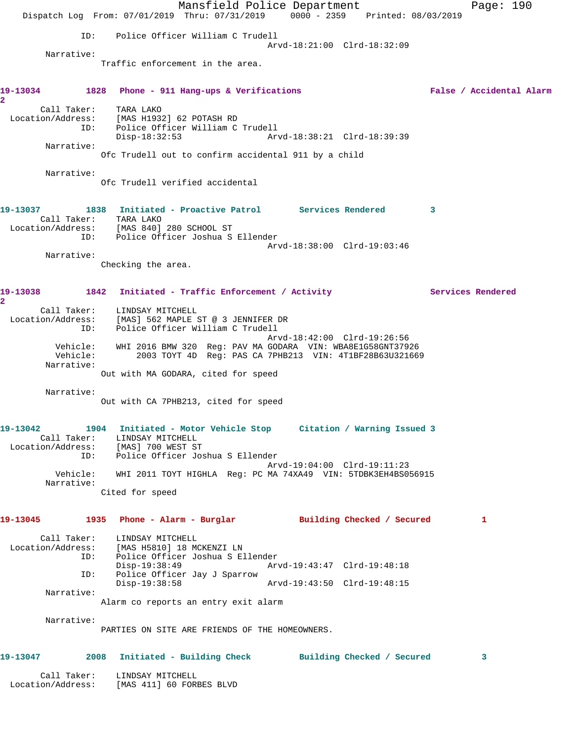Mansfield Police Department Fage: 190 Dispatch Log From: 07/01/2019 Thru: 07/31/2019 0000 - 2359 Printed: 08/03/2019 ID: Police Officer William C Trudell Arvd-18:21:00 Clrd-18:32:09 Narrative: Traffic enforcement in the area. **19-13034 1828 Phone - 911 Hang-ups & Verifications False / Accidental Alarm 2**  Call Taker: TARA LAKO Location/Address: [MAS H1932] 62 POTASH RD ID: Police Officer William C Trudell Disp-18:32:53 Arvd-18:38:21 Clrd-18:39:39 Narrative: Ofc Trudell out to confirm accidental 911 by a child Narrative: Ofc Trudell verified accidental **19-13037 1838 Initiated - Proactive Patrol Services Rendered 3**  Call Taker: TARA LAKO Location/Address: [MAS 840] 280 SCHOOL ST ID: Police Officer Joshua S Ellender Arvd-18:38:00 Clrd-19:03:46 Narrative: Checking the area. 19-13038 1842 Initiated - Traffic Enforcement / Activity **Services Rendered 2**  Call Taker: LINDSAY MITCHELL Location/Address: [MAS] 562 MAPLE ST @ 3 JENNIFER DR ID: Police Officer William C Trudell Arvd-18:42:00 Clrd-19:26:56 Vehicle: WHI 2016 BMW 320 Reg: PAV MA GODARA VIN: WBA8E1G58GNT37926 Vehicle: 2003 TOYT 4D Reg: PAS CA 7PHB213 VIN: 4T1BF28B63U321669 Narrative: Out with MA GODARA, cited for speed Narrative: Out with CA 7PHB213, cited for speed **19-13042 1904 Initiated - Motor Vehicle Stop Citation / Warning Issued 3**  Call Taker: LINDSAY MITCHELL Location/Address: [MAS] 700 WEST ST ID: Police Officer Joshua S Ellender Arvd-19:04:00 Clrd-19:11:23 Vehicle: WHI 2011 TOYT HIGHLA Reg: PC MA 74XA49 VIN: 5TDBK3EH4BS056915 Narrative: Cited for speed **19-13045 1935 Phone - Alarm - Burglar Building Checked / Secured 1** Call Taker: LINDSAY MITCHELL Location/Address: [MAS H5810] 18 MCKENZI LN ID: Police Officer Joshua S Ellender Disp-19:38:49 Arvd-19:43:47 Clrd-19:48:18 ID: Police Officer Jay J Sparrow Disp-19:38:58 Arvd-19:43:50 Clrd-19:48:15 Narrative: Alarm co reports an entry exit alarm Narrative: PARTIES ON SITE ARE FRIENDS OF THE HOMEOWNERS. **19-13047 2008 Initiated - Building Check Building Checked / Secured 3** Call Taker: LINDSAY MITCHELL Location/Address: [MAS 411] 60 FORBES BLVD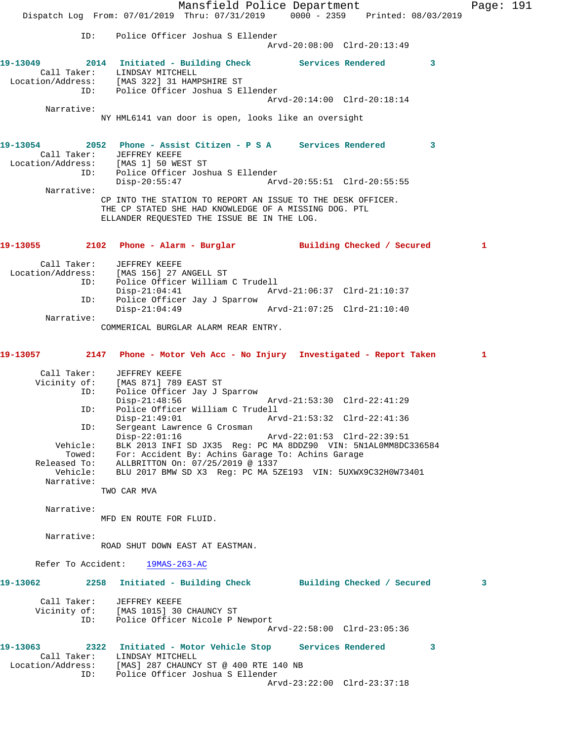Mansfield Police Department Page: 191 Dispatch Log From: 07/01/2019 Thru: 07/31/2019 0000 - 2359 Printed: 08/03/2019 ID: Police Officer Joshua S Ellender Arvd-20:08:00 Clrd-20:13:49 **19-13049 2014 Initiated - Building Check Services Rendered 3**  Call Taker: LINDSAY MITCHELL Location/Address: [MAS 322] 31 HAMPSHIRE ST ID: Police Officer Joshua S Ellender Arvd-20:14:00 Clrd-20:18:14 Narrative: NY HML6141 van door is open, looks like an oversight **19-13054 2052 Phone - Assist Citizen - P S A Services Rendered 3**  Call Taker: JEFFREY KEEFE Location/Address: [MAS 1] 50 WEST ST ID: Police Officer Joshua S Ellender Disp-20:55:47 Arvd-20:55:51 Clrd-20:55:55 Narrative: CP INTO THE STATION TO REPORT AN ISSUE TO THE DESK OFFICER. THE CP STATED SHE HAD KNOWLEDGE OF A MISSING DOG. PTL ELLANDER REQUESTED THE ISSUE BE IN THE LOG. **19-13055 2102 Phone - Alarm - Burglar Building Checked / Secured 1** Call Taker: JEFFREY KEEFE Location/Address: [MAS 156] 27 ANGELL ST Police Officer William C Trudell<br>Disp-21:04:41 Arv Disp-21:04:41 Arvd-21:06:37 Clrd-21:10:37 ID: Police Officer Jay J Sparrow Disp-21:04:49 Arvd-21:07:25 Clrd-21:10:40 Narrative: COMMERICAL BURGLAR ALARM REAR ENTRY. **19-13057 2147 Phone - Motor Veh Acc - No Injury Investigated - Report Taken 1** Call Taker: JEFFREY KEEFE Vicinity of: [MAS 871] 789 EAST ST ID: Police Officer Jay J Sparrow Disp-21:48:56 Arvd-21:53:30 Clrd-22:41:29 ID: Police Officer William C Trudell Arvd-21:53:32 Clrd-22:41:36 ID: Sergeant Lawrence G Crosman<br>Disp-22:01:16 Disp-22:01:16 Arvd-22:01:53 Clrd-22:39:51 Vehicle: BLK 2013 INFI SD JX35 Reg: PC MA 8DDZ90 VIN: 5N1AL0MM8DC336584 Towed: For: Accident By: Achins Garage To: Achins Garage Released To: ALLBRITTON On: 07/25/2019 @ 1337 Vehicle: BLU 2017 BMW SD X3 Reg: PC MA 5ZE193 VIN: 5UXWX9C32H0W73401 Narrative: TWO CAR MVA Narrative: MFD EN ROUTE FOR FLUID. Narrative: ROAD SHUT DOWN EAST AT EASTMAN. Refer To Accident: 19MAS-263-AC **19-13062 2258 Initiated - Building Check Building Checked / Secured 3** Call Taker: JEFFREY KEEFE Vicinity of: [MAS 1015] 30 CHAUNCY ST ID: Police Officer Nicole P Newport Arvd-22:58:00 Clrd-23:05:36 **19-13063 2322 Initiated - Motor Vehicle Stop Services Rendered 3**  Call Taker: LINDSAY MITCHELL Location/Address: [MAS] 287 CHAUNCY ST @ 400 RTE 140 NB ID: Police Officer Joshua S Ellender Arvd-23:22:00 Clrd-23:37:18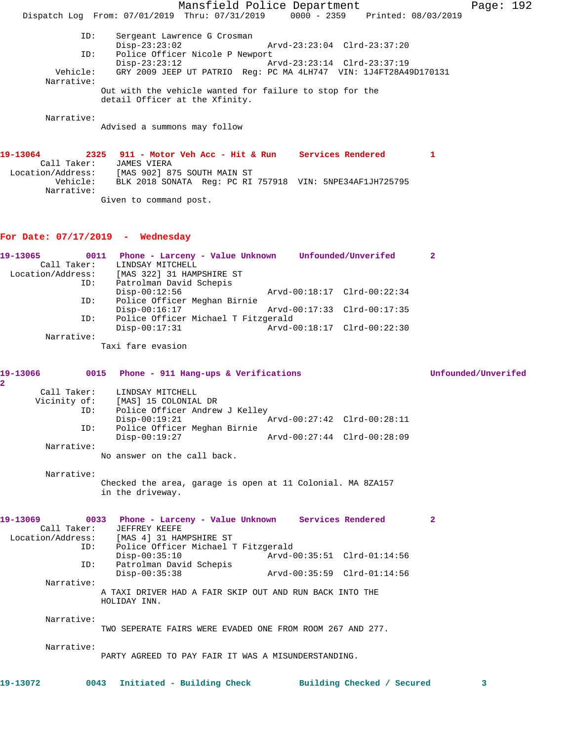Mansfield Police Department Page: 192 Dispatch Log From: 07/01/2019 Thru: 07/31/2019 0000 - 2359 Printed: 08/03/2019 ID: Sergeant Lawrence G Crosman Disp-23:23:02 Arvd-23:23:04 Clrd-23:37:20 ID: Police Officer Nicole P Newport<br>Disp-23:23:12 Az Disp-23:23:12 Arvd-23:23:14 Clrd-23:37:19<br>Vehicle: GRY 2009 JEEP UT PATRIO Reg: PC MA 4LH747 VIN: 1J4FT28A4 GRY 2009 JEEP UT PATRIO Reg: PC MA 4LH747 VIN: 1J4FT28A49D170131 Narrative: Out with the vehicle wanted for failure to stop for the detail Officer at the Xfinity. Narrative: Advised a summons may follow **19-13064 2325 911 - Motor Veh Acc - Hit & Run Services Rendered 1**  Call Taker: JAMES VIERA Location/Address: [MAS 902] 875 SOUTH MAIN ST Vehicle: BLK 2018 SONATA Reg: PC RI 757918 VIN: 5NPE34AF1JH725795

Given to command post.

# **For Date: 07/17/2019 - Wednesday**

Narrative:

| 19-13065          | 0011       | Phone - Larceny - Value Unknown     |                             | Unfounded/Unverifed         | 2 |
|-------------------|------------|-------------------------------------|-----------------------------|-----------------------------|---|
| Call Taker:       |            | LINDSAY MITCHELL                    |                             |                             |   |
| Location/Address: |            | [MAS 322] 31 HAMPSHIRE ST           |                             |                             |   |
|                   | ID:        | Patrolman David Schepis             |                             |                             |   |
|                   |            | $Disp-00:12:56$                     |                             | Arvd-00:18:17 Clrd-00:22:34 |   |
|                   | ID:        | Police Officer Meghan Birnie        |                             |                             |   |
|                   |            | $Disp-00:16:17$                     | Arvd-00:17:33 Clrd-00:17:35 |                             |   |
|                   | ID:        | Police Officer Michael T Fitzgerald |                             |                             |   |
|                   |            | $Disp-00:17:31$                     |                             | Arvd-00:18:17 Clrd-00:22:30 |   |
|                   | Narrative: |                                     |                             |                             |   |

Taxi fare evasion

**19-13066 0015 Phone - 911 Hang-ups & Verifications Unfounded/Unverifed 2**  Call Taker: LINDSAY MITCHELL<br>Vicinity of: [MAS] 15 COLONIA of: [MAS] 15 COLONIAL DR<br>ID: Police Officer Andrew Police Officer Andrew J Kelley Disp-00:19:21 Arvd-00:27:42 Clrd-00:28:11 ID: Police Officer Meghan Birnie Disp-00:19:27 Arvd-00:27:44 Clrd-00:28:09 Narrative: No answer on the call back. Narrative: Checked the area, garage is open at 11 Colonial. MA 8ZA157 in the driveway. **19-13069 0033 Phone - Larceny - Value Unknown Services Rendered 2**  Call Taker: JEFFREY KEEFE Location/Address: [MAS 4] 31 HAMPSHIRE ST ID: Police Officer Michael T Fitzgerald Disp-00:35:10 Arvd-00:35:51 Clrd-01:14:56<br>ID: Patrolman David Schepis Patrolman David Schepis<br>Disp-00:35:38 Disp-00:35:38 Arvd-00:35:59 Clrd-01:14:56 Narrative: A TAXI DRIVER HAD A FAIR SKIP OUT AND RUN BACK INTO THE HOLIDAY INN.

#### Narrative:

TWO SEPERATE FAIRS WERE EVADED ONE FROM ROOM 267 AND 277.

Narrative:

PARTY AGREED TO PAY FAIR IT WAS A MISUNDERSTANDING.

**19-13072 0043 Initiated - Building Check Building Checked / Secured 3**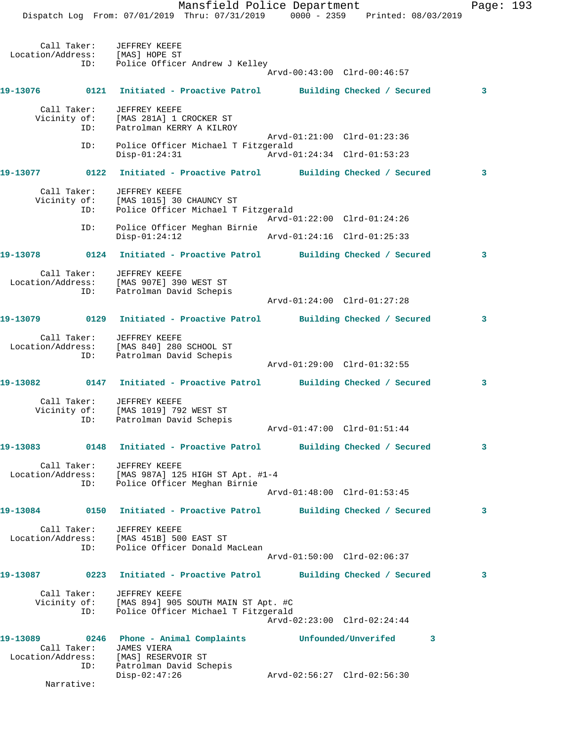Dispatch Log From: 07/01/2019 Thru: 07/31/2019 0000 - 2359 Printed: 08/03/2019 Call Taker: JEFFREY KEEFE Location/Address: [MAS] HOPE ST ID: Police Officer Andrew J Kelley Arvd-00:43:00 Clrd-00:46:57 **19-13076 0121 Initiated - Proactive Patrol Building Checked / Secured 3** Call Taker: JEFFREY KEEFE Vicinity of: [MAS 281A] 1 CROCKER ST ID: Patrolman KERRY A KILROY Arvd-01:21:00 Clrd-01:23:36 ID: Police Officer Michael T Fitzgerald Disp-01:24:31 Arvd-01:24:34 Clrd-01:53:23 **19-13077 0122 Initiated - Proactive Patrol Building Checked / Secured 3** Call Taker: JEFFREY KEEFE Vicinity of: [MAS 1015] 30 CHAUNCY ST ID: Police Officer Michael T Fitzgerald Arvd-01:22:00 Clrd-01:24:26 ID: Police Officer Meghan Birnie Disp-01:24:12 Arvd-01:24:16 Clrd-01:25:33 **19-13078 0124 Initiated - Proactive Patrol Building Checked / Secured 3** Call Taker: JEFFREY KEEFE Location/Address: [MAS 907E] 390 WEST ST ID: Patrolman David Schepis Arvd-01:24:00 Clrd-01:27:28 **19-13079 0129 Initiated - Proactive Patrol Building Checked / Secured 3** Call Taker: JEFFREY KEEFE Location/Address: [MAS 840] 280 SCHOOL ST ID: Patrolman David Schepis Arvd-01:29:00 Clrd-01:32:55 **19-13082 0147 Initiated - Proactive Patrol Building Checked / Secured 3** Call Taker: JEFFREY KEEFE Vicinity of: [MAS 1019] 792 WEST ST ID: Patrolman David Schepis Arvd-01:47:00 Clrd-01:51:44 **19-13083 0148 Initiated - Proactive Patrol Building Checked / Secured 3** Call Taker: JEFFREY KEEFE Location/Address: [MAS 987A] 125 HIGH ST Apt. #1-4 ID: Police Officer Meghan Birnie Arvd-01:48:00 Clrd-01:53:45 **19-13084 0150 Initiated - Proactive Patrol Building Checked / Secured 3** Call Taker: JEFFREY KEEFE Location/Address: [MAS 451B] 500 EAST ST ID: Police Officer Donald MacLean Arvd-01:50:00 Clrd-02:06:37 **19-13087 0223 Initiated - Proactive Patrol Building Checked / Secured 3** Call Taker: JEFFREY KEEFE Vicinity of: [MAS 894] 905 SOUTH MAIN ST Apt. #C ID: Police Officer Michael T Fitzgerald Arvd-02:23:00 Clrd-02:24:44 **19-13089 0246 Phone - Animal Complaints Unfounded/Unverifed 3**  Call Taker: JAMES VIERA Location/Address: [MAS] RESERVOIR ST ID: Patrolman David Schepis Disp-02:47:26 Arvd-02:56:27 Clrd-02:56:30

Narrative:

Mansfield Police Department Page: 193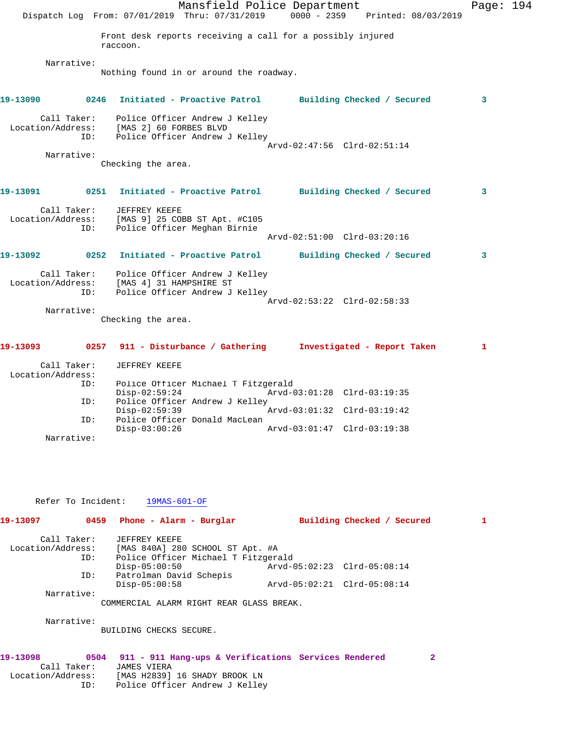Mansfield Police Department Page: 194 Dispatch Log From: 07/01/2019 Thru: 07/31/2019 0000 - 2359 Printed: 08/03/2019 Front desk reports receiving a call for a possibly injured raccoon. Narrative: Nothing found in or around the roadway. **19-13090 0246 Initiated - Proactive Patrol Building Checked / Secured 3** Call Taker: Police Officer Andrew J Kelley Location/Address: [MAS 2] 60 FORBES BLVD ID: Police Officer Andrew J Kelley Arvd-02:47:56 Clrd-02:51:14 Narrative: Checking the area. **19-13091 0251 Initiated - Proactive Patrol Building Checked / Secured 3** Call Taker: JEFFREY KEEFE Location/Address: [MAS 9] 25 COBB ST Apt. #C105 ID: Police Officer Meghan Birnie Arvd-02:51:00 Clrd-03:20:16 **19-13092 0252 Initiated - Proactive Patrol Building Checked / Secured 3** Call Taker: Police Officer Andrew J Kelley Location/Address: [MAS 4] 31 HAMPSHIRE ST ID: Police Officer Andrew J Kelley Arvd-02:53:22 Clrd-02:58:33 Narrative: Checking the area. **19-13093 0257 911 - Disturbance / Gathering Investigated - Report Taken 1** Call Taker: JEFFREY KEEFE Location/Address:

| ID:        |                 | Police Officer Michael T Fitzgerald |                             |  |
|------------|-----------------|-------------------------------------|-----------------------------|--|
|            | Disp-02:59:24   |                                     | Arvd-03:01:28 Clrd-03:19:35 |  |
| ID:        |                 | Police Officer Andrew J Kelley      |                             |  |
|            | Disp-02:59:39   |                                     |                             |  |
| TD:        |                 | Police Officer Donald MacLean       |                             |  |
|            | $Disp-03:00:26$ |                                     | Arvd-03:01:47 Clrd-03:19:38 |  |
| Narrative: |                 |                                     |                             |  |

Refer To Incident: 19MAS-601-OF

| 19-13097          | 0459 | Phone - Alarm - Burglar                  |                             |  | Building Checked / Secured |  |
|-------------------|------|------------------------------------------|-----------------------------|--|----------------------------|--|
| Call Taker:       |      | JEFFREY KEEFE                            |                             |  |                            |  |
| Location/Address: |      | [MAS 840A] 280 SCHOOL ST Apt. #A         |                             |  |                            |  |
|                   | ID:  | Police Officer Michael T Fitzgerald      |                             |  |                            |  |
|                   |      | $Disp-05:00:50$                          | Arvd-05:02:23 Clrd-05:08:14 |  |                            |  |
|                   | ID:  | Patrolman David Schepis                  |                             |  |                            |  |
|                   |      | $Disp-05:00:58$                          | Arvd-05:02:21 Clrd-05:08:14 |  |                            |  |
| Narrative:        |      |                                          |                             |  |                            |  |
|                   |      | COMMERCIAL ALARM RIGHT REAR GLASS BREAK. |                             |  |                            |  |
| Narrative:        |      |                                          |                             |  |                            |  |
|                   |      | BUILDING CHECKS SECURE.                  |                             |  |                            |  |
|                   |      |                                          |                             |  |                            |  |

| 19-13098          |             |                                | 0504 911 - 911 Hang-ups & Verifications Services Rendered |  |  |
|-------------------|-------------|--------------------------------|-----------------------------------------------------------|--|--|
| Call Taker:       | JAMES VIERA |                                |                                                           |  |  |
| Location/Address: |             | [MAS H2839] 16 SHADY BROOK LN  |                                                           |  |  |
| TD:               |             | Police Officer Andrew J Kelley |                                                           |  |  |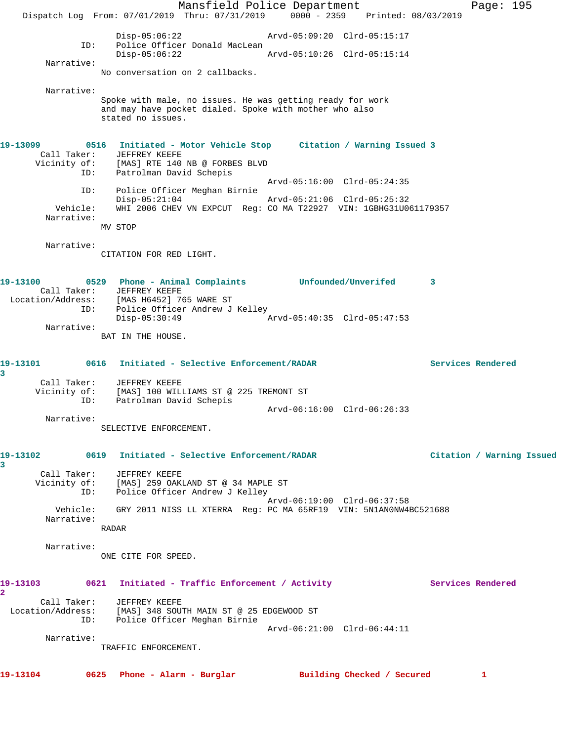Mansfield Police Department Page: 195 Dispatch Log From: 07/01/2019 Thru: 07/31/2019 0000 - 2359 Printed: 08/03/2019 Disp-05:06:22 Arvd-05:09:20 Clrd-05:15:17 ID: Police Officer Donald MacLean<br>Disp-05:06:22 Disp-05:06:22 Arvd-05:10:26 Clrd-05:15:14 Narrative: No conversation on 2 callbacks. Narrative: Spoke with male, no issues. He was getting ready for work and may have pocket dialed. Spoke with mother who also stated no issues. **19-13099 0516 Initiated - Motor Vehicle Stop Citation / Warning Issued 3**  Call Taker: JEFFREY KEEFE Vicinity of: [MAS] RTE 140 NB @ FORBES BLVD ID: Patrolman David Schepis Arvd-05:16:00 Clrd-05:24:35 ID: Police Officer Meghan Birnie Disp-05:21:04 Arvd-05:21:06 Clrd-05:25:32 Vehicle: WHI 2006 CHEV VN EXPCUT Reg: CO MA T22927 VIN: 1GBHG31U061179357 Narrative: MV STOP Narrative: CITATION FOR RED LIGHT. **19-13100 0529 Phone - Animal Complaints Unfounded/Unverifed 3**  Call Taker: JEFFREY KEEFE Location/Address: [MAS H6452] 765 WARE ST ID: Police Officer Andrew J Kelley Disp-05:30:49 Arvd-05:40:35 Clrd-05:47:53 Narrative: BAT IN THE HOUSE. **19-13101 0616 Initiated - Selective Enforcement/RADAR Services Rendered 3**  Call Taker: JEFFREY KEEFE Vicinity of: [MAS] 100 WILLIAMS ST @ 225 TREMONT ST ID: Patrolman David Schepis Arvd-06:16:00 Clrd-06:26:33 Narrative: SELECTIVE ENFORCEMENT. **19-13102 0619 Initiated - Selective Enforcement/RADAR Citation / Warning Issued 3**  Call Taker: JEFFREY KEEFE Vicinity of: [MAS] 259 OAKLAND ST @ 34 MAPLE ST ID: Police Officer Andrew J Kelley Arvd-06:19:00 Clrd-06:37:58 Vehicle: GRY 2011 NISS LL XTERRA Reg: PC MA 65RF19 VIN: 5N1AN0NW4BC521688 Narrative: RADAR Narrative: ONE CITE FOR SPEED. 19-13103 0621 Initiated - Traffic Enforcement / Activity **Services Rendered 2**  Call Taker: JEFFREY KEEFE Location/Address: [MAS] 348 SOUTH MAIN ST @ 25 EDGEWOOD ST ID: Police Officer Meghan Birnie Arvd-06:21:00 Clrd-06:44:11 Narrative: TRAFFIC ENFORCEMENT. **19-13104 0625 Phone - Alarm - Burglar Building Checked / Secured 1**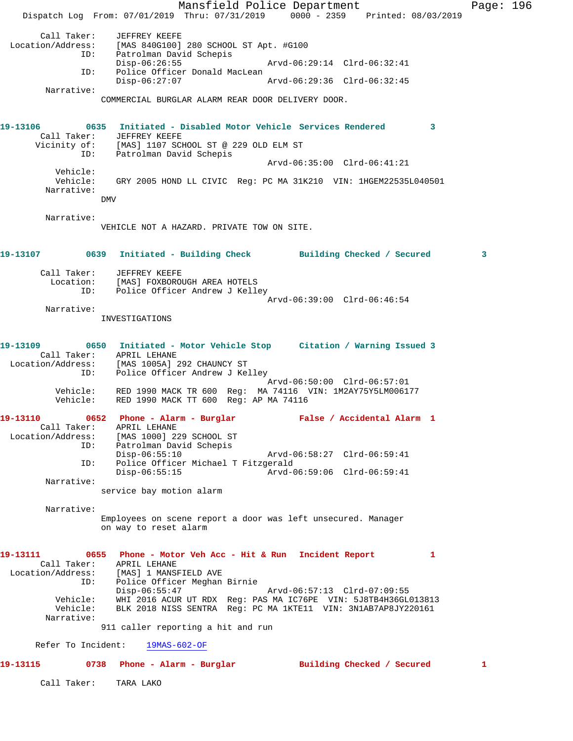Mansfield Police Department Fage: 196 Dispatch Log From: 07/01/2019 Thru: 07/31/2019 0000 - 2359 Printed: 08/03/2019 Call Taker: JEFFREY KEEFE Location/Address: [MAS 840G100] 280 SCHOOL ST Apt. #G100 ID: Patrolman David Schepis Disp-06:26:55 Arvd-06:29:14 Clrd-06:32:41 ID: Police Officer Donald MacLean Disp-06:27:07 Arvd-06:29:36 Clrd-06:32:45 Narrative: COMMERCIAL BURGLAR ALARM REAR DOOR DELIVERY DOOR. **19-13106 0635 Initiated - Disabled Motor Vehicle Services Rendered 3**  Call Taker: JEFFREY KEEFE Vicinity of: [MAS] 1107 SCHOOL ST @ 229 OLD ELM ST ID: Patrolman David Schepis Arvd-06:35:00 Clrd-06:41:21 Vehicle: Vehicle: GRY 2005 HOND LL CIVIC Reg: PC MA 31K210 VIN: 1HGEM22535L040501 Narrative: **DMV**  Narrative: VEHICLE NOT A HAZARD. PRIVATE TOW ON SITE. **19-13107 0639 Initiated - Building Check Building Checked / Secured 3** Call Taker: JEFFREY KEEFE Location: [MAS] FOXBOROUGH AREA HOTELS ID: Police Officer Andrew J Kelley Arvd-06:39:00 Clrd-06:46:54 Narrative: INVESTIGATIONS **19-13109 0650 Initiated - Motor Vehicle Stop Citation / Warning Issued 3**  Call Taker: APRIL LEHANE Location/Address: [MAS 1005A] 292 CHAUNCY ST ID: Police Officer Andrew J Kelley Arvd-06:50:00 Clrd-06:57:01 Vehicle: RED 1990 MACK TR 600 Reg: MA 74116 VIN: 1M2AY75Y5LM006177 Vehicle: RED 1990 MACK TT 600 Reg: AP MA 74116 **19-13110 0652 Phone - Alarm - Burglar False / Accidental Alarm 1**  Call Taker: APRIL LEHANE Location/Address: [MAS 1000] 229 SCHOOL ST ID: Patrolman David Schepis Disp-06:55:10 Arvd-06:58:27 Clrd-06:59:41<br>ID: Police Officer Michael T Fitzgerald Police Officer Michael T Fitzgerald<br>Disp-06:55:15 Arvd-0 Disp-06:55:15 Arvd-06:59:06 Clrd-06:59:41 Narrative: service bay motion alarm Narrative: Employees on scene report a door was left unsecured. Manager on way to reset alarm **19-13111 0655 Phone - Motor Veh Acc - Hit & Run Incident Report 1**  Call Taker: APRIL LEHANE Location/Address: [MAS] 1 MANSFIELD AVE ID: Police Officer Meghan Birnie Disp-06:55:47 Arvd-06:57:13 Clrd-07:09:55 Vehicle: WHI 2016 ACUR UT RDX Reg: PAS MA IC76PE VIN: 5J8TB4H36GL013813 Vehicle: BLK 2018 NISS SENTRA Reg: PC MA 1KTE11 VIN: 3N1AB7AP8JY220161 Narrative: 911 caller reporting a hit and run Refer To Incident: 19MAS-602-OF **19-13115 0738 Phone - Alarm - Burglar Building Checked / Secured 1** Call Taker: TARA LAKO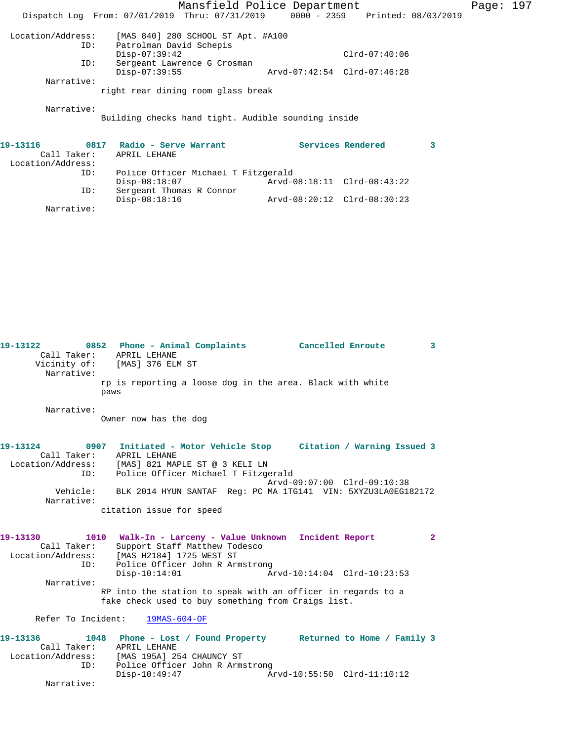|                   |                                                                                | Mansfield Police Department |                   |   | Page: 197 |  |
|-------------------|--------------------------------------------------------------------------------|-----------------------------|-------------------|---|-----------|--|
|                   | Dispatch Log From: 07/01/2019 Thru: 07/31/2019 0000 - 2359 Printed: 08/03/2019 |                             |                   |   |           |  |
| Location/Address: | [MAS 840] 280 SCHOOL ST Apt. #A100                                             |                             |                   |   |           |  |
| ID:               | Patrolman David Schepis                                                        |                             |                   |   |           |  |
|                   | $Disp-07:39:42$                                                                |                             | $Clrd-07:40:06$   |   |           |  |
| ID:               | Sergeant Lawrence G Crosman                                                    |                             |                   |   |           |  |
|                   | $Disp-07:39:55$                                                                | Arvd-07:42:54 Clrd-07:46:28 |                   |   |           |  |
| Narrative:        |                                                                                |                             |                   |   |           |  |
|                   | right rear dining room glass break                                             |                             |                   |   |           |  |
| Narrative:        |                                                                                |                             |                   |   |           |  |
|                   | Building checks hand tight. Audible sounding inside                            |                             |                   |   |           |  |
|                   |                                                                                |                             |                   |   |           |  |
| 19–13116          | 0817 Radio - Serve Warrant                                                     |                             | Services Rendered | 3 |           |  |
| Call Taker:       | APRIL LEHANE                                                                   |                             |                   |   |           |  |
| Location/Address: |                                                                                |                             |                   |   |           |  |
| ID:               | Police Officer Michael T Fitzgerald                                            |                             |                   |   |           |  |

Disp-08:18:07 Arvd-08:18:11 Clrd-08:43:22

Disp-08:18:16 Arvd-08:20:12 Clrd-08:30:23

ID: Sergeant Thomas R Connor

Narrative:

| 19-13122<br>Narrative:                       | 0852 Phone - Animal Complaints Cancelled Enroute<br>Call Taker: APRIL LEHANE<br>Vicinity of: [MAS] 376 ELM ST<br>rp is reporting a loose dog in the area. Black with white                                                                                                                                        |                             | 3              |
|----------------------------------------------|-------------------------------------------------------------------------------------------------------------------------------------------------------------------------------------------------------------------------------------------------------------------------------------------------------------------|-----------------------------|----------------|
|                                              | paws                                                                                                                                                                                                                                                                                                              |                             |                |
| Narrative:                                   | Owner now has the dog                                                                                                                                                                                                                                                                                             |                             |                |
| ID:<br>Narrative:                            | 19-13124 0907 Initiated - Motor Vehicle Stop Citation / Warning Issued 3<br>Call Taker: APRIL LEHANE<br>Location/Address: [MAS] 821 MAPLE ST @ 3 KELI LN<br>Police Officer Michael T Fitzgerald<br>Vehicle: BLK 2014 HYUN SANTAF Reg: PC MA 1TG141 VIN: 5XYZU3LA0EG182172<br>citation issue for speed             | Arvd-09:07:00 Clrd-09:10:38 |                |
| 19-13130<br>Call Taker:<br>ID:<br>Narrative: | 1010 Walk-In - Larceny - Value Unknown Incident Report<br>Support Staff Matthew Todesco<br>Location/Address: [MAS H2184] 1725 WEST ST<br>Police Officer John R Armstrong<br>$Disp-10:14:01$<br>RP into the station to speak with an officer in regards to a<br>fake check used to buy something from Craigs list. |                             | $\overline{2}$ |
|                                              | Refer To Incident: 19MAS-604-OF                                                                                                                                                                                                                                                                                   |                             |                |
| Call Taker:<br>ID:                           | 19-13136 1048 Phone - Lost / Found Property Returned to Home / Family 3<br>APRIL LEHANE<br>Location/Address: [MAS 195A] 254 CHAUNCY ST<br>Police Officer John R Armstrong<br>$Disp-10:49:47$                                                                                                                      | Arvd-10:55:50 Clrd-11:10:12 |                |
| Narrative:                                   |                                                                                                                                                                                                                                                                                                                   |                             |                |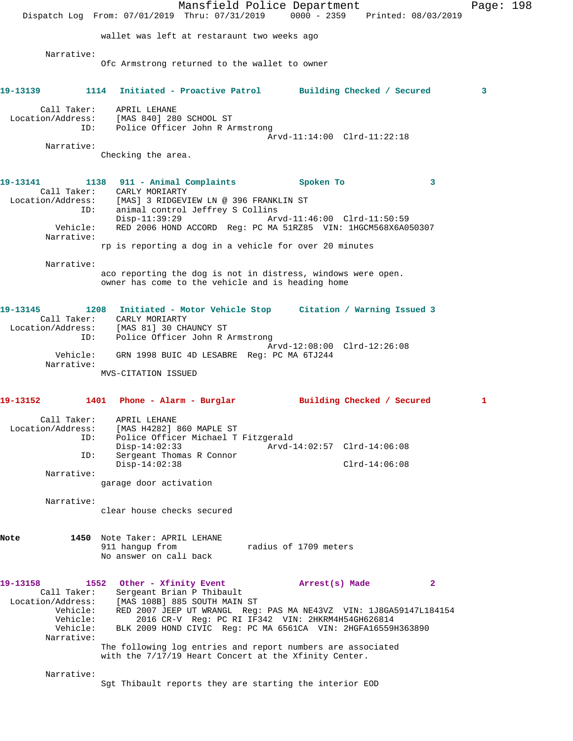Mansfield Police Department Page: 198 Dispatch Log From: 07/01/2019 Thru: 07/31/2019 0000 - 2359 Printed: 08/03/2019 wallet was left at restaraunt two weeks ago Narrative: Ofc Armstrong returned to the wallet to owner **19-13139 1114 Initiated - Proactive Patrol Building Checked / Secured 3** Call Taker: APRIL LEHANE Location/Address: [MAS 840] 280 SCHOOL ST ID: Police Officer John R Armstrong Arvd-11:14:00 Clrd-11:22:18 Narrative: Checking the area. **19-13141 1138 911 - Animal Complaints Spoken To 3**  Call Taker: CARLY MORIARTY Location/Address: [MAS] 3 RIDGEVIEW LN @ 396 FRANKLIN ST ID: animal control Jeffrey S Collins Disp-11:39:29 Arvd-11:46:00 Clrd-11:50:59 Vehicle: RED 2006 HOND ACCORD Reg: PC MA 51RZ85 VIN: 1HGCM568X6A050307 Narrative: rp is reporting a dog in a vehicle for over 20 minutes Narrative: aco reporting the dog is not in distress, windows were open. owner has come to the vehicle and is heading home **19-13145 1208 Initiated - Motor Vehicle Stop Citation / Warning Issued 3**  Call Taker: CARLY MORIARTY Location/Address: [MAS 81] 30 CHAUNCY ST ID: Police Officer John R Armstrong Arvd-12:08:00 Clrd-12:26:08 Vehicle: GRN 1998 BUIC 4D LESABRE Reg: PC MA 6TJ244 Narrative: MVS-CITATION ISSUED **19-13152 1401 Phone - Alarm - Burglar Building Checked / Secured 1** Call Taker: APRIL LEHANE Location/Address: [MAS H4282] 860 MAPLE ST ID: Police Officer Michael T Fitzgerald Disp-14:02:33 Arvd-14:02:57 Clrd-14:06:08 ID: Sergeant Thomas R Connor Disp-14:02:38 Clrd-14:06:08 Narrative: garage door activation Narrative: clear house checks secured **Note 1450** Note Taker: APRIL LEHANE 911 hangup from Tadius of 1709 meters No answer on call back **19-13158 1552 Other - Xfinity Event Arrest(s) Made 2**  Call Taker: Sergeant Brian P Thibault Location/Address: [MAS 108B] 885 SOUTH MAIN ST Vehicle: RED 2007 JEEP UT WRANGL Reg: PAS MA NE43VZ VIN: 1J8GA59147L184154 Vehicle: 2016 CR-V Reg: PC RI IF342 VIN: 2HKRM4H54GH626814 Vehicle: BLK 2009 HOND CIVIC Reg: PC MA 6561CA VIN: 2HGFA16559H363890 Narrative: The following log entries and report numbers are associated with the 7/17/19 Heart Concert at the Xfinity Center. Narrative: Sgt Thibault reports they are starting the interior EOD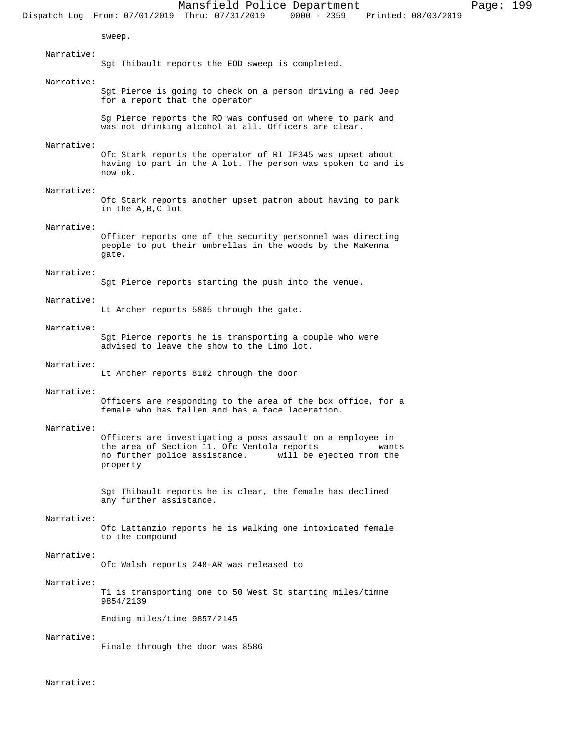sweep.

Sgt Thibault reports the EOD sweep is completed.

# Narrative:

Narrative:

Sgt Pierce is going to check on a person driving a red Jeep for a report that the operator

Sg Pierce reports the RO was confused on where to park and was not drinking alcohol at all. Officers are clear.

# Narrative:

Ofc Stark reports the operator of RI IF345 was upset about having to part in the A lot. The person was spoken to and is now ok.

# Narrative:

Ofc Stark reports another upset patron about having to park in the A,B,C lot

# Narrative:

Officer reports one of the security personnel was directing people to put their umbrellas in the woods by the MaKenna gate.

# Narrative:

Sgt Pierce reports starting the push into the venue.

#### Narrative:

Lt Archer reports 5805 through the gate.

# Narrative:

Sgt Pierce reports he is transporting a couple who were advised to leave the show to the Limo lot.

### Narrative:

Lt Archer reports 8102 through the door

## Narrative:

Officers are responding to the area of the box office, for a female who has fallen and has a face laceration.

### Narrative:

Officers are investigating a poss assault on a employee in the area of Section 11. Ofc Ventola reports wants<br>no further police assistance. will be ejected from the will be ejected from the property

Sgt Thibault reports he is clear, the female has declined any further assistance.

# Narrative:

Ofc Lattanzio reports he is walking one intoxicated female to the compound

#### Narrative:

Ofc Walsh reports 248-AR was released to

## Narrative:

T1 is transporting one to 50 West St starting miles/timne 9854/2139

Ending miles/time 9857/2145

### Narrative:

Finale through the door was 8586

Narrative: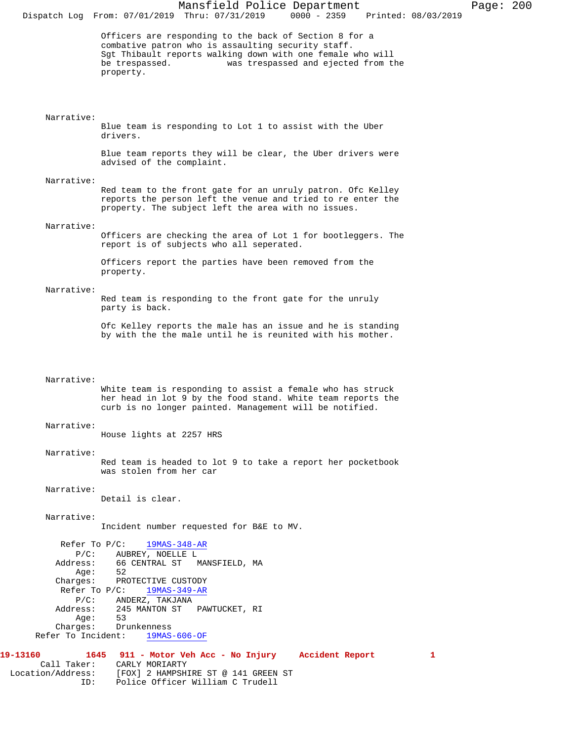| $0000 - 2359$<br>Dispatch Log From: 07/01/2019 Thru: 07/31/2019<br>Printed: 08/03/2019                                                                                                                                                           |  |
|--------------------------------------------------------------------------------------------------------------------------------------------------------------------------------------------------------------------------------------------------|--|
| Officers are responding to the back of Section 8 for a<br>combative patron who is assaulting security staff.<br>Sgt Thibault reports walking down with one female who will<br>be trespassed.<br>was trespassed and ejected from the<br>property. |  |
| Narrative:<br>Blue team is responding to Lot 1 to assist with the Uber<br>drivers.                                                                                                                                                               |  |
| Blue team reports they will be clear, the Uber drivers were<br>advised of the complaint.                                                                                                                                                         |  |
| Narrative:                                                                                                                                                                                                                                       |  |
| Red team to the front gate for an unruly patron. Ofc Kelley<br>reports the person left the venue and tried to re enter the<br>property. The subject left the area with no issues.                                                                |  |
| Narrative:                                                                                                                                                                                                                                       |  |
| Officers are checking the area of Lot 1 for bootleggers. The<br>report is of subjects who all seperated.                                                                                                                                         |  |
| Officers report the parties have been removed from the<br>property.                                                                                                                                                                              |  |
| Narrative:<br>Red team is responding to the front gate for the unruly<br>party is back.                                                                                                                                                          |  |
| Ofc Kelley reports the male has an issue and he is standing<br>by with the the male until he is reunited with his mother.                                                                                                                        |  |
|                                                                                                                                                                                                                                                  |  |
| Narrative:<br>White team is responding to assist a female who has struck<br>her head in lot 9 by the food stand. White team reports the<br>curb is no longer painted. Management will be notified.                                               |  |
| Narrative:<br>House lights at 2257 HRS                                                                                                                                                                                                           |  |
| Narrative:                                                                                                                                                                                                                                       |  |
| Red team is headed to lot 9 to take a report her pocketbook<br>was stolen from her car                                                                                                                                                           |  |
| Narrative:<br>Detail is clear.                                                                                                                                                                                                                   |  |
| Narrative:<br>Incident number requested for B&E to MV.                                                                                                                                                                                           |  |
| Refer To $P/C$ :<br>19MAS-348-AR                                                                                                                                                                                                                 |  |
| $P/C$ :<br>AUBREY, NOELLE L<br>66 CENTRAL ST<br>Address:<br>MANSFIELD, MA<br>52<br>Age:                                                                                                                                                          |  |
| Charges: PROTECTIVE CUSTODY                                                                                                                                                                                                                      |  |
| Refer To $P/C$ :<br>19MAS-349-AR<br>$P/C$ :<br>ANDERZ, TAKJANA                                                                                                                                                                                   |  |
| 245 MANTON ST PAWTUCKET, RI<br>Address:<br>Age:<br>53                                                                                                                                                                                            |  |
| Charges:<br>Drunkenness<br>Refer To Incident:<br>$19MAS-606-OF$                                                                                                                                                                                  |  |
|                                                                                                                                                                                                                                                  |  |
| 19-13160<br>1645 911 - Motor Veh Acc - No Injury Accident Report<br>1<br>Call Taker:<br>CARLY MORIARTY<br>Location/Address:<br>[FOX] 2 HAMPSHIRE ST @ 141 GREEN ST                                                                               |  |

ID: Police Officer William C Trudell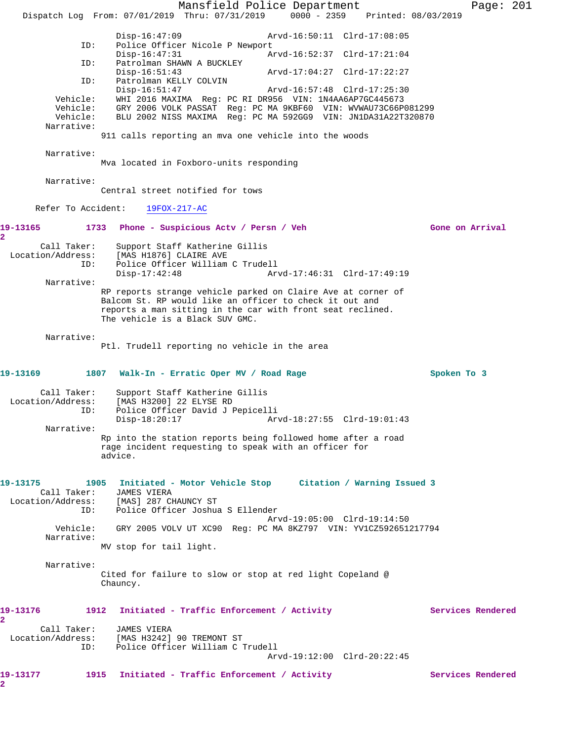Mansfield Police Department Page: 201 Dispatch Log From: 07/01/2019 Thru: 07/31/2019 0000 - 2359 Printed: 08/03/2019 Disp-16:47:09 Arvd-16:50:11 Clrd-17:08:05<br>ID: Police Officer Nicole P Newport Police Officer Nicole P Newport<br>Disp-16:47:31 Ar Disp-16:47:31 Arvd-16:52:37 Clrd-17:21:04 ID: Patrolman SHAWN A BUCKLEY Disp-16:51:43 Arvd-17:04:27 Clrd-17:22:27 ID: Patrolman KELLY COLVIN Disp-16:51:47 Arvd-16:57:48 Clrd-17:25:30 Vehicle: WHI 2016 MAXIMA Reg: PC RI DR956 VIN: 1N4AA6AP7GC445673 Vehicle: GRY 2006 VOLK PASSAT Reg: PC MA 9KBF60 VIN: WVWAU73C66P081299 Vehicle: BLU 2002 NISS MAXIMA Reg: PC MA 592GG9 VIN: JN1DA31A22T320870 Narrative: 911 calls reporting an mva one vehicle into the woods Narrative: Mva located in Foxboro-units responding Narrative: Central street notified for tows Refer To Accident: 19FOX-217-AC 19-13165 1733 Phone - Suspicious Actv / Persn / Veh Gone on Arrival **2**  Call Taker: Support Staff Katherine Gillis<br>Location/Address: [MAS H1876] CLAIRE AVE [MAS H1876] CLAIRE AVE ID: Police Officer William C Trudell Disp-17:42:48 Arvd-17:46:31 Clrd-17:49:19 Narrative: RP reports strange vehicle parked on Claire Ave at corner of Balcom St. RP would like an officer to check it out and reports a man sitting in the car with front seat reclined. The vehicle is a Black SUV GMC. Narrative: Ptl. Trudell reporting no vehicle in the area **19-13169 1807 Walk-In - Erratic Oper MV / Road Rage Spoken To 3** Call Taker: Support Staff Katherine Gillis Location/Address: [MAS H3200] 22 ELYSE RD ID: Police Officer David J Pepicelli Disp-18:20:17 Arvd-18:27:55 Clrd-19:01:43 Narrative: Rp into the station reports being followed home after a road rage incident requesting to speak with an officer for advice. **19-13175 1905 Initiated - Motor Vehicle Stop Citation / Warning Issued 3**  Call Taker: JAMES VIERA Location/Address: [MAS] 287 CHAUNCY ST ID: Police Officer Joshua S Ellender Arvd-19:05:00 Clrd-19:14:50 Vehicle: GRY 2005 VOLV UT XC90 Reg: PC MA 8KZ797 VIN: YV1CZ592651217794 Narrative: MV stop for tail light. Narrative: Cited for failure to slow or stop at red light Copeland @ Chauncy. 19-13176 1912 Initiated - Traffic Enforcement / Activity **Services Rendered 2**  Call Taker: JAMES VIERA Location/Address: [MAS H3242] 90 TREMONT ST Police Officer William C Trudell Arvd-19:12:00 Clrd-20:22:45 19-13177 1915 Initiated - Traffic Enforcement / Activity **Services Rendered 2**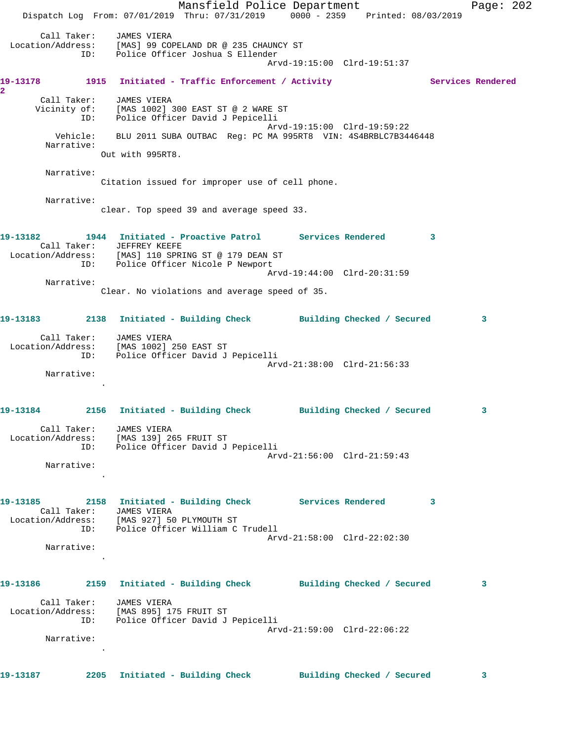Mansfield Police Department Page: 202 Dispatch Log From: 07/01/2019 Thru: 07/31/2019 0000 - 2359 Printed: 08/03/2019 Call Taker: JAMES VIERA Location/Address: [MAS] 99 COPELAND DR @ 235 CHAUNCY ST ID: Police Officer Joshua S Ellender Arvd-19:15:00 Clrd-19:51:37 19-13178 1915 Initiated - Traffic Enforcement / Activity **Services Rendered 2**  Call Taker: JAMES VIERA Vicinity of: [MAS 1002] 300 EAST ST @ 2 WARE ST ID: Police Officer David J Pepicelli Arvd-19:15:00 Clrd-19:59:22 Vehicle: BLU 2011 SUBA OUTBAC Reg: PC MA 995RT8 VIN: 4S4BRBLC7B3446448 Narrative: Out with 995RT8. Narrative: Citation issued for improper use of cell phone. Narrative: clear. Top speed 39 and average speed 33. **19-13182 1944 Initiated - Proactive Patrol Services Rendered 3**  Call Taker: JEFFREY KEEFE Location/Address: [MAS] 110 SPRING ST @ 179 DEAN ST ID: Police Officer Nicole P Newport Arvd-19:44:00 Clrd-20:31:59 Narrative: Clear. No violations and average speed of 35. **19-13183 2138 Initiated - Building Check Building Checked / Secured 3** Call Taker: JAMES VIERA Location/Address: [MAS 1002] 250 EAST ST ID: Police Officer David J Pepicelli Arvd-21:38:00 Clrd-21:56:33 Narrative: . **19-13184 2156 Initiated - Building Check Building Checked / Secured 3** Call Taker: JAMES VIERA Location/Address: [MAS 139] 265 FRUIT ST ID: Police Officer David J Pepicelli Arvd-21:56:00 Clrd-21:59:43 Narrative: . **19-13185 2158 Initiated - Building Check Services Rendered 3**  Call Taker: JAMES VIERA Location/Address: [MAS 927] 50 PLYMOUTH ST ID: Police Officer William C Trudell Arvd-21:58:00 Clrd-22:02:30 Narrative: . **19-13186 2159 Initiated - Building Check Building Checked / Secured 3** Call Taker: JAMES VIERA Location/Address: [MAS 895] 175 FRUIT ST ID: Police Officer David J Pepicelli Arvd-21:59:00 Clrd-22:06:22 Narrative: . **19-13187 2205 Initiated - Building Check Building Checked / Secured 3**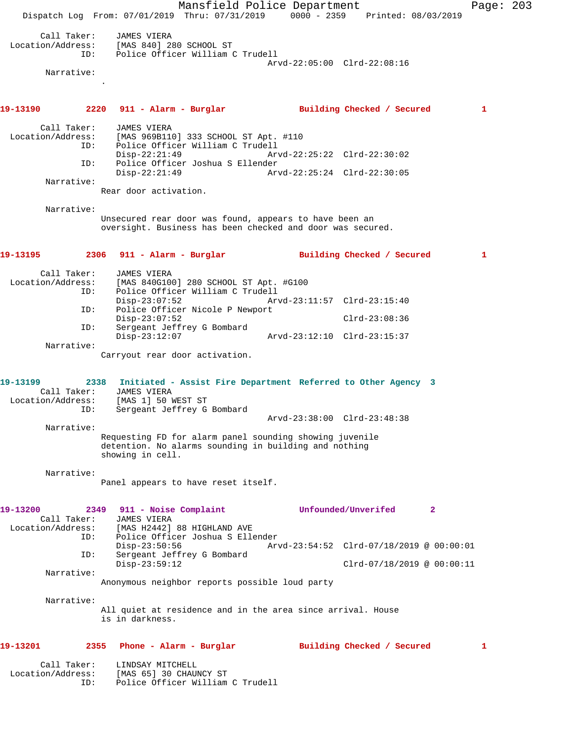Mansfield Police Department Page: 203 Dispatch Log From: 07/01/2019 Thru: 07/31/2019 0000 - 2359 Printed: 08/03/2019 Call Taker: JAMES VIERA Location/Address: [MAS 840] 280 SCHOOL ST ID: Police Officer William C Trudell Arvd-22:05:00 Clrd-22:08:16 Narrative: . **19-13190 2220 911 - Alarm - Burglar Building Checked / Secured 1** Call Taker: JAMES VIERA Location/Address: [MAS 969B110] 333 SCHOOL ST Apt. #110 ID: Police Officer William C Trudell Disp-22:21:49 Arvd-22:25:22 Clrd-22:30:02 ID: Police Officer Joshua S Ellender Arvd-22:25:24 Clrd-22:30:05 Narrative: Rear door activation. Narrative: Unsecured rear door was found, appears to have been an oversight. Business has been checked and door was secured. **19-13195 2306 911 - Alarm - Burglar Building Checked / Secured 1** Call Taker: JAMES VIERA Location/Address: [MAS 840G100] 280 SCHOOL ST Apt. #G100 Police Officer William C Trudell Disp-23:07:52 Arvd-23:11:57 Clrd-23:15:40<br>TD: Police Officer Nicole P Newport Police Officer Nicole P Newport Disp-23:07:52 Clrd-23:08:36 ID: Sergeant Jeffrey G Bombard Disp-23:12:07 Arvd-23:12:10 Clrd-23:15:37 Narrative: Carryout rear door activation. **19-13199 2338 Initiated - Assist Fire Department Referred to Other Agency 3**  Call Taker: JAMES VIERA Location/Address: [MAS 1] 50 WEST ST ID: Sergeant Jeffrey G Bombard Arvd-23:38:00 Clrd-23:48:38 Narrative: Requesting FD for alarm panel sounding showing juvenile detention. No alarms sounding in building and nothing showing in cell. Narrative: Panel appears to have reset itself. **19-13200 2349 911 - Noise Complaint Unfounded/Unverifed 2**  Call Taker: JAMES VIERA Location/Address: [MAS H2442] 88 HIGHLAND AVE ID: Police Officer Joshua S Ellender Disp-23:50:56 Arvd-23:54:52 Clrd-07/18/2019 @ 00:00:01<br>ID: Sergeant Jeffrey G Bombard Sergeant Jeffrey G Bombard Disp-23:59:12 Clrd-07/18/2019 @ 00:00:11 Narrative: Anonymous neighbor reports possible loud party Narrative: All quiet at residence and in the area since arrival. House is in darkness. **19-13201 2355 Phone - Alarm - Burglar Building Checked / Secured 1** Call Taker: LINDSAY MITCHELL Location/Address: [MAS 65] 30 CHAUNCY ST Police Officer William C Trudell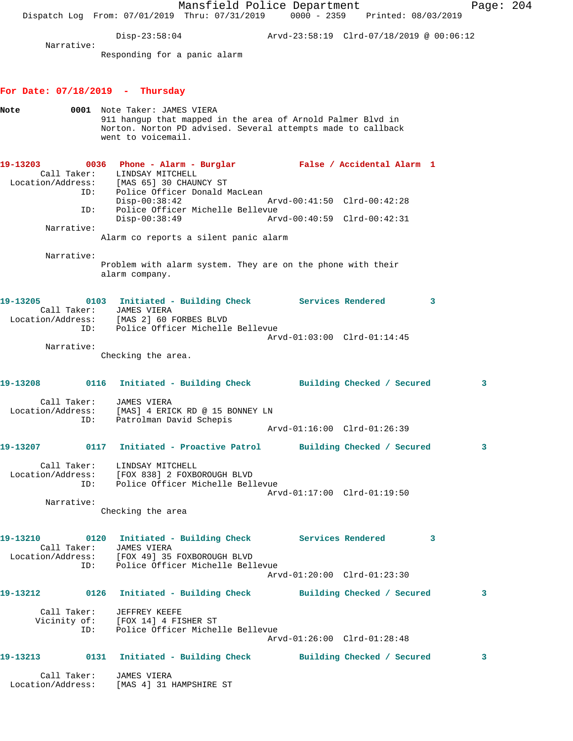|                                                                                                             | Dispatch Log From: 07/01/2019 Thru: 07/31/2019 0000 - 2359 Printed: 08/03/2019                                                                                                    | Mansfield Police Department                                    |  |                             |   | Page: $204$ |  |
|-------------------------------------------------------------------------------------------------------------|-----------------------------------------------------------------------------------------------------------------------------------------------------------------------------------|----------------------------------------------------------------|--|-----------------------------|---|-------------|--|
|                                                                                                             |                                                                                                                                                                                   | $Disp-23:58:04$ $Arvd-23:58:19$ $Clrd-07/18/2019$ @ $00:06:12$ |  |                             |   |             |  |
| Narrative:                                                                                                  | Responding for a panic alarm                                                                                                                                                      |                                                                |  |                             |   |             |  |
| For Date: $07/18/2019$ - Thursday                                                                           |                                                                                                                                                                                   |                                                                |  |                             |   |             |  |
| Note                                                                                                        | 0001 Note Taker: JAMES VIERA<br>911 hangup that mapped in the area of Arnold Palmer Blvd in<br>Norton. Norton PD advised. Several attempts made to callback<br>went to voicemail. |                                                                |  |                             |   |             |  |
| 19-13203<br>Call Taker:                                                                                     | 0036 Phone - Alarm - Burglar               False / Accidental Alarm 1<br>LINDSAY MITCHELL<br>Location/Address: [MAS 65] 30 CHAUNCY ST<br>ID:                                      | Police Officer Donald MacLean                                  |  |                             |   |             |  |
| ID:                                                                                                         | $Disp-00:38:42$                                                                                                                                                                   | Police Officer Michelle Bellevue                               |  | Arvd-00:41:50 Clrd-00:42:28 |   |             |  |
| Narrative:                                                                                                  | $Disp-00:38:49$                                                                                                                                                                   |                                                                |  | Arvd-00:40:59 Clrd-00:42:31 |   |             |  |
|                                                                                                             | Alarm co reports a silent panic alarm                                                                                                                                             |                                                                |  |                             |   |             |  |
| Narrative:                                                                                                  | Problem with alarm system. They are on the phone with their<br>alarm company.                                                                                                     |                                                                |  |                             |   |             |  |
| 19-13205                                                                                                    | 0103 Initiated - Building Check Services Rendered<br>Call Taker: JAMES VIERA<br>Location/Address: [MAS 2] 60 FORBES BLVD<br>ID:                                                   | Police Officer Michelle Bellevue                               |  |                             | 3 |             |  |
| Narrative:                                                                                                  |                                                                                                                                                                                   |                                                                |  | Arvd-01:03:00 Clrd-01:14:45 |   |             |  |
|                                                                                                             | Checking the area.                                                                                                                                                                |                                                                |  |                             |   |             |  |
| 19-13208                                                                                                    | 0116 Initiated - Building Check Building Checked / Secured                                                                                                                        |                                                                |  |                             |   | 3           |  |
| Call Taker:<br>Location/Address:                                                                            | JAMES VIERA<br>[MAS] 4 ERICK RD @ 15 BONNEY LN<br>ID: Patrolman David Schepis                                                                                                     |                                                                |  |                             |   |             |  |
|                                                                                                             |                                                                                                                                                                                   |                                                                |  | Arvd-01:16:00 Clrd-01:26:39 |   |             |  |
| 19-13207 0117 Initiated - Proactive Patrol Building Checked / Secured                                       |                                                                                                                                                                                   |                                                                |  |                             |   | 3           |  |
| Location/Address: [FOX 838] 2 FOXBOROUGH BLVD                                                               | Call Taker: LINDSAY MITCHELL<br>ID: Police Officer Michelle Bellevue                                                                                                              |                                                                |  | Arvd-01:17:00 Clrd-01:19:50 |   |             |  |
| Narrative:                                                                                                  | Checking the area                                                                                                                                                                 |                                                                |  |                             |   |             |  |
| 19-13210 0120 Initiated - Building Check Services Rendered<br>Location/Address: [FOX 49] 35 FOXBOROUGH BLVD | Call Taker: JAMES VIERA<br>ID: Police Officer Michelle Bellevue                                                                                                                   |                                                                |  |                             | 3 |             |  |
|                                                                                                             |                                                                                                                                                                                   |                                                                |  | Arvd-01:20:00 Clrd-01:23:30 |   |             |  |
|                                                                                                             |                                                                                                                                                                                   |                                                                |  |                             |   | 3           |  |
|                                                                                                             | Call Taker: JEFFREY KEEFE<br>Vicinity of: [FOX 14] 4 FISHER ST<br>ID: Police Officer Michelle Bellevue                                                                            |                                                                |  | Arvd-01:26:00 Clrd-01:28:48 |   |             |  |
| 19-13213 0131 Initiated - Building Check Building Checked / Secured                                         |                                                                                                                                                                                   |                                                                |  |                             |   | 3           |  |
| Location/Address: [MAS 4] 31 HAMPSHIRE ST                                                                   | Call Taker: JAMES VIERA                                                                                                                                                           |                                                                |  |                             |   |             |  |
|                                                                                                             |                                                                                                                                                                                   |                                                                |  |                             |   |             |  |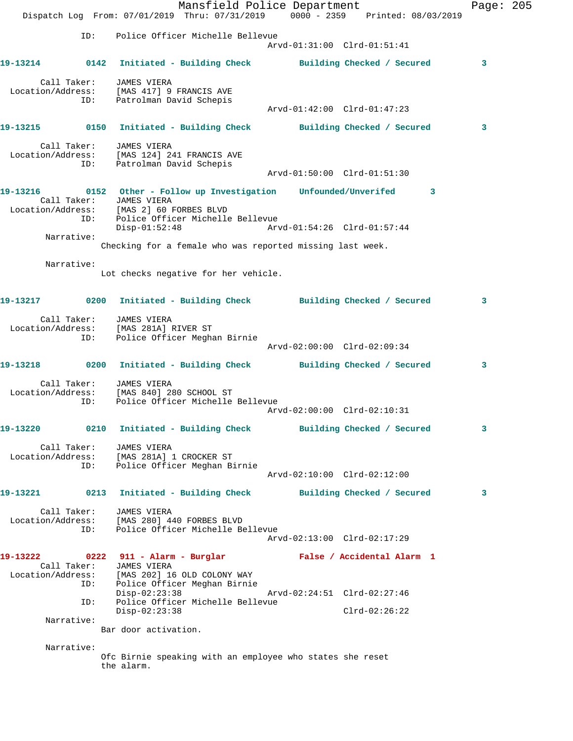Mansfield Police Department Page: 205 Dispatch Log From: 07/01/2019 Thru: 07/31/2019 0000 - 2359 Printed: 08/03/2019 ID: Police Officer Michelle Bellevue Arvd-01:31:00 Clrd-01:51:41 **19-13214 0142 Initiated - Building Check Building Checked / Secured 3** Call Taker: JAMES VIERA Location/Address: [MAS 417] 9 FRANCIS AVE ID: Patrolman David Schepis Arvd-01:42:00 Clrd-01:47:23 **19-13215 0150 Initiated - Building Check Building Checked / Secured 3** Call Taker: JAMES VIERA Location/Address: [MAS 124] 241 FRANCIS AVE ID: Patrolman David Schepis Arvd-01:50:00 Clrd-01:51:30 **19-13216 0152 Other - Follow up Investigation Unfounded/Unverifed 3**  Call Taker: JAMES VIERA Location/Address: [MAS 2] 60 FORBES BLVD ID: Police Officer Michelle Bellevue Disp-01:52:48 Arvd-01:54:26 Clrd-01:57:44 Narrative: Checking for a female who was reported missing last week. Narrative: Lot checks negative for her vehicle. **19-13217 0200 Initiated - Building Check Building Checked / Secured 3** Call Taker: JAMES VIERA Location/Address: [MAS 281A] RIVER ST ID: Police Officer Meghan Birnie Arvd-02:00:00 Clrd-02:09:34 **19-13218 0200 Initiated - Building Check Building Checked / Secured 3** Call Taker: JAMES VIERA Location/Address: [MAS 840] 280 SCHOOL ST ID: Police Officer Michelle Bellevue Arvd-02:00:00 Clrd-02:10:31 **19-13220 0210 Initiated - Building Check Building Checked / Secured 3** Call Taker: JAMES VIERA Location/Address: [MAS 281A] 1 CROCKER ST ID: Police Officer Meghan Birnie Arvd-02:10:00 Clrd-02:12:00 **19-13221 0213 Initiated - Building Check Building Checked / Secured 3** Call Taker: JAMES VIERA Location/Address: [MAS 280] 440 FORBES BLVD ID: Police Officer Michelle Bellevue Arvd-02:13:00 Clrd-02:17:29 **19-13222 0222 911 - Alarm - Burglar False / Accidental Alarm 1**  Call Taker: JAMES VIERA Location/Address: [MAS 202] 16 OLD COLONY WAY ID: Police Officer Meghan Birnie Disp-02:23:38 Arvd-02:24:51 Clrd-02:27:46 Police Officer Michelle Bellevue Disp-02:23:38<br>Disp-02:23:38 Clrd-02:26:22<br>Disp-02:23:38 Clrd-02:26:22 Narrative: Bar door activation. Narrative: Ofc Birnie speaking with an employee who states she reset the alarm.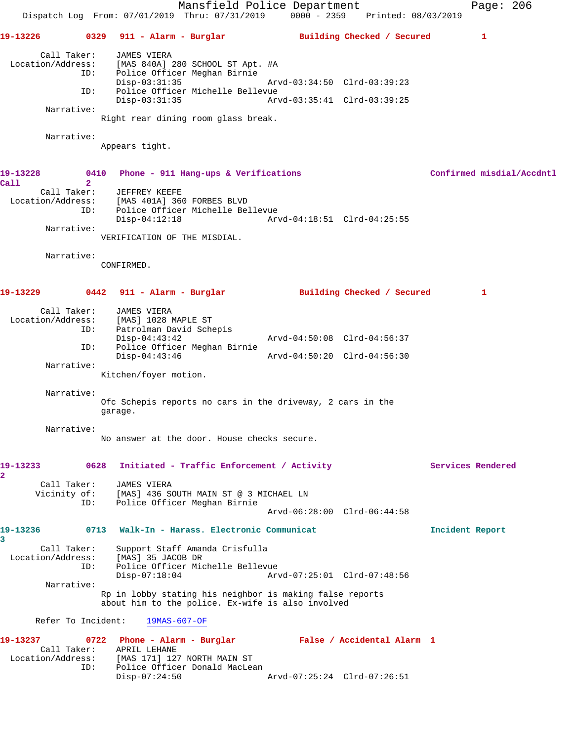Mansfield Police Department Page: 206 Dispatch Log From: 07/01/2019 Thru: 07/31/2019 0000 - 2359 Printed: 08/03/2019 **19-13226 0329 911 - Alarm - Burglar Building Checked / Secured 1** Call Taker: JAMES VIERA<br>Location/Address: [MAS 840A] [MAS 840A] 280 SCHOOL ST Apt. #A ID: Police Officer Meghan Birnie Disp-03:31:35 Arvd-03:34:50 Clrd-03:39:23 ID: Police Officer Michelle Bellevue Disp-03:31:35 Arvd-03:35:41 Clrd-03:39:25 Narrative: Right rear dining room glass break. Narrative: Appears tight. **19-13228 0410 Phone - 911 Hang-ups & Verifications Confirmed misdial/Accdntl Call 2**  Call Taker: JEFFREY KEEFE Location/Address: [MAS 401A] 360 FORBES BLVD ID: Police Officer Michelle Bellevue Disp-04:12:18 Arvd-04:18:51 Clrd-04:25:55 Narrative: VERIFICATION OF THE MISDIAL. Narrative: CONFIRMED. **19-13229 0442 911 - Alarm - Burglar Building Checked / Secured 1** Call Taker: JAMES VIERA<br>ion/Address: [MAS] 1028 MAPLE ST Location/Address: ID: Patrolman David Schepis<br>Disp-04:43:42 Disp-04:43:42 Arvd-04:50:08 Clrd-04:56:37 ID: Police Officer Meghan Birnie Disp-04:43:46 Arvd-04:50:20 Clrd-04:56:30 Narrative: Kitchen/foyer motion. Narrative: Ofc Schepis reports no cars in the driveway, 2 cars in the garage. Narrative: No answer at the door. House checks secure. **19-13233 0628 Initiated - Traffic Enforcement / Activity Services Rendered 2**  Call Taker: JAMES VIERA Vicinity of: [MAS] 436 SOUTH MAIN ST @ 3 MICHAEL LN<br>ID: Police Officer Meghan Birnie Police Officer Meghan Birnie Arvd-06:28:00 Clrd-06:44:58 **19-13236 0713 Walk-In - Harass. Electronic Communicat Incident Report 3**  Call Taker: Support Staff Amanda Crisfulla Location/Address: [MAS] 35 JACOB DR ID: Police Officer Michelle Bellevue Disp-07:18:04 Arvd-07:25:01 Clrd-07:48:56 Narrative: Rp in lobby stating his neighbor is making false reports about him to the police. Ex-wife is also involved Refer To Incident: 19MAS-607-OF **19-13237 0722 Phone - Alarm - Burglar False / Accidental Alarm 1**  Call Taker: APRIL LEHANE<br>Location/Address: [MAS 171] 127 ess: [MAS 171] 127 NORTH MAIN ST<br>ID: Police Officer Donald MacLea Police Officer Donald MacLean<br>Disp-07:24:50 Disp-07:24:50 Arvd-07:25:24 Clrd-07:26:51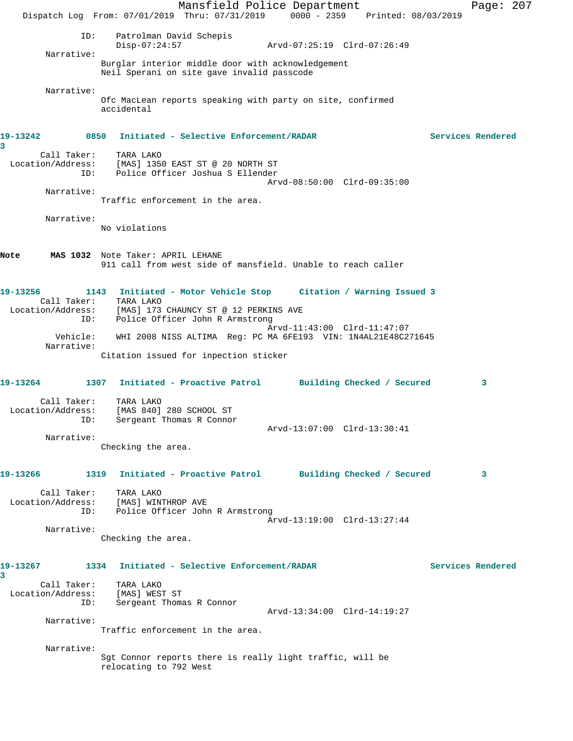|                                         | Dispatch Log From: 07/01/2019 Thru: 07/31/2019 0000 - 2359 Printed: 08/03/2019                                                                                       | Mansfield Police Department |                             |                   | Page: $207$ |  |
|-----------------------------------------|----------------------------------------------------------------------------------------------------------------------------------------------------------------------|-----------------------------|-----------------------------|-------------------|-------------|--|
| ID:<br>Narrative:                       | Patrolman David Schepis<br>$Disp-07:24:57$                                                                                                                           |                             | Arvd-07:25:19 Clrd-07:26:49 |                   |             |  |
|                                         | Burglar interior middle door with acknowledgement<br>Neil Sperani on site gave invalid passcode                                                                      |                             |                             |                   |             |  |
| Narrative:                              | Ofc MacLean reports speaking with party on site, confirmed<br>accidental                                                                                             |                             |                             |                   |             |  |
| 19-13242<br>0850<br>3                   | Initiated - Selective Enforcement/RADAR                                                                                                                              |                             |                             | Services Rendered |             |  |
| Call Taker:<br>Location/Address:<br>ID: | TARA LAKO<br>[MAS] 1350 EAST ST @ 20 NORTH ST<br>Police Officer Joshua S Ellender                                                                                    |                             |                             |                   |             |  |
| Narrative:                              | Traffic enforcement in the area.                                                                                                                                     |                             | Arvd-08:50:00 Clrd-09:35:00 |                   |             |  |
| Narrative:                              | No violations                                                                                                                                                        |                             |                             |                   |             |  |
| Note                                    | MAS 1032 Note Taker: APRIL LEHANE<br>911 call from west side of mansfield. Unable to reach caller                                                                    |                             |                             |                   |             |  |
| 19-13256<br>Location/Address:<br>ID:    | 1143 Initiated - Motor Vehicle Stop Citation / Warning Issued 3<br>Call Taker: TARA LAKO<br>[MAS] 173 CHAUNCY ST @ 12 PERKINS AVE<br>Police Officer John R Armstrong |                             |                             |                   |             |  |
| Vehicle:<br>Narrative:                  | WHI 2008 NISS ALTIMA Reg: PC MA 6FE193 VIN: 1N4AL21E48C271645<br>Citation issued for inpection sticker                                                               |                             | Arvd-11:43:00 Clrd-11:47:07 |                   |             |  |
|                                         |                                                                                                                                                                      |                             |                             |                   |             |  |
| 19-13264                                | 1307 Initiated - Proactive Patrol Building Checked / Secured                                                                                                         |                             |                             |                   | 3           |  |
| Call Taker:<br>Location/Address:        | TARA LAKO<br>[MAS 840] 280 SCHOOL ST<br>ID: Sergeant Thomas R Connor                                                                                                 |                             | Arvd-13:07:00 Clrd-13:30:41 |                   |             |  |
| Narrative:                              | Checking the area.                                                                                                                                                   |                             |                             |                   |             |  |
| 19-13266                                | 1319 Initiated - Proactive Patrol Building Checked / Secured                                                                                                         |                             |                             |                   | 3           |  |
| Call Taker:<br>ID:                      | TARA LAKO<br>Location/Address: [MAS] WINTHROP AVE<br>Police Officer John R Armstrong                                                                                 |                             | Arvd-13:19:00 Clrd-13:27:44 |                   |             |  |
| Narrative:                              | Checking the area.                                                                                                                                                   |                             |                             |                   |             |  |
| 19-13267<br>3                           | 1334 Initiated - Selective Enforcement/RADAR                                                                                                                         |                             |                             | Services Rendered |             |  |
| Call Taker:<br>Location/Address:<br>ID: | TARA LAKO<br>[MAS] WEST ST<br>Sergeant Thomas R Connor                                                                                                               |                             |                             |                   |             |  |
| Narrative:                              | Traffic enforcement in the area.                                                                                                                                     |                             | Arvd-13:34:00 Clrd-14:19:27 |                   |             |  |
| Narrative:                              | Sgt Connor reports there is really light traffic, will be<br>relocating to 792 West                                                                                  |                             |                             |                   |             |  |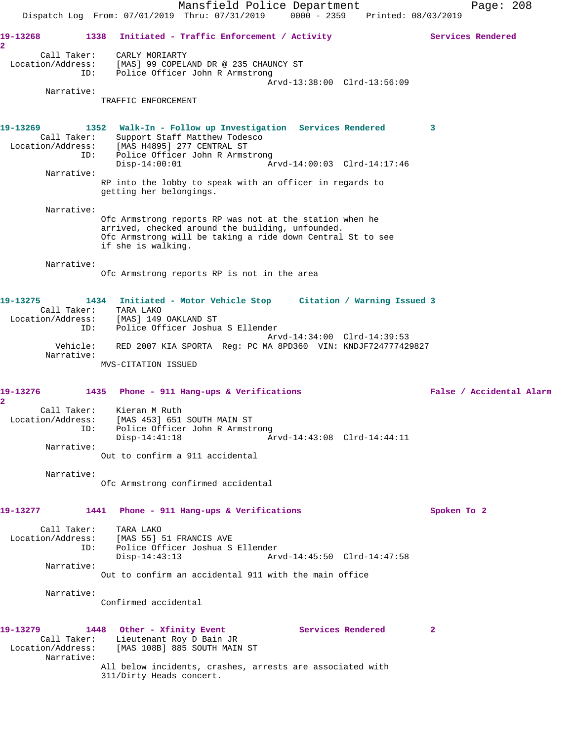Mansfield Police Department Page: 208 Dispatch Log From: 07/01/2019 Thru: 07/31/2019 0000 - 2359 Printed: 08/03/2019 19-13268 1338 Initiated - Traffic Enforcement / Activity **Services Rendered 2**  Call Taker: CARLY MORIARTY Location/Address: [MAS] 99 COPELAND DR @ 235 CHAUNCY ST ID: Police Officer John R Armstrong Arvd-13:38:00 Clrd-13:56:09 Narrative: TRAFFIC ENFORCEMENT **19-13269 1352 Walk-In - Follow up Investigation Services Rendered 3**  Call Taker: Support Staff Matthew Todesco Location/Address: [MAS H4895] 277 CENTRAL ST ID: Police Officer John R Armstrong<br>Disp-14:00:01 Ar Disp-14:00:01 Arvd-14:00:03 Clrd-14:17:46 Narrative: RP into the lobby to speak with an officer in regards to getting her belongings. Narrative: Ofc Armstrong reports RP was not at the station when he arrived, checked around the building, unfounded. Ofc Armstrong will be taking a ride down Central St to see if she is walking. Narrative: Ofc Armstrong reports RP is not in the area **19-13275 1434 Initiated - Motor Vehicle Stop Citation / Warning Issued 3**  Call Taker: TARA LAKO Location/Address: [MAS] 149 OAKLAND ST ID: Police Officer Joshua S Ellender Arvd-14:34:00 Clrd-14:39:53 Vehicle: RED 2007 KIA SPORTA Reg: PC MA 8PD360 VIN: KNDJF724777429827 Narrative: MVS-CITATION ISSUED **19-13276 1435 Phone - 911 Hang-ups & Verifications False / Accidental Alarm 2**  Call Taker: Kieran M Ruth Location/Address: [MAS 453] 651 SOUTH MAIN ST ID: Police Officer John R Armstrong Disp-14:41:18 Arvd-14:43:08 Clrd-14:44:11 Narrative: Out to confirm a 911 accidental Narrative: Ofc Armstrong confirmed accidental **19-13277 1441 Phone - 911 Hang-ups & Verifications Spoken To 2** Call Taker: TARA LAKO Location/Address: [MAS 55] 51 FRANCIS AVE ID: Police Officer Joshua S Ellender Disp-14:43:13 Arvd-14:45:50 Clrd-14:47:58 Narrative: Out to confirm an accidental 911 with the main office Narrative: Confirmed accidental **19-13279 1448 Other - Xfinity Event Services Rendered 2**  Call Taker: Lieutenant Roy D Bain JR Location/Address: [MAS 108B] 885 SOUTH MAIN ST Narrative: All below incidents, crashes, arrests are associated with 311/Dirty Heads concert.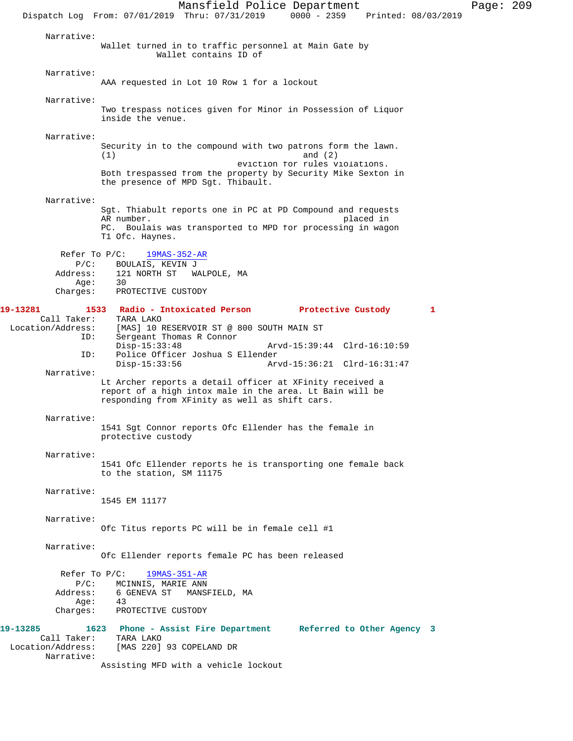Mansfield Police Department Page: 209 Dispatch Log From: 07/01/2019 Thru: 07/31/2019 0000 - 2359 Printed: 08/03/2019 Narrative: Wallet turned in to traffic personnel at Main Gate by Wallet contains ID of Narrative: AAA requested in Lot 10 Row 1 for a lockout Narrative: Two trespass notices given for Minor in Possession of Liquor inside the venue. Narrative: Security in to the compound with two patrons form the lawn.  $(1)$  and  $(2)$  eviction for rules violations. Both trespassed from the property by Security Mike Sexton in the presence of MPD Sgt. Thibault. Narrative: Sgt. Thiabult reports one in PC at PD Compound and requests AR number. placed in PC. Boulais was transported to MPD for processing in wagon T1 Ofc. Haynes. Refer To P/C: 19MAS-352-AR P/C: BOULAIS, KEVIN J Address: 121 NORTH ST WALPOLE, MA<br>Age: 30 Age:<br>:Charges PROTECTIVE CUSTODY **19-13281 1533 Radio - Intoxicated Person Protective Custody 1**  Call Taker:<br>Location/Address: [MAS] 10 RESERVOIR ST @ 800 SOUTH MAIN ST ID: Sergeant Thomas R Connor Disp-15:33:48 Arvd-15:39:44 Clrd-16:10:59<br>ID: Police Officer Joshua S Ellender Police Officer Joshua S Ellender<br>Disp-15:33:56 Ar Disp-15:33:56 Arvd-15:36:21 Clrd-16:31:47 Narrative: Lt Archer reports a detail officer at XFinity received a report of a high intox male in the area. Lt Bain will be responding from XFinity as well as shift cars. Narrative: 1541 Sgt Connor reports Ofc Ellender has the female in protective custody Narrative: 1541 Ofc Ellender reports he is transporting one female back to the station, SM 11175 Narrative: 1545 EM 11177 Narrative: Ofc Titus reports PC will be in female cell #1 Narrative: Ofc Ellender reports female PC has been released Refer To P/C: 19MAS-351-AR P/C: MCINNIS, MARIE ANN Address: 6 GENEVA ST MANSFIELD, MA Age:<br>:Charges PROTECTIVE CUSTODY **19-13285 1623 Phone - Assist Fire Department Referred to Other Agency 3**  Call Taker:<br>Location/Address: [MAS 220] 93 COPELAND DR Narrative: Assisting MFD with a vehicle lockout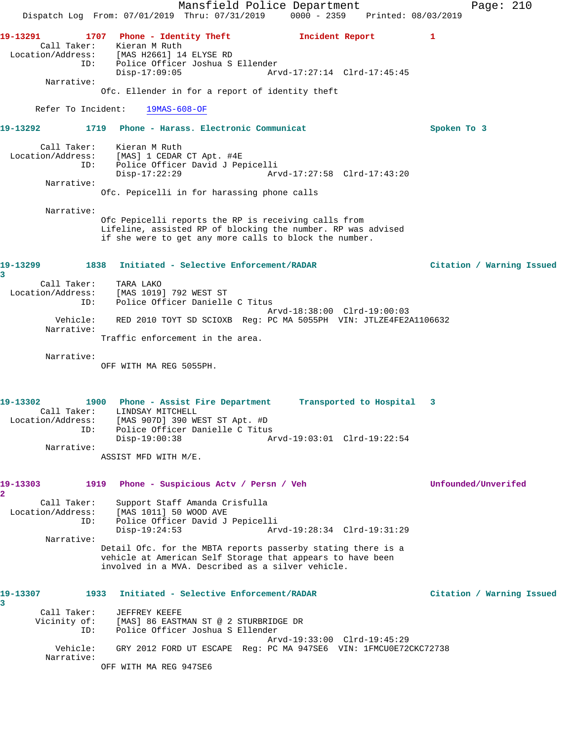Mansfield Police Department Page: 210 Dispatch Log From: 07/01/2019 Thru: 07/31/2019 0000 - 2359 Printed: 08/03/2019 **19-13291 1707 Phone - Identity Theft Incident Report 1**  Call Taker: Kieran M Ruth Location/Address: [MAS H2661] 14 ELYSE RD ID: Police Officer Joshua S Ellender Disp-17:09:05 Arvd-17:27:14 Clrd-17:45:45 Narrative: Ofc. Ellender in for a report of identity theft Refer To Incident: 19MAS-608-OF **19-13292 1719 Phone - Harass. Electronic Communicat Spoken To 3** Call Taker: Kieran M Ruth Location/Address: [MAS] 1 CEDAR CT Apt. #4E ID: Police Officer David J Pepicelli Disp-17:22:29 Arvd-17:27:58 Clrd-17:43:20 Narrative: Ofc. Pepicelli in for harassing phone calls Narrative: Ofc Pepicelli reports the RP is receiving calls from Lifeline, assisted RP of blocking the number. RP was advised if she were to get any more calls to block the number. **19-13299 1838 Initiated - Selective Enforcement/RADAR Citation / Warning Issued 3**  Call Taker: TARA LAKO Location/Address: [MAS 1019] 792 WEST ST ID: Police Officer Danielle C Titus Arvd-18:38:00 Clrd-19:00:03 Vehicle: RED 2010 TOYT SD SCIOXB Reg: PC MA 5055PH VIN: JTLZE4FE2A1106632 Narrative: Traffic enforcement in the area. Narrative: OFF WITH MA REG 5055PH. **19-13302 1900 Phone - Assist Fire Department Transported to Hospital 3**  Call Taker: LINDSAY MITCHELL Location/Address: [MAS 907D] 390 WEST ST Apt. #D ID: Police Officer Danielle C Titus Disp-19:00:38 Arvd-19:03:01 Clrd-19:22:54 Narrative: ASSIST MFD WITH M/E. **19-13303 1919 Phone - Suspicious Actv / Persn / Veh Unfounded/Unverifed 2**  Call Taker: Support Staff Amanda Crisfulla Location/Address: [MAS 1011] 50 WOOD AVE ID: Police Officer David J Pepicelli Disp-19:24:53 Arvd-19:28:34 Clrd-19:31:29 Narrative: Detail Ofc. for the MBTA reports passerby stating there is a vehicle at American Self Storage that appears to have been involved in a MVA. Described as a silver vehicle. **19-13307 1933 Initiated - Selective Enforcement/RADAR Citation / Warning Issued 3**  Call Taker: JEFFREY KEEFE<br>Vicinity of: [MAS] 86 EASTN [MAS] 86 EASTMAN ST @ 2 STURBRIDGE DR ID: Police Officer Joshua S Ellender Arvd-19:33:00 Clrd-19:45:29 Vehicle: GRY 2012 FORD UT ESCAPE Reg: PC MA 947SE6 VIN: 1FMCU0E72CKC72738 Narrative: OFF WITH MA REG 947SE6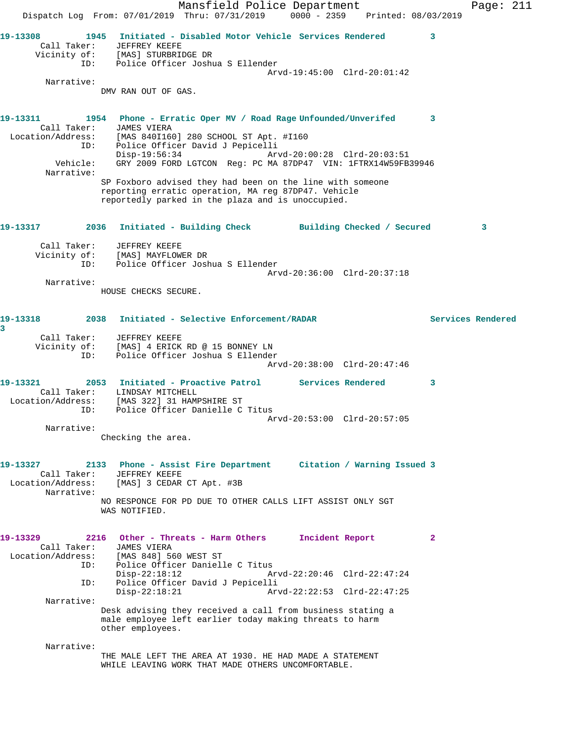Mansfield Police Department Page: 211 Dispatch Log From: 07/01/2019 Thru: 07/31/2019 0000 - 2359 Printed: 08/03/2019 **19-13308 1945 Initiated - Disabled Motor Vehicle Services Rendered 3**  Call Taker: JEFFREY KEEFE Vicinity of: [MAS] STURBRIDGE DR ID: Police Officer Joshua S Ellender Arvd-19:45:00 Clrd-20:01:42 Narrative: DMV RAN OUT OF GAS. **19-13311 1954 Phone - Erratic Oper MV / Road Rage Unfounded/Unverifed 3**  Call Taker: JAMES VIERA Location/Address: [MAS 840I160] 280 SCHOOL ST Apt. #I160 ID: Police Officer David J Pepicelli Disp-19:56:34 Arvd-20:00:28 Clrd-20:03:51 Vehicle: GRY 2009 FORD LGTCON Reg: PC MA 87DP47 VIN: 1FTRX14W59FB39946 Narrative: SP Foxboro advised they had been on the line with someone reporting erratic operation, MA reg 87DP47. Vehicle reportedly parked in the plaza and is unoccupied. **19-13317 2036 Initiated - Building Check Building Checked / Secured 3** Call Taker: JEFFREY KEEFE Vicinity of: [MAS] MAYFLOWER DR ID: Police Officer Joshua S Ellender Arvd-20:36:00 Clrd-20:37:18 Narrative: HOUSE CHECKS SECURE. **19-13318 2038 Initiated - Selective Enforcement/RADAR Services Rendered 3**  Call Taker: JEFFREY KEEFE Vicinity of: [MAS] 4 ERICK RD @ 15 BONNEY LN<br>TD: Police Officer Joshua S Ellender Police Officer Joshua S Ellender Arvd-20:38:00 Clrd-20:47:46 **19-13321 2053 Initiated - Proactive Patrol Services Rendered 3**  Call Taker: LINDSAY MITCHELL Location/Address: [MAS 322] 31 HAMPSHIRE ST ID: Police Officer Danielle C Titus Arvd-20:53:00 Clrd-20:57:05 Narrative: Checking the area. **19-13327 2133 Phone - Assist Fire Department Citation / Warning Issued 3**  Call Taker: JEFFREY KEEFE Location/Address: [MAS] 3 CEDAR CT Apt. #3B Narrative: NO RESPONCE FOR PD DUE TO OTHER CALLS LIFT ASSIST ONLY SGT WAS NOTIFIED. **19-13329 2216 Other - Threats - Harm Others Incident Report 2**  Call Taker: JAMES VIERA Location/Address: [MAS 848] 560 WEST ST ID: Police Officer Danielle C Titus<br>Disp-22:18:12 A Disp-22:18:12 Arvd-22:20:46 Clrd-22:47:24<br>ID: Police Officer David J Pepicelli Police Officer David J Pepicelli Disp-22:18:21 Arvd-22:22:53 Clrd-22:47:25 Narrative: Desk advising they received a call from business stating a male employee left earlier today making threats to harm other employees. Narrative: THE MALE LEFT THE AREA AT 1930. HE HAD MADE A STATEMENT WHILE LEAVING WORK THAT MADE OTHERS UNCOMFORTABLE.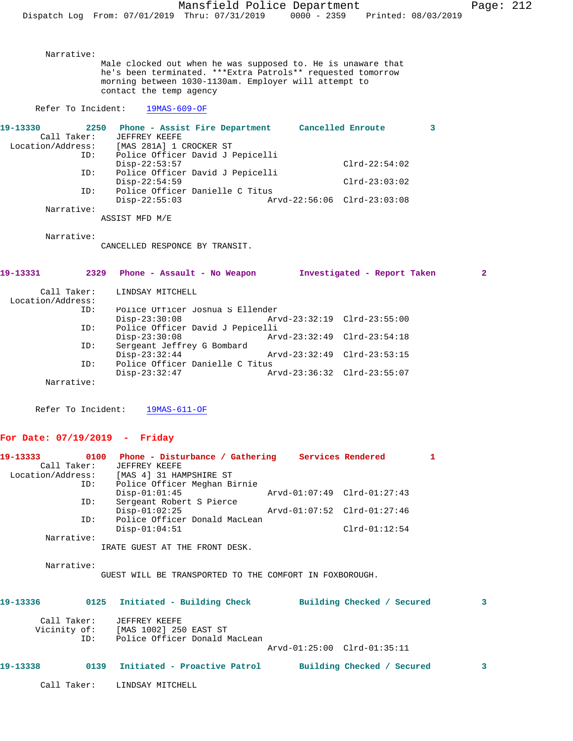Male clocked out when he was supposed to. He is unaware that he's been terminated. \*\*\*Extra Patrols\*\* requested tomorrow morning between 1030-1130am. Employer will attempt to contact the temp agency Refer To Incident: 19MAS-609-OF **19-13330 2250 Phone - Assist Fire Department Cancelled Enroute 3**  Call Taker: JEFFREY KEEFE Location/Address: [MAS 281A] 1 CROCKER ST ID: Police Officer David J Pepicelli Disp-22:53:57 Clrd-22:54:02 ID: Police Officer David J Pepicelli Disp-22:54:59 Clrd-23:03:02 ID: Police Officer Danielle C Titus Disp-22:55:03 Arvd-22:56:06 Clrd-23:03:08 Narrative: ASSIST MFD M/E Narrative: CANCELLED RESPONCE BY TRANSIT. **19-13331 2329 Phone - Assault - No Weapon Investigated - Report Taken 2** Call Taker: LINDSAY MITCHELL Location/Address: ID: Police Officer Joshua S Ellender Disp-23:30:08 Arvd-23:32:19 Clrd-23:55:00<br>ID: Police Officer David J Pepicelli ID: Police Officer David J Pepicelli Disp-23:30:08 Arvd-23:32:49 Clrd-23:54:18<br>ID: Sergeant Jeffrey G Bombard Sergeant Jeffrey G Bombard<br>Disp-23:32:44 Disp-23:32:44 Arvd-23:32:49 Clrd-23:53:15<br>ID: Police Officer Danielle C Titus Police Officer Danielle C Titus<br>Disp-23:32:47 Ar Disp-23:32:47 Arvd-23:36:32 Clrd-23:55:07 Narrative:

Refer To Incident: 19MAS-611-OF

# **For Date: 07/19/2019 - Friday**

Narrative:

|             |     |                                                                         |                             |                 | 1 |
|-------------|-----|-------------------------------------------------------------------------|-----------------------------|-----------------|---|
| Call Taker: |     | JEFFREY KEEFE                                                           |                             |                 |   |
|             |     | Location/Address: [MAS 4] 31 HAMPSHIRE ST                               |                             |                 |   |
|             | ID: | Police Officer Meghan Birnie                                            |                             |                 |   |
|             |     | $Disp-01:01:45$                                                         | Arvd-01:07:49 Clrd-01:27:43 |                 |   |
| ID:         |     | Sergeant Robert S Pierce                                                |                             |                 |   |
|             |     | $Disp-01:02:25$                                                         |                             |                 |   |
| ID:         |     | Police Officer Donald MacLean                                           |                             |                 |   |
|             |     | $Disp-01:04:51$                                                         |                             | $Clrd-01:12:54$ |   |
| Narrative:  |     |                                                                         |                             |                 |   |
|             |     | IRATE GUEST AT THE FRONT DESK.                                          |                             |                 |   |
|             |     |                                                                         |                             |                 |   |
| Narrative:  |     |                                                                         |                             |                 |   |
|             |     | GUEST WILL BE TRANSPORTED TO THE COMFORT IN FOXBOROUGH.                 |                             |                 |   |
|             |     |                                                                         |                             |                 |   |
|             |     | 19-13336 6 0125 Initiated - Building Check 6 Building Checked / Secured |                             |                 | 3 |
|             |     |                                                                         |                             |                 |   |
| Call Taker: |     | JEFFREY KEEFE                                                           |                             |                 |   |
|             |     | Vicinity of: [MAS 1002] 250 EAST ST                                     |                             |                 |   |
|             |     | ID: Police Officer Donald MacLean                                       |                             |                 |   |
|             |     |                                                                         | Arvd-01:25:00 Clrd-01:35:11 |                 |   |
|             |     |                                                                         |                             |                 |   |
| 19-13338    |     | 0139 Initiated - Proactive Patrol Building Checked / Secured            |                             |                 | 3 |
|             |     |                                                                         |                             |                 |   |
| Call Taker: |     | LINDSAY MITCHELL                                                        |                             |                 |   |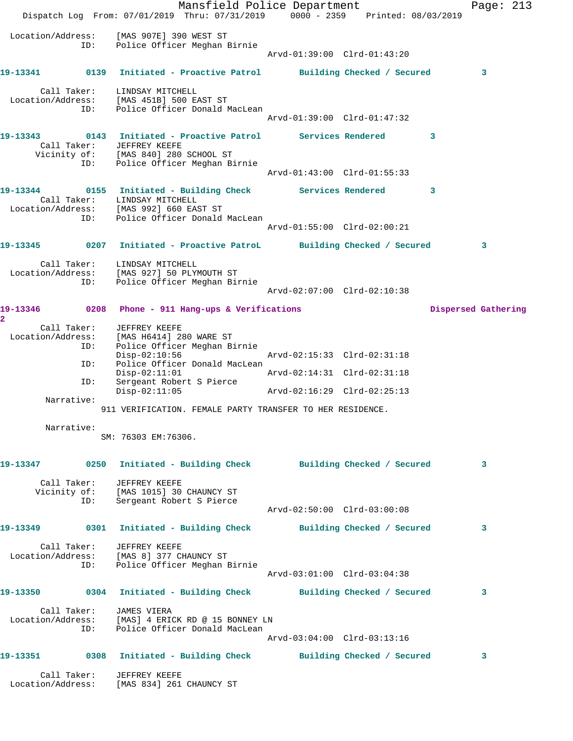|                           |                    | Dispatch Log From: 07/01/2019 Thru: 07/31/2019 0000 - 2359 Printed: 08/03/2019                                                                                             | Mansfield Police Department |   | Page: $213$         |  |
|---------------------------|--------------------|----------------------------------------------------------------------------------------------------------------------------------------------------------------------------|-----------------------------|---|---------------------|--|
| Location/Address:         | ID:                | [MAS 907E] 390 WEST ST<br>Police Officer Meghan Birnie                                                                                                                     | Arvd-01:39:00 Clrd-01:43:20 |   |                     |  |
|                           |                    | 19-13341 0139 Initiated - Proactive Patrol Building Checked / Secured                                                                                                      |                             |   | 3                   |  |
|                           |                    | Call Taker: LINDSAY MITCHELL<br>Location/Address: [MAS 451B] 500 EAST ST<br>ID: Police Officer Donald MacLean                                                              | Arvd-01:39:00 Clrd-01:47:32 |   |                     |  |
|                           | ID:                | Call Taker: JEFFREY KEEFE<br>Vicinity of: [MAS 840] 280 SCHOOL ST<br>Police Officer Meghan Birnie                                                                          |                             | 3 |                     |  |
|                           |                    |                                                                                                                                                                            | Arvd-01:43:00 Clrd-01:55:33 |   |                     |  |
|                           |                    | 19-13344 0155 Initiated - Building Check Services Rendered<br>Call Taker: LINDSAY MITCHELL<br>Location/Address: [MAS 992] 660 EAST ST<br>ID: Police Officer Donald MacLean |                             | 3 |                     |  |
|                           |                    |                                                                                                                                                                            | Arvd-01:55:00 Clrd-02:00:21 |   |                     |  |
|                           |                    | 19-13345 0207 Initiated - Proactive PatroL Building Checked / Secured                                                                                                      |                             |   | 3                   |  |
|                           | ID:                | Call Taker: LINDSAY MITCHELL<br>Location/Address: [MAS 927] 50 PLYMOUTH ST<br>Police Officer Meghan Birnie                                                                 | Arvd-02:07:00 Clrd-02:10:38 |   |                     |  |
| $\mathbf{2}^{\mathsf{I}}$ |                    | 19-13346 0208 Phone - 911 Hang-ups & Verifications                                                                                                                         |                             |   | Dispersed Gathering |  |
|                           | ID:                | Call Taker: JEFFREY KEEFE<br>Location/Address: [MAS H6414] 280 WARE ST<br>ID: Police Officer Meghan B<br>Police Officer Meghan Birnie                                      |                             |   |                     |  |
|                           | ID:                | $Disp-02:10:56$<br>Police Officer Donald MacLean                                                                                                                           | Arvd-02:15:33 Clrd-02:31:18 |   |                     |  |
|                           | ID:                | $Disp-02:11:01$<br>Sergeant Robert S Pierce                                                                                                                                | Arvd-02:14:31 Clrd-02:31:18 |   |                     |  |
|                           | Narrative:         | $Disp-02:11:05$                                                                                                                                                            | Arvd-02:16:29 Clrd-02:25:13 |   |                     |  |
|                           |                    | 911 VERIFICATION. FEMALE PARTY TRANSFER TO HER RESIDENCE.                                                                                                                  |                             |   |                     |  |
|                           | Narrative:         | SM: 76303 EM:76306.                                                                                                                                                        |                             |   |                     |  |
|                           |                    | 19-13347 0250 Initiated - Building Check Building Checked / Secured                                                                                                        |                             |   | 3                   |  |
|                           | Call Taker:<br>ID: | JEFFREY KEEFE<br>Vicinity of: [MAS 1015] 30 CHAUNCY ST<br>Sergeant Robert S Pierce                                                                                         |                             |   |                     |  |
|                           |                    |                                                                                                                                                                            | Arvd-02:50:00 Clrd-03:00:08 |   |                     |  |
|                           |                    | 19-13349      0301 Initiated - Building Check      Building Checked / Secured                                                                                              |                             |   | 3                   |  |
|                           |                    | Call Taker: JEFFREY KEEFE<br>Location/Address: [MAS 8] 377 CHAUNCY ST<br>ID: Police Officer Meghan Birnie                                                                  | Arvd-03:01:00 Clrd-03:04:38 |   |                     |  |
|                           |                    | 19-13350      0304  Initiated - Building Check      Building Checked / Secured                                                                                             |                             |   | 3                   |  |
|                           | ID:                | Call Taker: JAMES VIERA<br>Location/Address: [MAS] 4 ERICK RD @ 15 BONNEY LN<br>Police Officer Donald MacLean                                                              | Arvd-03:04:00 Clrd-03:13:16 |   |                     |  |
|                           |                    | 19-13351 0308 Initiated - Building Check Building Checked / Secured                                                                                                        |                             |   | 3                   |  |
|                           | Call Taker:        | JEFFREY KEEFE<br>Location/Address: [MAS 834] 261 CHAUNCY ST                                                                                                                |                             |   |                     |  |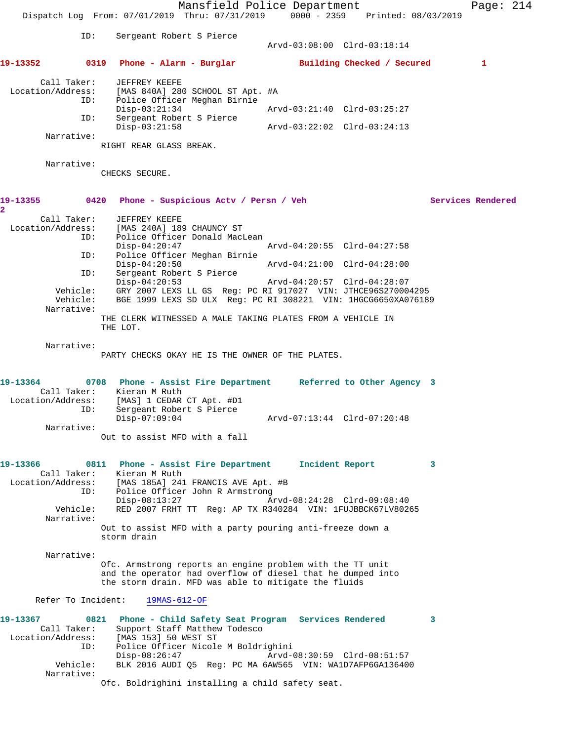Mansfield Police Department Page: 214 Dispatch Log From: 07/01/2019 Thru: 07/31/2019 0000 - 2359 Printed: 08/03/2019 ID: Sergeant Robert S Pierce Arvd-03:08:00 Clrd-03:18:14 **19-13352 0319 Phone - Alarm - Burglar Building Checked / Secured 1** Call Taker: JEFFREY KEEFE Location/Address: [MAS 840A] 280 SCHOOL ST Apt. #A ID: Police Officer Meghan Birnie Disp-03:21:34 Arvd-03:21:40 Clrd-03:25:27 ID: Sergeant Robert S Pierce Disp-03:21:58 Arvd-03:22:02 Clrd-03:24:13 Narrative: RIGHT REAR GLASS BREAK. Narrative: CHECKS SECURE. **19-13355 0420 Phone - Suspicious Actv / Persn / Veh Services Rendered 2**  Call Taker: JEFFREY KEEFE Location/Address: [MAS 240A] 189 CHAUNCY ST<br>ID: Police Officer Donald Mac Police Officer Donald MacLean<br>Disp-04:20:47 Disp-04:20:47 Arvd-04:20:55 Clrd-04:27:58<br>ID: Police Officer Meghan Birnie Police Officer Meghan Birnie<br>Disp-04:20:50 Disp-04:20:50 Arvd-04:21:00 Clrd-04:28:00 ID: Sergeant Robert S Pierce Disp-04:20:53 Arvd-04:20:57 Clrd-04:28:07 Vehicle: GRY 2007 LEXS LL GS Reg: PC RI 917027 VIN: JTHCE96S270004295 Vehicle: BGE 1999 LEXS SD ULX Reg: PC RI 308221 VIN: 1HGCG6650XA076189 Narrative: THE CLERK WITNESSED A MALE TAKING PLATES FROM A VEHICLE IN THE LOT. Narrative: PARTY CHECKS OKAY HE IS THE OWNER OF THE PLATES. **19-13364 0708 Phone - Assist Fire Department Referred to Other Agency 3**  Call Taker: Kieran M Ruth Location/Address: [MAS] 1 CEDAR CT Apt. #D1 ID: Sergeant Robert S Pierce Disp-07:09:04 Arvd-07:13:44 Clrd-07:20:48 Narrative: Out to assist MFD with a fall **19-13366 0811 Phone - Assist Fire Department Incident Report 3**  Call Taker: Kieran M Ruth Location/Address: [MAS 185A] 241 FRANCIS AVE Apt. #B ID: Police Officer John R Armstrong<br>Disp-08:13:27 Ar Disp-08:13:27 <br>
Vehicle: RED 2007 FRHT TT Reg: AP TX R340284 VIN: 1FUJBBCK67LV802 RED 2007 FRHT TT Reg: AP TX R340284 VIN: 1FUJBBCK67LV80265 Narrative: Out to assist MFD with a party pouring anti-freeze down a storm drain Narrative: Ofc. Armstrong reports an engine problem with the TT unit and the operator had overflow of diesel that he dumped into the storm drain. MFD was able to mitigate the fluids Refer To Incident: 19MAS-612-OF **19-13367 0821 Phone - Child Safety Seat Program Services Rendered 3**  Call Taker: Support Staff Matthew Todesco Location/Address: [MAS 153] 50 WEST ST ID: Police Officer Nicole M Boldrighini Disp-08:26:47 Arvd-08:30:59 Clrd-08:51:57<br>Vehicle: BLK 2016 AUDI Q5 Req: PC MA 6AW565 VIN: WAlD7AFP6GA136400 BLK 2016 AUDI Q5 Reg: PC MA 6AW565 VIN: WA1D7AFP6GA136400 Narrative: Ofc. Boldrighini installing a child safety seat.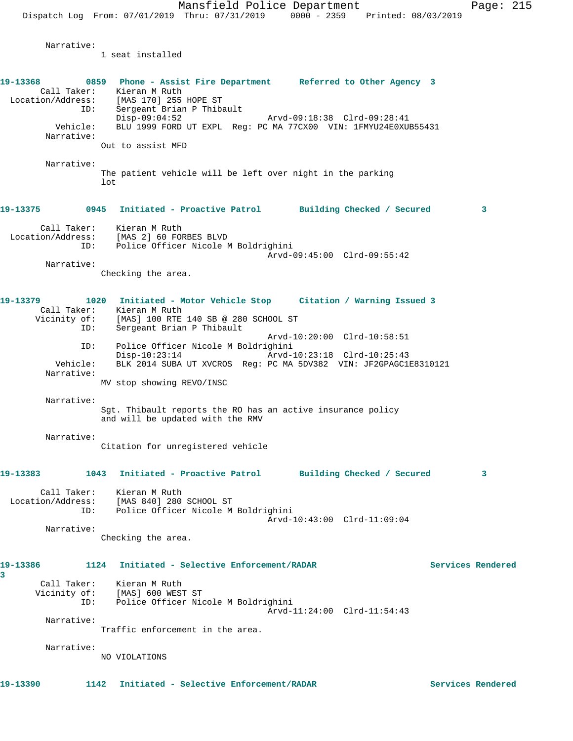Narrative:

1 seat installed

| 19-13368               | 0859 Phone - Assist Fire Department Referred to Other Agency 3<br>Call Taker: Kieran M Ruth     |                   |
|------------------------|-------------------------------------------------------------------------------------------------|-------------------|
| ID:                    | Location/Address: [MAS 170] 255 HOPE ST<br>Sergeant Brian P Thibault                            |                   |
|                        | $Disp-09:04:52$                                                                                 |                   |
| Vehicle:<br>Narrative: | BLU 1999 FORD UT EXPL Req: PC MA 77CX00 VIN: 1FMYU24E0XUB55431                                  |                   |
|                        | Out to assist MFD                                                                               |                   |
| Narrative:             |                                                                                                 |                   |
|                        | The patient vehicle will be left over night in the parking<br>1ot                               |                   |
| 19-13375               | 0945 Initiated - Proactive Patrol Building Checked / Secured                                    | 3                 |
|                        | Call Taker: Kieran M Ruth<br>Location/Address: [MAS 2] 60 FORBES BLVD                           |                   |
|                        | ID: Police Officer Nicole M Boldrighini                                                         |                   |
| Narrative:             | Arvd-09:45:00 Clrd-09:55:42                                                                     |                   |
|                        | Checking the area.                                                                              |                   |
| 19-13379               | 1020<br>Initiated - Motor Vehicle Stop Citation / Warning Issued 3                              |                   |
|                        | Call Taker: Kieran M Ruth                                                                       |                   |
| ID:                    | Vicinity of: [MAS] 100 RTE 140 SB @ 280 SCHOOL ST<br>Sergeant Brian P Thibault                  |                   |
| ID:                    | Arvd-10:20:00 Clrd-10:58:51<br>Police Officer Nicole M Boldrighini                              |                   |
|                        | $Disp-10:23:14$<br>Arvd-10:23:18 Clrd-10:25:43                                                  |                   |
| Vehicle:<br>Narrative: | BLK 2014 SUBA UT XVCROS Reg: PC MA 5DV382 VIN: JF2GPAGC1E8310121                                |                   |
|                        | MV stop showing REVO/INSC                                                                       |                   |
| Narrative:             |                                                                                                 |                   |
|                        | Sgt. Thibault reports the RO has an active insurance policy<br>and will be updated with the RMV |                   |
| Narrative:             |                                                                                                 |                   |
|                        | Citation for unregistered vehicle                                                               |                   |
| 19-13383               | 1043<br>Initiated - Proactive Patrol Building Checked / Secured                                 | 3                 |
| Call Taker:            | Kieran M Ruth                                                                                   |                   |
|                        | Location/Address: [MAS 840] 280 SCHOOL ST<br>ID: Police Officer Nicole M Boldrighini            |                   |
|                        | Arvd-10:43:00 Clrd-11:09:04                                                                     |                   |
| Narrative:             | Checking the area.                                                                              |                   |
| 19-13386<br>1124       | Initiated - Selective Enforcement/RADAR                                                         | Services Rendered |
| 3                      | Call Taker: Kieran M Ruth                                                                       |                   |
|                        | Vicinity of: [MAS] 600 WEST ST                                                                  |                   |
| ID:                    | Police Officer Nicole M Boldrighini<br>Arvd-11:24:00 Clrd-11:54:43                              |                   |
| Narrative:             |                                                                                                 |                   |
|                        | Traffic enforcement in the area.                                                                |                   |
| Narrative:             |                                                                                                 |                   |
|                        | NO VIOLATIONS                                                                                   |                   |
| 19-13390               | 1142<br>Initiated - Selective Enforcement/RADAR                                                 | Services Rendered |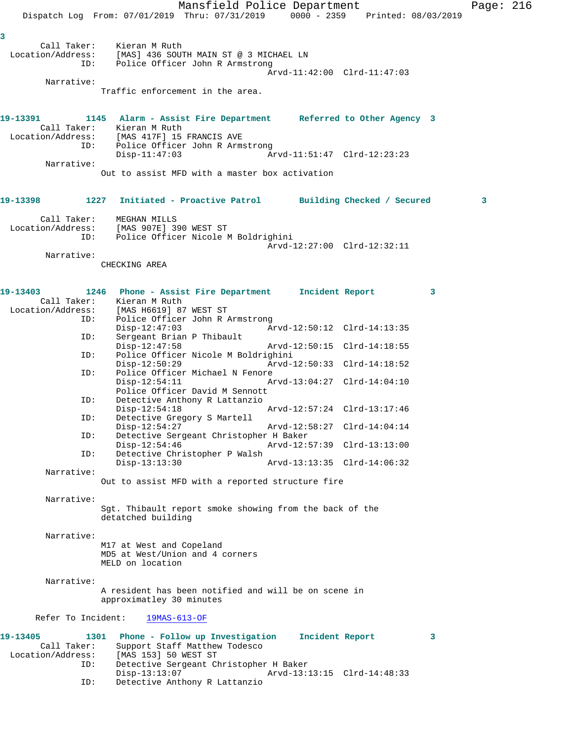Mansfield Police Department Page: 216 Dispatch Log From: 07/01/2019 Thru: 07/31/2019 0000 - 2359 Printed: 08/03/2019 **3**  Call Taker: Kieran M Ruth Location/Address: [MAS] 436 SOUTH MAIN ST @ 3 MICHAEL LN ID: Police Officer John R Armstrong Arvd-11:42:00 Clrd-11:47:03 Narrative: Traffic enforcement in the area. **19-13391 1145 Alarm - Assist Fire Department Referred to Other Agency 3**  Call Taker: Kieran M Ruth Location/Address: [MAS 417F] 15 FRANCIS AVE ID: Police Officer John R Armstrong Disp-11:47:03 Arvd-11:51:47 Clrd-12:23:23 Narrative: Out to assist MFD with a master box activation **19-13398 1227 Initiated - Proactive Patrol Building Checked / Secured 3** Call Taker: MEGHAN MILLS Location/Address: [MAS 907E] 390 WEST ST Police Officer Nicole M Boldrighini Arvd-12:27:00 Clrd-12:32:11 Narrative: CHECKING AREA **19-13403 1246 Phone - Assist Fire Department Incident Report 3**  Call Taker: Kieran M Ruth Location/Address: [MAS H6619] 87 WEST ST ID: Police Officer John R Armstrong Disp-12:47:03 Arvd-12:50:12 Clrd-14:13:35 ID: Sergeant Brian P Thibault Disp-12:47:58 Arvd-12:50:15 Clrd-14:18:55<br>ID: Police Officer Nicole M Boldrighini Police Officer Nicole M Boldrighini<br>Disp-12:50:29 Arvd- Disp-12:50:29 Arvd-12:50:33 Clrd-14:18:52 ID: Police Officer Michael N Fenore Disp-12:54:11 Arvd-13:04:27 Clrd-14:04:10 Police Officer David M Sennott<br>ID: Detective Anthony R Lattanzio Detective Anthony R Lattanzio Disp-12:54:18 Arvd-12:57:24 Clrd-13:17:46 ID: Detective Gregory S Martell Disp-12:54:27 Arvd-12:58:27 Clrd-14:04:14<br>TD: Detective Sergeant Christopher H Baker Detective Sergeant Christopher H Baker<br>Disp-12:54:46 Arvd-12: Disp-12:54:46 Arvd-12:57:39 Clrd-13:13:00<br>ID: Detective Christopher P Walsh Detective Christopher P Walsh Disp-13:13:30 Arvd-13:13:35 Clrd-14:06:32 Narrative: Out to assist MFD with a reported structure fire Narrative: Sgt. Thibault report smoke showing from the back of the detatched building Narrative: M17 at West and Copeland MD5 at West/Union and 4 corners MELD on location Narrative: A resident has been notified and will be on scene in approximatley 30 minutes Refer To Incident: 19MAS-613-OF **19-13405 1301 Phone - Follow up Investigation Incident Report 3**  Call Taker: Support Staff Matthew Todesco Location/Address: [MAS 153] 50 WEST ST ID: Detective Sergeant Christopher H Baker Disp-13:13:07 Arvd-13:13:15 Clrd-14:48:33<br>ID: Detective Anthony R Lattanzio Detective Anthony R Lattanzio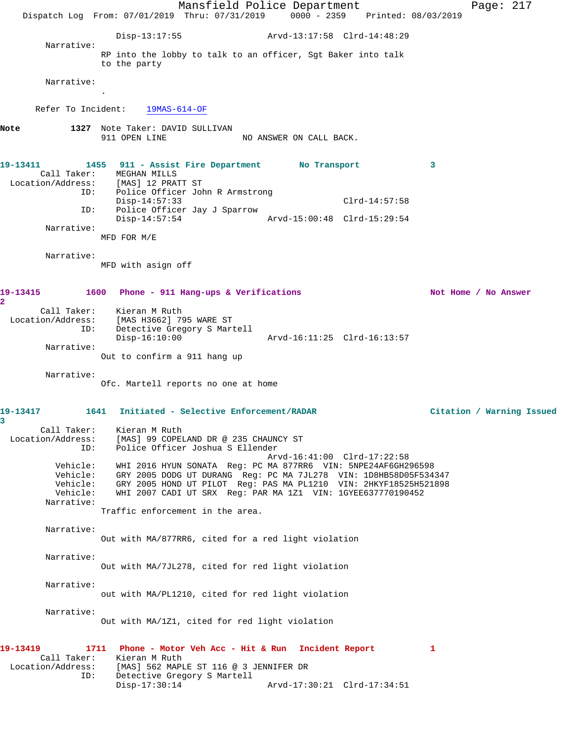Mansfield Police Department Page: 217 Dispatch Log From: 07/01/2019 Thru: 07/31/2019 0000 - 2359 Printed: 08/03/2019 Disp-13:17:55 Arvd-13:17:58 Clrd-14:48:29 Narrative: RP into the lobby to talk to an officer, Sgt Baker into talk to the party Narrative: . Refer To Incident: 19MAS-614-OF **Note 1327** Note Taker: DAVID SULLIVAN 911 OPEN LINE NO ANSWER ON CALL BACK. **19-13411 1455 911 - Assist Fire Department No Transport 3**  Call Taker: MEGHAN MILLS<br>Location/Address: [MAS] 12 PRAT [MAS] 12 PRATT ST ID: Police Officer John R Armstrong Disp-14:57:33 Clrd-14:57:58 ID: Police Officer Jay J Sparrow Disp-14:57:54 Arvd-15:00:48 Clrd-15:29:54 Narrative: MFD FOR M/E Narrative: MFD with asign off **19-13415 1600 Phone - 911 Hang-ups & Verifications Not Home / No Answer 2**  Call Taker: Kieran M Ruth Location/Address: [MAS H3662] 795 WARE ST ID: Detective Gregory S Martell Disp-16:10:00 Arvd-16:11:25 Clrd-16:13:57 Narrative: Out to confirm a 911 hang up Narrative: Ofc. Martell reports no one at home **19-13417 1641 Initiated - Selective Enforcement/RADAR Citation / Warning Issued 3**  Call Taker: Kieran M Ruth Location/Address: [MAS] 99 COPELAND DR @ 235 CHAUNCY ST ID: Police Officer Joshua S Ellender Arvd-16:41:00 Clrd-17:22:58 Vehicle: WHI 2016 HYUN SONATA Reg: PC MA 877RR6 VIN: 5NPE24AF6GH296598 Vehicle: GRY 2005 DODG UT DURANG Reg: PC MA 7JL278 VIN: 1D8HB58D05F534347 Vehicle: GRY 2005 HOND UT PILOT Reg: PAS MA PL1210 VIN: 2HKYF18525H521898 Vehicle: WHI 2007 CADI UT SRX Reg: PAR MA 1Z1 VIN: 1GYEE637770190452 Narrative: Traffic enforcement in the area. Narrative: Out with MA/877RR6, cited for a red light violation Narrative: Out with MA/7JL278, cited for red light violation Narrative: out with MA/PL1210, cited for red light violation Narrative: Out with MA/1Z1, cited for red light violation **19-13419 1711 Phone - Motor Veh Acc - Hit & Run Incident Report 1**  Call Taker: Kieran M Ruth Location/Address: [MAS] 562 MAPLE ST 116 @ 3 JENNIFER DR ID: Detective Gregory S Martell<br>Disp-17:30:14 Disp-17:30:14 Arvd-17:30:21 Clrd-17:34:51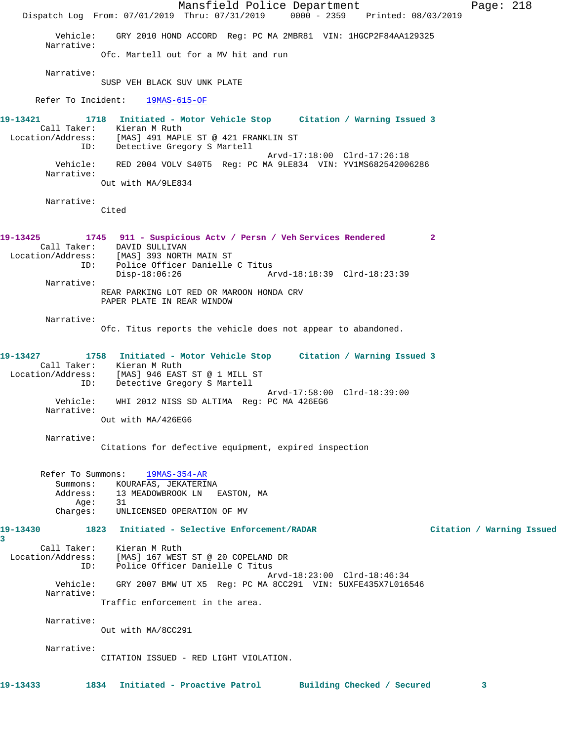Mansfield Police Department Page: 218 Dispatch Log From: 07/01/2019 Thru: 07/31/2019 0000 - 2359 Printed: 08/03/2019 Vehicle: GRY 2010 HOND ACCORD Reg: PC MA 2MBR81 VIN: 1HGCP2F84AA129325 Narrative: Ofc. Martell out for a MV hit and run Narrative: SUSP VEH BLACK SUV UNK PLATE Refer To Incident: 19MAS-615-OF **19-13421 1718 Initiated - Motor Vehicle Stop Citation / Warning Issued 3**  Call Taker: Kieran M Ruth Location/Address: [MAS] 491 MAPLE ST @ 421 FRANKLIN ST ID: Detective Gregory S Martell Arvd-17:18:00 Clrd-17:26:18 Vehicle: RED 2004 VOLV S40T5 Reg: PC MA 9LE834 VIN: YV1MS682542006286 Narrative: Out with MA/9LE834 Narrative: Cited **19-13425 1745 911 - Suspicious Actv / Persn / Veh Services Rendered 2**  Call Taker: DAVID SULLIVAN Location/Address: [MAS] 393 NORTH MAIN ST ID: Police Officer Danielle C Titus<br>Disp-18:06:26 Ar Disp-18:06:26 Arvd-18:18:39 Clrd-18:23:39 Narrative: REAR PARKING LOT RED OR MAROON HONDA CRV PAPER PLATE IN REAR WINDOW Narrative: Ofc. Titus reports the vehicle does not appear to abandoned. **19-13427 1758 Initiated - Motor Vehicle Stop Citation / Warning Issued 3**  Call Taker: Kieran M Ruth Location/Address: [MAS] 946 EAST ST @ 1 MILL ST ID: Detective Gregory S Martell Arvd-17:58:00 Clrd-18:39:00 Vehicle: WHI 2012 NISS SD ALTIMA Reg: PC MA 426EG6 Narrative: Out with MA/426EG6 Narrative: Citations for defective equipment, expired inspection Refer To Summons: 19MAS-354-AR Summons: KOURAFAS, JEKATERINA<br>Address: 13 MEADOWBROOK LN 13 MEADOWBROOK LN EASTON, MA<br>31 Age: Charges: UNLICENSED OPERATION OF MV **19-13430 1823 Initiated - Selective Enforcement/RADAR Citation / Warning Issued 3**  Call Taker: Kieran M Ruth Location/Address: [MAS] 167 WEST ST @ 20 COPELAND DR ID: Police Officer Danielle C Titus Arvd-18:23:00 Clrd-18:46:34 Vehicle: GRY 2007 BMW UT X5 Reg: PC MA 8CC291 VIN: 5UXFE435X7L016546 Narrative: Traffic enforcement in the area. Narrative: Out with MA/8CC291 Narrative: CITATION ISSUED - RED LIGHT VIOLATION. **19-13433 1834 Initiated - Proactive Patrol Building Checked / Secured 3**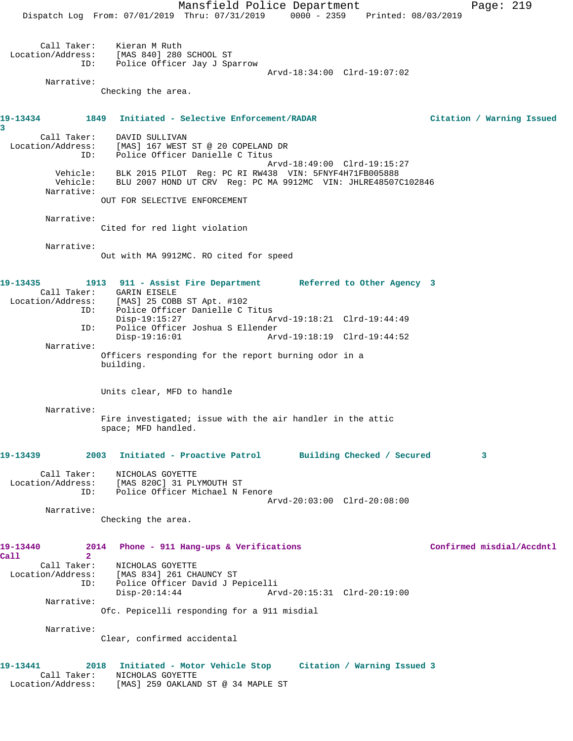Mansfield Police Department Page: 219 Dispatch Log From: 07/01/2019 Thru: 07/31/2019 0000 - 2359 Printed: 08/03/2019 Call Taker: Kieran M Ruth Location/Address: [MAS 840] 280 SCHOOL ST ID: Police Officer Jay J Sparrow Arvd-18:34:00 Clrd-19:07:02 Narrative: Checking the area. **19-13434 1849 Initiated - Selective Enforcement/RADAR Citation / Warning Issued 3**  Call Taker: DAVID SULLIVAN Location/Address: [MAS] 167 WEST ST @ 20 COPELAND DR ID: Police Officer Danielle C Titus Arvd-18:49:00 Clrd-19:15:27 Vehicle: BLK 2015 PILOT Reg: PC RI RW438 VIN: 5FNYF4H71FB005888 Vehicle: BLU 2007 HOND UT CRV Reg: PC MA 9912MC VIN: JHLRE48507C102846 Narrative: OUT FOR SELECTIVE ENFORCEMENT Narrative: Cited for red light violation Narrative: Out with MA 9912MC. RO cited for speed **19-13435 1913 911 - Assist Fire Department Referred to Other Agency 3**  Call Taker: GARIN EISELE<br>Location/Address: [MAS] 25 COB Exation: [MAS] 25 COBB ST Apt. #102<br>ID: Police Officer Danielle C Police Officer Danielle C Titus Disp-19:15:27 Arvd-19:18:21 Clrd-19:44:49 ID: Police Officer Joshua S Ellender Arvd-19:18:19 Clrd-19:44:52 Narrative: Officers responding for the report burning odor in a building. Units clear, MFD to handle Narrative: Fire investigated; issue with the air handler in the attic space; MFD handled. **19-13439 2003 Initiated - Proactive Patrol Building Checked / Secured 3** Call Taker: NICHOLAS GOYETTE Location/Address: [MAS 820C] 31 PLYMOUTH ST ID: Police Officer Michael N Fenore Arvd-20:03:00 Clrd-20:08:00 Narrative: Checking the area. **19-13440 2014 Phone - 911 Hang-ups & Verifications Confirmed misdial/Accdntl Call 2**  Call Taker: NICHOLAS GOYETTE Location/Address: [MAS 834] 261 CHAUNCY ST ID: Police Officer David J Pepicelli Disp-20:14:44 Arvd-20:15:31 Clrd-20:19:00 Narrative: Ofc. Pepicelli responding for a 911 misdial Narrative: Clear, confirmed accidental **19-13441 2018 Initiated - Motor Vehicle Stop Citation / Warning Issued 3**  Call Taker: NICHOLAS GOYETTE Location/Address: [MAS] 259 OAKLAND ST @ 34 MAPLE ST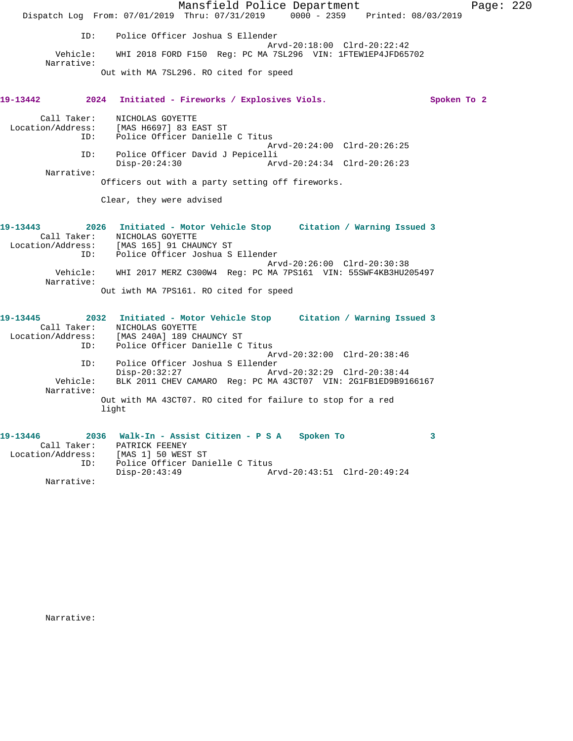Mansfield Police Department Page: 220 Dispatch Log From: 07/01/2019 Thru: 07/31/2019 0000 - 2359 Printed: 08/03/2019 ID: Police Officer Joshua S Ellender Arvd-20:18:00 Clrd-20:22:42 Vehicle: WHI 2018 FORD F150 Reg: PC MA 7SL296 VIN: 1FTEW1EP4JFD65702 Narrative: Out with MA 7SL296. RO cited for speed **19-13442 2024 Initiated - Fireworks / Explosives Viols. Spoken To 2** Call Taker: NICHOLAS GOYETTE Location/Address: [MAS H6697] 83 EAST ST ID: Police Officer Danielle C Titus Arvd-20:24:00 Clrd-20:26:25 ID: Police Officer David J Pepicelli Disp-20:24:30 Arvd-20:24:34 Clrd-20:26:23 Narrative: Officers out with a party setting off fireworks. Clear, they were advised **19-13443 2026 Initiated - Motor Vehicle Stop Citation / Warning Issued 3**  Call Taker: NICHOLAS GOYETTE Location/Address: [MAS 165] 91 CHAUNCY ST ID: Police Officer Joshua S Ellender Arvd-20:26:00 Clrd-20:30:38 Vehicle: WHI 2017 MERZ C300W4 Reg: PC MA 7PS161 VIN: 55SWF4KB3HU205497 Narrative: Out iwth MA 7PS161. RO cited for speed **19-13445 2032 Initiated - Motor Vehicle Stop Citation / Warning Issued 3**  Call Taker: NICHOLAS GOYETTE Location/Address: [MAS 240A] 189 CHAUNCY ST ID: Police Officer Danielle C Titus Arvd-20:32:00 Clrd-20:38:46 ID: Police Officer Joshua S Ellender Disp-20:32:27 Arvd-20:32:29 Clrd-20:38:44 Vehicle: BLK 2011 CHEV CAMARO Reg: PC MA 43CT07 VIN: 2G1FB1ED9B9166167 Narrative: Out with MA 43CT07. RO cited for failure to stop for a red light **19-13446 2036 Walk-In - Assist Citizen - P S A Spoken To 3**  Call Taker: PATRICK FEENEY Location/Address: [MAS 1] 50 WEST ST<br>ID: Police Officer Dan:

Disp-20:43:49 Arvd-20:43:51 Clrd-20:49:24

Police Officer Danielle C Titus<br>Disp-20:43:49 A

Narrative:

Narrative: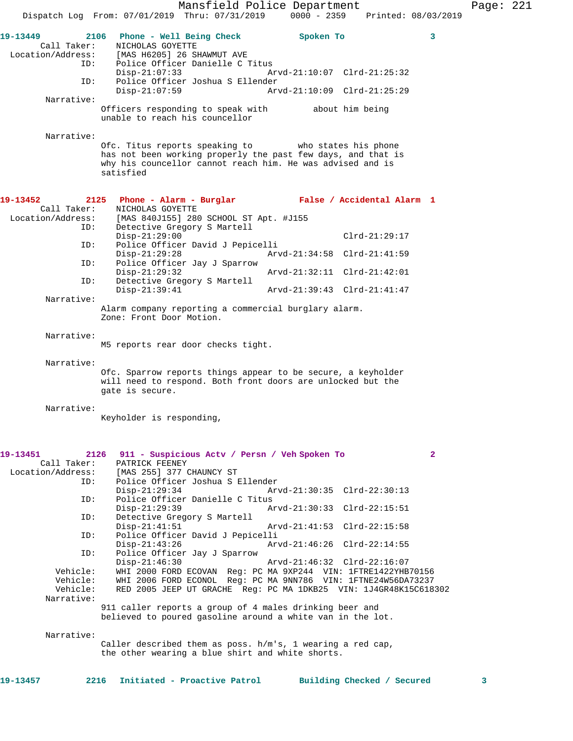Call Taker: NICHOLAS GOYETTE Location/Address: [MAS H6205] 26 SHAWMUT AVE ID: Police Officer Danielle C Titus Disp-21:07:33 Arvd-21:10:07 Clrd-21:25:32 ID: Police Officer Joshua S Ellender Arvd-21:10:09 Clrd-21:25:29 Narrative: Officers responding to speak with about him being unable to reach his councellor Narrative: Ofc. Titus reports speaking to who states his phone has not been working properly the past few days, and that is why his councellor cannot reach him. He was advised and is satisfied **19-13452 2125 Phone - Alarm - Burglar False / Accidental Alarm 1**  Call Taker: NICHOLAS GOYETTE Location/Address: [MAS 840J155] 280 SCHOOL ST Apt. #J155 ID: Detective Gregory S Martell Disp-21:29:00 Clrd-21:29:17<br>TD: Police Officer David J Pepicelli Police Officer David J Pepicelli<br>Disp-21:29:28 Arvo Disp-21:29:28 Arvd-21:34:58 Clrd-21:41:59<br>TD: Police Officer Jav J Sparrow Police Officer Jay J Sparrow<br>Disp-21:29:32 Disp-21:29:32 Arvd-21:32:11 Clrd-21:42:01 ID: Detective Gregory S Martell Disp-21:39:41 Arvd-21:39:43 Clrd-21:41:47 Narrative: Alarm company reporting a commercial burglary alarm. Zone: Front Door Motion. Narrative: M5 reports rear door checks tight. Narrative: Ofc. Sparrow reports things appear to be secure, a keyholder will need to respond. Both front doors are unlocked but the gate is secure. Narrative: Keyholder is responding, **19-13451 2126 911 - Suspicious Actv / Persn / Veh Spoken To 2**  Call Taker: PATRICK FEENEY Location/Address: [MAS 255] 377 CHAUNCY ST ID: Police Officer Joshua S Ellender Disp-21:29:34 Arvd-21:30:35 Clrd-22:30:13<br>ID: Police Officer Danielle C Titus Police Officer Danielle C Titus<br>Disp-21:29:39 Am Disp-21:29:39 Arvd-21:30:33 Clrd-22:15:51 ID: Detective Gregory S Martell Disp-21:41:51 Arvd-21:41:53 Clrd-22:15:58 ID: Police Officer David J Pepicelli Disp-21:43:26 Arvd-21:46:26 Clrd-22:14:55 ID: Police Officer Jay J Sparrow Disp-21:46:30 Arvd-21:46:32 Clrd-22:16:07 Vehicle: WHI 2000 FORD ECOVAN Reg: PC MA 9XP244 VIN: 1FTRE1422YHB70156 Vehicle: WHI 2006 FORD ECONOL Reg: PC MA 9NN786 VIN: 1FTNE24W56DA73237 Vehicle: RED 2005 JEEP UT GRACHE Reg: PC MA 1DKB25 VIN: 1J4GR48K15C618302 Narrative: 911 caller reports a group of 4 males drinking beer and believed to poured gasoline around a white van in the lot.

Narrative:

Caller described them as poss. h/m's, 1 wearing a red cap, the other wearing a blue shirt and white shorts.

| 2216 Initiated - Proactive Patrol<br>19-13457<br>Building Checked / Secured |  |
|-----------------------------------------------------------------------------|--|
|-----------------------------------------------------------------------------|--|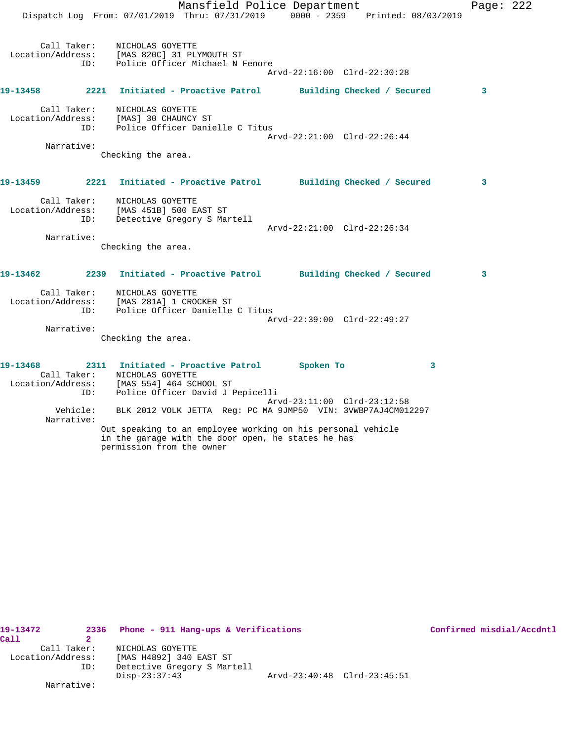Mansfield Police Department Page: 222 Dispatch Log From: 07/01/2019 Thru: 07/31/2019 0000 - 2359 Printed: 08/03/2019 Call Taker: NICHOLAS GOYETTE Location/Address: [MAS 820C] 31 PLYMOUTH ST ID: Police Officer Michael N Fenore Arvd-22:16:00 Clrd-22:30:28 **19-13458 2221 Initiated - Proactive Patrol Building Checked / Secured 3** Call Taker: NICHOLAS GOYETTE Location/Address: [MAS] 30 CHAUNCY ST ID: Police Officer Danielle C Titus Arvd-22:21:00 Clrd-22:26:44 Narrative: Checking the area. **19-13459 2221 Initiated - Proactive Patrol Building Checked / Secured 3** Call Taker: NICHOLAS GOYETTE Location/Address: [MAS 451B] 500 EAST ST ID: Detective Gregory S Martell Arvd-22:21:00 Clrd-22:26:34 Narrative: Checking the area. **19-13462 2239 Initiated - Proactive Patrol Building Checked / Secured 3** Call Taker: NICHOLAS GOYETTE Location/Address: [MAS 281A] 1 CROCKER ST ID: Police Officer Danielle C Titus Arvd-22:39:00 Clrd-22:49:27 Narrative: Checking the area. **19-13468 2311 Initiated - Proactive Patrol Spoken To 3**  Call Taker: NICHOLAS GOYETTE Location/Address: [MAS 554] 464 SCHOOL ST ID: Police Officer David J Pepicelli Arvd-23:11:00 Clrd-23:12:58 Vehicle: BLK 2012 VOLK JETTA Reg: PC MA 9JMP50 VIN: 3VWBP7AJ4CM012297 Narrative: Out speaking to an employee working on his personal vehicle

19-13472 2336 Phone - 911 Hang-ups & Verifications **Confirmed misdial/Accdntl Call 2**  Call Taker: NICHOLAS GOYETTE Location/Address: [MAS H4892] 340 EAST ST ID: Detective Gregory S Martell Disp-23:37:43 Arvd-23:40:48 Clrd-23:45:51 Narrative:

in the garage with the door open, he states he has

permission from the owner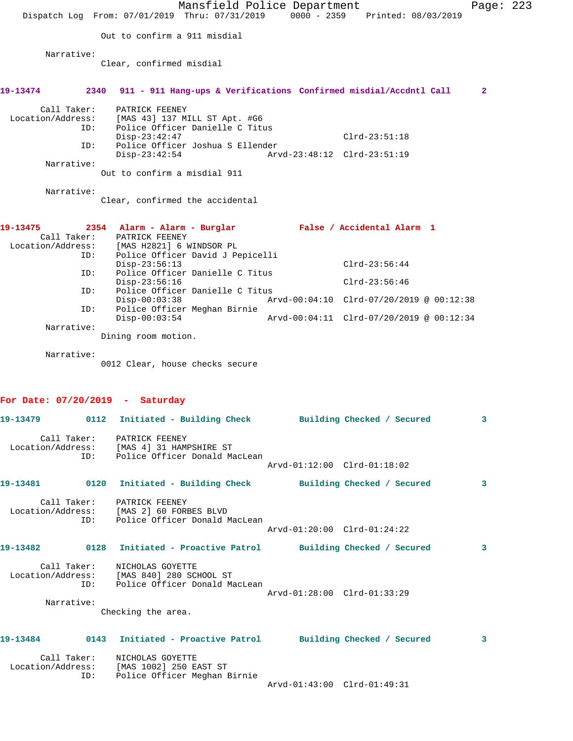|                                                                                 |                          | Dispatch Log From: 07/01/2019 Thru: 07/31/2019 0000 - 2359 Printed: 08/03/2019                                                                                                                                                                                                                                                                             | Mansfield Police Department |                                                           |                                    |                                                                                      | Page: 223 |  |
|---------------------------------------------------------------------------------|--------------------------|------------------------------------------------------------------------------------------------------------------------------------------------------------------------------------------------------------------------------------------------------------------------------------------------------------------------------------------------------------|-----------------------------|-----------------------------------------------------------|------------------------------------|--------------------------------------------------------------------------------------|-----------|--|
|                                                                                 |                          | Out to confirm a 911 misdial                                                                                                                                                                                                                                                                                                                               |                             |                                                           |                                    |                                                                                      |           |  |
| Narrative:                                                                      |                          | Clear, confirmed misdial                                                                                                                                                                                                                                                                                                                                   |                             |                                                           |                                    |                                                                                      |           |  |
| 19-13474                                                                        | 2340                     | 911 - 911 Hang-ups & Verifications Confirmed misdial/Accdntl Call                                                                                                                                                                                                                                                                                          |                             |                                                           |                                    |                                                                                      | 2         |  |
| Call Taker:<br>Location/Address:<br>Narrative:                                  | ID:<br>ID:               | PATRICK FEENEY<br>[MAS 43] 137 MILL ST Apt. #G6<br>Police Officer Danielle C Titus<br>$Disp-23:42:47$<br>Police Officer Joshua S Ellender<br>$Disp-23:42:54$<br>Out to confirm a misdial 911                                                                                                                                                               |                             | Arvd-23:48:12 Clrd-23:51:19                               | $Clrd-23:51:18$                    |                                                                                      |           |  |
| Narrative:                                                                      |                          | Clear, confirmed the accidental                                                                                                                                                                                                                                                                                                                            |                             |                                                           |                                    |                                                                                      |           |  |
| 19-13475<br>Call Taker:<br>Location/Address:<br>Narrative:<br>Narrative:        | ID:<br>ID:<br>ID:<br>ID: | 2354 Alarm - Alarm - Burglar<br>PATRICK FEENEY<br>[MAS H2821] 6 WINDSOR PL<br>Police Officer David J Pepicelli<br>$Disp-23:56:13$<br>Police Officer Danielle C Titus<br>$Disp-23:56:16$<br>Police Officer Danielle C Titus<br>$Disp-00:03:38$<br>Police Officer Meghan Birnie<br>$Disp-00:03:54$<br>Dining room motion.<br>0012 Clear, house checks secure |                             | False / Accidental Alarm 1                                | $Clrd-23:56:44$<br>$Clrd-23:56:46$ | Arvd-00:04:10 Clrd-07/20/2019 @ 00:12:38<br>Arvd-00:04:11 Clrd-07/20/2019 @ 00:12:34 |           |  |
| For Date: $07/20/2019$ - Saturday                                               |                          |                                                                                                                                                                                                                                                                                                                                                            |                             |                                                           |                                    |                                                                                      |           |  |
| 19-13479<br>Location/Address: [MAS 4] 31 HAMPSHIRE ST                           |                          | 0112 Initiated - Building Check<br>Call Taker: PATRICK FEENEY<br>ID: Police Officer Donald MacLean                                                                                                                                                                                                                                                         |                             | Building Checked / Secured<br>Arvd-01:12:00 Clrd-01:18:02 |                                    |                                                                                      |           |  |
| 19-13481 		 0120 Initiated - Building Check 		 Building Checked / Secured       |                          |                                                                                                                                                                                                                                                                                                                                                            |                             |                                                           |                                    |                                                                                      | 3         |  |
| Location/Address: [MAS 2] 60 FORBES BLVD                                        |                          | Call Taker: PATRICK FEENEY<br>ID: Police Officer Donald MacLean                                                                                                                                                                                                                                                                                            |                             | Arvd-01:20:00 Clrd-01:24:22                               |                                    |                                                                                      |           |  |
| 19-13482      0128  Initiated - Proactive Patrol     Building Checked / Secured |                          |                                                                                                                                                                                                                                                                                                                                                            |                             |                                                           |                                    |                                                                                      | 3         |  |
| Narrative:                                                                      |                          | Call Taker: NICHOLAS GOYETTE<br>Location/Address: [MAS 840] 280 SCHOOL ST<br>ID: Police Officer Donald MacLean<br>Checking the area.                                                                                                                                                                                                                       |                             | Arvd-01:28:00 Clrd-01:33:29                               |                                    |                                                                                      |           |  |
|                                                                                 |                          |                                                                                                                                                                                                                                                                                                                                                            |                             |                                                           |                                    |                                                                                      |           |  |
| 19-13484<br>Location/Address: [MAS 1002] 250 EAST ST                            | ID:                      | 0143 Initiated - Proactive Patrol Building Checked / Secured<br>Call Taker: NICHOLAS GOYETTE<br>Police Officer Meghan Birnie                                                                                                                                                                                                                               |                             | Arvd-01:43:00 Clrd-01:49:31                               |                                    |                                                                                      | 3         |  |
|                                                                                 |                          |                                                                                                                                                                                                                                                                                                                                                            |                             |                                                           |                                    |                                                                                      |           |  |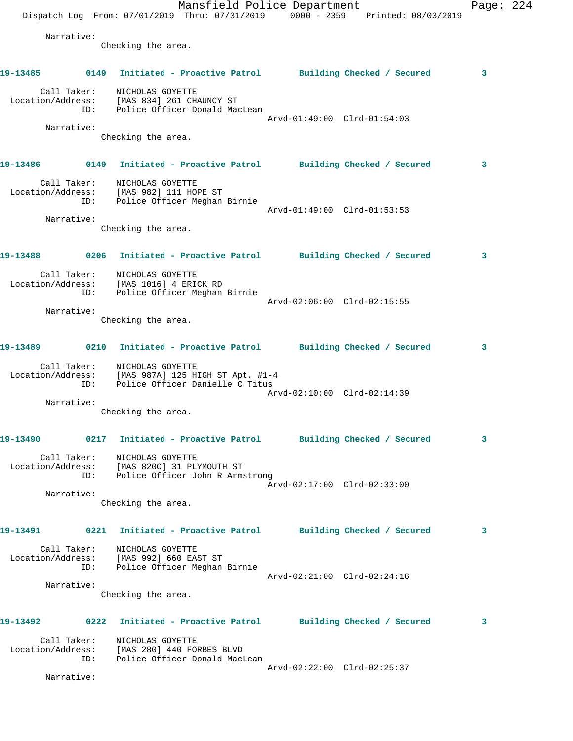Mansfield Police Department Page: 224 Dispatch Log From: 07/01/2019 Thru: 07/31/2019 0000 - 2359 Printed: 08/03/2019 Narrative: Checking the area. **19-13485 0149 Initiated - Proactive Patrol Building Checked / Secured 3** Call Taker: NICHOLAS GOYETTE Location/Address: [MAS 834] 261 CHAUNCY ST ID: Police Officer Donald MacLean Arvd-01:49:00 Clrd-01:54:03 Narrative: Checking the area. **19-13486 0149 Initiated - Proactive Patrol Building Checked / Secured 3** Call Taker: NICHOLAS GOYETTE Location/Address: [MAS 982] 111 HOPE ST ID: Police Officer Meghan Birnie Arvd-01:49:00 Clrd-01:53:53 Narrative: Checking the area. **19-13488 0206 Initiated - Proactive Patrol Building Checked / Secured 3** Call Taker: NICHOLAS GOYETTE Location/Address: [MAS 1016] 4 ERICK RD ID: Police Officer Meghan Birnie Arvd-02:06:00 Clrd-02:15:55 Narrative: Checking the area. **19-13489 0210 Initiated - Proactive Patrol Building Checked / Secured 3** Call Taker: NICHOLAS GOYETTE Location/Address: [MAS 987A] 125 HIGH ST Apt. #1-4 ID: Police Officer Danielle C Titus Arvd-02:10:00 Clrd-02:14:39 Narrative: Checking the area. **19-13490 0217 Initiated - Proactive Patrol Building Checked / Secured 3** Call Taker: NICHOLAS GOYETTE Location/Address: [MAS 820C] 31 PLYMOUTH ST ID: Police Officer John R Armstrong Arvd-02:17:00 Clrd-02:33:00 Narrative: Checking the area. **19-13491 0221 Initiated - Proactive Patrol Building Checked / Secured 3** Call Taker: NICHOLAS GOYETTE Location/Address: [MAS 992] 660 EAST ST ID: Police Officer Meghan Birnie Arvd-02:21:00 Clrd-02:24:16 Narrative: Checking the area. **19-13492 0222 Initiated - Proactive Patrol Building Checked / Secured 3** Call Taker: NICHOLAS GOYETTE Location/Address: [MAS 280] 440 FORBES BLVD ID: Police Officer Donald MacLean Arvd-02:22:00 Clrd-02:25:37 Narrative: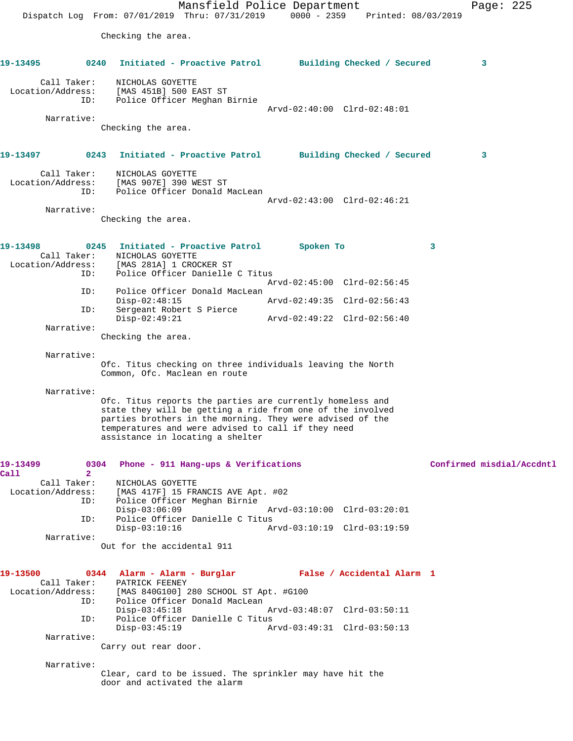Mansfield Police Department Page: 225 Dispatch Log From: 07/01/2019 Thru: 07/31/2019 0000 - 2359 Printed: 08/03/2019 Checking the area. **19-13495 0240 Initiated - Proactive Patrol Building Checked / Secured 3** Call Taker: NICHOLAS GOYETTE Location/Address: [MAS 451B] 500 EAST ST ID: Police Officer Meghan Birnie Arvd-02:40:00 Clrd-02:48:01 Narrative: Checking the area. **19-13497 0243 Initiated - Proactive Patrol Building Checked / Secured 3** Call Taker: NICHOLAS GOYETTE Location/Address: [MAS 907E] 390 WEST ST ID: Police Officer Donald MacLean Arvd-02:43:00 Clrd-02:46:21 Narrative: Checking the area. **19-13498 0245 Initiated - Proactive Patrol Spoken To 3**  Call Taker: NICHOLAS GOYETTE<br>Location/Address: [MAS 281A] 1 CRO [MAS 281A] 1 CROCKER ST ID: Police Officer Danielle C Titus Arvd-02:45:00 Clrd-02:56:45<br>ID: Police Officer Donald MacLean Police Officer Donald MacLean Disp-02:48:15 Arvd-02:49:35 Clrd-02:56:43 ID: Sergeant Robert S Pierce Disp-02:49:21 Arvd-02:49:22 Clrd-02:56:40 Narrative: Checking the area. Narrative: Ofc. Titus checking on three individuals leaving the North Common, Ofc. Maclean en route Narrative: Ofc. Titus reports the parties are currently homeless and state they will be getting a ride from one of the involved parties brothers in the morning. They were advised of the temperatures and were advised to call if they need assistance in locating a shelter **19-13499 0304 Phone - 911 Hang-ups & Verifications Confirmed misdial/Accdntl Call** 2<br>Call Taker: NICHOLAS GOYETTE Location/Address: [MAS 417F] 15 FRANCIS AVE Apt. #02 ID: Police Officer Meghan Birnie Disp-03:06:09 Arvd-03:10:00 Clrd-03:20:01 ID: Police Officer Danielle C Titus Disp-03:10:16 Arvd-03:10:19 Clrd-03:19:59 Narrative: Out for the accidental 911 **19-13500 0344 Alarm - Alarm - Burglar False / Accidental Alarm 1**  Call Taker: PATRICK FEENEY<br>Location/Address: [MAS 840G100] 2 ess: [MAS 840G100] 280 SCHOOL ST Apt. #G100<br>ID: Police Officer Donald MacLean Police Officer Donald MacLean Disp-03:45:18 Arvd-03:48:07 Clrd-03:50:11 ID: Police Officer Danielle C Titus Disp-03:45:19 Arvd-03:49:31 Clrd-03:50:13 Narrative: Carry out rear door. Narrative: Clear, card to be issued. The sprinkler may have hit the door and activated the alarm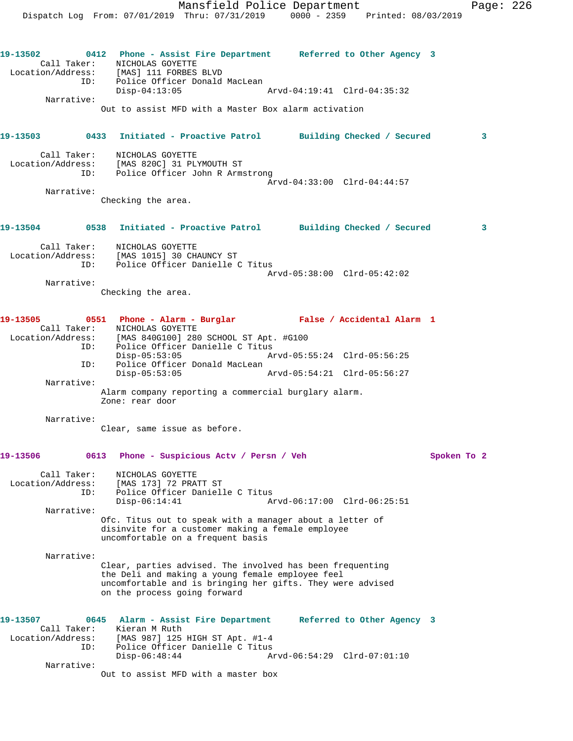ID: Police Officer Donald MacLean Disp-04:13:05 Arvd-04:19:41 Clrd-04:35:32 Narrative: Out to assist MFD with a Master Box alarm activation **19-13503 0433 Initiated - Proactive Patrol Building Checked / Secured 3** Call Taker: NICHOLAS GOYETTE Location/Address: [MAS 820C] 31 PLYMOUTH ST ID: Police Officer John R Armstrong Arvd-04:33:00 Clrd-04:44:57 Narrative: Checking the area. **19-13504 0538 Initiated - Proactive Patrol Building Checked / Secured 3** Call Taker: NICHOLAS GOYETTE Location/Address: [MAS 1015] 30 CHAUNCY ST ID: Police Officer Danielle C Titus Arvd-05:38:00 Clrd-05:42:02 Narrative: Checking the area. **19-13505 0551 Phone - Alarm - Burglar False / Accidental Alarm 1**  Call Taker: NICHOLAS GOYETTE Location/Address: [MAS 840G100] 280 SCHOOL ST Apt. #G100 ID: Police Officer Danielle C Titus<br>Disp-05:53:05 A Disp-05:53:05 Arvd-05:55:24 Clrd-05:56:25 Police Officer Donald MacLean<br>Disp-05:53:05<br>Arvd-05:54:21 Clrd-05:56:27 D: Police ULLIUL.<br>Disp-05:53:05 Narrative: Alarm company reporting a commercial burglary alarm. Zone: rear door Narrative:

Clear, same issue as before.

## **19-13506 0613 Phone - Suspicious Actv / Persn / Veh Spoken To 2**

 Call Taker: NICHOLAS GOYETTE Location/Address: [MAS 173] 72 PRATT ST ESS. [MAS 173] 72 PRAIL SI<br>ID: Police Officer Danielle C Titus<br>Disp-06:14:41 Ar Arvd-06:17:00 Clrd-06:25:51 Narrative: Ofc. Titus out to speak with a manager about a letter of disinvite for a customer making a female employee uncomfortable on a frequent basis

Narrative:

Location/Address: [MAS] 111 FORBES BLVD

Clear, parties advised. The involved has been frequenting the Deli and making a young female employee feel uncomfortable and is bringing her gifts. They were advised on the process going forward

| 19-13507          |             | 0645 Alarm - Assist Fire Department | Referred to Other Agency 3 |  |
|-------------------|-------------|-------------------------------------|----------------------------|--|
|                   | Call Taker: | Kieran M Ruth                       |                            |  |
| Location/Address: |             | [MAS 987] 125 HIGH ST Apt. #1-4     |                            |  |
|                   | ID:         | Police Officer Danielle C Titus     |                            |  |
|                   |             | Disp-06:48:44                       |                            |  |
|                   | Narrative:  |                                     |                            |  |
|                   |             | Out to assist MFD with a master box |                            |  |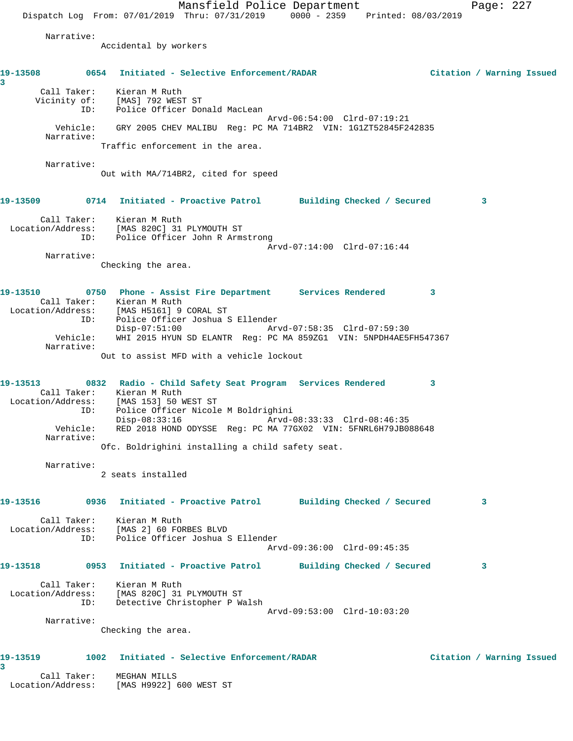Mansfield Police Department Page: 227 Dispatch Log From: 07/01/2019 Thru: 07/31/2019 0000 - 2359 Printed: 08/03/2019 Narrative: Accidental by workers **19-13508 0654 Initiated - Selective Enforcement/RADAR Citation / Warning Issued 3**  Call Taker: Kieran M Ruth Vicinity of: [MAS] 792 WEST ST ID: Police Officer Donald MacLean Arvd-06:54:00 Clrd-07:19:21 Vehicle: GRY 2005 CHEV MALIBU Reg: PC MA 714BR2 VIN: 1G1ZT52845F242835 Narrative: Traffic enforcement in the area. Narrative: Out with MA/714BR2, cited for speed **19-13509 0714 Initiated - Proactive Patrol Building Checked / Secured 3** Call Taker: Kieran M Ruth Location/Address: [MAS 820C] 31 PLYMOUTH ST ID: Police Officer John R Armstrong Arvd-07:14:00 Clrd-07:16:44 Narrative: Checking the area. **19-13510 0750 Phone - Assist Fire Department Services Rendered 3**  Call Taker: Kieran M Ruth Location/Address: [MAS H5161] 9 CORAL ST ID: Police Officer Joshua S Ellender Disp-07:51:00 Arvd-07:58:35 Clrd-07:59:30 Vehicle: WHI 2015 HYUN SD ELANTR Reg: PC MA 859ZG1 VIN: 5NPDH4AE5FH547367 Narrative: Out to assist MFD with a vehicle lockout **19-13513 0832 Radio - Child Safety Seat Program Services Rendered 3**  Call Taker: Kieran M Ruth Location/Address: [MAS 153] 50 WEST ST ID: Police Officer Nicole M Boldrighini Disp-08:33:16 Arvd-08:33:33 Clrd-08:46:35 Vehicle: RED 2018 HOND ODYSSE Reg: PC MA 77GX02 VIN: 5FNRL6H79JB088648 Narrative: Ofc. Boldrighini installing a child safety seat. Narrative: 2 seats installed **19-13516 0936 Initiated - Proactive Patrol Building Checked / Secured 3** Call Taker: Kieran M Ruth Location/Address: [MAS 2] 60 FORBES BLVD ID: Police Officer Joshua S Ellender Arvd-09:36:00 Clrd-09:45:35 **19-13518 0953 Initiated - Proactive Patrol Building Checked / Secured 3** Call Taker: Kieran M Ruth Location/Address: [MAS 820C] 31 PLYMOUTH ST ID: Detective Christopher P Walsh Arvd-09:53:00 Clrd-10:03:20 Narrative: Checking the area. **19-13519 1002 Initiated - Selective Enforcement/RADAR Citation / Warning Issued 3**  Call Taker: MEGHAN MILLS Location/Address: [MAS H9922] 600 WEST ST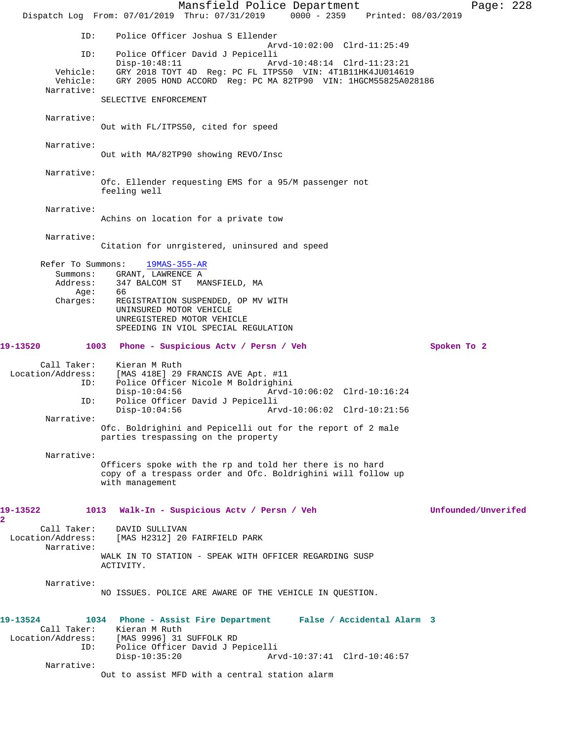Mansfield Police Department Page: 228 Dispatch Log From: 07/01/2019 Thru: 07/31/2019 0000 - 2359 Printed: 08/03/2019 ID: Police Officer Joshua S Ellender Arvd-10:02:00 Clrd-11:25:49 ID: Police Officer David J Pepicelli Disp-10:48:11 Arvd-10:48:14 Clrd-11:23:21<br>Vehicle: GRY 2018 TOYT 4D Reg: PC FL ITPS50 VIN: 4T1B11HK4JU01461 GRY 2018 TOYT 4D Reg: PC FL ITPS50 VIN: 4T1B11HK4JU014619 Vehicle: GRY 2005 HOND ACCORD Reg: PC MA 82TP90 VIN: 1HGCM55825A028186 Narrative: SELECTIVE ENFORCEMENT Narrative: Out with FL/ITPS50, cited for speed Narrative: Out with MA/82TP90 showing REVO/Insc Narrative: Ofc. Ellender requesting EMS for a 95/M passenger not feeling well Narrative: Achins on location for a private tow Narrative: Citation for unrgistered, uninsured and speed Refer To Summons: 19MAS-355-AR Summons: GRANT, LAWRENCE A Address: 347 BALCOM ST MANSFIELD, MA<br>Age: 66  $Age:$  Charges: REGISTRATION SUSPENDED, OP MV WITH UNINSURED MOTOR VEHICLE UNREGISTERED MOTOR VEHICLE SPEEDING IN VIOL SPECIAL REGULATION **19-13520 1003 Phone - Suspicious Actv / Persn / Veh Spoken To 2** Call Taker: Kieran M Ruth<br>Location/Address: [MAS 418E] 29 ess: [MAS 418E] 29 FRANCIS AVE Apt. #11<br>ID: Police Officer Nicole M Boldrighin Police Officer Nicole M Boldrighini Disp-10:04:56 Arvd-10:06:02 Clrd-10:16:24 ID: Police Officer David J Pepicelli Disp-10:04:56 Arvd-10:06:02 Clrd-10:21:56 Narrative: Ofc. Boldrighini and Pepicelli out for the report of 2 male parties trespassing on the property Narrative: Officers spoke with the rp and told her there is no hard copy of a trespass order and Ofc. Boldrighini will follow up with management **19-13522 1013 Walk-In - Suspicious Actv / Persn / Veh Unfounded/Unverifed** Call Taker: DAVID SULLIVAN Location/Address: [MAS H2312] 20 FAIRFIELD PARK Narrative: WALK IN TO STATION - SPEAK WITH OFFICER REGARDING SUSP ACTIVITY. Narrative: NO ISSUES. POLICE ARE AWARE OF THE VEHICLE IN QUESTION. **19-13524 1034 Phone - Assist Fire Department False / Accidental Alarm 3**  Call Taker: Kieran M Ruth Location/Address: [MAS 9996] 31 SUFFOLK RD Police Officer David J Pepicelli Disp-10:35:20 Arvd-10:37:41 Clrd-10:46:57 Narrative: Out to assist MFD with a central station alarm

**2**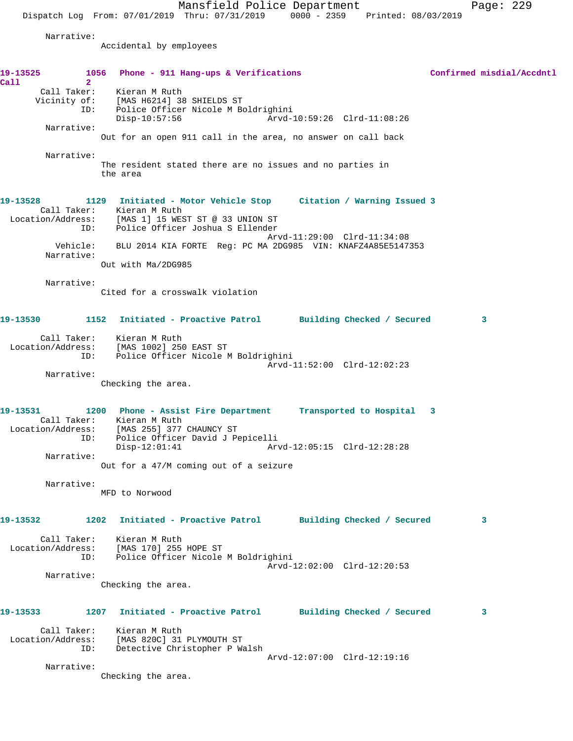Mansfield Police Department Fage: 229

Dispatch Log From: 07/01/2019 Thru: 07/31/2019 0000 - 2359 Printed: 08/03/2019

Narrative:

Accidental by employees

| 19-13525<br>Call | 2 <sup>1</sup>         | 1056 Phone - 911 Hang-ups & Verifications                                                                  |                             | Confirmed misdial/Accdntl |
|------------------|------------------------|------------------------------------------------------------------------------------------------------------|-----------------------------|---------------------------|
|                  | ID:                    | Call Taker: Kieran M Ruth<br>Vicinity of: [MAS H6214] 38 SHIELDS ST<br>Police Officer Nicole M Boldrighini |                             |                           |
|                  |                        | $Disp-10:57:56$                                                                                            | Arvd-10:59:26 Clrd-11:08:26 |                           |
|                  | Narrative:             | Out for an open 911 call in the area, no answer on call back                                               |                             |                           |
|                  | Narrative:             |                                                                                                            |                             |                           |
|                  |                        | The resident stated there are no issues and no parties in<br>the area                                      |                             |                           |
| 19-13528         |                        | 1129 Initiated - Motor Vehicle Stop Citation / Warning Issued 3<br>Call Taker: Kieran M Ruth               |                             |                           |
|                  | ID:                    | Location/Address: [MAS 1] 15 WEST ST @ 33 UNION ST<br>Police Officer Joshua S Ellender                     |                             |                           |
|                  | Vehicle:<br>Narrative: | BLU 2014 KIA FORTE Req: PC MA 2DG985 VIN: KNAFZ4A85E5147353                                                | Arvd-11:29:00 Clrd-11:34:08 |                           |
|                  |                        | Out with Ma/2DG985                                                                                         |                             |                           |
|                  | Narrative:             |                                                                                                            |                             |                           |
|                  |                        | Cited for a crosswalk violation                                                                            |                             |                           |
| 19-13530         |                        | 1152 Initiated - Proactive Patrol Building Checked / Secured                                               |                             | 3                         |
|                  |                        | Call Taker: Kieran M Ruth<br>Location/Address: [MAS 1002] 250 EAST ST                                      |                             |                           |
|                  |                        | ID: Police Officer Nicole M Boldrighini                                                                    |                             |                           |
|                  | Narrative:             |                                                                                                            | Arvd-11:52:00 Clrd-12:02:23 |                           |
|                  |                        | Checking the area.                                                                                         |                             |                           |
| 19-13531         |                        | 1200 Phone - Assist Fire Department Transported to Hospital 3<br>Call Taker: Kieran M Ruth                 |                             |                           |
|                  | ID:                    | Location/Address: [MAS 255] 377 CHAUNCY ST<br>Police Officer David J Pepicelli                             |                             |                           |
|                  | Narrative:             | $Disp-12:01:41$<br>Out for a 47/M coming out of a seizure                                                  | Arvd-12:05:15 Clrd-12:28:28 |                           |
|                  |                        |                                                                                                            |                             |                           |
|                  | Narrative:             | MFD to Norwood                                                                                             |                             |                           |
| 19-13532         |                        | 1202 Initiated - Proactive Patrol Building Checked / Secured                                               |                             | 3                         |
|                  | Call Taker:            | Kieran M Ruth<br>Location/Address: [MAS 170] 255 HOPE ST<br>ID: Police Officer Nicole M Boldrighini        |                             |                           |
|                  | Narrative:             |                                                                                                            | Arvd-12:02:00 Clrd-12:20:53 |                           |
|                  |                        | Checking the area.                                                                                         |                             |                           |
| 19-13533         | 1207                   | Initiated - Proactive Patrol Building Checked / Secured                                                    |                             | 3                         |
|                  | Call Taker:<br>ID:     | Kieran M Ruth<br>Location/Address: [MAS 820C] 31 PLYMOUTH ST<br>Detective Christopher P Walsh              |                             |                           |
|                  | Narrative:             |                                                                                                            | Arvd-12:07:00 Clrd-12:19:16 |                           |
|                  |                        | Checking the area.                                                                                         |                             |                           |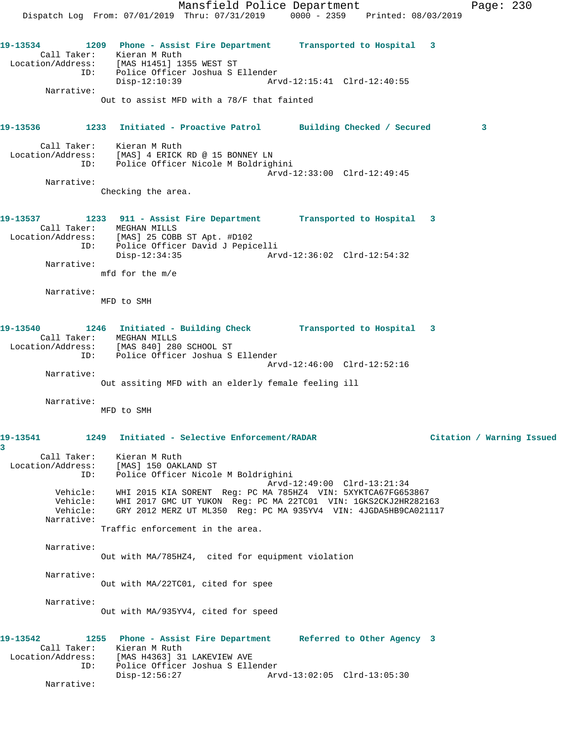Mansfield Police Department Fage: 230 Dispatch Log From: 07/01/2019 Thru: 07/31/2019 0000 - 2359 Printed: 08/03/2019 **19-13534 1209 Phone - Assist Fire Department Transported to Hospital 3**  Call Taker: Kieran M Ruth Location/Address: [MAS H1451] 1355 WEST ST ID: Police Officer Joshua S Ellender Disp-12:10:39 Arvd-12:15:41 Clrd-12:40:55 Narrative: Out to assist MFD with a 78/F that fainted **19-13536 1233 Initiated - Proactive Patrol Building Checked / Secured 3** Call Taker: Kieran M Ruth Location/Address: [MAS] 4 ERICK RD @ 15 BONNEY LN ID: Police Officer Nicole M Boldrighini Arvd-12:33:00 Clrd-12:49:45 Narrative: Checking the area. **19-13537 1233 911 - Assist Fire Department Transported to Hospital 3**  Call Taker: MEGHAN MILLS Location/Address: [MAS] 25 COBB ST Apt. #D102 ID: Police Officer David J Pepicelli Disp-12:34:35 Arvd-12:36:02 Clrd-12:54:32 Narrative: mfd for the m/e Narrative: MFD to SMH **19-13540 1246 Initiated - Building Check Transported to Hospital 3**  Call Taker: MEGHAN MILLS Location/Address: [MAS 840] 280 SCHOOL ST ID: Police Officer Joshua S Ellender Arvd-12:46:00 Clrd-12:52:16 Narrative: Out assiting MFD with an elderly female feeling ill Narrative: MFD to SMH **19-13541 1249 Initiated - Selective Enforcement/RADAR Citation / Warning Issued 3**  Call Taker: Kieran M Ruth Location/Address: [MAS] 150 OAKLAND ST ID: Police Officer Nicole M Boldrighini Arvd-12:49:00 Clrd-13:21:34 Vehicle: WHI 2015 KIA SORENT Reg: PC MA 785HZ4 VIN: 5XYKTCA67FG653867 Vehicle: WHI 2017 GMC UT YUKON Reg: PC MA 22TC01 VIN: 1GKS2CKJ2HR282163 Vehicle: GRY 2012 MERZ UT ML350 Reg: PC MA 935YV4 VIN: 4JGDA5HB9CA021117 Narrative: Traffic enforcement in the area. Narrative: Out with MA/785HZ4, cited for equipment violation Narrative: Out with MA/22TC01, cited for spee Narrative: Out with MA/935YV4, cited for speed **19-13542 1255 Phone - Assist Fire Department Referred to Other Agency 3**  Call Taker: Kieran M Ruth Location/Address: [MAS H4363] 31 LAKEVIEW AVE ID: Police Officer Joshua S Ellender Disp-12:56:27 Arvd-13:02:05 Clrd-13:05:30 Narrative: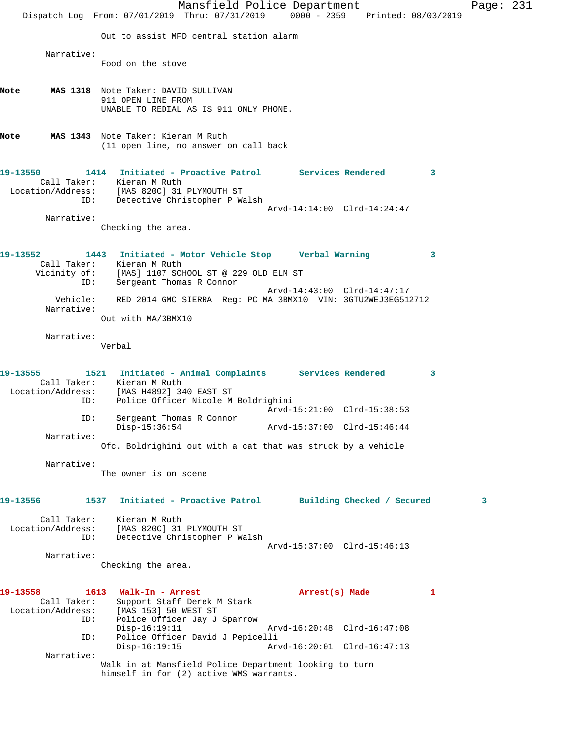|                                                            | Mansfield Police Department<br>Dispatch Log From: 07/01/2019 Thru: 07/31/2019 0000 - 2359 Printed: 08/03/2019                                                                                                             | Page: 231 |  |
|------------------------------------------------------------|---------------------------------------------------------------------------------------------------------------------------------------------------------------------------------------------------------------------------|-----------|--|
|                                                            | Out to assist MFD central station alarm                                                                                                                                                                                   |           |  |
| Narrative:                                                 | Food on the stove                                                                                                                                                                                                         |           |  |
| Note                                                       | MAS 1318 Note Taker: DAVID SULLIVAN<br>911 OPEN LINE FROM<br>UNABLE TO REDIAL AS IS 911 ONLY PHONE.                                                                                                                       |           |  |
| Note                                                       | MAS 1343 Note Taker: Kieran M Ruth<br>(11 open line, no answer on call back                                                                                                                                               |           |  |
| 19-13550                                                   | 1414 Initiated - Proactive Patrol Services Rendered<br>$\mathbf{3}$<br>Call Taker: Kieran M Ruth<br>Location/Address: [MAS 820C] 31 PLYMOUTH ST<br>ID: Detective Christopher P Walsh                                      |           |  |
| Narrative:                                                 | Arvd-14:14:00 Clrd-14:24:47<br>Checking the area.                                                                                                                                                                         |           |  |
| 19-13552<br>ID:                                            | 1443 Initiated - Motor Vehicle Stop Verbal Warning<br>3<br>Call Taker: Kieran M Ruth<br>Vicinity of: [MAS] 1107 SCHOOL ST @ 229 OLD ELM ST<br>Sergeant Thomas R Connor                                                    |           |  |
| Vehicle:<br>Narrative:                                     | Arvd-14:43:00 Clrd-14:47:17<br>RED 2014 GMC SIERRA Reg: PC MA 3BMX10 VIN: 3GTU2WEJ3EG512712<br>Out with MA/3BMX10                                                                                                         |           |  |
| Narrative:                                                 | Verbal                                                                                                                                                                                                                    |           |  |
| 19-13555<br>ID:                                            | 1521 Initiated - Animal Complaints Services Rendered<br>3<br>Call Taker: Kieran M Ruth<br>Location/Address: [MAS H4892] 340 EAST ST<br>Police Officer Nicole M Boldrighini                                                |           |  |
| ID:                                                        | Arvd-15:21:00 Clrd-15:38:53<br>Sergeant Thomas R Connor<br>$Disp-15:36:54$<br>Arvd-15:37:00 Clrd-15:46:44                                                                                                                 |           |  |
| Narrative:                                                 | Ofc. Boldrighini out with a cat that was struck by a vehicle                                                                                                                                                              |           |  |
| Narrative:                                                 | The owner is on scene                                                                                                                                                                                                     |           |  |
| 19-13556                                                   | Initiated - Proactive Patrol Building Checked / Secured<br>1537                                                                                                                                                           | 3         |  |
| Call Taker:<br>Location/Address:<br>ID:                    | Kieran M Ruth<br>[MAS 820C] 31 PLYMOUTH ST<br>Detective Christopher P Walsh<br>Arvd-15:37:00 Clrd-15:46:13                                                                                                                |           |  |
| Narrative:                                                 | Checking the area.                                                                                                                                                                                                        |           |  |
| 19-13558<br>Call Taker:<br>Location/Address:<br>ID:<br>ID: | 1613 Walk-In - Arrest<br>Arrest(s) Made<br>1<br>Support Staff Derek M Stark<br>[MAS 153] 50 WEST ST<br>Police Officer Jay J Sparrow<br>$Disp-16:19:11$<br>Arvd-16:20:48 Clrd-16:47:08<br>Police Officer David J Pepicelli |           |  |
| Narrative:                                                 | $Disp-16:19:15$<br>Arvd-16:20:01 Clrd-16:47:13<br>Walk in at Mansfield Police Department looking to turn<br>himself in for (2) active WMS warrants.                                                                       |           |  |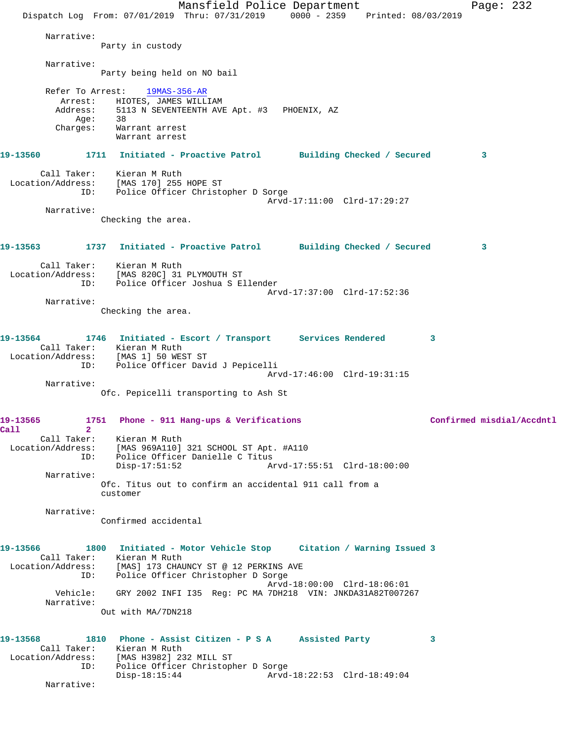Mansfield Police Department Page: 232 Dispatch Log From: 07/01/2019 Thru: 07/31/2019 0000 - 2359 Printed: 08/03/2019 Narrative: Party in custody Narrative: Party being held on NO bail Refer To Arrest: 19MAS-356-AR Arrest: HIOTES, JAMES WILLIAM Address: 5113 N SEVENTEENTH AVE Apt. #3 PHOENIX, AZ Age: 38 Charges: Warrant arrest Warrant arrest **19-13560 1711 Initiated - Proactive Patrol Building Checked / Secured 3** Call Taker: Kieran M Ruth Location/Address: [MAS 170] 255 HOPE ST ID: Police Officer Christopher D Sorge Arvd-17:11:00 Clrd-17:29:27 Narrative: Checking the area. **19-13563 1737 Initiated - Proactive Patrol Building Checked / Secured 3** Call Taker: Kieran M Ruth Location/Address: [MAS 820C] 31 PLYMOUTH ST ID: Police Officer Joshua S Ellender Arvd-17:37:00 Clrd-17:52:36 Narrative: Checking the area. **19-13564 1746 Initiated - Escort / Transport Services Rendered 3**  Call Taker: Kieran M Ruth Location/Address: [MAS 1] 50 WEST ST ID: Police Officer David J Pepicelli Arvd-17:46:00 Clrd-19:31:15 Narrative: Ofc. Pepicelli transporting to Ash St **19-13565 1751 Phone - 911 Hang-ups & Verifications Confirmed misdial/Accdntl Call 2**  Call Taker: Kieran M Ruth Location/Address: [MAS 969A110] 321 SCHOOL ST Apt. #A110 ID: Police Officer Danielle C Titus Disp-17:51:52 Arvd-17:55:51 Clrd-18:00:00 Narrative: Ofc. Titus out to confirm an accidental 911 call from a customer Narrative: Confirmed accidental **19-13566 1800 Initiated - Motor Vehicle Stop Citation / Warning Issued 3**  Call Taker: Kieran M Ruth Location/Address: [MAS] 173 CHAUNCY ST @ 12 PERKINS AVE ID: Police Officer Christopher D Sorge Arvd-18:00:00 Clrd-18:06:01 Vehicle: GRY 2002 INFI I35 Reg: PC MA 7DH218 VIN: JNKDA31A82T007267 Narrative: Out with MA/7DN218 **19-13568 1810 Phone - Assist Citizen - P S A Assisted Party 3**  Call Taker: Kieran M Ruth Location/Address: [MAS H3982] 232 MILL ST ID: Police Officer Christopher D Sorge Disp-18:15:44 Arvd-18:22:53 Clrd-18:49:04 Narrative: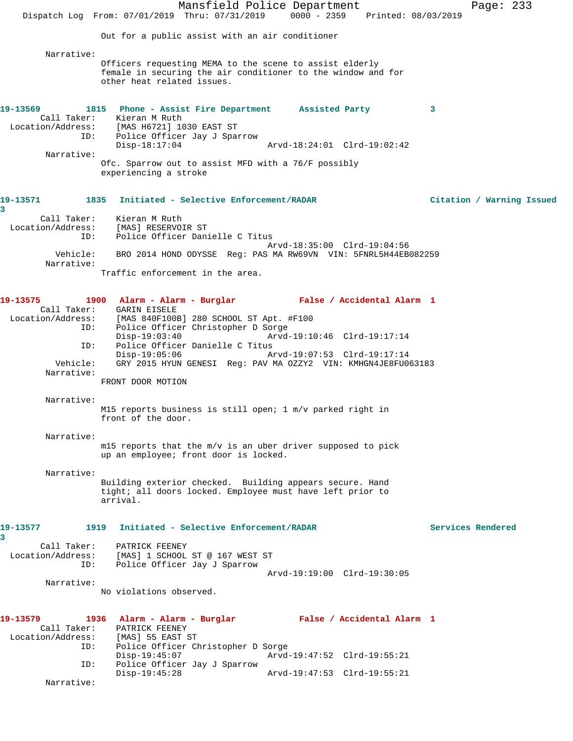Mansfield Police Department Page: 233 Dispatch Log From: 07/01/2019 Thru: 07/31/2019 0000 - 2359 Printed: 08/03/2019 Out for a public assist with an air conditioner Narrative: Officers requesting MEMA to the scene to assist elderly female in securing the air conditioner to the window and for other heat related issues. **19-13569 1815 Phone - Assist Fire Department Assisted Party 3**  Call Taker: Kieran M Ruth Location/Address: [MAS H6721] 1030 EAST ST ID: Police Officer Jay J Sparrow Disp-18:17:04 Arvd-18:24:01 Clrd-19:02:42 Narrative: Ofc. Sparrow out to assist MFD with a 76/F possibly experiencing a stroke **19-13571 1835 Initiated - Selective Enforcement/RADAR Citation / Warning Issued 3**  Call Taker: Kieran M Ruth Lair reserved bocation/Address:<br>ID: Police Officer Danielle C Titus Arvd-18:35:00 Clrd-19:04:56 Vehicle: BRO 2014 HOND ODYSSE Reg: PAS MA RW69VN VIN: 5FNRL5H44EB082259 Narrative: Traffic enforcement in the area. **19-13575 1900 Alarm - Alarm - Burglar False / Accidental Alarm 1**  Call Taker: GARIN EISELE Location/Address: [MAS 840F100B] 280 SCHOOL ST Apt. #F100 ID: Police Officer Christopher D Sorge Disp-19:03:40 Arvd-19:10:46 Clrd-19:17:14<br>ID: Police Officer Danielle C Titus Police Officer Danielle C Titus Disp-19:05:06 Arvd-19:07:53 Clrd-19:17:14 Vehicle: GRY 2015 HYUN GENESI Reg: PAV MA OZZY2 VIN: KMHGN4JE8FU063183 Narrative: FRONT DOOR MOTION Narrative: M15 reports business is still open; 1 m/v parked right in front of the door. Narrative: m15 reports that the m/v is an uber driver supposed to pick up an employee; front door is locked. Narrative: Building exterior checked. Building appears secure. Hand tight; all doors locked. Employee must have left prior to arrival. **19-13577 1919 Initiated - Selective Enforcement/RADAR Services Rendered 3**  Call Taker: PATRICK FEENEY Location/Address: [MAS] 1 SCHOOL ST @ 167 WEST ST ID: Police Officer Jay J Sparrow Arvd-19:19:00 Clrd-19:30:05 Narrative: No violations observed. **19-13579 1936 Alarm - Alarm - Burglar False / Accidental Alarm 1**  Call Taker: PATRICK FEENEY Location/Address:<br>ID: Police Officer Christopher D Sorge Disp-19:45:07 Arvd-19:47:52 Clrd-19:55:21 ID: Police Officer Jay J Sparrow Disp-19:45:28 Arvd-19:47:53 Clrd-19:55:21 Narrative: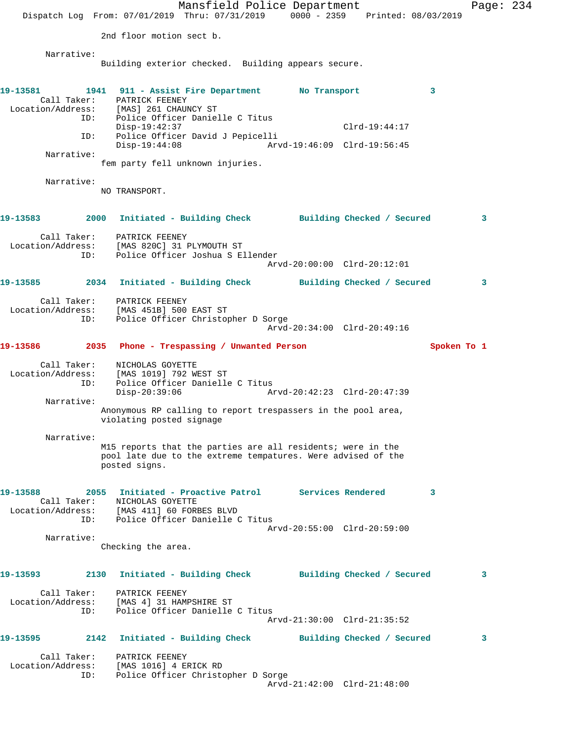Mansfield Police Department Fage: 234 Dispatch Log From: 07/01/2019 Thru: 07/31/2019 0000 - 2359 Printed: 08/03/2019 2nd floor motion sect b. Narrative: Building exterior checked. Building appears secure. **19-13581 1941 911 - Assist Fire Department No Transport 3**  Call Taker: PATRICK FEENEY Location/Address: [MAS] 261 CHAUNCY ST ID: Police Officer Danielle C Titus Disp-19:42:37 Clrd-19:44:17 ID: Police Officer David J Pepicelli Disp-19:44:08 Arvd-19:46:09 Clrd-19:56:45 Narrative: fem party fell unknown injuries. Narrative: NO TRANSPORT. **19-13583 2000 Initiated - Building Check Building Checked / Secured 3** Call Taker: PATRICK FEENEY Location/Address: [MAS 820C] 31 PLYMOUTH ST ID: Police Officer Joshua S Ellender Arvd-20:00:00 Clrd-20:12:01 **19-13585 2034 Initiated - Building Check Building Checked / Secured 3** Call Taker: PATRICK FEENEY Location/Address: [MAS 451B] 500 EAST ST ID: Police Officer Christopher D Sorge Arvd-20:34:00 Clrd-20:49:16 **19-13586 2035 Phone - Trespassing / Unwanted Person Spoken To 1** Call Taker: NICHOLAS GOYETTE Location/Address: [MAS 1019] 792 WEST ST ID: Police Officer Danielle C Titus<br>Disp-20:39:06 Ar Arvd-20:42:23 Clrd-20:47:39 Narrative: Anonymous RP calling to report trespassers in the pool area, violating posted signage Narrative: M15 reports that the parties are all residents; were in the pool late due to the extreme tempatures. Were advised of the posted signs. **19-13588 2055 Initiated - Proactive Patrol Services Rendered 3**  Call Taker: NICHOLAS GOYETTE Location/Address: [MAS 411] 60 FORBES BLVD ID: Police Officer Danielle C Titus Arvd-20:55:00 Clrd-20:59:00 Narrative: Checking the area. **19-13593 2130 Initiated - Building Check Building Checked / Secured 3** Call Taker: PATRICK FEENEY Location/Address: [MAS 4] 31 HAMPSHIRE ST ID: Police Officer Danielle C Titus Arvd-21:30:00 Clrd-21:35:52 **19-13595 2142 Initiated - Building Check Building Checked / Secured 3** Call Taker: PATRICK FEENEY Location/Address: [MAS 1016] 4 ERICK RD ID: Police Officer Christopher D Sorge Arvd-21:42:00 Clrd-21:48:00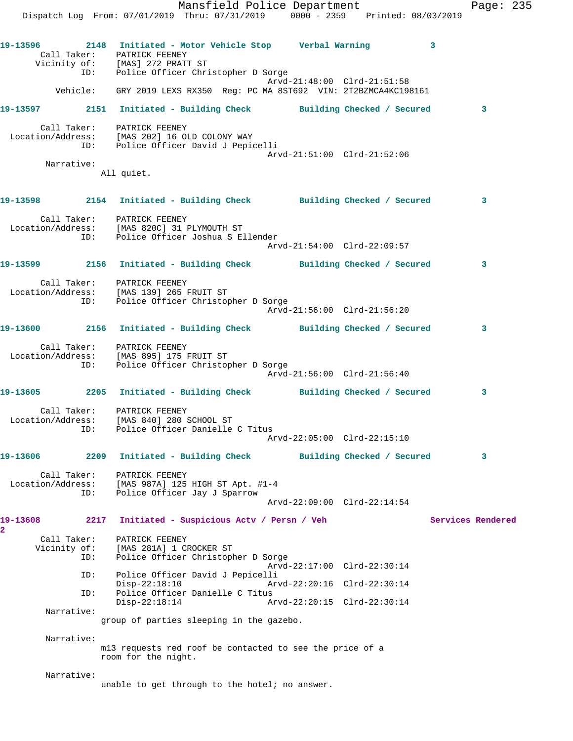## **19-13597 2151 Initiated - Building Check Building Checked / Secured 3** Call Taker: PATRICK FEENEY

 Location/Address: [MAS 202] 16 OLD COLONY WAY ID: Police Officer David J Pepicelli Arvd-21:51:00 Clrd-21:52:06 Narrative:

All quiet.

## **19-13598 2154 Initiated - Building Check Building Checked / Secured 3** Call Taker: PATRICK FEENEY Location/Address: [MAS 820C] 31 PLYMOUTH ST ID: Police Officer Joshua S Ellender Arvd-21:54:00 Clrd-22:09:57 **19-13599 2156 Initiated - Building Check Building Checked / Secured 3** Call Taker: PATRICK FEENEY Location/Address: [MAS 139] 265 FRUIT ST

 ID: Police Officer Christopher D Sorge Arvd-21:56:00 Clrd-21:56:20 **19-13600 2156 Initiated - Building Check Building Checked / Secured 3**

 Call Taker: PATRICK FEENEY Location/Address: [MAS 895] 175 FRUIT ST ID: Police Officer Christopher D Sorge Arvd-21:56:00 Clrd-21:56:40

**19-13605 2205 Initiated - Building Check Building Checked / Secured 3** Call Taker: PATRICK FEENEY

 Location/Address: [MAS 840] 280 SCHOOL ST ID: Police Officer Danielle C Titus Arvd-22:05:00 Clrd-22:15:10

## **19-13606 2209 Initiated - Building Check Building Checked / Secured 3**

 Call Taker: PATRICK FEENEY Location/Address: [MAS 987A] 125 HIGH ST Apt. #1-4 ID: Police Officer Jay J Sparrow Arvd-22:09:00 Clrd-22:14:54

19-13608 2217 Initiated - Suspicious Actv / Persn / Veh Services Rendered Call Taker: PATRICK FEENEY Vicinity of: [MAS 281A] 1 CROCKER ST ID: Police Officer Christopher D Sorge Arvd-22:17:00 Clrd-22:30:14 ID: Police Officer David J Pepicelli Disp-22:18:10 Arvd-22:20:16 Clrd-22:30:14<br>ID: Police Officer Danielle C Titus

Police Officer Danielle C Titus<br>Disp-22:18:14 Ar Disp-22:18:14 Arvd-22:20:15 Clrd-22:30:14 Narrative:

group of parties sleeping in the gazebo.

Narrative:

**2** 

m13 requests red roof be contacted to see the price of a room for the night.

Narrative:

unable to get through to the hotel; no answer.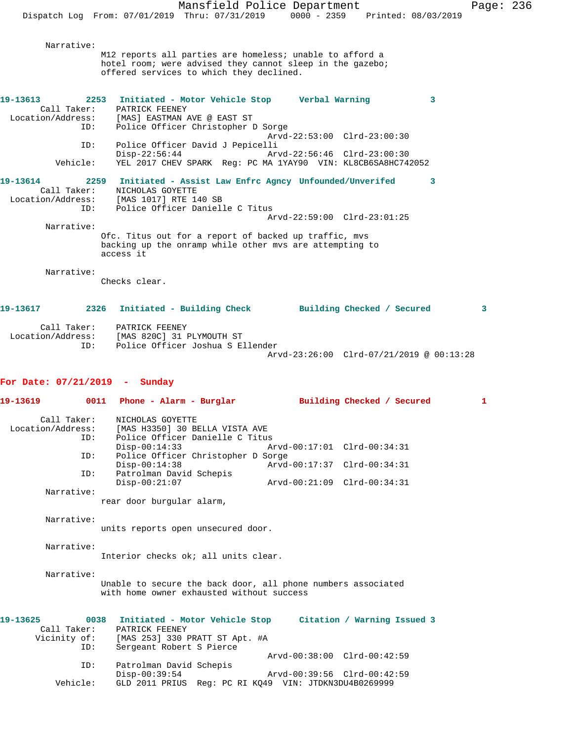Mansfield Police Department Page: 236 Dispatch Log From: 07/01/2019 Thru: 07/31/2019 0000 - 2359 Printed: 08/03/2019 Narrative: M12 reports all parties are homeless; unable to afford a hotel room; were advised they cannot sleep in the gazebo; offered services to which they declined. **19-13613 2253 Initiated - Motor Vehicle Stop Verbal Warning 3**  Call Taker: PATRICK FEENEY<br>Location/Address: [MAS] EASTMAN EXATE: THAS LOCATION AND @ EAST ST<br>ID: Police Officer Christopher Police Officer Christopher D Sorge Arvd-22:53:00 Clrd-23:00:30<br>ID: Police Officer David J Pepicelli Police Officer David J Pepicelli Disp-22:56:44 Arvd-22:56:46 Clrd-23:00:30<br>Vehicle: YEL 2017 CHEV SPARK Req: PC MA 1YAY90 VIN: KL8CB6SA8HC74: Vehicle: YEL 2017 CHEV SPARK Reg: PC MA 1YAY90 VIN: KL8CB6SA8HC742052 **19-13614 2259 Initiated - Assist Law Enfrc Agncy Unfounded/Unverifed 3**  Call Taker: NICHOLAS GOYETTE Location/Address: [MAS 1017] RTE 140 SB ID: Police Officer Danielle C Titus Arvd-22:59:00 Clrd-23:01:25 Narrative: Ofc. Titus out for a report of backed up traffic, mvs backing up the onramp while other mvs are attempting to access it Narrative: Checks clear. **19-13617 2326 Initiated - Building Check Building Checked / Secured 3** Call Taker: PATRICK FEENEY<br>Location/Address: [MAS 820C] 31 1 ess: [MAS 820C] 31 PLYMOUTH ST<br>ID: Police Officer Joshua S E Police Officer Joshua S Ellender Arvd-23:26:00 Clrd-07/21/2019 @ 00:13:28 **For Date: 07/21/2019 - Sunday 19-13619 0011 Phone - Alarm - Burglar Building Checked / Secured 1** Call Taker: NICHOLAS GOYETTE Location/Address: [MAS H3350] 30 BELLA VISTA AVE Police Officer Danielle C Titus<br>Disp-00:14:33 A Disp-00:14:33 Arvd-00:17:01 Clrd-00:34:31 ID: Police Officer Christopher D Sorge Disp-00:14:38 <br>
D: Patrolman David Schepis <br>
D: Patrolman David Schepis Patrolman David Schepis<br>Disp-00:21:07 Disp-00:21:07 Arvd-00:21:09 Clrd-00:34:31 Narrative: rear door burgular alarm, Narrative: units reports open unsecured door. Narrative: Interior checks ok; all units clear. Narrative: Unable to secure the back door, all phone numbers associated with home owner exhausted without success **19-13625 0038 Initiated - Motor Vehicle Stop Citation / Warning Issued 3**  Call Taker: PATRICK FEENEY<br>Vicinity of: [MAS 253] 330 1 of: [MAS 253] 330 PRATT ST Apt. #A<br>ID: Sergeant Robert S Pierce Sergeant Robert S Pierce Arvd-00:38:00 Clrd-00:42:59

ID: Patrolman David Schepis

Disp-00:39:54 Arvd-00:39:56 Clrd-00:42:59<br>Vehicle: GLD 2011 PRIUS Req: PC RI KQ49 VIN: JTDKN3DU4B0269999

GLD 2011 PRIUS Reg: PC RI KQ49 VIN: JTDKN3DU4B0269999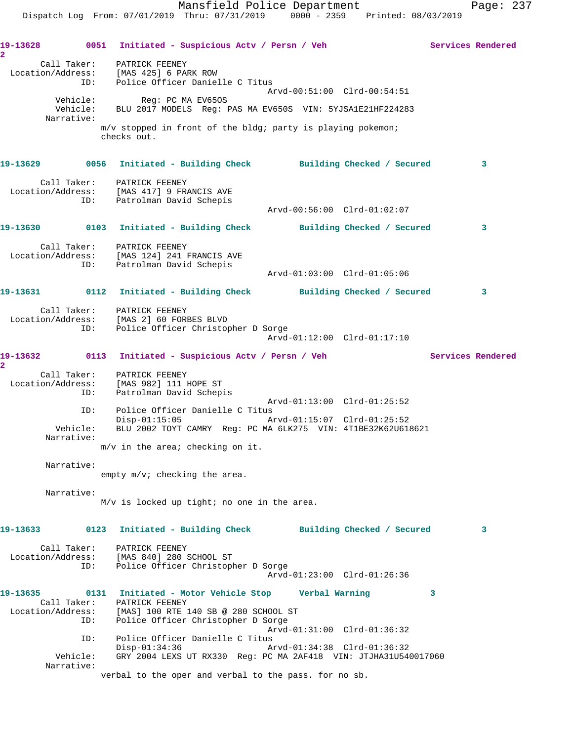Dispatch Log From: 07/01/2019 Thru: 07/31/2019 0000 - 2359 Printed: 08/03/2019 **19-13628 0051 Initiated - Suspicious Actv / Persn / Veh Services Rendered 2**  Call Taker: PATRICK FEENEY Location/Address: [MAS 425] 6 PARK ROW ID: Police Officer Danielle C Titus Arvd-00:51:00 Clrd-00:54:51 Vehicle: Reg: PC MA EV65OS Vehicle: BLU 2017 MODELS Reg: PAS MA EV650S VIN: 5YJSA1E21HF224283 Narrative: m/v stopped in front of the bldg; party is playing pokemon; checks out. **19-13629 0056 Initiated - Building Check Building Checked / Secured 3** Call Taker: PATRICK FEENEY Location/Address: [MAS 417] 9 FRANCIS AVE ID: Patrolman David Schepis Arvd-00:56:00 Clrd-01:02:07 **19-13630 0103 Initiated - Building Check Building Checked / Secured 3** Call Taker: PATRICK FEENEY Location/Address: [MAS 124] 241 FRANCIS AVE ID: Patrolman David Schepis Arvd-01:03:00 Clrd-01:05:06 **19-13631 0112 Initiated - Building Check Building Checked / Secured 3** Call Taker: PATRICK FEENEY Location/Address: [MAS 2] 60 FORBES BLVD ID: Police Officer Christopher D Sorge Arvd-01:12:00 Clrd-01:17:10 19-13632 0113 Initiated - Suspicious Actv / Persn / Veh Services Rendered **2**  Call Taker: PATRICK FEENEY Location/Address: [MAS 982] 111 HOPE ST ID: Patrolman David Schepis Arvd-01:13:00 Clrd-01:25:52 ID: Police Officer Danielle C Titus<br>Disp-01:15:05 Mrvd-01:15:07 Clrd-01:25:52 Disp-01:15:05 Arvd-01:15:07 Clrd-01:25:52 Vehicle: BLU 2002 TOYT CAMRY Reg: PC MA 6LK275 VIN: 4T1BE32K62U618621 Narrative: m/v in the area; checking on it. Narrative: empty m/v; checking the area. Narrative: M/v is locked up tight; no one in the area. **19-13633 0123 Initiated - Building Check Building Checked / Secured 3** Call Taker: PATRICK FEENEY Location/Address: [MAS 840] 280 SCHOOL ST ID: Police Officer Christopher D Sorge Arvd-01:23:00 Clrd-01:26:36 **19-13635 0131 Initiated - Motor Vehicle Stop Verbal Warning 3**  Call Taker: PATRICK FEENEY Location/Address: [MAS] 100 RTE 140 SB @ 280 SCHOOL ST ID: Police Officer Christopher D Sorge Arvd-01:31:00 Clrd-01:36:32 ID: Police Officer Danielle C Titus Disp-01:34:36 Arvd-01:34:38 Clrd-01:36:32 Vehicle: GRY 2004 LEXS UT RX330 Reg: PC MA 2AF418 VIN: JTJHA31U540017060 Narrative: verbal to the oper and verbal to the pass. for no sb.

Mansfield Police Department Fage: 237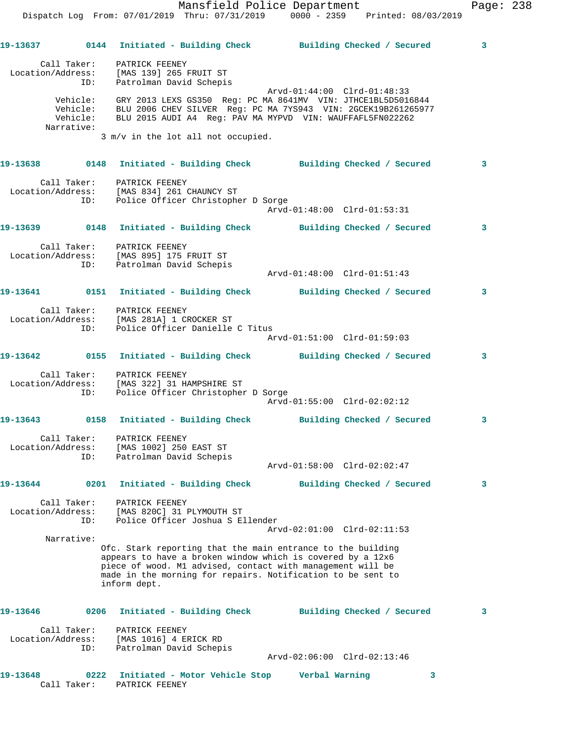Arvd-01:48:00 Clrd-01:51:43

**19-13637 0144 Initiated - Building Check Building Checked / Secured 3** Call Taker: PATRICK FEENEY Location/Address: [MAS 139] 265 FRUIT ST ID: Patrolman David Schepis Arvd-01:44:00 Clrd-01:48:33 Vehicle: GRY 2013 LEXS GS350 Reg: PC MA 8641MV VIN: JTHCE1BL5D5016844 Vehicle: BLU 2006 CHEV SILVER Reg: PC MA 7YS943 VIN: 2GCEK19B261265977 Vehicle: BLU 2015 AUDI A4 Reg: PAV MA MYPVD VIN: WAUFFAFL5FN022262 Narrative: 3 m/v in the lot all not occupied.

**19-13638 0148 Initiated - Building Check Building Checked / Secured 3** Call Taker: PATRICK FEENEY Location/Address: [MAS 834] 261 CHAUNCY ST ID: Police Officer Christopher D Sorge Arvd-01:48:00 Clrd-01:53:31 **19-13639 0148 Initiated - Building Check Building Checked / Secured 3**

 Call Taker: PATRICK FEENEY Location/Address: [MAS 895] 175 FRUIT ST ID: Patrolman David Schepis

**19-13641 0151 Initiated - Building Check Building Checked / Secured 3** Call Taker: PATRICK FEENEY

 Location/Address: [MAS 281A] 1 CROCKER ST ID: Police Officer Danielle C Titus Arvd-01:51:00 Clrd-01:59:03

**19-13642 0155 Initiated - Building Check Building Checked / Secured 3** Call Taker: PATRICK FEENEY

 Location/Address: [MAS 322] 31 HAMPSHIRE ST ID: Police Officer Christopher D Sorge Arvd-01:55:00 Clrd-02:02:12

**19-13643 0158 Initiated - Building Check Building Checked / Secured 3** Call Taker: PATRICK FEENEY Location/Address: [MAS 1002] 250 EAST ST ID: Patrolman David Schepis Arvd-01:58:00 Clrd-02:02:47

**19-13644 0201 Initiated - Building Check Building Checked / Secured 3**

 Call Taker: PATRICK FEENEY Location/Address: [MAS 820C] 31 PLYMOUTH ST ID: Police Officer Joshua S Ellender Arvd-02:01:00 Clrd-02:11:53 Narrative:

Ofc. Stark reporting that the main entrance to the building appears to have a broken window which is covered by a 12x6 piece of wood. M1 advised, contact with management will be made in the morning for repairs. Notification to be sent to inform dept.

**19-13646 0206 Initiated - Building Check Building Checked / Secured 3** Call Taker: PATRICK FEENEY Location/Address: [MAS 1016] 4 ERICK RD ID: Patrolman David Schepis Arvd-02:06:00 Clrd-02:13:46

**19-13648 0222 Initiated - Motor Vehicle Stop Verbal Warning 3**  Call Taker: PATRICK FEENEY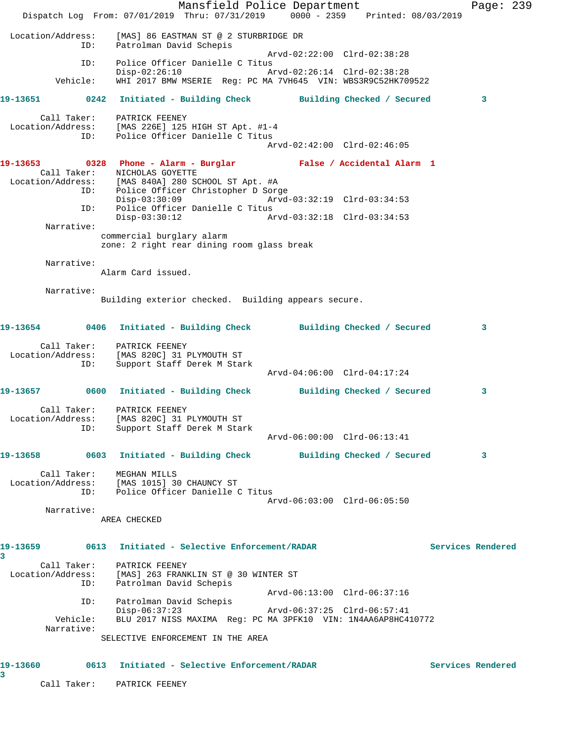Mansfield Police Department Page: 239 Dispatch Log From: 07/01/2019 Thru: 07/31/2019 0000 - 2359 Printed: 08/03/2019 Location/Address: [MAS] 86 EASTMAN ST @ 2 STURBRIDGE DR ID: Patrolman David Schepis Arvd-02:22:00 Clrd-02:38:28 ID: Police Officer Danielle C Titus Disp-02:26:10 Arvd-02:26:14 Clrd-02:38:28 Vehicle: WHI 2017 BMW MSERIE Reg: PC MA 7VH645 VIN: WBS3R9C52HK709522 **19-13651 0242 Initiated - Building Check Building Checked / Secured 3** Call Taker: PATRICK FEENEY Location/Address: [MAS 226E] 125 HIGH ST Apt. #1-4 ID: Police Officer Danielle C Titus Arvd-02:42:00 Clrd-02:46:05 **19-13653 0328 Phone - Alarm - Burglar False / Accidental Alarm 1**  Call Taker: NICHOLAS GOYETTE Location/Address: [MAS 840A] 280 SCHOOL ST Apt. #A ESS. THE CHAI ACCEPT CHRISTOPHER D SOME<br>ID: Police Officer Christopher D Sorge<br>Disp-03:30:09 Arvd- Disp-03:30:09 Arvd-03:32:19 Clrd-03:34:53 ID: Police Officer Danielle C Titus Disp-03:30:12 Arvd-03:32:18 Clrd-03:34:53 Narrative: commercial burglary alarm zone: 2 right rear dining room glass break Narrative: Alarm Card issued. Narrative: Building exterior checked. Building appears secure. **19-13654 0406 Initiated - Building Check Building Checked / Secured 3** Call Taker: PATRICK FEENEY Location/Address: [MAS 820C] 31 PLYMOUTH ST ID: Support Staff Derek M Stark Arvd-04:06:00 Clrd-04:17:24 **19-13657 0600 Initiated - Building Check Building Checked / Secured 3** Call Taker: PATRICK FEENEY Location/Address: [MAS 820C] 31 PLYMOUTH ST ID: Support Staff Derek M Stark Arvd-06:00:00 Clrd-06:13:41 **19-13658 0603 Initiated - Building Check Building Checked / Secured 3** Call Taker: MEGHAN MILLS Location/Address: [MAS 1015] 30 CHAUNCY ST ID: Police Officer Danielle C Titus Arvd-06:03:00 Clrd-06:05:50 Narrative: AREA CHECKED **19-13659 0613 Initiated - Selective Enforcement/RADAR Services Rendered 3**  Call Taker: PATRICK FEENEY Location/Address: [MAS] 263 FRANKLIN ST @ 30 WINTER ST ID: Patrolman David Schepis Arvd-06:13:00 Clrd-06:37:16 ID: Patrolman David Schepis Disp-06:37:23 Arvd-06:37:25 Clrd-06:57:41 Vehicle: BLU 2017 NISS MAXIMA Reg: PC MA 3PFK10 VIN: 1N4AA6AP8HC410772 Narrative: SELECTIVE ENFORCEMENT IN THE AREA **19-13660 0613 Initiated - Selective Enforcement/RADAR Services Rendered 3** 

Call Taker: PATRICK FEENEY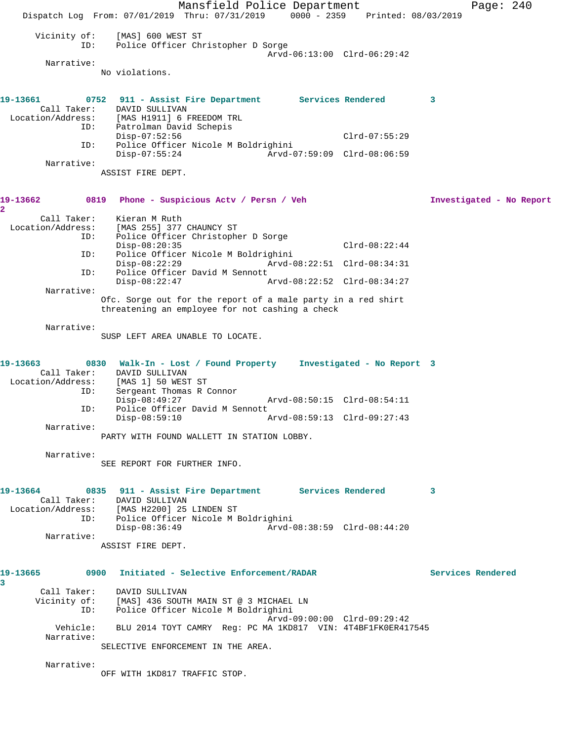Mansfield Police Department Page: 240 Dispatch Log From: 07/01/2019 Thru: 07/31/2019 0000 - 2359 Printed: 08/03/2019 Vicinity of: [MAS] 600 WEST ST ID: Police Officer Christopher D Sorge Arvd-06:13:00 Clrd-06:29:42 Narrative: No violations. **19-13661 0752 911 - Assist Fire Department Services Rendered 3**  Call Taker: DAVID SULLIVAN<br>Location/Address: [MAS H1911] 6 B [MAS H1911] 6 FREEDOM TRL ID: Patrolman David Schepis Disp-07:52:56 Clrd-07:55:29 ID: Police Officer Nicole M Boldrighini Disp-07:55:24 Arvd-07:59:09 Clrd-08:06:59 Narrative: ASSIST FIRE DEPT. **19-13662 0819 Phone - Suspicious Actv / Persn / Veh Investigated - No Report 2**  Call Taker: Kieran M Ruth<br>Location/Address: [MAS 255] 377 للنام الله عليه الله عليه الله عليه :<br>Ess: [MAS 255] 377 CHAUNCY ST<br>ID: Police Officer Christoph Police Officer Christopher D Sorge Disp-08:20:35 Clrd-08:22:44 ID: Police Officer Nicole M Boldrighini Disp-08:22:29 Arvd-08:22:51 Clrd-08:34:31 ID: Police Officer David M Sennott Arvd-08:22:52 Clrd-08:34:27 Narrative: Ofc. Sorge out for the report of a male party in a red shirt threatening an employee for not cashing a check Narrative: SUSP LEFT AREA UNABLE TO LOCATE. **19-13663 0830 Walk-In - Lost / Found Property Investigated - No Report 3**  Call Taker: DAVID SULLIVAN Location/Address: [MAS 1] 50 WEST ST ID: Sergeant Thomas R Connor Disp-08:49:27 Arvd-08:50:15 Clrd-08:54:11 ID: Police Officer David M Sennott<br>Disp-08:59:10 Disp-08:59:10 Arvd-08:59:13 Clrd-09:27:43 Narrative: PARTY WITH FOUND WALLETT IN STATION LOBBY. Narrative: SEE REPORT FOR FURTHER INFO. **19-13664 0835 911 - Assist Fire Department Services Rendered 3**  Call Taker: DAVID SULLIVAN Location/Address: [MAS H2200] 25 LINDEN ST ID: Police Officer Nicole M Boldrighini Disp-08:36:49 Arvd-08:38:59 Clrd-08:44:20 Narrative: ASSIST FIRE DEPT. **19-13665 0900 Initiated - Selective Enforcement/RADAR Services Rendered 3**  Call Taker: DAVID SULLIVAN Vicinity of: [MAS] 436 SOUTH MAIN ST @ 3 MICHAEL LN ID: Police Officer Nicole M Boldrighini Arvd-09:00:00 Clrd-09:29:42 Vehicle: BLU 2014 TOYT CAMRY Reg: PC MA 1KD817 VIN: 4T4BF1FK0ER417545 Narrative: SELECTIVE ENFORCEMENT IN THE AREA. Narrative: OFF WITH 1KD817 TRAFFIC STOP.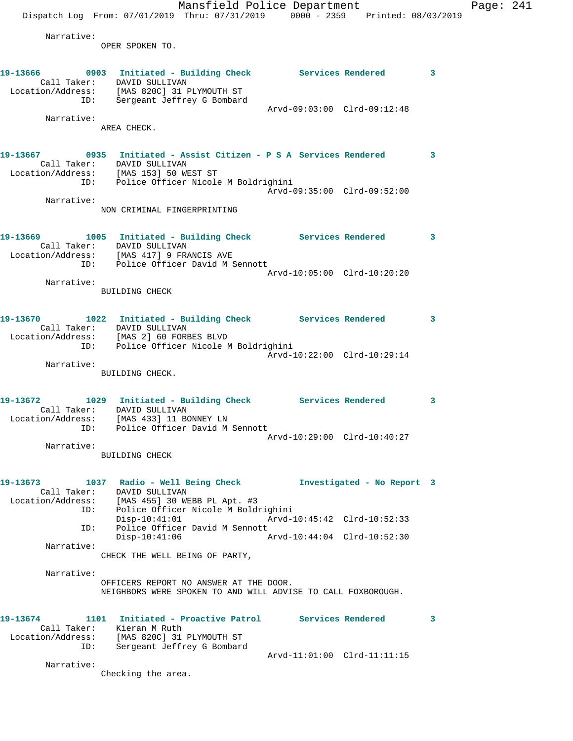Mansfield Police Department Page: 241 Dispatch Log From: 07/01/2019 Thru: 07/31/2019 0000 - 2359 Printed: 08/03/2019 Narrative: OPER SPOKEN TO. 19-13666 0903 Initiated - Building Check Services Rendered 3 Call Taker: DAVID SULLIVAN Location/Address: [MAS 820C] 31 PLYMOUTH ST ID: Sergeant Jeffrey G Bombard Arvd-09:03:00 Clrd-09:12:48 Narrative: AREA CHECK. **19-13667 0935 Initiated - Assist Citizen - P S A Services Rendered 3**  Call Taker: DAVID SULLIVAN Location/Address: [MAS 153] 50 WEST ST ID: Police Officer Nicole M Boldrighini Arvd-09:35:00 Clrd-09:52:00 Narrative: NON CRIMINAL FINGERPRINTING **19-13669 1005 Initiated - Building Check Services Rendered 3**  Call Taker: DAVID SULLIVAN Location/Address: [MAS 417] 9 FRANCIS AVE ID: Police Officer David M Sennott Arvd-10:05:00 Clrd-10:20:20 Narrative: BUILDING CHECK **19-13670 1022 Initiated - Building Check Services Rendered 3**  Call Taker: DAVID SULLIVAN Location/Address: [MAS 2] 60 FORBES BLVD ID: Police Officer Nicole M Boldrighini Arvd-10:22:00 Clrd-10:29:14 Narrative: BUILDING CHECK. **19-13672 1029 Initiated - Building Check Services Rendered 3**  Call Taker: DAVID SULLIVAN Location/Address: [MAS 433] 11 BONNEY LN ID: Police Officer David M Sennott Arvd-10:29:00 Clrd-10:40:27 Narrative: BUILDING CHECK **19-13673 1037 Radio - Well Being Check Investigated - No Report 3**  Call Taker: DAVID SULLIVAN Location/Address: [MAS 455] 30 WEBB PL Apt. #3 ID: Police Officer Nicole M Boldrighini Arvd-10:45:42 Clrd-10:52:33 ID: Police Officer David M Sennott Disp-10:41:06 Arvd-10:44:04 Clrd-10:52:30 Narrative: CHECK THE WELL BEING OF PARTY, Narrative:

> OFFICERS REPORT NO ANSWER AT THE DOOR. NEIGHBORS WERE SPOKEN TO AND WILL ADVISE TO CALL FOXBOROUGH.

| 19-13674          |             | 1101 Initiated - Proactive Patrol |                             | Services Rendered |  |
|-------------------|-------------|-----------------------------------|-----------------------------|-------------------|--|
|                   | Call Taker: | Kieran M Ruth                     |                             |                   |  |
| Location/Address: |             | [MAS 820C] 31 PLYMOUTH ST         |                             |                   |  |
|                   | ID:         | Sergeant Jeffrey G Bombard        |                             |                   |  |
|                   |             |                                   | Arvd-11:01:00 Clrd-11:11:15 |                   |  |
|                   | Narrative:  |                                   |                             |                   |  |

Checking the area.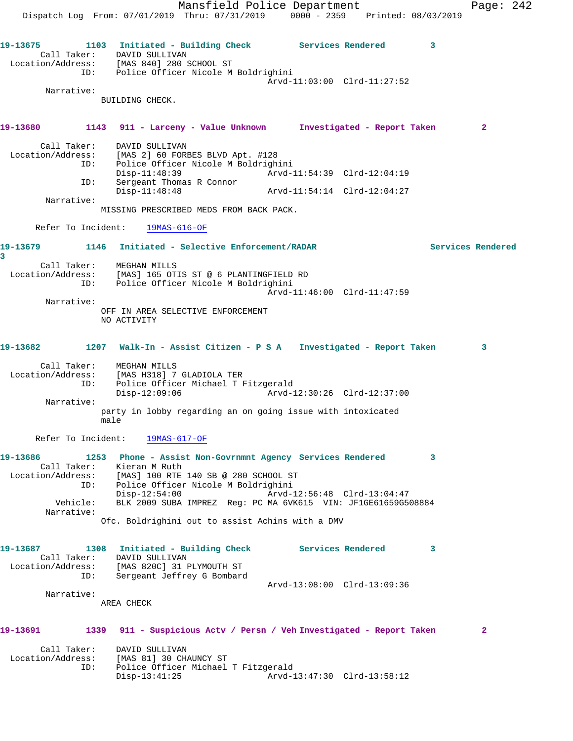Mansfield Police Department Fage: 242 Dispatch Log From: 07/01/2019 Thru: 07/31/2019 0000 - 2359 Printed: 08/03/2019 **19-13675 1103 Initiated - Building Check Services Rendered 3**  Call Taker: DAVID SULLIVAN Location/Address: [MAS 840] 280 SCHOOL ST ID: Police Officer Nicole M Boldrighini Arvd-11:03:00 Clrd-11:27:52 Narrative: BUILDING CHECK. **19-13680 1143 911 - Larceny - Value Unknown Investigated - Report Taken 2** Call Taker: DAVID SULLIVAN Location/Address: [MAS 2] 60 FORBES BLVD Apt. #128 ID: Police Officer Nicole M Boldrighini Disp-11:48:39 Arvd-11:54:39 Clrd-12:04:19 ID: Sergeant Thomas R Connor Arvd-11:54:14 Clrd-12:04:27 Narrative: MISSING PRESCRIBED MEDS FROM BACK PACK. Refer To Incident: 19MAS-616-OF **19-13679 1146 Initiated - Selective Enforcement/RADAR Services Rendered 3**  Call Taker: MEGHAN MILLS Location/Address: [MAS] 165 OTIS ST @ 6 PLANTINGFIELD RD ID: Police Officer Nicole M Boldrighini Arvd-11:46:00 Clrd-11:47:59 Narrative: OFF IN AREA SELECTIVE ENFORCEMENT NO ACTIVITY **19-13682 1207 Walk-In - Assist Citizen - P S A Investigated - Report Taken 3** Call Taker: MEGHAN MILLS Location/Address: [MAS H318] 7 GLADIOLA TER ID: Police Officer Michael T Fitzgerald Disp-12:09:06 Arvd-12:30:26 Clrd-12:37:00 Narrative: party in lobby regarding an on going issue with intoxicated male Refer To Incident: 19MAS-617-OF **19-13686 1253 Phone - Assist Non-Govrnmnt Agency Services Rendered 3**  Call Taker: Kieran M Ruth Location/Address: [MAS] 100 RTE 140 SB @ 280 SCHOOL ST ID: Police Officer Nicole M Boldrighini Disp-12:54:00 Arvd-12:56:48 Clrd-13:04:47 Vehicle: BLK 2009 SUBA IMPREZ Reg: PC MA 6VK615 VIN: JF1GE61659G508884 Narrative: Ofc. Boldrighini out to assist Achins with a DMV **19-13687 1308 Initiated - Building Check Services Rendered 3**  Call Taker: DAVID SULLIVAN Location/Address: [MAS 820C] 31 PLYMOUTH ST ID: Sergeant Jeffrey G Bombard Arvd-13:08:00 Clrd-13:09:36 Narrative: AREA CHECK **19-13691 1339 911 - Suspicious Actv / Persn / Veh Investigated - Report Taken 2** Call Taker: DAVID SULLIVAN Location/Address: [MAS 81] 30 CHAUNCY ST<br>ID: Police Officer Michael Police Officer Michael T Fitzgerald<br>Disp-13:41:25 Arvd-1 Arvd-13:47:30 Clrd-13:58:12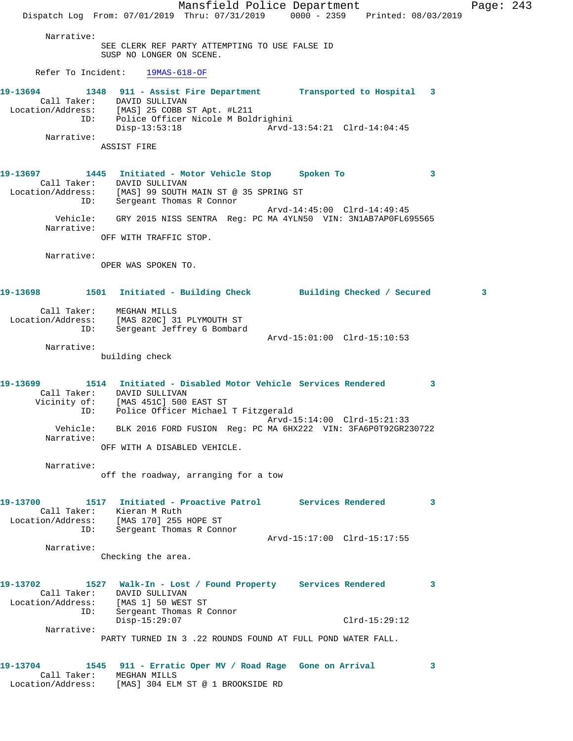Mansfield Police Department Page: 243 Dispatch Log From: 07/01/2019 Thru: 07/31/2019 0000 - 2359 Printed: 08/03/2019 Narrative: SEE CLERK REF PARTY ATTEMPTING TO USE FALSE ID SUSP NO LONGER ON SCENE. Refer To Incident: 19MAS-618-OF **19-13694 1348 911 - Assist Fire Department Transported to Hospital 3**  Call Taker: DAVID SULLIVAN Location/Address: [MAS] 25 COBB ST Apt. #L211 ID: Police Officer Nicole M Boldrighini Disp-13:53:18 Arvd-13:54:21 Clrd-14:04:45 Narrative: ASSIST FIRE **19-13697 1445 Initiated - Motor Vehicle Stop Spoken To 3**  Call Taker: DAVID SULLIVAN Location/Address: [MAS] 99 SOUTH MAIN ST @ 35 SPRING ST ID: Sergeant Thomas R Connor Arvd-14:45:00 Clrd-14:49:45 Vehicle: GRY 2015 NISS SENTRA Reg: PC MA 4YLN50 VIN: 3N1AB7AP0FL695565 Narrative: OFF WITH TRAFFIC STOP. Narrative: OPER WAS SPOKEN TO. **19-13698 1501 Initiated - Building Check Building Checked / Secured 3** Call Taker: MEGHAN MILLS Location/Address: [MAS 820C] 31 PLYMOUTH ST ID: Sergeant Jeffrey G Bombard Arvd-15:01:00 Clrd-15:10:53 Narrative: building check **19-13699 1514 Initiated - Disabled Motor Vehicle Services Rendered 3**  Call Taker: DAVID SULLIVAN Vicinity of: [MAS 451C] 500 EAST ST ID: Police Officer Michael T Fitzgerald Arvd-15:14:00 Clrd-15:21:33 Vehicle: BLK 2016 FORD FUSION Reg: PC MA 6HX222 VIN: 3FA6P0T92GR230722 Narrative: OFF WITH A DISABLED VEHICLE. Narrative: off the roadway, arranging for a tow **19-13700 1517 Initiated - Proactive Patrol Services Rendered 3**  Call Taker: Kieran M Ruth Location/Address: [MAS 170] 255 HOPE ST ID: Sergeant Thomas R Connor Arvd-15:17:00 Clrd-15:17:55 Narrative: Checking the area. **19-13702 1527 Walk-In - Lost / Found Property Services Rendered 3**  Call Taker: DAVID SULLIVAN Location/Address: [MAS 1] 50 WEST ST ID: Sergeant Thomas R Connor Disp-15:29:07 Clrd-15:29:12 Narrative: PARTY TURNED IN 3 .22 ROUNDS FOUND AT FULL POND WATER FALL. **19-13704 1545 911 - Erratic Oper MV / Road Rage Gone on Arrival 3**  Call Taker: MEGHAN MILLS Location/Address: [MAS] 304 ELM ST @ 1 BROOKSIDE RD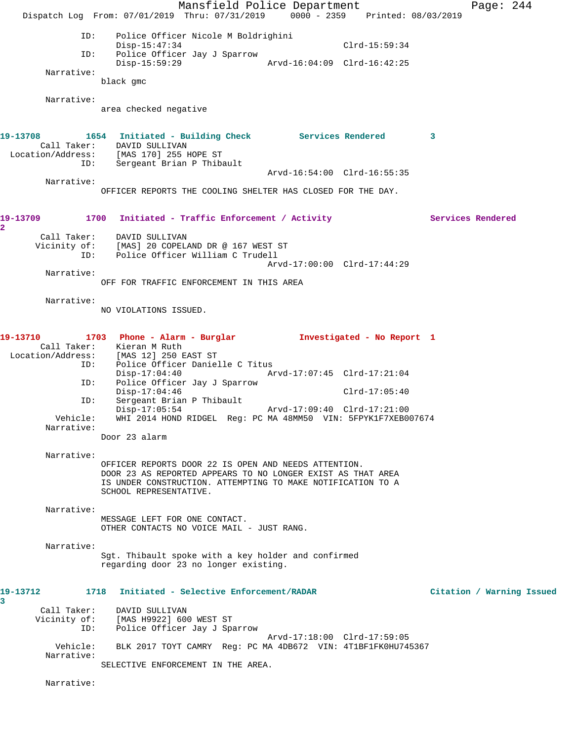Mansfield Police Department Page: 244 Dispatch Log From: 07/01/2019 Thru: 07/31/2019 0000 - 2359 Printed: 08/03/2019 ID: Police Officer Nicole M Boldrighini Disp-15:47:34 Clrd-15:59:34 ID: Police Officer Jay J Sparrow Disp-15:59:29 Arvd-16:04:09 Clrd-16:42:25 Narrative: black gmc Narrative: area checked negative **19-13708 1654 Initiated - Building Check Services Rendered 3**  Call Taker: DAVID SULLIVAN Location/Address: [MAS 170] 255 HOPE ST ID: Sergeant Brian P Thibault Arvd-16:54:00 Clrd-16:55:35 Narrative: OFFICER REPORTS THE COOLING SHELTER HAS CLOSED FOR THE DAY. 19-13709 1700 Initiated - Traffic Enforcement / Activity **Services Rendered** Call Taker: DAVID SULLIVAN<br>Vicinity of: [MAS] 20 COPELA [MAS] 20 COPELAND DR @ 167 WEST ST OI: [PAS] AV CORELAND DR & 10. 1221 Arvd-17:00:00 Clrd-17:44:29 Narrative: OFF FOR TRAFFIC ENFORCEMENT IN THIS AREA Narrative: NO VIOLATIONS ISSUED. **19-13710 1703 Phone - Alarm - Burglar Investigated - No Report 1**  Call Taker: Kieran M Ruth Location/Address: [MAS 12] 250 EAST ST ID: Police Officer Danielle C Titus Disp-17:04:40 Arvd-17:07:45 Clrd-17:21:04 ID: Police Officer Jay J Sparrow Disp-17:04:46 Clrd-17:05:40 ID: Sergeant Brian P Thibault Disp-17:05:54 Arvd-17:09:40 Clrd-17:21:00 Vehicle: WHI 2014 HOND RIDGEL Reg: PC MA 48MM50 VIN: 5FPYK1F7XEB007674 Narrative: Door 23 alarm Narrative: OFFICER REPORTS DOOR 22 IS OPEN AND NEEDS ATTENTION. DOOR 23 AS REPORTED APPEARS TO NO LONGER EXIST AS THAT AREA IS UNDER CONSTRUCTION. ATTEMPTING TO MAKE NOTIFICATION TO A SCHOOL REPRESENTATIVE. Narrative: MESSAGE LEFT FOR ONE CONTACT. OTHER CONTACTS NO VOICE MAIL - JUST RANG. Narrative: Sgt. Thibault spoke with a key holder and confirmed regarding door 23 no longer existing. **19-13712 1718 Initiated - Selective Enforcement/RADAR Citation / Warning Issued** Call Taker: DAVID SULLIVAN Vicinity of: [MAS H9922] 600 WEST ST ID: Police Officer Jay J Sparrow Arvd-17:18:00 Clrd-17:59:05 Vehicle: BLK 2017 TOYT CAMRY Reg: PC MA 4DB672 VIN: 4T1BF1FK0HU745367 Narrative: SELECTIVE ENFORCEMENT IN THE AREA. Narrative:

**2** 

**3**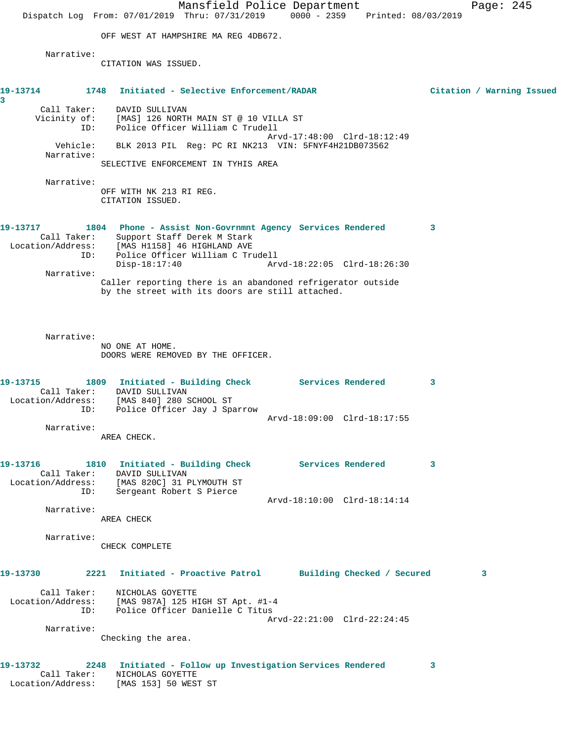|                                      | Mansfield Police Department<br>Dispatch Log From: 07/01/2019 Thru: 07/31/2019                                                                              |                             | 0000 - 2359 Printed: 08/03/2019 | Page: 245                 |  |
|--------------------------------------|------------------------------------------------------------------------------------------------------------------------------------------------------------|-----------------------------|---------------------------------|---------------------------|--|
|                                      | OFF WEST AT HAMPSHIRE MA REG 4DB672.                                                                                                                       |                             |                                 |                           |  |
|                                      |                                                                                                                                                            |                             |                                 |                           |  |
| Narrative:                           | CITATION WAS ISSUED.                                                                                                                                       |                             |                                 |                           |  |
| 1748<br>19-13714<br>3                | Initiated - Selective Enforcement/RADAR                                                                                                                    |                             |                                 | Citation / Warning Issued |  |
| ID:                                  | Call Taker: DAVID SULLIVAN<br>Vicinity of: [MAS] 126 NORTH MAIN ST @ 10 VILLA ST<br>Police Officer William C Trudell                                       |                             |                                 |                           |  |
| Vehicle:<br>Narrative:               | BLK 2013 PIL Reg: PC RI NK213 VIN: 5FNYF4H21DB073562                                                                                                       | Arvd-17:48:00 Clrd-18:12:49 |                                 |                           |  |
|                                      | SELECTIVE ENFORCEMENT IN TYHIS AREA                                                                                                                        |                             |                                 |                           |  |
| Narrative:                           | OFF WITH NK 213 RI REG.<br>CITATION ISSUED.                                                                                                                |                             |                                 |                           |  |
| 19-13717<br>Call Taker:              | 1804 Phone - Assist Non-Govrnmnt Agency Services Rendered<br>Support Staff Derek M Stark<br>Location/Address: [MAS H1158] 46 HIGHLAND AVE                  |                             |                                 | 3                         |  |
| ID:<br>Narrative:                    | Police Officer William C Trudell<br>$Disp-18:17:40$                                                                                                        | Arvd-18:22:05 Clrd-18:26:30 |                                 |                           |  |
|                                      | Caller reporting there is an abandoned refrigerator outside<br>by the street with its doors are still attached.                                            |                             |                                 |                           |  |
| Narrative:                           | NO ONE AT HOME.<br>DOORS WERE REMOVED BY THE OFFICER.                                                                                                      |                             |                                 |                           |  |
| 19-13715<br>Location/Address:<br>ID: | 1809 Initiated - Building Check Services Rendered<br>Call Taker: DAVID SULLIVAN<br>[MAS 840] 280 SCHOOL ST<br>Police Officer Jay J Sparrow                 |                             |                                 | 3                         |  |
| Narrative:                           |                                                                                                                                                            | Arvd-18:09:00 Clrd-18:17:55 |                                 |                           |  |
|                                      | AREA CHECK.                                                                                                                                                |                             |                                 |                           |  |
| 19-13716<br>ID:                      | 1810 Initiated - Building Check Services Rendered<br>Call Taker: DAVID SULLIVAN<br>Location/Address: [MAS 820C] 31 PLYMOUTH ST<br>Sergeant Robert S Pierce |                             |                                 | 3                         |  |
| Narrative:                           |                                                                                                                                                            | Arvd-18:10:00 Clrd-18:14:14 |                                 |                           |  |
| Narrative:                           | AREA CHECK                                                                                                                                                 |                             |                                 |                           |  |
|                                      | CHECK COMPLETE                                                                                                                                             |                             |                                 |                           |  |
| 2221<br>19-13730                     | Initiated - Proactive Patrol Building Checked / Secured                                                                                                    |                             |                                 | 3                         |  |
| ID:                                  | Call Taker: NICHOLAS GOYETTE<br>Location/Address: [MAS 987A] 125 HIGH ST Apt. #1-4<br>Police Officer Danielle C Titus                                      |                             |                                 |                           |  |
| Narrative:                           |                                                                                                                                                            | Arvd-22:21:00 Clrd-22:24:45 |                                 |                           |  |
|                                      | Checking the area.                                                                                                                                         |                             |                                 |                           |  |
| 19-13732<br>Call Taker:              | 2248 Initiated - Follow up Investigation Services Rendered<br>NICHOLAS GOYETTE<br>Location/Address: [MAS 153] 50 WEST ST                                   |                             |                                 | 3                         |  |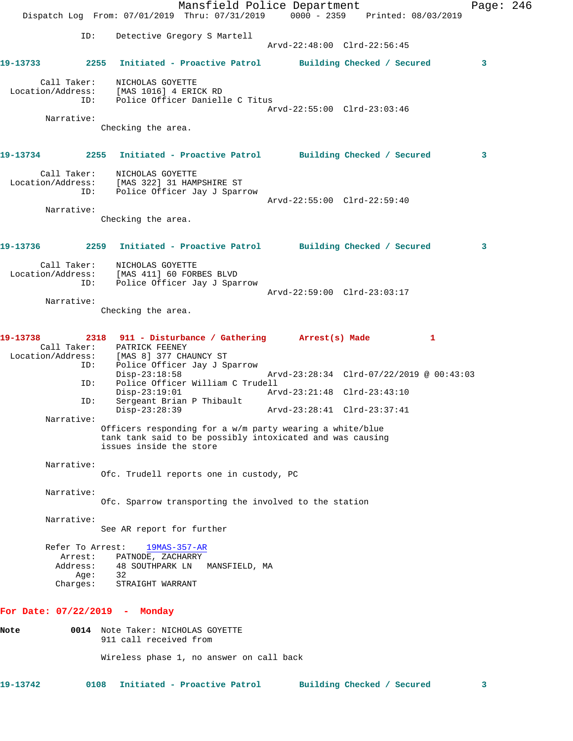|               |                     |                                                                        | Mansfield Police Department<br>Dispatch Log From: 07/01/2019 Thru: 07/31/2019 0000 - 2359 Printed: 08/03/2019         |                             |                            |                                          | Page: 246 |  |
|---------------|---------------------|------------------------------------------------------------------------|-----------------------------------------------------------------------------------------------------------------------|-----------------------------|----------------------------|------------------------------------------|-----------|--|
|               | ID:                 |                                                                        | Detective Gregory S Martell                                                                                           | Arvd-22:48:00 Clrd-22:56:45 |                            |                                          |           |  |
| 19-13733 2001 |                     |                                                                        | 2255 Initiated - Proactive Patrol Building Checked / Secured                                                          |                             |                            |                                          | 3         |  |
|               | Call Taker:<br>ID:  | NICHOLAS GOYETTE<br>Location/Address: [MAS 1016] 4 ERICK RD            | Police Officer Danielle C Titus                                                                                       |                             |                            |                                          |           |  |
|               | Narrative:          |                                                                        |                                                                                                                       | Arvd-22:55:00 Clrd-23:03:46 |                            |                                          |           |  |
|               |                     | Checking the area.                                                     |                                                                                                                       |                             |                            |                                          |           |  |
|               |                     |                                                                        | 19-13734 2255 Initiated - Proactive Patrol Building Checked / Secured                                                 |                             |                            |                                          | 3         |  |
|               | Call Taker:<br>ID:  | NICHOLAS GOYETTE<br>Location/Address: [MAS 322] 31 HAMPSHIRE ST        | Police Officer Jay J Sparrow                                                                                          |                             |                            |                                          |           |  |
|               | Narrative:          |                                                                        |                                                                                                                       | Arvd-22:55:00 Clrd-22:59:40 |                            |                                          |           |  |
|               |                     | Checking the area.                                                     |                                                                                                                       |                             |                            |                                          |           |  |
|               |                     |                                                                        | 19-13736  2259 Initiated - Proactive Patrol Building Checked / Secured                                                |                             |                            |                                          | 3         |  |
|               | Call Taker:<br>ID:  | NICHOLAS GOYETTE<br>Location/Address: [MAS 411] 60 FORBES BLVD         | Police Officer Jay J Sparrow                                                                                          |                             |                            |                                          |           |  |
|               | Narrative:          |                                                                        |                                                                                                                       | Arvd-22:59:00 Clrd-23:03:17 |                            |                                          |           |  |
|               |                     | Checking the area.                                                     |                                                                                                                       |                             |                            |                                          |           |  |
| 19-13738      |                     | Call Taker: PATRICK FEENEY<br>Location/Address: [MAS 8] 377 CHAUNCY ST | 2318 911 - Disturbance / Gathering Arrest(s) Made                                                                     |                             |                            | 1                                        |           |  |
|               | ID:<br>ID:          | $Disp-23:18:58$                                                        | Police Officer Jay J Sparrow<br>Police Officer William C Trudell                                                      |                             |                            | Arvd-23:28:34 Clrd-07/22/2019 @ 00:43:03 |           |  |
|               |                     | $Disp-23:19:01$                                                        |                                                                                                                       |                             |                            |                                          |           |  |
|               | ID:                 | Disp-23:28:39                                                          | Sergeant Brian P Thibault                                                                                             | Arvd-23:28:41 Clrd-23:37:41 |                            |                                          |           |  |
|               | Narrative:          | issues inside the store                                                | Officers responding for a w/m party wearing a white/blue<br>tank tank said to be possibly intoxicated and was causing |                             |                            |                                          |           |  |
|               | Narrative:          |                                                                        | Ofc. Trudell reports one in custody, PC                                                                               |                             |                            |                                          |           |  |
|               | Narrative:          |                                                                        | Ofc. Sparrow transporting the involved to the station                                                                 |                             |                            |                                          |           |  |
|               | Narrative:          | See AR report for further                                              |                                                                                                                       |                             |                            |                                          |           |  |
|               | Refer To Arrest:    | $19MAS-357-AR$                                                         |                                                                                                                       |                             |                            |                                          |           |  |
|               | Arrest:<br>Address: | PATNODE, ZACHARRY<br>48 SOUTHPARK LN                                   | MANSFIELD, MA                                                                                                         |                             |                            |                                          |           |  |
|               | Age:<br>Charges:    | 32<br>STRAIGHT WARRANT                                                 |                                                                                                                       |                             |                            |                                          |           |  |
|               |                     | For Date: $07/22/2019$ - Monday                                        |                                                                                                                       |                             |                            |                                          |           |  |
| Note          |                     | 0014 Note Taker: NICHOLAS GOYETTE<br>911 call received from            |                                                                                                                       |                             |                            |                                          |           |  |
|               |                     |                                                                        | Wireless phase 1, no answer on call back                                                                              |                             |                            |                                          |           |  |
| 19-13742      | 0108                |                                                                        | Initiated - Proactive Patrol                                                                                          |                             | Building Checked / Secured |                                          | 3         |  |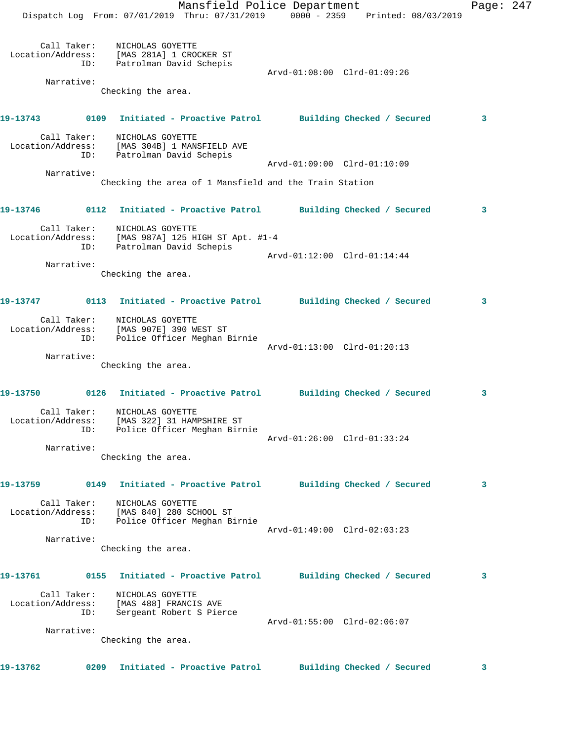|                   |                    | Mansfield Police Department<br>Dispatch Log From: 07/01/2019 Thru: 07/31/2019 0000 - 2359 Printed: 08/03/2019 |                             |                            | Page: 247 |  |
|-------------------|--------------------|---------------------------------------------------------------------------------------------------------------|-----------------------------|----------------------------|-----------|--|
|                   | Call Taker:<br>ID: | NICHOLAS GOYETTE<br>Location/Address: [MAS 281A] 1 CROCKER ST<br>Patrolman David Schepis                      |                             |                            |           |  |
|                   | Narrative:         |                                                                                                               | Arvd-01:08:00 Clrd-01:09:26 |                            |           |  |
|                   |                    | Checking the area.                                                                                            |                             |                            |           |  |
|                   |                    |                                                                                                               |                             |                            | 3         |  |
|                   | Call Taker:<br>ID: | NICHOLAS GOYETTE<br>Location/Address: [MAS 304B] 1 MANSFIELD AVE<br>Patrolman David Schepis                   |                             |                            |           |  |
|                   |                    |                                                                                                               | Arvd-01:09:00 Clrd-01:10:09 |                            |           |  |
|                   | Narrative:         |                                                                                                               |                             |                            |           |  |
|                   |                    | Checking the area of 1 Mansfield and the Train Station                                                        |                             |                            |           |  |
|                   |                    | 19-13746      0112 Initiated - Proactive Patrol     Building Checked / Secured                                |                             |                            | 3         |  |
|                   | ID:                | Call Taker: NICHOLAS GOYETTE<br>Location/Address: [MAS 987A] 125 HIGH ST Apt. #1-4<br>Patrolman David Schepis |                             |                            |           |  |
|                   | Narrative:         |                                                                                                               | Arvd-01:12:00 Clrd-01:14:44 |                            |           |  |
|                   |                    | Checking the area.                                                                                            |                             |                            |           |  |
|                   |                    |                                                                                                               |                             |                            |           |  |
|                   |                    | 19-13747 0113 Initiated - Proactive Patrol Building Checked / Secured                                         |                             |                            | 3         |  |
|                   | Call Taker:<br>ID: | NICHOLAS GOYETTE<br>Location/Address: [MAS 907E] 390 WEST ST<br>Police Officer Meghan Birnie                  |                             |                            |           |  |
|                   |                    |                                                                                                               | Arvd-01:13:00 Clrd-01:20:13 |                            |           |  |
|                   | Narrative:         |                                                                                                               |                             |                            |           |  |
|                   |                    | Checking the area.                                                                                            |                             |                            |           |  |
|                   |                    | 19-13750 0126 Initiated - Proactive Patrol Building Checked / Secured                                         |                             |                            | 3         |  |
| Call Taker:       | ID:                | NICHOLAS GOYETTE<br>Location/Address: [MAS 322] 31 HAMPSHIRE ST<br>Police Officer Meghan Birnie               |                             |                            |           |  |
|                   | Narrative:         |                                                                                                               | Arvd-01:26:00 Clrd-01:33:24 |                            |           |  |
|                   |                    | Checking the area.                                                                                            |                             |                            |           |  |
| 19-13759          |                    | 0149 Initiated - Proactive Patrol Building Checked / Secured                                                  |                             |                            | 3         |  |
| Location/Address: | Call Taker:<br>ID: | NICHOLAS GOYETTE<br>[MAS 840] 280 SCHOOL ST<br>Police Officer Meghan Birnie                                   |                             |                            |           |  |
|                   |                    |                                                                                                               | Arvd-01:49:00 Clrd-02:03:23 |                            |           |  |
|                   | Narrative:         |                                                                                                               |                             |                            |           |  |
|                   |                    | Checking the area.                                                                                            |                             |                            |           |  |
| 19-13761          |                    | 0155 Initiated - Proactive Patrol Building Checked / Secured                                                  |                             |                            | 3         |  |
|                   | Call Taker:<br>ID: | NICHOLAS GOYETTE<br>Location/Address: [MAS 488] FRANCIS AVE<br>Sergeant Robert S Pierce                       |                             |                            |           |  |
|                   |                    |                                                                                                               | Arvd-01:55:00 Clrd-02:06:07 |                            |           |  |
|                   | Narrative:         | Checking the area.                                                                                            |                             |                            |           |  |
|                   |                    |                                                                                                               |                             |                            |           |  |
| 19-13762          |                    | 0209 Initiated - Proactive Patrol                                                                             |                             | Building Checked / Secured | 3         |  |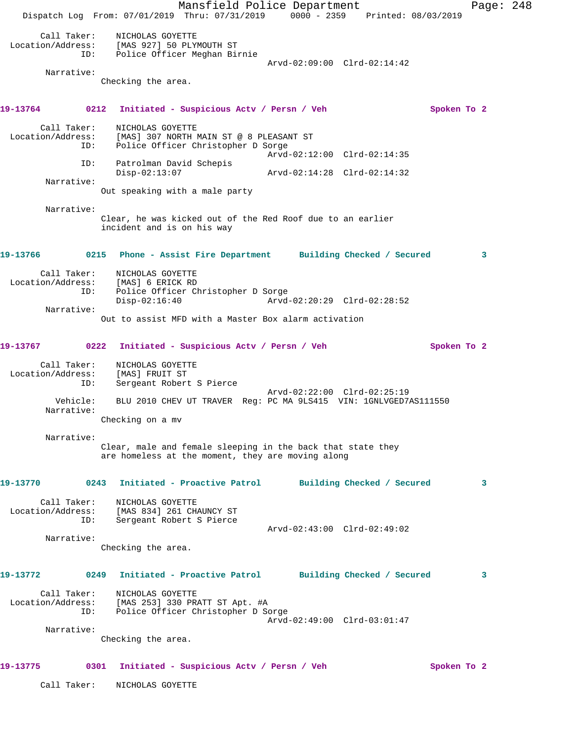Mansfield Police Department Page: 248 Dispatch Log From: 07/01/2019 Thru: 07/31/2019 0000 - 2359 Printed: 08/03/2019 Call Taker: NICHOLAS GOYETTE Location/Address: [MAS 927] 50 PLYMOUTH ST ID: Police Officer Meghan Birnie Arvd-02:09:00 Clrd-02:14:42 Narrative: Checking the area. **19-13764 0212 Initiated - Suspicious Actv / Persn / Veh Spoken To 2** Call Taker: NICHOLAS GOYETTE Location/Address: [MAS] 307 NORTH MAIN ST @ 8 PLEASANT ST ID: Police Officer Christopher D Sorge Arvd-02:12:00 Clrd-02:14:35 ID: Patrolman David Schepis Disp-02:13:07 Arvd-02:14:28 Clrd-02:14:32 Narrative: Out speaking with a male party Narrative: Clear, he was kicked out of the Red Roof due to an earlier incident and is on his way **19-13766 0215 Phone - Assist Fire Department Building Checked / Secured 3** Call Taker: NICHOLAS GOYETTE Location/Address: [MAS] 6 ERICK RD ID: Police Officer Christopher D Sorge Disp-02:16:40 Arvd-02:20:29 Clrd-02:28:52 Narrative: Out to assist MFD with a Master Box alarm activation **19-13767 0222 Initiated - Suspicious Actv / Persn / Veh Spoken To 2** Call Taker: NICHOLAS GOYETTE Location/Address: [MAS] FRUIT ST ID: Sergeant Robert S Pierce Arvd-02:22:00 Clrd-02:25:19 Vehicle: BLU 2010 CHEV UT TRAVER Reg: PC MA 9LS415 VIN: 1GNLVGED7AS111550 Narrative: Checking on a mv Narrative: Clear, male and female sleeping in the back that state they are homeless at the moment, they are moving along **19-13770 0243 Initiated - Proactive Patrol Building Checked / Secured 3** Call Taker: NICHOLAS GOYETTE Location/Address: [MAS 834] 261 CHAUNCY ST ID: Sergeant Robert S Pierce Arvd-02:43:00 Clrd-02:49:02 Narrative: Checking the area. **19-13772 0249 Initiated - Proactive Patrol Building Checked / Secured 3** Call Taker: NICHOLAS GOYETTE Location/Address: [MAS 253] 330 PRATT ST Apt. #A ID: Police Officer Christopher D Sorge Arvd-02:49:00 Clrd-03:01:47 Narrative: Checking the area. **19-13775 0301 Initiated - Suspicious Actv / Persn / Veh Spoken To 2** Call Taker: NICHOLAS GOYETTE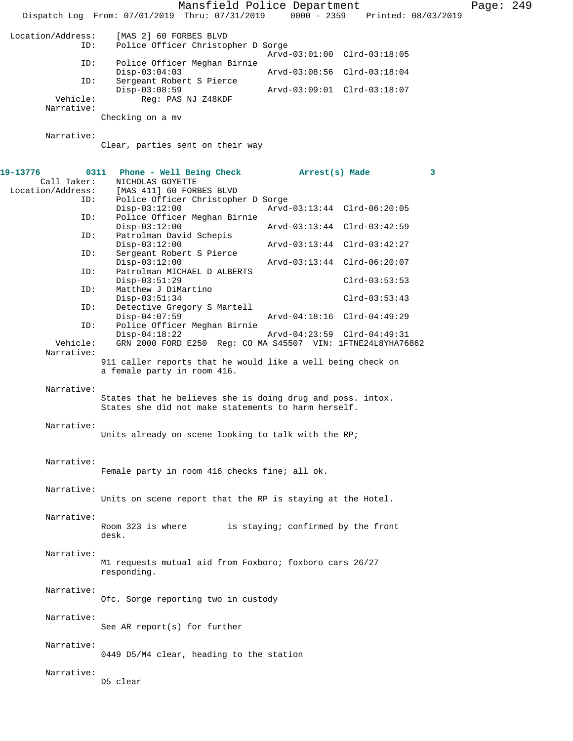|                                              | Mansfield Police Department<br>Dispatch Log From: 07/01/2019 Thru: 07/31/2019 0000 - 2359                                                                 |                                    | Printed: 08/03/2019 |   | Page: $249$ |  |
|----------------------------------------------|-----------------------------------------------------------------------------------------------------------------------------------------------------------|------------------------------------|---------------------|---|-------------|--|
| Location/Address:<br>ID:                     | [MAS 2] 60 FORBES BLVD<br>Police Officer Christopher D Sorge                                                                                              | Arvd-03:01:00 Clrd-03:18:05        |                     |   |             |  |
| ID:                                          | Police Officer Meghan Birnie                                                                                                                              |                                    |                     |   |             |  |
| ID:                                          | $Disp-03:04:03$<br>Sergeant Robert S Pierce                                                                                                               | Arvd-03:08:56 Clrd-03:18:04        |                     |   |             |  |
| Vehicle:<br>Narrative:                       | $Disp-03:08:59$<br>Reg: PAS NJ Z48KDF<br>Checking on a mv                                                                                                 | Arvd-03:09:01 Clrd-03:18:07        |                     |   |             |  |
| Narrative:                                   | Clear, parties sent on their way                                                                                                                          |                                    |                     |   |             |  |
| 19-13776<br>Call Taker:<br>Location/Address: | Phone - Well Being Check<br>0311<br>NICHOLAS GOYETTE<br>[MAS 411] 60 FORBES BLVD                                                                          | Arrest(s) Made                     |                     | 3 |             |  |
| ID:<br>ID:                                   | Police Officer Christopher D Sorge<br>$Disp-03:12:00$<br>Police Officer Meghan Birnie                                                                     | Arvd-03:13:44 Clrd-06:20:05        |                     |   |             |  |
| ID:                                          | $Disp-03:12:00$<br>Patrolman David Schepis                                                                                                                | Arvd-03:13:44 Clrd-03:42:59        |                     |   |             |  |
| ID:                                          | $Disp-03:12:00$                                                                                                                                           | Arvd-03:13:44 Clrd-03:42:27        |                     |   |             |  |
|                                              | Sergeant Robert S Pierce<br>$Disp-03:12:00$                                                                                                               | Arvd-03:13:44 Clrd-06:20:07        |                     |   |             |  |
| ID:                                          | Patrolman MICHAEL D ALBERTS<br>$Disp-03:51:29$                                                                                                            |                                    | $Clrd-03:53:53$     |   |             |  |
| ID:                                          | Matthew J DiMartino<br>$Disp-03:51:34$                                                                                                                    |                                    | $Clrd-03:53:43$     |   |             |  |
| ID:                                          | Detective Gregory S Martell<br>$Disp-04:07:59$                                                                                                            | Arvd-04:18:16 Clrd-04:49:29        |                     |   |             |  |
| ID:                                          | Police Officer Meghan Birnie<br>$Disp-04:18:22$                                                                                                           | Arvd-04:23:59 Clrd-04:49:31        |                     |   |             |  |
| Vehicle:<br>Narrative:                       | GRN 2000 FORD E250 Reg: CO MA S45507 VIN: 1FTNE24L8YHA76862<br>911 caller reports that he would like a well being check on<br>a female party in room 416. |                                    |                     |   |             |  |
| Narrative:                                   | States that he believes she is doing drug and poss. intox.<br>States she did not make statements to harm herself.                                         |                                    |                     |   |             |  |
| Narrative:                                   | Units already on scene looking to talk with the RP;                                                                                                       |                                    |                     |   |             |  |
| Narrative:                                   | Female party in room 416 checks fine; all ok.                                                                                                             |                                    |                     |   |             |  |
| Narrative:                                   | Units on scene report that the RP is staying at the Hotel.                                                                                                |                                    |                     |   |             |  |
| Narrative:                                   | Room 323 is where<br>desk.                                                                                                                                | is staying; confirmed by the front |                     |   |             |  |
| Narrative:                                   | M1 requests mutual aid from Foxboro; foxboro cars 26/27<br>responding.                                                                                    |                                    |                     |   |             |  |
| Narrative:                                   | Ofc. Sorge reporting two in custody                                                                                                                       |                                    |                     |   |             |  |
| Narrative:                                   | See AR report(s) for further                                                                                                                              |                                    |                     |   |             |  |
| Narrative:                                   | 0449 D5/M4 clear, heading to the station                                                                                                                  |                                    |                     |   |             |  |
| Narrative:                                   | D5 clear                                                                                                                                                  |                                    |                     |   |             |  |
|                                              |                                                                                                                                                           |                                    |                     |   |             |  |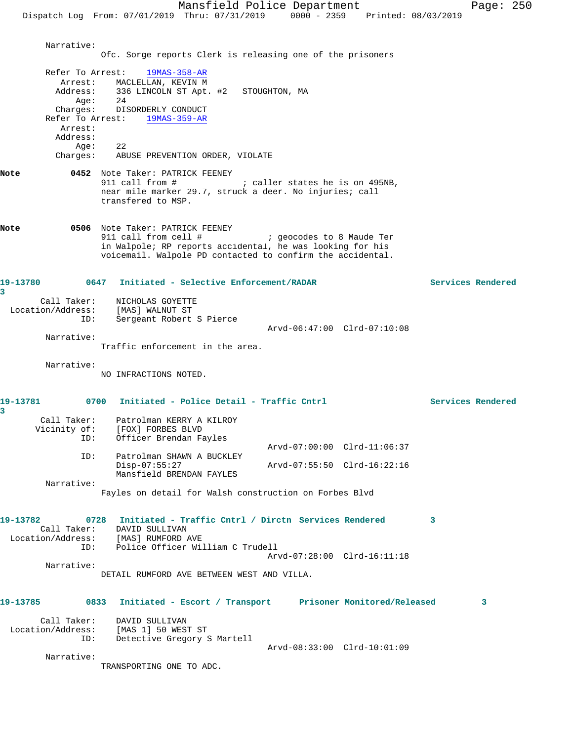Dispatch Log From: 07/01/2019 Thru: 07/31/2019 0000 - 2359 Printed: 08/03/2019

 Narrative: Ofc. Sorge reports Clerk is releasing one of the prisoners Refer To Arrest: 19MAS-358-AR Arrest: MACLELLAN, KEVIN M<br>Address: 336 LINCOLN ST Apt. 336 LINCOLN ST Apt. #2 STOUGHTON, MA Age: 24 Charges: DISORDERLY CONDUCT Refer To Arrest: 19MAS-359-AR Arrest: Address: Age: 22 Charges: ABUSE PREVENTION ORDER, VIOLATE **Note 6452** Note Taker: PATRICK FEENEY<br>
911 call from # ; caller states he is on 495NB, near mile marker 29.7, struck a deer. No injuries; call transfered to MSP. **Note 6506** Note Taker: PATRICK FEENEY<br>911 call from cell # ; geocodes to 8 Maude Ter in Walpole; RP reports accidental, he was looking for his voicemail. Walpole PD contacted to confirm the accidental. **19-13780 0647 Initiated - Selective Enforcement/RADAR Services Rendered 3**  Call Taker: NICHOLAS GOYETTE Location/Address: [MAS] WALNUT ST ID: Sergeant Robert S Pierce Arvd-06:47:00 Clrd-07:10:08 Narrative: Traffic enforcement in the area. Narrative: NO INFRACTIONS NOTED. 19-13781 0700 Initiated - Police Detail - Traffic Cntrl **Services Rendered 3**  Call Taker: Patrolman KERRY A KILROY Vicinity of: [FOX] FORBES BLVD ID: Officer Brendan Fayles Arvd-07:00:00 Clrd-11:06:37 ID: Patrolman SHAWN A BUCKLEY<br>Disp-07:55:27 Disp-07:55:27 Arvd-07:55:50 Clrd-16:22:16 Mansfield BRENDAN FAYLES Narrative: Fayles on detail for Walsh construction on Forbes Blvd **19-13782 0728 Initiated - Traffic Cntrl / Dirctn Services Rendered 3**  Call Taker: DAVID SULLIVAN Location/Address: [MAS] RUMFORD AVE ID: Police Officer William C Trudell Arvd-07:28:00 Clrd-16:11:18 Narrative: DETAIL RUMFORD AVE BETWEEN WEST AND VILLA. **19-13785 0833 Initiated - Escort / Transport Prisoner Monitored/Released 3** Call Taker: DAVID SULLIVAN Location/Address: [MAS 1] 50 WEST ST ID: Detective Gregory S Martell Arvd-08:33:00 Clrd-10:01:09 Narrative: TRANSPORTING ONE TO ADC.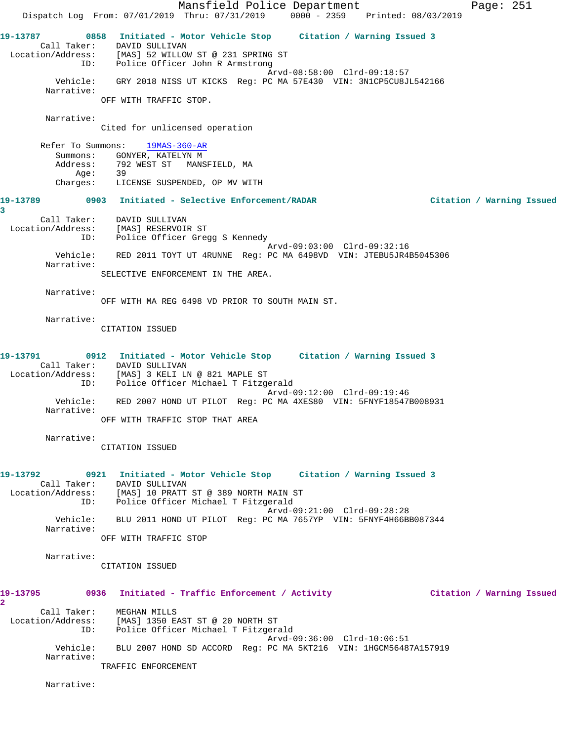Mansfield Police Department Page: 251 Dispatch Log From: 07/01/2019 Thru: 07/31/2019 0000 - 2359 Printed: 08/03/2019 **19-13787 0858 Initiated - Motor Vehicle Stop Citation / Warning Issued 3**  Call Taker: DAVID SULLIVAN Location/Address: [MAS] 52 WILLOW ST @ 231 SPRING ST ID: Police Officer John R Armstrong Arvd-08:58:00 Clrd-09:18:57 Vehicle: GRY 2018 NISS UT KICKS Reg: PC MA 57E430 VIN: 3N1CP5CU8JL542166 Narrative: OFF WITH TRAFFIC STOP. Narrative: Cited for unlicensed operation Refer To Summons: 19MAS-360-AR Summons: GONYER, KATELYN M<br>Address: 792 WEST ST MANS 792 WEST ST – MANSFIELD, MA<br>39 Age: 39 Charges: LICENSE SUSPENDED, OP MV WITH **19-13789 0903 Initiated - Selective Enforcement/RADAR Citation / Warning Issued 3**  Call Taker: DAVID SULLIVAN Location/Address: [MAS] RESERVOIR ST ID: Police Officer Gregg S Kennedy Arvd-09:03:00 Clrd-09:32:16 Vehicle: RED 2011 TOYT UT 4RUNNE Reg: PC MA 6498VD VIN: JTEBU5JR4B5045306 Narrative: SELECTIVE ENFORCEMENT IN THE AREA. Narrative: OFF WITH MA REG 6498 VD PRIOR TO SOUTH MAIN ST. Narrative: CITATION ISSUED **19-13791 0912 Initiated - Motor Vehicle Stop Citation / Warning Issued 3**  Call Taker: DAVID SULLIVAN Location/Address: [MAS] 3 KELI LN @ 821 MAPLE ST ID: Police Officer Michael T Fitzgerald Arvd-09:12:00 Clrd-09:19:46 Vehicle: RED 2007 HOND UT PILOT Reg: PC MA 4XES80 VIN: 5FNYF18547B008931 Narrative: OFF WITH TRAFFIC STOP THAT AREA Narrative: CITATION ISSUED **19-13792 0921 Initiated - Motor Vehicle Stop Citation / Warning Issued 3**  Call Taker: DAVID SULLIVAN Location/Address: [MAS] 10 PRATT ST @ 389 NORTH MAIN ST ID: Police Officer Michael T Fitzgerald Arvd-09:21:00 Clrd-09:28:28 Vehicle: BLU 2011 HOND UT PILOT Reg: PC MA 7657YP VIN: 5FNYF4H66BB087344 Narrative: OFF WITH TRAFFIC STOP Narrative: CITATION ISSUED **19-13795 0936 Initiated - Traffic Enforcement / Activity Citation / Warning Issued 2**  Call Taker: MEGHAN MILLS Location/Address: [MAS] 1350 EAST ST @ 20 NORTH ST ID: Police Officer Michael T Fitzgerald Arvd-09:36:00 Clrd-10:06:51 Vehicle: BLU 2007 HOND SD ACCORD Reg: PC MA 5KT216 VIN: 1HGCM56487A157919 Narrative: TRAFFIC ENFORCEMENT

Narrative: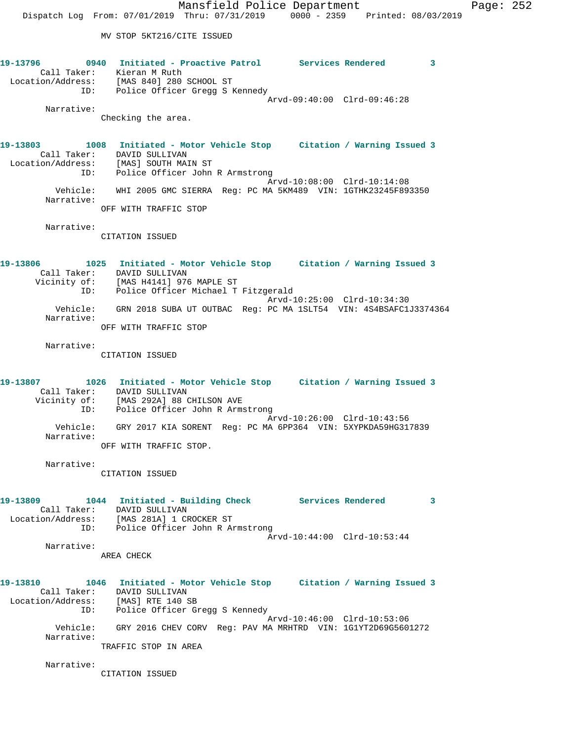**19-13796 0940 Initiated - Proactive Patrol Services Rendered 3**  Call Taker: Kieran M Ruth Location/Address: [MAS 840] 280 SCHOOL ST ID: Police Officer Gregg S Kennedy Arvd-09:40:00 Clrd-09:46:28 Narrative: Checking the area. **19-13803 1008 Initiated - Motor Vehicle Stop Citation / Warning Issued 3**  Call Taker: DAVID SULLIVAN Location/Address: [MAS] SOUTH MAIN ST ID: Police Officer John R Armstrong Arvd-10:08:00 Clrd-10:14:08 Vehicle: WHI 2005 GMC SIERRA Reg: PC MA 5KM489 VIN: 1GTHK23245F893350 Narrative: OFF WITH TRAFFIC STOP Narrative: CITATION ISSUED **19-13806 1025 Initiated - Motor Vehicle Stop Citation / Warning Issued 3**  Call Taker: DAVID SULLIVAN Vicinity of: [MAS H4141] 976 MAPLE ST ID: Police Officer Michael T Fitzgerald Arvd-10:25:00 Clrd-10:34:30 Vehicle: GRN 2018 SUBA UT OUTBAC Reg: PC MA 1SLT54 VIN: 4S4BSAFC1J3374364 Narrative: OFF WITH TRAFFIC STOP Narrative: CITATION ISSUED **19-13807 1026 Initiated - Motor Vehicle Stop Citation / Warning Issued 3**  Call Taker: DAVID SULLIVAN Vicinity of: [MAS 292A] 88 CHILSON AVE ID: Police Officer John R Armstrong Arvd-10:26:00 Clrd-10:43:56 Vehicle: GRY 2017 KIA SORENT Reg: PC MA 6PP364 VIN: 5XYPKDA59HG317839 Narrative: OFF WITH TRAFFIC STOP. Narrative: CITATION ISSUED 19-13809 1044 Initiated - Building Check Services Rendered 3 Call Taker: DAVID SULLIVAN Location/Address: [MAS 281A] 1 CROCKER ST ID: Police Officer John R Armstrong Arvd-10:44:00 Clrd-10:53:44 Narrative: AREA CHECK **19-13810 1046 Initiated - Motor Vehicle Stop Citation / Warning Issued 3**  Call Taker: DAVID SULLIVAN Location/Address: [MAS] RTE 140 SB ID: Police Officer Gregg S Kennedy Arvd-10:46:00 Clrd-10:53:06 Vehicle: GRY 2016 CHEV CORV Reg: PAV MA MRHTRD VIN: 1G1YT2D69G5601272 Narrative: TRAFFIC STOP IN AREA

Narrative:

CITATION ISSUED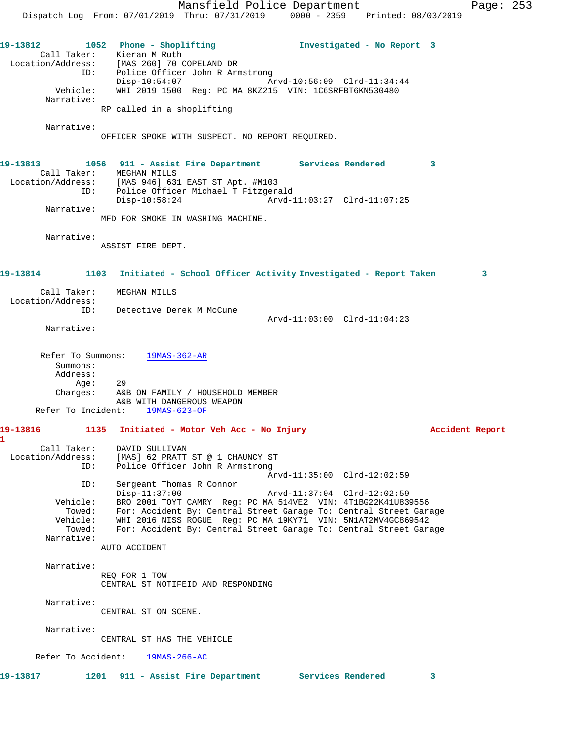Mansfield Police Department Page: 253 Dispatch Log From: 07/01/2019 Thru: 07/31/2019 0000 - 2359 Printed: 08/03/2019 **19-13812 1052 Phone - Shoplifting Investigated - No Report 3**  Call Taker: Kieran M Ruth Location/Address: [MAS 260] 70 COPELAND DR ID: Police Officer John R Armstrong Disp-10:54:07 Arvd-10:56:09 Clrd-11:34:44 Vehicle: WHI 2019 1500 Reg: PC MA 8KZ215 VIN: 1C6SRFBT6KN530480 Narrative: RP called in a shoplifting Narrative: OFFICER SPOKE WITH SUSPECT. NO REPORT REQUIRED. **19-13813 1056 911 - Assist Fire Department Services Rendered 3**  Call Taker: MEGHAN MILLS Location/Address: [MAS 946] 631 EAST ST Apt. #M103 ID: Police Officer Michael T Fitzgerald Disp-10:58:24 Arvd-11:03:27 Clrd-11:07:25 Narrative: MFD FOR SMOKE IN WASHING MACHINE. Narrative: ASSIST FIRE DEPT. **19-13814 1103 Initiated - School Officer Activity Investigated - Report Taken 3** Call Taker: MEGHAN MILLS Location/Address: ID: Detective Derek M McCune Arvd-11:03:00 Clrd-11:04:23 Narrative: Refer To Summons: 19MAS-362-AR Summons: Address: Age: 29 Charges: A&B ON FAMILY / HOUSEHOLD MEMBER A&B WITH DANGEROUS WEAPON Refer To Incident: 19MAS-623-OF **19-13816 1135 Initiated - Motor Veh Acc - No Injury Accident Report 1**  Call Taker: DAVID SULLIVAN Location/Address: [MAS] 62 PRATT ST @ 1 CHAUNCY ST ID: Police Officer John R Armstrong Arvd-11:35:00 Clrd-12:02:59 Sergeant Thomas R Connor<br>Disp-11:37:00 Disp-11:37:00 Arvd-11:37:04 Clrd-12:02:59 Vehicle: BRO 2001 TOYT CAMRY Reg: PC MA 514VE2 VIN: 4T1BG22K41U839556 Towed: For: Accident By: Central Street Garage To: Central Street Garage Vehicle: WHI 2016 NISS ROGUE Reg: PC MA 19KY71 VIN: 5N1AT2MV4GC869542 Towed: For: Accident By: Central Street Garage To: Central Street Garage Narrative: AUTO ACCIDENT Narrative: REQ FOR 1 TOW CENTRAL ST NOTIFEID AND RESPONDING Narrative: CENTRAL ST ON SCENE. Narrative: CENTRAL ST HAS THE VEHICLE Refer To Accident: 19MAS-266-AC **19-13817 1201 911 - Assist Fire Department Services Rendered 3**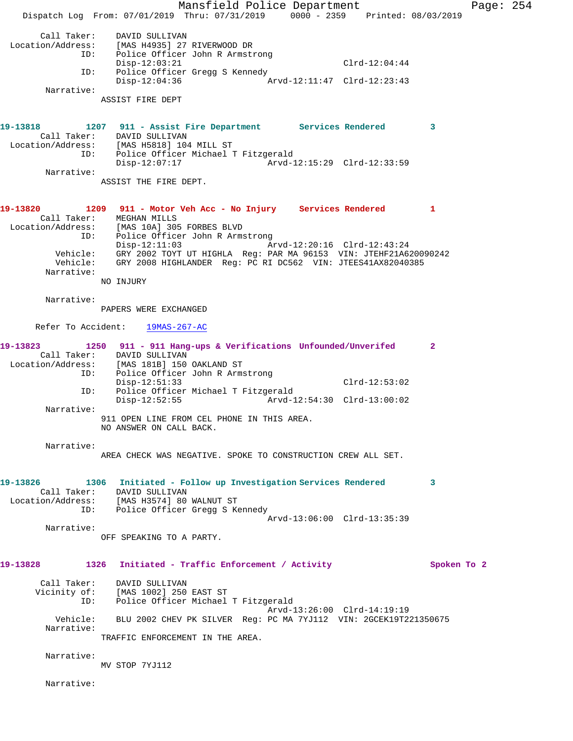Mansfield Police Department Fage: 254 Dispatch Log From: 07/01/2019 Thru: 07/31/2019 0000 - 2359 Printed: 08/03/2019 Call Taker: DAVID SULLIVAN Location/Address: [MAS H4935] 27 RIVERWOOD DR ID: Police Officer John R Armstrong Disp-12:03:21 Clrd-12:04:44 ID: Police Officer Gregg S Kennedy<br>Disp-12:04:36 Arv Arvd-12:11:47 Clrd-12:23:43 Narrative: ASSIST FIRE DEPT **19-13818 1207 911 - Assist Fire Department Services Rendered 3**  Call Taker: DAVID SULLIVAN Location/Address: [MAS H5818] 104 MILL ST ID: Police Officer Michael T Fitzgerald Arvd-12:15:29 Clrd-12:33:59 Narrative: ASSIST THE FIRE DEPT. **19-13820 1209 911 - Motor Veh Acc - No Injury Services Rendered 1**  Call Taker: MEGHAN MILLS Location/Address: [MAS 10A] 305 FORBES BLVD ID: Police Officer John R Armstrong Disp-12:11:03 Arvd-12:20:16 Clrd-12:43:24 Vehicle: GRY 2002 TOYT UT HIGHLA Reg: PAR MA 96153 VIN: JTEHF21A620090242 Vehicle: GRY 2008 HIGHLANDER Reg: PC RI DC562 VIN: JTEES41AX82040385 Narrative: NO INJURY Narrative: PAPERS WERE EXCHANGED Refer To Accident: 19MAS-267-AC **19-13823 1250 911 - 911 Hang-ups & Verifications Unfounded/Unverifed 2**  Call Taker: DAVID SULLIVAN Location/Address: [MAS 181B] 150 OAKLAND ST ID: Police Officer John R Armstrong Disp-12:51:33 Clrd-12:53:02 ID: Police Officer Michael T Fitzgerald  $Arvd-12:54:30$   $Clrd-13:00:02$  Narrative: 911 OPEN LINE FROM CEL PHONE IN THIS AREA. NO ANSWER ON CALL BACK. Narrative: AREA CHECK WAS NEGATIVE. SPOKE TO CONSTRUCTION CREW ALL SET. **19-13826 1306 Initiated - Follow up Investigation Services Rendered 3**  Call Taker: DAVID SULLIVAN Location/Address: [MAS H3574] 80 WALNUT ST ID: Police Officer Gregg S Kennedy Arvd-13:06:00 Clrd-13:35:39 Narrative: OFF SPEAKING TO A PARTY. **19-13828 1326 Initiated - Traffic Enforcement / Activity Spoken To 2** Call Taker: DAVID SULLIVAN Vicinity of: [MAS 1002] 250 EAST ST Police Officer Michael T Fitzgerald Arvd-13:26:00 Clrd-14:19:19 Vehicle: BLU 2002 CHEV PK SILVER Reg: PC MA 7YJ112 VIN: 2GCEK19T221350675 Narrative: TRAFFIC ENFORCEMENT IN THE AREA. Narrative: MV STOP 7YJ112 Narrative: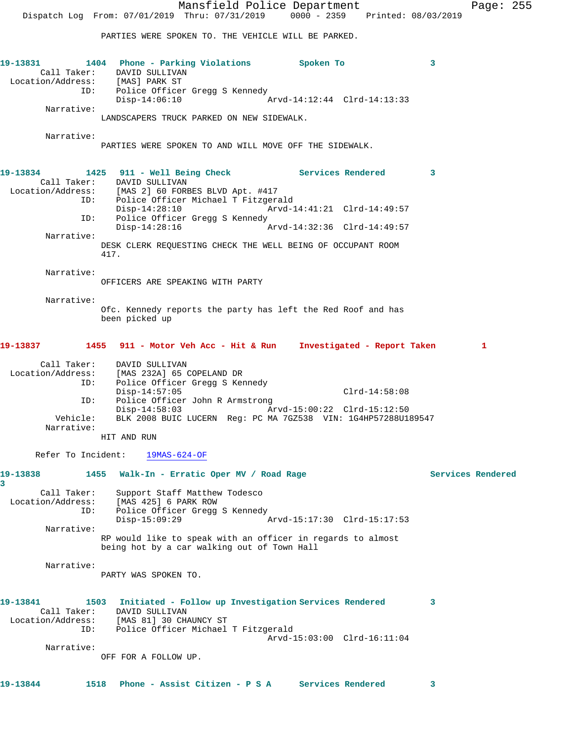PARTIES WERE SPOKEN TO. THE VEHICLE WILL BE PARKED.

|                                         | 19-13831 1404 Phone - Parking Violations Spoken To<br>Call Taker: DAVID SULLIVAN<br>Location/Address: [MAS] PARK ST |                             | 3                       |
|-----------------------------------------|---------------------------------------------------------------------------------------------------------------------|-----------------------------|-------------------------|
|                                         | ID: Police Officer Gregg S Kennedy<br>$Disp-14:06:10$                                                               | Arvd-14:12:44 Clrd-14:13:33 |                         |
| Narrative:                              | LANDSCAPERS TRUCK PARKED ON NEW SIDEWALK.                                                                           |                             |                         |
|                                         |                                                                                                                     |                             |                         |
| Narrative:                              | PARTIES WERE SPOKEN TO AND WILL MOVE OFF THE SIDEWALK.                                                              |                             |                         |
| 19-13834                                | 1425 911 - Well Being Check Services Rendered<br>Call Taker: DAVID SULLIVAN                                         |                             | $\overline{\mathbf{3}}$ |
|                                         | Location/Address: [MAS 2] 60 FORBES BLVD Apt. #417<br>ID: Police Officer Michael T Fitzgerald                       |                             |                         |
|                                         | $Disp-14:28:10$<br>ID: Police Officer Gregg S Kennedy                                                               |                             |                         |
| Narrative:                              | Disp-14:28:16                                                                                                       |                             |                         |
|                                         | DESK CLERK REQUESTING CHECK THE WELL BEING OF OCCUPANT ROOM<br>417.                                                 |                             |                         |
| Narrative:                              | OFFICERS ARE SPEAKING WITH PARTY                                                                                    |                             |                         |
| Narrative:                              |                                                                                                                     |                             |                         |
|                                         | Ofc. Kennedy reports the party has left the Red Roof and has<br>been picked up                                      |                             |                         |
|                                         | 19-13837 1455 911 - Motor Veh Acc - Hit & Run Investigated - Report Taken                                           |                             | 1                       |
|                                         | Call Taker: DAVID SULLIVAN<br>Location/Address: [MAS 232A] 65 COPELAND DR<br>ID: Police Officer Gregg S Kennedy     |                             |                         |
| ID:                                     | $Disp-14:57:05$<br>Police Officer John R Armstrong                                                                  | $Clrd-14:58:08$             |                         |
|                                         | Disp-14:58:03 Arvd-15:00:22 Clrd-15:12:50                                                                           |                             |                         |
| Vehicle:<br>Narrative:                  | BLK 2008 BUIC LUCERN Reg: PC MA 7GZ538 VIN: 1G4HP57288U189547                                                       |                             |                         |
|                                         | HIT AND RUN                                                                                                         |                             |                         |
|                                         | Refer To Incident: 19MAS-624-OF                                                                                     |                             |                         |
| 19-13838<br>1455<br>3                   | Walk-In - Erratic Oper MV / Road Rage                                                                               |                             | Services Rendered       |
| Call Taker:<br>Location/Address:        | Support Staff Matthew Todesco<br>[MAS 425] 6 PARK ROW                                                               |                             |                         |
| ID:                                     | Police Officer Gregg S Kennedy                                                                                      |                             |                         |
| Narrative:                              | $Disp-15:09:29$                                                                                                     | Arvd-15:17:30 Clrd-15:17:53 |                         |
|                                         | RP would like to speak with an officer in regards to almost<br>being hot by a car walking out of Town Hall          |                             |                         |
| Narrative:                              | PARTY WAS SPOKEN TO.                                                                                                |                             |                         |
| 19-13841                                | 1503<br>Initiated - Follow up Investigation Services Rendered                                                       |                             | 3                       |
| Call Taker:<br>Location/Address:<br>ID: | DAVID SULLIVAN<br>[MAS 81] 30 CHAUNCY ST<br>Police Officer Michael T Fitzgerald                                     |                             |                         |
|                                         |                                                                                                                     | Arvd-15:03:00 Clrd-16:11:04 |                         |
| Narrative:                              | OFF FOR A FOLLOW UP.                                                                                                |                             |                         |
| 19-13844                                | 1518<br>Phone - Assist Citizen - P S A                                                                              | Services Rendered           | 3                       |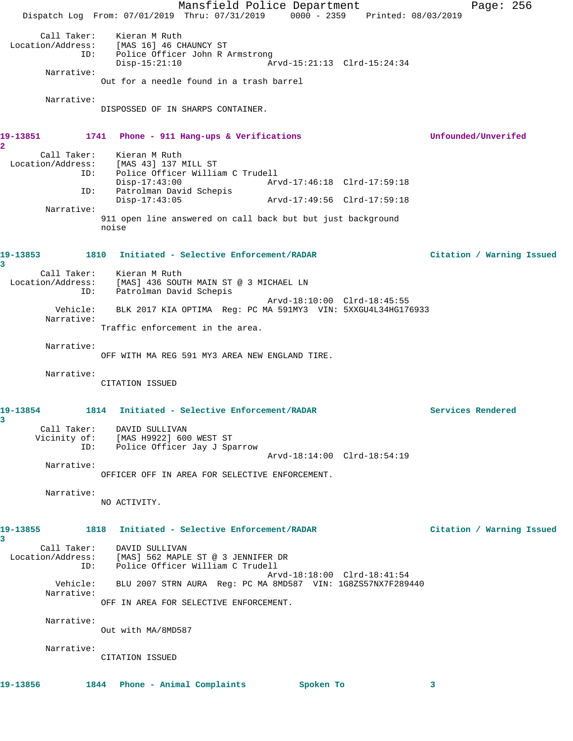Mansfield Police Department Page: 256 Dispatch Log From: 07/01/2019 Thru: 07/31/2019 0000 - 2359 Printed: 08/03/2019 Call Taker: Kieran M Ruth<br>Location/Address: [MAS 16] 46 CH ess: [MAS 16] 46 CHAUNCY ST<br>ID: Police Officer John R 2 Police Officer John R Armstrong<br>Disp-15:21:10 A Disp-15:21:10 Arvd-15:21:13 Clrd-15:24:34 Narrative: Out for a needle found in a trash barrel Narrative: DISPOSSED OF IN SHARPS CONTAINER. **19-13851 1741 Phone - 911 Hang-ups & Verifications Unfounded/Unverifed 2**  Call Taker: Kieran M Ruth Location/Address: [MAS 43] 137 MILL ST<br>ID: Police Officer Willia Police Officer William C Trudell Disp-17:43:00<br>Th: Patrolman David Schepis Patrolman David Schepis<br>Disp-17:43:05 Disp-17:43:05 Arvd-17:49:56 Clrd-17:59:18 Narrative: 911 open line answered on call back but but just background noise **19-13853 1810 Initiated - Selective Enforcement/RADAR Citation / Warning Issued 3**  Call Taker: Kieran M Ruth Location/Address: [MAS] 436 SOUTH MAIN ST @ 3 MICHAEL LN ID: Patrolman David Schepis Arvd-18:10:00 Clrd-18:45:55 Vehicle: BLK 2017 KIA OPTIMA Reg: PC MA 591MY3 VIN: 5XXGU4L34HG176933 Narrative: Traffic enforcement in the area. Narrative: OFF WITH MA REG 591 MY3 AREA NEW ENGLAND TIRE. Narrative: CITATION ISSUED **19-13854 1814 Initiated - Selective Enforcement/RADAR Services Rendered 3**  Call Taker: DAVID SULLIVAN Vicinity of: [MAS H9922] 600 WEST ST ID: Police Officer Jay J Sparrow Arvd-18:14:00 Clrd-18:54:19 Narrative: OFFICER OFF IN AREA FOR SELECTIVE ENFORCEMENT. Narrative: NO ACTIVITY. **19-13855 1818 Initiated - Selective Enforcement/RADAR Citation / Warning Issued 3**  Call Taker: DAVID SULLIVAN Location/Address: [MAS] 562 MAPLE ST @ 3 JENNIFER DR ID: Police Officer William C Trudell Arvd-18:18:00 Clrd-18:41:54 Vehicle: BLU 2007 STRN AURA Reg: PC MA 8MD587 VIN: 1G8ZS57NX7F289440 Narrative: OFF IN AREA FOR SELECTIVE ENFORCEMENT. Narrative: Out with MA/8MD587 Narrative: CITATION ISSUED **19-13856 1844 Phone - Animal Complaints Spoken To 3**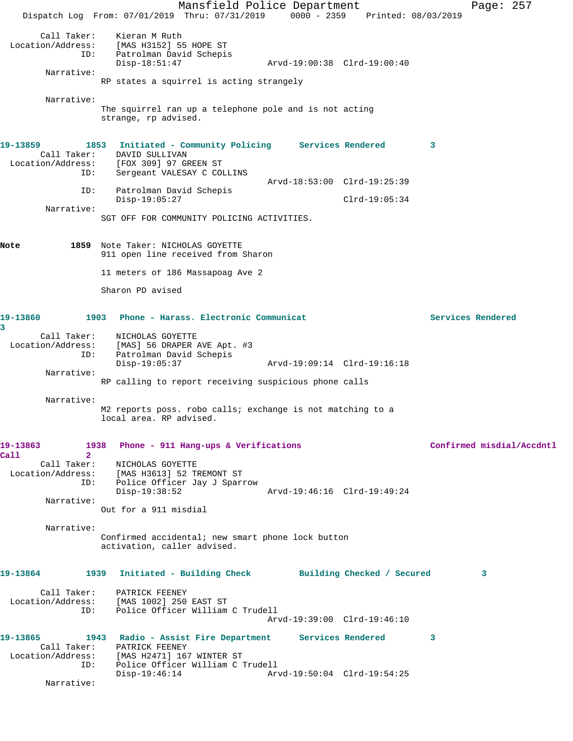Mansfield Police Department Page: 257 Dispatch Log From: 07/01/2019 Thru: 07/31/2019 0000 - 2359 Printed: 08/03/2019 Call Taker: Kieran M Ruth Location/Address: [MAS H3152] 55 HOPE ST ID: Patrolman David Schepis Disp-18:51:47 Arvd-19:00:38 Clrd-19:00:40 Narrative: RP states a squirrel is acting strangely Narrative: The squirrel ran up a telephone pole and is not acting strange, rp advised. **19-13859 1853 Initiated - Community Policing Services Rendered 3**  Call Taker: DAVID SULLIVAN<br>Location/Address: [FOX 309] 97 GH [FOX 309] 97 GREEN ST ID: Sergeant VALESAY C COLLINS Arvd-18:53:00 Clrd-19:25:39 ID: Patrolman David Schepis Disp-19:05:27 Clrd-19:05:34 Narrative: SGT OFF FOR COMMUNITY POLICING ACTIVITIES. **Note 1859** Note Taker: NICHOLAS GOYETTE 911 open line received from Sharon 11 meters of 186 Massapoag Ave 2 Sharon PD avised **19-13860 1903 Phone - Harass. Electronic Communicat Services Rendered 3**  Call Taker: NICHOLAS GOYETTE<br>Location/Address: [MAS] 56 DRAPER 1 ess: [MAS] 56 DRAPER AVE Apt. #3<br>ID: Patrolman David Schepis Patrolman David Schepis<br>Disp-19:05:37 Disp-19:05:37 Arvd-19:09:14 Clrd-19:16:18 Narrative: RP calling to report receiving suspicious phone calls Narrative: M2 reports poss. robo calls; exchange is not matching to a local area. RP advised. **19-13863 1938 Phone - 911 Hang-ups & Verifications Confirmed misdial/Accdntl Call 2**  Call Taker: NICHOLAS GOYETTE Location/Address: [MAS H3613] 52 TREMONT ST ID: Police Officer Jay J Sparrow Disp-19:38:52 Arvd-19:46:16 Clrd-19:49:24 Narrative: Out for a 911 misdial Narrative: Confirmed accidental; new smart phone lock button activation, caller advised. **19-13864 1939 Initiated - Building Check Building Checked / Secured 3** Call Taker: PATRICK FEENEY Location/Address: [MAS 1002] 250 EAST ST ID: Police Officer William C Trudell Arvd-19:39:00 Clrd-19:46:10 **19-13865 1943 Radio - Assist Fire Department Services Rendered 3**  Call Taker: PATRICK FEENEY Location/Address: [MAS H2471] 167 WINTER ST ID: Police Officer William C Trudell Disp-19:46:14 Arvd-19:50:04 Clrd-19:54:25 Narrative: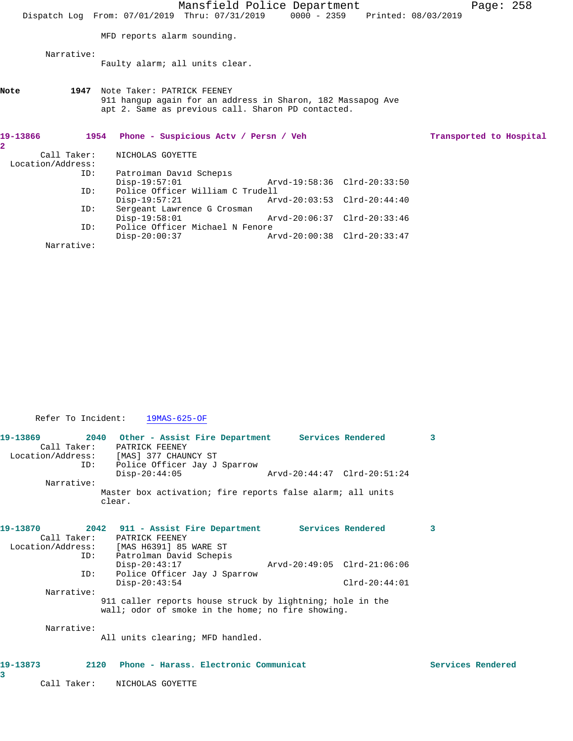|                          |                   |      |                             | Mansfield Police Department<br>Dispatch Log From: 07/01/2019 Thru: 07/31/2019 0000 - 2359 Printed: 08/03/2019     |  |                             | Page: $258$ |                         |
|--------------------------|-------------------|------|-----------------------------|-------------------------------------------------------------------------------------------------------------------|--|-----------------------------|-------------|-------------------------|
|                          |                   |      | MFD reports alarm sounding. |                                                                                                                   |  |                             |             |                         |
|                          | Narrative:        |      |                             | Faulty alarm; all units clear.                                                                                    |  |                             |             |                         |
| Note                     |                   | 1947 | Note Taker: PATRICK FEENEY  | 911 hangup again for an address in Sharon, 182 Massapog Ave<br>apt 2. Same as previous call. Sharon PD contacted. |  |                             |             |                         |
|                          |                   |      |                             | 1954 Phone - Suspicious Acty / Persn / Veh                                                                        |  |                             |             | Transported to Hospital |
| 19-13866<br>$\mathbf{2}$ |                   |      |                             |                                                                                                                   |  |                             |             |                         |
|                          | Call Taker:       |      | NICHOLAS GOYETTE            |                                                                                                                   |  |                             |             |                         |
|                          | Location/Address: |      |                             |                                                                                                                   |  |                             |             |                         |
|                          |                   | ID:  | Patrolman David Schepis     |                                                                                                                   |  |                             |             |                         |
|                          |                   |      | $Disp-19:57:01$             |                                                                                                                   |  | Arvd-19:58:36 Clrd-20:33:50 |             |                         |
|                          |                   | ID:  |                             | Police Officer William C Trudell                                                                                  |  |                             |             |                         |
|                          |                   |      | $Disp-19:57:21$             |                                                                                                                   |  | Arvd-20:03:53 Clrd-20:44:40 |             |                         |
|                          |                   | ID:  |                             | Sergeant Lawrence G Crosman                                                                                       |  | Arvd-20:06:37 Clrd-20:33:46 |             |                         |
|                          |                   | ID:  | $Disp-19:58:01$             | Police Officer Michael N Fenore                                                                                   |  |                             |             |                         |
|                          |                   |      | $Disp-20:00:37$             |                                                                                                                   |  | Arvd-20:00:38 Clrd-20:33:47 |             |                         |

Narrative:

Refer To Incident:  $\frac{19MAS-625-OF}{}$ 

| 19-13869   | 2040 Other - Assist Fire Department<br>Call Taker: PATRICK FEENEY<br>Location/Address: [MAS] 377 CHAUNCY ST<br>ID: Police Officer Jay J Sparrow |                             | Services Rendered | 3                 |
|------------|-------------------------------------------------------------------------------------------------------------------------------------------------|-----------------------------|-------------------|-------------------|
|            | $Disp-20:44:05$                                                                                                                                 |                             |                   |                   |
| Narrative: |                                                                                                                                                 |                             |                   |                   |
|            | Master box activation; fire reports false alarm; all units<br>clear.                                                                            |                             |                   |                   |
| 19-13870   | 2042 911 - Assist Fire Department Services Rendered                                                                                             |                             |                   | 3                 |
|            | Call Taker: PATRICK FEENEY                                                                                                                      |                             |                   |                   |
|            | Location/Address: [MAS H6391] 85 WARE ST                                                                                                        |                             |                   |                   |
|            | ID: Patrolman David Schepis                                                                                                                     |                             |                   |                   |
| ID:        | $Disp-20:43:17$<br>Police Officer Jay J Sparrow                                                                                                 | Arvd-20:49:05 Clrd-21:06:06 |                   |                   |
|            | $Disp-20:43:54$                                                                                                                                 |                             | $Clrd-20:44:01$   |                   |
| Narrative: |                                                                                                                                                 |                             |                   |                   |
|            | 911 caller reports house struck by lightning; hole in the<br>wall; odor of smoke in the home; no fire showing.                                  |                             |                   |                   |
| Narrative: |                                                                                                                                                 |                             |                   |                   |
|            | All units clearing; MFD handled.                                                                                                                |                             |                   |                   |
| 19-13873   | 2120<br>Phone - Harass. Electronic Communicat                                                                                                   |                             |                   | Services Rendered |

**3** 

Call Taker: NICHOLAS GOYETTE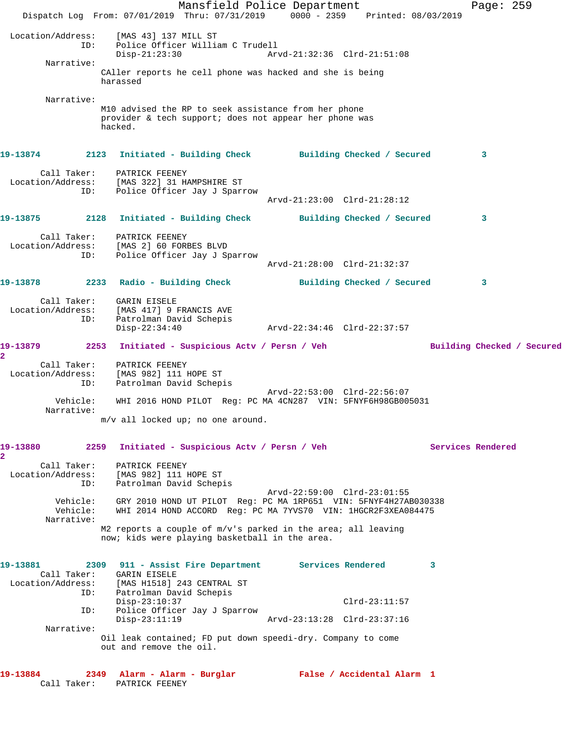Mansfield Police Department Fage: 259 Dispatch Log From: 07/01/2019 Thru: 07/31/2019 0000 - 2359 Printed: 08/03/2019 Location/Address: [MAS 43] 137 MILL ST ID: Police Officer William C Trudell Disp-21:23:30 Arvd-21:32:36 Clrd-21:51:08 Narrative: CAller reports he cell phone was hacked and she is being harassed Narrative: M10 advised the RP to seek assistance from her phone provider & tech support; does not appear her phone was hacked. **19-13874 2123 Initiated - Building Check Building Checked / Secured 3** Call Taker: PATRICK FEENEY Location/Address: [MAS 322] 31 HAMPSHIRE ST ID: Police Officer Jay J Sparrow Arvd-21:23:00 Clrd-21:28:12 **19-13875 2128 Initiated - Building Check Building Checked / Secured 3** Call Taker: PATRICK FEENEY Location/Address: [MAS 2] 60 FORBES BLVD ID: Police Officer Jay J Sparrow Arvd-21:28:00 Clrd-21:32:37 **19-13878 2233 Radio - Building Check Building Checked / Secured 3** Call Taker: GARIN EISELE Location/Address: [MAS 417] 9 FRANCIS AVE ID: Patrolman David Schepis Disp-22:34:40 Arvd-22:34:46 Clrd-22:37:57 **19-13879 2253 Initiated - Suspicious Actv / Persn / Veh Building Checked / Secured 2**  Call Taker: PATRICK FEENEY Location/Address: [MAS 982] 111 HOPE ST ID: Patrolman David Schepis Arvd-22:53:00 Clrd-22:56:07 Vehicle: WHI 2016 HOND PILOT Reg: PC MA 4CN287 VIN: 5FNYF6H98GB005031 Narrative: m/v all locked up; no one around. **19-13880 2259 Initiated - Suspicious Actv / Persn / Veh Services Rendered 2**  Call Taker: PATRICK FEENEY Location/Address: [MAS 982] 111 HOPE ST ID: Patrolman David Schepis Arvd-22:59:00 Clrd-23:01:55 Vehicle: GRY 2010 HOND UT PILOT Reg: PC MA 1RP651 VIN: 5FNYF4H27AB030338 Vehicle: WHI 2014 HOND ACCORD Reg: PC MA 7YVS70 VIN: 1HGCR2F3XEA084475 Narrative: M2 reports a couple of m/v's parked in the area; all leaving now; kids were playing basketball in the area. **19-13881 2309 911 - Assist Fire Department Services Rendered 3**  Call Taker: GARIN EISELE Location/Address: [MAS H1518] 243 CENTRAL ST ID: Patrolman David Schepis Disp-23:10:37 Clrd-23:11:57 ID: Police Officer Jay J Sparrow Disp-23:11:19 Arvd-23:13:28 Clrd-23:37:16 Narrative: Oil leak contained; FD put down speedi-dry. Company to come out and remove the oil. **19-13884 2349 Alarm - Alarm - Burglar False / Accidental Alarm 1**  Call Taker: PATRICK FEENEY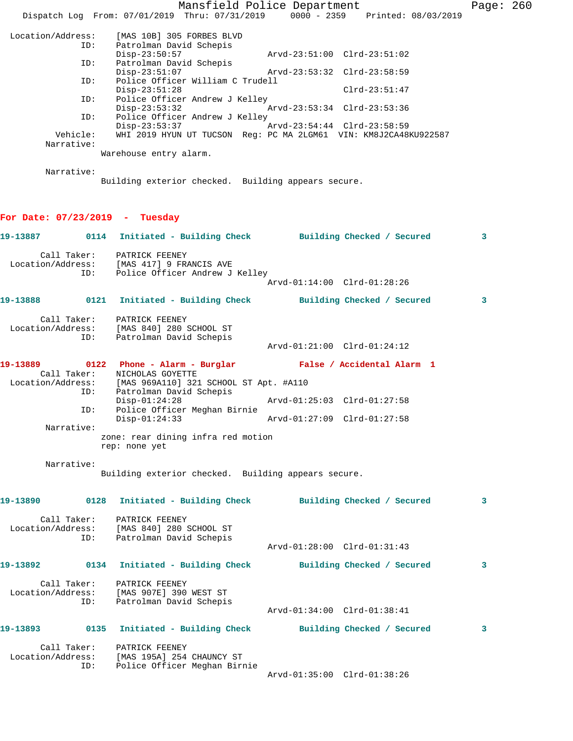|                                  |                                                                                                     | Mansfield Police Department                                                    | Page: 260 |
|----------------------------------|-----------------------------------------------------------------------------------------------------|--------------------------------------------------------------------------------|-----------|
|                                  |                                                                                                     | Dispatch Log From: 07/01/2019 Thru: 07/31/2019 0000 - 2359 Printed: 08/03/2019 |           |
| Location/Address:                | [MAS 10B] 305 FORBES BLVD                                                                           |                                                                                |           |
| ID:                              | Patrolman David Schepis<br>$Disp-23:50:57$                                                          | Arvd-23:51:00 Clrd-23:51:02                                                    |           |
| ID:                              | Patrolman David Schepis                                                                             |                                                                                |           |
| ID:                              | $Disp-23:51:07$<br>Police Officer William C Trudell                                                 | Arvd-23:53:32 Clrd-23:58:59                                                    |           |
| ID:                              | $Disp-23:51:28$<br>Police Officer Andrew J Kelley                                                   | $Clrd-23:51:47$                                                                |           |
|                                  | $Disp-23:53:32$                                                                                     | Arvd-23:53:34 Clrd-23:53:36                                                    |           |
| ID:                              | Police Officer Andrew J Kelley<br>$Disp-23:53:37$                                                   | Arvd-23:54:44 Clrd-23:58:59                                                    |           |
| Vehicle:<br>Narrative:           |                                                                                                     | WHI 2019 HYUN UT TUCSON Reg: PC MA 2LGM61 VIN: KM8J2CA48KU922587               |           |
|                                  | Warehouse entry alarm.                                                                              |                                                                                |           |
| Narrative:                       |                                                                                                     |                                                                                |           |
|                                  | Building exterior checked. Building appears secure.                                                 |                                                                                |           |
|                                  |                                                                                                     |                                                                                |           |
| For Date: $07/23/2019$ - Tuesday |                                                                                                     |                                                                                |           |
|                                  |                                                                                                     | 19-13887   0114 Initiated - Building Check   Building Checked / Secured        | 3         |
| Call Taker:                      | PATRICK FEENEY                                                                                      |                                                                                |           |
| ID:                              | Location/Address: [MAS 417] 9 FRANCIS AVE<br>Police Officer Andrew J Kelley                         |                                                                                |           |
|                                  |                                                                                                     | Arvd-01:14:00 Clrd-01:28:26                                                    |           |
| 19-13888                         |                                                                                                     | 0121 Initiated - Building Check Building Checked / Secured                     | 3         |
|                                  | Call Taker: PATRICK FEENEY                                                                          |                                                                                |           |
| ID:                              | Location/Address: [MAS 840] 280 SCHOOL ST<br>Patrolman David Schepis                                |                                                                                |           |
|                                  |                                                                                                     | Arvd-01:21:00 Clrd-01:24:12                                                    |           |
| 19-13889                         |                                                                                                     | 0122 Phone - Alarm - Burglar               False / Accidental Alarm 1          |           |
| Call Taker:                      | NICHOLAS GOYETTE<br>Location/Address: [MAS 969A110] 321 SCHOOL ST Apt. #A110                        |                                                                                |           |
| ID:                              | Patrolman David Schepis                                                                             |                                                                                |           |
| ID:                              | $Disp-01:24:28$<br>Police Officer Meghan Birnie                                                     | Arvd-01:25:03 Clrd-01:27:58                                                    |           |
| Narrative:                       | $Disp-01:24:33$                                                                                     | Arvd-01:27:09 Clrd-01:27:58                                                    |           |
|                                  | zone: rear dining infra red motion                                                                  |                                                                                |           |
|                                  | rep: none yet                                                                                       |                                                                                |           |
| Narrative:                       | Building exterior checked. Building appears secure.                                                 |                                                                                |           |
|                                  |                                                                                                     |                                                                                |           |
| 19-13890                         |                                                                                                     | 0128 Initiated - Building Check Building Checked / Secured                     | 3         |
|                                  | Call Taker: PATRICK FEENEY                                                                          |                                                                                |           |
|                                  | Location/Address: [MAS 840] 280 SCHOOL ST<br>ID: Patrolman David Schepis<br>Patrolman David Schepis |                                                                                |           |
|                                  |                                                                                                     | Arvd-01:28:00 Clrd-01:31:43                                                    |           |
|                                  |                                                                                                     | 19-13892 		 0134 Initiated - Building Check 		 Building Checked / Secured      | 3         |
|                                  | Call Taker: PATRICK FEENEY                                                                          |                                                                                |           |
|                                  | Location/Address: [MAS 907E] 390 WEST ST                                                            |                                                                                |           |
|                                  | ID: Patrolman David Schepis                                                                         | Arvd-01:34:00 Clrd-01:38:41                                                    |           |
| 19-13893                         |                                                                                                     | 0135 Initiated - Building Check Building Checked / Secured                     | 3         |
|                                  |                                                                                                     |                                                                                |           |
| Location/Address:                | Call Taker: PATRICK FEENEY<br>[MAS 195A] 254 CHAUNCY ST                                             |                                                                                |           |
| ID:                              | Police Officer Meghan Birnie                                                                        | Arvd-01:35:00 Clrd-01:38:26                                                    |           |
|                                  |                                                                                                     |                                                                                |           |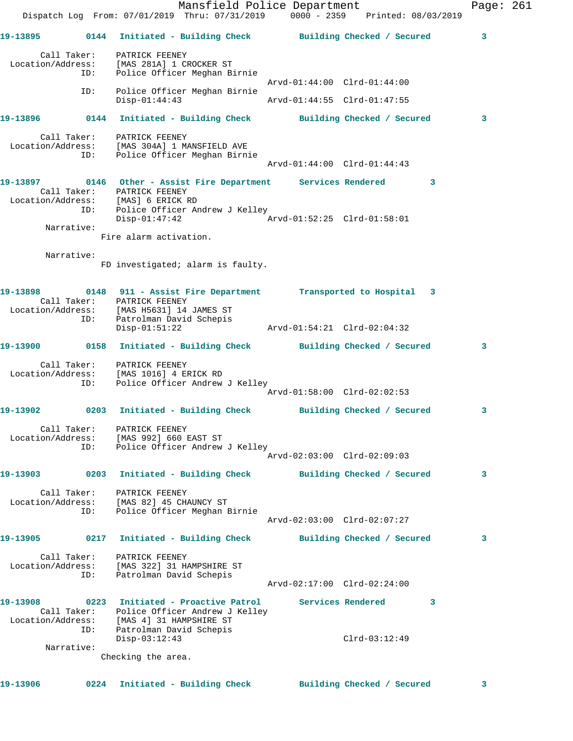Mansfield Police Department Page: 261 Dispatch Log From: 07/01/2019 Thru: 07/31/2019 0000 - 2359 Printed: 08/03/2019 **19-13895 0144 Initiated - Building Check Building Checked / Secured 3** Call Taker: PATRICK FEENEY Location/Address: [MAS 281A] 1 CROCKER ST ID: Police Officer Meghan Birnie Arvd-01:44:00 Clrd-01:44:00 ID: Police Officer Meghan Birnie Disp-01:44:43 Arvd-01:44:55 Clrd-01:47:55 **19-13896 0144 Initiated - Building Check Building Checked / Secured 3** Call Taker: PATRICK FEENEY Location/Address: [MAS 304A] 1 MANSFIELD AVE ID: Police Officer Meghan Birnie Arvd-01:44:00 Clrd-01:44:43 **19-13897 0146 Other - Assist Fire Department Services Rendered 3**  Call Taker: PATRICK FEENEY Location/Address: [MAS] 6 ERICK RD ID: Police Officer Andrew J Kelley Disp-01:47:42 Arvd-01:52:25 Clrd-01:58:01 Narrative: Fire alarm activation. Narrative: FD investigated; alarm is faulty. **19-13898 0148 911 - Assist Fire Department Transported to Hospital 3**  Call Taker: PATRICK FEENEY Location/Address: [MAS H5631] 14 JAMES ST ID: Patrolman David Schepis Disp-01:51:22 Arvd-01:54:21 Clrd-02:04:32 **19-13900 0158 Initiated - Building Check Building Checked / Secured 3** Call Taker: PATRICK FEENEY Location/Address: [MAS 1016] 4 ERICK RD ID: Police Officer Andrew J Kelley Arvd-01:58:00 Clrd-02:02:53 **19-13902 0203 Initiated - Building Check Building Checked / Secured 3** Call Taker: PATRICK FEENEY Location/Address: [MAS 992] 660 EAST ST ID: Police Officer Andrew J Kelley Arvd-02:03:00 Clrd-02:09:03 **19-13903 0203 Initiated - Building Check Building Checked / Secured 3** Call Taker: PATRICK FEENEY Location/Address: [MAS 82] 45 CHAUNCY ST ID: Police Officer Meghan Birnie Arvd-02:03:00 Clrd-02:07:27 **19-13905 0217 Initiated - Building Check Building Checked / Secured 3** Call Taker: PATRICK FEENEY Location/Address: [MAS 322] 31 HAMPSHIRE ST ID: Patrolman David Schepis Arvd-02:17:00 Clrd-02:24:00 **19-13908 0223 Initiated - Proactive Patrol Services Rendered 3**  Call Taker: Police Officer Andrew J Kelley Location/Address: [MAS 4] 31 HAMPSHIRE ST ID: Patrolman David Schepis Disp-03:12:43 Clrd-03:12:49 Narrative: Checking the area.

**19-13906 0224 Initiated - Building Check Building Checked / Secured 3**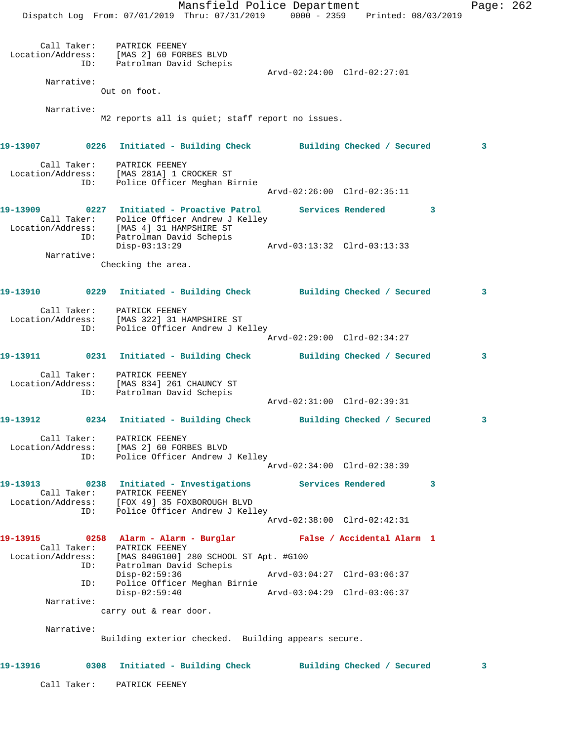Mansfield Police Department Page: 262 Dispatch Log From: 07/01/2019 Thru: 07/31/2019 0000 - 2359 Printed: 08/03/2019 Call Taker: PATRICK FEENEY Location/Address: [MAS 2] 60 FORBES BLVD ID: Patrolman David Schepis Arvd-02:24:00 Clrd-02:27:01 Narrative: Out on foot. Narrative: M2 reports all is quiet; staff report no issues. **19-13907 0226 Initiated - Building Check Building Checked / Secured 3** Call Taker: PATRICK FEENEY Location/Address: [MAS 281A] 1 CROCKER ST ID: Police Officer Meghan Birnie Arvd-02:26:00 Clrd-02:35:11 **19-13909 0227 Initiated - Proactive Patrol Services Rendered 3**  Call Taker: Police Officer Andrew J Kelley Location/Address: [MAS 4] 31 HAMPSHIRE ST ID: Patrolman David Schepis Disp-03:13:29 Arvd-03:13:32 Clrd-03:13:33 Narrative: Checking the area. **19-13910 0229 Initiated - Building Check Building Checked / Secured 3** Call Taker: PATRICK FEENEY Location/Address: [MAS 322] 31 HAMPSHIRE ST ID: Police Officer Andrew J Kelley Arvd-02:29:00 Clrd-02:34:27 **19-13911 0231 Initiated - Building Check Building Checked / Secured 3** Call Taker: PATRICK FEENEY Location/Address: [MAS 834] 261 CHAUNCY ST ID: Patrolman David Schepis Arvd-02:31:00 Clrd-02:39:31 **19-13912 0234 Initiated - Building Check Building Checked / Secured 3** Call Taker: PATRICK FEENEY Location/Address: [MAS 2] 60 FORBES BLVD ID: Police Officer Andrew J Kelley Arvd-02:34:00 Clrd-02:38:39 **19-13913 0238 Initiated - Investigations Services Rendered 3**  Call Taker: PATRICK FEENEY Location/Address: [FOX 49] 35 FOXBOROUGH BLVD ID: Police Officer Andrew J Kelley Arvd-02:38:00 Clrd-02:42:31 **19-13915 0258 Alarm - Alarm - Burglar False / Accidental Alarm 1**  Call Taker: PATRICK FEENEY Location/Address: [MAS 840G100] 280 SCHOOL ST Apt. #G100 ID: Patrolman David Schepis Disp-02:59:36 Arvd-03:04:27 Clrd-03:06:37 ID: Police Officer Meghan Birnie Disp-02:59:40 Arvd-03:04:29 Clrd-03:06:37 Narrative: carry out & rear door. Narrative: Building exterior checked. Building appears secure. **19-13916 0308 Initiated - Building Check Building Checked / Secured 3** Call Taker: PATRICK FEENEY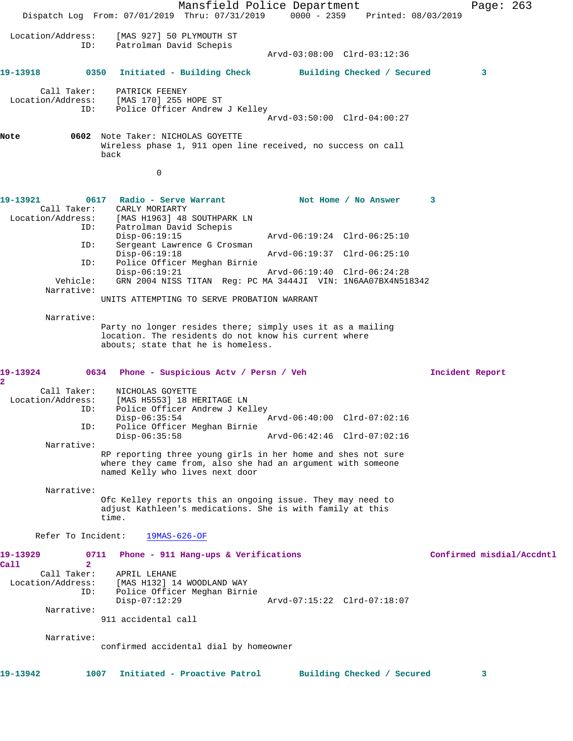Mansfield Police Department Page: 263 Dispatch Log From: 07/01/2019 Thru: 07/31/2019 0000 - 2359 Printed: 08/03/2019 Location/Address: [MAS 927] 50 PLYMOUTH ST ID: Patrolman David Schepis Arvd-03:08:00 Clrd-03:12:36 **19-13918 0350 Initiated - Building Check Building Checked / Secured 3** Call Taker: PATRICK FEENEY Location/Address: [MAS 170] 255 HOPE ST Police Officer Andrew J Kelley Arvd-03:50:00 Clrd-04:00:27 **Note 0602** Note Taker: NICHOLAS GOYETTE Wireless phase 1, 911 open line received, no success on call back 0 19-13921 0617 Radio - Serve Warrant Not Home / No Answer 3 Call Taker: CARLY MORIARTY Location/Address: [MAS H1963] 48 SOUTHPARK LN Patrolman David Schepis<br>Disp-06:19:15 Disp-06:19:15 Arvd-06:19:24 Clrd-06:25:10<br>TD: Sergeant Lawrence G Crosman Sergeant Lawrence G Crosman<br>Disp-06:19:18 Arvd-06:19:37 Clrd-06:25:10 ID: Police Officer Meghan Birnie Disp-06:19:21 Arvd-06:19:40 Clrd-06:24:28 Vehicle: GRN 2004 NISS TITAN Reg: PC MA 3444JI VIN: 1N6AA07BX4N518342 Narrative: UNITS ATTEMPTING TO SERVE PROBATION WARRANT Narrative: Party no longer resides there; simply uses it as a mailing location. The residents do not know his current where abouts; state that he is homeless. **19-13924 0634 Phone - Suspicious Actv / Persn / Veh Incident Report 2**  Call Taker: NICHOLAS GOYETTE Location/Address: [MAS H5553] 18 HERITAGE LN ID: Police Officer Andrew J Kelley Disp-06:35:54 Arvd-06:40:00 Clrd-07:02:16 ID: Police Officer Meghan Birnie Arvd-06:42:46 Clrd-07:02:16 Narrative: RP reporting three young girls in her home and shes not sure where they came from, also she had an argument with someone named Kelly who lives next door Narrative: Ofc Kelley reports this an ongoing issue. They may need to adjust Kathleen's medications. She is with family at this time. Refer To Incident: 19MAS-626-OF **19-13929 0711 Phone - 911 Hang-ups & Verifications Confirmed misdial/Accdntl Call 2**  Call Taker: APRIL LEHANE<br>Location/Address: [MAS H132] 14 ess: [MAS H132] 14 WOODLAND WAY<br>ID: Police Officer Meghan Birn Police Officer Meghan Birnie<br>Disp-07:12:29 Disp-07:12:29 Arvd-07:15:22 Clrd-07:18:07 Narrative: 911 accidental call Narrative: confirmed accidental dial by homeowner **19-13942 1007 Initiated - Proactive Patrol Building Checked / Secured 3**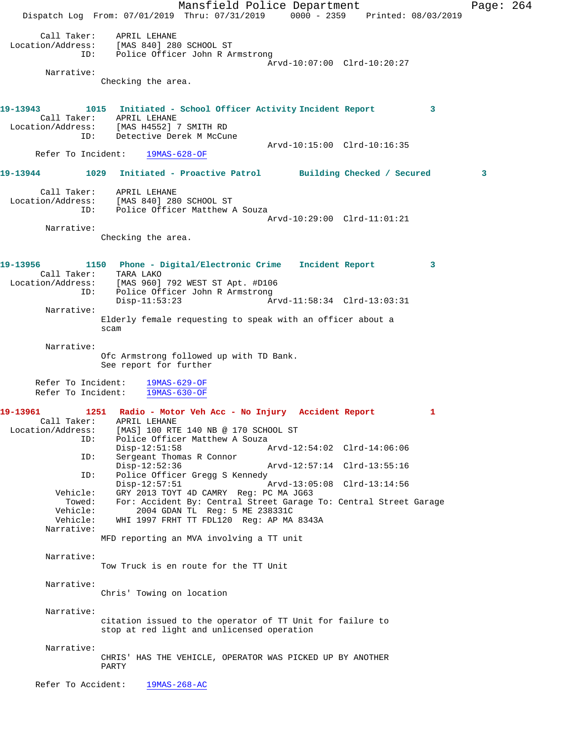Mansfield Police Department Page: 264 Dispatch Log From: 07/01/2019 Thru: 07/31/2019 0000 - 2359 Printed: 08/03/2019 Call Taker: APRIL LEHANE Location/Address: [MAS 840] 280 SCHOOL ST ID: Police Officer John R Armstrong Arvd-10:07:00 Clrd-10:20:27 Narrative: Checking the area. **19-13943 1015 Initiated - School Officer Activity Incident Report 3**  Call Taker: APRIL LEHANE<br>Location/Address: [MAS H4552] 7 [MAS H4552] 7 SMITH RD ID: Detective Derek M McCune Arvd-10:15:00 Clrd-10:16:35 Refer To Incident: 19MAS-628-OF **19-13944 1029 Initiated - Proactive Patrol Building Checked / Secured 3** Call Taker: APRIL LEHANE Location/Address: [MAS 840] 280 SCHOOL ST ID: Police Officer Matthew A Souza Arvd-10:29:00 Clrd-11:01:21 Narrative: Checking the area. **19-13956 1150 Phone - Digital/Electronic Crime Incident Report 3**  Call Taker: TARA LAKO Location/Address: [MAS 960] 792 WEST ST Apt. #D106 ID: Police Officer John R Armstrong<br>Disp-11:53:23 Disp-11:53:23 Arvd-11:58:34 Clrd-13:03:31 Narrative: Elderly female requesting to speak with an officer about a scam Narrative: Ofc Armstrong followed up with TD Bank. See report for further Refer To Incident: 19MAS-629-OF Refer To Incident: 19MAS-630-OF **19-13961 1251 Radio - Motor Veh Acc - No Injury Accident Report 1**  Call Taker: APRIL LEHANE<br>Location/Address: [MAS] 100 RTI [MAS] 100 RTE 140 NB @ 170 SCHOOL ST ID: Police Officer Matthew A Souza<br>Disp-12:51:58 Disp-12:51:58 Arvd-12:54:02 Clrd-14:06:06<br>ID: Sergeant Thomas R Connor Sergeant Thomas R Connor Disp-12:52:36 Arvd-12:57:14 Clrd-13:55:16 ID: Police Officer Gregg S Kennedy<br>Disp-12:57:51 Disp-12:57:51 Arvd-13:05:08 Clrd-13:14:56<br>Vehicle: GRY 2013 TOYT 4D CAMRY Reg: PC MA JG63 GRY 2013 TOYT 4D CAMRY Reg: PC MA JG63 Towed: For: Accident By: Central Street Garage To: Central Street Garage Vehicle: 2004 GDAN TL Reg: 5 ME 238331C 2004 GDAN TL Reg: 5 ME 238331C Vehicle: WHI 1997 FRHT TT FDL120 Reg: AP MA 8343A Narrative: MFD reporting an MVA involving a TT unit Narrative: Tow Truck is en route for the TT Unit Narrative: Chris' Towing on location Narrative: citation issued to the operator of TT Unit for failure to stop at red light and unlicensed operation Narrative: CHRIS' HAS THE VEHICLE, OPERATOR WAS PICKED UP BY ANOTHER PARTY Refer To Accident: 19MAS-268-AC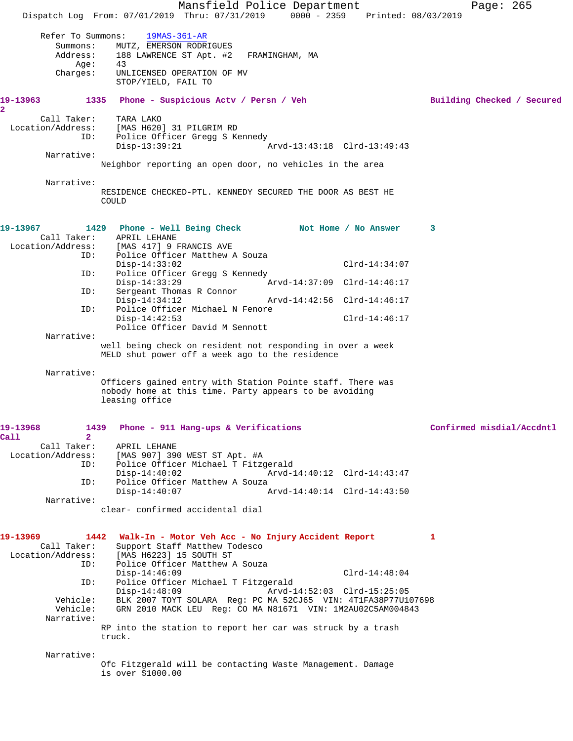|                                       | Mansfield Police Department                                                      |                 | Page: 265                  |
|---------------------------------------|----------------------------------------------------------------------------------|-----------------|----------------------------|
|                                       | Dispatch Log From: 07/01/2019 Thru: 07/31/2019 0000 - 2359 Printed: 08/03/2019   |                 |                            |
| Refer To Summons:                     | $19MAS-361-AR$                                                                   |                 |                            |
| Summons:                              | MUTZ, EMERSON RODRIGUES                                                          |                 |                            |
| Address:                              | 188 LAWRENCE ST Apt. #2<br>FRAMINGHAM, MA                                        |                 |                            |
| Age:                                  | 43                                                                               |                 |                            |
| Charges:                              | UNLICENSED OPERATION OF MV<br>STOP/YIELD, FAIL TO                                |                 |                            |
|                                       |                                                                                  |                 |                            |
| 19-13963                              | 1335 Phone - Suspicious Actv / Persn / Veh                                       |                 | Building Checked / Secured |
| 2<br>Call Taker:                      | TARA LAKO                                                                        |                 |                            |
| Location/Address:                     | [MAS H620] 31 PILGRIM RD                                                         |                 |                            |
| ID:                                   | Police Officer Gregg S Kennedy                                                   |                 |                            |
| Narrative:                            | $Disp-13:39:21$<br>Arvd-13:43:18 Clrd-13:49:43                                   |                 |                            |
|                                       | Neighbor reporting an open door, no vehicles in the area                         |                 |                            |
|                                       |                                                                                  |                 |                            |
| Narrative:                            |                                                                                  |                 |                            |
|                                       | RESIDENCE CHECKED-PTL. KENNEDY SECURED THE DOOR AS BEST HE<br>COULD              |                 |                            |
|                                       |                                                                                  |                 |                            |
|                                       |                                                                                  |                 |                            |
| 19-13967                              | 1429 Phone - Well Being Check Not Home / No Answer                               |                 | 3                          |
| Call Taker:<br>Location/Address:      | APRIL LEHANE<br>[MAS 417] 9 FRANCIS AVE                                          |                 |                            |
| ID:                                   | Police Officer Matthew A Souza                                                   |                 |                            |
|                                       | $Disp-14:33:02$                                                                  | $Clrd-14:34:07$ |                            |
| ID:                                   | Police Officer Gregg S Kennedy<br>$Disp-14:33:29$<br>Arvd-14:37:09 Clrd-14:46:17 |                 |                            |
| ID:                                   | Sergeant Thomas R Connor                                                         |                 |                            |
|                                       | Arvd-14:42:56 Clrd-14:46:17<br>$Disp-14:34:12$                                   |                 |                            |
| ID:                                   | Police Officer Michael N Fenore                                                  |                 |                            |
|                                       | $Disp-14:42:53$<br>Police Officer David M Sennott                                | $Clrd-14:46:17$ |                            |
| Narrative:                            |                                                                                  |                 |                            |
|                                       | well being check on resident not responding in over a week                       |                 |                            |
|                                       | MELD shut power off a week ago to the residence                                  |                 |                            |
| Narrative:                            |                                                                                  |                 |                            |
|                                       | Officers gained entry with Station Pointe staff. There was                       |                 |                            |
|                                       | nobody home at this time. Party appears to be avoiding                           |                 |                            |
|                                       | leasing office                                                                   |                 |                            |
|                                       |                                                                                  |                 |                            |
| 19-13968                              | 1439<br>Phone - 911 Hang-ups & Verifications                                     |                 | Confirmed misdial/Accdntl  |
| $\overline{2}$<br>Call<br>Call Taker: | APRIL LEHANE                                                                     |                 |                            |
| Location/Address:                     | [MAS 907] 390 WEST ST Apt. #A                                                    |                 |                            |
| ID:                                   | Police Officer Michael T Fitzgerald                                              |                 |                            |
|                                       | $Disp-14:40:02$<br>Arvd-14:40:12 Clrd-14:43:47                                   |                 |                            |
| ID:                                   | Police Officer Matthew A Souza<br>$Disp-14:40:07$<br>Arvd-14:40:14 Clrd-14:43:50 |                 |                            |
| Narrative:                            |                                                                                  |                 |                            |
|                                       | clear- confirmed accidental dial                                                 |                 |                            |
|                                       |                                                                                  |                 |                            |
| 19-13969                              | 1442 Walk-In - Motor Veh Acc - No Injury Accident Report                         |                 | $\mathbf{1}$               |
| Call Taker:                           | Support Staff Matthew Todesco                                                    |                 |                            |
| Location/Address:                     | [MAS H6223] 15 SOUTH ST                                                          |                 |                            |
| ID:                                   | Police Officer Matthew A Souza<br>Disp-14:46:09                                  | $Clrd-14:48:04$ |                            |
| ID:                                   | Police Officer Michael T Fitzgerald                                              |                 |                            |
|                                       | $Disp-14:48:09$<br>Arvd-14:52:03 Clrd-15:25:05                                   |                 |                            |
| Vehicle:                              | BLK 2007 TOYT SOLARA Reg: PC MA 52CJ65 VIN: 4T1FA38P77U107698                    |                 |                            |
| Vehicle:<br>Narrative:                | GRN 2010 MACK LEU Req: CO MA N81671 VIN: 1M2AU02C5AM004843                       |                 |                            |
|                                       | RP into the station to report her car was struck by a trash                      |                 |                            |
|                                       | truck.                                                                           |                 |                            |
| Narrative:                            |                                                                                  |                 |                            |
|                                       | Ofc Fitzgerald will be contacting Waste Management. Damage                       |                 |                            |
|                                       | is over \$1000.00                                                                |                 |                            |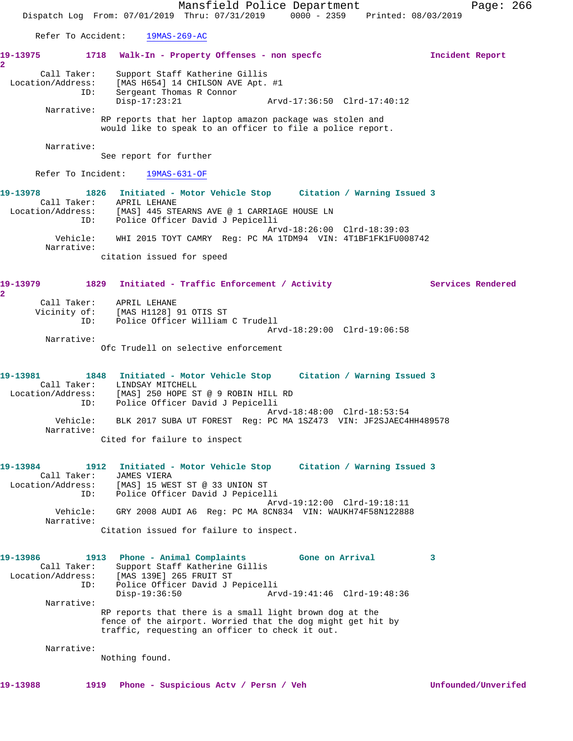Mansfield Police Department Page: 266 Dispatch Log From: 07/01/2019 Thru: 07/31/2019 0000 - 2359 Printed: 08/03/2019 Refer To Accident: 19MAS-269-AC **19-13975 1718 Walk-In - Property Offenses - non specfc Incident Report 2**  Call Taker: Support Staff Katherine Gillis Location/Address: [MAS H654] 14 CHILSON AVE Apt. #1 ID: Sergeant Thomas R Connor Disp-17:23:21 Arvd-17:36:50 Clrd-17:40:12 Narrative: RP reports that her laptop amazon package was stolen and would like to speak to an officer to file a police report. Narrative: See report for further Refer To Incident: 19MAS-631-OF **19-13978 1826 Initiated - Motor Vehicle Stop Citation / Warning Issued 3**  Call Taker: APRIL LEHANE Location/Address: [MAS] 445 STEARNS AVE @ 1 CARRIAGE HOUSE LN ID: Police Officer David J Pepicelli Arvd-18:26:00 Clrd-18:39:03 Vehicle: WHI 2015 TOYT CAMRY Reg: PC MA 1TDM94 VIN: 4T1BF1FK1FU008742 Narrative: citation issued for speed 19-13979 1829 Initiated - Traffic Enforcement / Activity **Services Rendered 2**  Call Taker: APRIL LEHANE Vicinity of: [MAS H1128] 91 OTIS ST ID: Police Officer William C Trudell Arvd-18:29:00 Clrd-19:06:58 Narrative: Ofc Trudell on selective enforcement **19-13981 1848 Initiated - Motor Vehicle Stop Citation / Warning Issued 3**  Call Taker: LINDSAY MITCHELL Location/Address: [MAS] 250 HOPE ST @ 9 ROBIN HILL RD ID: Police Officer David J Pepicelli Arvd-18:48:00 Clrd-18:53:54 Vehicle: BLK 2017 SUBA UT FOREST Reg: PC MA 1SZ473 VIN: JF2SJAEC4HH489578 Narrative: Cited for failure to inspect **19-13984 1912 Initiated - Motor Vehicle Stop Citation / Warning Issued 3**  Call Taker: JAMES VIERA Location/Address: [MAS] 15 WEST ST @ 33 UNION ST ID: Police Officer David J Pepicelli Arvd-19:12:00 Clrd-19:18:11 Vehicle: GRY 2008 AUDI A6 Reg: PC MA 8CN834 VIN: WAUKH74F58N122888 Narrative: Citation issued for failure to inspect. **19-13986 1913 Phone - Animal Complaints Gone on Arrival 3**  Call Taker: Support Staff Katherine Gillis Location/Address: [MAS 139E] 265 FRUIT ST ID: Police Officer David J Pepicelli Arvd-19:41:46 Clrd-19:48:36 Narrative: RP reports that there is a small light brown dog at the fence of the airport. Worried that the dog might get hit by traffic, requesting an officer to check it out. Narrative: Nothing found.

**19-13988 1919 Phone - Suspicious Actv / Persn / Veh Unfounded/Unverifed**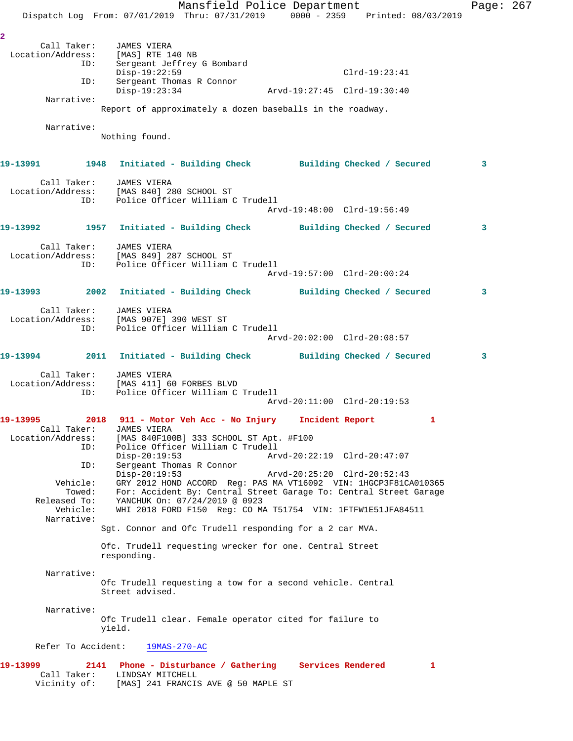Mansfield Police Department Fage: 267 Dispatch Log From: 07/01/2019 Thru: 07/31/2019 0000 - 2359 Printed: 08/03/2019 **2**  Call Taker: JAMES VIERA Location/Address: [MAS] RTE 140 NB ID: Sergeant Jeffrey G Bombard Sergeant Jeffrey G Bombard<br>Disp-19:22:59 Clrd-19:23:41 ID: Sergeant Thomas R Connor Disp-19:23:34 Arvd-19:27:45 Clrd-19:30:40 Narrative: Report of approximately a dozen baseballs in the roadway. Narrative: Nothing found. **19-13991 1948 Initiated - Building Check Building Checked / Secured 3** Call Taker: JAMES VIERA Location/Address: [MAS 840] 280 SCHOOL ST ID: Police Officer William C Trudell Arvd-19:48:00 Clrd-19:56:49 **19-13992 1957 Initiated - Building Check Building Checked / Secured 3** Call Taker: JAMES VIERA Location/Address: [MAS 849] 287 SCHOOL ST ID: Police Officer William C Trudell Arvd-19:57:00 Clrd-20:00:24 **19-13993 2002 Initiated - Building Check Building Checked / Secured 3** Call Taker: JAMES VIERA Location/Address: [MAS 907E] 390 WEST ST ID: Police Officer William C Trudell Arvd-20:02:00 Clrd-20:08:57 **19-13994 2011 Initiated - Building Check Building Checked / Secured 3** Call Taker: JAMES VIERA Location/Address: [MAS 411] 60 FORBES BLVD ID: Police Officer William C Trudell Arvd-20:11:00 Clrd-20:19:53 **19-13995 2018 911 - Motor Veh Acc - No Injury Incident Report 1**  Call Taker: JAMES VIERA Location/Address: [MAS 840F100B] 333 SCHOOL ST Apt. #F100 ID: Police Officer William C Trudell Disp-20:19:53 Arvd-20:22:19 Clrd-20:47:07 ID: Sergeant Thomas R Connor Disp-20:19:53 Arvd-20:25:20 Clrd-20:52:43 Vehicle: GRY 2012 HOND ACCORD Reg: PAS MA VT16092 VIN: 1HGCP3F81CA010365 Towed: For: Accident By: Central Street Garage To: Central Street Garage Released To: YANCHUK On: 07/24/2019 @ 0923 Vehicle: WHI 2018 FORD F150 Reg: CO MA T51754 VIN: 1FTFW1E51JFA84511 Narrative: Sgt. Connor and Ofc Trudell responding for a 2 car MVA. Ofc. Trudell requesting wrecker for one. Central Street responding. Narrative: Ofc Trudell requesting a tow for a second vehicle. Central Street advised. Narrative: Ofc Trudell clear. Female operator cited for failure to yield. Refer To Accident: 19MAS-270-AC **19-13999 2141 Phone - Disturbance / Gathering Services Rendered 1**  Call Taker: LINDSAY MITCHELL Vicinity of: [MAS] 241 FRANCIS AVE @ 50 MAPLE ST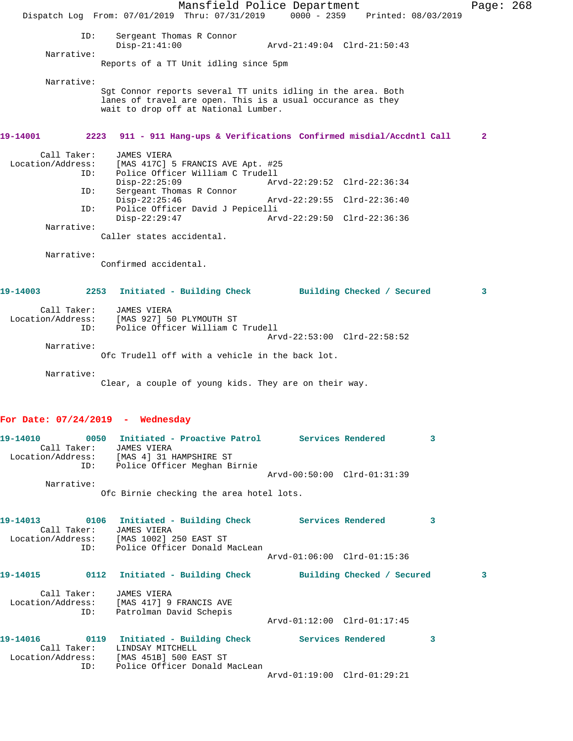Mansfield Police Department Fage: 268 Dispatch Log From: 07/01/2019 Thru: 07/31/2019 0000 - 2359 Printed: 08/03/2019 ID: Sergeant Thomas R Connor Disp-21:41:00 Arvd-21:49:04 Clrd-21:50:43 Narrative: Reports of a TT Unit idling since 5pm Narrative: Sgt Connor reports several TT units idling in the area. Both lanes of travel are open. This is a usual occurance as they wait to drop off at National Lumber. **19-14001 2223 911 - 911 Hang-ups & Verifications Confirmed misdial/Accdntl Call 2** Call Taker: JAMES VIERA Location/Address: [MAS 417C] 5 FRANCIS AVE Apt. #25 Police Officer William C Trudell Disp-22:25:09 Arvd-22:29:52 Clrd-22:36:34<br>TD: Sergeant Thomas R Connor sergeant Thomas R Connor<br>Disp-22:25:46 Disp-22:25:46 Arvd-22:29:55 Clrd-22:36:40 ID: Police Officer David J Pepicelli Disp-22:29:47 Arvd-22:29:50 Clrd-22:36:36 Narrative: Caller states accidental. Narrative: Confirmed accidental. **19-14003 2253 Initiated - Building Check Building Checked / Secured 3** Call Taker: JAMES VIERA Location/Address: [MAS 927] 50 PLYMOUTH ST ID: Police Officer William C Trudell Arvd-22:53:00 Clrd-22:58:52 Narrative: Ofc Trudell off with a vehicle in the back lot. Narrative: Clear, a couple of young kids. They are on their way. **For Date: 07/24/2019 - Wednesday 19-14010 0050 Initiated - Proactive Patrol Services Rendered 3**  Call Taker: JAMES VIERA Location/Address: [MAS 4] 31 HAMPSHIRE ST ID: Police Officer Meghan Birnie Arvd-00:50:00 Clrd-01:31:39 Narrative: Ofc Birnie checking the area hotel lots. **19-14013 0106 Initiated - Building Check Services Rendered 3**  Call Taker: JAMES VIERA Location/Address: [MAS 1002] 250 EAST ST ID: Police Officer Donald MacLean Arvd-01:06:00 Clrd-01:15:36 **19-14015 0112 Initiated - Building Check Building Checked / Secured 3** Call Taker: JAMES VIERA Location/Address: [MAS 417] 9 FRANCIS AVE ID: Patrolman David Schepis Arvd-01:12:00 Clrd-01:17:45 19-14016 **0119** Initiated - Building Check Services Rendered 3 Call Taker: LINDSAY MITCHELL Location/Address: [MAS 451B] 500 EAST ST ID: Police Officer Donald MacLean Arvd-01:19:00 Clrd-01:29:21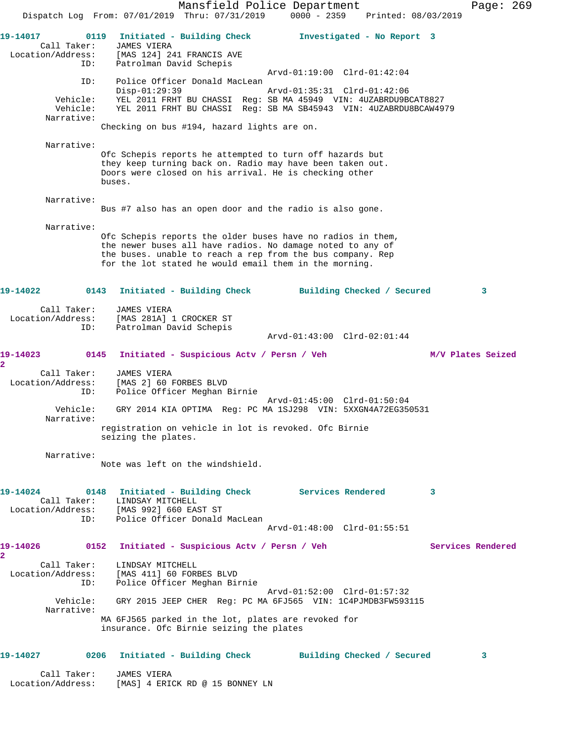Mansfield Police Department Page: 269 Dispatch Log From: 07/01/2019 Thru: 07/31/2019 0000 - 2359 Printed: 08/03/2019 **19-14017 0119 Initiated - Building Check Investigated - No Report 3**  Call Taker: JAMES VIERA Location/Address: [MAS 124] 241 FRANCIS AVE ID: Patrolman David Schepis Arvd-01:19:00 Clrd-01:42:04 ID: Police Officer Donald MacLean Disp-01:29:39 Arvd-01:35:31 Clrd-01:42:06 Vehicle: YEL 2011 FRHT BU CHASSI Reg: SB MA 45949 VIN: 4UZABRDU9BCAT8827 Vehicle: YEL 2011 FRHT BU CHASSI Reg: SB MA SB45943 VIN: 4UZABRDU8BCAW4979 Narrative: Checking on bus #194, hazard lights are on. Narrative: Ofc Schepis reports he attempted to turn off hazards but they keep turning back on. Radio may have been taken out. Doors were closed on his arrival. He is checking other buses. Narrative: Bus #7 also has an open door and the radio is also gone. Narrative: Ofc Schepis reports the older buses have no radios in them, the newer buses all have radios. No damage noted to any of the buses. unable to reach a rep from the bus company. Rep for the lot stated he would email them in the morning. **19-14022 0143 Initiated - Building Check Building Checked / Secured 3** Call Taker: JAMES VIERA Location/Address: [MAS 281A] 1 CROCKER ST ID: Patrolman David Schepis Arvd-01:43:00 Clrd-02:01:44 **19-14023 0145 Initiated - Suspicious Actv / Persn / Veh M/V Plates Seized 2**  Call Taker: JAMES VIERA Location/Address: [MAS 2] 60 FORBES BLVD ID: Police Officer Meghan Birnie Arvd-01:45:00 Clrd-01:50:04 Vehicle: GRY 2014 KIA OPTIMA Reg: PC MA 1SJ298 VIN: 5XXGN4A72EG350531 Narrative: registration on vehicle in lot is revoked. Ofc Birnie seizing the plates. Narrative: Note was left on the windshield. **19-14024 0148 Initiated - Building Check Services Rendered 3**  Call Taker: LINDSAY MITCHELL Location/Address: [MAS 992] 660 EAST ST ID: Police Officer Donald MacLean Arvd-01:48:00 Clrd-01:55:51 **19-14026 0152 Initiated - Suspicious Actv / Persn / Veh Services Rendered 2**  Call Taker: LINDSAY MITCHELL Location/Address: [MAS 411] 60 FORBES BLVD ID: Police Officer Meghan Birnie Arvd-01:52:00 Clrd-01:57:32 Vehicle: GRY 2015 JEEP CHER Reg: PC MA 6FJ565 VIN: 1C4PJMDB3FW593115 Narrative: MA 6FJ565 parked in the lot, plates are revoked for insurance. Ofc Birnie seizing the plates **19-14027 0206 Initiated - Building Check Building Checked / Secured 3** Call Taker: JAMES VIERA Location/Address: [MAS] 4 ERICK RD @ 15 BONNEY LN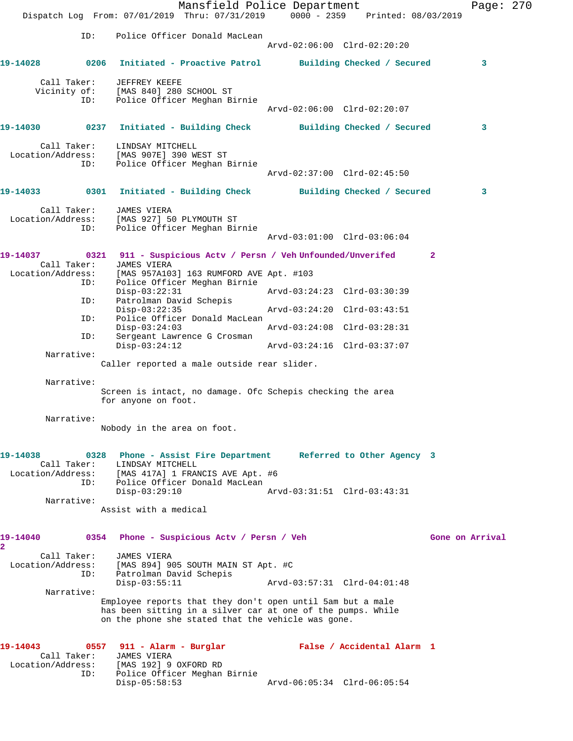Mansfield Police Department Page: 270 Dispatch Log From: 07/01/2019 Thru: 07/31/2019 0000 - 2359 Printed: 08/03/2019 ID: Police Officer Donald MacLean Arvd-02:06:00 Clrd-02:20:20 **19-14028 0206 Initiated - Proactive Patrol Building Checked / Secured 3** Call Taker: JEFFREY KEEFE Vicinity of: [MAS 840] 280 SCHOOL ST ID: Police Officer Meghan Birnie Arvd-02:06:00 Clrd-02:20:07 **19-14030 0237 Initiated - Building Check Building Checked / Secured 3** Call Taker: LINDSAY MITCHELL Location/Address: [MAS 907E] 390 WEST ST ID: Police Officer Meghan Birnie Arvd-02:37:00 Clrd-02:45:50 **19-14033 0301 Initiated - Building Check Building Checked / Secured 3** Call Taker: JAMES VIERA Location/Address: [MAS 927] 50 PLYMOUTH ST ID: Police Officer Meghan Birnie Arvd-03:01:00 Clrd-03:06:04 **19-14037 0321 911 - Suspicious Actv / Persn / Veh Unfounded/Unverifed 2**  Call Taker: JAMES VIERA Location/Address: [MAS 957A103] 163 RUMFORD AVE Apt. #103 ID: Police Officer Meghan Birnie Disp-03:22:31 Arvd-03:24:23 Clrd-03:30:39 ID: Patrolman David Schepis Disp-03:22:35 Arvd-03:24:20 Clrd-03:43:51 ID: Police Officer Donald MacLean Disp-03:24:03 Arvd-03:24:08 Clrd-03:28:31<br>ID: Sergeant Lawrence G Crosman Sergeant Lawrence G Crosman<br>Disp-03:24:12 Disp-03:24:12 Arvd-03:24:16 Clrd-03:37:07 Narrative: Caller reported a male outside rear slider. Narrative: Screen is intact, no damage. Ofc Schepis checking the area for anyone on foot. Narrative: Nobody in the area on foot. **19-14038 0328 Phone - Assist Fire Department Referred to Other Agency 3**  Call Taker: LINDSAY MITCHELL Location/Address: [MAS 417A] 1 FRANCIS AVE Apt. #6 ID: Police Officer Donald MacLean Disp-03:29:10 Arvd-03:31:51 Clrd-03:43:31 Narrative: Assist with a medical 19-14040 0354 Phone - Suspicious Actv / Persn / Veh Gone on Arrival **2**  Call Taker: JAMES VIERA Location/Address: [MAS 894] 905 SOUTH MAIN ST Apt. #C ID: Patrolman David Schepis Disp-03:55:11 Arvd-03:57:31 Clrd-04:01:48 Narrative: Employee reports that they don't open until 5am but a male has been sitting in a silver car at one of the pumps. While on the phone she stated that the vehicle was gone. **19-14043 0557 911 - Alarm - Burglar False / Accidental Alarm 1**  Call Taker: JAMES VIERA Location/Address: [MAS 192] 9 OXFORD RD ID: Police Officer Meghan Birnie Disp-05:58:53 Arvd-06:05:34 Clrd-06:05:54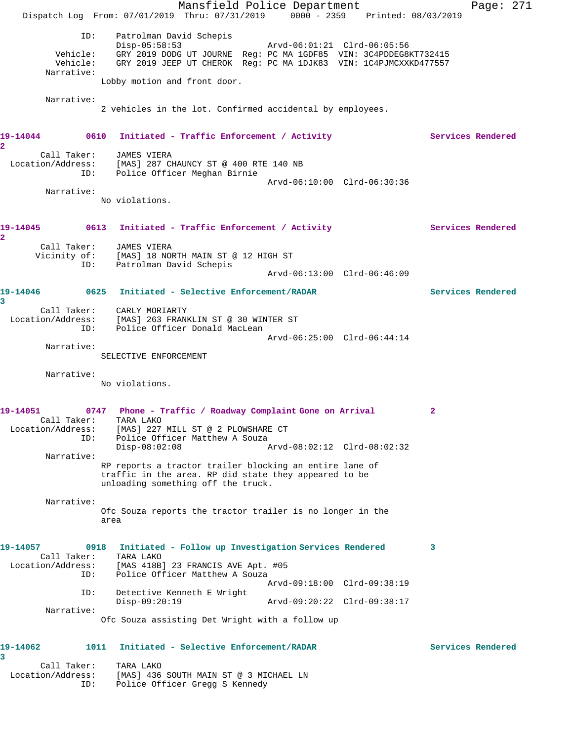Mansfield Police Department Page: 271 Dispatch Log From: 07/01/2019 Thru: 07/31/2019 0000 - 2359 Printed: 08/03/2019 ID: Patrolman David Schepis Disp-05:58:53 Arvd-06:01:21 Clrd-06:05:56 Vehicle: GRY 2019 DODG UT JOURNE Reg: PC MA 1GDF85 VIN: 3C4PDDEG8KT732415 Vehicle: GRY 2019 JEEP UT CHEROK Reg: PC MA 1DJK83 VIN: 1C4PJMCXXKD477557 Narrative: Lobby motion and front door. Narrative: 2 vehicles in the lot. Confirmed accidental by employees. **19-14044 0610 Initiated - Traffic Enforcement / Activity Services Rendered 2**  Call Taker: JAMES VIERA Location/Address: [MAS] 287 CHAUNCY ST @ 400 RTE 140 NB ID: Police Officer Meghan Birnie Arvd-06:10:00 Clrd-06:30:36 Narrative: No violations. 19-14045 0613 Initiated - Traffic Enforcement / Activity **Services Rendered 2**  Call Taker: JAMES VIERA Vicinity of: [MAS] 18 NORTH MAIN ST @ 12 HIGH ST ID: Patrolman David Schepis Arvd-06:13:00 Clrd-06:46:09 **19-14046 0625 Initiated - Selective Enforcement/RADAR Services Rendered 3**  Call Taker: CARLY MORIARTY Location/Address: [MAS] 263 FRANKLIN ST @ 30 WINTER ST ID: Police Officer Donald MacLean Arvd-06:25:00 Clrd-06:44:14 Narrative: SELECTIVE ENFORCEMENT Narrative: No violations. **19-14051 0747 Phone - Traffic / Roadway Complaint Gone on Arrival 2**  Call Taker: TARA LAKO Location/Address: [MAS] 227 MILL ST @ 2 PLOWSHARE CT ID: Police Officer Matthew A Souza Disp-08:02:08 Arvd-08:02:12 Clrd-08:02:32 Narrative: RP reports a tractor trailer blocking an entire lane of traffic in the area. RP did state they appeared to be unloading something off the truck. Narrative: Ofc Souza reports the tractor trailer is no longer in the area **19-14057 0918 Initiated - Follow up Investigation Services Rendered 3**  Call Taker: TARA LAKO Location/Address: [MAS 418B] 23 FRANCIS AVE Apt. #05 ID: Police Officer Matthew A Souza Arvd-09:18:00 Clrd-09:38:19 ID: Detective Kenneth E Wright Disp-09:20:19 Arvd-09:20:22 Clrd-09:38:17 Narrative: Ofc Souza assisting Det Wright with a follow up **19-14062 1011 Initiated - Selective Enforcement/RADAR Services Rendered 3**  Call Taker: TARA LAKO Location/Address: [MAS] 436 SOUTH MAIN ST @ 3 MICHAEL LN

ID: Police Officer Gregg S Kennedy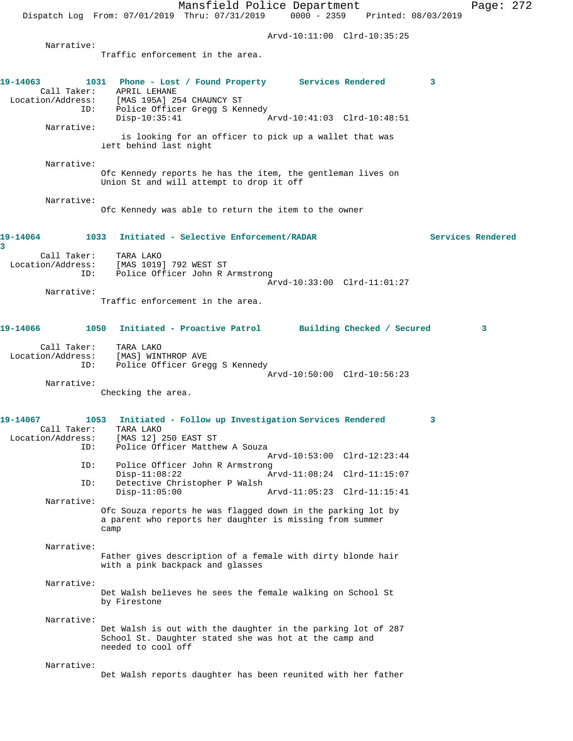Mansfield Police Department Page: 272 Dispatch Log From: 07/01/2019 Thru: 07/31/2019 0000 - 2359 Printed: 08/03/2019 Arvd-10:11:00 Clrd-10:35:25 Narrative: Traffic enforcement in the area. **19-14063 1031 Phone - Lost / Found Property Services Rendered 3**  Call Taker: APRIL LEHANE Location/Address: [MAS 195A] 254 CHAUNCY ST Police Officer Gregg S Kennedy<br>Disp-10:35:41 Arvd-10:41:03 Clrd-10:48:51 Narrative: is looking for an officer to pick up a wallet that was left behind last night Narrative: Ofc Kennedy reports he has the item, the gentleman lives on Union St and will attempt to drop it off Narrative: Ofc Kennedy was able to return the item to the owner **19-14064 1033 Initiated - Selective Enforcement/RADAR Services Rendered 3**  Call Taker: TARA LAKO Location/Address: [MAS 1019] 792 WEST ST ID: Police Officer John R Armstrong Arvd-10:33:00 Clrd-11:01:27 Narrative: Traffic enforcement in the area. **19-14066 1050 Initiated - Proactive Patrol Building Checked / Secured 3** Call Taker: TARA LAKO Location/Address: [MAS] WINTHROP AVE<br>ID: Police Officer Gree Police Officer Gregg S Kennedy Arvd-10:50:00 Clrd-10:56:23 Narrative: Checking the area. **19-14067 1053 Initiated - Follow up Investigation Services Rendered 3**  Call Taker: TARA LAKO<br>Location/Address: [MAS 12] ess: [MAS 12] 250 EAST ST<br>ID: Police Officer Matth Police Officer Matthew A Souza Arvd-10:53:00 Clrd-12:23:44 ID: Police Officer John R Armstrong Disp-11:08:22 Arvd-11:08:24 Clrd-11:15:07<br>Detective Christopher P Walsh Detective Christopher P Walsh<br>Disp-11:05:00 Disp-11:05:00 Arvd-11:05:23 Clrd-11:15:41 Narrative: Ofc Souza reports he was flagged down in the parking lot by a parent who reports her daughter is missing from summer camp Narrative: Father gives description of a female with dirty blonde hair with a pink backpack and glasses Narrative: Det Walsh believes he sees the female walking on School St by Firestone Narrative: Det Walsh is out with the daughter in the parking lot of 287 School St. Daughter stated she was hot at the camp and needed to cool off Narrative: Det Walsh reports daughter has been reunited with her father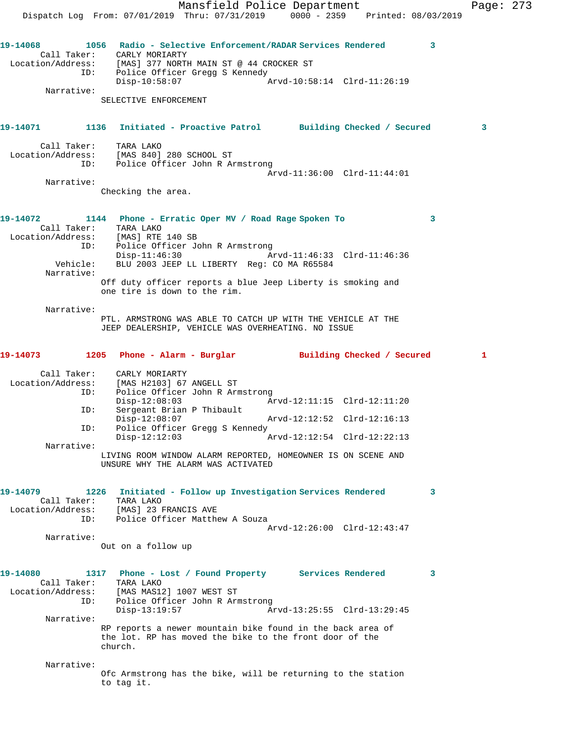Mansfield Police Department Page: 273 Dispatch Log From: 07/01/2019 Thru: 07/31/2019 0000 - 2359 Printed: 08/03/2019 **19-14068 1056 Radio - Selective Enforcement/RADAR Services Rendered 3**  Call Taker: CARLY MORIARTY Location/Address: [MAS] 377 NORTH MAIN ST @ 44 CROCKER ST ID: Police Officer Gregg S Kennedy Disp-10:58:07 Arvd-10:58:14 Clrd-11:26:19 Narrative: SELECTIVE ENFORCEMENT **19-14071 1136 Initiated - Proactive Patrol Building Checked / Secured 3** Call Taker: TARA LAKO Location/Address: [MAS 840] 280 SCHOOL ST ID: Police Officer John R Armstrong Arvd-11:36:00 Clrd-11:44:01 Narrative: Checking the area. **19-14072 1144 Phone - Erratic Oper MV / Road Rage Spoken To 3**  Call Taker: TARA LAKO Location/Address: [MAS] RTE 140 SB ID: Police Officer John R Armstrong Disp-11:46:30 Arvd-11:46:33 Clrd-11:46:36 Vehicle: BLU 2003 JEEP LL LIBERTY Reg: CO MA R65584 Narrative: Off duty officer reports a blue Jeep Liberty is smoking and one tire is down to the rim. Narrative: PTL. ARMSTRONG WAS ABLE TO CATCH UP WITH THE VEHICLE AT THE JEEP DEALERSHIP, VEHICLE WAS OVERHEATING. NO ISSUE **19-14073 1205 Phone - Alarm - Burglar Building Checked / Secured 1** Call Taker: CARLY MORIARTY Location/Address: [MAS H2103] 67 ANGELL ST ID: Police Officer John R Armstrong Disp-12:08:03 Arvd-12:11:15 Clrd-12:11:20<br>ID: Sergeant Brian P Thibault Sergeant Brian P Thibault Disp-12:08:07 Arvd-12:12:52 Clrd-12:16:13 ID: Police Officer Gregg S Kennedy Arvd-12:12:54 Clrd-12:22:13 Narrative: LIVING ROOM WINDOW ALARM REPORTED, HOMEOWNER IS ON SCENE AND UNSURE WHY THE ALARM WAS ACTIVATED **19-14079 1226 Initiated - Follow up Investigation Services Rendered 3**  Call Taker: TARA LAKO Location/Address: [MAS] 23 FRANCIS AVE ID: Police Officer Matthew A Souza Arvd-12:26:00 Clrd-12:43:47 Narrative: Out on a follow up **19-14080 1317 Phone - Lost / Found Property Services Rendered 3**  Call Taker: TARA LAKO<br>Location/Address: [MAS MAS12 [MAS MAS12] 1007 WEST ST ID: Police Officer John R Armstrong<br>Disp-13:19:57 Ar Disp-13:19:57 Arvd-13:25:55 Clrd-13:29:45 Narrative: RP reports a newer mountain bike found in the back area of the lot. RP has moved the bike to the front door of the church. Narrative: Ofc Armstrong has the bike, will be returning to the station to tag it.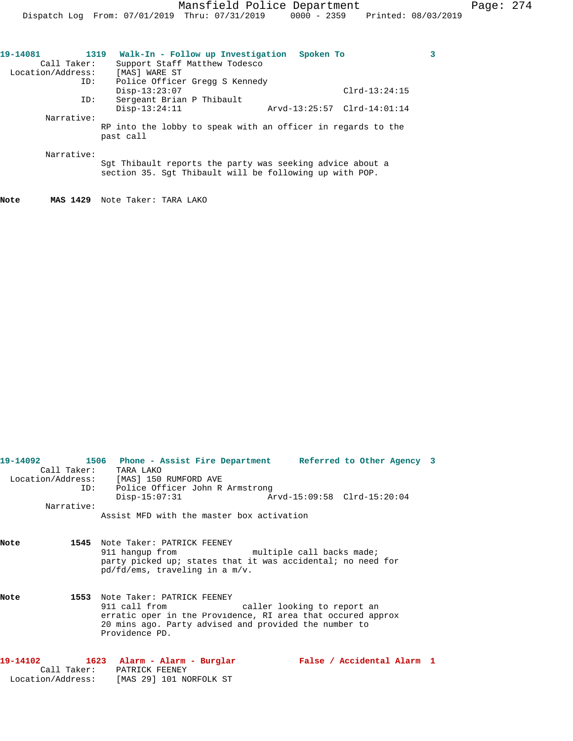| 19-14081          | 1319 | Walk-In - Follow up Investigation                            | Spoken To                   |                 | 3 |
|-------------------|------|--------------------------------------------------------------|-----------------------------|-----------------|---|
| Call Taker:       |      | Support Staff Matthew Todesco                                |                             |                 |   |
| Location/Address: |      | [MAS] WARE ST                                                |                             |                 |   |
|                   | ID:  | Police Officer Gregg S Kennedy                               |                             |                 |   |
|                   |      | $Disp-13:23:07$                                              |                             | $Clrd-13:24:15$ |   |
|                   | ID:  | Sergeant Brian P Thibault                                    |                             |                 |   |
|                   |      | $Disp-13:24:11$                                              | Arvd-13:25:57 Clrd-14:01:14 |                 |   |
| Narrative:        |      |                                                              |                             |                 |   |
|                   |      | RP into the lobby to speak with an officer in regards to the |                             |                 |   |
|                   |      | past call                                                    |                             |                 |   |
|                   |      |                                                              |                             |                 |   |
| Narrative:        |      |                                                              |                             |                 |   |
|                   |      | Sqt Thibault reports the party was seeking advice about a    |                             |                 |   |
|                   |      | section 35. Sqt Thibault will be following up with POP.      |                             |                 |   |
|                   |      |                                                              |                             |                 |   |
|                   |      |                                                              |                             |                 |   |

**Note MAS 1429** Note Taker: TARA LAKO

|      |            | 19-14092 1506 Phone - Assist Fire Department Referred to Other Agency 3 |                            |  |
|------|------------|-------------------------------------------------------------------------|----------------------------|--|
|      |            | Call Taker: TARA LAKO                                                   |                            |  |
|      |            | Location/Address: [MAS] 150 RUMFORD AVE                                 |                            |  |
|      |            | ID: Police Officer John R Armstrong                                     |                            |  |
|      |            | $Disp-15:07:31$                                                         |                            |  |
|      | Narrative: |                                                                         |                            |  |
|      |            | Assist MFD with the master box activation                               |                            |  |
|      |            |                                                                         |                            |  |
| Note |            | 1545 Note Taker: PATRICK FEENEY                                         |                            |  |
|      |            | 911 hangup from multiple call backs made;                               |                            |  |
|      |            | party picked up; states that it was accidental; no need for             |                            |  |
|      |            | pd/fd/ems, traveling in a m/v.                                          |                            |  |
| Note |            | 1553 Note Taker: PATRICK FEENEY                                         |                            |  |
|      |            | 911 call from The caller looking to report an                           |                            |  |
|      |            | erratic oper in the Providence, RI area that occured approx             |                            |  |
|      |            | 20 mins ago. Party advised and provided the number to                   |                            |  |
|      |            | Providence PD.                                                          |                            |  |
|      |            |                                                                         |                            |  |
|      |            |                                                                         | False / Accidental Alarm 1 |  |
|      |            | Call Taker: PATRICK FEENEY                                              |                            |  |
|      |            | Location/Address: [MAS 29] 101 NORFOLK ST                               |                            |  |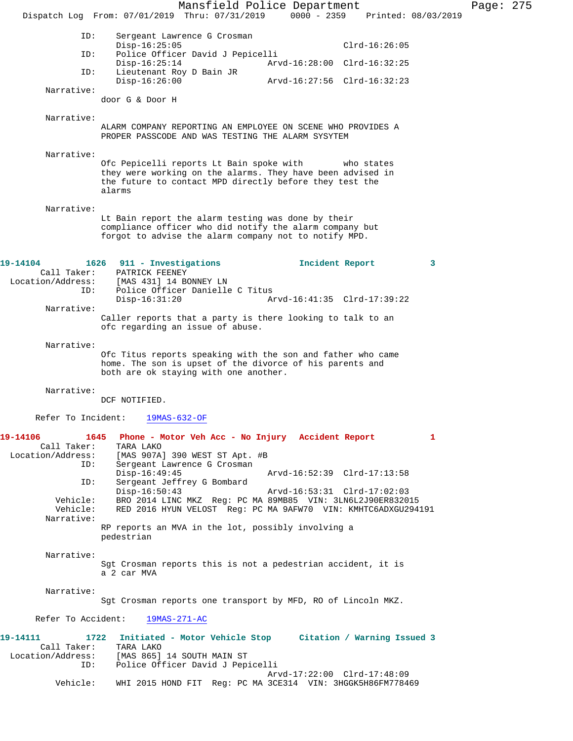Mansfield Police Department Page: 275 Dispatch Log From: 07/01/2019 Thru: 07/31/2019 0000 - 2359 Printed: 08/03/2019 ID: Sergeant Lawrence G Crosman Disp-16:25:05 Clrd-16:26:05 ID: Police Officer David J Pepicelli Disp-16:25:14 Arvd-16:28:00 Clrd-16:32:25<br>ID: Lieutenant Roy D Bain JR Lieutenant Roy D Bain JR Disp-16:26:00 Arvd-16:27:56 Clrd-16:32:23 Narrative: door G & Door H Narrative: ALARM COMPANY REPORTING AN EMPLOYEE ON SCENE WHO PROVIDES A PROPER PASSCODE AND WAS TESTING THE ALARM SYSYTEM Narrative: Ofc Pepicelli reports Lt Bain spoke with who states they were working on the alarms. They have been advised in the future to contact MPD directly before they test the alarms Narrative: Lt Bain report the alarm testing was done by their compliance officer who did notify the alarm company but forgot to advise the alarm company not to notify MPD. **19-14104 1626 911 - Investigations Incident Report 3**  Call Taker: PATRICK FEENEY<br>Location/Address: [MAS 431] 14 BO External (MAS 431) 14 BONNEY LN<br>ID: Police Officer Danielle Police Officer Danielle C Titus<br>Disp-16:31:20 A Disp-16:31:20 Arvd-16:41:35 Clrd-17:39:22 Narrative: Caller reports that a party is there looking to talk to an ofc regarding an issue of abuse. Narrative: Ofc Titus reports speaking with the son and father who came home. The son is upset of the divorce of his parents and both are ok staying with one another. Narrative: DCF NOTIFIED. Refer To Incident: 19MAS-632-OF **19-14106 1645 Phone - Motor Veh Acc - No Injury Accident Report 1**  Call Taker: TARA LAKO Location/Address: [MAS 907A] 390 WEST ST Apt. #B ID: Sergeant Lawrence G Crosman Disp-16:49:45 Arvd-16:52:39 Clrd-17:13:58<br>TD: Sergeant Jeffrey G Bombard Sergeant Jeffrey G Bombard<br>Disp-16:50:43 Disp-16:50:43 Arvd-16:53:31 Clrd-17:02:03 Vehicle: BRO 2014 LINC MKZ Reg: PC MA 89MB85 VIN: 3LN6L2J90ER832015 RED 2016 HYUN VELOST Reg: PC MA 9AFW70 VIN: KMHTC6ADXGU294191 Narrative: RP reports an MVA in the lot, possibly involving a pedestrian Narrative: Sgt Crosman reports this is not a pedestrian accident, it is a 2 car MVA Narrative: Sgt Crosman reports one transport by MFD, RO of Lincoln MKZ. Refer To Accident: 19MAS-271-AC **19-14111 1722 Initiated - Motor Vehicle Stop Citation / Warning Issued 3**  .<br>Call Taker: Location/Address: [MAS 865] 14 SOUTH MAIN ST ID: Police Officer David J Pepicelli Arvd-17:22:00 Clrd-17:48:09 Vehicle: WHI 2015 HOND FIT Reg: PC MA 3CE314 VIN: 3HGGK5H86FM778469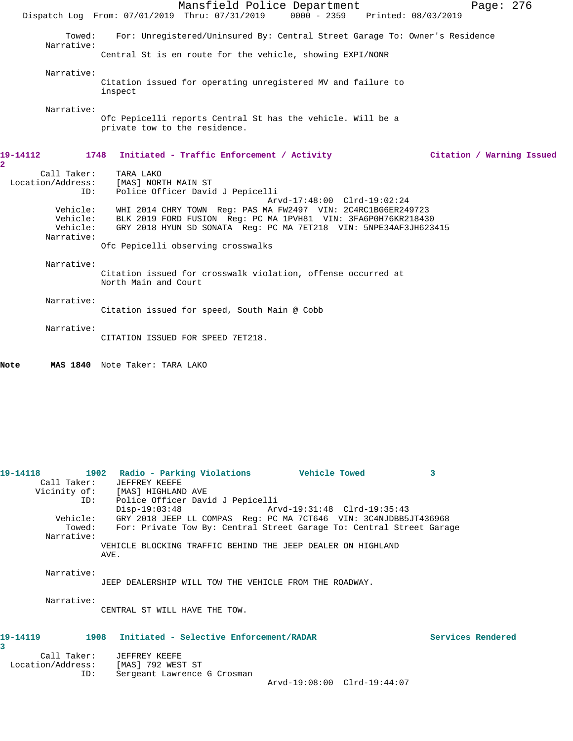Mansfield Police Department Page: 276 Dispatch Log From: 07/01/2019 Thru: 07/31/2019 0000 - 2359 Printed: 08/03/2019 Towed: For: Unregistered/Uninsured By: Central Street Garage To: Owner's Residence Narrative: Central St is en route for the vehicle, showing EXPI/NONR Narrative: Citation issued for operating unregistered MV and failure to inspect Narrative: Ofc Pepicelli reports Central St has the vehicle. Will be a private tow to the residence. **19-14112 1748 Initiated - Traffic Enforcement / Activity Citation / Warning Issued** Call Taker: TARA LAKO Location/Address: [MAS] NORTH MAIN ST ID: Police Officer David J Pepicelli Arvd-17:48:00 Clrd-19:02:24 Vehicle: WHI 2014 CHRY TOWN Reg: PAS MA FW2497 VIN: 2C4RC1BG6ER249723 Vehicle: BLK 2019 FORD FUSION Reg: PC MA 1PVH81 VIN: 3FA6P0H76KR218430 Vehicle: GRY 2018 HYUN SD SONATA Reg: PC MA 7ET218 VIN: 5NPE34AF3JH623415 Narrative: Ofc Pepicelli observing crosswalks Narrative: Citation issued for crosswalk violation, offense occurred at North Main and Court Narrative: Citation issued for speed, South Main @ Cobb Narrative: CITATION ISSUED FOR SPEED 7ET218. **Note MAS 1840** Note Taker: TARA LAKO **19-14118 1902 Radio - Parking Violations Vehicle Towed 3**  Call Taker: JEFFREY KEEFE Vicinity of: [MAS] HIGHLAND AVE ID: Police Officer David J Pepicelli Disp-19:03:48 Arvd-19:31:48 Clrd-19:35:43 Vehicle: GRY 2018 JEEP LL COMPAS Reg: PC MA 7CT646 VIN: 3C4NJDBB5JT436968 Towed: For: Private Tow By: Central Street Garage To: Central Street Garage Narrative: VEHICLE BLOCKING TRAFFIC BEHIND THE JEEP DEALER ON HIGHLAND AVE. Narrative: JEEP DEALERSHIP WILL TOW THE VEHICLE FROM THE ROADWAY. Narrative: CENTRAL ST WILL HAVE THE TOW. **19-14119 1908 Initiated - Selective Enforcement/RADAR Services Rendered** Call Taker: JEFFREY KEEFE Location/Address: [MAS] 792 WEST ST

**2** 

**3** 

ID: Sergeant Lawrence G Crosman

Arvd-19:08:00 Clrd-19:44:07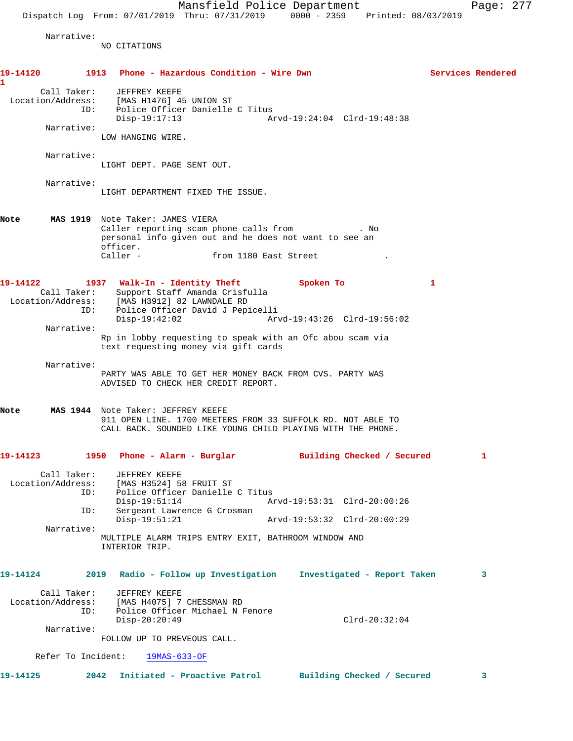Narrative:

NO CITATIONS

| 19-14120<br>1     |                                  | 1913 Phone - Hazardous Condition - Wire Dwn                                                                                                                                                    |                                                                |  |           |                             |              | Services Rendered |
|-------------------|----------------------------------|------------------------------------------------------------------------------------------------------------------------------------------------------------------------------------------------|----------------------------------------------------------------|--|-----------|-----------------------------|--------------|-------------------|
|                   | ID:                              | Call Taker: JEFFREY KEEFE<br>Location/Address: [MAS H1476] 45 UNION ST<br>Disp-19:17:13                                                                                                        | Police Officer Danielle C Titus                                |  |           |                             |              |                   |
|                   | Narrative:                       | LOW HANGING WIRE.                                                                                                                                                                              |                                                                |  |           |                             |              |                   |
|                   | Narrative:                       | LIGHT DEPT. PAGE SENT OUT.                                                                                                                                                                     |                                                                |  |           |                             |              |                   |
|                   | Narrative:                       | LIGHT DEPARTMENT FIXED THE ISSUE.                                                                                                                                                              |                                                                |  |           |                             |              |                   |
| Note              |                                  | MAS 1919 Note Taker: JAMES VIERA<br>Caller reporting scam phone calls from Theory . No<br>personal info given out and he does not want to see an<br>officer.<br>Caller - from 1180 East Street |                                                                |  |           |                             |              |                   |
| 19-14122          | ID:                              | 1937 Walk-In - Identity Theft<br>Call Taker: Support Staff Amanda Crisfulla<br>Location/Address: [MAS H3912] 82 LAWNDALE RD<br>$Disp-19:42:02$                                                 | Police Officer David J Pepicelli                               |  | Spoken To | Arvd-19:43:26 Clrd-19:56:02 | $\mathbf{1}$ |                   |
|                   | Narrative:                       | Rp in lobby requesting to speak with an Ofc abou scam via<br>text requesting money via gift cards                                                                                              |                                                                |  |           |                             |              |                   |
|                   | Narrative:                       | PARTY WAS ABLE TO GET HER MONEY BACK FROM CVS. PARTY WAS<br>ADVISED TO CHECK HER CREDIT REPORT.                                                                                                |                                                                |  |           |                             |              |                   |
| Note              |                                  | MAS 1944 Note Taker: JEFFREY KEEFE<br>911 OPEN LINE. 1700 MEETERS FROM 33 SUFFOLK RD. NOT ABLE TO<br>CALL BACK. SOUNDED LIKE YOUNG CHILD PLAYING WITH THE PHONE.                               |                                                                |  |           |                             |              |                   |
| 19-14123          |                                  | 1950 Phone - Alarm - Burglar                                                                                                                                                                   |                                                                |  |           | Building Checked / Secured  |              | 1                 |
| Location/Address: | Call Taker:<br>ID:<br>ID:        | JEFFREY KEEFE<br>[MAS H3524] 58 FRUIT ST<br>$Disp-19:51:14$                                                                                                                                    | Police Officer Danielle C Titus<br>Sergeant Lawrence G Crosman |  |           | Arvd-19:53:31 Clrd-20:00:26 |              |                   |
|                   | Narrative:                       | $Disp-19:51:21$<br>MULTIPLE ALARM TRIPS ENTRY EXIT, BATHROOM WINDOW AND<br>INTERIOR TRIP.                                                                                                      |                                                                |  |           | Arvd-19:53:32 Clrd-20:00:29 |              |                   |
| 19-14124          |                                  | 2019                                                                                                                                                                                           | Radio - Follow up Investigation Investigated - Report Taken    |  |           |                             |              | 3                 |
| Location/Address: | Call Taker:<br>ID:<br>Narrative: | JEFFREY KEEFE<br>$Disp-20:20:49$                                                                                                                                                               | [MAS H4075] 7 CHESSMAN RD<br>Police Officer Michael N Fenore   |  |           | $Clrd-20:32:04$             |              |                   |
|                   |                                  | FOLLOW UP TO PREVEOUS CALL.                                                                                                                                                                    |                                                                |  |           |                             |              |                   |
|                   |                                  | Refer To Incident: 19MAS-633-OF                                                                                                                                                                |                                                                |  |           |                             |              |                   |
| 19-14125          |                                  | 2042                                                                                                                                                                                           | Initiated - Proactive Patrol                                   |  |           | Building Checked / Secured  |              | 3                 |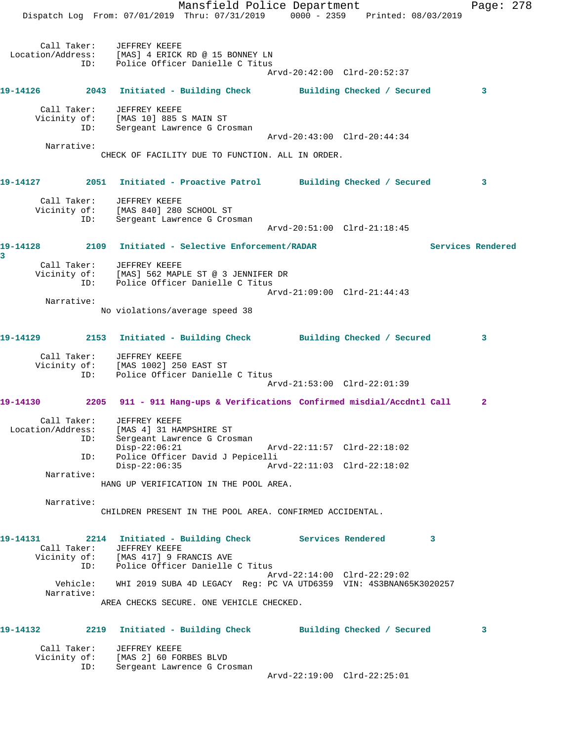Mansfield Police Department Fage: 278 Dispatch Log From: 07/01/2019 Thru: 07/31/2019 0000 - 2359 Printed: 08/03/2019 Call Taker: JEFFREY KEEFE Location/Address: [MAS] 4 ERICK RD @ 15 BONNEY LN ID: Police Officer Danielle C Titus Arvd-20:42:00 Clrd-20:52:37 **19-14126 2043 Initiated - Building Check Building Checked / Secured 3** Call Taker: JEFFREY KEEFE Vicinity of: [MAS 10] 885 S MAIN ST ID: Sergeant Lawrence G Crosman Arvd-20:43:00 Clrd-20:44:34 Narrative: CHECK OF FACILITY DUE TO FUNCTION. ALL IN ORDER. **19-14127 2051 Initiated - Proactive Patrol Building Checked / Secured 3** Call Taker: JEFFREY KEEFE Vicinity of: [MAS 840] 280 SCHOOL ST ID: Sergeant Lawrence G Crosman Arvd-20:51:00 Clrd-21:18:45 **19-14128 2109 Initiated - Selective Enforcement/RADAR Services Rendered 3**  Call Taker: JEFFREY KEEFE Vicinity of: [MAS] 562 MAPLE ST @ 3 JENNIFER DR ID: Police Officer Danielle C Titus Arvd-21:09:00 Clrd-21:44:43 Narrative: No violations/average speed 38 **19-14129 2153 Initiated - Building Check Building Checked / Secured 3** Call Taker: JEFFREY KEEFE Vicinity of: [MAS 1002] 250 EAST ST ID: Police Officer Danielle C Titus Arvd-21:53:00 Clrd-22:01:39 **19-14130 2205 911 - 911 Hang-ups & Verifications Confirmed misdial/Accdntl Call 2** Call Taker: JEFFREY KEEFE Location/Address: [MAS 4] 31 HAMPSHIRE ST ID: Sergeant Lawrence G Crosman Disp-22:06:21 Arvd-22:11:57 Clrd-22:18:02 ID: Police Officer David J Pepicelli Disp-22:06:35 Arvd-22:11:03 Clrd-22:18:02 Narrative: HANG UP VERIFICATION IN THE POOL AREA. Narrative: CHILDREN PRESENT IN THE POOL AREA. CONFIRMED ACCIDENTAL. **19-14131 2214 Initiated - Building Check Services Rendered 3**  Call Taker: JEFFREY KEEFE Vicinity of: [MAS 417] 9 FRANCIS AVE ID: Police Officer Danielle C Titus Arvd-22:14:00 Clrd-22:29:02 Vehicle: WHI 2019 SUBA 4D LEGACY Reg: PC VA UTD6359 VIN: 4S3BNAN65K3020257 Narrative: AREA CHECKS SECURE. ONE VEHICLE CHECKED. **19-14132 2219 Initiated - Building Check Building Checked / Secured 3** Call Taker: JEFFREY KEEFE Vicinity of: [MAS 2] 60 FORBES BLVD ID: Sergeant Lawrence G Crosman Arvd-22:19:00 Clrd-22:25:01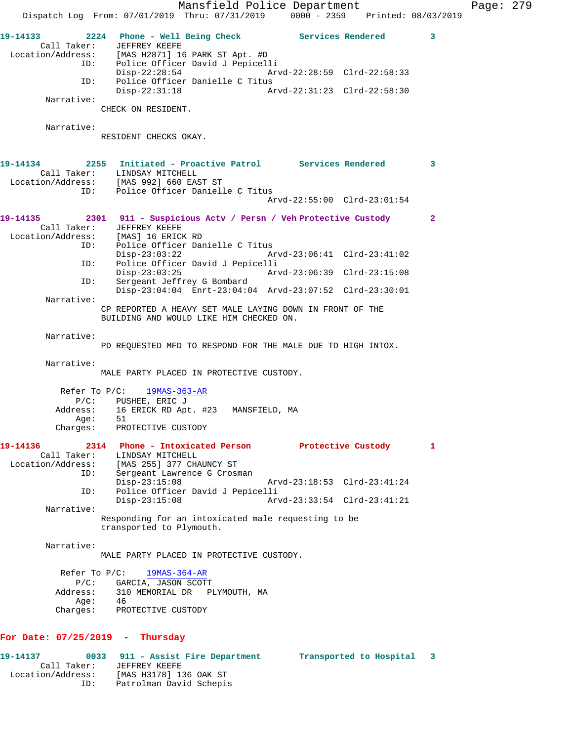Mansfield Police Department Page: 279 Dispatch Log From: 07/01/2019 Thru: 07/31/2019 0000 - 2359 Printed: 08/03/2019 **19-14133 2224 Phone - Well Being Check Services Rendered 3**  Call Taker: JEFFREY KEEFE Location/Address: [MAS H2871] 16 PARK ST Apt. #D ID: Police Officer David J Pepicelli Disp-22:28:54 Arvd-22:28:59 Clrd-22:58:33 ID: Police Officer Danielle C Titus<br>Disp-22:31:18 Ar Disp-22:31:18 Arvd-22:31:23 Clrd-22:58:30 Narrative: CHECK ON RESIDENT. Narrative: RESIDENT CHECKS OKAY. **19-14134 2255 Initiated - Proactive Patrol Services Rendered 3**  Call Taker: LINDSAY MITCHELL Location/Address: [MAS 992] 660 EAST ST ID: Police Officer Danielle C Titus Arvd-22:55:00 Clrd-23:01:54 **19-14135 2301 911 - Suspicious Actv / Persn / Veh Protective Custody 2**  Call Taker: JEFFREY KEEFE<br>Location/Address: [MAS] 16 ERICK RD Location/Address: [MAS] 16 ERICK RD ID: Police Officer Danielle C Titus Disp-23:03:22 Arvd-23:06:41 Clrd-23:41:02 ID: Police Officer David J Pepicelli Disp-23:03:25 Arvd-23:06:39 Clrd-23:15:08<br>TD: Sergeant Jeffrey G Bombard Sergeant Jeffrey G Bombard Disp-23:04:04 Enrt-23:04:04 Arvd-23:07:52 Clrd-23:30:01 Narrative: CP REPORTED A HEAVY SET MALE LAYING DOWN IN FRONT OF THE BUILDING AND WOULD LIKE HIM CHECKED ON. Narrative: PD REQUESTED MFD TO RESPOND FOR THE MALE DUE TO HIGH INTOX. Narrative: MALE PARTY PLACED IN PROTECTIVE CUSTODY. Refer To P/C: 19MAS-363-AR P/C: PUSHEE, ERIC J 16 ERICK RD Apt. #23 MANSFIELD, MA Age: 51 Charges: PROTECTIVE CUSTODY **19-14136 2314 Phone - Intoxicated Person Protective Custody 1**  Call Taker: LINDSAY MITCHELL Location/Address: [MAS 255] 377 CHAUNCY ST ID: Sergeant Lawrence G Crosman Disp-23:15:08 Arvd-23:18:53 Clrd-23:41:24 ID: Police Officer David J Pepicelli Arvd-23:33:54 Clrd-23:41:21 Narrative: Responding for an intoxicated male requesting to be transported to Plymouth. Narrative: MALE PARTY PLACED IN PROTECTIVE CUSTODY. Refer To P/C: 19MAS-364-AR P/C: GARCIA, JASON SCOTT<br>Address: 310 MEMORIAL DR PI 310 MEMORIAL DR PLYMOUTH, MA Age: 46 Charges: PROTECTIVE CUSTODY **For Date: 07/25/2019 - Thursday 19-14137 0033 911 - Assist Fire Department Transported to Hospital 3**  Call Taker: JEFFREY KEEFE Location/Address: [MAS H3178] 136 OAK ST

ID: Patrolman David Schepis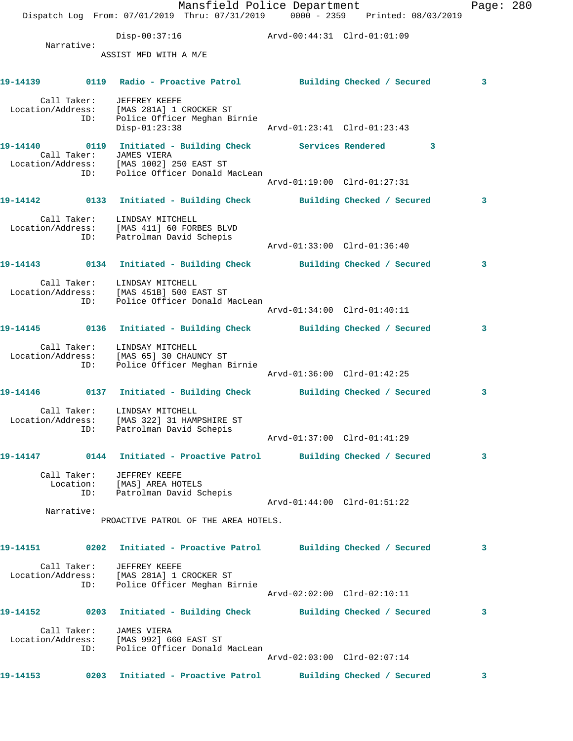|                                             |            |                                                                                                           | Mansfield Police Department<br>Dispatch Log From: 07/01/2019 Thru: 07/31/2019 0000 - 2359 Printed: 08/03/2019                                 |                             |  | Page: $280$ |  |
|---------------------------------------------|------------|-----------------------------------------------------------------------------------------------------------|-----------------------------------------------------------------------------------------------------------------------------------------------|-----------------------------|--|-------------|--|
|                                             |            |                                                                                                           | Disp-00:37:16 Arvd-00:44:31 Clrd-01:01:09                                                                                                     |                             |  |             |  |
|                                             | Narrative: | ASSIST MFD WITH A M/E                                                                                     |                                                                                                                                               |                             |  |             |  |
|                                             |            |                                                                                                           | 19-14139      0119 Radio - Proactive Patrol       Building Checked / Secured                                                                  |                             |  | 3           |  |
|                                             |            | Call Taker: JEFFREY KEEFE<br>Location/Address: [MAS 281A] 1 CROCKER ST<br>$Disp-01:23:38$                 | ID: Police Officer Meghan Birnie                                                                                                              |                             |  |             |  |
|                                             |            | Call Taker: JAMES VIERA                                                                                   | 19-14140 0119 Initiated - Building Check Services Rendered 3<br>Location/Address: [MAS 1002] 250 EAST ST<br>ID: Police Officer Donald MacLean |                             |  |             |  |
|                                             |            |                                                                                                           |                                                                                                                                               | Arvd-01:19:00 Clrd-01:27:31 |  |             |  |
|                                             |            |                                                                                                           | 19-14142   0133   Initiated - Building Check   Building Checked / Secured                                                                     |                             |  | 3           |  |
|                                             |            | Call Taker: LINDSAY MITCHELL<br>Location/Address: [MAS 411] 60 FORBES BLVD<br>ID: Patrolman David Schepis |                                                                                                                                               | Arvd-01:33:00 Clrd-01:36:40 |  |             |  |
|                                             |            |                                                                                                           | 19-14143 0134 Initiated - Building Check Building Checked / Secured                                                                           |                             |  | 3           |  |
|                                             |            | Call Taker: LINDSAY MITCHELL                                                                              | Location/Address: [MAS 451B] 500 EAST ST<br>ID: Police Officer Donald MacLean                                                                 |                             |  |             |  |
|                                             |            |                                                                                                           |                                                                                                                                               | Arvd-01:34:00 Clrd-01:40:11 |  |             |  |
|                                             |            |                                                                                                           | 19-14145 0136 Initiated - Building Check Building Checked / Secured                                                                           |                             |  | 3           |  |
|                                             | ID:        | Call Taker: LINDSAY MITCHELL<br>Location/Address: [MAS 65] 30 CHAUNCY ST                                  | Police Officer Meghan Birnie                                                                                                                  | Arvd-01:36:00 Clrd-01:42:25 |  |             |  |
|                                             |            |                                                                                                           | 19-14146 		 0137 Initiated - Building Check 		 Building Checked / Secured                                                                     |                             |  | 3           |  |
| Location/Address: [MAS 322] 31 HAMPSHIRE ST | ID:        | Call Taker: LINDSAY MITCHELL<br>Patrolman David Schepis                                                   |                                                                                                                                               |                             |  |             |  |
|                                             |            |                                                                                                           |                                                                                                                                               | Arvd-01:37:00 Clrd-01:41:29 |  |             |  |
|                                             |            | Call Taker: JEFFREY KEEFE                                                                                 | 19-14147      0144  Initiated - Proactive Patrol     Building Checked / Secured                                                               |                             |  | 3           |  |
|                                             |            | Location: [MAS] AREA HOTELS<br>ID: Patrolman David Schepis                                                |                                                                                                                                               | Arvd-01:44:00 Clrd-01:51:22 |  |             |  |
|                                             | Narrative: |                                                                                                           | PROACTIVE PATROL OF THE AREA HOTELS.                                                                                                          |                             |  |             |  |
|                                             |            |                                                                                                           | 19-14151 		 0202 Initiated - Proactive Patrol 		 Building Checked / Secured                                                                   |                             |  | 3           |  |
|                                             | ID:        | Call Taker: JEFFREY KEEFE<br>Location/Address: [MAS 281A] 1 CROCKER ST                                    | Police Officer Meghan Birnie                                                                                                                  |                             |  |             |  |
|                                             |            |                                                                                                           |                                                                                                                                               | Arvd-02:02:00 Clrd-02:10:11 |  | 3           |  |
|                                             |            |                                                                                                           | 19-14152              0203   Initiated - Building Check             Building Checked / Secured                                                |                             |  |             |  |
|                                             |            | Call Taker: JAMES VIERA<br>Location/Address: [MAS 992] 660 EAST ST                                        | ID: Police Officer Donald MacLean                                                                                                             | Arvd-02:03:00 Clrd-02:07:14 |  |             |  |
| 19-14153                                    |            |                                                                                                           | 0203 Initiated - Proactive Patrol Building Checked / Secured                                                                                  |                             |  | 3           |  |
|                                             |            |                                                                                                           |                                                                                                                                               |                             |  |             |  |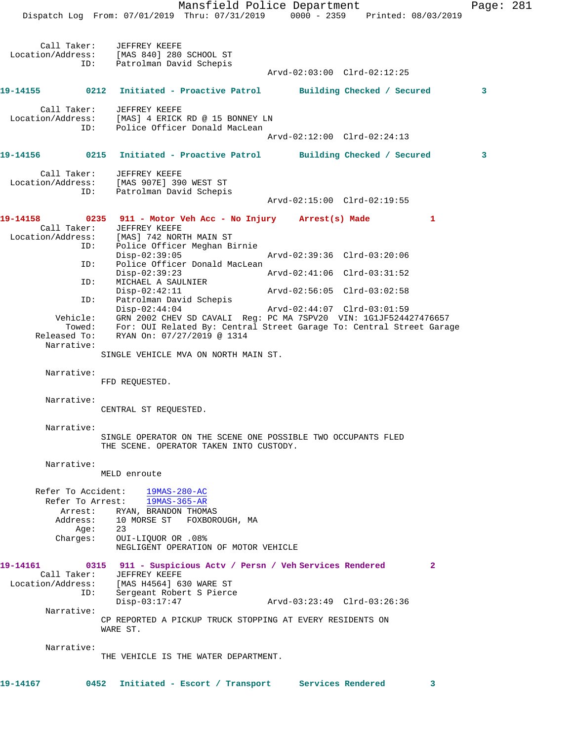Mansfield Police Department Page: 281 Dispatch Log From: 07/01/2019 Thru: 07/31/2019 0000 - 2359 Printed: 08/03/2019 Call Taker: JEFFREY KEEFE Location/Address: [MAS 840] 280 SCHOOL ST ID: Patrolman David Schepis Arvd-02:03:00 Clrd-02:12:25 **19-14155 0212 Initiated - Proactive Patrol Building Checked / Secured 3** Call Taker: JEFFREY KEEFE Location/Address: [MAS] 4 ERICK RD @ 15 BONNEY LN ID: Police Officer Donald MacLean Arvd-02:12:00 Clrd-02:24:13 **19-14156 0215 Initiated - Proactive Patrol Building Checked / Secured 3** Call Taker: JEFFREY KEEFE Location/Address: [MAS 907E] 390 WEST ST ID: Patrolman David Schepis Arvd-02:15:00 Clrd-02:19:55 **19-14158 0235 911 - Motor Veh Acc - No Injury Arrest(s) Made 1**  Call Taker: JEFFREY KEEFE Location/Address: [MAS] 742 NORTH MAIN ST ID: Police Officer Meghan Birnie Disp-02:39:05 Arvd-02:39:36 Clrd-03:20:06 ID: Police Officer Donald MacLean Disp-02:39:23 Arvd-02:41:06 Clrd-03:31:52 ID: MICHAEL A SAULNIER<br>Disp-02:42:11 Arvd-02:56:05 Clrd-03:02:58 ID: Patrolman David Schepis Disp-02:44:04 Arvd-02:44:07 Clrd-03:01:59 Vehicle: GRN 2002 CHEV SD CAVALI Reg: PC MA 7SPV20 VIN: 1G1JF524427476657 Towed: For: OUI Related By: Central Street Garage To: Central Street Garage Released To: RYAN On: 07/27/2019 @ 1314 Narrative: SINGLE VEHICLE MVA ON NORTH MAIN ST. Narrative: FFD REQUESTED. Narrative: CENTRAL ST REQUESTED. Narrative: SINGLE OPERATOR ON THE SCENE ONE POSSIBLE TWO OCCUPANTS FLED THE SCENE. OPERATOR TAKEN INTO CUSTODY. Narrative: MELD enroute Refer To Accident: 19MAS-280-AC Refer To Arrest: 19MAS-365-AR Arrest: RYAN, BRANDON THOMAS Address: 10 MORSE ST FOXBOROUGH, MA Age: 23 Charges: OUI-LIQUOR OR .08% NEGLIGENT OPERATION OF MOTOR VEHICLE **19-14161 0315 911 - Suspicious Actv / Persn / Veh Services Rendered 2**  Call Taker: JEFFREY KEEFE Location/Address: [MAS H4564] 630 WARE ST ID: Sergeant Robert S Pierce Disp-03:17:47 Arvd-03:23:49 Clrd-03:26:36 Narrative: CP REPORTED A PICKUP TRUCK STOPPING AT EVERY RESIDENTS ON WARE ST. Narrative: THE VEHICLE IS THE WATER DEPARTMENT.

**19-14167 0452 Initiated - Escort / Transport Services Rendered 3**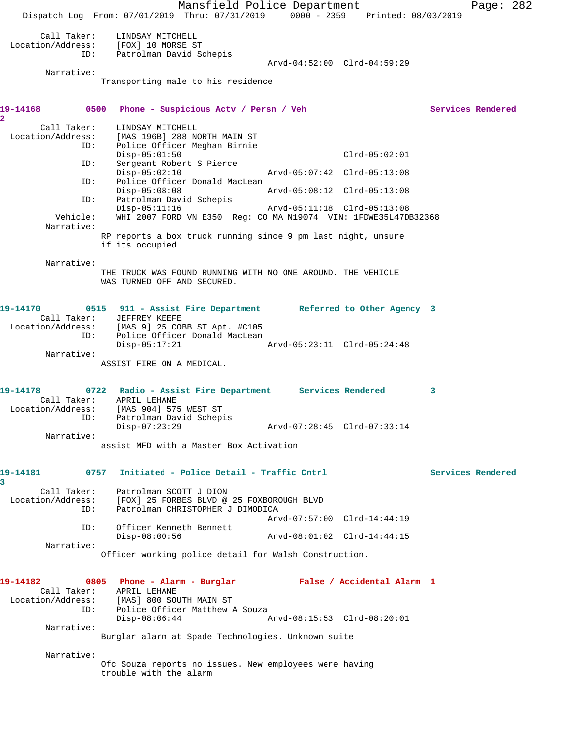Mansfield Police Department Page: 282 Dispatch Log From: 07/01/2019 Thru: 07/31/2019 0000 - 2359 Printed: 08/03/2019 Call Taker: LINDSAY MITCHELL Location/Address: [FOX] 10 MORSE ST ID: Patrolman David Schepis Arvd-04:52:00 Clrd-04:59:29 Narrative: Transporting male to his residence 19-14168 **0500** Phone - Suspicious Actv / Persn / Veh Services Rendered **2**  Call Taker: LINDSAY MITCHELL<br>Location/Address: [MAS 196B] 288 N [MAS 196B] 288 NORTH MAIN ST ID: Police Officer Meghan Birnie Disp-05:01:50 Clrd-05:02:01 ID: Sergeant Robert S Pierce Disp-05:02:10 Arvd-05:07:42 Clrd-05:13:08 ID: Police Officer Donald MacLean Disp-05:08:08 Arvd-05:08:12 Clrd-05:13:08 ID: Patrolman David Schepis<br>Disp-05:11:16 Disp-05:11:16 Arvd-05:11:18 Clrd-05:13:08<br>Vehicle: WHI 2007 FORD VN E350 Req: CO MA N19074 VIN: 1FDWE35L47DE WHI 2007 FORD VN E350 Reg: CO MA N19074 VIN: 1FDWE35L47DB32368 Narrative: RP reports a box truck running since 9 pm last night, unsure if its occupied Narrative: THE TRUCK WAS FOUND RUNNING WITH NO ONE AROUND. THE VEHICLE WAS TURNED OFF AND SECURED. **19-14170 0515 911 - Assist Fire Department Referred to Other Agency 3**  Call Taker: JEFFREY KEEFE Location/Address: [MAS 9] 25 COBB ST Apt. #C105 ID: Police Officer Donald MacLean Disp-05:17:21 Arvd-05:23:11 Clrd-05:24:48 Narrative: ASSIST FIRE ON A MEDICAL. **19-14178 0722 Radio - Assist Fire Department Services Rendered 3**  Call Taker: APRIL LEHANE Location/Address: [MAS 904] 575 WEST ST ID: Patrolman David Schepis<br>Disp-07:23:29 Disp-07:23:29 Arvd-07:28:45 Clrd-07:33:14 Narrative: assist MFD with a Master Box Activation **19-14181 0757 Initiated - Police Detail - Traffic Cntrl Services Rendered 3**  Call Taker: Patrolman SCOTT J DION Location/Address: [FOX] 25 FORBES BLVD @ 25 FOXBOROUGH BLVD ID: Patrolman CHRISTOPHER J DIMODICA Arvd-07:57:00 Clrd-14:44:19 ID: Officer Kenneth Bennett Disp-08:00:56 Arvd-08:01:02 Clrd-14:44:15 Narrative: Officer working police detail for Walsh Construction. **19-14182 0805 Phone - Alarm - Burglar False / Accidental Alarm 1**  Call Taker: APRIL LEHANE Location/Address: [MAS] 800 SOUTH MAIN ST ID: Police Officer Matthew A Souza<br>Disp-08:06:44 Disp-08:06:44 Arvd-08:15:53 Clrd-08:20:01 Narrative: Burglar alarm at Spade Technologies. Unknown suite Narrative: Ofc Souza reports no issues. New employees were having trouble with the alarm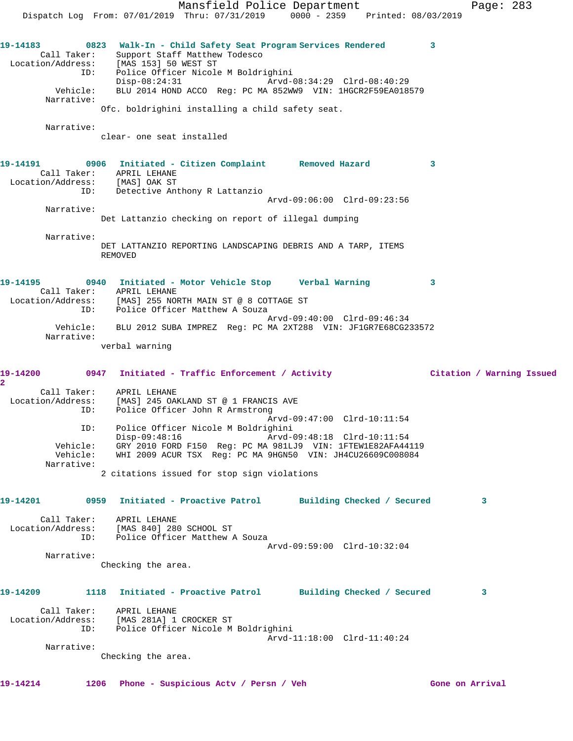Mansfield Police Department Fage: 283 Dispatch Log From: 07/01/2019 Thru: 07/31/2019 0000 - 2359 Printed: 08/03/2019 **19-14183 0823 Walk-In - Child Safety Seat Program Services Rendered 3**  Call Taker: Support Staff Matthew Todesco Location/Address: [MAS 153] 50 WEST ST ID: Police Officer Nicole M Boldrighini Disp-08:24:31 Arvd-08:34:29 Clrd-08:40:29 Vehicle: BLU 2014 HOND ACCO Reg: PC MA 852WW9 VIN: 1HGCR2F59EA018579 Narrative: Ofc. boldrighini installing a child safety seat. Narrative: clear- one seat installed **19-14191 0906 Initiated - Citizen Complaint Removed Hazard 3**  Call Taker: APRIL LEHANE Location/Address: [MAS] OAK ST ID: Detective Anthony R Lattanzio Arvd-09:06:00 Clrd-09:23:56 Narrative: Det Lattanzio checking on report of illegal dumping Narrative: DET LATTANZIO REPORTING LANDSCAPING DEBRIS AND A TARP, ITEMS REMOVED **19-14195 0940 Initiated - Motor Vehicle Stop Verbal Warning 3**  Call Taker: APRIL LEHANE Location/Address: [MAS] 255 NORTH MAIN ST @ 8 COTTAGE ST ID: Police Officer Matthew A Souza Arvd-09:40:00 Clrd-09:46:34 Vehicle: BLU 2012 SUBA IMPREZ Reg: PC MA 2XT288 VIN: JF1GR7E68CG233572 Narrative: verbal warning **19-14200 0947 Initiated - Traffic Enforcement / Activity Citation / Warning Issued 2**  Call Taker: APRIL LEHANE Location/Address: [MAS] 245 OAKLAND ST @ 1 FRANCIS AVE ID: Police Officer John R Armstrong Arvd-09:47:00 Clrd-10:11:54 ID: Police Officer Nicole M Boldrighini Disp-09:48:16 Arvd-09:48:18 Clrd-10:11:54 Vehicle: GRY 2010 FORD F150 Reg: PC MA 981LJ9 VIN: 1FTEW1E82AFA44119 Vehicle: WHI 2009 ACUR TSX Reg: PC MA 9HGN50 VIN: JH4CU26609C008084 Narrative: 2 citations issued for stop sign violations **19-14201 0959 Initiated - Proactive Patrol Building Checked / Secured 3** Call Taker: APRIL LEHANE Location/Address: [MAS 840] 280 SCHOOL ST ID: Police Officer Matthew A Souza Arvd-09:59:00 Clrd-10:32:04 Narrative: Checking the area. **19-14209 1118 Initiated - Proactive Patrol Building Checked / Secured 3** Call Taker: APRIL LEHANE Location/Address: [MAS 281A] 1 CROCKER ST ID: Police Officer Nicole M Boldrighini Arvd-11:18:00 Clrd-11:40:24 Narrative: Checking the area.

**19-14214 1206 Phone - Suspicious Actv / Persn / Veh Gone on Arrival**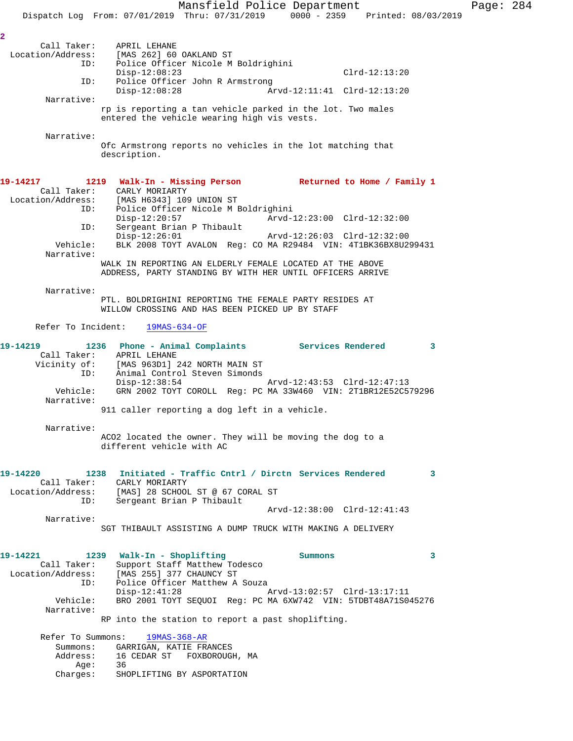Mansfield Police Department Page: 284 Dispatch Log From: 07/01/2019 Thru: 07/31/2019 0000 - 2359 Printed: 08/03/2019 **2**  Call Taker: APRIL LEHANE Location/Address: [MAS 262] 60 OAKLAND ST ID: Police Officer Nicole M Boldrighini Disp-12:08:23 Clrd-12:13:20 ID: Police Officer John R Armstrong<br>Disp-12:08:28 Ar Disp-12:08:28 Arvd-12:11:41 Clrd-12:13:20 Narrative: rp is reporting a tan vehicle parked in the lot. Two males entered the vehicle wearing high vis vests. Narrative: Ofc Armstrong reports no vehicles in the lot matching that description. **19-14217 1219 Walk-In - Missing Person Returned to Home / Family 1**  Call Taker: CARLY MORIARTY Location/Address: [MAS H6343] 109 UNION ST ID: Police Officer Nicole M Boldrighini Disp-12:20:57 Arvd-12:23:00 Clrd-12:32:00 ID: Sergeant Brian P Thibault Disp-12:26:01 Arvd-12:26:03 Clrd-12:32:00 Vehicle: BLK 2008 TOYT AVALON Reg: CO MA R29484 VIN: 4T1BK36BX8U299431 Narrative: WALK IN REPORTING AN ELDERLY FEMALE LOCATED AT THE ABOVE ADDRESS, PARTY STANDING BY WITH HER UNTIL OFFICERS ARRIVE Narrative: PTL. BOLDRIGHINI REPORTING THE FEMALE PARTY RESIDES AT WILLOW CROSSING AND HAS BEEN PICKED UP BY STAFF Refer To Incident: 19MAS-634-OF **19-14219 1236 Phone - Animal Complaints Services Rendered 3**  ID: Animal Control Steven Simonds<br>Disp-12:38:54 Disp-12:38:54 Arvd-12:43:53 Clrd-12:47:13 Vehicle: GRN 2002 TOYT COROLL Reg: PC MA 33W460 VIN: 2T1BR12E52C579296 Narrative: 911 caller reporting a dog left in a vehicle. Narrative: ACO2 located the owner. They will be moving the dog to a different vehicle with AC **19-14220 1238 Initiated - Traffic Cntrl / Dirctn Services Rendered 3**  ID: Sergeant Brian P Thibault Arvd-12:38:00 Clrd-12:41:43 Narrative: SGT THIBAULT ASSISTING A DUMP TRUCK WITH MAKING A DELIVERY **19-14221 1239 Walk-In - Shoplifting Summons 3**  Call Taker: Support Staff Matthew Todesco Location/Address: [MAS 255] 377 CHAUNCY ST ID: Police Officer Matthew A Souza Disp-12:41:28 Arvd-13:02:57 Clrd-13:17:11 Vehicle: BRO 2001 TOYT SEQUOI Reg: PC MA 6XW742 VIN: 5TDBT48A71S045276 Narrative: RP into the station to report a past shoplifting. Refer To Summons: 19MAS-368-AR Summons: GARRIGAN, KATIE FRANCES Address: 16 CEDAR ST FOXBOROUGH, MA

 Call Taker: APRIL LEHANE Vicinity of: [MAS 963D1] 242 NORTH MAIN ST

## Call Taker: CARLY MORIARTY Location/Address: [MAS] 28 SCHOOL ST @ 67 CORAL ST

 Age: 36 Charges: SHOPLIFTING BY ASPORTATION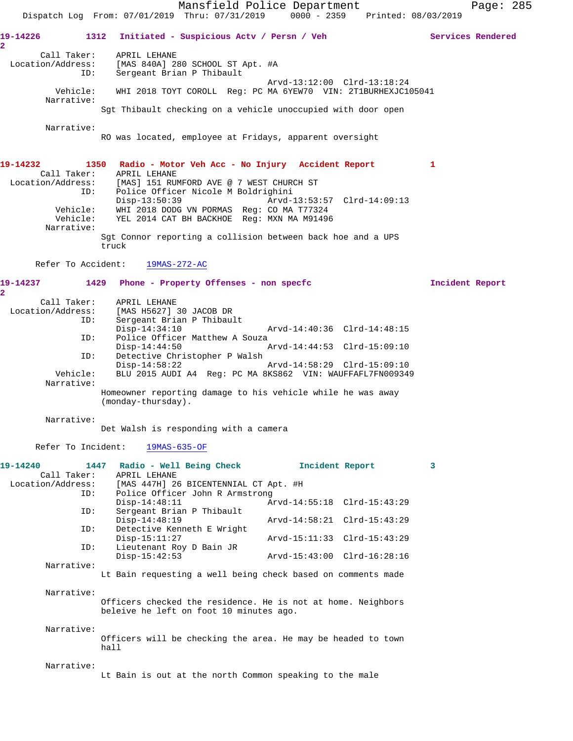Mansfield Police Department Page: 285 Dispatch Log From: 07/01/2019 Thru: 07/31/2019 0000 - 2359 Printed: 08/03/2019 **19-14226 1312 Initiated - Suspicious Actv / Persn / Veh Services Rendered 2**  Call Taker: APRIL LEHANE Location/Address: [MAS 840A] 280 SCHOOL ST Apt. #A ID: Sergeant Brian P Thibault Arvd-13:12:00 Clrd-13:18:24 Vehicle: WHI 2018 TOYT COROLL Reg: PC MA 6YEW70 VIN: 2T1BURHEXJC105041 Narrative: Sgt Thibault checking on a vehicle unoccupied with door open Narrative: RO was located, employee at Fridays, apparent oversight **19-14232 1350 Radio - Motor Veh Acc - No Injury Accident Report 1**  Call Taker: APRIL LEHANE Location/Address: [MAS] 151 RUMFORD AVE @ 7 WEST CHURCH ST ID: Police Officer Nicole M Boldrighini Disp-13:50:39 Arvd-13:53:57 Clrd-14:09:13 Vehicle: WHI 2018 DODG VN PORMAS Reg: CO MA T77324 Vehicle: YEL 2014 CAT BH BACKHOE Reg: MXN MA M91496 Narrative: Sgt Connor reporting a collision between back hoe and a UPS truck Refer To Accident: 19MAS-272-AC **19-14237 1429 Phone - Property Offenses - non specfc Incident Report 2**  Call Taker: APRIL LEHANE Location/Address: [MAS H5627] 30 JACOB DR ID: Sergeant Brian P Thibault Disp-14:34:10 Arvd-14:40:36 Clrd-14:48:15 ID: Police Officer Matthew A Souza<br>Disp-14:44:50 A Disp-14:44:50 Arvd-14:44:53 Clrd-15:09:10<br>ID: Detective Christopher P Walsh Detective Christopher P Walsh<br>Disp-14:58:22 Disp-14:58:22 Arvd-14:58:29 Clrd-15:09:10 Vehicle: BLU 2015 AUDI A4 Reg: PC MA 8KS862 VIN: WAUFFAFL7FN009349 Narrative: Homeowner reporting damage to his vehicle while he was away (monday-thursday). Narrative: Det Walsh is responding with a camera Refer To Incident: 19MAS-635-OF **19-14240 1447 Radio - Well Being Check Incident Report 3**  Call Taker: APRIL LEHANE<br>Location/Address: [MAS 447H] 26 ess: [MAS 447H] 26 BICENTENNIAL CT Apt. #H<br>ID: Police Officer John R Armstrong Police Officer John R Armstrong<br>Disp-14:48:11 A Arvd-14:55:18 Clrd-15:43:29 ID: Sergeant Brian P Thibault Disp-14:48:19 <br>TD: Detective Kenneth F. Wright<br>TD: Detective Kenneth F. Wright Detective Kenneth E Wright<br>Disp-15:11:27 Disp-15:11:27 Arvd-15:11:33 Clrd-15:43:29 ID: Lieutenant Roy D Bain JR Disp-15:42:53 Arvd-15:43:00 Clrd-16:28:16 Narrative: Lt Bain requesting a well being check based on comments made Narrative: Officers checked the residence. He is not at home. Neighbors beleive he left on foot 10 minutes ago. Narrative: Officers will be checking the area. He may be headed to town hall Narrative: Lt Bain is out at the north Common speaking to the male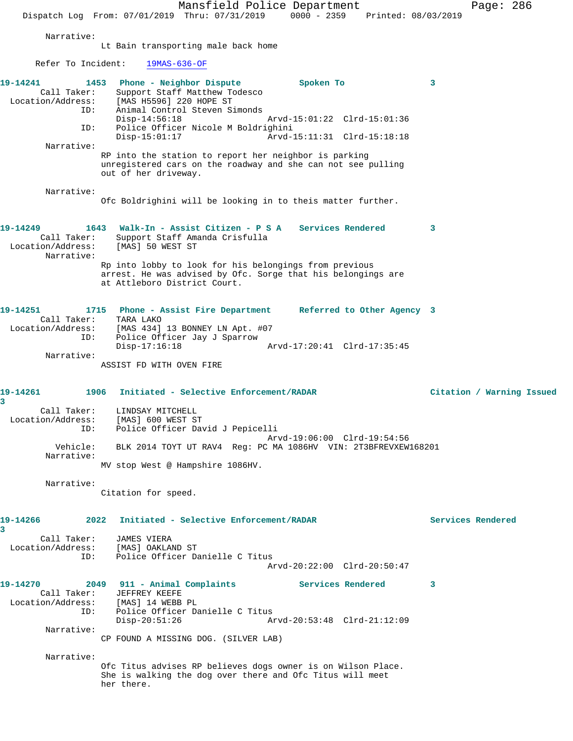Mansfield Police Department Page: 286 Dispatch Log From: 07/01/2019 Thru: 07/31/2019 0000 - 2359 Printed: 08/03/2019 Narrative: Lt Bain transporting male back home Refer To Incident: 19MAS-636-OF **19-14241 1453 Phone - Neighbor Dispute Spoken To 3**  Call Taker: Support Staff Matthew Todesco Location/Address: [MAS H5596] 220 HOPE ST ID: Animal Control Steven Simonds Disp-14:56:18 Arvd-15:01:22 Clrd-15:01:36<br>ID: Police Officer Nicole M Boldrighini Police Officer Nicole M Boldrighini<br>Disp-15:01:17 Arvd-Arvd-15:11:31 Clrd-15:18:18 Narrative: RP into the station to report her neighbor is parking unregistered cars on the roadway and she can not see pulling out of her driveway. Narrative: Ofc Boldrighini will be looking in to theis matter further. **19-14249 1643 Walk-In - Assist Citizen - P S A Services Rendered 3**  Call Taker: Support Staff Amanda Crisfulla Location/Address: [MAS] 50 WEST ST Narrative: Rp into lobby to look for his belongings from previous arrest. He was advised by Ofc. Sorge that his belongings are at Attleboro District Court. **19-14251 1715 Phone - Assist Fire Department Referred to Other Agency 3**  Call Taker: TARA LAKO Location/Address: [MAS 434] 13 BONNEY LN Apt. #07 ID: Police Officer Jay J Sparrow Disp-17:16:18 Arvd-17:20:41 Clrd-17:35:45 Narrative: ASSIST FD WITH OVEN FIRE **19-14261 1906 Initiated - Selective Enforcement/RADAR Citation / Warning Issued 3**  Call Taker: LINDSAY MITCHELL Location/Address: [MAS] 600 WEST ST ID: Police Officer David J Pepicelli Arvd-19:06:00 Clrd-19:54:56 Vehicle: BLK 2014 TOYT UT RAV4 Reg: PC MA 1086HV VIN: 2T3BFREVXEW168201 Narrative: MV stop West @ Hampshire 1086HV. Narrative: Citation for speed. **19-14266 2022 Initiated - Selective Enforcement/RADAR Services Rendered 3**  Call Taker: JAMES VIERA Location/Address: [MAS] OAKLAND ST ID: Police Officer Danielle C Titus Arvd-20:22:00 Clrd-20:50:47 **19-14270 2049 911 - Animal Complaints Services Rendered 3**  Call Taker: JEFFREY KEEFE<br>ion/Address: [MAS] 14 WEBB PL Location/Address: ID: Police Officer Danielle C Titus<br>Disp-20:51:26 Ar Disp-20:51:26 Arvd-20:53:48 Clrd-21:12:09 Narrative: CP FOUND A MISSING DOG. (SILVER LAB) Narrative: Ofc Titus advises RP believes dogs owner is on Wilson Place. She is walking the dog over there and Ofc Titus will meet her there.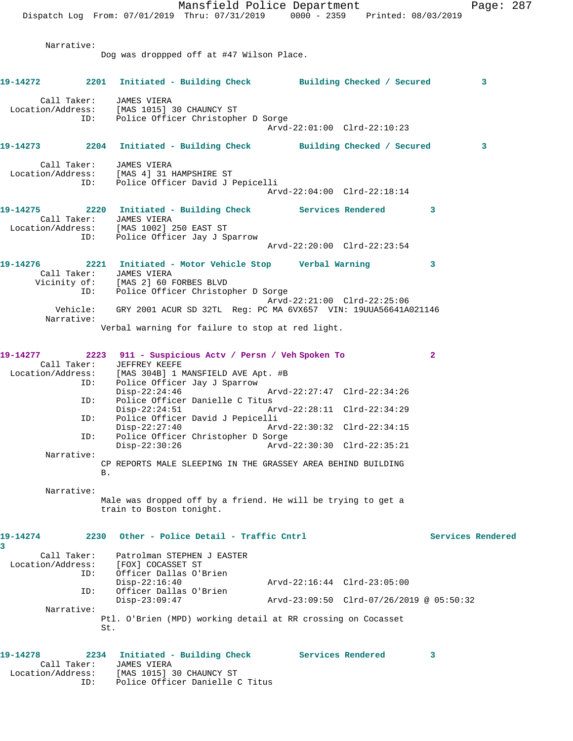Mansfield Police Department Fage: 287 Dispatch Log From: 07/01/2019 Thru: 07/31/2019 0000 - 2359 Printed: 08/03/2019 Narrative: Dog was droppped off at #47 Wilson Place. **19-14272 2201 Initiated - Building Check Building Checked / Secured 3** Call Taker: JAMES VIERA Location/Address: [MAS 1015] 30 CHAUNCY ST ID: Police Officer Christopher D Sorge Arvd-22:01:00 Clrd-22:10:23 **19-14273 2204 Initiated - Building Check Building Checked / Secured 3** Call Taker: JAMES VIERA Location/Address: [MAS 4] 31 HAMPSHIRE ST ID: Police Officer David J Pepicelli Arvd-22:04:00 Clrd-22:18:14 **19-14275 2220 Initiated - Building Check Services Rendered 3**  Call Taker: JAMES VIERA Location/Address: [MAS 1002] 250 EAST ST ID: Police Officer Jay J Sparrow Arvd-22:20:00 Clrd-22:23:54 **19-14276 2221 Initiated - Motor Vehicle Stop Verbal Warning 3**  Call Taker: JAMES VIERA Vicinity of: [MAS 2] 60 FORBES BLVD ID: Police Officer Christopher D Sorge Arvd-22:21:00 Clrd-22:25:06 Vehicle: GRY 2001 ACUR SD 32TL Reg: PC MA 6VX657 VIN: 19UUA56641A021146 Narrative: Verbal warning for failure to stop at red light. **19-14277 2223 911 - Suspicious Actv / Persn / Veh Spoken To 2**  Call Taker: JEFFREY KEEFE Location/Address: [MAS 304B] 1 MANSFIELD AVE Apt. #B ID: Police Officer Jay J Sparrow<br>Disp-22:24:46 Disp-22:24:46 Arvd-22:27:47 Clrd-22:34:26<br>ID: Police Officer Danielle C Titus Police Officer Danielle C Titus Disp-22:24:51 Arvd-22:28:11 Clrd-22:34:29 ID: Police Officer David J Pepicelli Arvd-22:30:32 Clrd-22:34:15 ID: Police Officer Christopher D Sorge Disp-22:30:26 Arvd-22:30:30 Clrd-22:35:21 Narrative: CP REPORTS MALE SLEEPING IN THE GRASSEY AREA BEHIND BUILDING B. Narrative: Male was dropped off by a friend. He will be trying to get a train to Boston tonight. 19-14274 2230 Other - Police Detail - Traffic Cntrl **Services Rendered 3**  Call Taker: Patrolman STEPHEN J EASTER Location/Address: [FOX] COCASSET ST<br>ID: Officer Dallas O'B Officer Dallas O'Brien<br>Disp-22:16:40 Disp-22:16:40 Arvd-22:16:44 Clrd-23:05:00 ID: Officer Dallas O'Brien<br>Disp-23:09:47 Disp-23:09:47 Arvd-23:09:50 Clrd-07/26/2019 @ 05:50:32 Narrative: Ptl. O'Brien (MPD) working detail at RR crossing on Cocasset St.

| 19-14278          |             | 2234 Initiated - Building Check | Services Rendered |  |
|-------------------|-------------|---------------------------------|-------------------|--|
|                   | Call Taker: | JAMES VIERA                     |                   |  |
| Location/Address: |             | [MAS 1015] 30 CHAUNCY ST        |                   |  |
|                   | ID:         | Police Officer Danielle C Titus |                   |  |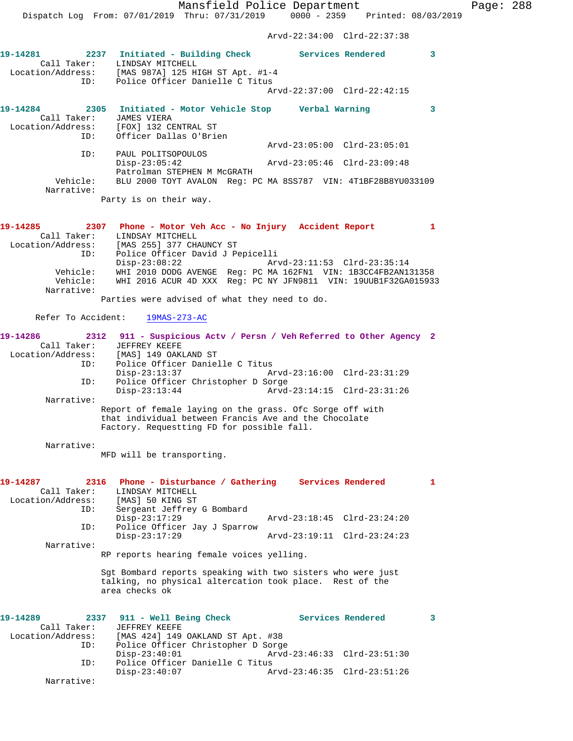Dispatch Log From: 07/01/2019 Thru: 07/31/2019 0000 - 2359 Printed: 08/03/2019 Arvd-22:34:00 Clrd-22:37:38 **19-14281 2237 Initiated - Building Check Services Rendered 3**  Call Taker: LINDSAY MITCHELL Location/Address: [MAS 987A] 125 HIGH ST Apt. #1-4 ID: Police Officer Danielle C Titus Arvd-22:37:00 Clrd-22:42:15 **19-14284 2305 Initiated - Motor Vehicle Stop Verbal Warning 3**  Call Taker: JAMES VIERA Location/Address: [FOX] 132 CENTRAL ST ID: Officer Dallas O'Brien Arvd-23:05:00 Clrd-23:05:01 ID: PAUL POLITSOPOULOS<br>Disp-23:05:42 Disp-23:05:42 Arvd-23:05:46 Clrd-23:09:48 Patrolman STEPHEN M McGRATH<br>Vehicle: BLU 2000 TOYT AVALON Reg: P BLU 2000 TOYT AVALON Reg: PC MA 8SS787 VIN: 4T1BF28B8YU033109 Narrative: Party is on their way. **19-14285 2307 Phone - Motor Veh Acc - No Injury Accident Report 1**  Call Taker: LINDSAY MITCHELL Location/Address: [MAS 255] 377 CHAUNCY ST ID: Police Officer David J Pepicelli Arvd-23:11:53 Clrd-23:35:14 Vehicle: WHI 2010 DODG AVENGE Reg: PC MA 162FN1 VIN: 1B3CC4FB2AN131358 Vehicle: WHI 2016 ACUR 4D XXX Reg: PC NY JFN9811 VIN: 19UUB1F32GA015933 Narrative: Parties were advised of what they need to do. Refer To Accident: 19MAS-273-AC **19-14286 2312 911 - Suspicious Actv / Persn / Veh Referred to Other Agency 2**  Call Taker: JEFFREY KEEFE Location/Address: [MAS] 149 OAKLAND ST ID: Police Officer Danielle C Titus Disp-23:13:37 Arvd-23:16:00 Clrd-23:31:29 ID: Police Officer Christopher D Sorge<br>Disp-23:13:44 Arvd- Disp-23:13:44 Arvd-23:14:15 Clrd-23:31:26 Narrative: Report of female laying on the grass. Ofc Sorge off with that individual between Francis Ave and the Chocolate Factory. Requestting FD for possible fall. Narrative: MFD will be transporting. **19-14287 2316 Phone - Disturbance / Gathering Services Rendered 1**  Call Taker: LINDSAY MITCHELL Location/Address: [MAS] 50 KING ST ID: Sergeant Jeffrey G Bombard Disp-23:17:29 Arvd-23:18:45 Clrd-23:24:20 ID: Police Officer Jay J Sparrow Arvd-23:19:11 Clrd-23:24:23 Narrative: RP reports hearing female voices yelling. Sgt Bombard reports speaking with two sisters who were just talking, no physical altercation took place. Rest of the area checks ok 19-14289 **2337** 911 - Well Being Check Services Rendered 3 Call Taker: JEFFREY KEEFE<br>Location/Address: [MAS 424] 149 [MAS 424] 149 OAKLAND ST Apt. #38 ID: Police Officer Christopher D Sorge Disp-23:40:01 Arvd-23:46:33 Clrd-23:51:30 ID: Police Officer Danielle C Titus Disp-23:40:07 Arvd-23:46:35 Clrd-23:51:26

Narrative:

Mansfield Police Department Page: 288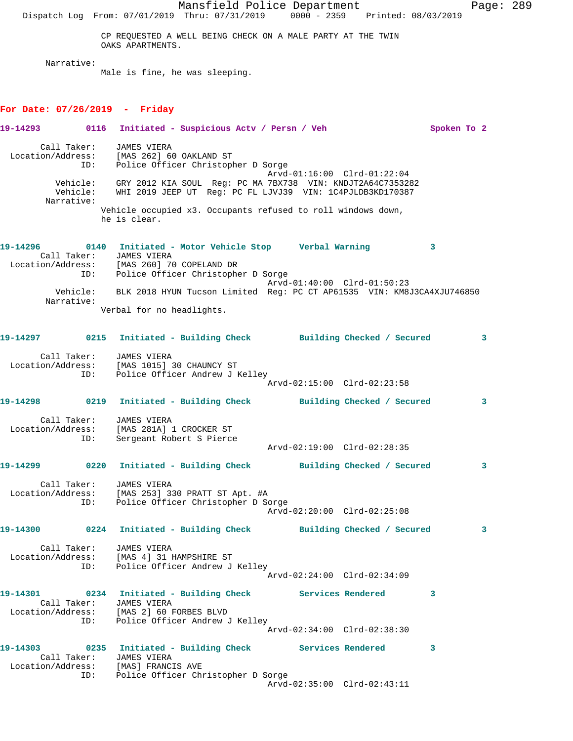Mansfield Police Department Page: 289 Dispatch Log From: 07/01/2019 Thru: 07/31/2019 0000 - 2359 Printed: 08/03/2019 CP REQUESTED A WELL BEING CHECK ON A MALE PARTY AT THE TWIN OAKS APARTMENTS. Narrative: Male is fine, he was sleeping. **For Date: 07/26/2019 - Friday 19-14293 0116 Initiated - Suspicious Actv / Persn / Veh Spoken To 2** Call Taker: JAMES VIERA Location/Address: [MAS 262] 60 OAKLAND ST ID: Police Officer Christopher D Sorge Arvd-01:16:00 Clrd-01:22:04 Vehicle: GRY 2012 KIA SOUL Reg: PC MA 7BX738 VIN: KNDJT2A64C7353282 Vehicle: WHI 2019 JEEP UT Reg: PC FL LJVJ39 VIN: 1C4PJLDB3KD170387 Narrative: Vehicle occupied x3. Occupants refused to roll windows down, he is clear. **19-14296 0140 Initiated - Motor Vehicle Stop Verbal Warning 3**  Call Taker: JAMES VIERA Location/Address: [MAS 260] 70 COPELAND DR ID: Police Officer Christopher D Sorge Arvd-01:40:00 Clrd-01:50:23 Vehicle: BLK 2018 HYUN Tucson Limited Reg: PC CT AP61535 VIN: KM8J3CA4XJU746850 Narrative: Verbal for no headlights. **19-14297 0215 Initiated - Building Check Building Checked / Secured 3** Call Taker: JAMES VIERA Location/Address: [MAS 1015] 30 CHAUNCY ST ID: Police Officer Andrew J Kelley Arvd-02:15:00 Clrd-02:23:58 **19-14298 0219 Initiated - Building Check Building Checked / Secured 3** Call Taker: JAMES VIERA Location/Address: [MAS 281A] 1 CROCKER ST ID: Sergeant Robert S Pierce Arvd-02:19:00 Clrd-02:28:35 **19-14299 0220 Initiated - Building Check Building Checked / Secured 3** Call Taker: JAMES VIERA Location/Address: [MAS 253] 330 PRATT ST Apt. #A ID: Police Officer Christopher D Sorge Arvd-02:20:00 Clrd-02:25:08 **19-14300 0224 Initiated - Building Check Building Checked / Secured 3** Call Taker: JAMES VIERA Location/Address: [MAS 4] 31 HAMPSHIRE ST ID: Police Officer Andrew J Kelley Arvd-02:24:00 Clrd-02:34:09 **19-14301 0234 Initiated - Building Check Services Rendered 3**  Call Taker: JAMES VIERA Location/Address: [MAS 2] 60 FORBES BLVD ID: Police Officer Andrew J Kelley Arvd-02:34:00 Clrd-02:38:30 **19-14303 0235 Initiated - Building Check Services Rendered 3**  Call Taker: JAMES VIERA Location/Address: [MAS] FRANCIS AVE ID: Police Officer Christopher D Sorge Arvd-02:35:00 Clrd-02:43:11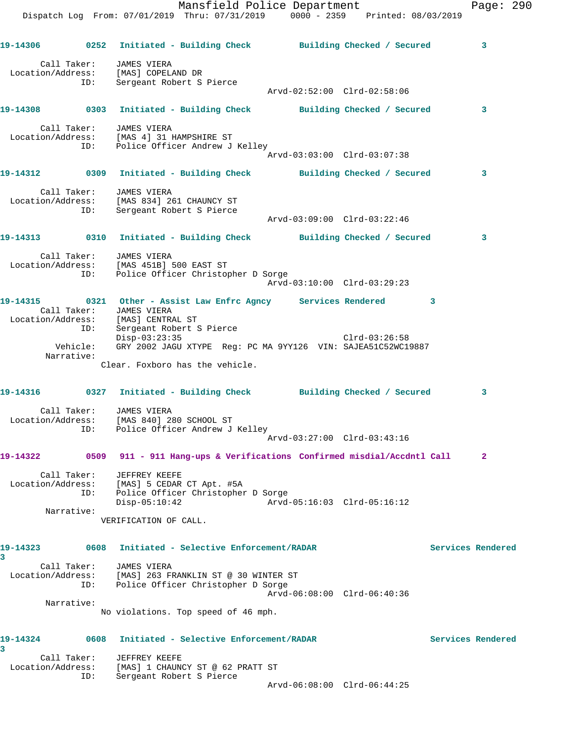Mansfield Police Department Fage: 290 Dispatch Log From: 07/01/2019 Thru: 07/31/2019 0000 - 2359 Printed: 08/03/2019 **19-14306 0252 Initiated - Building Check Building Checked / Secured 3** Call Taker: JAMES VIERA Location/Address: [MAS] COPELAND DR ID: Sergeant Robert S Pierce Arvd-02:52:00 Clrd-02:58:06 **19-14308 0303 Initiated - Building Check Building Checked / Secured 3** Call Taker: JAMES VIERA Location/Address: [MAS 4] 31 HAMPSHIRE ST ID: Police Officer Andrew J Kelley Arvd-03:03:00 Clrd-03:07:38 **19-14312 0309 Initiated - Building Check Building Checked / Secured 3** Call Taker: JAMES VIERA Location/Address: [MAS 834] 261 CHAUNCY ST ID: Sergeant Robert S Pierce Arvd-03:09:00 Clrd-03:22:46 **19-14313 0310 Initiated - Building Check Building Checked / Secured 3** Call Taker: JAMES VIERA Location/Address: [MAS 451B] 500 EAST ST ID: Police Officer Christopher D Sorge Arvd-03:10:00 Clrd-03:29:23 **19-14315 0321 Other - Assist Law Enfrc Agncy Services Rendered 3**  Call Taker: JAMES VIERA Location/Address: [MAS] CENTRAL ST ID: Sergeant Robert S Pierce Disp-03:23:35 Clrd-03:26:58 Vehicle: GRY 2002 JAGU XTYPE Reg: PC MA 9YY126 VIN: SAJEA51C52WC19887 Narrative: Clear. Foxboro has the vehicle. **19-14316 0327 Initiated - Building Check Building Checked / Secured 3** Call Taker: JAMES VIERA Location/Address: [MAS 840] 280 SCHOOL ST ID: Police Officer Andrew J Kelley Arvd-03:27:00 Clrd-03:43:16 **19-14322 0509 911 - 911 Hang-ups & Verifications Confirmed misdial/Accdntl Call 2** Call Taker: JEFFREY KEEFE Location/Address: [MAS] 5 CEDAR CT Apt. #5A ID: Police Officer Christopher D Sorge Disp-05:10:42 Arvd-05:16:03 Clrd-05:16:12 Narrative: VERIFICATION OF CALL. **19-14323 0608 Initiated - Selective Enforcement/RADAR Services Rendered 3**  Call Taker: JAMES VIERA Location/Address: [MAS] 263 FRANKLIN ST @ 30 WINTER ST ID: Police Officer Christopher D Sorge Arvd-06:08:00 Clrd-06:40:36 Narrative: No violations. Top speed of 46 mph. **19-14324 0608 Initiated - Selective Enforcement/RADAR Services Rendered 3**  Call Taker: JEFFREY KEEFE Location/Address: [MAS] 1 CHAUNCY ST @ 62 PRATT ST ID: Sergeant Robert S Pierce Arvd-06:08:00 Clrd-06:44:25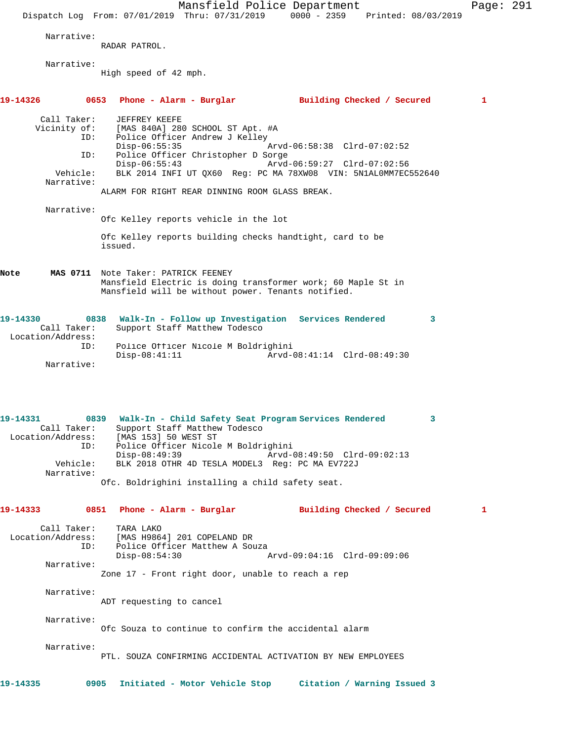|                                                                               | Mansfield Police Department<br>$0000 - 2359$<br>Dispatch Log From: 07/01/2019 Thru: 07/31/2019<br>Printed: 08/03/2019                                                                                                                                                                                                                             | Page: 291 |  |
|-------------------------------------------------------------------------------|---------------------------------------------------------------------------------------------------------------------------------------------------------------------------------------------------------------------------------------------------------------------------------------------------------------------------------------------------|-----------|--|
| Narrative:                                                                    | RADAR PATROL.                                                                                                                                                                                                                                                                                                                                     |           |  |
| Narrative:                                                                    | High speed of 42 mph.                                                                                                                                                                                                                                                                                                                             |           |  |
| 19-14326                                                                      | 0653 Phone - Alarm - Burglar<br>Building Checked / Secured                                                                                                                                                                                                                                                                                        | 1         |  |
| Call Taker:<br>Vicinity of:<br>ID:<br>ID:<br>Vehicle:<br>Narrative:           | JEFFREY KEEFE<br>[MAS 840A] 280 SCHOOL ST Apt. #A<br>Police Officer Andrew J Kelley<br>$Disp-06:55:35$<br>Arvd-06:58:38 Clrd-07:02:52<br>Police Officer Christopher D Sorge<br>$Disp-06:55:43$<br>Arvd-06:59:27 Clrd-07:02:56<br>BLK 2014 INFI UT QX60 Reg: PC MA 78XW08 VIN: 5N1AL0MM7EC552640<br>ALARM FOR RIGHT REAR DINNING ROOM GLASS BREAK. |           |  |
| Narrative:                                                                    | Ofc Kelley reports vehicle in the lot                                                                                                                                                                                                                                                                                                             |           |  |
|                                                                               | Ofc Kelley reports building checks handtight, card to be<br>issued.                                                                                                                                                                                                                                                                               |           |  |
| Note                                                                          | MAS 0711 Note Taker: PATRICK FEENEY<br>Mansfield Electric is doing transformer work; 60 Maple St in<br>Mansfield will be without power. Tenants notified.                                                                                                                                                                                         |           |  |
| 19-14330<br>Call Taker:<br>Location/Address:<br>ID:<br>Narrative:             | 0838 Walk-In - Follow up Investigation Services Rendered<br>3<br>Support Staff Matthew Todesco<br>Police Officer Nicole M Boldrighini<br>$Disp-08:41:11$<br>Arvd-08:41:14 Clrd-08:49:30                                                                                                                                                           |           |  |
| 19-14331<br>Call Taker:<br>Location/Address:<br>ID:<br>Vehicle:<br>Narrative: | 0839<br>Walk-In - Child Safety Seat Program Services Rendered<br>Support Staff Matthew Todesco<br>[MAS 153] 50 WEST ST<br>Police Officer Nicole M Boldrighini<br>$Disp-08:49:39$<br>Arvd-08:49:50 Clrd-09:02:13<br>BLK 2018 OTHR 4D TESLA MODEL3 Req: PC MA EV722J<br>Ofc. Boldrighini installing a child safety seat.                            |           |  |
| 19-14333                                                                      | 0851 Phone - Alarm - Burglar<br>Building Checked / Secured                                                                                                                                                                                                                                                                                        | 1         |  |
| Call Taker:<br>Location/Address:<br>ID:<br>Narrative:                         | TARA LAKO<br>[MAS H9864] 201 COPELAND DR<br>Police Officer Matthew A Souza<br>$Disp-08:54:30$<br>Arvd-09:04:16 Clrd-09:09:06<br>Zone 17 - Front right door, unable to reach a rep                                                                                                                                                                 |           |  |
| Narrative:                                                                    | ADT requesting to cancel                                                                                                                                                                                                                                                                                                                          |           |  |
| Narrative:                                                                    | Ofc Souza to continue to confirm the accidental alarm                                                                                                                                                                                                                                                                                             |           |  |
| Narrative:                                                                    | PTL. SOUZA CONFIRMING ACCIDENTAL ACTIVATION BY NEW EMPLOYEES                                                                                                                                                                                                                                                                                      |           |  |
| 19-14335                                                                      | Initiated - Motor Vehicle Stop<br>Citation / Warning Issued 3<br>0905                                                                                                                                                                                                                                                                             |           |  |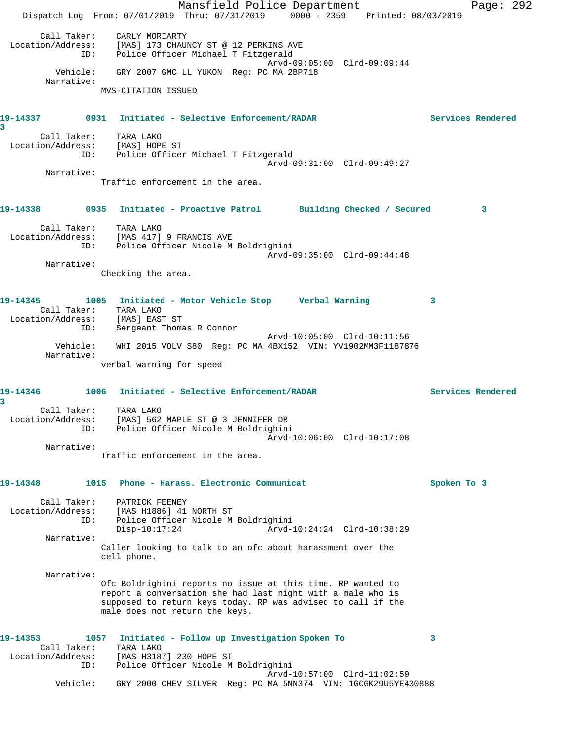|                                              |             | Mansfield Police Department                                                                                                                                                                                                  |                             | Page: 292                |
|----------------------------------------------|-------------|------------------------------------------------------------------------------------------------------------------------------------------------------------------------------------------------------------------------------|-----------------------------|--------------------------|
|                                              |             | Dispatch Log From: 07/01/2019 Thru: 07/31/2019 0000 - 2359 Printed: 08/03/2019                                                                                                                                               |                             |                          |
| Call Taker:<br>Location/Address:             | ID:         | CARLY MORIARTY<br>[MAS] 173 CHAUNCY ST @ 12 PERKINS AVE<br>Police Officer Michael T Fitzgerald                                                                                                                               | Arvd-09:05:00 Clrd-09:09:44 |                          |
| Narrative:                                   |             | Vehicle: GRY 2007 GMC LL YUKON Reg: PC MA 2BP718                                                                                                                                                                             |                             |                          |
|                                              |             | MVS-CITATION ISSUED                                                                                                                                                                                                          |                             |                          |
| 3                                            |             |                                                                                                                                                                                                                              |                             | <b>Services Rendered</b> |
|                                              | ID:         | Call Taker: TARA LAKO<br>Location/Address: [MAS] HOPE ST<br>Police Officer Michael T Fitzgerald                                                                                                                              |                             |                          |
| Narrative:                                   |             |                                                                                                                                                                                                                              | Arvd-09:31:00 Clrd-09:49:27 |                          |
|                                              |             | Traffic enforcement in the area.                                                                                                                                                                                             |                             |                          |
|                                              |             | 19-14338 		 0935 Initiated - Proactive Patrol 		 Building Checked / Secured                                                                                                                                                  |                             | 3                        |
|                                              |             | Call Taker: TARA LAKO<br>Location/Address: [MAS 417] 9 FRANCIS AVE<br>ID: Police Officer Nicole M Boldrighini                                                                                                                |                             |                          |
| Narrative:                                   |             |                                                                                                                                                                                                                              | Arvd-09:35:00 Clrd-09:44:48 |                          |
|                                              |             | Checking the area.                                                                                                                                                                                                           |                             |                          |
| 19-14345                                     | ID:         | 1005 Initiated - Motor Vehicle Stop Verbal Warning<br>Call Taker: TARA LAKO<br>Location/Address: [MAS] EAST ST<br>Sergeant Thomas R Connor                                                                                   |                             | 3                        |
| Narrative:                                   | Vehicle:    | WHI 2015 VOLV S80 Reg: PC MA 4BX152 VIN: YV1902MM3F1187876                                                                                                                                                                   | Arvd-10:05:00 Clrd-10:11:56 |                          |
|                                              |             | verbal warning for speed                                                                                                                                                                                                     |                             |                          |
| 19-14346<br>3                                |             | 1006 Initiated - Selective Enforcement/RADAR                                                                                                                                                                                 |                             | Services Rendered        |
| Call Taker:<br>Narrative:                    | ID:         | TARA LAKO<br>Location/Address: [MAS] 562 MAPLE ST @ 3 JENNIFER DR<br>Police Officer Nicole M Boldrighini                                                                                                                     | Arvd-10:06:00 Clrd-10:17:08 |                          |
|                                              |             | Traffic enforcement in the area.                                                                                                                                                                                             |                             |                          |
| 19-14348                                     | 1015        | Phone - Harass, Electronic Communicat                                                                                                                                                                                        |                             | Spoken To 3              |
| Call Taker:<br>Location/Address:             | ID:         | PATRICK FEENEY<br>[MAS H1886] 41 NORTH ST<br>Police Officer Nicole M Boldrighini<br>$Disp-10:17:24$                                                                                                                          | Arvd-10:24:24 Clrd-10:38:29 |                          |
| Narrative:                                   |             | Caller looking to talk to an ofc about harassment over the<br>cell phone.                                                                                                                                                    |                             |                          |
| Narrative:                                   |             |                                                                                                                                                                                                                              |                             |                          |
|                                              |             | Ofc Boldrighini reports no issue at this time. RP wanted to<br>report a conversation she had last night with a male who is<br>supposed to return keys today. RP was advised to call if the<br>male does not return the keys. |                             |                          |
| 19-14353<br>Call Taker:<br>Location/Address: | 1057<br>ID: | Initiated - Follow up Investigation Spoken To<br>TARA LAKO<br>[MAS H3187] 230 HOPE ST<br>Police Officer Nicole M Boldrighini                                                                                                 |                             | 3                        |
|                                              | Vehicle:    | GRY 2000 CHEV SILVER Req: PC MA 5NN374 VIN: 1GCGK29U5YE430888                                                                                                                                                                | Arvd-10:57:00 Clrd-11:02:59 |                          |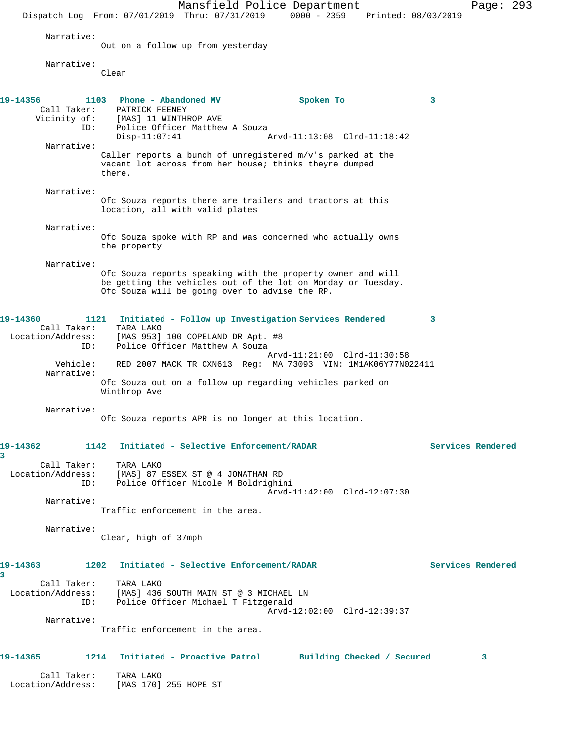Mansfield Police Department Page: 293 Dispatch Log From: 07/01/2019 Thru: 07/31/2019 0000 - 2359 Printed: 08/03/2019 Narrative: Out on a follow up from yesterday Narrative: Clear **19-14356 1103 Phone - Abandoned MV Spoken To 3**  Call Taker: PATRICK FEENEY Vicinity of: [MAS] 11 WINTHROP AVE ID: Police Officer Matthew A Souza Disp-11:07:41 Arvd-11:13:08 Clrd-11:18:42 Narrative: Caller reports a bunch of unregistered m/v's parked at the vacant lot across from her house; thinks theyre dumped there. Narrative: Ofc Souza reports there are trailers and tractors at this location, all with valid plates Narrative: Ofc Souza spoke with RP and was concerned who actually owns the property Narrative: Ofc Souza reports speaking with the property owner and will be getting the vehicles out of the lot on Monday or Tuesday. Ofc Souza will be going over to advise the RP. **19-14360 1121 Initiated - Follow up Investigation Services Rendered 3**  Call Taker: TARA LAKO Location/Address: [MAS 953] 100 COPELAND DR Apt. #8 ID: Police Officer Matthew A Souza Arvd-11:21:00 Clrd-11:30:58<br>Vehicle: RED 2007 MACK TR CXN613 Reg: MA 73093 VIN: 1M1AK06Y77N0 RED 2007 MACK TR CXN613 Reg: MA 73093 VIN: 1M1AK06Y77N022411 Narrative: Ofc Souza out on a follow up regarding vehicles parked on Winthrop Ave Narrative: Ofc Souza reports APR is no longer at this location. **19-14362 1142 Initiated - Selective Enforcement/RADAR Services Rendered 3**  Call Taker: TARA LAKO Location/Address: [MAS] 87 ESSEX ST @ 4 JONATHAN RD ID: Police Officer Nicole M Boldrighini Arvd-11:42:00 Clrd-12:07:30 Narrative: Traffic enforcement in the area. Narrative: Clear, high of 37mph **19-14363 1202 Initiated - Selective Enforcement/RADAR Services Rendered 3**  Call Taker: TARA LAKO Location/Address: [MAS] 436 SOUTH MAIN ST @ 3 MICHAEL LN ID: Police Officer Michael T Fitzgerald Arvd-12:02:00 Clrd-12:39:37 Narrative: Traffic enforcement in the area. **19-14365 1214 Initiated - Proactive Patrol Building Checked / Secured 3** Call Taker: TARA LAKO Location/Address: [MAS 170] 255 HOPE ST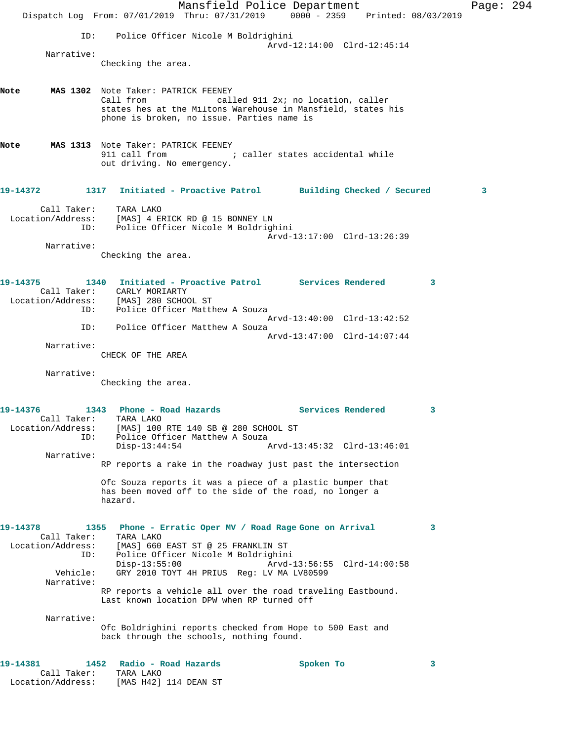Mansfield Police Department Page: 294 Dispatch Log From: 07/01/2019 Thru: 07/31/2019 0000 - 2359 Printed: 08/03/2019 ID: Police Officer Nicole M Boldrighini Arvd-12:14:00 Clrd-12:45:14 Narrative: Checking the area. **Note MAS 1302** Note Taker: PATRICK FEENEY Call from called 911 2x; no location, caller states hes at the Miltons Warehouse in Mansfield, states his phone is broken, no issue. Parties name is **Note MAS 1313** Note Taker: PATRICK FEENEY 911 call from  $\qquad \qquad ;$  caller states accidental while out driving. No emergency. **19-14372 1317 Initiated - Proactive Patrol Building Checked / Secured 3** Call Taker: TARA LAKO Location/Address: [MAS] 4 ERICK RD @ 15 BONNEY LN ID: Police Officer Nicole M Boldrighini Arvd-13:17:00 Clrd-13:26:39 Narrative: Checking the area. **19-14375 1340 Initiated - Proactive Patrol Services Rendered 3**  Call Taker: CARLY MORIARTY Location/Address: [MAS] 280 SCHOOL ST ID: Police Officer Matthew A Souza Arvd-13:40:00 Clrd-13:42:52 ID: Police Officer Matthew A Souza Arvd-13:47:00 Clrd-14:07:44 Narrative: CHECK OF THE AREA Narrative: Checking the area. **19-14376 1343 Phone - Road Hazards Services Rendered 3**  Call Taker: TARA LAKO Location/Address: [MAS] 100 RTE 140 SB @ 280 SCHOOL ST ID: Police Officer Matthew A Souza Disp-13:44:54 Arvd-13:45:32 Clrd-13:46:01 Narrative: RP reports a rake in the roadway just past the intersection Ofc Souza reports it was a piece of a plastic bumper that has been moved off to the side of the road, no longer a hazard. **19-14378 1355 Phone - Erratic Oper MV / Road Rage Gone on Arrival 3**  Call Taker: TARA LAKO Location/Address: [MAS] 660 EAST ST @ 25 FRANKLIN ST ID: Police Officer Nicole M Boldrighini Disp-13:55:00 Arvd-13:56:55 Clrd-14:00:58 Vehicle: GRY 2010 TOYT 4H PRIUS Reg: LV MA LV80599 Narrative: RP reports a vehicle all over the road traveling Eastbound. Last known location DPW when RP turned off Narrative: Ofc Boldrighini reports checked from Hope to 500 East and back through the schools, nothing found. **19-14381 1452 Radio - Road Hazards Spoken To 3**  Call Taker: TARA LAKO Location/Address: [MAS H42] 114 DEAN ST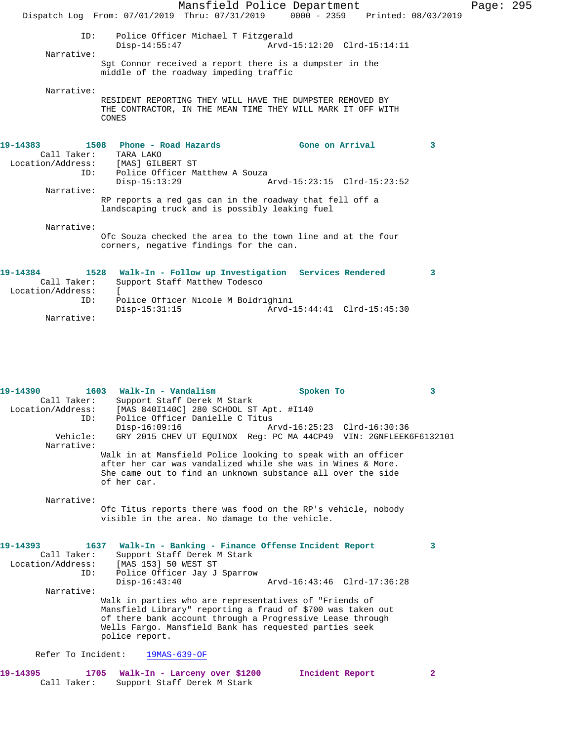|                                                     |                                                                                                 | Mansfield Police Department<br>Dispatch Log From: 07/01/2019 Thru: 07/31/2019 0000 - 2359 Printed: 08/03/2019                    |                                                |   | Page: 295 |  |
|-----------------------------------------------------|-------------------------------------------------------------------------------------------------|----------------------------------------------------------------------------------------------------------------------------------|------------------------------------------------|---|-----------|--|
| ID:<br>Narrative:                                   | $Disp-14:55:47$                                                                                 | Police Officer Michael T Fitzgerald                                                                                              | Arvd-15:12:20 Clrd-15:14:11                    |   |           |  |
|                                                     |                                                                                                 | Sqt Connor received a report there is a dumpster in the<br>middle of the roadway impeding traffic                                |                                                |   |           |  |
| Narrative:                                          | CONES                                                                                           | RESIDENT REPORTING THEY WILL HAVE THE DUMPSTER REMOVED BY<br>THE CONTRACTOR, IN THE MEAN TIME THEY WILL MARK IT OFF WITH         |                                                |   |           |  |
| 19-14383<br>Call Taker:<br>ID:                      | 1508 Phone - Road Hazards<br>TARA LAKO<br>Location/Address: [MAS] GILBERT ST<br>$Disp-15:13:29$ | Police Officer Matthew A Souza                                                                                                   | Gone on Arrival<br>Arvd-15:23:15 Clrd-15:23:52 | 3 |           |  |
| Narrative:                                          |                                                                                                 | RP reports a red gas can in the roadway that fell off a<br>landscaping truck and is possibly leaking fuel                        |                                                |   |           |  |
| Narrative:                                          |                                                                                                 | Ofc Souza checked the area to the town line and at the four<br>corners, negative findings for the can.                           |                                                |   |           |  |
| 19-14384<br>Call Taker:<br>Location/Address:<br>ID: | $Disp-15:31:15$                                                                                 | 1528 Walk-In - Follow up Investigation Services Rendered<br>Support Staff Matthew Todesco<br>Police Officer Nicole M Boldrighini | Arvd-15:44:41 Clrd-15:45:30                    | 3 |           |  |

**19-14390 1603 Walk-In - Vandalism Spoken To 3**  Call Taker: Support Staff Derek M Stark Location/Address: [MAS 840I140C] 280 SCHOOL ST Apt. #I140<br>ID: Police Officer Danielle C Titus Police Officer Danielle C Titus<br>Disp-16:09:16 Disp-16:09:16 Arvd-16:25:23 Clrd-16:30:36<br>Vehicle: GRY 2015 CHEV UT EQUINOX Req: PC MA 44CP49 VIN: 2GNFLEEK GRY 2015 CHEV UT EQUINOX Reg: PC MA 44CP49 VIN: 2GNFLEEK6F6132101 Narrative: Walk in at Mansfield Police looking to speak with an officer after her car was vandalized while she was in Wines & More. She came out to find an unknown substance all over the side of her car. Narrative: Ofc Titus reports there was food on the RP's vehicle, nobody visible in the area. No damage to the vehicle. **19-14393 1637 Walk-In - Banking - Finance Offense Incident Report 3**  Call Taker: Support Staff Derek M Stark<br>Location/Address: [MAS 153] 50 WEST ST ess: [MAS 153] 50 WEST ST<br>ID: Police Officer Jay J Police Officer Jay J Sparrow<br>Disp-16:43:40 Disp-16:43:40 Arvd-16:43:46 Clrd-17:36:28 Narrative: Walk in parties who are representatives of "Friends of Mansfield Library" reporting a fraud of \$700 was taken out of there bank account through a Progressive Lease through Wells Fargo. Mansfield Bank has requested parties seek police report. Refer To Incident: 19MAS-639-OF

**19-14395 1705 Walk-In - Larceny over \$1200 Incident Report 2**  Call Taker: Support Staff Derek M Stark

Narrative: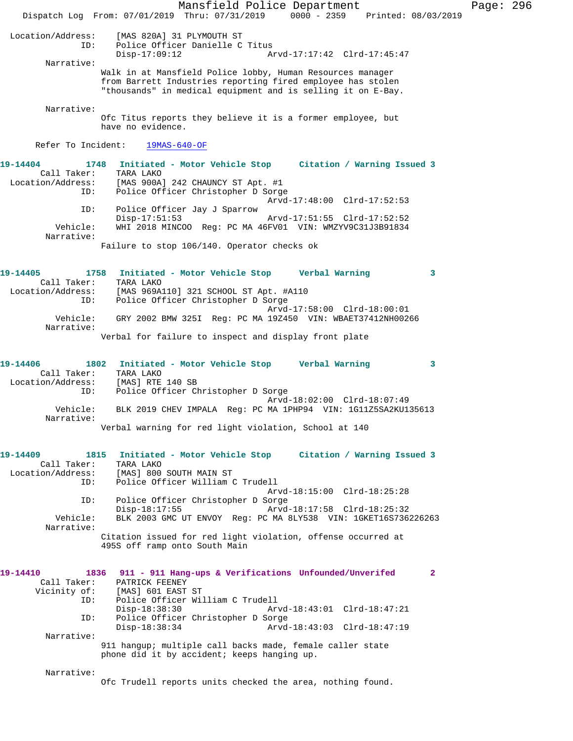Mansfield Police Department Page: 296 Dispatch Log From: 07/01/2019 Thru: 07/31/2019 0000 - 2359 Printed: 08/03/2019 Location/Address: [MAS 820A] 31 PLYMOUTH ST Police Officer Danielle C Titus<br>Disp-17:09:12 Disp-17:09:12 Arvd-17:17:42 Clrd-17:45:47 Narrative: Walk in at Mansfield Police lobby, Human Resources manager from Barrett Industries reporting fired employee has stolen "thousands" in medical equipment and is selling it on E-Bay. Narrative: Ofc Titus reports they believe it is a former employee, but have no evidence. Refer To Incident: 19MAS-640-OF **19-14404 1748 Initiated - Motor Vehicle Stop Citation / Warning Issued 3**  Call Taker: TARA LAKO Location/Address: [MAS 900A] 242 CHAUNCY ST Apt. #1 ID: Police Officer Christopher D Sorge Arvd-17:48:00 Clrd-17:52:53 ID: Police Officer Jay J Sparrow Disp-17:51:53 Arvd-17:51:55 Clrd-17:52:52<br>Vehicle: WHI 2018 MINCOO Reg: PC MA 46FV01 VIN: WMZYV9C31J3B91834 WHI 2018 MINCOO Reg: PC MA 46FV01 VIN: WMZYV9C31J3B91834 Narrative: Failure to stop 106/140. Operator checks ok **19-14405 1758 Initiated - Motor Vehicle Stop Verbal Warning 3**  Call Taker: TARA LAKO Location/Address: [MAS 969A110] 321 SCHOOL ST Apt. #A110 ID: Police Officer Christopher D Sorge Arvd-17:58:00 Clrd-18:00:01 Vehicle: GRY 2002 BMW 325I Reg: PC MA 19Z450 VIN: WBAET37412NH00266 Narrative: Verbal for failure to inspect and display front plate **19-14406 1802 Initiated - Motor Vehicle Stop Verbal Warning 3**  Call Taker: TARA LAKO Location/Address: [MAS] RTE 140 SB ID: Police Officer Christopher D Sorge Arvd-18:02:00 Clrd-18:07:49 Vehicle: BLK 2019 CHEV IMPALA Reg: PC MA 1PHP94 VIN: 1G11Z5SA2KU135613 Narrative: Verbal warning for red light violation, School at 140 **19-14409 1815 Initiated - Motor Vehicle Stop Citation / Warning Issued 3**  Call Taker: TARA LAKO Location/Address: [MAS] 800 SOUTH MAIN ST<br>ID: Police Officer William Police Officer William C Trudell Arvd-18:15:00 Clrd-18:25:28 ID: Police Officer Christopher D Sorge Disp-18:17:55 Arvd-18:17:58 Clrd-18:25:32<br>Vehicle: BLK 2003 GMC UT ENVOY Req: PC MA 8LY538 VIN: 1GKET16S736 BLK 2003 GMC UT ENVOY Reg: PC MA 8LY538 VIN: 1GKET16S736226263 Narrative: Citation issued for red light violation, offense occurred at 495S off ramp onto South Main **19-14410 1836 911 - 911 Hang-ups & Verifications Unfounded/Unverifed 2**  Call Taker: PATRICK FEENEY<br>Vicinity of: [MAS] 601 EAST of: [MAS] 601 EAST ST<br>ID: Police Officer Wil Police Officer William C Trudell Disp-18:38:30 Arvd-18:43:01 Clrd-18:47:21 ID: Police Officer Christopher D Sorge Disp-18:38:34 Arvd-18:43:03 Clrd-18:47:19 Narrative: 911 hangup; multiple call backs made, female caller state phone did it by accident; keeps hanging up. Narrative: Ofc Trudell reports units checked the area, nothing found.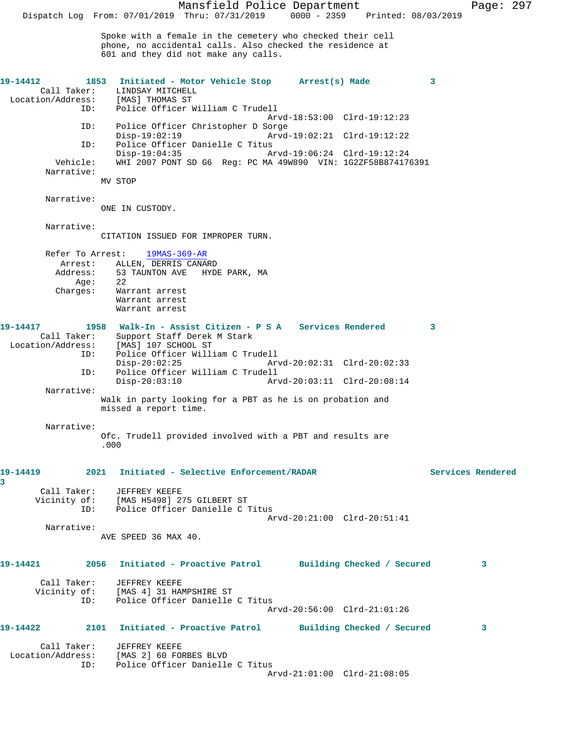**19-14412 1853 Initiated - Motor Vehicle Stop Arrest(s) Made 3**  Call Taker: LINDSAY MITCHELL Location/Address: [MAS] THOMAS ST<br>ID: Police Officer W Police Officer William C Trudell Arvd-18:53:00 Clrd-19:12:23 ID: Police Officer Christopher D Sorge Disp-19:02:19 Arvd-19:02:21 Clrd-19:12:22<br>TD: Police Officer Danielle C Titus ID: Police Officer Danielle C Titus Disp-19:04:35 Arvd-19:06:24 Clrd-19:12:24 Vehicle: WHI 2007 PONT SD G6 Reg: PC MA 49W890 VIN: 1G2ZF58B874176391 Narrative: MV STOP Narrative: ONE IN CUSTODY. Narrative: CITATION ISSUED FOR IMPROPER TURN. Refer To Arrest: 19MAS-369-AR Arrest: ALLEN, DERRIS CANARD Address: 53 TAUNTON AVE HYDE PARK, MA<br>Age: 22<br>Charges:  $\cdot$  $E = \text{Age}:$  Charges: Warrant arrest Warrant arrest Warrant arrest **19-14417 1958 Walk-In - Assist Citizen - P S A Services Rendered 3**  Call Taker: Support Staff Derek M Stark<br>Location/Address: [MAS] 107 SCHOOL ST ess: [MAS] 107 SCHOOL ST<br>ID: Police Officer Will Police Officer William C Trudell Disp-20:02:25 Arvd-20:02:31 Clrd-20:02:33 ID: Police Officer William C Trudell Disp-20:03:10 Arvd-20:03:11 Clrd-20:08:14 Narrative: Walk in party looking for a PBT as he is on probation and missed a report time. Narrative: Ofc. Trudell provided involved with a PBT and results are .000 **19-14419 2021 Initiated - Selective Enforcement/RADAR Services Rendered 3**  Call Taker: JEFFREY KEEFE Vicinity of: [MAS H5498] 275 GILBERT ST ID: Police Officer Danielle C Titus Arvd-20:21:00 Clrd-20:51:41 Narrative: AVE SPEED 36 MAX 40. **19-14421 2056 Initiated - Proactive Patrol Building Checked / Secured 3** Call Taker: JEFFREY KEEFE Vicinity of: [MAS 4] 31 HAMPSHIRE ST ID: Police Officer Danielle C Titus Arvd-20:56:00 Clrd-21:01:26 **19-14422 2101 Initiated - Proactive Patrol Building Checked / Secured 3** Call Taker: JEFFREY KEEFE Location/Address: [MAS 2] 60 FORBES BLVD ID: Police Officer Danielle C Titus Arvd-21:01:00 Clrd-21:08:05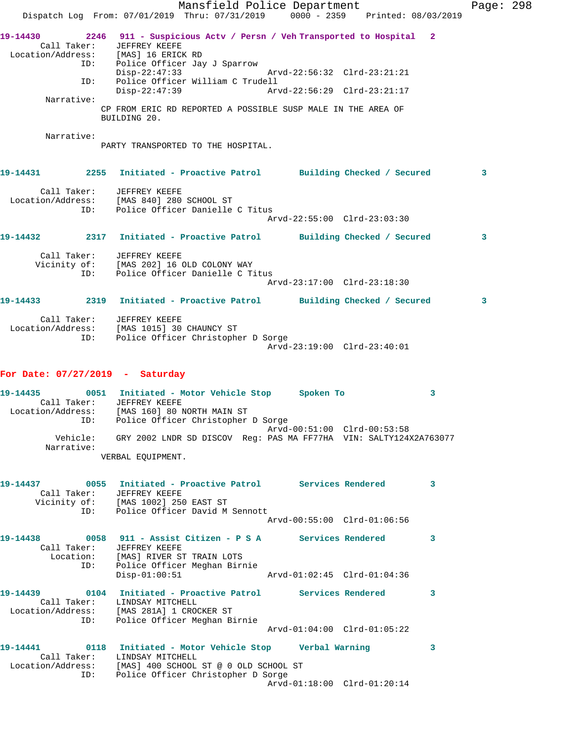|                                                                              | Mansfield Police Department<br>Dispatch Log From: 07/01/2019 Thru: 07/31/2019 0000 - 2359 Printed: 08/03/2019             |                             | Page: 298    |  |
|------------------------------------------------------------------------------|---------------------------------------------------------------------------------------------------------------------------|-----------------------------|--------------|--|
| 19-14430<br>Call Taker: JEFFREY KEEFE<br>Location/Address: [MAS] 16 ERICK RD | 2246 911 - Suspicious Actv / Persn / Veh Transported to Hospital 2<br>ID: Police Officer Jay J Sparrow<br>$Disp-22:47:33$ | Arvd-22:56:32 Clrd-23:21:21 |              |  |
| ID:                                                                          | Police Officer William C Trudell<br>Disp-22:47:39                                                                         | Arvd-22:56:29 Clrd-23:21:17 |              |  |
| Narrative:                                                                   |                                                                                                                           |                             |              |  |
|                                                                              | CP FROM ERIC RD REPORTED A POSSIBLE SUSP MALE IN THE AREA OF<br>BUILDING 20.                                              |                             |              |  |
| Narrative:                                                                   | PARTY TRANSPORTED TO THE HOSPITAL.                                                                                        |                             |              |  |
|                                                                              |                                                                                                                           |                             | $\mathbf{3}$ |  |
| Call Taker: JEFFREY KEEFE<br>ID:                                             | Location/Address: [MAS 840] 280 SCHOOL ST<br>Police Officer Danielle C Titus                                              | Arvd-22:55:00 Clrd-23:03:30 |              |  |
|                                                                              | 19-14432 2317 Initiated - Proactive Patrol Building Checked / Secured                                                     |                             | 3            |  |
|                                                                              |                                                                                                                           |                             |              |  |
| Call Taker: JEFFREY KEEFE<br>ID:                                             | Vicinity of: [MAS 202] 16 OLD COLONY WAY<br>Police Officer Danielle C Titus                                               | Arvd-23:17:00 Clrd-23:18:30 |              |  |
|                                                                              |                                                                                                                           |                             | 3            |  |
| Call Taker: JEFFREY KEEFE<br>ID:                                             | Location/Address: [MAS 1015] 30 CHAUNCY ST<br>Police Officer Christopher D Sorge                                          | Arvd-23:19:00 Clrd-23:40:01 |              |  |

## **For Date: 07/27/2019 - Saturday**

| $19 - 14435$      |                        | 0051 Initiated - Motor Vehicle Stop |  | Spoken To                   |                                                                   |
|-------------------|------------------------|-------------------------------------|--|-----------------------------|-------------------------------------------------------------------|
|                   | Call Taker:            | JEFFREY KEEFE                       |  |                             |                                                                   |
| Location/Address: |                        | [MAS 160] 80 NORTH MAIN ST          |  |                             |                                                                   |
|                   | ID:                    | Police Officer Christopher D Sorge  |  |                             |                                                                   |
|                   |                        |                                     |  | Arvd-00:51:00 Clrd-00:53:58 |                                                                   |
|                   | Vehicle:<br>Narrative: |                                     |  |                             | GRY 2002 LNDR SD DISCOV Req: PAS MA FF77HA VIN: SALTY124X2A763077 |
|                   |                        | VERBAL EOUIPMENT.                   |  |                             |                                                                   |

| 19-14437<br>Call Taker: | JEFFREY KEEFE<br>Vicinity of: [MAS 1002] 250 EAST ST<br>ID: Police Officer David M Sennott                                                                           | $\overline{3}$ |
|-------------------------|----------------------------------------------------------------------------------------------------------------------------------------------------------------------|----------------|
|                         | Arvd-00:55:00 Clrd-01:06:56                                                                                                                                          |                |
| Call Taker:             | JEFFREY KEEFE<br>Location: [MAS] RIVER ST TRAIN LOTS<br>ID: Police Officer Meghan Birnie                                                                             | 3              |
|                         | $Disp-01:00:51$                                                                                                                                                      |                |
| 19-14439                | 0104 Initiated - Proactive Patrol Services Rendered<br>Call Taker: LINDSAY MITCHELL<br>Location/Address: [MAS 281A] 1 CROCKER ST<br>ID: Police Officer Meghan Birnie | 3              |
|                         | Arvd-01:04:00 Clrd-01:05:22                                                                                                                                          |                |
| 19-14441                | Call Taker: LINDSAY MITCHELL<br>Location/Address: [MAS] 400 SCHOOL ST @ 0 OLD SCHOOL ST<br>ID: Police Officer Christopher D Sorge                                    | 3              |
|                         | Arvd-01:18:00 Clrd-01:20:14                                                                                                                                          |                |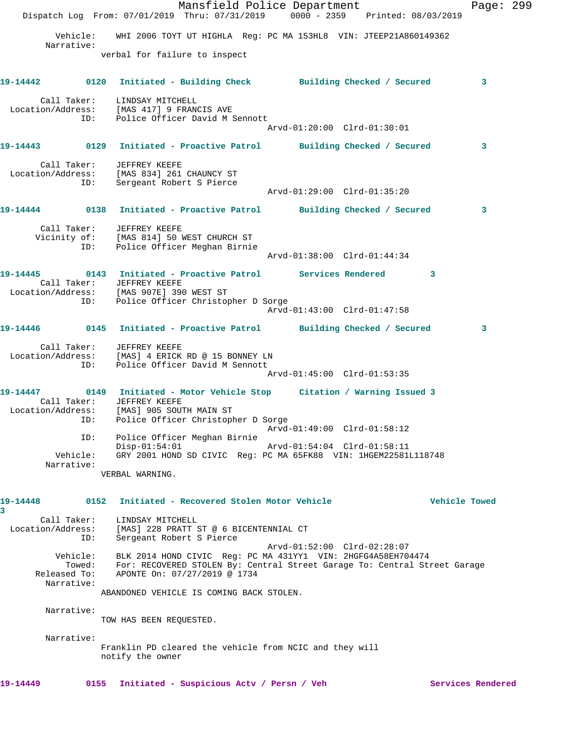|                                                                                                                                                                                   | Dispatch Log From: 07/01/2019 Thru: 07/31/2019 0000 - 2359 Printed: 08/03/2019                                                                                                                | Mansfield Police Department |                             |  | Page: 299         |  |
|-----------------------------------------------------------------------------------------------------------------------------------------------------------------------------------|-----------------------------------------------------------------------------------------------------------------------------------------------------------------------------------------------|-----------------------------|-----------------------------|--|-------------------|--|
|                                                                                                                                                                                   | Vehicle: WHI 2006 TOYT UT HIGHLA Reg: PC MA 153HL8 VIN: JTEEP21A860149362                                                                                                                     |                             |                             |  |                   |  |
| Narrative:                                                                                                                                                                        |                                                                                                                                                                                               |                             |                             |  |                   |  |
|                                                                                                                                                                                   | verbal for failure to inspect                                                                                                                                                                 |                             |                             |  |                   |  |
| 19-14442   0120 Initiated - Building Check   Building Checked / Secured                                                                                                           |                                                                                                                                                                                               |                             |                             |  | 3                 |  |
| Location/Address: [MAS 417] 9 FRANCIS AVE                                                                                                                                         | Call Taker: LINDSAY MITCHELL<br>ID: Police Officer David M Sennott                                                                                                                            |                             |                             |  |                   |  |
|                                                                                                                                                                                   |                                                                                                                                                                                               |                             | Arvd-01:20:00 Clrd-01:30:01 |  |                   |  |
| 19-14443  0129  Initiated - Proactive Patrol  Building Checked / Secured                                                                                                          |                                                                                                                                                                                               |                             |                             |  | 3                 |  |
| Call Taker: JEFFREY KEEFE<br>Location/Address: [MAS 834] 261 CHAUNCY ST<br>ID:                                                                                                    | Sergeant Robert S Pierce                                                                                                                                                                      |                             | Arvd-01:29:00 Clrd-01:35:20 |  |                   |  |
| 19-14444   0138   Initiated - Proactive Patrol   Building Checked / Secured                                                                                                       |                                                                                                                                                                                               |                             |                             |  | 3                 |  |
|                                                                                                                                                                                   | Call Taker: JEFFREY KEEFE                                                                                                                                                                     |                             |                             |  |                   |  |
|                                                                                                                                                                                   | Vicinity of: [MAS 814] 50 WEST CHURCH ST<br>ID: Police Officer Meghan Birnie                                                                                                                  |                             |                             |  |                   |  |
|                                                                                                                                                                                   |                                                                                                                                                                                               |                             | Arvd-01:38:00 Clrd-01:44:34 |  |                   |  |
| 19-14445 0143 Initiated - Proactive Patrol Services Rendered 3<br>Call Taker: JEFFREY KEEFE<br>Location/Address: [MAS 907E] 390 WEST ST<br>ID: Police Officer Christopher D Sorge |                                                                                                                                                                                               |                             |                             |  |                   |  |
|                                                                                                                                                                                   |                                                                                                                                                                                               |                             | Arvd-01:43:00 Clrd-01:47:58 |  |                   |  |
| 19-14446      0145  Initiated - Proactive Patrol     Building Checked / Secured                                                                                                   |                                                                                                                                                                                               |                             |                             |  | 3                 |  |
| Location/Address: [MAS] 4 ERICK RD @ 15 BONNEY LN<br>ID:                                                                                                                          | Call Taker: JEFFREY KEEFE<br>Police Officer David M Sennott                                                                                                                                   |                             |                             |  |                   |  |
|                                                                                                                                                                                   |                                                                                                                                                                                               |                             | Arvd-01:45:00 Clrd-01:53:35 |  |                   |  |
| 19-14447 0149 Initiated - Motor Vehicle Stop Citation / Warning Issued 3<br>Location/Address: [MAS] 905 SOUTH MAIN ST<br>ID: Police Officer Christopher D Sorge                   | Call Taker: JEFFREY KEEFE                                                                                                                                                                     |                             |                             |  |                   |  |
|                                                                                                                                                                                   |                                                                                                                                                                                               |                             | Arvd-01:49:00 Clrd-01:58:12 |  |                   |  |
| ID:<br>Vehicle:                                                                                                                                                                   | Police Officer Meghan Birnie<br>$Disp-01:54:01$<br>GRY 2001 HOND SD CIVIC Req: PC MA 65FK88 VIN: 1HGEM22581L118748                                                                            |                             | Arvd-01:54:04 Clrd-01:58:11 |  |                   |  |
| Narrative:                                                                                                                                                                        | VERBAL WARNING.                                                                                                                                                                               |                             |                             |  |                   |  |
|                                                                                                                                                                                   |                                                                                                                                                                                               |                             |                             |  |                   |  |
| 19-14448<br>3                                                                                                                                                                     | 0152 Initiated - Recovered Stolen Motor Vehicle                                                                                                                                               |                             |                             |  | Vehicle Towed     |  |
| Call Taker:<br>Location/Address:<br>ID:                                                                                                                                           | LINDSAY MITCHELL<br>[MAS] 228 PRATT ST @ 6 BICENTENNIAL CT<br>Sergeant Robert S Pierce                                                                                                        |                             |                             |  |                   |  |
| Vehicle:                                                                                                                                                                          | BLK 2014 HOND CIVIC Req: PC MA 431YY1 VIN: 2HGFG4A58EH704474<br>Towed: For: RECOVERED STOLEN By: Central Street Garage To: Central Street Garage<br>Released To: APONTE On: 07/27/2019 @ 1734 |                             | Arvd-01:52:00 Clrd-02:28:07 |  |                   |  |
| Narrative:                                                                                                                                                                        | ABANDONED VEHICLE IS COMING BACK STOLEN.                                                                                                                                                      |                             |                             |  |                   |  |
| Narrative:                                                                                                                                                                        | TOW HAS BEEN REQUESTED.                                                                                                                                                                       |                             |                             |  |                   |  |
| Narrative:                                                                                                                                                                        |                                                                                                                                                                                               |                             |                             |  |                   |  |
|                                                                                                                                                                                   | Franklin PD cleared the vehicle from NCIC and they will<br>notify the owner                                                                                                                   |                             |                             |  |                   |  |
| 19-14449                                                                                                                                                                          | 0155 Initiated - Suspicious Actv / Persn / Veh                                                                                                                                                |                             |                             |  | Services Rendered |  |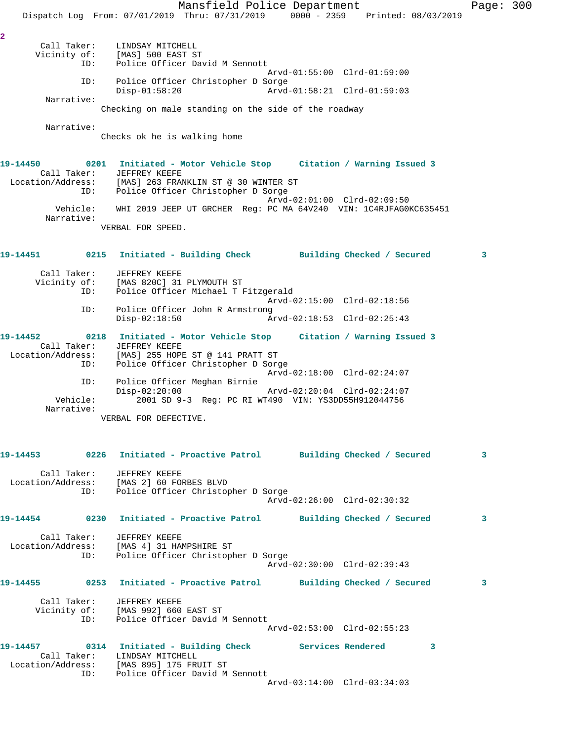Mansfield Police Department Fage: 300 Dispatch Log From: 07/01/2019 Thru: 07/31/2019 0000 - 2359 Printed: 08/03/2019 **2**  Call Taker: LINDSAY MITCHELL Vicinity of: [MAS] 500 EAST ST ID: Police Officer David M Sennott Arvd-01:55:00 Clrd-01:59:00 ID: Police Officer Christopher D Sorge Disp-01:58:20 Arvd-01:58:21 Clrd-01:59:03 Narrative: Checking on male standing on the side of the roadway Narrative: Checks ok he is walking home **19-14450 0201 Initiated - Motor Vehicle Stop Citation / Warning Issued 3**  Call Taker: JEFFREY KEEFE Location/Address: [MAS] 263 FRANKLIN ST @ 30 WINTER ST ID: Police Officer Christopher D Sorge Arvd-02:01:00 Clrd-02:09:50 Vehicle: WHI 2019 JEEP UT GRCHER Reg: PC MA 64V240 VIN: 1C4RJFAG0KC635451 Narrative: VERBAL FOR SPEED. **19-14451 0215 Initiated - Building Check Building Checked / Secured 3** Call Taker: JEFFREY KEEFE Vicinity of: [MAS 820C] 31 PLYMOUTH ST ID: Police Officer Michael T Fitzgerald Arvd-02:15:00 Clrd-02:18:56 ID: Police Officer John R Armstrong Arvd-02:18:53 Clrd-02:25:43 **19-14452 0218 Initiated - Motor Vehicle Stop Citation / Warning Issued 3**  Call Taker: JEFFREY KEEFE Location/Address: [MAS] 255 HOPE ST @ 141 PRATT ST ID: Police Officer Christopher D Sorge Arvd-02:18:00 Clrd-02:24:07 ID: Police Officer Meghan Birnie Disp-02:20:00 Arvd-02:20:04 Clrd-02:24:07 2001 SD 9-3 Reg: PC RI WT490 VIN: YS3DD55H912044756 Narrative: VERBAL FOR DEFECTIVE. **19-14453 0226 Initiated - Proactive Patrol Building Checked / Secured 3** Call Taker: JEFFREY KEEFE Location/Address: [MAS 2] 60 FORBES BLVD ID: Police Officer Christopher D Sorge Arvd-02:26:00 Clrd-02:30:32 **19-14454 0230 Initiated - Proactive Patrol Building Checked / Secured 3** Call Taker: JEFFREY KEEFE Location/Address: [MAS 4] 31 HAMPSHIRE ST ID: Police Officer Christopher D Sorge Arvd-02:30:00 Clrd-02:39:43 **19-14455 0253 Initiated - Proactive Patrol Building Checked / Secured 3** Call Taker: JEFFREY KEEFE Vicinity of: [MAS 992] 660 EAST ST ID: Police Officer David M Sennott Arvd-02:53:00 Clrd-02:55:23 **19-14457 0314 Initiated - Building Check Services Rendered 3**  Call Taker: LINDSAY MITCHELL Location/Address: [MAS 895] 175 FRUIT ST ID: Police Officer David M Sennott Arvd-03:14:00 Clrd-03:34:03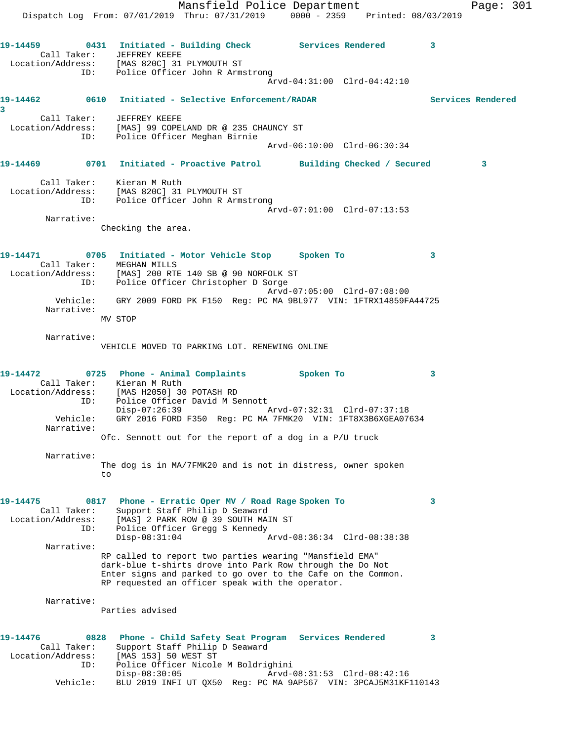Mansfield Police Department Fage: 301 Dispatch Log From: 07/01/2019 Thru: 07/31/2019 0000 - 2359 Printed: 08/03/2019 **19-14459 0431 Initiated - Building Check Services Rendered 3**  Call Taker: JEFFREY KEEFE Location/Address: [MAS 820C] 31 PLYMOUTH ST ID: Police Officer John R Armstrong Arvd-04:31:00 Clrd-04:42:10 **19-14462 0610 Initiated - Selective Enforcement/RADAR Services Rendered 3**  Call Taker: JEFFREY KEEFE Location/Address: [MAS] 99 COPELAND DR @ 235 CHAUNCY ST ID: Police Officer Meghan Birnie Arvd-06:10:00 Clrd-06:30:34 **19-14469 0701 Initiated - Proactive Patrol Building Checked / Secured 3** Call Taker: Kieran M Ruth Location/Address: [MAS 820C] 31 PLYMOUTH ST ID: Police Officer John R Armstrong Arvd-07:01:00 Clrd-07:13:53 Narrative: Checking the area. **19-14471 0705 Initiated - Motor Vehicle Stop Spoken To 3**  Call Taker: MEGHAN MILLS Location/Address: [MAS] 200 RTE 140 SB @ 90 NORFOLK ST ID: Police Officer Christopher D Sorge Arvd-07:05:00 Clrd-07:08:00 Vehicle: GRY 2009 FORD PK F150 Reg: PC MA 9BL977 VIN: 1FTRX14859FA44725 Narrative: MV STOP Narrative: VEHICLE MOVED TO PARKING LOT. RENEWING ONLINE **19-14472 0725 Phone - Animal Complaints Spoken To 3**  Call Taker: Kieran M Ruth Location/Address: [MAS H2050] 30 POTASH RD ID: Police Officer David M Sennott Disp-07:26:39 Arvd-07:32:31 Clrd-07:37:18 Vehicle: GRY 2016 FORD F350 Reg: PC MA 7FMK20 VIN: 1FT8X3B6XGEA07634 Narrative: Ofc. Sennott out for the report of a dog in a P/U truck Narrative: The dog is in MA/7FMK20 and is not in distress, owner spoken to **19-14475 0817 Phone - Erratic Oper MV / Road Rage Spoken To 3**  Call Taker: Support Staff Philip D Seaward Location/Address: [MAS] 2 PARK ROW @ 39 SOUTH MAIN ST ID: Police Officer Gregg S Kennedy Police Officer Gregg S Kennedy<br>Disp-08:31:04 Arvd-08:36:34 Clrd-08:38:38 Narrative: RP called to report two parties wearing "Mansfield EMA" dark-blue t-shirts drove into Park Row through the Do Not Enter signs and parked to go over to the Cafe on the Common. RP requested an officer speak with the operator. Narrative: Parties advised **19-14476 0828 Phone - Child Safety Seat Program Services Rendered 3**  Call Taker: Support Staff Philip D Seaward Location/Address: [MAS 153] 50 WEST ST ID: Police Officer Nicole M Boldrighini Disp-08:30:05 Arvd-08:31:53 Clrd-08:42:16 Vehicle: BLU 2019 INFI UT QX50 Reg: PC MA 9AP567 VIN: 3PCAJ5M31KF110143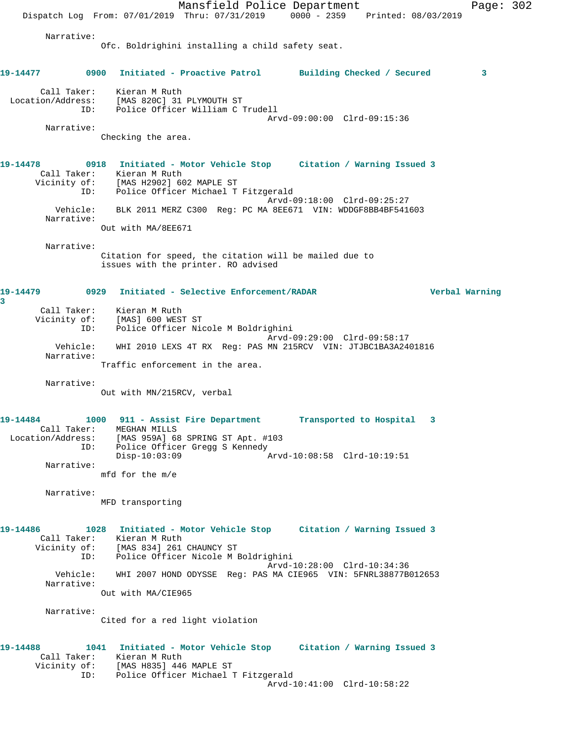Mansfield Police Department Page: 302 Dispatch Log From: 07/01/2019 Thru: 07/31/2019 0000 - 2359 Printed: 08/03/2019 Narrative: Ofc. Boldrighini installing a child safety seat. **19-14477 0900 Initiated - Proactive Patrol Building Checked / Secured 3** Call Taker: Kieran M Ruth Location/Address: [MAS 820C] 31 PLYMOUTH ST ID: Police Officer William C Trudell Arvd-09:00:00 Clrd-09:15:36 Narrative: Checking the area. **19-14478 0918 Initiated - Motor Vehicle Stop Citation / Warning Issued 3**  Call Taker: Kieran M Ruth Vicinity of: [MAS H2902] 602 MAPLE ST ID: Police Officer Michael T Fitzgerald Arvd-09:18:00 Clrd-09:25:27 Vehicle: BLK 2011 MERZ C300 Reg: PC MA 8EE671 VIN: WDDGF8BB4BF541603 Narrative: Out with MA/8EE671 Narrative: Citation for speed, the citation will be mailed due to issues with the printer. RO advised **19-14479 0929 Initiated - Selective Enforcement/RADAR Verbal Warning 3**  Call Taker: Kieran M Ruth Vicinity of: [MAS] 600 WEST ST ID: Police Officer Nicole M Boldrighini Arvd-09:29:00 Clrd-09:58:17 Vehicle: WHI 2010 LEXS 4T RX Reg: PAS MN 215RCV VIN: JTJBC1BA3A2401816 Narrative: Traffic enforcement in the area. Narrative: Out with MN/215RCV, verbal **19-14484 1000 911 - Assist Fire Department Transported to Hospital 3**  Call Taker: MEGHAN MILLS Location/Address: [MAS 959A] 68 SPRING ST Apt. #103 ID: Police Officer Gregg S Kennedy<br>Disp-10:03:09 Disp-10:03:09 Arvd-10:08:58 Clrd-10:19:51 Narrative: mfd for the m/e Narrative: MFD transporting **19-14486 1028 Initiated - Motor Vehicle Stop Citation / Warning Issued 3**  Call Taker: Kieran M Ruth Vicinity of: [MAS 834] 261 CHAUNCY ST ID: Police Officer Nicole M Boldrighini Arvd-10:28:00 Clrd-10:34:36 Vehicle: WHI 2007 HOND ODYSSE Reg: PAS MA CIE965 VIN: 5FNRL38877B012653 Narrative: Out with MA/CIE965 Narrative: Cited for a red light violation **19-14488 1041 Initiated - Motor Vehicle Stop Citation / Warning Issued 3**  Call Taker: Kieran M Ruth Vicinity of: [MAS H835] 446 MAPLE ST ID: Police Officer Michael T Fitzgerald Arvd-10:41:00 Clrd-10:58:22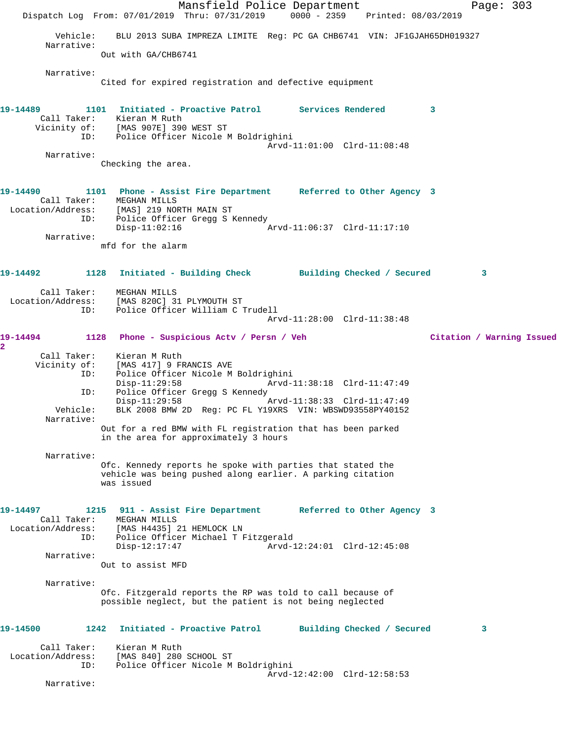Mansfield Police Department Page: 303 Dispatch Log From: 07/01/2019 Thru: 07/31/2019 0000 - 2359 Printed: 08/03/2019 Vehicle: BLU 2013 SUBA IMPREZA LIMITE Reg: PC GA CHB6741 VIN: JF1GJAH65DH019327 Narrative: Out with GA/CHB6741 Narrative: Cited for expired registration and defective equipment **19-14489 1101 Initiated - Proactive Patrol Services Rendered 3**  Call Taker: Kieran M Ruth Vicinity of: [MAS 907E] 390 WEST ST ID: Police Officer Nicole M Boldrighini Arvd-11:01:00 Clrd-11:08:48 Narrative: Checking the area. **19-14490 1101 Phone - Assist Fire Department Referred to Other Agency 3**  Call Taker: MEGHAN MILLS Location/Address: [MAS] 219 NORTH MAIN ST ID: Police Officer Gregg S Kennedy Disp-11:02:16 Arvd-11:06:37 Clrd-11:17:10 Narrative: mfd for the alarm **19-14492 1128 Initiated - Building Check Building Checked / Secured 3** Call Taker: MEGHAN MILLS Location/Address: [MAS 820C] 31 PLYMOUTH ST ID: Police Officer William C Trudell Arvd-11:28:00 Clrd-11:38:48 **19-14494 1128 Phone - Suspicious Actv / Persn / Veh Citation / Warning Issued 2**  Call Taker: Kieran M Ruth<br>Vicinity of: [MAS 417] 9 FF of: [MAS 417] 9 FRANCIS AVE<br>ID: Police Officer Nicole M Police Officer Nicole M Boldrighini<br>Disp-11:29:58 Arvd-1 Disp-11:29:58 Arvd-11:38:18 Clrd-11:47:49 ID: Police Officer Gregg S Kennedy Disp-11:29:58 Arvd-11:38:33 Clrd-11:47:49 Vehicle: BLK 2008 BMW 2D Reg: PC FL Y19XRS VIN: WBSWD93558PY40152 Narrative: Out for a red BMW with FL registration that has been parked in the area for approximately 3 hours Narrative: Ofc. Kennedy reports he spoke with parties that stated the vehicle was being pushed along earlier. A parking citation was issued **19-14497 1215 911 - Assist Fire Department Referred to Other Agency 3**  Call Taker: MEGHAN MILLS Location/Address: [MAS H4435] 21 HEMLOCK LN ID: Police Officer Michael T Fitzgerald Disp-12:17:47 Arvd-12:24:01 Clrd-12:45:08 Narrative: Out to assist MFD Narrative: Ofc. Fitzgerald reports the RP was told to call because of possible neglect, but the patient is not being neglected **19-14500 1242 Initiated - Proactive Patrol Building Checked / Secured 3** Call Taker: Kieran M Ruth Location/Address: [MAS 840] 280 SCHOOL ST ID: Police Officer Nicole M Boldrighini Arvd-12:42:00 Clrd-12:58:53 Narrative: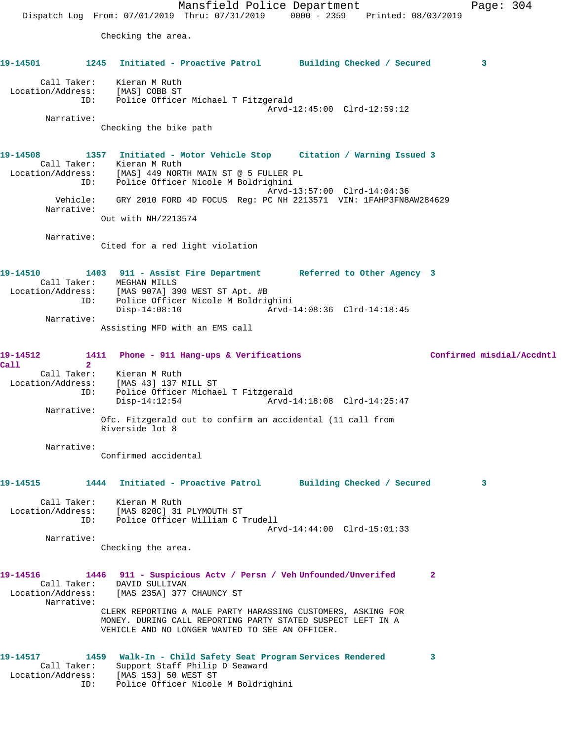Mansfield Police Department Page: 304 Dispatch Log From: 07/01/2019 Thru: 07/31/2019 0000 - 2359 Printed: 08/03/2019 Checking the area. **19-14501 1245 Initiated - Proactive Patrol Building Checked / Secured 3** Call Taker: Kieran M Ruth Location/Address: [MAS] COBB ST ID: Police Officer Michael T Fitzgerald Arvd-12:45:00 Clrd-12:59:12 Narrative: Checking the bike path **19-14508 1357 Initiated - Motor Vehicle Stop Citation / Warning Issued 3**  Call Taker: Kieran M Ruth Location/Address: [MAS] 449 NORTH MAIN ST @ 5 FULLER PL ID: Police Officer Nicole M Boldrighini Arvd-13:57:00 Clrd-14:04:36 Vehicle: GRY 2010 FORD 4D FOCUS Reg: PC NH 2213571 VIN: 1FAHP3FN8AW284629 Narrative: Out with NH/2213574 Narrative: Cited for a red light violation **19-14510 1403 911 - Assist Fire Department Referred to Other Agency 3**  Call Taker: MEGHAN MILLS Location/Address: [MAS 907A] 390 WEST ST Apt. #B ID: Police Officer Nicole M Boldrighini Disp-14:08:10 Arvd-14:08:36 Clrd-14:18:45 Narrative: Assisting MFD with an EMS call **19-14512 1411 Phone - 911 Hang-ups & Verifications Confirmed misdial/Accdntl Call 2**  Call Taker: Kieran M Ruth Location/Address: [MAS 43] 137 MILL ST ID: Police Officer Michael T Fitzgerald Disp-14:12:54 Arvd-14:18:08 Clrd-14:25:47 Narrative: Ofc. Fitzgerald out to confirm an accidental (11 call from Riverside lot 8 Narrative: Confirmed accidental **19-14515 1444 Initiated - Proactive Patrol Building Checked / Secured 3** Call Taker: Kieran M Ruth Location/Address: [MAS 820C] 31 PLYMOUTH ST ID: Police Officer William C Trudell Arvd-14:44:00 Clrd-15:01:33 Narrative: Checking the area. **19-14516 1446 911 - Suspicious Actv / Persn / Veh Unfounded/Unverifed 2**  Call Taker: DAVID SULLIVAN Location/Address: [MAS 235A] 377 CHAUNCY ST Narrative: CLERK REPORTING A MALE PARTY HARASSING CUSTOMERS, ASKING FOR MONEY. DURING CALL REPORTING PARTY STATED SUSPECT LEFT IN A VEHICLE AND NO LONGER WANTED TO SEE AN OFFICER. **19-14517 1459 Walk-In - Child Safety Seat Program Services Rendered 3**  Call Taker: Support Staff Philip D Seaward Location/Address: [MAS 153] 50 WEST ST ID: Police Officer Nicole M Boldrighini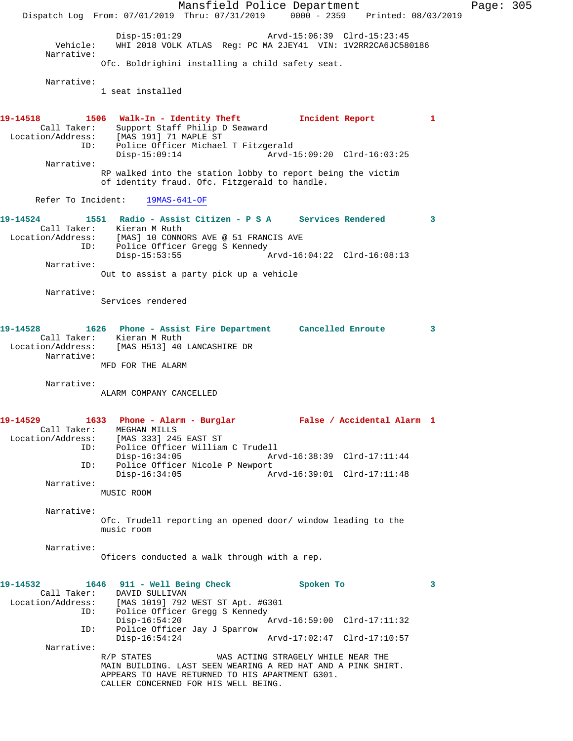Mansfield Police Department Page: 305 Dispatch Log From: 07/01/2019 Thru: 07/31/2019 0000 - 2359 Printed: 08/03/2019 Disp-15:01:29 Arvd-15:06:39 Clrd-15:23:45<br>Vehicle: WHI 2018 VOLK ATLAS Req: PC MA 2JEY41 VIN: 1V2RR2CA6JC58 WHI 2018 VOLK ATLAS Reg: PC MA 2JEY41 VIN: 1V2RR2CA6JC580186 Narrative: Ofc. Boldrighini installing a child safety seat. Narrative: 1 seat installed **19-14518 1506 Walk-In - Identity Theft Incident Report 1**  Call Taker: Support Staff Philip D Seaward Location/Address: [MAS 191] 71 MAPLE ST ID: Police Officer Michael T Fitzgerald Disp-15:09:14 Arvd-15:09:20 Clrd-16:03:25 Narrative: RP walked into the station lobby to report being the victim of identity fraud. Ofc. Fitzgerald to handle. Refer To Incident: 19MAS-641-OF **19-14524 1551 Radio - Assist Citizen - P S A Services Rendered 3**  Call Taker: Kieran M Ruth Location/Address: [MAS] 10 CONNORS AVE @ 51 FRANCIS AVE ID: Police Officer Gregg S Kennedy Disp-15:53:55 Arvd-16:04:22 Clrd-16:08:13 Narrative: Out to assist a party pick up a vehicle Narrative: Services rendered **19-14528 1626 Phone - Assist Fire Department Cancelled Enroute 3**  Call Taker: Kieran M Ruth Location/Address: [MAS H513] 40 LANCASHIRE DR Narrative: MFD FOR THE ALARM Narrative: ALARM COMPANY CANCELLED **19-14529 1633 Phone - Alarm - Burglar False / Accidental Alarm 1**  Call Taker: MEGHAN MILLS Location/Address: [MAS 333] 245 EAST ST ID: Police Officer William C Trudell Disp-16:34:05 Arvd-16:38:39 Clrd-17:11:44 ID: Police Officer Nicole P Newport<br>Disp-16:34:05 Az Disp-16:34:05 Arvd-16:39:01 Clrd-17:11:48 Narrative: MUSIC ROOM Narrative: Ofc. Trudell reporting an opened door/ window leading to the music room Narrative: Oficers conducted a walk through with a rep. **19-14532 1646 911 - Well Being Check Spoken To 3**  Call Taker: DAVID SULLIVAN<br>Location/Address: [MAS 1019] 792 [MAS 1019] 792 WEST ST Apt. #G301 ID: Police Officer Gregg S Kennedy<br>Disp-16:54:20 Disp-16:54:20 Arvd-16:59:00 Clrd-17:11:32 ID: Police Officer Jay J Sparrow Disp-16:54:24 Arvd-17:02:47 Clrd-17:10:57 Narrative:<br>R/P STATES WAS ACTING STRAGELY WHILE NEAR THE MAIN BUILDING. LAST SEEN WEARING A RED HAT AND A PINK SHIRT. APPEARS TO HAVE RETURNED TO HIS APARTMENT G301. CALLER CONCERNED FOR HIS WELL BEING.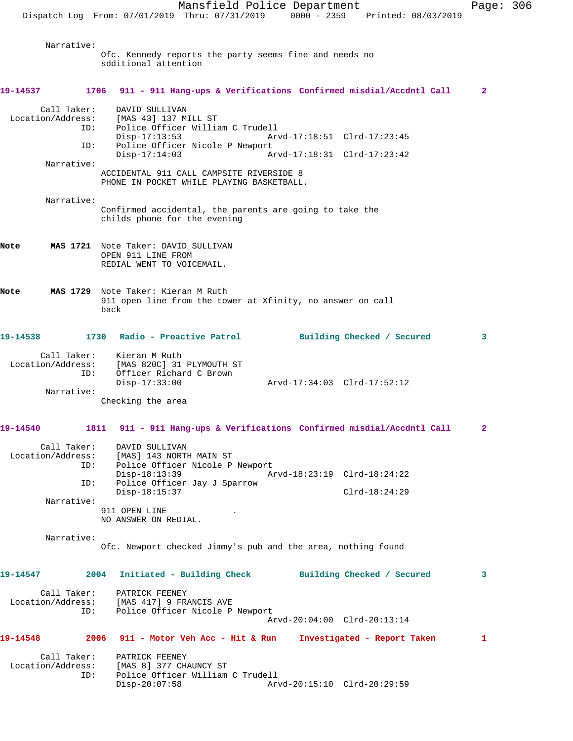Mansfield Police Department Page: 306 Dispatch Log From: 07/01/2019 Thru: 07/31/2019 0000 - 2359 Printed: 08/03/2019 Narrative: Ofc. Kennedy reports the party seems fine and needs no sdditional attention **19-14537 1706 911 - 911 Hang-ups & Verifications Confirmed misdial/Accdntl Call 2** Call Taker: DAVID SULLIVAN<br>Location/Address: [MAS 43] 137 M] ess: [MAS 43] 137 MILL ST<br>ID: Police Officer Willia Police Officer William C Trudell<br>Disp-17:13:53 Ar Arvd-17:18:51 Clrd-17:23:45 ID: Police Officer Nicole P Newport Disp-17:14:03 Arvd-17:18:31 Clrd-17:23:42 Narrative: ACCIDENTAL 911 CALL CAMPSITE RIVERSIDE 8 PHONE IN POCKET WHILE PLAYING BASKETBALL. Narrative: Confirmed accidental, the parents are going to take the childs phone for the evening **Note MAS 1721** Note Taker: DAVID SULLIVAN OPEN 911 LINE FROM REDIAL WENT TO VOICEMAIL. **Note MAS 1729** Note Taker: Kieran M Ruth 911 open line from the tower at Xfinity, no answer on call back **19-14538 1730 Radio - Proactive Patrol Building Checked / Secured 3** Call Taker: Kieran M Ruth<br>ion/Address: [MAS 820Cl 21 Location/Address: [MAS 820C] 31 PLYMOUTH ST ID: Officer Richard C Brown<br>Disp-17:33:00 Disp-17:33:00 Arvd-17:34:03 Clrd-17:52:12 Narrative: Checking the area **19-14540 1811 911 - 911 Hang-ups & Verifications Confirmed misdial/Accdntl Call 2** Call Taker: DAVID SULLIVAN Location/Address: [MAS] 143 NORTH MAIN ST Police Officer Nicole P Newport Disp-18:13:39 Arvd-18:23:19 Clrd-18:24:22<br>TD: Police Officer Jav J Sparrow Police Officer Jay J Sparrow Disp-18:15:37 Clrd-18:24:29 Narrative: 911 OPEN LINE NO ANSWER ON REDIAL. Narrative: Ofc. Newport checked Jimmy's pub and the area, nothing found **19-14547 2004 Initiated - Building Check Building Checked / Secured 3** Call Taker: PATRICK FEENEY<br>Location/Address: [MAS 417] 9 FR. [MAS 417] 9 FRANCIS AVE ID: Police Officer Nicole P Newport Arvd-20:04:00 Clrd-20:13:14 **19-14548 2006 911 - Motor Veh Acc - Hit & Run Investigated - Report Taken 1** Call Taker: PATRICK FEENEY Location/Address: [MAS 8] 377 CHAUNCY ST Police Officer William C Trudell<br>Disp-20:07:58 Ar Arvd-20:15:10 Clrd-20:29:59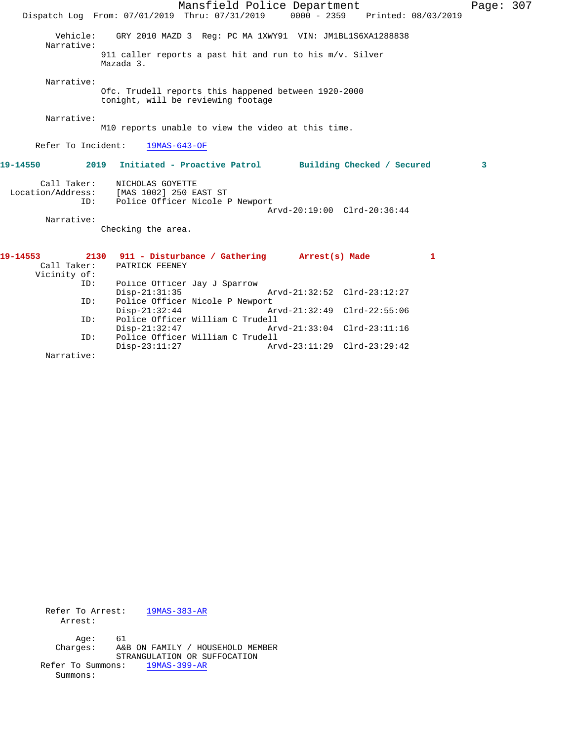Mansfield Police Department Page: 307 Dispatch Log From: 07/01/2019 Thru: 07/31/2019 0000 - 2359 Printed: 08/03/2019 Vehicle: GRY 2010 MAZD 3 Reg: PC MA 1XWY91 VIN: JM1BL1S6XA1288838 Narrative: 911 caller reports a past hit and run to his m/v. Silver Mazada 3. Narrative: Ofc. Trudell reports this happened between 1920-2000 tonight, will be reviewing footage Narrative: M10 reports unable to view the video at this time. Refer To Incident: 19MAS-643-OF **19-14550 2019 Initiated - Proactive Patrol Building Checked / Secured 3** Call Taker: NICHOLAS GOYETTE Location/Address: [MAS 1002] 250 EAST ST ID: Police Officer Nicole P Newport Arvd-20:19:00 Clrd-20:36:44 Narrative: Checking the area. **19-14553 2130 911 - Disturbance / Gathering Arrest(s) Made 1**  Call Taker: PATRICK FEENEY Vicinity of: Police Officer Jay J Sparrow<br>Disp-21:31:35 Disp-21:31:35 Arvd-21:32:52 Clrd-23:12:27 ID: Police Officer Nicole P Newport Disp-21:32:44 Arvd-21:32:49 Clrd-22:55:06 ID: Police Officer William C Trudell Disp-21:32:47 Arvd-21:33:04 Clrd-23:11:16<br>TD: Police Officer William C Trudell

Disp-23:11:27 Arvd-23:11:29 Clrd-23:29:42

 Refer To Arrest: 19MAS-383-AR Arrest: Age: 61 Charges: A&B ON FAMILY / HOUSEHOLD MEMBER STRANGULATION OR SUFFOCATION Refer To Summons: 19MAS-399-AR Summons:

ID: Police Officer William C Trudell

Narrative: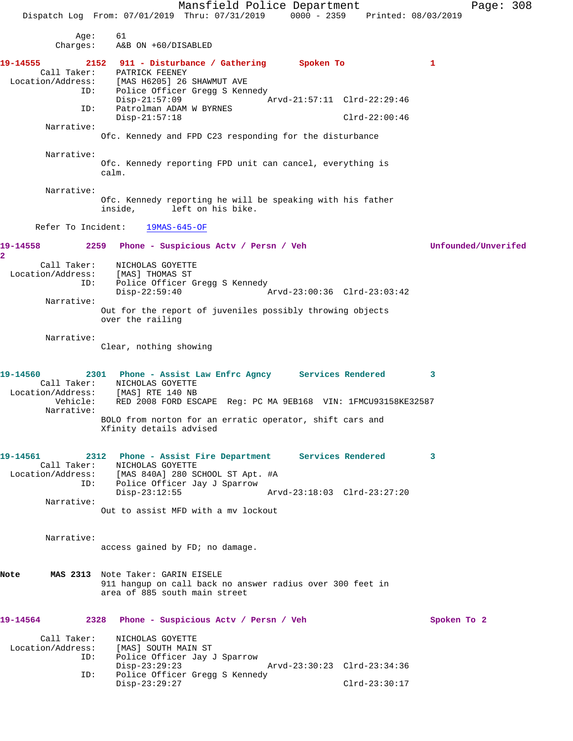Mansfield Police Department Page: 308 Dispatch Log From: 07/01/2019 Thru: 07/31/2019 0000 - 2359 Printed: 08/03/2019 Age: 61 Charges: A&B ON +60/DISABLED **19-14555 2152 911 - Disturbance / Gathering Spoken To 1**  Call Taker: PATRICK FEENEY Location/Address: [MAS H6205] 26 SHAWMUT AVE ID: Police Officer Gregg S Kennedy<br>Disp-21:57:09 Disp-21:57:09<br>ID: Patrolman ADAM W BYRNES Patrolman ADAM W BYRNES Disp-21:57:18 Clrd-22:00:46 Narrative: Ofc. Kennedy and FPD C23 responding for the disturbance Narrative: Ofc. Kennedy reporting FPD unit can cancel, everything is calm. Narrative: Ofc. Kennedy reporting he will be speaking with his father inside, left on his bike. left on his bike. Refer To Incident: 19MAS-645-OF **19-14558 2259 Phone - Suspicious Actv / Persn / Veh Unfounded/Unverifed 2**  Call Taker: NICHOLAS GOYETTE Location/Address: [MAS] THOMAS ST ID: Police Officer Gregg S Kennedy<br>Disp-22:59:40 Disp-22:59:40 Arvd-23:00:36 Clrd-23:03:42 Narrative: Out for the report of juveniles possibly throwing objects over the railing Narrative: Clear, nothing showing **19-14560 2301 Phone - Assist Law Enfrc Agncy Services Rendered 3**  Call Taker: NICHOLAS GOYETTE Location/Address: [MAS] RTE 140 NB Vehicle: RED 2008 FORD ESCAPE Reg: PC MA 9EB168 VIN: 1FMCU93158KE32587 Narrative: BOLO from norton for an erratic operator, shift cars and Xfinity details advised **19-14561 2312 Phone - Assist Fire Department Services Rendered 3**  Call Taker: NICHOLAS GOYETTE Location/Address: [MAS 840A] 280 SCHOOL ST Apt. #A ID: Police Officer Jay J Sparrow Disp-23:12:55 Arvd-23:18:03 Clrd-23:27:20 Narrative: Out to assist MFD with a mv lockout Narrative: access gained by FD; no damage. **Note MAS 2313** Note Taker: GARIN EISELE 911 hangup on call back no answer radius over 300 feet in area of 885 south main street **19-14564 2328 Phone - Suspicious Actv / Persn / Veh Spoken To 2** Call Taker: NICHOLAS GOYETTE Location/Address: [MAS] SOUTH MAIN ST<br>ID: Police Officer Jay J Police Officer Jay J Sparrow Disp-23:29:23 Arvd-23:30:23 Clrd-23:34:36 ID: Police Officer Gregg S Kennedy Disp-23:29:27 Clrd-23:30:17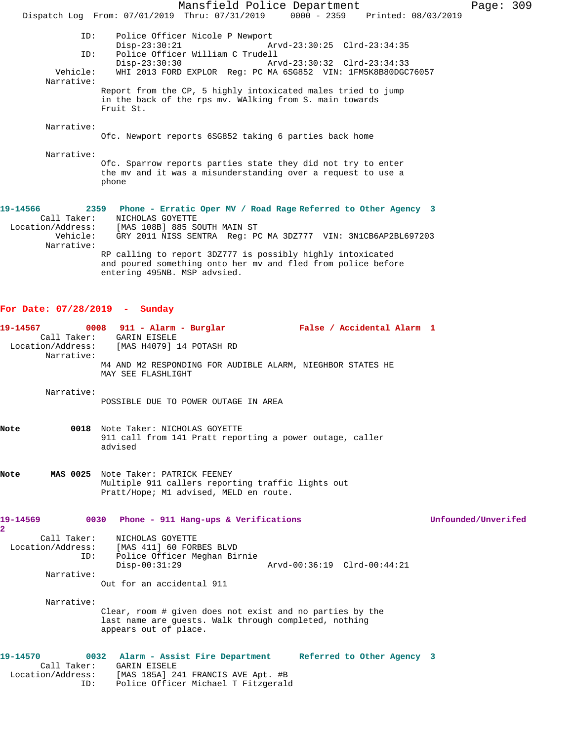Mansfield Police Department Page: 309 Dispatch Log From: 07/01/2019 Thru: 07/31/2019 0000 - 2359 Printed: 08/03/2019 ID: Police Officer Nicole P Newport Disp-23:30:21 Arvd-23:30:25 Clrd-23:34:35<br>ID: Police Officer William C Trudell Police Officer William C Trudell<br>Disp-23:30:30 Ar Disp-23:30:30 Arvd-23:30:32 Clrd-23:34:33<br>Vehicle: WHI 2013 FORD EXPLOR Reg: PC MA 6SG852 VIN: 1FM5K8B80DGC WHI 2013 FORD EXPLOR Reg: PC MA 6SG852 VIN: 1FM5K8B80DGC76057 Narrative: Report from the CP, 5 highly intoxicated males tried to jump in the back of the rps mv. WAlking from S. main towards Fruit St. Narrative: Ofc. Newport reports 6SG852 taking 6 parties back home Narrative: Ofc. Sparrow reports parties state they did not try to enter the mv and it was a misunderstanding over a request to use a phone **19-14566 2359 Phone - Erratic Oper MV / Road Rage Referred to Other Agency 3**  Call Taker: NICHOLAS GOYETTE Location/Address: [MAS 108B] 885 SOUTH MAIN ST Vehicle: GRY 2011 NISS SENTRA Reg: PC MA 3DZ777 VIN: 3N1CB6AP2BL697203 Narrative: RP calling to report 3DZ777 is possibly highly intoxicated and poured something onto her mv and fled from police before entering 495NB. MSP advsied.

## **For Date: 07/28/2019 - Sunday**

| 19-14567<br>Narrative:     | $0008$ 911 - Alarm - Burglar<br>Call Taker: GARIN EISELE<br>Location/Address: [MAS H4079] 14 POTASH RD<br>M4 AND M2 RESPONDING FOR AUDIBLE ALARM, NIEGHBOR STATES HE                      | False / Accidental Alarm 1  |                     |
|----------------------------|-------------------------------------------------------------------------------------------------------------------------------------------------------------------------------------------|-----------------------------|---------------------|
|                            | MAY SEE FLASHLIGHT                                                                                                                                                                        |                             |                     |
| Narrative:                 | POSSIBLE DUE TO POWER OUTAGE IN AREA                                                                                                                                                      |                             |                     |
| Note                       | 0018 Note Taker: NICHOLAS GOYETTE<br>911 call from 141 Pratt reporting a power outage, caller<br>advised                                                                                  |                             |                     |
| Note                       | MAS 0025 Note Taker: PATRICK FEENEY<br>Multiple 911 callers reporting traffic lights out<br>Pratt/Hope; M1 advised, MELD en route.                                                        |                             |                     |
| 19-14569<br>$\overline{2}$ | 0030 Phone - 911 Hang-ups & Verifications                                                                                                                                                 |                             | Unfounded/Unverifed |
| Call Taker:<br>ID:         | NICHOLAS GOYETTE<br>Location/Address: [MAS 411] 60 FORBES BLVD<br>Police Officer Meghan Birnie<br>$Disp-00:31:29$                                                                         | Arvd-00:36:19 Clrd-00:44:21 |                     |
| Narrative:                 |                                                                                                                                                                                           |                             |                     |
|                            | Out for an accidental 911                                                                                                                                                                 |                             |                     |
| Narrative:                 | Clear, room # given does not exist and no parties by the<br>last name are guests. Walk through completed, nothing<br>appears out of place.                                                |                             |                     |
| 19-14570<br>ID:            | 0032 Alarm - Assist Fire Department Referred to Other Agency 3<br>Call Taker: GARIN EISELE<br>Location/Address: [MAS 185A] 241 FRANCIS AVE Apt. #B<br>Police Officer Michael T Fitzgerald |                             |                     |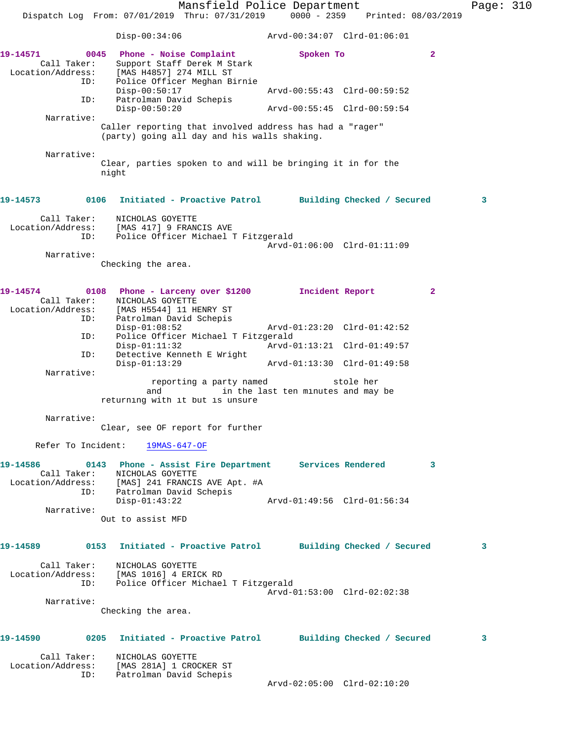Mansfield Police Department Fage: 310 Dispatch Log From: 07/01/2019 Thru: 07/31/2019 0000 - 2359 Printed: 08/03/2019 Disp-00:34:06 Arvd-00:34:07 Clrd-01:06:01 **19-14571 0045 Phone - Noise Complaint Spoken To 2**  Call Taker: Support Staff Derek M Stark Location/Address: [MAS H4857] 274 MILL ST ID: Police Officer Meghan Birnie<br>Disp-00:50:17 Disp-00:50:17 Arvd-00:55:43 Clrd-00:59:52 ID: Patrolman David Schepis Disp-00:50:20 Arvd-00:55:45 Clrd-00:59:54 Narrative: Caller reporting that involved address has had a "rager" (party) going all day and his walls shaking. Narrative: Clear, parties spoken to and will be bringing it in for the night **19-14573 0106 Initiated - Proactive Patrol Building Checked / Secured 3** Call Taker: NICHOLAS GOYETTE Location/Address: [MAS 417] 9 FRANCIS AVE ID: Police Officer Michael T Fitzgerald Arvd-01:06:00 Clrd-01:11:09 Narrative: Checking the area. **19-14574 0108 Phone - Larceny over \$1200 Incident Report 2**  Call Taker: NICHOLAS GOYETTE Location/Address: [MAS H5544] 11 HENRY ST ID: Patrolman David Schepis Disp-01:08:52 Arvd-01:23:20 Clrd-01:42:52 ID: Police Officer Michael T Fitzgerald Disp-01:11:32 Arvd-01:13:21 Clrd-01:49:57 ID: Detective Kenneth E Wright<br>Disp-01:13:29 Disp-01:13:29 Arvd-01:13:30 Clrd-01:49:58 Narrative: reporting a party named stole her<br>and in the last ten minutes and may in the last ten minutes and may be returning with it but is unsure Narrative: Clear, see OF report for further Refer To Incident: 19MAS-647-OF **19-14586 0143 Phone - Assist Fire Department Services Rendered 3**  Call Taker: NICHOLAS GOYETTE Location/Address: [MAS] 241 FRANCIS AVE Apt. #A ID: Patrolman David Schepis Disp-01:43:22 Arvd-01:49:56 Clrd-01:56:34 Narrative: Out to assist MFD **19-14589 0153 Initiated - Proactive Patrol Building Checked / Secured 3** Call Taker: NICHOLAS GOYETTE Location/Address: [MAS 1016] 4 ERICK RD ID: Police Officer Michael T Fitzgerald Arvd-01:53:00 Clrd-02:02:38 Narrative: Checking the area. **19-14590 0205 Initiated - Proactive Patrol Building Checked / Secured 3** Call Taker: NICHOLAS GOYETTE Location/Address: [MAS 281A] 1 CROCKER ST

ID: Patrolman David Schepis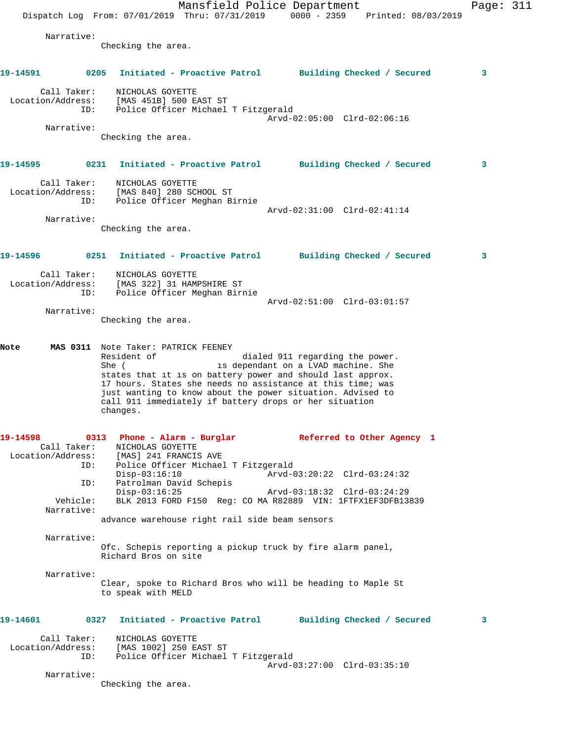Mansfield Police Department Page: 311 Dispatch Log From: 07/01/2019 Thru: 07/31/2019 0000 - 2359 Printed: 08/03/2019 Narrative: Checking the area. **19-14591 0205 Initiated - Proactive Patrol Building Checked / Secured 3** Call Taker: NICHOLAS GOYETTE Location/Address: [MAS 451B] 500 EAST ST ID: Police Officer Michael T Fitzgerald Arvd-02:05:00 Clrd-02:06:16 Narrative: Checking the area. **19-14595 0231 Initiated - Proactive Patrol Building Checked / Secured 3** Call Taker: NICHOLAS GOYETTE Location/Address: [MAS 840] 280 SCHOOL ST ID: Police Officer Meghan Birnie Arvd-02:31:00 Clrd-02:41:14 Narrative: Checking the area. **19-14596 0251 Initiated - Proactive Patrol Building Checked / Secured 3** Call Taker: NICHOLAS GOYETTE Location/Address: [MAS 322] 31 HAMPSHIRE ST ID: Police Officer Meghan Birnie Arvd-02:51:00 Clrd-03:01:57 Narrative: Checking the area. **Note MAS 0311** Note Taker: PATRICK FEENEY Resident of **Exerch** dialed 911 regarding the power. She ( is dependant on a LVAD machine. She states that it is on battery power and should last approx. 17 hours. States she needs no assistance at this time; was just wanting to know about the power situation. Advised to call 911 immediately if battery drops or her situation changes. **19-14598 0313 Phone - Alarm - Burglar Referred to Other Agency 1**  Call Taker: NICHOLAS GOYETTE Location/Address: [MAS] 241 FRANCIS AVE ID: Police Officer Michael T Fitzgerald Disp-03:16:10 Arvd-03:20:22 Clrd-03:24:32<br>ID: Patrolman David Schepis Patrolman David Schepis<br>Disp-03:16:25 Disp-03:16:25 Arvd-03:18:32 Clrd-03:24:29 Vehicle: BLK 2013 FORD F150 Reg: CO MA R82889 VIN: 1FTFX1EF3DFB13839 Narrative: advance warehouse right rail side beam sensors Narrative: Ofc. Schepis reporting a pickup truck by fire alarm panel, Richard Bros on site Narrative: Clear, spoke to Richard Bros who will be heading to Maple St to speak with MELD **19-14601 0327 Initiated - Proactive Patrol Building Checked / Secured 3** Call Taker: NICHOLAS GOYETTE Location/Address: [MAS 1002] 250 EAST ST ID: Police Officer Michael T Fitzgerald Arvd-03:27:00 Clrd-03:35:10 Narrative: Checking the area.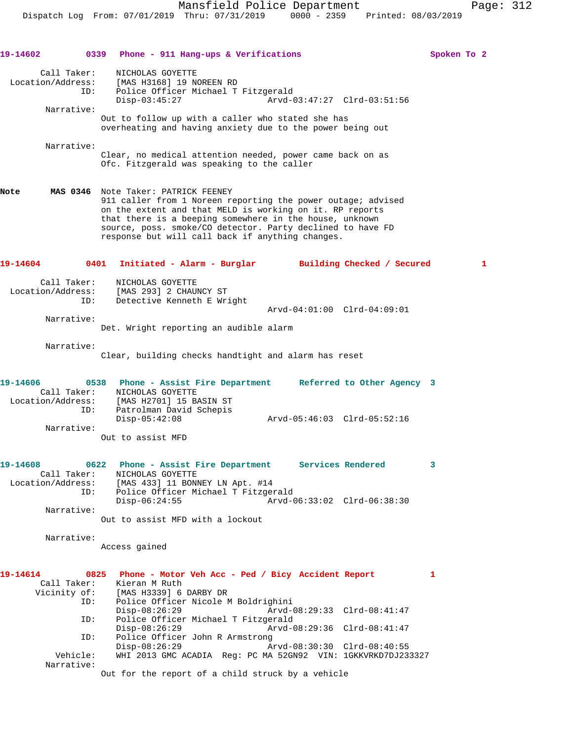Dispatch Log From: 07/01/2019 Thru: 07/31/2019 0000 - 2359 Printed: 08/03/2019

**19-14602 0339 Phone - 911 Hang-ups & Verifications Spoken To 2** Call Taker: NICHOLAS GOYETTE Location/Address: [MAS H3168] 19 NOREEN RD ID: Police Officer Michael T Fitzgerald Disp-03:45:27 Arvd-03:47:27 Clrd-03:51:56 Narrative: Out to follow up with a caller who stated she has overheating and having anxiety due to the power being out Narrative: Clear, no medical attention needed, power came back on as Ofc. Fitzgerald was speaking to the caller **Note MAS 0346** Note Taker: PATRICK FEENEY 911 caller from 1 Noreen reporting the power outage; advised on the extent and that MELD is working on it. RP reports that there is a beeping somewhere in the house, unknown source, poss. smoke/CO detector. Party declined to have FD response but will call back if anything changes. **19-14604 0401 Initiated - Alarm - Burglar Building Checked / Secured 1** Call Taker: NICHOLAS GOYETTE Location/Address: [MAS 293] 2 CHAUNCY ST ID: Detective Kenneth E Wright Arvd-04:01:00 Clrd-04:09:01 Narrative: Det. Wright reporting an audible alarm Narrative: Clear, building checks handtight and alarm has reset **19-14606 0538 Phone - Assist Fire Department Referred to Other Agency 3**  Call Taker: NICHOLAS GOYETTE Location/Address: [MAS H2701] 15 BASIN ST ID: Patrolman David Schepis Disp-05:42:08 Arvd-05:46:03 Clrd-05:52:16 Narrative: Out to assist MFD **19-14608 0622 Phone - Assist Fire Department Services Rendered 3**  Call Taker: NICHOLAS GOYETTE Location/Address: [MAS 433] 11 BONNEY LN Apt. #14 ID: Police Officer Michael T Fitzgerald<br>Disp-06:24:55 Arvd-0 Disp-06:24:55 Arvd-06:33:02 Clrd-06:38:30 Narrative: Out to assist MFD with a lockout Narrative: Access gained **19-14614 0825 Phone - Motor Veh Acc - Ped / Bicy Accident Report 1**  Call Taker: Kieran M Ruth<br>Vicinity of: [MAS H3339] 6 of: [MAS H3339] 6 DARBY DR<br>ID: Police Officer Nicola Police Officer Nicole M Boldrighini<br>Disp-08:26:29 Arvd-0 Disp-08:26:29 Arvd-08:29:33 Clrd-08:41:47 ID: Police Officer Michael T Fitzgerald Disp-08:26:29 <br>D: Police Officer John R Armstrong<br>D: Police Officer John R Armstrong Police Officer John R Armstrong<br>Disp-08:26:29 Ar Disp-08:26:29 Arvd-08:30:30 Clrd-08:40:55 Vehicle: WHI 2013 GMC ACADIA Reg: PC MA 52GN92 VIN: 1GKKVRKD7DJ233327 Narrative: Out for the report of a child struck by a vehicle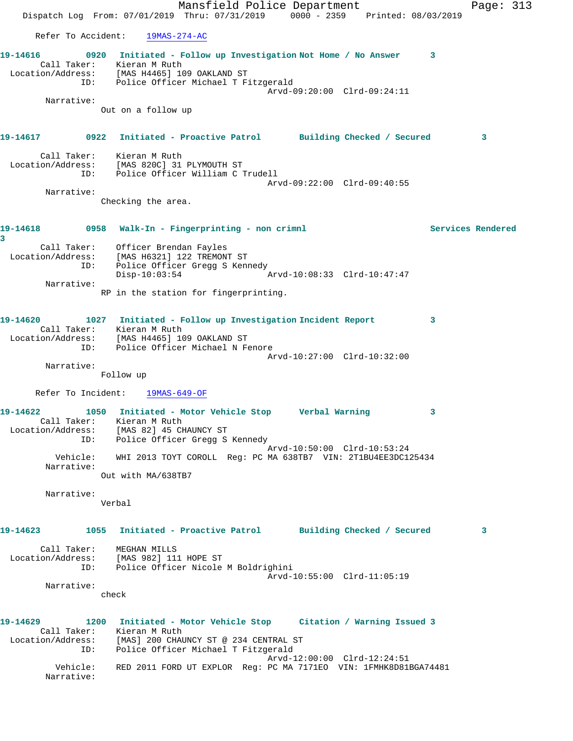Mansfield Police Department Page: 313 Dispatch Log From: 07/01/2019 Thru: 07/31/2019 0000 - 2359 Printed: 08/03/2019 Refer To Accident: 19MAS-274-AC **19-14616 0920 Initiated - Follow up Investigation Not Home / No Answer 3**  Call Taker: Kieran M Ruth Location/Address: [MAS H4465] 109 OAKLAND ST ID: Police Officer Michael T Fitzgerald Arvd-09:20:00 Clrd-09:24:11 Narrative: Out on a follow up **19-14617 0922 Initiated - Proactive Patrol Building Checked / Secured 3** Call Taker: Kieran M Ruth Location/Address: [MAS 820C] 31 PLYMOUTH ST ID: Police Officer William C Trudell Arvd-09:22:00 Clrd-09:40:55 Narrative: Checking the area. **19-14618 0958 Walk-In - Fingerprinting - non crimnl Services Rendered 3**  Call Taker: Officer Brendan Fayles Location/Address: [MAS H6321] 122 TREMONT ST ID: Police Officer Gregg S Kennedy Disp-10:03:54 Arvd-10:08:33 Clrd-10:47:47 Narrative: RP in the station for fingerprinting. **19-14620 1027 Initiated - Follow up Investigation Incident Report 3**  Call Taker: Kieran M Ruth Location/Address: [MAS H4465] 109 OAKLAND ST ID: Police Officer Michael N Fenore Arvd-10:27:00 Clrd-10:32:00 Narrative: Follow up Refer To Incident: 19MAS-649-OF **19-14622 1050 Initiated - Motor Vehicle Stop Verbal Warning 3**  Call Taker: Kieran M Ruth Location/Address: [MAS 82] 45 CHAUNCY ST ID: Police Officer Gregg S Kennedy Arvd-10:50:00 Clrd-10:53:24 Vehicle: WHI 2013 TOYT COROLL Reg: PC MA 638TB7 VIN: 2T1BU4EE3DC125434 Narrative: Out with MA/638TB7 Narrative: Verbal **19-14623 1055 Initiated - Proactive Patrol Building Checked / Secured 3** Call Taker: MEGHAN MILLS Location/Address: [MAS 982] 111 HOPE ST ID: Police Officer Nicole M Boldrighini Arvd-10:55:00 Clrd-11:05:19 Narrative: check **19-14629 1200 Initiated - Motor Vehicle Stop Citation / Warning Issued 3**  Call Taker: Kieran M Ruth Location/Address: [MAS] 200 CHAUNCY ST @ 234 CENTRAL ST ID: Police Officer Michael T Fitzgerald Arvd-12:00:00 Clrd-12:24:51 Vehicle: RED 2011 FORD UT EXPLOR Reg: PC MA 7171EO VIN: 1FMHK8D81BGA74481 Narrative: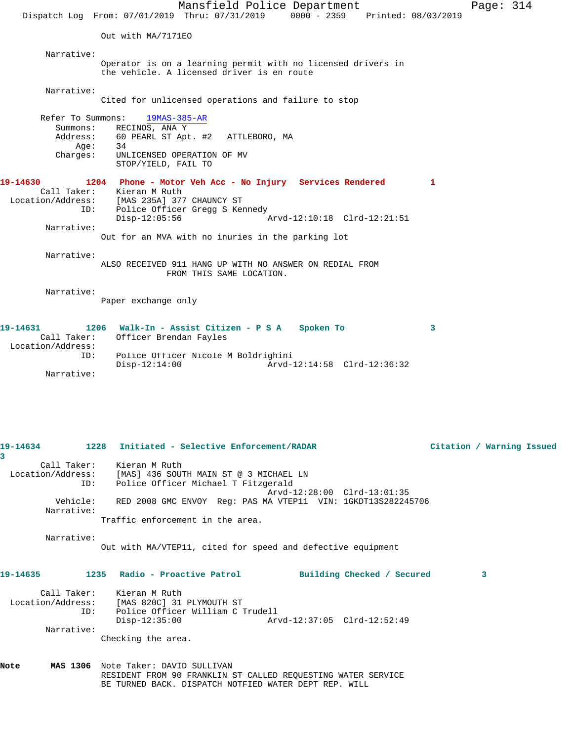Mansfield Police Department Page: 314 Dispatch Log From: 07/01/2019 Thru: 07/31/2019 0000 - 2359 Printed: 08/03/2019 Out with MA/7171EO Narrative: Operator is on a learning permit with no licensed drivers in the vehicle. A licensed driver is en route Narrative: Cited for unlicensed operations and failure to stop Refer To Summons: 19MAS-385-AR Summons: RECINOS, ANA Y Address: 60 PEARL ST Apt. #2 ATTLEBORO, MA Age: 34 Charges: UNLICENSED OPERATION OF MV STOP/YIELD, FAIL TO **19-14630 1204 Phone - Motor Veh Acc - No Injury Services Rendered 1**  Call Taker: Kieran M Ruth Location/Address: [MAS 235A] 377 CHAUNCY ST ID: Police Officer Gregg S Kennedy<br>Disp-12:05:56 Arvd-12:10:18 Clrd-12:21:51 Narrative: Out for an MVA with no inuries in the parking lot Narrative: ALSO RECEIVED 911 HANG UP WITH NO ANSWER ON REDIAL FROM FROM THIS SAME LOCATION. Narrative: Paper exchange only **19-14631 1206 Walk-In - Assist Citizen - P S A Spoken To 3**  Call Taker: Officer Brendan Fayles Location/Address:<br>ID: Police Officer<br>Disp-12:14:00 Police Officer Nicole M Boldrighini

Disp-12:14:00 Arvd-12:14:58 Clrd-12:36:32

**19-14634 1228 Initiated - Selective Enforcement/RADAR Citation / Warning Issued 3**  Call Taker: Kieran M Ruth Location/Address: [MAS] 436 SOUTH MAIN ST @ 3 MICHAEL LN ID: Police Officer Michael T Fitzgerald Arvd-12:28:00 Clrd-13:01:35 Vehicle: RED 2008 GMC ENVOY Reg: PAS MA VTEP11 VIN: 1GKDT13S282245706 Narrative: Traffic enforcement in the area. Narrative: Out with MA/VTEP11, cited for speed and defective equipment **19-14635 1235 Radio - Proactive Patrol Building Checked / Secured 3** Call Taker: Kieran M Ruth<br>Location/Address: [MAS 820C] 31 Location/Address: [MAS 820C] 31 PLYMOUTH ST ID: Police Officer William C Trudell Disp-12:35:00 Arvd-12:37:05 Clrd-12:52:49 Narrative: Checking the area. **Note MAS 1306** Note Taker: DAVID SULLIVAN RESIDENT FROM 90 FRANKLIN ST CALLED REQUESTING WATER SERVICE BE TURNED BACK. DISPATCH NOTFIED WATER DEPT REP. WILL

Narrative: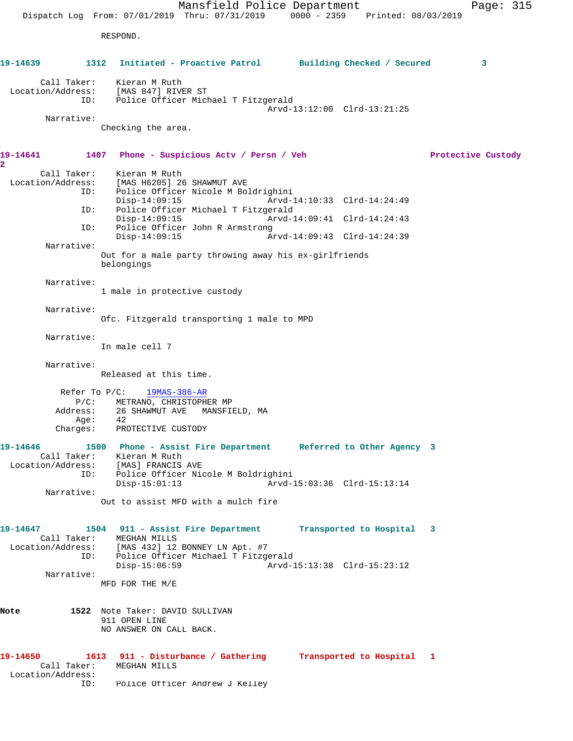Mansfield Police Department Page: 315 Dispatch Log From: 07/01/2019 Thru: 07/31/2019 0000 - 2359 Printed: 08/03/2019 RESPOND. **19-14639 1312 Initiated - Proactive Patrol Building Checked / Secured 3** Call Taker: Kieran M Ruth Location/Address: [MAS 847] RIVER ST ID: Police Officer Michael T Fitzgerald Arvd-13:12:00 Clrd-13:21:25 Narrative: Checking the area. **19-14641 1407 Phone - Suspicious Actv / Persn / Veh Protective Custody 2**  Call Taker: Kieran M Ruth<br>Location/Address: [MAS H6205] 26 ESS: [MAS H6205] 26 SHAWMUT AVE<br>ID: Police Officer Nicole M Po Police Officer Nicole M Boldrighini Disp-14:09:15 Arvd-14:10:33 Clrd-14:24:49 ID: Police Officer Michael T Fitzgerald Disp-14:09:15 Arvd-14:09:41 Clrd-14:24:43<br>ID: Police Officer John R Armstrong Police Officer John R Armstrong<br>Disp-14:09:15 A Disp-14:09:15 Arvd-14:09:43 Clrd-14:24:39 Narrative: Out for a male party throwing away his ex-girlfriends belongings Narrative: 1 male in protective custody Narrative: Ofc. Fitzgerald transporting 1 male to MPD Narrative: In male cell 7 Narrative: Released at this time. Refer To P/C: 19MAS-386-AR P/C: METRANO, CHRISTOPHER MP Address: 26 SHAWMUT AVE MANSFIELD, MA Age: 42 Charges: PROTECTIVE CUSTODY **19-14646 1500 Phone - Assist Fire Department Referred to Other Agency 3**  Call Taker: Kieran M Ruth Location/Address: [MAS] FRANCIS AVE ID: Police Officer Nicole M Boldrighini Disp-15:01:13 Arvd-15:03:36 Clrd-15:13:14 Narrative: Out to assist MFD with a mulch fire **19-14647 1504 911 - Assist Fire Department Transported to Hospital 3**  Call Taker: MEGHAN MILLS Location/Address: [MAS 432] 12 BONNEY LN Apt. #7 ID: Police Officer Michael T Fitzgerald<br>Disp-15:06:59 Arvd-1 Arvd-15:13:38 Clrd-15:23:12 Narrative: MFD FOR THE M/E **Note 1522** Note Taker: DAVID SULLIVAN 911 OPEN LINE NO ANSWER ON CALL BACK. **19-14650 1613 911 - Disturbance / Gathering Transported to Hospital 1**  Call Taker: MEGHAN MILLS Location/Address: ID: Police Officer Andrew J Kelley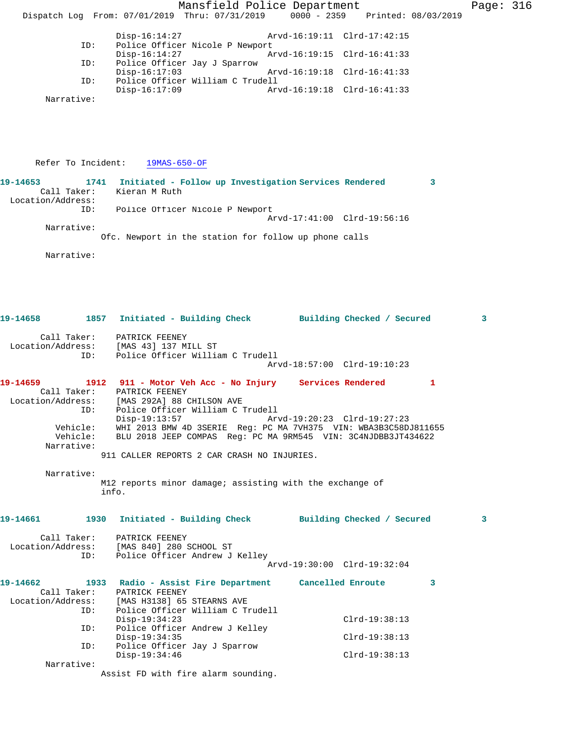Mansfield Police Department Page: 316 Dispatch Log From: 07/01/2019 Thru: 07/31/2019 0000 - 2359 Printed: 08/03/2019 Disp-16:14:27 Arvd-16:19:11 Clrd-17:42:15<br>ID: Police Officer Nicole P Newport Police Officer Nicole P Newport Disp-16:14:27 Arvd-16:19:15 Clrd-16:41:33 ID: Police Officer Jay J Sparrow Arvd-16:19:18 Clrd-16:41:33 ID: Police Officer William C Trudell Arvd-16:19:18 Clrd-16:41:33 Narrative: Refer To Incident: 19MAS-650-OF **19-14653 1741 Initiated - Follow up Investigation Services Rendered 3**  Call Taker: Kieran M Ruth Location/Address: ID: Police Officer Nicole P Newport Arvd-17:41:00 Clrd-19:56:16 Narrative: Ofc. Newport in the station for follow up phone calls Narrative: **19-14658 1857 Initiated - Building Check Building Checked / Secured 3** Call Taker: PATRICK FEENEY Location/Address: [MAS 43] 137 MILL ST ID: Police Officer William C Trudell Arvd-18:57:00 Clrd-19:10:23 **19-14659 1912 911 - Motor Veh Acc - No Injury Services Rendered 1**  Call Taker: PATRICK FEENEY Location/Address: [MAS 292A] 88 CHILSON AVE ID: Police Officer William C Trudell Disp-19:13:57 Arvd-19:20:23 Clrd-19:27:23 Vehicle: WHI 2013 BMW 4D 3SERIE Reg: PC MA 7VH375 VIN: WBA3B3C58DJ811655 Vehicle: BLU 2018 JEEP COMPAS Reg: PC MA 9RM545 VIN: 3C4NJDBB3JT434622 Narrative: 911 CALLER REPORTS 2 CAR CRASH NO INJURIES. Narrative: M12 reports minor damage; assisting with the exchange of info. **19-14661 1930 Initiated - Building Check Building Checked / Secured 3** Call Taker: PATRICK FEENEY Location/Address: [MAS 840] 280 SCHOOL ST ID: Police Officer Andrew J Kelley Arvd-19:30:00 Clrd-19:32:04 **19-14662 1933 Radio - Assist Fire Department Cancelled Enroute 3**  Call Taker: PATRICK FEENEY Location/Address: [MAS H3138] 65 STEARNS AVE ID: Police Officer William C Trudell Disp-19:34:23 Clrd-19:38:13 ID: Police Officer Andrew J Kelley Disp-19:34:35 Clrd-19:38:13<br>ID: Police Officer Jay J Sparrow Police Officer Jay J Sparrow<br>Disp-19:34:46 Disp-19:34:46 Clrd-19:38:13 Narrative: Assist FD with fire alarm sounding.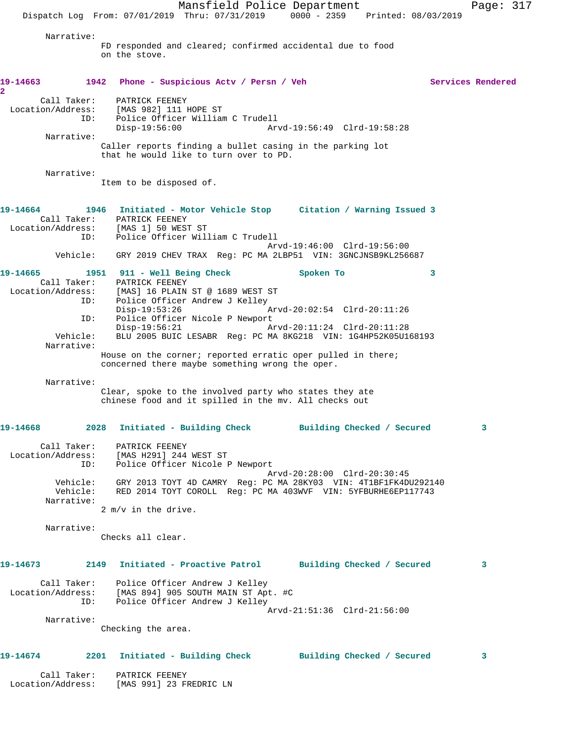Mansfield Police Department Page: 317 Dispatch Log From: 07/01/2019 Thru: 07/31/2019 0000 - 2359 Printed: 08/03/2019 Narrative: FD responded and cleared; confirmed accidental due to food on the stove. **19-14663 1942 Phone - Suspicious Actv / Persn / Veh Services Rendered 2**  Call Taker: PATRICK FEENEY Location/Address: [MAS 982] 111 HOPE ST Police Officer William C Trudell<br>Disp-19:56:00 Art Disp-19:56:00 Arvd-19:56:49 Clrd-19:58:28 Narrative: Caller reports finding a bullet casing in the parking lot that he would like to turn over to PD. Narrative: Item to be disposed of. **19-14664 1946 Initiated - Motor Vehicle Stop Citation / Warning Issued 3**  Call Taker: PATRICK FEENEY Location/Address: [MAS 1] 50 WEST ST<br>TD: Police Officer Will Police Officer William C Trudell Arvd-19:46:00 Clrd-19:56:00 Vehicle: GRY 2019 CHEV TRAX Reg: PC MA 2LBP51 VIN: 3GNCJNSB9KL256687 **19-14665 1951 911 - Well Being Check Spoken To 3**  Call Taker: PATRICK FEENEY Location/Address: [MAS] 16 PLAIN ST @ 1689 WEST ST ID: Police Officer Andrew J Kelley Disp-19:53:26 Arvd-20:02:54 Clrd-20:11:26 ID: Police Officer Nicole P Newport<br>Disp-19:56:21 A Disp-19:56:21 Arvd-20:11:24 Clrd-20:11:28 Vehicle: BLU 2005 BUIC LESABR Reg: PC MA 8KG218 VIN: 1G4HP52K05U168193 Narrative: House on the corner; reported erratic oper pulled in there; concerned there maybe something wrong the oper. Narrative: Clear, spoke to the involved party who states they ate chinese food and it spilled in the mv. All checks out **19-14668 2028 Initiated - Building Check Building Checked / Secured 3** Call Taker: PATRICK FEENEY Location/Address: [MAS H291] 244 WEST ST Police Officer Nicole P Newport Arvd-20:28:00 Clrd-20:30:45 Vehicle: GRY 2013 TOYT 4D CAMRY Reg: PC MA 28KY03 VIN: 4T1BF1FK4DU292140 Vehicle: RED 2014 TOYT COROLL Reg: PC MA 403WVF VIN: 5YFBURHE6EP117743 Narrative: 2 m/v in the drive. Narrative: Checks all clear. **19-14673 2149 Initiated - Proactive Patrol Building Checked / Secured 3** Call Taker: Police Officer Andrew J Kelley Location/Address: [MAS 894] 905 SOUTH MAIN ST Apt. #C ID: Police Officer Andrew J Kelley Arvd-21:51:36 Clrd-21:56:00 Narrative: Checking the area. **19-14674 2201 Initiated - Building Check Building Checked / Secured 3** Call Taker: PATRICK FEENEY Location/Address: [MAS 991] 23 FREDRIC LN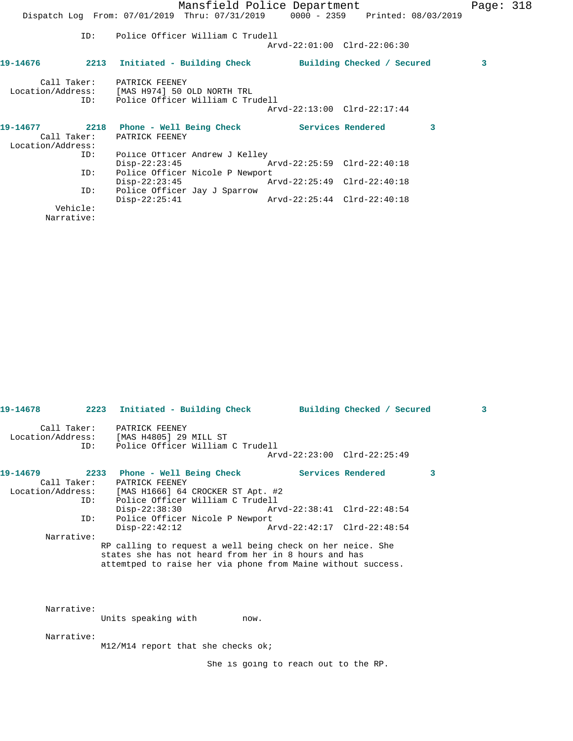|                   |          | Mansfield Police Department<br>Dispatch Log From: 07/01/2019 Thru: 07/31/2019 0000 - 2359 Printed: 08/03/2019       |                             |                          |   | Page: $318$ |  |
|-------------------|----------|---------------------------------------------------------------------------------------------------------------------|-----------------------------|--------------------------|---|-------------|--|
|                   |          |                                                                                                                     |                             |                          |   |             |  |
|                   | ID:      | Police Officer William C Trudell                                                                                    | Arvd-22:01:00 Clrd-22:06:30 |                          |   |             |  |
| 19-14676          |          | 2213 Initiated - Building Check Building Checked / Secured                                                          |                             |                          |   | 3           |  |
|                   |          | Call Taker: PATRICK FEENEY<br>Location/Address: [MAS H974] 50 OLD NORTH TRL<br>ID: Police Officer William C Trudell |                             |                          |   |             |  |
|                   |          |                                                                                                                     | Arvd-22:13:00 Clrd-22:17:44 |                          |   |             |  |
| Location/Address: |          | Call Taker: PATRICK FEENEY                                                                                          |                             | <b>Services Rendered</b> | 3 |             |  |
|                   | ID:      | Police Officer Andrew J Kelley                                                                                      |                             |                          |   |             |  |
|                   | ID:      | $Disp-22:23:45$<br>Police Officer Nicole P Newport                                                                  |                             |                          |   |             |  |
|                   | ID:      | $Disp-22:23:45$<br>Police Officer Jay J Sparrow                                                                     |                             |                          |   |             |  |
|                   |          | $Disp-22:25:41$                                                                                                     | Arvd-22:25:44 Clrd-22:40:18 |                          |   |             |  |
|                   | Vehicle: |                                                                                                                     |                             |                          |   |             |  |
|                   |          |                                                                                                                     |                             |                          |   |             |  |

Narrative:

|            |     | 19-14678 2223 Initiated - Building Check Building Checked / Secured                                                                                                                            |                             |   | $\mathbf{3}$ |
|------------|-----|------------------------------------------------------------------------------------------------------------------------------------------------------------------------------------------------|-----------------------------|---|--------------|
|            |     | Call Taker: PATRICK FEENEY<br>Location/Address: [MAS H4805] 29 MILL ST<br>ID: Police Officer William C Trudell                                                                                 |                             |   |              |
|            |     |                                                                                                                                                                                                | Arvd-22:23:00 Clrd-22:25:49 |   |              |
| 19-14679   |     | 2233 Phone - Well Being Check                   Services Rendered<br>Call Taker: PATRICK FEENEY<br>Location/Address: [MAS H1666] 64 CROCKER ST Apt. #2<br>ID: Police Officer William C Trudell |                             | 3 |              |
|            |     | Disp-22:38:30 Arvd-22:38:41 Clrd-22:48:54                                                                                                                                                      |                             |   |              |
|            | ID: | Police Officer Nicole P Newport                                                                                                                                                                |                             |   |              |
|            |     | $Disp-22:42:12$                                                                                                                                                                                | Arvd-22:42:17 Clrd-22:48:54 |   |              |
| Narrative: |     | RP calling to request a well being check on her neice. She<br>states she has not heard from her in 8 hours and has<br>attemtped to raise her via phone from Maine without success.             |                             |   |              |
| Narrative: |     | Units speaking with mow.                                                                                                                                                                       |                             |   |              |
| Narrative: |     | M12/M14 report that she checks ok;                                                                                                                                                             |                             |   |              |

She is going to reach out to the RP.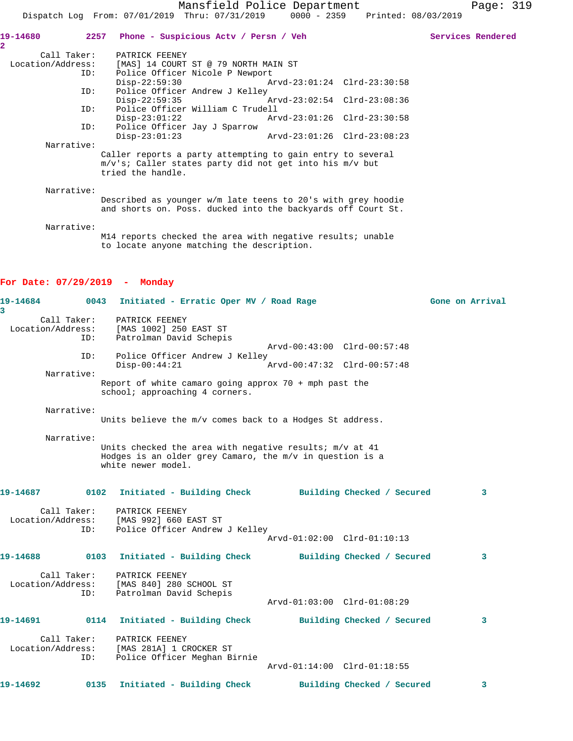| 19-14680          | 2257 Phone - Suspicious Actv / Persn / Veh                                                                                                      |                             |  | Services Rendered |
|-------------------|-------------------------------------------------------------------------------------------------------------------------------------------------|-----------------------------|--|-------------------|
| 2<br>Call Taker:  | PATRICK FEENEY                                                                                                                                  |                             |  |                   |
| Location/Address: | [MAS] 14 COURT ST @ 79 NORTH MAIN ST                                                                                                            |                             |  |                   |
| ID:               | Police Officer Nicole P Newport                                                                                                                 |                             |  |                   |
|                   | $Div3 - 22:59:30$ $Av3 - 23:01:24$ $Clrd-23:30:58$                                                                                              |                             |  |                   |
| ID:               | Police Officer Andrew J Kelley                                                                                                                  |                             |  |                   |
|                   | Disp-22:59:35                                                                                                                                   |                             |  |                   |
| ID:               | Police Officer William C Trudell                                                                                                                |                             |  |                   |
|                   | $Disp-23:01:22$                                                                                                                                 | Arvd-23:01:26 Clrd-23:30:58 |  |                   |
| ID:               | Police Officer Jay J Sparrow                                                                                                                    |                             |  |                   |
|                   | $Disp-23:01:23$                                                                                                                                 | Arvd-23:01:26 Clrd-23:08:23 |  |                   |
| Narrative:        |                                                                                                                                                 |                             |  |                   |
|                   | Caller reports a party attempting to gain entry to several<br>$m/v's$ ; Caller states party did not get into his $m/v$ but<br>tried the handle. |                             |  |                   |
| Narrative:        |                                                                                                                                                 |                             |  |                   |
|                   | Described as younger $w/m$ late teens to 20's with grey hoodie<br>and shorts on. Poss. ducked into the backyards off Court St.                  |                             |  |                   |
| Narrative:        |                                                                                                                                                 |                             |  |                   |

M14 reports checked the area with negative results; unable to locate anyone matching the description.

## **For Date: 07/29/2019 - Monday**

| 19-14684<br>3     | 0043               | Initiated - Erratic Oper MV / Road Rage                                                                                                     |                             |                            |  | Gone on Arrival |
|-------------------|--------------------|---------------------------------------------------------------------------------------------------------------------------------------------|-----------------------------|----------------------------|--|-----------------|
|                   | Call Taker:<br>ID: | PATRICK FEENEY<br>Location/Address: [MAS 1002] 250 EAST ST<br>Patrolman David Schepis                                                       | Arvd-00:43:00 Clrd-00:57:48 |                            |  |                 |
|                   | ID:                | Police Officer Andrew J Kelley                                                                                                              |                             |                            |  |                 |
|                   | Narrative:         | $Disp-00:44:21$                                                                                                                             | Arvd-00:47:32 Clrd-00:57:48 |                            |  |                 |
|                   |                    | Report of white camaro going approx $70 +$ mph past the<br>school; approaching 4 corners.                                                   |                             |                            |  |                 |
|                   | Narrative:         | Units believe the m/v comes back to a Hodges St address.                                                                                    |                             |                            |  |                 |
|                   | Narrative:         | Units checked the area with negative results; m/v at 41<br>Hodges is an older grey Camaro, the $m/v$ in question is a<br>white newer model. |                             |                            |  |                 |
| 19-14687          | 0102               | Initiated - Building Check Building Checked / Secured                                                                                       |                             |                            |  | 3               |
|                   | Call Taker:<br>ID: | PATRICK FEENEY<br>Location/Address: [MAS 992] 660 EAST ST<br>Police Officer Andrew J Kelley                                                 | Arvd-01:02:00 Clrd-01:10:13 |                            |  |                 |
| 19-14688 0103     |                    | Initiated - Building Check                                                                                                                  |                             | Building Checked / Secured |  | 3               |
|                   | Call Taker:<br>ID: | PATRICK FEENEY<br>Location/Address: [MAS 840] 280 SCHOOL ST<br>Patrolman David Schepis                                                      | Arvd-01:03:00 Clrd-01:08:29 |                            |  |                 |
| 19-14691 0114     |                    | Initiated - Building Check                                                                                                                  |                             | Building Checked / Secured |  | 3               |
| Location/Address: | Call Taker:<br>ID: | PATRICK FEENEY<br>[MAS 281A] 1 CROCKER ST<br>Police Officer Meghan Birnie                                                                   | Arvd-01:14:00 Clrd-01:18:55 |                            |  |                 |
| 19-14692          | 0135               | Initiated - Building Check                                                                                                                  |                             | Building Checked / Secured |  | 3               |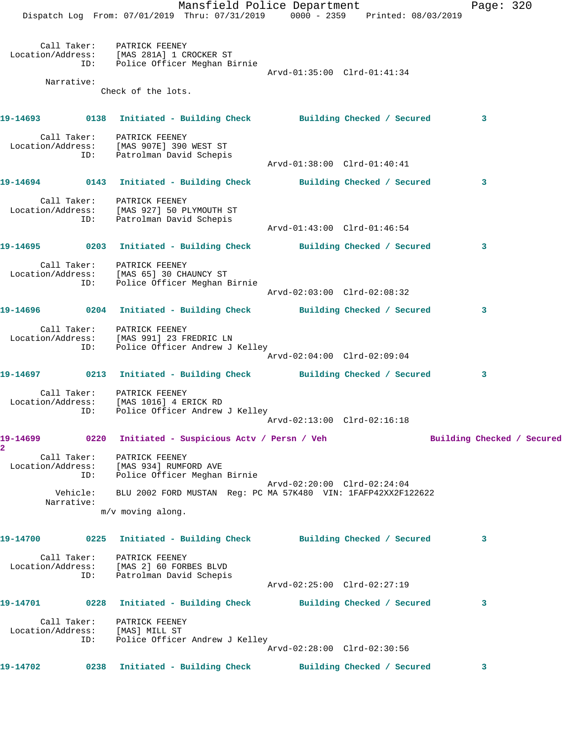Mansfield Police Department Page: 320 Dispatch Log From: 07/01/2019 Thru: 07/31/2019 0000 - 2359 Printed: 08/03/2019 Call Taker: PATRICK FEENEY Location/Address: [MAS 281A] 1 CROCKER ST ID: Police Officer Meghan Birnie Arvd-01:35:00 Clrd-01:41:34 Narrative: Check of the lots. **19-14693 0138 Initiated - Building Check Building Checked / Secured 3** Call Taker: PATRICK FEENEY Location/Address: [MAS 907E] 390 WEST ST ID: Patrolman David Schepis Arvd-01:38:00 Clrd-01:40:41 **19-14694 0143 Initiated - Building Check Building Checked / Secured 3** Call Taker: PATRICK FEENEY Location/Address: [MAS 927] 50 PLYMOUTH ST ID: Patrolman David Schepis Arvd-01:43:00 Clrd-01:46:54 **19-14695 0203 Initiated - Building Check Building Checked / Secured 3** Call Taker: PATRICK FEENEY Location/Address: [MAS 65] 30 CHAUNCY ST ID: Police Officer Meghan Birnie Arvd-02:03:00 Clrd-02:08:32 **19-14696 0204 Initiated - Building Check Building Checked / Secured 3** Call Taker: PATRICK FEENEY Location/Address: [MAS 991] 23 FREDRIC LN ID: Police Officer Andrew J Kelley Arvd-02:04:00 Clrd-02:09:04 **19-14697 0213 Initiated - Building Check Building Checked / Secured 3** Call Taker: PATRICK FEENEY Location/Address: [MAS 1016] 4 ERICK RD ID: Police Officer Andrew J Kelley Arvd-02:13:00 Clrd-02:16:18 19-14699 **1912** 0220 Initiated - Suspicious Actv / Persn / Veh Building Checked / Secured **2**  Call Taker: PATRICK FEENEY Location/Address: [MAS 934] RUMFORD AVE ID: Police Officer Meghan Birnie Arvd-02:20:00 Clrd-02:24:04 Vehicle: BLU 2002 FORD MUSTAN Reg: PC MA 57K480 VIN: 1FAFP42XX2F122622 Narrative: m/v moving along. **19-14700 0225 Initiated - Building Check Building Checked / Secured 3** Call Taker: PATRICK FEENEY Location/Address: [MAS 2] 60 FORBES BLVD ID: Patrolman David Schepis Arvd-02:25:00 Clrd-02:27:19 **19-14701 0228 Initiated - Building Check Building Checked / Secured 3** Call Taker: PATRICK FEENEY Location/Address: [MAS] MILL ST ID: Police Officer Andrew J Kelley Arvd-02:28:00 Clrd-02:30:56 **19-14702 0238 Initiated - Building Check Building Checked / Secured 3**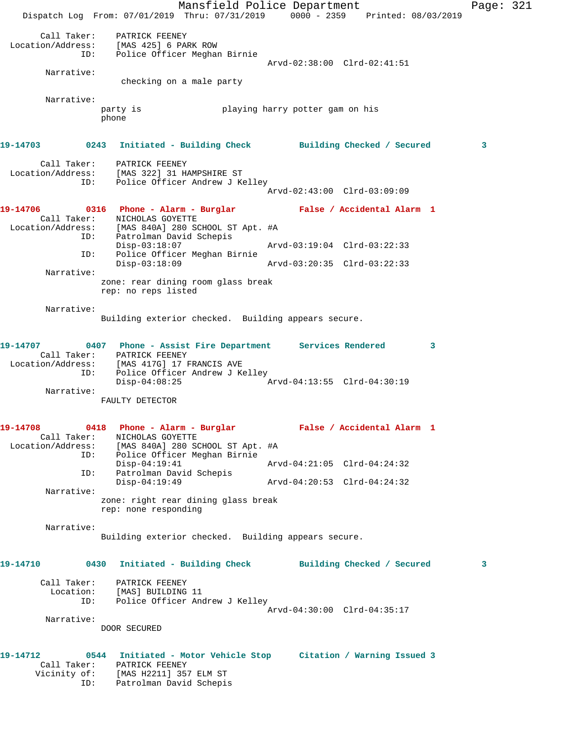Mansfield Police Department Page: 321 Dispatch Log From: 07/01/2019 Thru: 07/31/2019 0000 - 2359 Printed: 08/03/2019 Call Taker: PATRICK FEENEY Location/Address: [MAS 425] 6 PARK ROW ID: Police Officer Meghan Birnie Arvd-02:38:00 Clrd-02:41:51 Narrative: checking on a male party Narrative: party is playing harry potter gam on his phone **19-14703 0243 Initiated - Building Check Building Checked / Secured 3** Call Taker: PATRICK FEENEY Location/Address: [MAS 322] 31 HAMPSHIRE ST ID: Police Officer Andrew J Kelley Arvd-02:43:00 Clrd-03:09:09 **19-14706 0316 Phone - Alarm - Burglar False / Accidental Alarm 1**  Call Taker: NICHOLAS GOYETTE Location/Address: [MAS 840A] 280 SCHOOL ST Apt. #A ID: Patrolman David Schepis Disp-03:18:07 Arvd-03:19:04 Clrd-03:22:33 ID: Police Officer Meghan Birnie Disp-03:18:09 Arvd-03:20:35 Clrd-03:22:33 Narrative: zone: rear dining room glass break rep: no reps listed Narrative: Building exterior checked. Building appears secure. **19-14707 0407 Phone - Assist Fire Department Services Rendered 3**  Call Taker: PATRICK FEENEY Location/Address: [MAS 417G] 17 FRANCIS AVE ID: Police Officer Andrew J Kelley<br>Disp-04:08:25 Disp-04:08:25 Arvd-04:13:55 Clrd-04:30:19 Narrative: FAULTY DETECTOR **19-14708 0418 Phone - Alarm - Burglar False / Accidental Alarm 1**  Call Taker: NICHOLAS GOYETTE Location/Address: [MAS 840A] 280 SCHOOL ST Apt. #A ID: Police Officer Meghan Birnie Disp-04:19:41 Arvd-04:21:05 Clrd-04:24:32 ID: Patrolman David Schepis Disp-04:19:49 Arvd-04:20:53 Clrd-04:24:32 Narrative: zone: right rear dining glass break rep: none responding Narrative: Building exterior checked. Building appears secure. **19-14710 0430 Initiated - Building Check Building Checked / Secured 3** Call Taker: PATRICK FEENEY Location: [MAS] BUILDING 11 ID: Police Officer Andrew J Kelley Arvd-04:30:00 Clrd-04:35:17 Narrative: DOOR SECURED **19-14712 0544 Initiated - Motor Vehicle Stop Citation / Warning Issued 3**  Call Taker: PATRICK FEENEY Vicinity of: [MAS H2211] 357 ELM ST ID: Patrolman David Schepis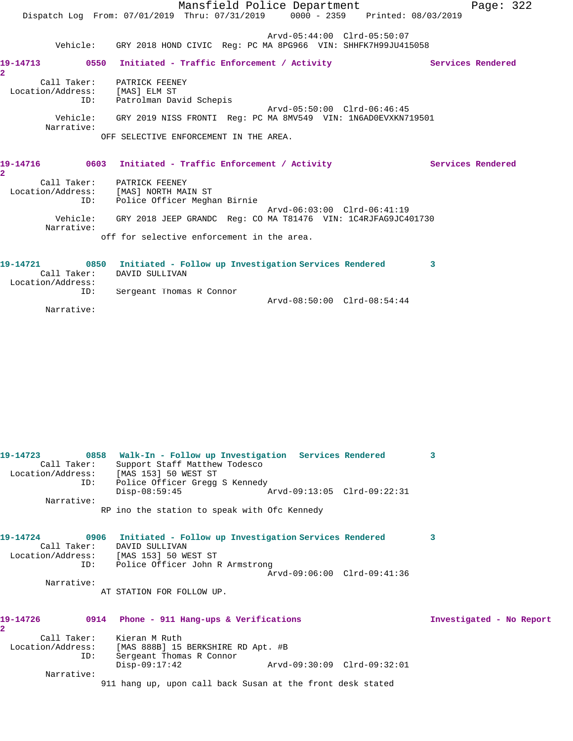|                                              | Mansfield Police Department<br>Dispatch Log From: 07/01/2019 Thru: 07/31/2019 0000 - 2359 Printed: 08/03/2019 |                   | Page: $322$ |
|----------------------------------------------|---------------------------------------------------------------------------------------------------------------|-------------------|-------------|
|                                              | Arvd-05:44:00 Clrd-05:50:07<br>Vehicle: GRY 2018 HOND CIVIC Req: PC MA 8PG966 VIN: SHHFK7H99JU415058          |                   |             |
| $\overline{2}$                               |                                                                                                               | Services Rendered |             |
| Location/Address: [MAS] ELM ST<br>ID:        | Call Taker: PATRICK FEENEY<br>Patrolman David Schepis                                                         |                   |             |
| Narrative:                                   | Arvd-05:50:00 Clrd-06:46:45<br>Vehicle: GRY 2019 NISS FRONTI Reg: PC MA 8MV549 VIN: 1N6AD0EVXKN719501         |                   |             |
|                                              | OFF SELECTIVE ENFORCEMENT IN THE AREA.                                                                        |                   |             |
| 19-14716<br>$\overline{\mathbf{2}}$          | 0603 Initiated - Traffic Enforcement / Activity                                                               | Services Rendered |             |
| ID:                                          | Call Taker: PATRICK FEENEY<br>Location/Address: [MAS] NORTH MAIN ST<br>Police Officer Meghan Birnie           |                   |             |
| Narrative:                                   | Arvd-06:03:00 Clrd-06:41:19<br>Vehicle: GRY 2018 JEEP GRANDC Req: CO MA T81476 VIN: 1C4RJFAG9JC401730         |                   |             |
|                                              | off for selective enforcement in the area.                                                                    |                   |             |
| 19-14721<br>Call Taker:<br>Location/Address: | 0850 Initiated - Follow up Investigation Services Rendered<br>3<br>DAVID SULLIVAN                             |                   |             |
| ID:                                          | Sergeant Thomas R Connor<br>Arvd-08:50:00 Clrd-08:54:44                                                       |                   |             |

Narrative:

| 19-14723<br>Call Taker:<br>ID: | 0858 Walk-In - Follow up Investigation Services Rendered<br>Support Staff Matthew Todesco<br>Location/Address: [MAS 153] 50 WEST ST<br>Police Officer Gregg S Kennedy | 3                        |
|--------------------------------|-----------------------------------------------------------------------------------------------------------------------------------------------------------------------|--------------------------|
| Narrative:                     | $Disp-08:59:45$<br>Arvd-09:13:05 Clrd-09:22:31                                                                                                                        |                          |
|                                | RP ino the station to speak with Ofc Kennedy                                                                                                                          |                          |
| 19-14724<br>Call Taker:        | 0906 Initiated - Follow up Investigation Services Rendered<br>DAVID SULLIVAN<br>Location/Address: [MAS 153] 50 WEST ST<br>ID: Police Officer John R Armstrong         | 3                        |
|                                | Arvd-09:06:00 Clrd-09:41:36                                                                                                                                           |                          |
| Narrative:                     | AT STATION FOR FOLLOW UP.                                                                                                                                             |                          |
| 19-14726<br>2.                 | 0914 Phone - 911 Hang-ups & Verifications                                                                                                                             | Investigated - No Report |
| ID:                            | Call Taker: Kieran M Ruth<br>Location/Address: [MAS 888B] 15 BERKSHIRE RD Apt. #B<br>Sergeant Thomas R Connor                                                         |                          |
|                                | $Disp-09:17:42$                                                                                                                                                       |                          |
| Narrative:                     | 911 hang up, upon call back Susan at the front desk stated                                                                                                            |                          |
|                                |                                                                                                                                                                       |                          |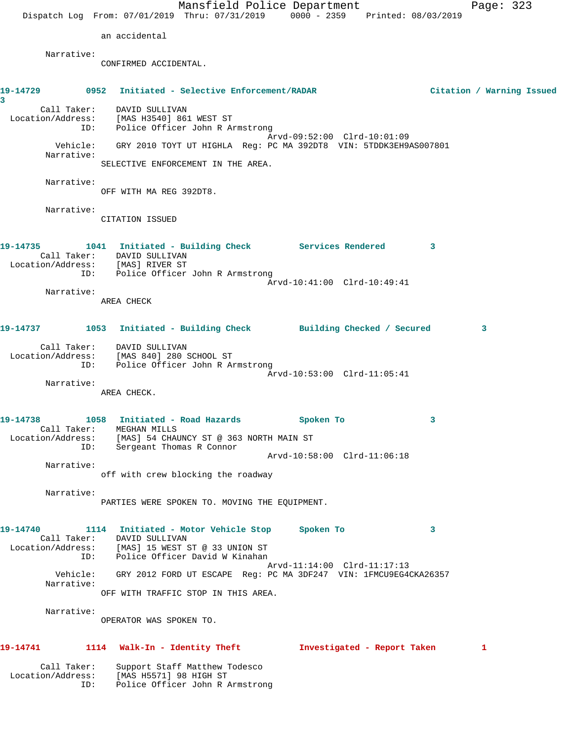Mansfield Police Department Page: 323 Dispatch Log From: 07/01/2019 Thru: 07/31/2019 0000 - 2359 Printed: 08/03/2019 an accidental Narrative: CONFIRMED ACCIDENTAL. **19-14729 0952 Initiated - Selective Enforcement/RADAR Citation / Warning Issued 3**  Call Taker: DAVID SULLIVAN Location/Address: [MAS H3540] 861 WEST ST ID: Police Officer John R Armstrong Arvd-09:52:00 Clrd-10:01:09 Vehicle: GRY 2010 TOYT UT HIGHLA Reg: PC MA 392DT8 VIN: 5TDDK3EH9AS007801 Narrative: SELECTIVE ENFORCEMENT IN THE AREA. Narrative: OFF WITH MA REG 392DT8. Narrative: CITATION ISSUED **19-14735 1041 Initiated - Building Check Services Rendered 3**  Call Taker: DAVID SULLIVAN Location/Address: [MAS] RIVER ST ID: Police Officer John R Armstrong Arvd-10:41:00 Clrd-10:49:41 Narrative: AREA CHECK **19-14737 1053 Initiated - Building Check Building Checked / Secured 3** Call Taker: DAVID SULLIVAN Location/Address: [MAS 840] 280 SCHOOL ST ID: Police Officer John R Armstrong Arvd-10:53:00 Clrd-11:05:41 Narrative: AREA CHECK. **19-14738 1058 Initiated - Road Hazards Spoken To 3**  Call Taker: MEGHAN MILLS Location/Address: [MAS] 54 CHAUNCY ST @ 363 NORTH MAIN ST ID: Sergeant Thomas R Connor Arvd-10:58:00 Clrd-11:06:18 Narrative: off with crew blocking the roadway Narrative: PARTIES WERE SPOKEN TO. MOVING THE EQUIPMENT. **19-14740 1114 Initiated - Motor Vehicle Stop Spoken To 3**  Call Taker: DAVID SULLIVAN Location/Address: [MAS] 15 WEST ST @ 33 UNION ST ID: Police Officer David W Kinahan Arvd-11:14:00 Clrd-11:17:13 Vehicle: GRY 2012 FORD UT ESCAPE Reg: PC MA 3DF247 VIN: 1FMCU9EG4CKA26357 Narrative: OFF WITH TRAFFIC STOP IN THIS AREA. Narrative: OPERATOR WAS SPOKEN TO. **19-14741 1114 Walk-In - Identity Theft Investigated - Report Taken 1** Call Taker: Support Staff Matthew Todesco Location/Address: [MAS H5571] 98 HIGH ST ID: Police Officer John R Armstrong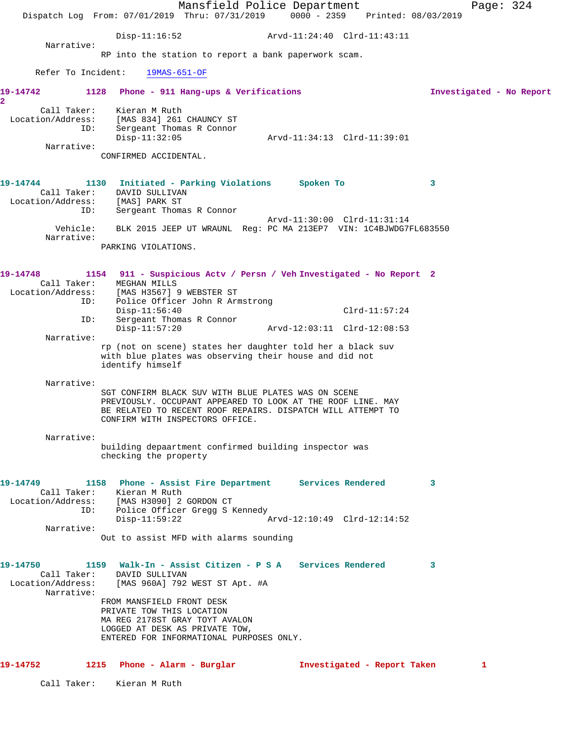|                                        | Dispatch Log From: 07/01/2019 Thru: 07/31/2019 0000 - 2359 Printed: 08/03/2019                                             | Mansfield Police Department     |                             |                          | Page: 324 |
|----------------------------------------|----------------------------------------------------------------------------------------------------------------------------|---------------------------------|-----------------------------|--------------------------|-----------|
|                                        |                                                                                                                            |                                 |                             |                          |           |
| Narrative:                             | Disp-11:16:52                                                                                                              |                                 |                             |                          |           |
|                                        | RP into the station to report a bank paperwork scam.                                                                       |                                 |                             |                          |           |
| Refer To Incident:                     | 19MAS-651-OF                                                                                                               |                                 |                             |                          |           |
| 19-14742                               | 1128 Phone - 911 Hang-ups & Verifications                                                                                  |                                 |                             | Investigated - No Report |           |
| $\overline{\mathbf{2}}$<br>Call Taker: | Kieran M Ruth                                                                                                              |                                 |                             |                          |           |
| ID:                                    | Location/Address: [MAS 834] 261 CHAUNCY ST<br>Sergeant Thomas R Connor                                                     |                                 |                             |                          |           |
| Narrative:                             | $Disp-11:32:05$                                                                                                            |                                 | Arvd-11:34:13 Clrd-11:39:01 |                          |           |
|                                        | CONFIRMED ACCIDENTAL.                                                                                                      |                                 |                             |                          |           |
|                                        |                                                                                                                            |                                 |                             |                          |           |
| 19-14744                               | 1130 Initiated - Parking Violations Spoken To<br>Call Taker: DAVID SULLIVAN                                                |                                 |                             | 3                        |           |
| Location/Address: [MAS] PARK ST<br>ID: | Sergeant Thomas R Connor                                                                                                   |                                 |                             |                          |           |
|                                        | Vehicle: BLK 2015 JEEP UT WRAUNL Reg: PC MA 213EP7 VIN: 1C4BJWDG7FL683550                                                  |                                 | Arvd-11:30:00 Clrd-11:31:14 |                          |           |
| Narrative:                             | PARKING VIOLATIONS.                                                                                                        |                                 |                             |                          |           |
|                                        |                                                                                                                            |                                 |                             |                          |           |
| 19-14748                               | 1154 911 - Suspicious Actv / Persn / Veh Investigated - No Report 2                                                        |                                 |                             |                          |           |
| Call Taker:                            | MEGHAN MILLS<br>Location/Address: [MAS H3567] 9 WEBSTER ST                                                                 |                                 |                             |                          |           |
| ID:                                    | $Disp-11:56:40$                                                                                                            | Police Officer John R Armstrong | $Clrd-11:57:24$             |                          |           |
| ID:                                    | Sergeant Thomas R Connor<br>$Disp-11:57:20$                                                                                |                                 |                             |                          |           |
| Narrative:                             | rp (not on scene) states her daughter told her a black suv                                                                 |                                 |                             |                          |           |
|                                        | with blue plates was observing their house and did not<br>identify himself                                                 |                                 |                             |                          |           |
| Narrative:                             |                                                                                                                            |                                 |                             |                          |           |
|                                        | SGT CONFIRM BLACK SUV WITH BLUE PLATES WAS ON SCENE                                                                        |                                 |                             |                          |           |
|                                        | PREVIOUSLY. OCCUPANT APPEARED TO LOOK AT THE ROOF LINE. MAY<br>BE RELATED TO RECENT ROOF REPAIRS. DISPATCH WILL ATTEMPT TO |                                 |                             |                          |           |
|                                        | CONFIRM WITH INSPECTORS OFFICE.                                                                                            |                                 |                             |                          |           |
| Narrative:                             | building depaartment confirmed building inspector was                                                                      |                                 |                             |                          |           |
|                                        | checking the property                                                                                                      |                                 |                             |                          |           |
|                                        | 19-14749 1158 Phone - Assist Fire Department Services Rendered                                                             |                                 |                             | 3                        |           |
|                                        | Call Taker: Kieran M Ruth<br>Location/Address: [MAS H3090] 2 GORDON CT                                                     |                                 |                             |                          |           |
|                                        | ID: Police Officer Gregg S Kennedy<br>$Disp-11:59:22$                                                                      |                                 | Arvd-12:10:49 Clrd-12:14:52 |                          |           |
| Narrative:                             |                                                                                                                            |                                 |                             |                          |           |
|                                        | Out to assist MFD with alarms sounding                                                                                     |                                 |                             |                          |           |
|                                        |                                                                                                                            |                                 |                             | 3                        |           |
|                                        | Call Taker: DAVID SULLIVAN<br>Location/Address: [MAS 960A] 792 WEST ST Apt. #A                                             |                                 |                             |                          |           |
| Narrative:                             | FROM MANSFIELD FRONT DESK                                                                                                  |                                 |                             |                          |           |
|                                        | PRIVATE TOW THIS LOCATION<br>MA REG 2178ST GRAY TOYT AVALON                                                                |                                 |                             |                          |           |
|                                        | LOGGED AT DESK AS PRIVATE TOW,<br>ENTERED FOR INFORMATIONAL PURPOSES ONLY.                                                 |                                 |                             |                          |           |
|                                        |                                                                                                                            |                                 |                             |                          |           |
| 19-14752                               | 1215 Phone - Alarm - Burglar                                                                                               |                                 | Investigated - Report Taken | 1                        |           |
|                                        | Call Taker: Kieran M Ruth                                                                                                  |                                 |                             |                          |           |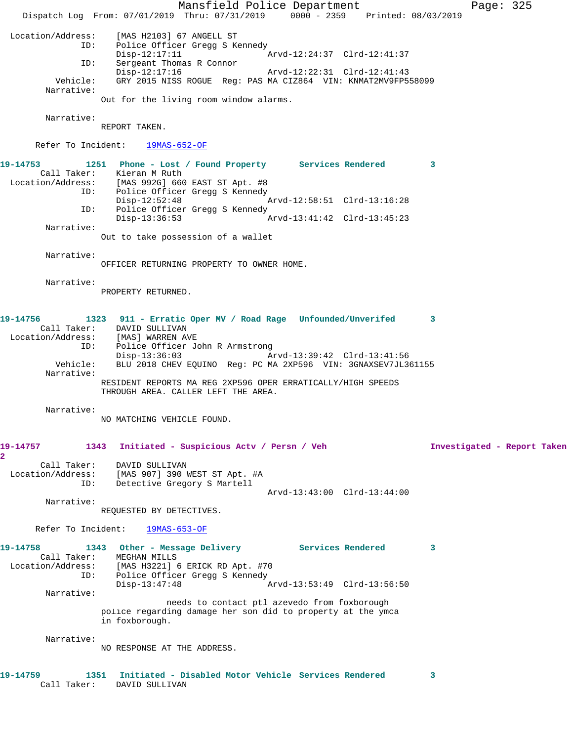Mansfield Police Department Page: 325 Dispatch Log From: 07/01/2019 Thru: 07/31/2019 0000 - 2359 Printed: 08/03/2019 Location/Address: [MAS H2103] 67 ANGELL ST Police Officer Gregg S Kennedy<br>Disp-12:17:11 A Disp-12:17:11 Arvd-12:24:37 Clrd-12:41:37 ID: Sergeant Thomas R Connor Disp-12:17:16 Arvd-12:22:31 Clrd-12:41:43 Vehicle: GRY 2015 NISS ROGUE Reg: PAS MA CIZ864 VIN: KNMAT2MV9FP558099 Narrative: Out for the living room window alarms. Narrative: REPORT TAKEN. Refer To Incident: 19MAS-652-OF **19-14753 1251 Phone - Lost / Found Property Services Rendered 3**  Call Taker: Kieran M Ruth Location/Address: [MAS 992G] 660 EAST ST Apt. #8 ID: Police Officer Gregg S Kennedy Disp-12:52:48 Arvd-12:58:51 Clrd-13:16:28 ID: Police Officer Gregg S Kennedy<br>Disp-13:36:53 A Arvd-13:41:42 Clrd-13:45:23 Narrative: Out to take possession of a wallet Narrative: OFFICER RETURNING PROPERTY TO OWNER HOME. Narrative: PROPERTY RETURNED. **19-14756 1323 911 - Erratic Oper MV / Road Rage Unfounded/Unverifed 3**  Call Taker: DAVID SULLIVAN Location/Address: [MAS] WARREN AVE ID: Police Officer John R Armstrong<br>Disp-13:36:03 Disp-13:36:03 Arvd-13:39:42 Clrd-13:41:56 Vehicle: BLU 2018 CHEV EQUINO Reg: PC MA 2XP596 VIN: 3GNAXSEV7JL361155 Narrative: RESIDENT REPORTS MA REG 2XP596 OPER ERRATICALLY/HIGH SPEEDS THROUGH AREA. CALLER LEFT THE AREA. Narrative: NO MATCHING VEHICLE FOUND. **19-14757 1343 Initiated - Suspicious Actv / Persn / Veh Investigated - Report Taken 2**  Call Taker: DAVID SULLIVAN Location/Address: [MAS 907] 390 WEST ST Apt. #A ID: Detective Gregory S Martell Arvd-13:43:00 Clrd-13:44:00 Narrative: REQUESTED BY DETECTIVES. Refer To Incident: 19MAS-653-OF **19-14758 1343 Other - Message Delivery Services Rendered 3**  Call Taker: MEGHAN MILLS Location/Address: [MAS H3221] 6 ERICK RD Apt. #70 ID: Police Officer Gregg S Kennedy Disp-13:47:48 Arvd-13:53:49 Clrd-13:56:50 Narrative: needs to contact ptl azevedo from foxborough police regarding damage her son did to property at the ymca in foxborough. Narrative: NO RESPONSE AT THE ADDRESS. **19-14759 1351 Initiated - Disabled Motor Vehicle Services Rendered 3**  Call Taker: DAVID SULLIVAN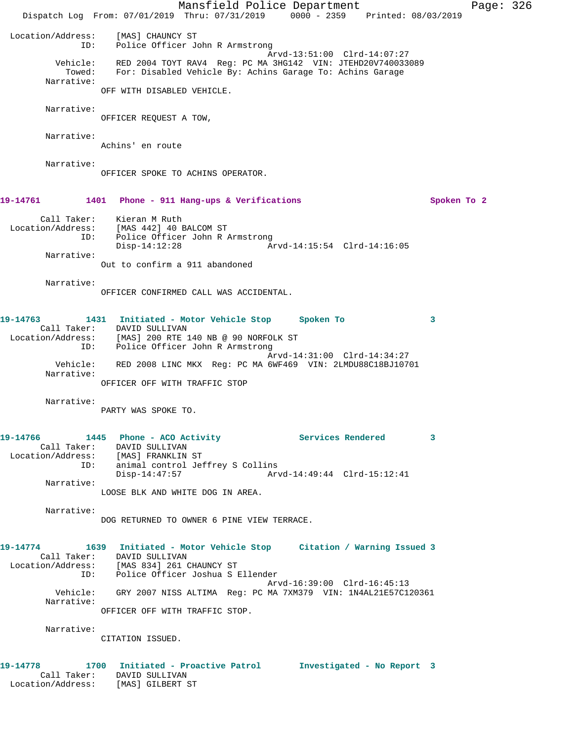Mansfield Police Department Page: 326 Dispatch Log From: 07/01/2019 Thru: 07/31/2019 0000 - 2359 Printed: 08/03/2019 Location/Address: [MAS] CHAUNCY ST ID: Police Officer John R Armstrong Arvd-13:51:00 Clrd-14:07:27 Vehicle: RED 2004 TOYT RAV4 Reg: PC MA 3HG142 VIN: JTEHD20V740033089 Towed: For: Disabled Vehicle By: Achins Garage To: Achins Garage Narrative: OFF WITH DISABLED VEHICLE. Narrative: OFFICER REQUEST A TOW, Narrative: Achins' en route Narrative: OFFICER SPOKE TO ACHINS OPERATOR. **19-14761 1401 Phone - 911 Hang-ups & Verifications Spoken To 2** Call Taker: Kieran M Ruth Location/Address: [MAS 442] 40 BALCOM ST ID: Police Officer John R Armstrong Disp-14:12:28 Arvd-14:15:54 Clrd-14:16:05 Narrative: Out to confirm a 911 abandoned Narrative: OFFICER CONFIRMED CALL WAS ACCIDENTAL. **19-14763 1431 Initiated - Motor Vehicle Stop Spoken To 3**  Call Taker: DAVID SULLIVAN Location/Address: [MAS] 200 RTE 140 NB @ 90 NORFOLK ST ID: Police Officer John R Armstrong Arvd-14:31:00 Clrd-14:34:27 Vehicle: RED 2008 LINC MKX Reg: PC MA 6WF469 VIN: 2LMDU88C18BJ10701 Narrative: OFFICER OFF WITH TRAFFIC STOP Narrative: PARTY WAS SPOKE TO. 19-14766 1445 Phone - ACO Activity **19-14766** Services Rendered 3 Call Taker: DAVID SULLIVAN Location/Address: [MAS] FRANKLIN ST ID: animal control Jeffrey S Collins Disp-14:47:57 Arvd-14:49:44 Clrd-15:12:41 Narrative: LOOSE BLK AND WHITE DOG IN AREA. Narrative: DOG RETURNED TO OWNER 6 PINE VIEW TERRACE. **19-14774 1639 Initiated - Motor Vehicle Stop Citation / Warning Issued 3**  Call Taker: DAVID SULLIVAN Location/Address: [MAS 834] 261 CHAUNCY ST ID: Police Officer Joshua S Ellender Arvd-16:39:00 Clrd-16:45:13 Vehicle: GRY 2007 NISS ALTIMA Reg: PC MA 7XM379 VIN: 1N4AL21E57C120361 Narrative: OFFICER OFF WITH TRAFFIC STOP. Narrative: CITATION ISSUED. **19-14778 1700 Initiated - Proactive Patrol Investigated - No Report 3**  Call Taker: DAVID SULLIVAN Location/Address: [MAS] GILBERT ST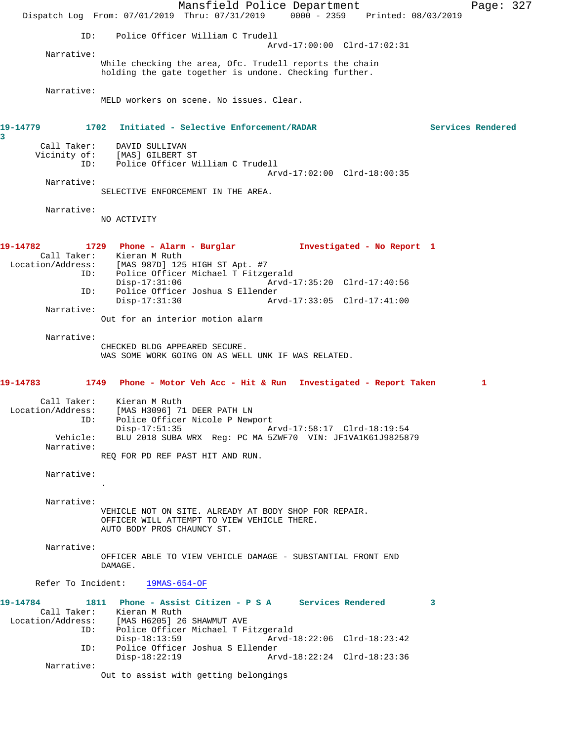Mansfield Police Department Page: 327 Dispatch Log From: 07/01/2019 Thru: 07/31/2019 0000 - 2359 Printed: 08/03/2019 ID: Police Officer William C Trudell Arvd-17:00:00 Clrd-17:02:31 Narrative: While checking the area, Ofc. Trudell reports the chain holding the gate together is undone. Checking further. Narrative: MELD workers on scene. No issues. Clear. **19-14779 1702 Initiated - Selective Enforcement/RADAR Services Rendered 3**  Call Taker: DAVID SULLIVAN Vicinity of: [MAS] GILBERT ST ID: Police Officer William C Trudell Arvd-17:02:00 Clrd-18:00:35 Narrative: SELECTIVE ENFORCEMENT IN THE AREA. Narrative: NO ACTIVITY **19-14782 1729 Phone - Alarm - Burglar Investigated - No Report 1**  Call Taker: Kieran M Ruth Location/Address: [MAS 987D] 125 HIGH ST Apt. #7 ID: Police Officer Michael T Fitzgerald Disp-17:31:06 Arvd-17:35:20 Clrd-17:40:56 ID: Police Officer Joshua S Ellender Disp-17:31:30 Arvd-17:33:05 Clrd-17:41:00 Narrative: Out for an interior motion alarm Narrative: CHECKED BLDG APPEARED SECURE. WAS SOME WORK GOING ON AS WELL UNK IF WAS RELATED. **19-14783 1749 Phone - Motor Veh Acc - Hit & Run Investigated - Report Taken 1** Call Taker: Kieran M Ruth Location/Address: [MAS H3096] 71 DEER PATH LN ID: Police Officer Nicole P Newport Disp-17:51:35 Arvd-17:58:17 Clrd-18:19:54 Vehicle: BLU 2018 SUBA WRX Reg: PC MA 5ZWF70 VIN: JF1VA1K61J9825879 Narrative: REQ FOR PD REF PAST HIT AND RUN. Narrative: . Narrative: VEHICLE NOT ON SITE. ALREADY AT BODY SHOP FOR REPAIR. OFFICER WILL ATTEMPT TO VIEW VEHICLE THERE. AUTO BODY PROS CHAUNCY ST. Narrative: OFFICER ABLE TO VIEW VEHICLE DAMAGE - SUBSTANTIAL FRONT END DAMAGE. Refer To Incident: 19MAS-654-OF **19-14784 1811 Phone - Assist Citizen - P S A Services Rendered 3**  Call Taker: Kieran M Ruth Location/Address: [MAS H6205] 26 SHAWMUT AVE ID: Police Officer Michael T Fitzgerald Disp-18:13:59 Arvd-18:22:06 Clrd-18:23:42 ID: Police Officer Joshua S Ellender Disp-18:22:19 Arvd-18:22:24 Clrd-18:23:36 Narrative: Out to assist with getting belongings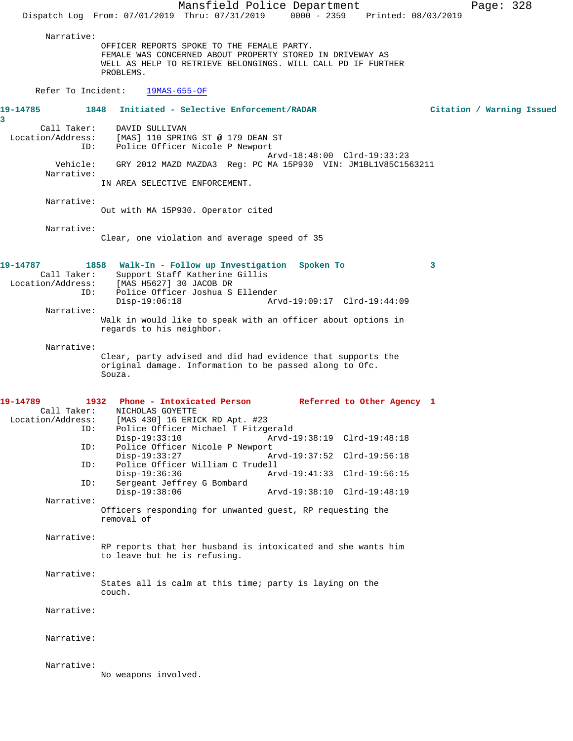Mansfield Police Department Page: 328 Dispatch Log From: 07/01/2019 Thru: 07/31/2019 0000 - 2359 Printed: 08/03/2019 Narrative: OFFICER REPORTS SPOKE TO THE FEMALE PARTY. FEMALE WAS CONCERNED ABOUT PROPERTY STORED IN DRIVEWAY AS WELL AS HELP TO RETRIEVE BELONGINGS. WILL CALL PD IF FURTHER PROBLEMS. Refer To Incident: 19MAS-655-OF **19-14785 1848 Initiated - Selective Enforcement/RADAR Citation / Warning Issued** Call Taker: DAVID SULLIVAN Location/Address: [MAS] 110 SPRING ST @ 179 DEAN ST ID: Police Officer Nicole P Newport Arvd-18:48:00 Clrd-19:33:23 Vehicle: GRY 2012 MAZD MAZDA3 Reg: PC MA 15P930 VIN: JM1BL1V85C1563211 Narrative: IN AREA SELECTIVE ENFORCEMENT. Narrative: Out with MA 15P930. Operator cited Narrative: Clear, one violation and average speed of 35 **19-14787 1858 Walk-In - Follow up Investigation Spoken To 3**  Call Taker: Support Staff Katherine Gillis Location/Address: [MAS H5627] 30 JACOB DR ID: Police Officer Joshua S Ellender Disp-19:06:18 Arvd-19:09:17 Clrd-19:44:09 Narrative: Walk in would like to speak with an officer about options in regards to his neighbor. Narrative: Clear, party advised and did had evidence that supports the original damage. Information to be passed along to Ofc. Souza. **19-14789 1932 Phone - Intoxicated Person Referred to Other Agency 1**  Call Taker: NICHOLAS GOYETTE Location/Address: [MAS 430] 16 ERICK RD Apt. #23 ID: Police Officer Michael T Fitzgerald Disp-19:33:10 Arvd-19:38:19 Clrd-19:48:18<br>ID: Police Officer Nicole P Newport Police Officer Nicole P Newport<br>Disp-19:33:27 A Disp-19:33:27 Arvd-19:37:52 Clrd-19:56:18<br>ID: Police Officer William C Trudell Police Officer William C Trudell<br>Disp-19:36:36 Ar Disp-19:36:36 Arvd-19:41:33 Clrd-19:56:15<br>TD: Sergeant Jeffrey G Bombard Sergeant Jeffrey G Bombard<br>Disp-19:38:06 Disp-19:38:06 Arvd-19:38:10 Clrd-19:48:19 Narrative: Officers responding for unwanted guest, RP requesting the removal of Narrative: RP reports that her husband is intoxicated and she wants him to leave but he is refusing. Narrative: States all is calm at this time; party is laying on the couch. Narrative: Narrative: Narrative: No weapons involved.

**3**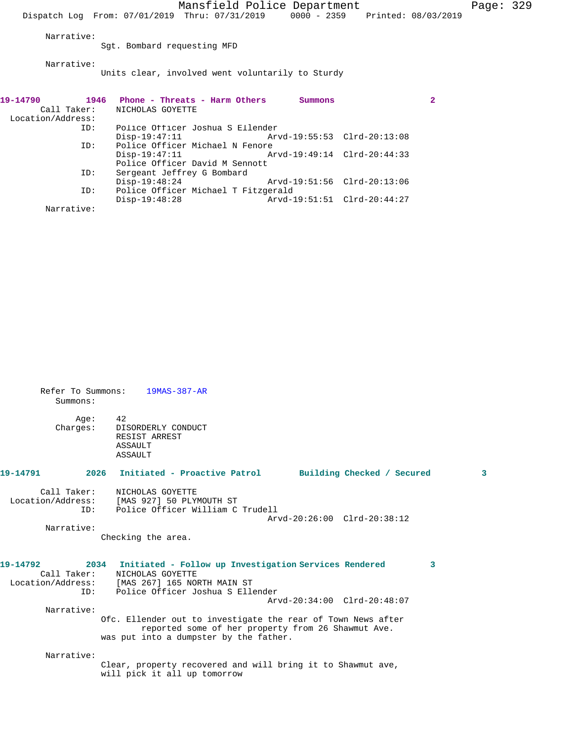Mansfield Police Department Page: 329 Dispatch Log From: 07/01/2019 Thru: 07/31/2019 0000 - 2359 Printed: 08/03/2019 Narrative: Sgt. Bombard requesting MFD Narrative: Units clear, involved went voluntarily to Sturdy **19-14790 1946 Phone - Threats - Harm Others Summons 2**  Call Taker: NICHOLAS GOYETTE Location/Address: Police Officer Joshua S Ellender<br>Disp-19:47:11 Arv Disp-19:47:11 Arvd-19:55:53 Clrd-20:13:08 ID: Police Officer Michael N Fenore Disp-19:47:11 Arvd-19:49:14 Clrd-20:44:33

Arvd-19:51:56 Clrd-20:13:06

Disp-19:48:28 Arvd-19:51:51 Clrd-20:44:27

Police Officer David M Sennott<br>ID: Sergeant Jeffrey G Bombard Sergeant Jeffrey G Bombard<br>Disp-19:48:24

Narrative:

ID: Police Officer Michael T Fitzgerald

| Summons:         | Refer To Summons: 19MAS-387-AR                                                                                                                                                                    |   |
|------------------|---------------------------------------------------------------------------------------------------------------------------------------------------------------------------------------------------|---|
| Age:<br>Charges: | 42<br>DISORDERLY CONDUCT<br>RESIST ARREST<br>ASSAULT<br>ASSAULT                                                                                                                                   |   |
|                  | 19-14791                2026 Initiated - Proactive Patrol          Building Checked / Secured                                                                                                     | з |
| ID:              | Call Taker: NICHOLAS GOYETTE<br>Location/Address: [MAS 927] 50 PLYMOUTH ST<br>Police Officer William C Trudell<br>Arvd-20:26:00 Clrd-20:38:12                                                     |   |
| Narrative:       | Checking the area.                                                                                                                                                                                |   |
|                  | 19-14792 2034 Initiated - Follow up Investigation Services Rendered<br>3<br>Call Taker: NICHOLAS GOYETTE<br>Location/Address: [MAS 267] 165 NORTH MAIN ST<br>ID: Police Officer Joshua S Ellender |   |
| Narrative:       | Arvd-20:34:00 Clrd-20:48:07                                                                                                                                                                       |   |
|                  | Ofc. Ellender out to investigate the rear of Town News after<br>reported some of her property from 26 Shawmut Ave.<br>was put into a dumpster by the father.                                      |   |
| Narrative:       |                                                                                                                                                                                                   |   |
|                  | Clear, property recovered and will bring it to Shawmut ave,<br>will pick it all up tomorrow                                                                                                       |   |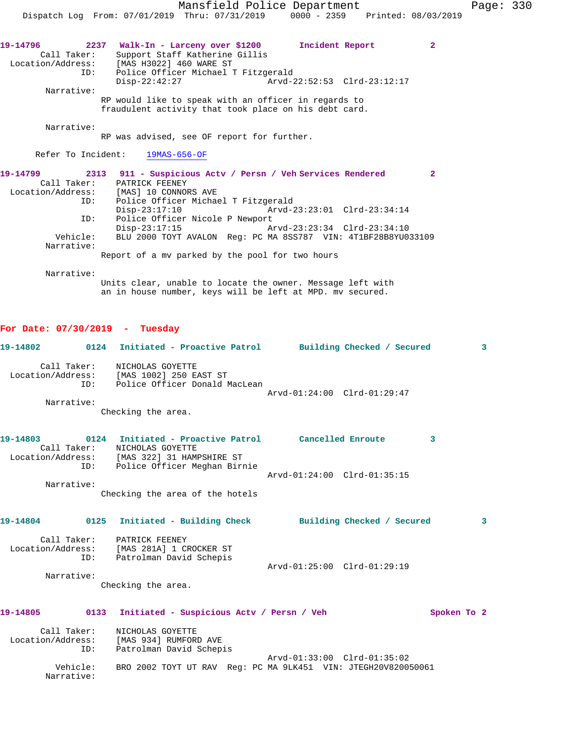| 19-14796<br>2237  | Walk-In - Larceny over \$1200  |  |  |                                     | Incident Report                                      |                             | $\mathbf{2}^-$ |  |
|-------------------|--------------------------------|--|--|-------------------------------------|------------------------------------------------------|-----------------------------|----------------|--|
| Call Taker:       | Support Staff Katherine Gillis |  |  |                                     |                                                      |                             |                |  |
| Location/Address: | [MAS H3022] 460 WARE ST        |  |  |                                     |                                                      |                             |                |  |
| ID:               |                                |  |  | Police Officer Michael T Fitzgerald |                                                      |                             |                |  |
|                   | $Disp-22:42:27$                |  |  |                                     |                                                      | Arvd-22:52:53 Clrd-23:12:17 |                |  |
| Narrative:        |                                |  |  |                                     |                                                      |                             |                |  |
|                   |                                |  |  |                                     | RP would like to speak with an officer in regards to |                             |                |  |

fraudulent activity that took place on his debt card.

Narrative:

RP was advised, see OF report for further.

Refer To Incident: 19MAS-656-OF

| 19-14799          |          | 2313 911 - Suspicious Actv / Persn / Veh Services Rendered    |                             |  |
|-------------------|----------|---------------------------------------------------------------|-----------------------------|--|
| Call Taker:       |          | PATRICK FEENEY                                                |                             |  |
| Location/Address: |          | [MAS] 10 CONNORS AVE                                          |                             |  |
|                   | ID:      | Police Officer Michael T Fitzgerald                           |                             |  |
|                   |          | $Disp-23:17:10$                                               | Arvd-23:23:01 Clrd-23:34:14 |  |
|                   | ID:      | Police Officer Nicole P Newport                               |                             |  |
|                   |          | $Disp-23:17:15$                                               | Arvd-23:23:34 Clrd-23:34:10 |  |
|                   | Vehicle: | BLU 2000 TOYT AVALON Req: PC MA 8SS787 VIN: 4T1BF28B8YU033109 |                             |  |
| Narrative:        |          |                                                               |                             |  |
|                   |          | Report of a my parked by the pool for two hours               |                             |  |
|                   |          |                                                               |                             |  |

Narrative:

Units clear, unable to locate the owner. Message left with an in house number, keys will be left at MPD. mv secured.

## **For Date: 07/30/2019 - Tuesday**

|             |             | 19-14802 0124 Initiated - Proactive Patrol Building Checked / Secured                                                   |                             |  |             | 3 |
|-------------|-------------|-------------------------------------------------------------------------------------------------------------------------|-----------------------------|--|-------------|---|
| Narrative:  | Call Taker: | NICHOLAS GOYETTE<br>Location/Address: [MAS 1002] 250 EAST ST<br>ID: Police Officer Donald MacLean<br>Checking the area. | Arvd-01:24:00 Clrd-01:29:47 |  |             |   |
|             |             |                                                                                                                         |                             |  |             |   |
|             |             | 19-14803      0124   Initiated - Proactive Patrol     Cancelled Enroute<br>Call Taker: NICHOLAS GOYETTE                 |                             |  | 3           |   |
|             | ID:         | Location/Address: [MAS 322] 31 HAMPSHIRE ST<br>Police Officer Meghan Birnie                                             | Arvd-01:24:00 Clrd-01:35:15 |  |             |   |
| Narrative:  |             | Checking the area of the hotels                                                                                         |                             |  |             |   |
|             |             | 19-14804 0125 Initiated - Building Check Building Checked / Secured                                                     |                             |  |             | 3 |
|             | ID:         | Call Taker: PATRICK FEENEY<br>Location/Address: [MAS 281A] 1 CROCKER ST<br>Patrolman David Schepis                      |                             |  |             |   |
| Narrative:  |             | Checking the area.                                                                                                      | Arvd-01:25:00 Clrd-01:29:19 |  |             |   |
| 19-14805    |             | 0133 Initiated - Suspicious Acty / Persn / Veh                                                                          |                             |  | Spoken To 2 |   |
| Call Taker: | ID:         | NICHOLAS GOYETTE<br>Location/Address: [MAS 934] RUMFORD AVE<br>Patrolman David Schepis                                  |                             |  |             |   |
| Narrative:  | Vehicle:    | BRO 2002 TOYT UT RAV Req: PC MA 9LK451 VIN: JTEGH20V820050061                                                           | Arvd-01:33:00 Clrd-01:35:02 |  |             |   |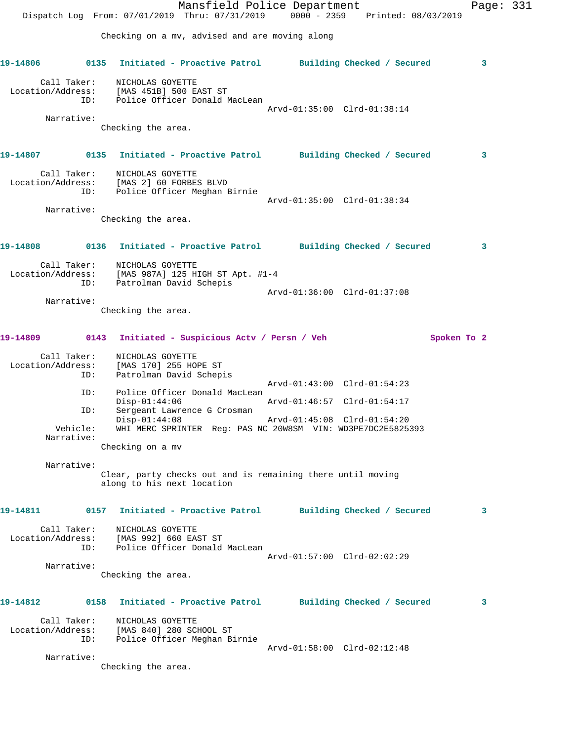Mansfield Police Department Page: 331 Dispatch Log From: 07/01/2019 Thru: 07/31/2019 0000 - 2359 Printed: 08/03/2019 Checking on a mv, advised and are moving along **19-14806 0135 Initiated - Proactive Patrol Building Checked / Secured 3** Call Taker: NICHOLAS GOYETTE Location/Address: [MAS 451B] 500 EAST ST ID: Police Officer Donald MacLean Arvd-01:35:00 Clrd-01:38:14 Narrative: Checking the area. **19-14807 0135 Initiated - Proactive Patrol Building Checked / Secured 3** Call Taker: NICHOLAS GOYETTE Location/Address: [MAS 2] 60 FORBES BLVD ID: Police Officer Meghan Birnie Arvd-01:35:00 Clrd-01:38:34 Narrative: Checking the area. **19-14808 0136 Initiated - Proactive Patrol Building Checked / Secured 3** Call Taker: NICHOLAS GOYETTE Location/Address: [MAS 987A] 125 HIGH ST Apt. #1-4 ID: Patrolman David Schepis Arvd-01:36:00 Clrd-01:37:08 Narrative: Checking the area. **19-14809 0143 Initiated - Suspicious Actv / Persn / Veh Spoken To 2** Call Taker: NICHOLAS GOYETTE Location/Address: [MAS 170] 255 HOPE ST<br>ID: Patrolman David Schep: Patrolman David Schepis Arvd-01:43:00 Clrd-01:54:23 ID: Police Officer Donald MacLean Disp-01:44:06 Arvd-01:46:57 Clrd-01:54:17 ID: Sergeant Lawrence G Crosman<br>Disp-01:44:08 Disp-01:44:08 Arvd-01:45:08 Clrd-01:54:20<br>Vehicle: WHI MERC SPRINTER Reg: PAS NC 20W8SM VIN: WD3PE7DC2E5825 WHI MERC SPRINTER Reg: PAS NC 20W8SM VIN: WD3PE7DC2E5825393 Narrative: Checking on a mv Narrative: Clear, party checks out and is remaining there until moving along to his next location **19-14811 0157 Initiated - Proactive Patrol Building Checked / Secured 3** Call Taker: NICHOLAS GOYETTE Location/Address: [MAS 992] 660 EAST ST ID: Police Officer Donald MacLean Arvd-01:57:00 Clrd-02:02:29 Narrative: Checking the area. **19-14812 0158 Initiated - Proactive Patrol Building Checked / Secured 3** Call Taker: NICHOLAS GOYETTE Location/Address: [MAS 840] 280 SCHOOL ST ID: Police Officer Meghan Birnie Arvd-01:58:00 Clrd-02:12:48 Narrative: Checking the area.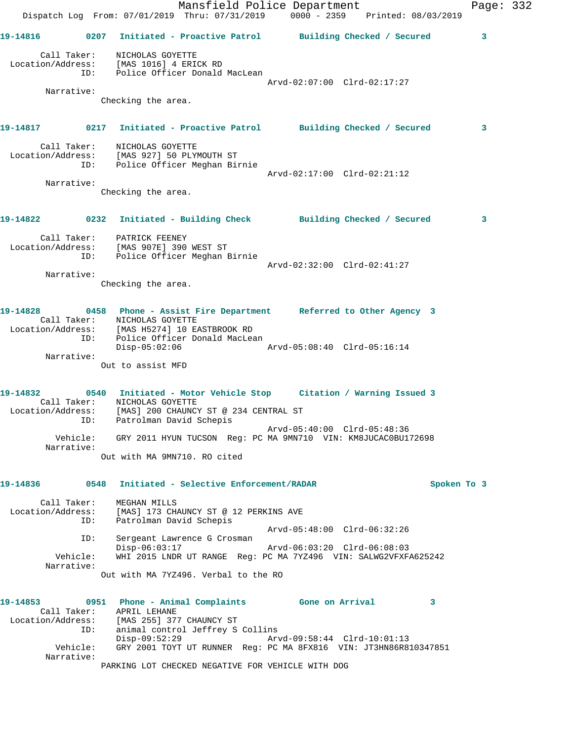Mansfield Police Department Fage: 332 Dispatch Log From: 07/01/2019 Thru: 07/31/2019 0000 - 2359 Printed: 08/03/2019 **19-14816 0207 Initiated - Proactive Patrol Building Checked / Secured 3** Call Taker: NICHOLAS GOYETTE Location/Address: [MAS 1016] 4 ERICK RD ID: Police Officer Donald MacLean Arvd-02:07:00 Clrd-02:17:27 Narrative: Checking the area. **19-14817 0217 Initiated - Proactive Patrol Building Checked / Secured 3** Call Taker: NICHOLAS GOYETTE Location/Address: [MAS 927] 50 PLYMOUTH ST ID: Police Officer Meghan Birnie Arvd-02:17:00 Clrd-02:21:12 Narrative: Checking the area. **19-14822 0232 Initiated - Building Check Building Checked / Secured 3** Call Taker: PATRICK FEENEY Location/Address: [MAS 907E] 390 WEST ST ID: Police Officer Meghan Birnie Arvd-02:32:00 Clrd-02:41:27 Narrative: Checking the area. **19-14828 0458 Phone - Assist Fire Department Referred to Other Agency 3**  Call Taker: NICHOLAS GOYETTE Location/Address: [MAS H5274] 10 EASTBROOK RD ID: Police Officer Donald MacLean<br>Disp-05:02:06 Disp-05:02:06 Arvd-05:08:40 Clrd-05:16:14 Narrative: Out to assist MFD **19-14832 0540 Initiated - Motor Vehicle Stop Citation / Warning Issued 3**  Call Taker: NICHOLAS GOYETTE Location/Address: [MAS] 200 CHAUNCY ST @ 234 CENTRAL ST ID: Patrolman David Schepis Arvd-05:40:00 Clrd-05:48:36 Vehicle: GRY 2011 HYUN TUCSON Reg: PC MA 9MN710 VIN: KM8JUCAC0BU172698 Narrative: Out with MA 9MN710. RO cited **19-14836 0548 Initiated - Selective Enforcement/RADAR Spoken To 3** Call Taker: MEGHAN MILLS Location/Address: [MAS] 173 CHAUNCY ST @ 12 PERKINS AVE ID: Patrolman David Schepis Arvd-05:48:00 Clrd-06:32:26 ID: Sergeant Lawrence G Crosman Disp-06:03:17 Arvd-06:03:20 Clrd-06:08:03 Vehicle: WHI 2015 LNDR UT RANGE Reg: PC MA 7YZ496 VIN: SALWG2VFXFA625242 Narrative: Out with MA 7YZ496. Verbal to the RO **19-14853 0951 Phone - Animal Complaints Gone on Arrival 3**  Call Taker: APRIL LEHANE Location/Address: [MAS 255] 377 CHAUNCY ST ID: animal control Jeffrey S Collins<br>Disp-09:52:29 Arv Disp-09:52:29 Arvd-09:58:44 Clrd-10:01:13 Vehicle: GRY 2001 TOYT UT RUNNER Reg: PC MA 8FX816 VIN: JT3HN86R810347851 Narrative: PARKING LOT CHECKED NEGATIVE FOR VEHICLE WITH DOG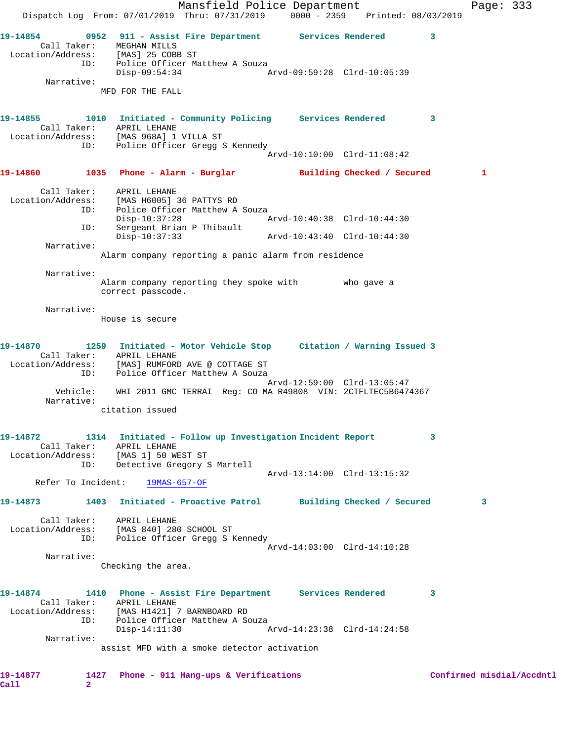Mansfield Police Department Fage: 333 Dispatch Log From: 07/01/2019 Thru: 07/31/2019 0000 - 2359 Printed: 08/03/2019 **19-14854 0952 911 - Assist Fire Department Services Rendered 3**  Call Taker: MEGHAN MILLS Location/Address: [MAS] 25 COBB ST ID: Police Officer Matthew A Souza Disp-09:54:34 Arvd-09:59:28 Clrd-10:05:39 Narrative: MFD FOR THE FALL **19-14855 1010 Initiated - Community Policing Services Rendered 3**  Call Taker: APRIL LEHANE Location/Address: [MAS 968A] 1 VILLA ST ID: Police Officer Gregg S Kennedy Arvd-10:10:00 Clrd-11:08:42 **19-14860 1035 Phone - Alarm - Burglar Building Checked / Secured 1** Call Taker: APRIL LEHANE Location/Address: [MAS H6005] 36 PATTYS RD ID: Police Officer Matthew A Souza<br>Disp-10:37:28 Mrvd-10:40:38 Clrd-10:44:30 Disp-10:37:28 Arvd-10:40:38 Clrd-10:44:30 ID: Sergeant Brian P Thibault Disp-10:37:33 Arvd-10:43:40 Clrd-10:44:30 Narrative: Alarm company reporting a panic alarm from residence Narrative: Alarm company reporting they spoke with who gave a correct passcode. Narrative: House is secure **19-14870 1259 Initiated - Motor Vehicle Stop Citation / Warning Issued 3**  Call Taker: APRIL LEHANE Location/Address: [MAS] RUMFORD AVE @ COTTAGE ST ID: Police Officer Matthew A Souza Arvd-12:59:00 Clrd-13:05:47 Vehicle: WHI 2011 GMC TERRAI Reg: CO MA R49808 VIN: 2CTFLTEC5B6474367 Narrative: citation issued **19-14872 1314 Initiated - Follow up Investigation Incident Report 3**  Call Taker: APRIL LEHANE Location/Address: [MAS 1] 50 WEST ST ID: Detective Gregory S Martell Arvd-13:14:00 Clrd-13:15:32 Refer To Incident: 19MAS-657-OF **19-14873 1403 Initiated - Proactive Patrol Building Checked / Secured 3** Call Taker: APRIL LEHANE Location/Address: [MAS 840] 280 SCHOOL ST ID: Police Officer Gregg S Kennedy Arvd-14:03:00 Clrd-14:10:28 Narrative: Checking the area. **19-14874 1410 Phone - Assist Fire Department Services Rendered 3**  Call Taker: APRIL LEHANE Location/Address: [MAS H1421] 7 BARNBOARD RD ID: Police Officer Matthew A Souza<br>Disp-14:11:30 Disp-14:11:30 Arvd-14:23:38 Clrd-14:24:58 Narrative: assist MFD with a smoke detector activation **19-14877 1427 Phone - 911 Hang-ups & Verifications Confirmed misdial/Accdntl Call 2**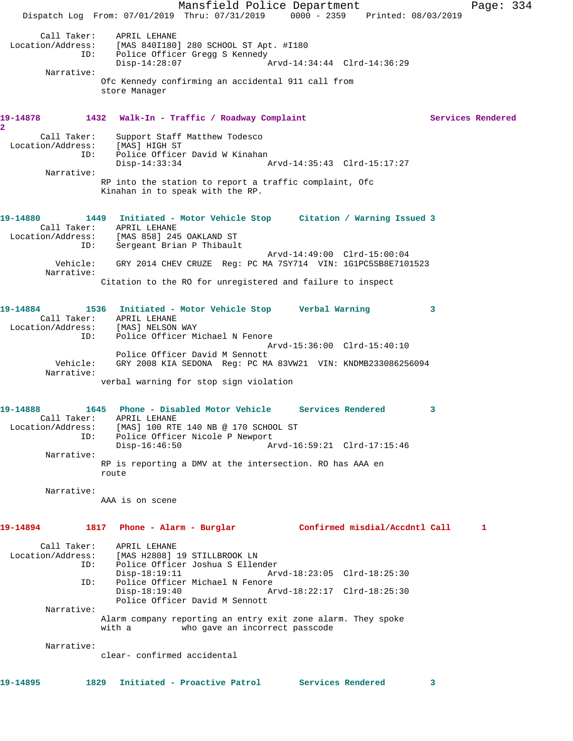|                                                | Dispatch Log From: 07/01/2019 Thru: 07/31/2019 0000 - 2359 Printed: 08/03/2019                                                                                             | Mansfield Police Department                                         |                                                            |   | Page: 334         |  |
|------------------------------------------------|----------------------------------------------------------------------------------------------------------------------------------------------------------------------------|---------------------------------------------------------------------|------------------------------------------------------------|---|-------------------|--|
|                                                | Call Taker: APRIL LEHANE<br>Location/Address: [MAS 840I180] 280 SCHOOL ST Apt. #I180<br>ID: Police Officer Gregg S Kennedy<br>$Disp-14:28:07$                              |                                                                     | Arvd-14:34:44 Clrd-14:36:29                                |   |                   |  |
| Narrative:                                     | Ofc Kennedy confirming an accidental 911 call from<br>store Manager                                                                                                        |                                                                     |                                                            |   |                   |  |
| 19-14878<br>$\mathbf{2}$                       | 1432 Walk-In - Traffic / Roadway Complaint                                                                                                                                 |                                                                     |                                                            |   | Services Rendered |  |
| Call Taker:<br>Location/Address:<br>ID:        | Support Staff Matthew Todesco<br>[MAS] HIGH ST<br>Police Officer David W Kinahan<br>$Disp-14:33:34$                                                                        |                                                                     | Arvd-14:35:43 Clrd-15:17:27                                |   |                   |  |
| Narrative:                                     | RP into the station to report a traffic complaint, Ofc<br>Kinahan in to speak with the RP.                                                                                 |                                                                     |                                                            |   |                   |  |
| 19-14880                                       | 1449 Initiated - Motor Vehicle Stop Citation / Warning Issued 3<br>Call Taker: APRIL LEHANE<br>Location/Address: [MAS 858] 245 OAKLAND ST<br>ID: Sergeant Brian P Thibault |                                                                     |                                                            |   |                   |  |
| Narrative:                                     | Vehicle: GRY 2014 CHEV CRUZE Req: PC MA 7SY714 VIN: 1G1PC5SB8E7101523                                                                                                      |                                                                     | Arvd-14:49:00 Clrd-15:00:04                                |   |                   |  |
|                                                | Citation to the RO for unregistered and failure to inspect                                                                                                                 |                                                                     |                                                            |   |                   |  |
| 19-14884<br>ID:                                | 1536 Initiated - Motor Vehicle Stop Verbal Warning<br>Call Taker: APRIL LEHANE<br>Location/Address: [MAS] NELSON WAY                                                       | Police Officer Michael N Fenore                                     | Arvd-15:36:00 Clrd-15:40:10                                | 3 |                   |  |
| Vehicle:<br>Narrative:                         | Police Officer David M Sennott<br>verbal warning for stop sign violation                                                                                                   | GRY 2008 KIA SEDONA Reg: PC MA 83VW21 VIN: KNDMB233086256094        |                                                            |   |                   |  |
| 19-14888<br>ID:                                | 1645 Phone - Disabled Motor Vehicle Services Rendered<br>Call Taker: APRIL LEHANE<br>Location/Address: [MAS] 100 RTE 140 NB @ 170 SCHOOL ST                                | Police Officer Nicole P Newport                                     |                                                            | 3 |                   |  |
| Narrative:                                     | $Disp-16:46:50$<br>RP is reporting a DMV at the intersection. RO has AAA en<br>route                                                                                       |                                                                     | Arvd-16:59:21 Clrd-17:15:46                                |   |                   |  |
| Narrative:                                     | AAA is on scene                                                                                                                                                            |                                                                     |                                                            |   |                   |  |
| 19-14894                                       | 1817 Phone - Alarm - Burglar Confirmed misdial/Accdntl Call                                                                                                                |                                                                     |                                                            |   | 1                 |  |
| Call Taker:<br>Location/Address:<br>ID:<br>ID: | APRIL LEHANE<br>[MAS H2808] 19 STILLBROOK LN<br>$Disp-18:19:11$<br>$Disp-18:19:40$                                                                                         | Police Officer Joshua S Ellender<br>Police Officer Michael N Fenore | Arvd-18:23:05 Clrd-18:25:30<br>Arvd-18:22:17 Clrd-18:25:30 |   |                   |  |
| Narrative:                                     | Alarm company reporting an entry exit zone alarm. They spoke                                                                                                               | Police Officer David M Sennott                                      |                                                            |   |                   |  |
|                                                | with a                                                                                                                                                                     | who gave an incorrect passcode                                      |                                                            |   |                   |  |
| Narrative:                                     | clear- confirmed accidental                                                                                                                                                |                                                                     |                                                            |   |                   |  |
| 19-14895<br>1829                               |                                                                                                                                                                            | Initiated - Proactive Patrol Services Rendered                      |                                                            | 3 |                   |  |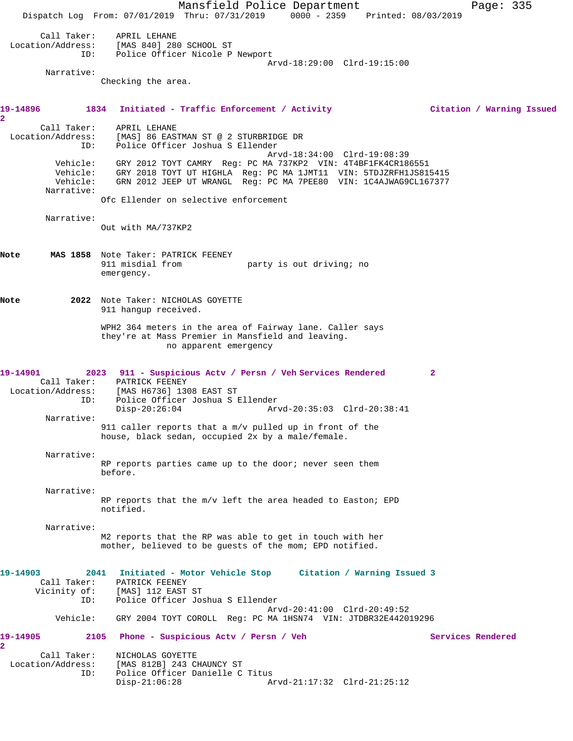Mansfield Police Department Page: 335 Dispatch Log From: 07/01/2019 Thru: 07/31/2019 0000 - 2359 Printed: 08/03/2019 Call Taker: APRIL LEHANE Location/Address: [MAS 840] 280 SCHOOL ST ID: Police Officer Nicole P Newport Arvd-18:29:00 Clrd-19:15:00 Narrative: Checking the area. **19-14896 1834 Initiated - Traffic Enforcement / Activity Citation / Warning Issued 2**  Call Taker: APRIL LEHANE Location/Address: [MAS] 86 EASTMAN ST @ 2 STURBRIDGE DR ID: Police Officer Joshua S Ellender Arvd-18:34:00 Clrd-19:08:39 Vehicle: GRY 2012 TOYT CAMRY Reg: PC MA 737KP2 VIN: 4T4BF1FK4CR186551 Vehicle: GRY 2018 TOYT UT HIGHLA Reg: PC MA 1JMT11 VIN: 5TDJZRFH1JS815415 Vehicle: GRN 2012 JEEP UT WRANGL Reg: PC MA 7PEE80 VIN: 1C4AJWAG9CL167377 Narrative: Ofc Ellender on selective enforcement Narrative: Out with MA/737KP2 **Note MAS 1858** Note Taker: PATRICK FEENEY party is out driving; no emergency. **Note 2022** Note Taker: NICHOLAS GOYETTE 911 hangup received. WPH2 364 meters in the area of Fairway lane. Caller says they're at Mass Premier in Mansfield and leaving. no apparent emergency **19-14901 2023 911 - Suspicious Actv / Persn / Veh Services Rendered 2**  Call Taker: PATRICK FEENEY Location/Address: [MAS H6736] 1308 EAST ST ID: Police Officer Joshua S Ellender Disp-20:26:04 Arvd-20:35:03 Clrd-20:38:41 Narrative: 911 caller reports that a m/v pulled up in front of the house, black sedan, occupied 2x by a male/female. Narrative: RP reports parties came up to the door; never seen them before. Narrative: RP reports that the m/v left the area headed to Easton; EPD notified. Narrative: M2 reports that the RP was able to get in touch with her mother, believed to be guests of the mom; EPD notified. **19-14903 2041 Initiated - Motor Vehicle Stop Citation / Warning Issued 3**  Call Taker: PATRICK FEENEY<br>Vicinity of: [MAS] 112 EAST [MAS] 112 EAST ST ID: Police Officer Joshua S Ellender Arvd-20:41:00 Clrd-20:49:52 Vehicle: GRY 2004 TOYT COROLL Reg: PC MA 1HSN74 VIN: JTDBR32E442019296 **19-14905 2105 Phone - Suspicious Actv / Persn / Veh Services Rendered 2**  Call Taker: NICHOLAS GOYETTE Location/Address: [MAS 812B] 243 CHAUNCY ST ID: Police Officer Danielle C Titus<br>Disp-21:06:28 Am Arvd-21:17:32 Clrd-21:25:12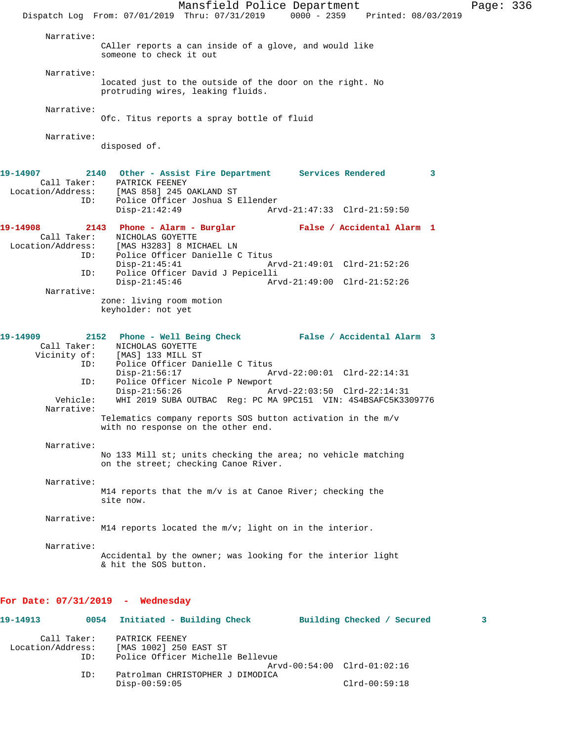Mansfield Police Department Page: 336 Dispatch Log From: 07/01/2019 Thru: 07/31/2019 0000 - 2359 Printed: 08/03/2019 Narrative: CAller reports a can inside of a glove, and would like someone to check it out Narrative: located just to the outside of the door on the right. No protruding wires, leaking fluids. Narrative: Ofc. Titus reports a spray bottle of fluid Narrative: disposed of. **19-14907 2140 Other - Assist Fire Department Services Rendered 3**  Call Taker: PATRICK FEENEY Location/Address: [MAS 858] 245 OAKLAND ST ID: Police Officer Joshua S Ellender Disp-21:42:49 Arvd-21:47:33 Clrd-21:59:50 **19-14908 2143 Phone - Alarm - Burglar False / Accidental Alarm 1**  Call Taker: <br>
MICHOLAS GOYETTE<br>
Location/Address: [MAS H3283] 8 MIC [MAS H3283] 8 MICHAEL LN ----<br>ID: Police Officer Danielle C Titus<br>Disp-21:45:41 Ar Disp-21:45:41 Arvd-21:49:01 Clrd-21:52:26 ID: Police Officer David J Pepicelli Disp-21:45:46 Arvd-21:49:00 Clrd-21:52:26 Narrative: zone: living room motion keyholder: not yet **19-14909 2152 Phone - Well Being Check False / Accidental Alarm 3**  Call Taker: NICHOLAS GOYETTE Vicinity of: [MAS] 133 MILL ST ID: Police Officer Danielle C Titus Disp-21:56:17 Arvd-22:00:01 Clrd-22:14:31 ID: Police Officer Nicole P Newport<br>Disp-21:56:26 Az Disp-21:56:26 Arvd-22:03:50 Clrd-22:14:31<br>Vehicle: WHI 2019 SUBA OUTBAC Req: PC MA 9PC151 VIN: 4S4BSAFC5K33 Vehicle: WHI 2019 SUBA OUTBAC Reg: PC MA 9PC151 VIN: 4S4BSAFC5K3309776 Narrative: Telematics company reports SOS button activation in the m/v with no response on the other end. Narrative: No 133 Mill st; units checking the area; no vehicle matching on the street; checking Canoe River. Narrative: M14 reports that the  $m/v$  is at Canoe River; checking the site now. Narrative: M14 reports located the m/v; light on in the interior. Narrative: Accidental by the owner; was looking for the interior light & hit the SOS button. **For Date: 07/31/2019 - Wednesday 19-14913 0054 Initiated - Building Check Building Checked / Secured 3**

 Call Taker: PATRICK FEENEY Location/Address: [MAS 1002] 250 EAST ST Police Officer Michelle Bellevue Arvd-00:54:00 Clrd-01:02:16<br>ID: Patrolman CHRISTOPHER J DIMODICA Patrolman CHRISTOPHER J DIMODICA Disp-00:59:05 Clrd-00:59:18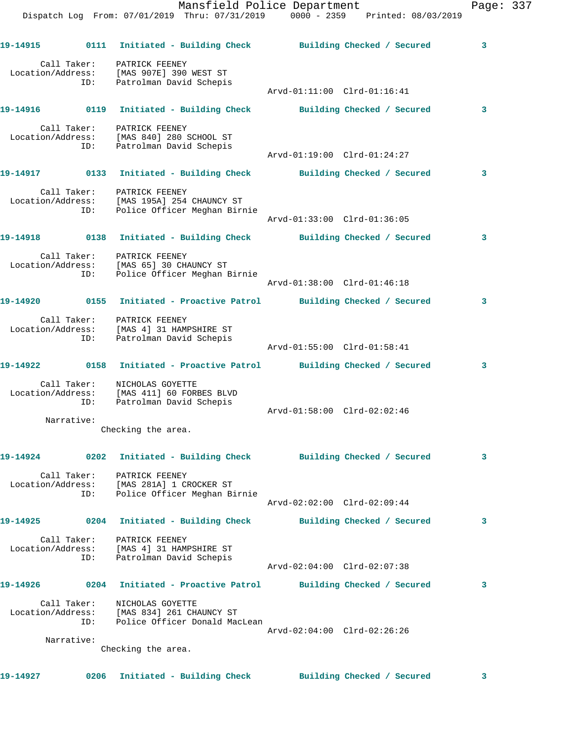|          |            | Mansfield Police Department<br>Dispatch Log From: 07/01/2019 Thru: 07/31/2019 0000 - 2359 Printed: 08/03/2019 |                             |                            | Page: 337 |  |
|----------|------------|---------------------------------------------------------------------------------------------------------------|-----------------------------|----------------------------|-----------|--|
|          |            | 19-14915      0111 Initiated - Building Check      Building Checked / Secured                                 |                             |                            | 3         |  |
|          |            | Call Taker: PATRICK FEENEY<br>Location/Address: [MAS 907E] 390 WEST ST<br>ID: Patrolman David Schepis         | Arvd-01:11:00 Clrd-01:16:41 |                            |           |  |
|          |            | 19-14916 0119 Initiated - Building Check Building Checked / Secured                                           |                             |                            | 3         |  |
|          |            | Call Taker: PATRICK FEENEY<br>Location/Address: [MAS 840] 280 SCHOOL ST<br>ID: Patrolman David Schepis        | Arvd-01:19:00 Clrd-01:24:27 |                            |           |  |
|          |            | 19-14917 		 0133 Initiated - Building Check 		 Building Checked / Secured                                     |                             |                            | 3         |  |
|          |            | Call Taker: PATRICK FEENEY<br>Location/Address: [MAS 195A] 254 CHAUNCY ST<br>ID: Police Officer Meghan Birnie |                             |                            |           |  |
|          |            |                                                                                                               | Arvd-01:33:00 Clrd-01:36:05 |                            |           |  |
|          |            | 19-14918      0138  Initiated - Building Check      Building Checked / Secured                                |                             |                            | 3         |  |
|          |            | Call Taker: PATRICK FEENEY<br>Location/Address: [MAS 65] 30 CHAUNCY ST<br>ID: Police Officer Meghan Birnie    | Arvd-01:38:00 Clrd-01:46:18 |                            |           |  |
|          |            |                                                                                                               |                             |                            | 3         |  |
|          |            | Call Taker: PATRICK FEENEY<br>Location/Address: [MAS 4] 31 HAMPSHIRE ST<br>ID: Patrolman David Schepis        | Arvd-01:55:00 Clrd-01:58:41 |                            |           |  |
|          |            | 19-14922   0158   Initiated - Proactive Patrol   Building Checked / Secured                                   |                             |                            | 3         |  |
|          |            | Call Taker: NICHOLAS GOYETTE<br>Location/Address: [MAS 411] 60 FORBES BLVD<br>ID: Patrolman David Schepis     | Arvd-01:58:00 Clrd-02:02:46 |                            |           |  |
|          | Narrative: | Checking the area.                                                                                            |                             |                            |           |  |
| 19-14924 |            | 0202 Initiated - Building Check Building Checked / Secured                                                    |                             |                            | 3         |  |
|          | ID:        | Call Taker: PATRICK FEENEY<br>Location/Address: [MAS 281A] 1 CROCKER ST<br>Police Officer Meghan Birnie       | Arvd-02:02:00 Clrd-02:09:44 |                            |           |  |
|          |            | 19-14925 0204 Initiated - Building Check Building Checked / Secured                                           |                             |                            | 3         |  |
|          | ID:        | Call Taker: PATRICK FEENEY<br>Location/Address: [MAS 4] 31 HAMPSHIRE ST<br>Patrolman David Schepis            | Arvd-02:04:00 Clrd-02:07:38 |                            |           |  |
|          |            | 19-14926 		 0204 Initiated - Proactive Patrol 		 Building Checked / Secured                                   |                             |                            | 3         |  |
|          | ID:        | Call Taker: NICHOLAS GOYETTE<br>Location/Address: [MAS 834] 261 CHAUNCY ST<br>Police Officer Donald MacLean   | Arvd-02:04:00 Clrd-02:26:26 |                            |           |  |
|          | Narrative: | Checking the area.                                                                                            |                             |                            |           |  |
|          |            |                                                                                                               |                             |                            |           |  |
| 19-14927 |            | 0206 Initiated - Building Check                                                                               |                             | Building Checked / Secured | 3         |  |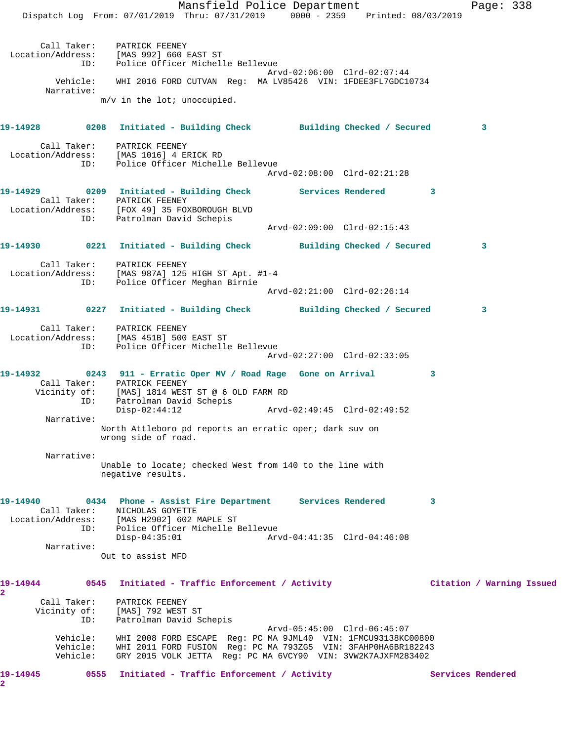Mansfield Police Department Fage: 338 Dispatch Log From: 07/01/2019 Thru: 07/31/2019 0000 - 2359 Printed: 08/03/2019 Call Taker: PATRICK FEENEY Location/Address: [MAS 992] 660 EAST ST ID: Police Officer Michelle Bellevue Arvd-02:06:00 Clrd-02:07:44 Vehicle: WHI 2016 FORD CUTVAN Reg: MA LV85426 VIN: 1FDEE3FL7GDC10734 Narrative: m/v in the lot; unoccupied. **19-14928 0208 Initiated - Building Check Building Checked / Secured 3** Call Taker: PATRICK FEENEY Location/Address: [MAS 1016] 4 ERICK RD ID: Police Officer Michelle Bellevue Arvd-02:08:00 Clrd-02:21:28 19-14929 **19-14929** 0209 Initiated - Building Check Services Rendered 3 Call Taker: Initiated - Bu<br>Call Taker: PATRICK FEENEY<br>Location/Address: Location/Address: [FOX 49] 35 FOXBOROUGH BLVD ID: Patrolman David Schepis Arvd-02:09:00 Clrd-02:15:43 **19-14930 0221 Initiated - Building Check Building Checked / Secured 3** Call Taker: PATRICK FEENEY Location/Address: [MAS 987A] 125 HIGH ST Apt. #1-4 ID: Police Officer Meghan Birnie Arvd-02:21:00 Clrd-02:26:14 **19-14931 0227 Initiated - Building Check Building Checked / Secured 3** Call Taker: PATRICK FEENEY Location/Address: [MAS 451B] 500 EAST ST ID: Police Officer Michelle Bellevue Arvd-02:27:00 Clrd-02:33:05 **19-14932 0243 911 - Erratic Oper MV / Road Rage Gone on Arrival 3**  Call Taker: PATRICK FEENEY Vicinity of: [MAS] 1814 WEST ST @ 6 OLD FARM RD ID: Patrolman David Schepis Disp-02:44:12 Arvd-02:49:45 Clrd-02:49:52 Narrative: North Attleboro pd reports an erratic oper; dark suv on wrong side of road. Narrative: Unable to locate; checked West from 140 to the line with negative results. **19-14940 0434 Phone - Assist Fire Department Services Rendered 3**  Call Taker: NICHOLAS GOYETTE Location/Address: [MAS H2902] 602 MAPLE ST ID: Police Officer Michelle Bellevue Disp-04:35:01 Arvd-04:41:35 Clrd-04:46:08 Narrative: Out to assist MFD **19-14944 0545 Initiated - Traffic Enforcement / Activity Citation / Warning Issued 2**  Call Taker: PATRICK FEENEY Vicinity of: [MAS] 792 WEST ST ID: Patrolman David Schepis Arvd-05:45:00 Clrd-06:45:07 Vehicle: WHI 2008 FORD ESCAPE Reg: PC MA 9JML40 VIN: 1FMCU93138KC00800 Vehicle: WHI 2011 FORD FUSION Reg: PC MA 793ZG5 VIN: 3FAHP0HA6BR182243 Vehicle: GRY 2015 VOLK JETTA Reg: PC MA 6VCY90 VIN: 3VW2K7AJXFM283402 19-14945 **0555** Initiated - Traffic Enforcement / Activity **Services Rendered** 

**2**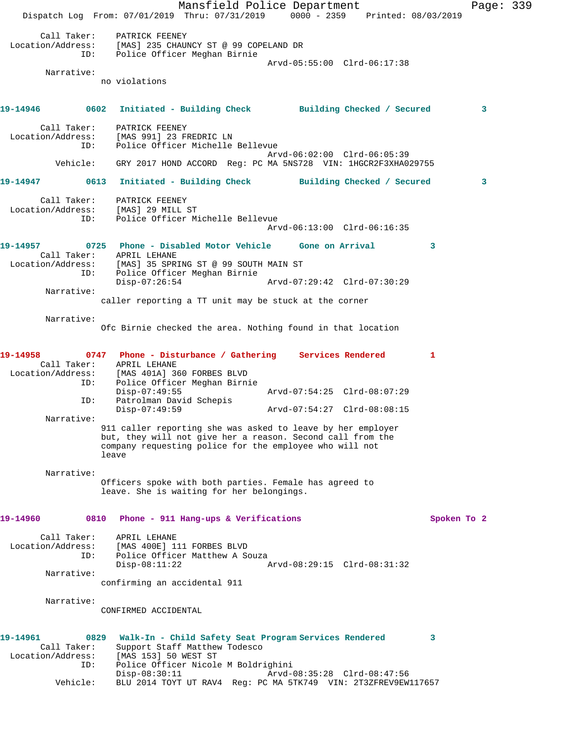Mansfield Police Department Fage: 339 Dispatch Log From: 07/01/2019 Thru: 07/31/2019 0000 - 2359 Printed: 08/03/2019 Call Taker: PATRICK FEENEY Location/Address: [MAS] 235 CHAUNCY ST @ 99 COPELAND DR ID: Police Officer Meghan Birnie Arvd-05:55:00 Clrd-06:17:38 Narrative: no violations **19-14946 0602 Initiated - Building Check Building Checked / Secured 3** Call Taker: PATRICK FEENEY Location/Address: [MAS 991] 23 FREDRIC LN ID: Police Officer Michelle Bellevue Arvd-06:02:00 Clrd-06:05:39 Vehicle: GRY 2017 HOND ACCORD Reg: PC MA 5NS728 VIN: 1HGCR2F3XHA029755 **19-14947 0613 Initiated - Building Check Building Checked / Secured 3** Call Taker: PATRICK FEENEY Location/Address: [MAS] 29 MILL ST ID: Police Officer Michelle Bellevue Arvd-06:13:00 Clrd-06:16:35 **19-14957 0725 Phone - Disabled Motor Vehicle Gone on Arrival 3**  Call Taker: APRIL LEHANE Location/Address: [MAS] 35 SPRING ST @ 99 SOUTH MAIN ST ID: Police Officer Meghan Birnie Disp-07:26:54 Arvd-07:29:42 Clrd-07:30:29 Narrative: caller reporting a TT unit may be stuck at the corner Narrative: Ofc Birnie checked the area. Nothing found in that location **19-14958 0747 Phone - Disturbance / Gathering Services Rendered 1**  Call Taker: APRIL LEHANE Location/Address: [MAS 401A] 360 FORBES BLVD ID: Police Officer Meghan Birnie Disp-07:49:55 Arvd-07:54:25 Clrd-08:07:29 ID: Patrolman David Schepis Disp-07:49:59 Arvd-07:54:27 Clrd-08:08:15 Narrative: 911 caller reporting she was asked to leave by her employer but, they will not give her a reason. Second call from the company requesting police for the employee who will not leave Narrative: Officers spoke with both parties. Female has agreed to leave. She is waiting for her belongings. **19-14960 0810 Phone - 911 Hang-ups & Verifications Spoken To 2** Call Taker: APRIL LEHANE Location/Address: [MAS 400E] 111 FORBES BLVD ID: Police Officer Matthew A Souza<br>Disp-08:11:22 A Disp-08:11:22 Arvd-08:29:15 Clrd-08:31:32 Narrative: confirming an accidental 911 Narrative: CONFIRMED ACCIDENTAL **19-14961 0829 Walk-In - Child Safety Seat Program Services Rendered 3**  Call Taker: Support Staff Matthew Todesco Location/Address: [MAS 153] 50 WEST ST ID: Police Officer Nicole M Boldrighini Disp-08:30:11 Arvd-08:35:28 Clrd-08:47:56 Vehicle: BLU 2014 TOYT UT RAV4 Reg: PC MA 5TK749 VIN: 2T3ZFREV9EW117657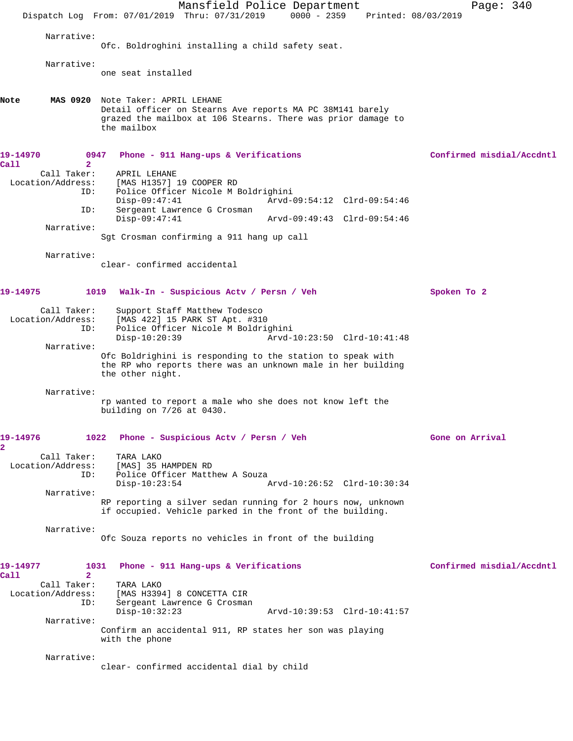|                                                                                                   | Mansfield Police Department<br>Dispatch Log From: 07/01/2019 Thru: 07/31/2019 0000 - 2359<br>Printed: 08/03/2019                                                                                                   | Page: 340                 |
|---------------------------------------------------------------------------------------------------|--------------------------------------------------------------------------------------------------------------------------------------------------------------------------------------------------------------------|---------------------------|
|                                                                                                   |                                                                                                                                                                                                                    |                           |
| Narrative:                                                                                        | Ofc. Boldroghini installing a child safety seat.                                                                                                                                                                   |                           |
| Narrative:                                                                                        | one seat installed                                                                                                                                                                                                 |                           |
| Note                                                                                              | MAS 0920 Note Taker: APRIL LEHANE<br>Detail officer on Stearns Ave reports MA PC 38M141 barely<br>grazed the mailbox at 106 Stearns. There was prior damage to<br>the mailbox                                      |                           |
| 19-14970<br>0947                                                                                  | Phone - 911 Hang-ups & Verifications                                                                                                                                                                               | Confirmed misdial/Accdntl |
| Call<br>$\overline{2}$<br>Call Taker:<br>Location/Address:<br>ID:<br>ID:                          | APRIL LEHANE<br>[MAS H1357] 19 COOPER RD<br>Police Officer Nicole M Boldrighini<br>$Disp-09:47:41$<br>Arvd-09:54:12 Clrd-09:54:46<br>Sergeant Lawrence G Crosman<br>$Disp-09:47:41$<br>Arvd-09:49:43 Clrd-09:54:46 |                           |
| Narrative:                                                                                        | Sgt Crosman confirming a 911 hang up call                                                                                                                                                                          |                           |
| Narrative:                                                                                        | clear- confirmed accidental                                                                                                                                                                                        |                           |
| 19-14975                                                                                          | 1019<br>Walk-In - Suspicious Actv / Persn / Veh                                                                                                                                                                    | Spoken To 2               |
| Call Taker:<br>Location/Address:<br>ID:                                                           | Support Staff Matthew Todesco<br>[MAS 422] 15 PARK ST Apt. #310<br>Police Officer Nicole M Boldrighini<br>$Disp-10:20:39$<br>Arvd-10:23:50 Clrd-10:41:48                                                           |                           |
| Narrative:                                                                                        | Ofc Boldrighini is responding to the station to speak with<br>the RP who reports there was an unknown male in her building<br>the other night.                                                                     |                           |
| Narrative:                                                                                        | rp wanted to report a male who she does not know left the<br>building on $7/26$ at 0430.                                                                                                                           |                           |
| 19-14976<br>$\overline{\mathbf{2}}$                                                               | 1022<br>Phone - Suspicious Acty / Persn / Veh                                                                                                                                                                      | Gone on Arrival           |
| Call Taker:<br>Location/Address:<br>ID:                                                           | TARA LAKO<br>[MAS] 35 HAMPDEN RD<br>Police Officer Matthew A Souza<br>Arvd-10:26:52 Clrd-10:30:34<br>$Disp-10:23:54$                                                                                               |                           |
| Narrative:                                                                                        | RP reporting a silver sedan running for 2 hours now, unknown<br>if occupied. Vehicle parked in the front of the building.                                                                                          |                           |
| Narrative:                                                                                        | Ofc Souza reports no vehicles in front of the building                                                                                                                                                             |                           |
| 19-14977<br>1031<br>Call<br>$\mathbf{2}$<br>Call Taker:<br>Location/Address:<br>ID:<br>Narrative: | Phone - 911 Hang-ups & Verifications<br>TARA LAKO<br>[MAS H3394] 8 CONCETTA CIR<br>Sergeant Lawrence G Crosman<br>$Disp-10:32:23$<br>Arvd-10:39:53 Clrd-10:41:57                                                   | Confirmed misdial/Accdntl |
|                                                                                                   | Confirm an accidental 911, RP states her son was playing<br>with the phone                                                                                                                                         |                           |
| Narrative:                                                                                        | clear- confirmed accidental dial by child                                                                                                                                                                          |                           |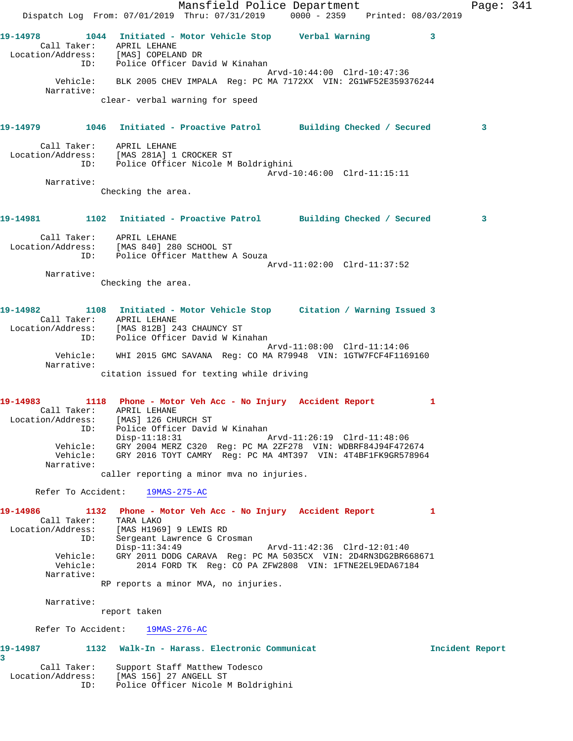Mansfield Police Department Fage: 341 Dispatch Log From: 07/01/2019 Thru: 07/31/2019 0000 - 2359 Printed: 08/03/2019 **19-14978 1044 Initiated - Motor Vehicle Stop Verbal Warning 3**  Call Taker: APRIL LEHANE Location/Address: [MAS] COPELAND DR ID: Police Officer David W Kinahan Arvd-10:44:00 Clrd-10:47:36 Vehicle: BLK 2005 CHEV IMPALA Reg: PC MA 7172XX VIN: 2G1WF52E359376244 Narrative: clear- verbal warning for speed **19-14979 1046 Initiated - Proactive Patrol Building Checked / Secured 3** Call Taker: APRIL LEHANE Location/Address: [MAS 281A] 1 CROCKER ST ID: Police Officer Nicole M Boldrighini Arvd-10:46:00 Clrd-11:15:11 Narrative: Checking the area. **19-14981 1102 Initiated - Proactive Patrol Building Checked / Secured 3** Call Taker: APRIL LEHANE Location/Address: [MAS 840] 280 SCHOOL ST ID: Police Officer Matthew A Souza Arvd-11:02:00 Clrd-11:37:52 Narrative: Checking the area. **19-14982 1108 Initiated - Motor Vehicle Stop Citation / Warning Issued 3**  Call Taker: APRIL LEHANE Location/Address: [MAS 812B] 243 CHAUNCY ST ID: Police Officer David W Kinahan Arvd-11:08:00 Clrd-11:14:06 Vehicle: WHI 2015 GMC SAVANA Reg: CO MA R79948 VIN: 1GTW7FCF4F1169160 Narrative: citation issued for texting while driving **19-14983 1118 Phone - Motor Veh Acc - No Injury Accident Report 1**  Call Taker: APRIL LEHANE Location/Address: [MAS] 126 CHURCH ST ID: Police Officer David W Kinahan Disp-11:18:31 Arvd-11:26:19 Clrd-11:48:06 Vehicle: GRY 2004 MERZ C320 Reg: PC MA 2ZF278 VIN: WDBRF84J94F472674 Vehicle: GRY 2016 TOYT CAMRY Reg: PC MA 4MT397 VIN: 4T4BF1FK9GR578964 Narrative: caller reporting a minor mva no injuries. Refer To Accident: 19MAS-275-AC **19-14986 1132 Phone - Motor Veh Acc - No Injury Accident Report 1**  Call Taker: TARA LAKO Location/Address: [MAS H1969] 9 LEWIS RD ID: Sergeant Lawrence G Crosman Disp-11:34:49 Arvd-11:42:36 Clrd-12:01:40 Vehicle: GRY 2011 DODG CARAVA Reg: PC MA 5035CX VIN: 2D4RN3DG2BR668671 Vehicle: 2014 FORD TK Reg: CO PA ZFW2808 VIN: 1FTNE2EL9EDA67184 Narrative: RP reports a minor MVA, no injuries. Narrative: report taken Refer To Accident: 19MAS-276-AC **19-14987 1132 Walk-In - Harass. Electronic Communicat Incident Report 3**  Call Taker: Support Staff Matthew Todesco

Location/Address: [MAS 156] 27 ANGELL ST

ID: Police Officer Nicole M Boldrighini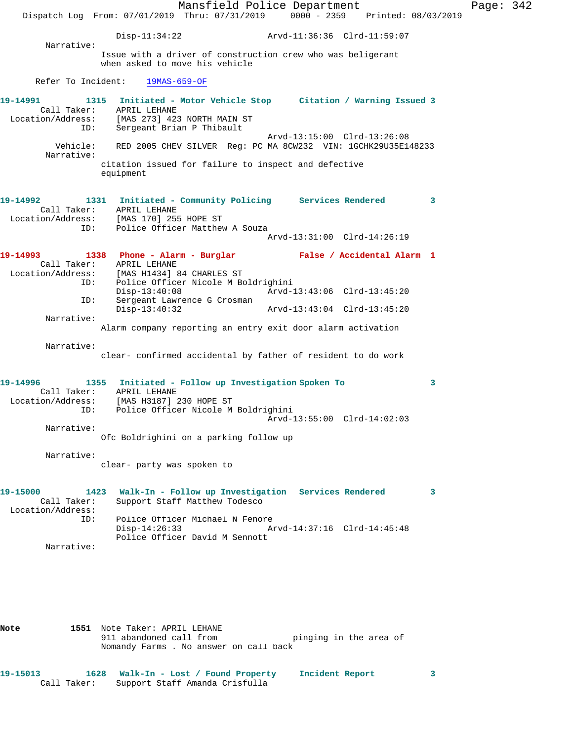Mansfield Police Department Page: 342 Dispatch Log From: 07/01/2019 Thru: 07/31/2019 0000 - 2359 Printed: 08/03/2019 Disp-11:34:22 Arvd-11:36:36 Clrd-11:59:07 Narrative: Issue with a driver of construction crew who was beligerant when asked to move his vehicle Refer To Incident: 19MAS-659-OF **19-14991 1315 Initiated - Motor Vehicle Stop Citation / Warning Issued 3**  Call Taker: APRIL LEHANE Location/Address: [MAS 273] 423 NORTH MAIN ST ID: Sergeant Brian P Thibault Arvd-13:15:00 Clrd-13:26:08 Vehicle: RED 2005 CHEV SILVER Reg: PC MA 8CW232 VIN: 1GCHK29U35E148233 Narrative: citation issued for failure to inspect and defective equipment **19-14992 1331 Initiated - Community Policing Services Rendered 3**  Call Taker: APRIL LEHANE Location/Address: [MAS 170] 255 HOPE ST ID: Police Officer Matthew A Souza Arvd-13:31:00 Clrd-14:26:19 **19-14993 1338 Phone - Alarm - Burglar False / Accidental Alarm 1**  Call Taker: APRIL LEHANE Location/Address: [MAS H1434] 84 CHARLES ST ID: Police Officer Nicole M Boldrighini Disp-13:40:08 Arvd-13:43:06 Clrd-13:45:20 ID: Sergeant Lawrence G Crosman<br>Disp-13:40:32 Disp-13:40:32 Arvd-13:43:04 Clrd-13:45:20 Narrative: Alarm company reporting an entry exit door alarm activation Narrative: clear- confirmed accidental by father of resident to do work **19-14996 1355 Initiated - Follow up Investigation Spoken To 3**  Call Taker: APRIL LEHANE Location/Address: [MAS H3187] 230 HOPE ST ID: Police Officer Nicole M Boldrighini Arvd-13:55:00 Clrd-14:02:03 Narrative: Ofc Boldrighini on a parking follow up Narrative: clear- party was spoken to **19-15000 1423 Walk-In - Follow up Investigation Services Rendered 3**  Call Taker: Support Staff Matthew Todesco Location/Address: ID: Police Officer Michael N Fenore<br>Disp-14:26:33 Az Disp-14:26:33 Arvd-14:37:16 Clrd-14:45:48 Police Officer David M Sennott Narrative:

**Note 1551** Note Taker: APRIL LEHANE 911 abandoned call from The pinging in the area of Nomandy Farms . No answer on call back

**19-15013 1628 Walk-In - Lost / Found Property Incident Report 3**  Call Taker: Support Staff Amanda Crisfulla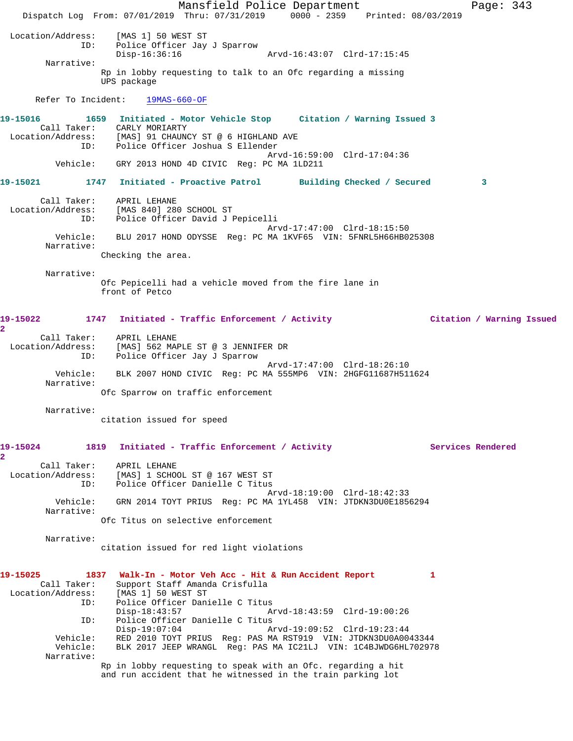Mansfield Police Department Fage: 343 Dispatch Log From: 07/01/2019 Thru: 07/31/2019 0000 - 2359 Printed: 08/03/2019 Location/Address: [MAS 1] 50 WEST ST ID: Police Officer Jay J Sparrow Arvd-16:43:07 Clrd-17:15:45 Narrative: Rp in lobby requesting to talk to an Ofc regarding a missing UPS package Refer To Incident: 19MAS-660-OF **19-15016 1659 Initiated - Motor Vehicle Stop Citation / Warning Issued 3**  Call Taker: CARLY MORIARTY Location/Address: [MAS] 91 CHAUNCY ST @ 6 HIGHLAND AVE ID: Police Officer Joshua S Ellender Arvd-16:59:00 Clrd-17:04:36 Vehicle: GRY 2013 HOND 4D CIVIC Reg: PC MA 1LD211 **19-15021 1747 Initiated - Proactive Patrol Building Checked / Secured 3** Call Taker: APRIL LEHANE Location/Address: [MAS 840] 280 SCHOOL ST ID: Police Officer David J Pepicelli Arvd-17:47:00 Clrd-18:15:50 Vehicle: BLU 2017 HOND ODYSSE Reg: PC MA 1KVF65 VIN: 5FNRL5H66HB025308 Narrative: Checking the area. Narrative: Ofc Pepicelli had a vehicle moved from the fire lane in front of Petco **19-15022 1747 Initiated - Traffic Enforcement / Activity Citation / Warning Issued 2**  Call Taker: APRIL LEHANE Location/Address: [MAS] 562 MAPLE ST @ 3 JENNIFER DR ID: Police Officer Jay J Sparrow Arvd-17:47:00 Clrd-18:26:10 Vehicle: BLK 2007 HOND CIVIC Reg: PC MA 555MP6 VIN: 2HGFG11687H511624 Narrative: Ofc Sparrow on traffic enforcement Narrative: citation issued for speed **19-15024 1819 Initiated - Traffic Enforcement / Activity Services Rendered 2**  Call Taker: APRIL LEHANE Location/Address: [MAS] 1 SCHOOL ST @ 167 WEST ST ID: Police Officer Danielle C Titus Arvd-18:19:00 Clrd-18:42:33 Vehicle: GRN 2014 TOYT PRIUS Reg: PC MA 1YL458 VIN: JTDKN3DU0E1856294 Narrative: Ofc Titus on selective enforcement Narrative: citation issued for red light violations **19-15025 1837 Walk-In - Motor Veh Acc - Hit & Run Accident Report 1**  Call Taker: Support Staff Amanda Crisfulla Location/Address: [MAS 1] 50 WEST ST ID: Police Officer Danielle C Titus Disp-18:43:57 Arvd-18:43:59 Clrd-19:00:26 ID: Police Officer Danielle C Titus<br>Disp-19:07:04 A Arvd-19:09:52 Clrd-19:23:44 Vehicle: RED 2010 TOYT PRIUS Reg: PAS MA RST919 VIN: JTDKN3DU0A0043344 Vehicle: BLK 2017 JEEP WRANGL Reg: PAS MA IC21LJ VIN: 1C4BJWDG6HL702978 Narrative: Rp in lobby requesting to speak with an Ofc. regarding a hit and run accident that he witnessed in the train parking lot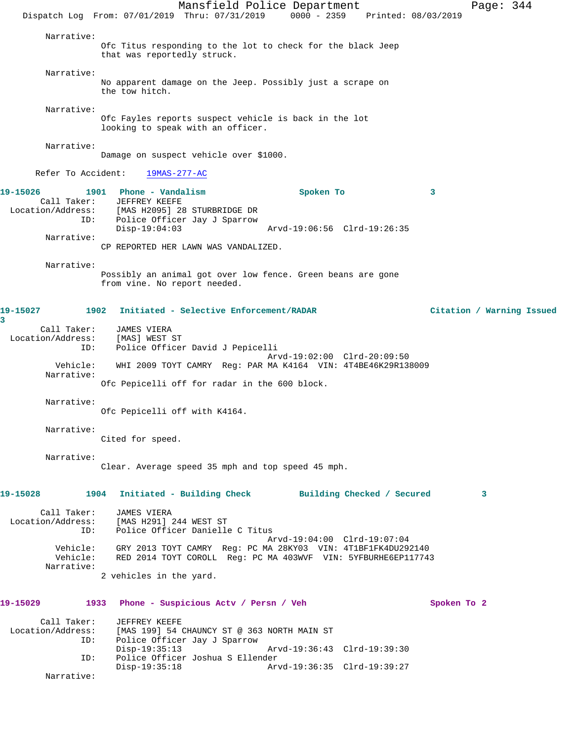Mansfield Police Department Page: 344 Dispatch Log From: 07/01/2019 Thru: 07/31/2019 0000 - 2359 Printed: 08/03/2019 Narrative: Ofc Titus responding to the lot to check for the black Jeep that was reportedly struck. Narrative: No apparent damage on the Jeep. Possibly just a scrape on the tow hitch. Narrative: Ofc Fayles reports suspect vehicle is back in the lot looking to speak with an officer. Narrative: Damage on suspect vehicle over \$1000. Refer To Accident: 19MAS-277-AC **19-15026 1901 Phone - Vandalism Spoken To 3**  Call Taker: JEFFREY KEEFE Location/Address: [MAS H2095] 28 STURBRIDGE DR ID: Police Officer Jay J Sparrow Disp-19:04:03 Arvd-19:06:56 Clrd-19:26:35 Narrative: CP REPORTED HER LAWN WAS VANDALIZED. Narrative: Possibly an animal got over low fence. Green beans are gone from vine. No report needed. **19-15027 1902 Initiated - Selective Enforcement/RADAR Citation / Warning Issued 3**  Call Taker: JAMES VIERA Location/Address: [MAS] WEST ST ID: Police Officer David J Pepicelli Arvd-19:02:00 Clrd-20:09:50 Vehicle: WHI 2009 TOYT CAMRY Reg: PAR MA K4164 VIN: 4T4BE46K29R138009 Narrative: Ofc Pepicelli off for radar in the 600 block. Narrative: Ofc Pepicelli off with K4164. Narrative: Cited for speed. Narrative: Clear. Average speed 35 mph and top speed 45 mph. **19-15028 1904 Initiated - Building Check Building Checked / Secured 3** Call Taker: JAMES VIERA Location/Address: [MAS H291] 244 WEST ST ID: Police Officer Danielle C Titus Arvd-19:04:00 Clrd-19:07:04 Vehicle: GRY 2013 TOYT CAMRY Reg: PC MA 28KY03 VIN: 4T1BF1FK4DU292140 Vehicle: RED 2014 TOYT COROLL Reg: PC MA 403WVF VIN: 5YFBURHE6EP117743 Narrative: 2 vehicles in the yard. **19-15029 1933 Phone - Suspicious Actv / Persn / Veh Spoken To 2** Call Taker: JEFFREY KEEFE<br>Location/Address: [MAS 199] 54 ( [MAS 199] 54 CHAUNCY ST @ 363 NORTH MAIN ST ID: Police Officer Jay J Sparrow Disp-19:35:13 Arvd-19:36:43 Clrd-19:39:30 ID: Police Officer Joshua S Ellender Disp-19:35:18 Arvd-19:36:35 Clrd-19:39:27 Narrative: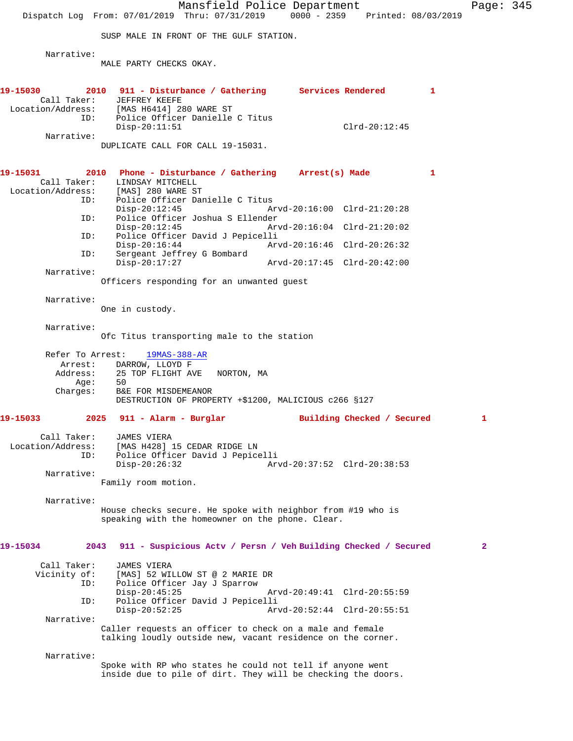Mansfield Police Department Page: 345 Dispatch Log From: 07/01/2019 Thru: 07/31/2019 0000 - 2359 Printed: 08/03/2019 SUSP MALE IN FRONT OF THE GULF STATION. Narrative: MALE PARTY CHECKS OKAY. **19-15030 2010 911 - Disturbance / Gathering Services Rendered 1**  Call Taker: JEFFREY KEEFE Location/Address: [MAS H6414] 280 WARE ST ID: Police Officer Danielle C Titus Disp-20:11:51 Clrd-20:12:45 Narrative: DUPLICATE CALL FOR CALL 19-15031. **19-15031 2010 Phone - Disturbance / Gathering Arrest(s) Made 1**  Call Taker: LINDSAY MITCHELL Location/Address: [MAS] 280 WARE ST ID: Police Officer Danielle C Titus<br>Disp-20:12:45 Arvd-20:16:00 Clrd-21:20:28 ID: Police Officer Joshua S Ellender Disp-20:12:45 Arvd-20:16:04 Clrd-21:20:02<br>TD: Police Officer David J Pepicelli Police Officer David J Pepicelli<br>Disp-20:16:44 Ar Arvd-20:16:46 Clrd-20:26:32 ID: Sergeant Jeffrey G Bombard Disp-20:17:27 Arvd-20:17:45 Clrd-20:42:00 Narrative: Officers responding for an unwanted guest Narrative: One in custody. Narrative: Ofc Titus transporting male to the station Refer To Arrest: 19MAS-388-AR Arrest: DARROW, LLOYD F<br>Address: 25 TOP FLIGHT AV 25 TOP FLIGHT AVE NORTON, MA Age: 50 Charges: B&E FOR MISDEMEANOR DESTRUCTION OF PROPERTY +\$1200, MALICIOUS c266 §127 **19-15033 2025 911 - Alarm - Burglar Building Checked / Secured 1** Call Taker: JAMES VIERA Location/Address: [MAS H428] 15 CEDAR RIDGE LN ID: Police Officer David J Pepicelli Disp-20:26:32 Arvd-20:37:52 Clrd-20:38:53 Narrative: Family room motion. Narrative: House checks secure. He spoke with neighbor from #19 who is speaking with the homeowner on the phone. Clear. **19-15034 2043 911 - Suspicious Actv / Persn / Veh Building Checked / Secured 2** Call Taker: JAMES VIERA<br>Vicinity of: [MAS] 52 WII of: [MAS] 52 WILLOW ST @ 2 MARIE DR<br>ID: Police Officer Jay J Sparrow Police Officer Jay J Sparrow<br>Disp-20:45:25 Disp-20:45:25 Arvd-20:49:41 Clrd-20:55:59 ID: Police Officer David J Pepicelli Disp-20:52:25 Arvd-20:52:44 Clrd-20:55:51 Narrative: Caller requests an officer to check on a male and female talking loudly outside new, vacant residence on the corner. Narrative: Spoke with RP who states he could not tell if anyone went inside due to pile of dirt. They will be checking the doors.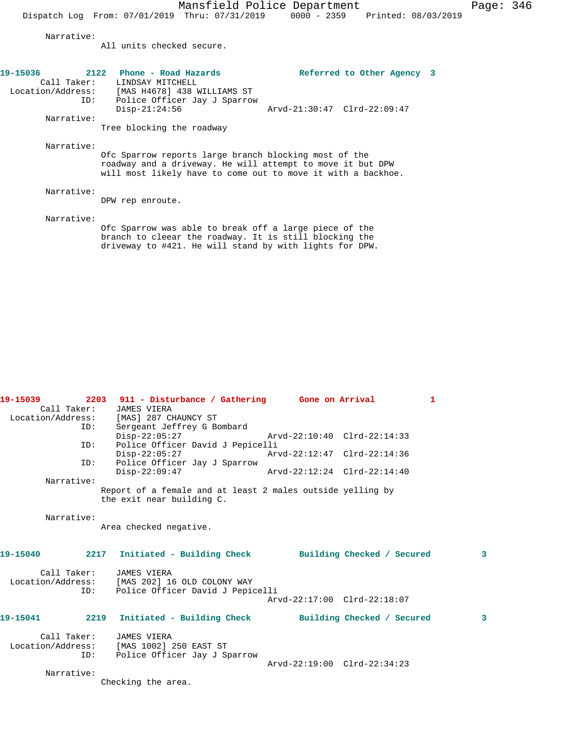Narrative:

All units checked secure.

| 19-15036   | 2122 | Phone - Road Hazards                          |                                                              | Referred to Other Agency 3 |
|------------|------|-----------------------------------------------|--------------------------------------------------------------|----------------------------|
|            |      | Call Taker: LINDSAY MITCHELL                  |                                                              |                            |
|            |      | Location/Address: [MAS H4678] 438 WILLIAMS ST |                                                              |                            |
|            | ID:  | Police Officer Jay J Sparrow                  |                                                              |                            |
|            |      | $Disp-21:24:56$                               | Arvd-21:30:47 Clrd-22:09:47                                  |                            |
| Narrative: |      |                                               |                                                              |                            |
|            |      | Tree blocking the roadway                     |                                                              |                            |
| Narrative: |      |                                               |                                                              |                            |
|            |      |                                               | Ofc Sparrow reports large branch blocking most of the        |                            |
|            |      |                                               | roadway and a driveway. He will attempt to move it but DPW   |                            |
|            |      |                                               | will most likely have to come out to move it with a backhoe. |                            |
| Narrative: |      |                                               |                                                              |                            |
|            |      | DPW rep enroute.                              |                                                              |                            |
|            |      |                                               |                                                              |                            |
| Narrative: |      |                                               |                                                              |                            |
|            |      |                                               | Ofc Sparrow was able to break off a large piece of the       |                            |
|            |      |                                               | branch to cleear the roadway. It is still blocking the       |                            |
|            |      |                                               | driveway to #421. He will stand by with lights for DPW.      |                            |

| 19-15039   | Call Taker: | 2203 911 - Disturbance / Gathering Gone on Arrival<br>JAMES VIERA                       |                             | $\mathbf{1}$            |
|------------|-------------|-----------------------------------------------------------------------------------------|-----------------------------|-------------------------|
|            |             | Location/Address: [MAS] 287 CHAUNCY ST                                                  |                             |                         |
|            | ID:         | Sergeant Jeffrey G Bombard                                                              |                             |                         |
|            |             | $Disp-22:05:27$                                                                         | Arvd-22:10:40 Clrd-22:14:33 |                         |
|            | ID:         | Police Officer David J Pepicelli                                                        |                             |                         |
|            |             | $Disp-22:05:27$                                                                         | Arvd-22:12:47 Clrd-22:14:36 |                         |
|            | ID:         | Police Officer Jay J Sparrow                                                            |                             |                         |
|            |             | $Disp-22:09:47$                                                                         | Arvd-22:12:24 Clrd-22:14:40 |                         |
| Narrative: |             |                                                                                         |                             |                         |
|            |             | Report of a female and at least 2 males outside yelling by<br>the exit near building C. |                             |                         |
|            |             |                                                                                         |                             |                         |
| Narrative: |             | Area checked negative.                                                                  |                             |                         |
|            |             |                                                                                         |                             |                         |
| 19-15040   |             | 2217 Initiated - Building Check Building Checked / Secured                              |                             | $\overline{\mathbf{3}}$ |
|            |             | Call Taker: JAMES VIERA                                                                 |                             |                         |
|            |             | Location/Address: [MAS 202] 16 OLD COLONY WAY                                           |                             |                         |
|            | ID:         | Police Officer David J Pepicelli                                                        |                             |                         |
|            |             |                                                                                         | Arvd-22:17:00 Clrd-22:18:07 |                         |
| 19-15041   |             | 2219 Initiated - Building Check Building Checked / Secured                              |                             | $\mathbf{3}$            |
|            |             |                                                                                         |                             |                         |
|            | Call Taker: | <b>JAMES VIERA</b>                                                                      |                             |                         |
|            |             | Location/Address: [MAS 1002] 250 EAST ST                                                |                             |                         |
|            | ID:         | Police Officer Jay J Sparrow                                                            |                             |                         |
|            |             |                                                                                         | Arvd-22:19:00 Clrd-22:34:23 |                         |
| Narrative: |             |                                                                                         |                             |                         |
|            |             | Checking the area.                                                                      |                             |                         |